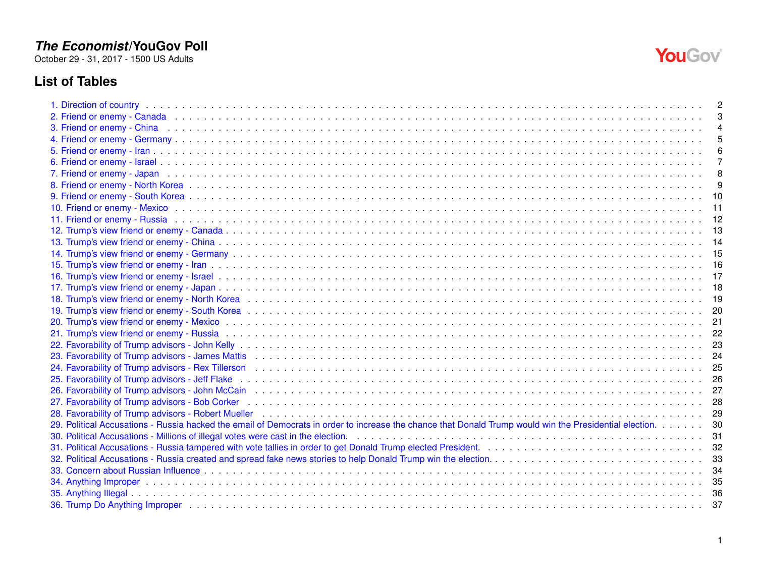October 29 - 31, 2017 - 1500 US Adults

# **List of Tables**

| 3. Friend or enemy - China business and account of the contract of the contract of the contract of the contract of the contract of the contract of the contract of the contract of the contract of the contract of the contrac |     |
|--------------------------------------------------------------------------------------------------------------------------------------------------------------------------------------------------------------------------------|-----|
|                                                                                                                                                                                                                                |     |
|                                                                                                                                                                                                                                |     |
|                                                                                                                                                                                                                                |     |
| 7. Friend or enemy - Japan (and a conservative conservative conservative conservative conservative conservative conservative conservative conservative conservative conservative conservative conservative conservative conser |     |
|                                                                                                                                                                                                                                |     |
|                                                                                                                                                                                                                                | 10  |
|                                                                                                                                                                                                                                | 11  |
|                                                                                                                                                                                                                                | 12  |
|                                                                                                                                                                                                                                | -13 |
|                                                                                                                                                                                                                                |     |
|                                                                                                                                                                                                                                |     |
|                                                                                                                                                                                                                                |     |
|                                                                                                                                                                                                                                |     |
|                                                                                                                                                                                                                                |     |
|                                                                                                                                                                                                                                |     |
|                                                                                                                                                                                                                                |     |
|                                                                                                                                                                                                                                | 21  |
|                                                                                                                                                                                                                                | 22  |
|                                                                                                                                                                                                                                | 23  |
|                                                                                                                                                                                                                                | 24  |
|                                                                                                                                                                                                                                |     |
|                                                                                                                                                                                                                                |     |
|                                                                                                                                                                                                                                |     |
|                                                                                                                                                                                                                                | 28  |
|                                                                                                                                                                                                                                | 29  |
| 29. Political Accusations - Russia hacked the email of Democrats in order to increase the chance that Donald Trump would win the Presidential election.                                                                        | 30  |
|                                                                                                                                                                                                                                | 31  |
| 31. Political Accusations - Russia tampered with vote tallies in order to get Donald Trump elected President.<br>31. Political Accusations - Russia tampered with vote tallies in order to get Donald Trump elected President. | 32  |
|                                                                                                                                                                                                                                | 33  |
|                                                                                                                                                                                                                                | 34  |
|                                                                                                                                                                                                                                | 35  |
|                                                                                                                                                                                                                                | 36  |
|                                                                                                                                                                                                                                | 37  |

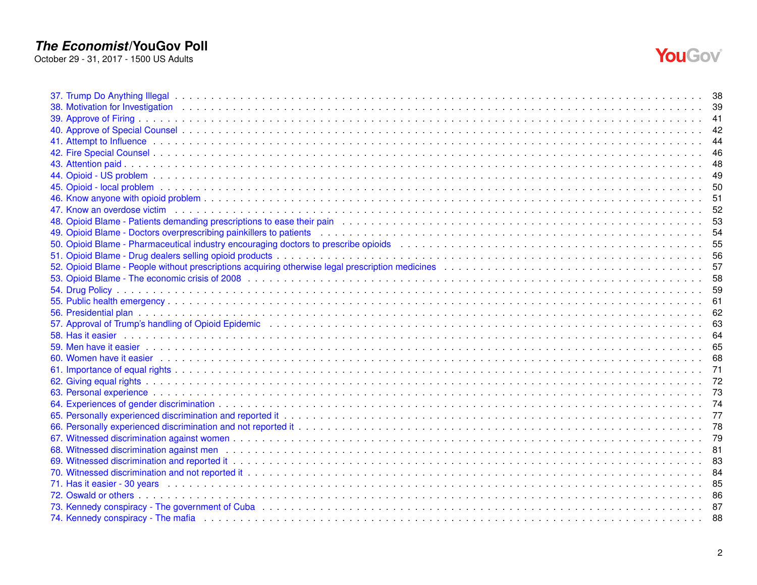

|                                                                                                                                                                                                                                | 49 |
|--------------------------------------------------------------------------------------------------------------------------------------------------------------------------------------------------------------------------------|----|
|                                                                                                                                                                                                                                |    |
|                                                                                                                                                                                                                                |    |
|                                                                                                                                                                                                                                |    |
|                                                                                                                                                                                                                                |    |
|                                                                                                                                                                                                                                |    |
|                                                                                                                                                                                                                                |    |
|                                                                                                                                                                                                                                |    |
|                                                                                                                                                                                                                                |    |
|                                                                                                                                                                                                                                |    |
|                                                                                                                                                                                                                                |    |
|                                                                                                                                                                                                                                |    |
|                                                                                                                                                                                                                                |    |
|                                                                                                                                                                                                                                |    |
|                                                                                                                                                                                                                                |    |
|                                                                                                                                                                                                                                | 65 |
| 60. Women have it easier endeavour contract to serve the contract of the contract of the contract of the contract of the contract of the contract of the contract of the contract of the contract of the contract of the contr |    |
|                                                                                                                                                                                                                                |    |
|                                                                                                                                                                                                                                |    |
|                                                                                                                                                                                                                                |    |
|                                                                                                                                                                                                                                |    |
|                                                                                                                                                                                                                                |    |
|                                                                                                                                                                                                                                |    |
|                                                                                                                                                                                                                                |    |
| 68. Witnessed discrimination against mention of the contract of the contract of the contract of the contract of the contract of the contract of the contract of the contract of the contract of the contract of the contract o |    |
|                                                                                                                                                                                                                                |    |
|                                                                                                                                                                                                                                |    |
| 71. Has it easier - 30 years with the contract of the control of the control of the control of the control of the control of the control of the control of the control of the control of the control of the control of the con |    |
|                                                                                                                                                                                                                                |    |
|                                                                                                                                                                                                                                |    |
| 74. Kennedy conspiracy - The mafia enterpresentation of the contract of the contract of the contract of the contract of the contract of the contract of the contract of the contract of the contract of the contract of the co | 88 |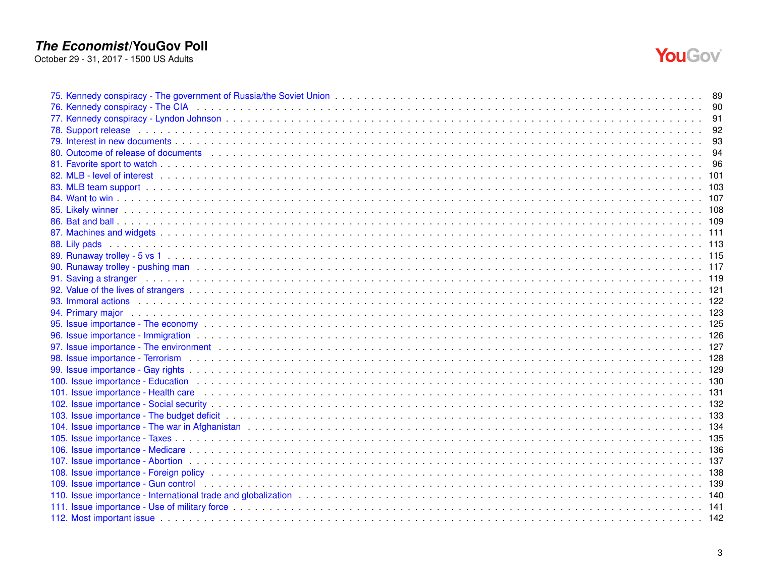

| 80. Outcome of release of documents enterity and servers are not contained a server in the content of the content of the content of the content of the content of the content of the content of the content of the content of  |  |
|--------------------------------------------------------------------------------------------------------------------------------------------------------------------------------------------------------------------------------|--|
|                                                                                                                                                                                                                                |  |
| 82. MLB - level of interest ending contact the contract of the control of the control of the control of the control of the control of the control of the control of the control of the control of the control of the control o |  |
|                                                                                                                                                                                                                                |  |
|                                                                                                                                                                                                                                |  |
|                                                                                                                                                                                                                                |  |
|                                                                                                                                                                                                                                |  |
|                                                                                                                                                                                                                                |  |
| 88. Lily pads                                                                                                                                                                                                                  |  |
|                                                                                                                                                                                                                                |  |
|                                                                                                                                                                                                                                |  |
| 91. Saving a stranger enterpreteration of the contract the contract of the contract of the contract of the contract of the contract of the contract of the contract of the contract of the contract of the contract of the con |  |
|                                                                                                                                                                                                                                |  |
|                                                                                                                                                                                                                                |  |
|                                                                                                                                                                                                                                |  |
|                                                                                                                                                                                                                                |  |
|                                                                                                                                                                                                                                |  |
|                                                                                                                                                                                                                                |  |
|                                                                                                                                                                                                                                |  |
|                                                                                                                                                                                                                                |  |
|                                                                                                                                                                                                                                |  |
| 101. Issue importance - Health care enterpresent and the contract of the contract of the contract of the contract of the contract of the contract of the contract of the contract of the contract of the contract of the contr |  |
|                                                                                                                                                                                                                                |  |
|                                                                                                                                                                                                                                |  |
|                                                                                                                                                                                                                                |  |
|                                                                                                                                                                                                                                |  |
|                                                                                                                                                                                                                                |  |
|                                                                                                                                                                                                                                |  |
|                                                                                                                                                                                                                                |  |
|                                                                                                                                                                                                                                |  |
|                                                                                                                                                                                                                                |  |
| 112. Most important issue enterpreteration and an experiment contract the contract of the contract of the contract of the contract of the contract of the contract of the contract of the contract of the contract of the cont |  |
|                                                                                                                                                                                                                                |  |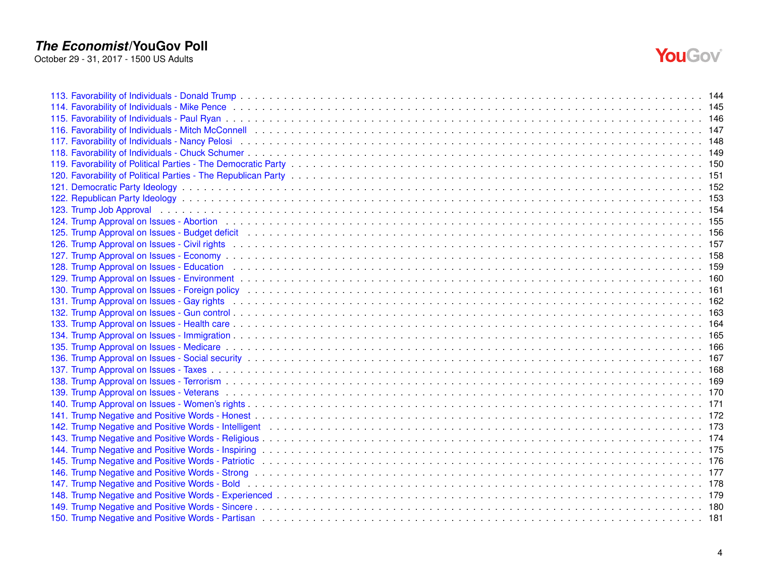

| 115. Favorability of Individuals - Paul Ryan enterpresent and the content of the content of the content of the content of the content of the content of the content of the content of the content of the content of the conten |  |
|--------------------------------------------------------------------------------------------------------------------------------------------------------------------------------------------------------------------------------|--|
|                                                                                                                                                                                                                                |  |
|                                                                                                                                                                                                                                |  |
|                                                                                                                                                                                                                                |  |
|                                                                                                                                                                                                                                |  |
|                                                                                                                                                                                                                                |  |
|                                                                                                                                                                                                                                |  |
|                                                                                                                                                                                                                                |  |
|                                                                                                                                                                                                                                |  |
|                                                                                                                                                                                                                                |  |
|                                                                                                                                                                                                                                |  |
|                                                                                                                                                                                                                                |  |
|                                                                                                                                                                                                                                |  |
|                                                                                                                                                                                                                                |  |
| 129. Trump Approval on Issues - Environment end as a series of the content of the content of the content of the content of the content of the content of the content of the content of the content of the content of the conte |  |
| 130. Trump Approval on Issues - Foreign policy enterpreened and the content of the content of the content of the content of the content of the content of the content of the content of the content of the content of the cont |  |
|                                                                                                                                                                                                                                |  |
|                                                                                                                                                                                                                                |  |
|                                                                                                                                                                                                                                |  |
|                                                                                                                                                                                                                                |  |
|                                                                                                                                                                                                                                |  |
|                                                                                                                                                                                                                                |  |
|                                                                                                                                                                                                                                |  |
|                                                                                                                                                                                                                                |  |
|                                                                                                                                                                                                                                |  |
|                                                                                                                                                                                                                                |  |
|                                                                                                                                                                                                                                |  |
|                                                                                                                                                                                                                                |  |
|                                                                                                                                                                                                                                |  |
|                                                                                                                                                                                                                                |  |
|                                                                                                                                                                                                                                |  |
|                                                                                                                                                                                                                                |  |
|                                                                                                                                                                                                                                |  |
|                                                                                                                                                                                                                                |  |
|                                                                                                                                                                                                                                |  |
|                                                                                                                                                                                                                                |  |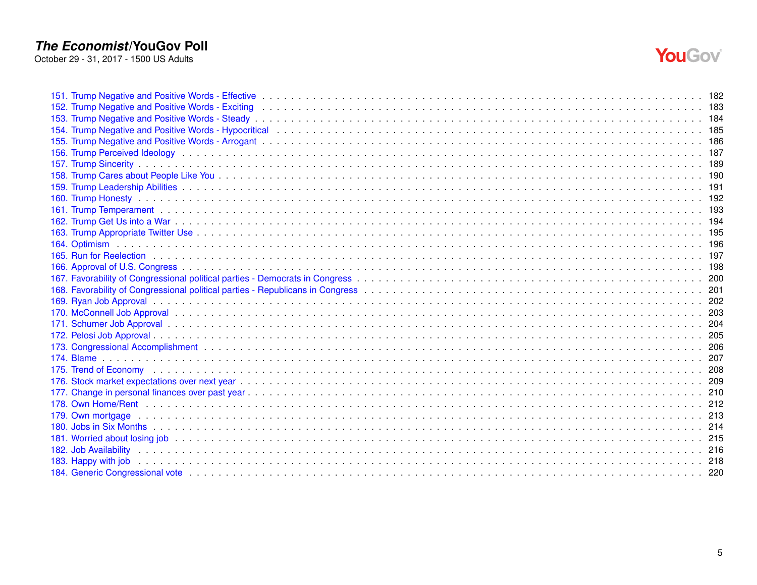

| 154. Trump Negative and Positive Words - Hypocritical enterpresent contact to contact the contact of the contact of the contact of the contact of the contact of the contact of the contact of the contact of the contact of t |  |
|--------------------------------------------------------------------------------------------------------------------------------------------------------------------------------------------------------------------------------|--|
|                                                                                                                                                                                                                                |  |
|                                                                                                                                                                                                                                |  |
|                                                                                                                                                                                                                                |  |
|                                                                                                                                                                                                                                |  |
|                                                                                                                                                                                                                                |  |
|                                                                                                                                                                                                                                |  |
|                                                                                                                                                                                                                                |  |
|                                                                                                                                                                                                                                |  |
|                                                                                                                                                                                                                                |  |
|                                                                                                                                                                                                                                |  |
|                                                                                                                                                                                                                                |  |
|                                                                                                                                                                                                                                |  |
|                                                                                                                                                                                                                                |  |
|                                                                                                                                                                                                                                |  |
|                                                                                                                                                                                                                                |  |
|                                                                                                                                                                                                                                |  |
|                                                                                                                                                                                                                                |  |
|                                                                                                                                                                                                                                |  |
|                                                                                                                                                                                                                                |  |
|                                                                                                                                                                                                                                |  |
|                                                                                                                                                                                                                                |  |
|                                                                                                                                                                                                                                |  |
|                                                                                                                                                                                                                                |  |
|                                                                                                                                                                                                                                |  |
|                                                                                                                                                                                                                                |  |
|                                                                                                                                                                                                                                |  |
|                                                                                                                                                                                                                                |  |
|                                                                                                                                                                                                                                |  |
|                                                                                                                                                                                                                                |  |
|                                                                                                                                                                                                                                |  |
|                                                                                                                                                                                                                                |  |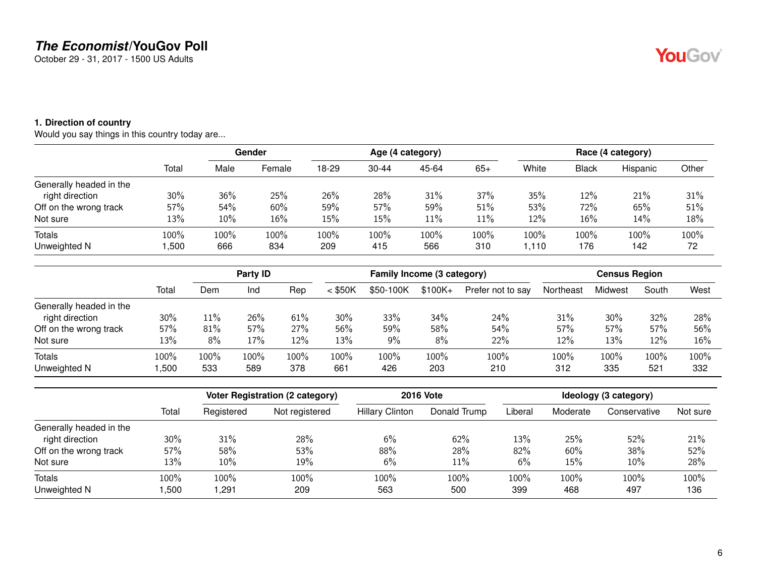October 29 - 31, 2017 - 1500 US Adults

#### <span id="page-5-0"></span>**1. Direction of country**

Would you say things in this country today are...

|                         | Total | Gender |        |       |           | Age (4 category) |       |       | Race (4 category) |          |       |  |  |
|-------------------------|-------|--------|--------|-------|-----------|------------------|-------|-------|-------------------|----------|-------|--|--|
|                         |       | Male   | Female | 18-29 | $30 - 44$ | 45-64            | $65+$ | White | Black             | Hispanic | Other |  |  |
| Generally headed in the |       |        |        |       |           |                  |       |       |                   |          |       |  |  |
| right direction         | 30%   | 36%    | 25%    | 26%   | 28%       | 31%              | 37%   | 35%   | 12%               | 21%      | 31%   |  |  |
| Off on the wrong track  | 57%   | 54%    | 60%    | 59%   | 57%       | 59%              | 51%   | 53%   | 72%               | 65%      | 51%   |  |  |
| Not sure                | 13%   | 10%    | 16%    | 15%   | 15%       | 11%              | 11%   | 12%   | 16%               | 14%      | 18%   |  |  |
| Totals                  | 100%  | 100%   | 100%   | 100%  | 100%      | 100%             | 100%  | 100%  | 100%              | 100%     | 100%  |  |  |
| Unweighted N            | ,500  | 666    | 834    | 209   | 415       | 566              | 310   | 1.110 | 176               | 142      | 72    |  |  |

|                         |       | Party <b>ID</b> |      |      |           | Family Income (3 category) |          |                   | <b>Census Region</b> |         |       |      |
|-------------------------|-------|-----------------|------|------|-----------|----------------------------|----------|-------------------|----------------------|---------|-------|------|
|                         | Total | Dem             | Ind  | Rep  | $<$ \$50K | \$50-100K                  | $$100K+$ | Prefer not to say | Northeast            | Midwest | South | West |
| Generally headed in the |       |                 |      |      |           |                            |          |                   |                      |         |       |      |
| right direction         | 30%   | $11\%$          | 26%  | 61%  | 30%       | 33%                        | 34%      | 24%               | 31%                  | 30%     | 32%   | 28%  |
| Off on the wrong track  | 57%   | 81%             | 57%  | 27%  | 56%       | 59%                        | 58%      | 54%               | 57%                  | 57%     | 57%   | 56%  |
| Not sure                | 13%   | 8%              | 17%  | 12%  | 13%       | $9\%$                      | 8%       | 22%               | 12%                  | 13%     | 12%   | 16%  |
| <b>Totals</b>           | 100%  | 100%            | 100% | 100% | 100%      | 100%                       | 100%     | 100%              | 100%                 | 100%    | 100%  | 100% |
| Unweighted N            | ,500  | 533             | 589  | 378  | 661       | 426                        | 203      | 210               | 312                  | 335     | 521   | 332  |

|                         |       |            | <b>Voter Registration (2 category)</b> |                        | <b>2016 Vote</b> |         | Ideology (3 category) |              |          |  |  |
|-------------------------|-------|------------|----------------------------------------|------------------------|------------------|---------|-----------------------|--------------|----------|--|--|
|                         | Total | Registered | Not registered                         | <b>Hillary Clinton</b> | Donald Trump     | Liberal | Moderate              | Conservative | Not sure |  |  |
| Generally headed in the |       |            |                                        |                        |                  |         |                       |              |          |  |  |
| right direction         | 30%   | 31%        | 28%                                    | 6%                     | 62%              | 13%     | 25%                   | 52%          | 21%      |  |  |
| Off on the wrong track  | 57%   | 58%        | 53%                                    | 88%                    | 28%              | 82%     | 60%                   | 38%          | 52%      |  |  |
| Not sure                | 13%   | 10%        | 19%                                    | 6%                     | 11%              | 6%      | 15%                   | 10%          | 28%      |  |  |
| Totals                  | 100%  | 100%       | 100%                                   | 100%                   | 100%             | 100%    | $100\%$               | 100%         | 100%     |  |  |
| Unweighted N            | ,500  | ,291       | 209                                    | 563                    | 500              | 399     | 468                   | 497          | 136      |  |  |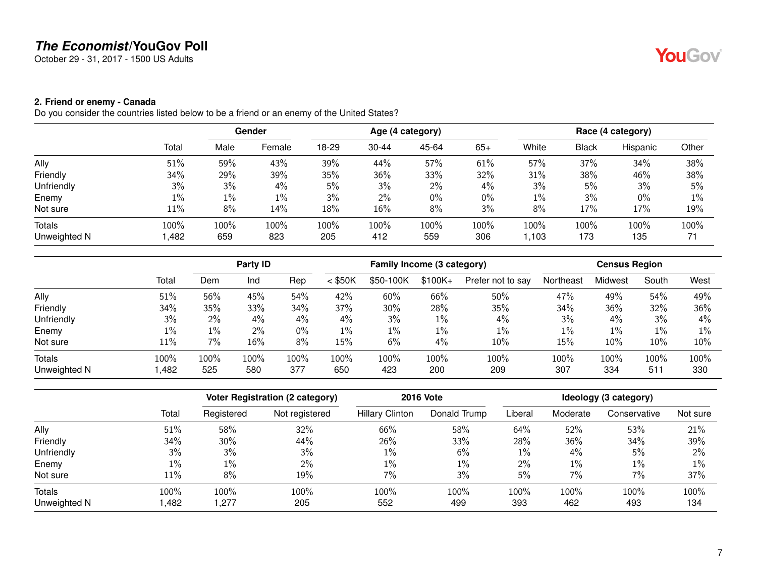October 29 - 31, 2017 - 1500 US Adults

#### <span id="page-6-0"></span>**2. Friend or enemy - Canada**

Do you consider the countries listed below to be a friend or an enemy of the United States?

|              | Total | Gender |         |       |           |       | Age (4 category) |       | Race (4 category) |          |       |  |  |
|--------------|-------|--------|---------|-------|-----------|-------|------------------|-------|-------------------|----------|-------|--|--|
|              |       | Male   | Female  | 18-29 | $30 - 44$ | 45-64 | $65+$            | White | <b>Black</b>      | Hispanic | Other |  |  |
| Ally         | 51%   | 59%    | 43%     | 39%   | 44%       | 57%   | 61%              | 57%   | 37%               | 34%      | 38%   |  |  |
| Friendly     | 34%   | 29%    | 39%     | 35%   | 36%       | 33%   | 32%              | 31%   | 38%               | 46%      | 38%   |  |  |
| Unfriendly   | 3%    | 3%     | 4%      | 5%    | 3%        | 2%    | 4%               | 3%    | 5%                | 3%       | 5%    |  |  |
| Enemy        | $1\%$ | $1\%$  | $1\%$   | 3%    | $2\%$     | 0%    | $0\%$            | $1\%$ | 3%                | 0%       | 1%    |  |  |
| Not sure     | 11%   | 8%     | 14%     | 18%   | 16%       | 8%    | 3%               | 8%    | 17%               | 17%      | 19%   |  |  |
| Totals       | 100%  | 100%   | $100\%$ | 100%  | 100%      | 100%  | 100%             | 100%  | 100%              | 100%     | 100%  |  |  |
| Unweighted N | ,482  | 659    | 823     | 205   | 412       | 559   | 306              | 1,103 | 173               | 135      | 71    |  |  |

|              |        |       | Party ID |      |           | Family Income (3 category) |          |                   |           | <b>Census Region</b> |       |       |
|--------------|--------|-------|----------|------|-----------|----------------------------|----------|-------------------|-----------|----------------------|-------|-------|
|              | Total  | Dem   | Ind      | Rep  | $<$ \$50K | \$50-100K                  | $$100K+$ | Prefer not to say | Northeast | Midwest              | South | West  |
| Ally         | 51%    | 56%   | 45%      | 54%  | 42%       | 60%                        | 66%      | 50%               | 47%       | 49%                  | 54%   | 49%   |
| Friendly     | 34%    | 35%   | 33%      | 34%  | 37%       | 30%                        | 28%      | 35%               | 34%       | 36%                  | 32%   | 36%   |
| Unfriendly   | 3%     | $2\%$ | 4%       | 4%   | 4%        | 3%                         | 1%       | 4%                | 3%        | 4%                   | 3%    | 4%    |
| Enemy        | $1\%$  | $1\%$ | $2\%$    | 0%   | $1\%$     | $1\%$                      | $1\%$    | $1\%$             | $1\%$     | 1%                   | $1\%$ | $1\%$ |
| Not sure     | $11\%$ | 7%    | 16%      | 8%   | 15%       | 6%                         | 4%       | 10%               | 15%       | 10%                  | 10%   | 10%   |
| Totals       | 100%   | 100%  | 100%     | 100% | 100%      | 100%                       | 100%     | 100%              | 100%      | 100%                 | 100%  | 100%  |
| Unweighted N | ,482   | 525   | 580      | 377  | 650       | 423                        | 200      | 209               | 307       | 334                  | 511   | 330   |

|              |       |            | Voter Registration (2 category) |                        | <b>2016 Vote</b> | Ideology (3 category) |          |              |          |  |  |
|--------------|-------|------------|---------------------------------|------------------------|------------------|-----------------------|----------|--------------|----------|--|--|
|              | Total | Registered | Not registered                  | <b>Hillary Clinton</b> | Donald Trump     | Liberal               | Moderate | Conservative | Not sure |  |  |
| Ally         | 51%   | 58%        | 32%                             | 66%                    | 58%              | 64%                   | 52%      | 53%          | 21%      |  |  |
| Friendly     | 34%   | 30%        | 44%                             | 26%                    | 33%              | 28%                   | 36%      | 34%          | 39%      |  |  |
| Unfriendly   | 3%    | 3%         | 3%                              | 1%                     | 6%               | $1\%$                 | 4%       | 5%           | 2%       |  |  |
| Enemy        | $1\%$ | $1\%$      | $2\%$                           | $1\%$                  | $1\%$            | $2\%$                 | $1\%$    | $1\%$        | 1%       |  |  |
| Not sure     | 11%   | 8%         | 19%                             | 7%                     | 3%               | 5%                    | 7%       | 7%           | 37%      |  |  |
| Totals       | 100%  | 100%       | 100%                            | 100%                   | 100%             | 100%                  | 100%     | 100%         | 100%     |  |  |
| Unweighted N | ,482  | 1.277      | 205                             | 552                    | 499              | 393                   | 462      | 493          | 134      |  |  |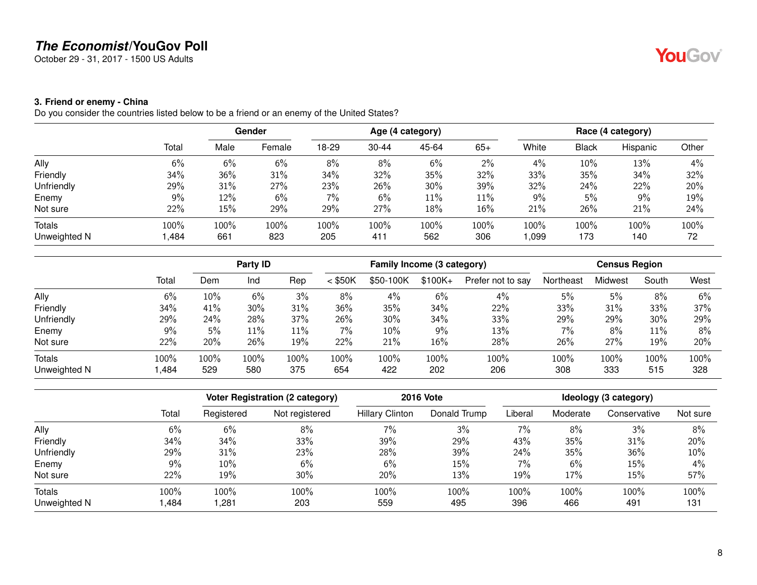October 29 - 31, 2017 - 1500 US Adults

#### <span id="page-7-0"></span>**3. Friend or enemy - China**

Do you consider the countries listed below to be a friend or an enemy of the United States?

|              | Total | Gender |        |       |           |       | Age (4 category) |       | Race (4 category) |          |       |  |  |
|--------------|-------|--------|--------|-------|-----------|-------|------------------|-------|-------------------|----------|-------|--|--|
|              |       | Male   | Female | 18-29 | $30 - 44$ | 45-64 | $65+$            | White | <b>Black</b>      | Hispanic | Other |  |  |
| Ally         | 6%    | 6%     | 6%     | 8%    | 8%        | 6%    | 2%               | 4%    | 10%               | 13%      | 4%    |  |  |
| Friendly     | 34%   | 36%    | 31%    | 34%   | 32%       | 35%   | 32%              | 33%   | 35%               | 34%      | 32%   |  |  |
| Unfriendly   | 29%   | 31%    | 27%    | 23%   | 26%       | 30%   | 39%              | 32%   | 24%               | 22%      | 20%   |  |  |
| Enemy        | 9%    | 12%    | 6%     | 7%    | 6%        | 11%   | 11%              | 9%    | 5%                | 9%       | 19%   |  |  |
| Not sure     | 22%   | 15%    | 29%    | 29%   | 27%       | 18%   | 16%              | 21%   | 26%               | 21%      | 24%   |  |  |
| Totals       | 100%  | 100%   | 100%   | 100%  | 100%      | 100%  | 100%             | 100%  | 100%              | 100%     | 100%  |  |  |
| Unweighted N | ,484  | 661    | 823    | 205   | 411       | 562   | 306              | 1,099 | 173               | 140      | 72    |  |  |

|              |       |         | Party ID |      |           | Family Income (3 category) |          |                   |           | <b>Census Region</b> |       |      |
|--------------|-------|---------|----------|------|-----------|----------------------------|----------|-------------------|-----------|----------------------|-------|------|
|              | Total | Dem     | Ind      | Rep  | $<$ \$50K | \$50-100K                  | $$100K+$ | Prefer not to say | Northeast | Midwest              | South | West |
| Ally         | 6%    | $10\%$  | 6%       | 3%   | 8%        | 4%                         | 6%       | 4%                | 5%        | 5%                   | 8%    | 6%   |
| Friendly     | 34%   | 41%     | 30%      | 31%  | 36%       | 35%                        | 34%      | 22%               | 33%       | 31%                  | 33%   | 37%  |
| Unfriendly   | 29%   | 24%     | 28%      | 37%  | 26%       | 30%                        | 34%      | 33%               | 29%       | 29%                  | 30%   | 29%  |
| Enemy        | 9%    | $5\%$   | 11%      | 11%  | 7%        | 10%                        | $9\%$    | 13%               | 7%        | 8%                   | 11%   | 8%   |
| Not sure     | 22%   | 20%     | 26%      | 19%  | 22%       | 21%                        | 16%      | 28%               | 26%       | 27%                  | 19%   | 20%  |
| Totals       | 100%  | $100\%$ | 100%     | 100% | 100%      | 100%                       | 100%     | 100%              | 100%      | 100%                 | 100%  | 100% |
| Unweighted N | ,484  | 529     | 580      | 375  | 654       | 422                        | 202      | 206               | 308       | 333                  | 515   | 328  |

|              |       | Voter Registration (2 category) |                | <b>2016 Vote</b>       | Ideology (3 category) |         |          |              |          |
|--------------|-------|---------------------------------|----------------|------------------------|-----------------------|---------|----------|--------------|----------|
|              | Total | Registered                      | Not registered | <b>Hillary Clinton</b> | Donald Trump          | Liberal | Moderate | Conservative | Not sure |
| Ally         | 6%    | 6%                              | 8%             | 7%                     | 3%                    | 7%      | 8%       | 3%           | 8%       |
| Friendly     | 34%   | 34%                             | 33%            | 39%                    | 29%                   | 43%     | 35%      | 31%          | 20%      |
| Unfriendly   | 29%   | 31%                             | 23%            | 28%                    | 39%                   | 24%     | 35%      | 36%          | 10%      |
| Enemy        | 9%    | 10%                             | 6%             | 6%                     | 15%                   | 7%      | 6%       | 15%          | 4%       |
| Not sure     | 22%   | 19%                             | 30%            | 20%                    | 13%                   | 19%     | 17%      | 15%          | 57%      |
| Totals       | 100%  | 100%                            | 100%           | 100%                   | 100%                  | 100%    | 100%     | 100%         | 100%     |
| Unweighted N | ,484  | 281,                            | 203            | 559                    | 495                   | 396     | 466      | 491          | 131      |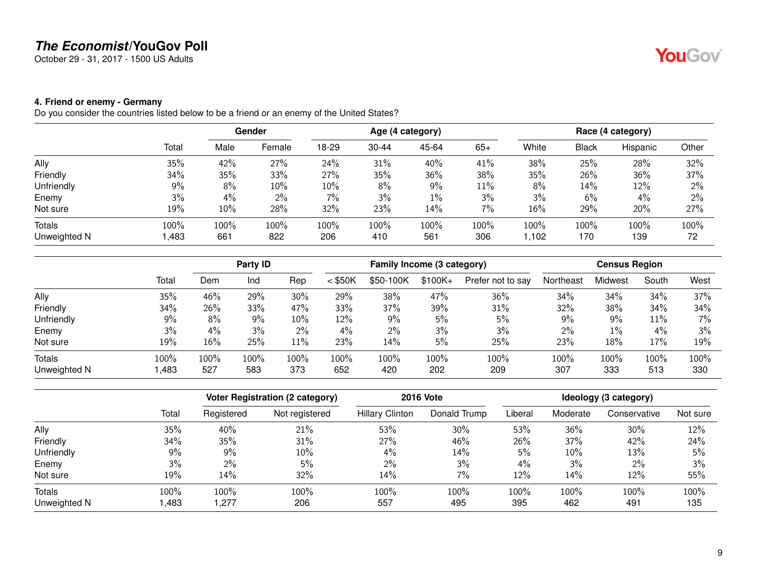October 29 - 31, 2017 - 1500 US Adults

#### <span id="page-8-0"></span>**4. Friend or enemy - Germany**

Do you consider the countries listed below to be a friend or an enemy of the United States?

|              |       |      | Gender |       |           | Age (4 category) |       |       |              | Race (4 category) |       |
|--------------|-------|------|--------|-------|-----------|------------------|-------|-------|--------------|-------------------|-------|
|              | Total | Male | Female | 18-29 | $30 - 44$ | 45-64            | $65+$ | White | <b>Black</b> | Hispanic          | Other |
| Ally         | 35%   | 42%  | 27%    | 24%   | 31%       | 40%              | 41%   | 38%   | 25%          | 28%               | 32%   |
| Friendly     | 34%   | 35%  | 33%    | 27%   | 35%       | 36%              | 38%   | 35%   | 26%          | 36%               | 37%   |
| Unfriendly   | 9%    | 8%   | 10%    | 10%   | 8%        | 9%               | 11%   | 8%    | 14%          | 12%               | $2\%$ |
| Enemy        | 3%    | 4%   | $2\%$  | 7%    | 3%        | $1\%$            | 3%    | 3%    | 6%           | 4%                | 2%    |
| Not sure     | 19%   | 10%  | 28%    | 32%   | 23%       | 14%              | 7%    | 16%   | 29%          | 20%               | 27%   |
| Totals       | 100%  | 100% | 100%   | 100%  | 100%      | 100%             | 100%  | 100%  | 100%         | 100%              | 100%  |
| Unweighted N | ,483  | 661  | 822    | 206   | 410       | 561              | 306   | 1,102 | 170          | 139               | 72    |

|              |       |      | Party <b>ID</b> |       |           | Family Income (3 category) |          |                   |           | <b>Census Region</b> |       |       |  |
|--------------|-------|------|-----------------|-------|-----------|----------------------------|----------|-------------------|-----------|----------------------|-------|-------|--|
|              | Total | Dem  | Ind             | Rep   | $<$ \$50K | \$50-100K                  | $$100K+$ | Prefer not to say | Northeast | Midwest              | South | West  |  |
| Ally         | 35%   | 46%  | 29%             | 30%   | 29%       | 38%                        | 47%      | 36%               | 34%       | 34%                  | 34%   | 37%   |  |
| Friendly     | 34%   | 26%  | 33%             | 47%   | 33%       | 37%                        | 39%      | 31%               | 32%       | 38%                  | 34%   | 34%   |  |
| Unfriendly   | 9%    | 8%   | 9%              | 10%   | 12%       | 9%                         | 5%       | 5%                | 9%        | 9%                   | 11%   | $7\%$ |  |
| Enemy        | 3%    | 4%   | 3%              | $2\%$ | 4%        | $2\%$                      | 3%       | 3%                | 2%        | 1%                   | 4%    | 3%    |  |
| Not sure     | 19%   | 16%  | 25%             | 11%   | 23%       | 14%                        | 5%       | 25%               | 23%       | 18%                  | 17%   | 19%   |  |
| Totals       | 100%  | 100% | 100%            | 100%  | 100%      | 100%                       | 100%     | 100%              | 100%      | 100%                 | 100%  | 100%  |  |
| Unweighted N | ,483  | 527  | 583             | 373   | 652       | 420                        | 202      | 209               | 307       | 333                  | 513   | 330   |  |

|              |       | <b>Voter Registration (2 category)</b> |                | <b>2016 Vote</b>       | Ideology (3 category) |         |          |              |          |
|--------------|-------|----------------------------------------|----------------|------------------------|-----------------------|---------|----------|--------------|----------|
|              | Total | Registered                             | Not registered | <b>Hillary Clinton</b> | Donald Trump          | Liberal | Moderate | Conservative | Not sure |
| Ally         | 35%   | 40%                                    | 21%            | 53%                    | 30%                   | 53%     | 36%      | 30%          | 12%      |
| Friendly     | 34%   | 35%                                    | 31%            | 27%                    | 46%                   | 26%     | 37%      | 42%          | 24%      |
| Unfriendly   | 9%    | 9%                                     | 10%            | 4%                     | 14%                   | 5%      | 10%      | 13%          | 5%       |
| Enemy        | 3%    | 2%                                     | 5%             | $2\%$                  | 3%                    | 4%      | 3%       | $2\%$        | 3%       |
| Not sure     | 19%   | 14%                                    | 32%            | 14%                    | 7%                    | 12%     | 14%      | 12%          | 55%      |
| Totals       | 100%  | 100%                                   | 100%           | 100%                   | 100%                  | 100%    | 100%     | 100%         | 100%     |
| Unweighted N | ,483  | ,277                                   | 206            | 557                    | 495                   | 395     | 462      | 491          | 135      |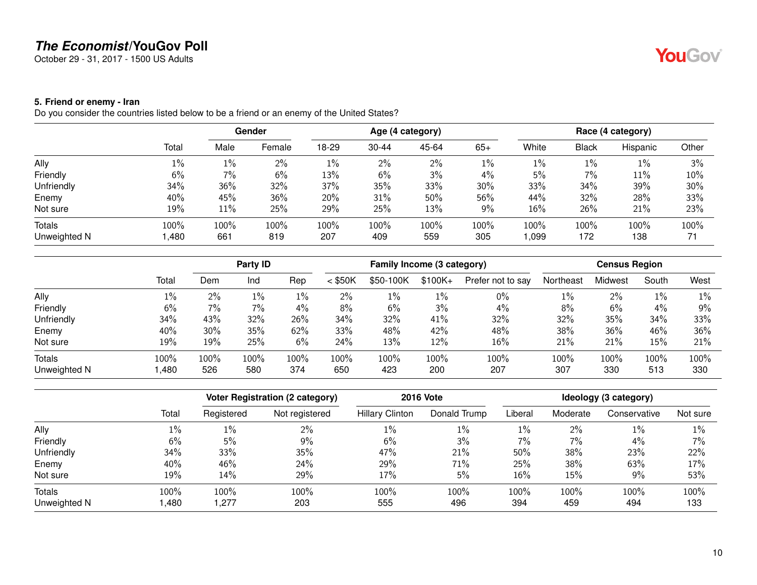October 29 - 31, 2017 - 1500 US Adults

#### <span id="page-9-0"></span>**5. Friend or enemy - Iran**

Do you consider the countries listed below to be a friend or an enemy of the United States?

|              |       | Gender |        |       |           | Age (4 category) |       | Race (4 category) |              |          |       |
|--------------|-------|--------|--------|-------|-----------|------------------|-------|-------------------|--------------|----------|-------|
|              | Total | Male   | Female | 18-29 | $30 - 44$ | 45-64            | $65+$ | White             | <b>Black</b> | Hispanic | Other |
| Ally         | $1\%$ | $1\%$  | 2%     | $1\%$ | $2\%$     | 2%               | $1\%$ | $1\%$             | $1\%$        | 1%       | 3%    |
| Friendly     | 6%    | 7%     | 6%     | 13%   | 6%        | 3%               | 4%    | 5%                | 7%           | 11%      | 10%   |
| Unfriendly   | 34%   | 36%    | 32%    | 37%   | 35%       | 33%              | 30%   | 33%               | 34%          | 39%      | 30%   |
| Enemy        | 40%   | 45%    | 36%    | 20%   | 31%       | 50%              | 56%   | 44%               | 32%          | 28%      | 33%   |
| Not sure     | 19%   | $11\%$ | 25%    | 29%   | 25%       | 13%              | $9\%$ | 16%               | 26%          | 21%      | 23%   |
| Totals       | 100%  | 100%   | 100%   | 100%  | 100%      | 100%             | 100%  | 100%              | 100%         | 100%     | 100%  |
| Unweighted N | ,480  | 661    | 819    | 207   | 409       | 559              | 305   | 990, ا            | 172          | 138      | 71    |

|              |       |      | Party ID |      |           | Family Income (3 category) |          |                   |           |         | <b>Census Region</b> |       |
|--------------|-------|------|----------|------|-----------|----------------------------|----------|-------------------|-----------|---------|----------------------|-------|
|              | Total | Dem  | Ind      | Rep  | $<$ \$50K | \$50-100K                  | $$100K+$ | Prefer not to say | Northeast | Midwest | South                | West  |
| Ally         | $1\%$ | 2%   | 1%       | 1%   | 2%        | 1%                         | 1%       | $0\%$             | $1\%$     | 2%      | $1\%$                | $1\%$ |
| Friendly     | 6%    | 7%   | 7%       | 4%   | 8%        | 6%                         | 3%       | $4\%$             | 8%        | 6%      | 4%                   | 9%    |
| Unfriendly   | 34%   | 43%  | 32%      | 26%  | 34%       | 32%                        | 41%      | 32%               | 32%       | 35%     | 34%                  | 33%   |
| Enemy        | 40%   | 30%  | 35%      | 62%  | 33%       | 48%                        | 42%      | 48%               | 38%       | 36%     | 46%                  | 36%   |
| Not sure     | 19%   | 19%  | 25%      | 6%   | 24%       | 13%                        | 12%      | 16%               | 21%       | 21%     | 15%                  | 21%   |
| Totals       | 100%  | 100% | 100%     | 100% | 100%      | 100%                       | 100%     | 100%              | 100%      | 100%    | 100%                 | 100%  |
| Unweighted N | ,480  | 526  | 580      | 374  | 650       | 423                        | 200      | 207               | 307       | 330     | 513                  | 330   |

|              |       | Voter Registration (2 category) |                | <b>2016 Vote</b>       | Ideology (3 category) |         |          |              |          |
|--------------|-------|---------------------------------|----------------|------------------------|-----------------------|---------|----------|--------------|----------|
|              | Total | Registered                      | Not registered | <b>Hillary Clinton</b> | Donald Trump          | Liberal | Moderate | Conservative | Not sure |
| Ally         | 1%    | $1\%$                           | 2%             | $1\%$                  | 1%                    | $1\%$   | $2\%$    | $1\%$        | 1%       |
| Friendly     | 6%    | 5%                              | 9%             | 6%                     | $3\%$                 | 7%      | $7\%$    | 4%           | 7%       |
| Unfriendly   | 34%   | 33%                             | 35%            | 47%                    | 21%                   | 50%     | 38%      | 23%          | 22%      |
| Enemy        | 40%   | 46%                             | 24%            | 29%                    | 71%                   | 25%     | 38%      | 63%          | 17%      |
| Not sure     | 19%   | 14%                             | 29%            | 17%                    | 5%                    | 16%     | 15%      | 9%           | 53%      |
| Totals       | 100%  | 100%                            | 100%           | 100%                   | 100%                  | 100%    | 100%     | 100%         | 100%     |
| Unweighted N | ,480  | 277, ا                          | 203            | 555                    | 496                   | 394     | 459      | 494          | 133      |

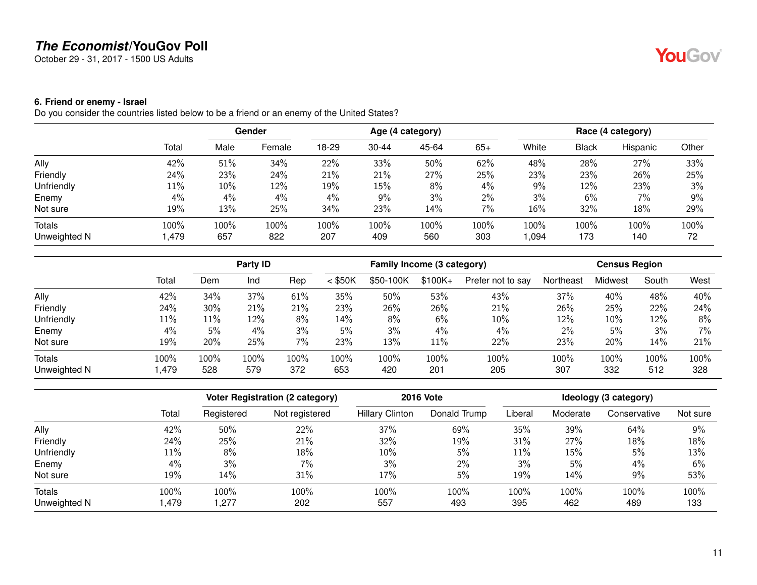October 29 - 31, 2017 - 1500 US Adults

#### <span id="page-10-0"></span>**6. Friend or enemy - Israel**

Do you consider the countries listed below to be a friend or an enemy of the United States?

|              |       | Gender |         |       |           | Age (4 category) |       | Race (4 category) |              |          |       |
|--------------|-------|--------|---------|-------|-----------|------------------|-------|-------------------|--------------|----------|-------|
|              | Total | Male   | Female  | 18-29 | $30 - 44$ | 45-64            | $65+$ | White             | <b>Black</b> | Hispanic | Other |
| Ally         | 42%   | 51%    | 34%     | 22%   | 33%       | 50%              | 62%   | 48%               | 28%          | 27%      | 33%   |
| Friendly     | 24%   | 23%    | 24%     | 21%   | 21%       | 27%              | 25%   | 23%               | 23%          | 26%      | 25%   |
| Unfriendly   | 11%   | $10\%$ | 12%     | 19%   | 15%       | 8%               | 4%    | $9\%$             | 12%          | 23%      | 3%    |
| Enemy        | 4%    | $4\%$  | $4\%$   | 4%    | 9%        | 3%               | $2\%$ | 3%                | 6%           | 7%       | 9%    |
| Not sure     | 19%   | 13%    | 25%     | 34%   | 23%       | 14%              | 7%    | 16%               | 32%          | 18%      | 29%   |
| Totals       | 100%  | 100%   | $100\%$ | 100%  | 100%      | 100%             | 100%  | 100%              | 100%         | 100%     | 100%  |
| Unweighted N | ,479  | 657    | 822     | 207   | 409       | 560              | 303   | 1,094             | 173          | 140      | 72    |

|              |        |         | Party ID |      |           | Family Income (3 category) |          |                   |           | <b>Census Region</b> |       |       |
|--------------|--------|---------|----------|------|-----------|----------------------------|----------|-------------------|-----------|----------------------|-------|-------|
|              | Total  | Dem     | Ind      | Rep  | $<$ \$50K | \$50-100K                  | $$100K+$ | Prefer not to say | Northeast | Midwest              | South | West  |
| Ally         | 42%    | 34%     | 37%      | 61%  | 35%       | 50%                        | 53%      | 43%               | 37%       | 40%                  | 48%   | 40%   |
| Friendly     | 24%    | 30%     | 21%      | 21%  | 23%       | 26%                        | 26%      | 21%               | 26%       | 25%                  | 22%   | 24%   |
| Unfriendly   | 11%    | 11%     | 12%      | 8%   | 14%       | 8%                         | 6%       | 10%               | 12%       | 10%                  | 12%   | 8%    |
| Enemy        | 4%     | 5%      | 4%       | 3%   | 5%        | 3%                         | 4%       | $4\%$             | 2%        | 5%                   | 3%    | $7\%$ |
| Not sure     | 19%    | 20%     | 25%      | 7%   | 23%       | 13%                        | $11\%$   | 22%               | 23%       | 20%                  | 14%   | 21%   |
| Totals       | 100%   | $100\%$ | 100%     | 100% | 100%      | 100%                       | 100%     | 100%              | 100%      | 100%                 | 100%  | 100%  |
| Unweighted N | 479, ا | 528     | 579      | 372  | 653       | 420                        | 201      | 205               | 307       | 332                  | 512   | 328   |

|              |       | Voter Registration (2 category) |                | <b>2016 Vote</b>       | Ideology (3 category) |         |          |              |          |
|--------------|-------|---------------------------------|----------------|------------------------|-----------------------|---------|----------|--------------|----------|
|              | Total | Registered                      | Not registered | <b>Hillary Clinton</b> | Donald Trump          | Liberal | Moderate | Conservative | Not sure |
| Ally         | 42%   | 50%                             | 22%            | 37%                    | 69%                   | 35%     | 39%      | 64%          | 9%       |
| Friendly     | 24%   | 25%                             | 21%            | 32%                    | 19%                   | 31%     | 27%      | 18%          | 18%      |
| Unfriendly   | 11%   | 8%                              | 18%            | 10%                    | 5%                    | $11\%$  | 15%      | 5%           | 13%      |
| Enemy        | 4%    | 3%                              | 7%             | 3%                     | 2%                    | 3%      | 5%       | 4%           | 6%       |
| Not sure     | 19%   | 14%                             | 31%            | 17%                    | 5%                    | 19%     | 14%      | 9%           | 53%      |
| Totals       | 100%  | 100%                            | 100%           | 100%                   | 100%                  | 100%    | 100%     | 100%         | 100%     |
| Unweighted N | .479  | 277, ا                          | 202            | 557                    | 493                   | 395     | 462      | 489          | 133      |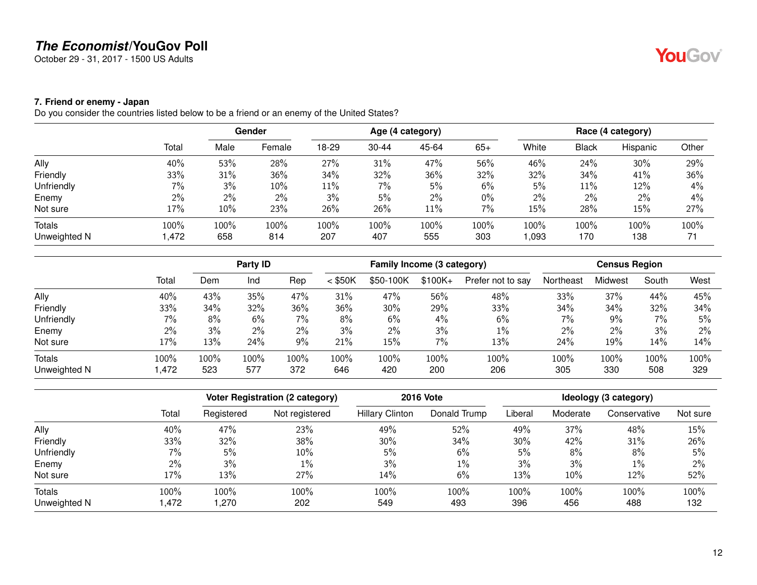October 29 - 31, 2017 - 1500 US Adults

#### <span id="page-11-0"></span>**7. Friend or enemy - Japan**

Do you consider the countries listed below to be a friend or an enemy of the United States?

|              |       |       | Gender |       |           | Age (4 category) |       |       |       | Race (4 category) |       |
|--------------|-------|-------|--------|-------|-----------|------------------|-------|-------|-------|-------------------|-------|
|              | Total | Male  | Female | 18-29 | $30 - 44$ | 45-64            | $65+$ | White | Black | Hispanic          | Other |
| Ally         | 40%   | 53%   | 28%    | 27%   | 31%       | 47%              | 56%   | 46%   | 24%   | 30%               | 29%   |
| Friendly     | 33%   | 31%   | 36%    | 34%   | 32%       | 36%              | 32%   | 32%   | 34%   | 41%               | 36%   |
| Unfriendly   | 7%    | 3%    | 10%    | 11%   | 7%        | 5%               | $6\%$ | 5%    | 11%   | 12%               | 4%    |
| Enemy        | $2\%$ | $2\%$ | $2\%$  | 3%    | 5%        | $2\%$            | $0\%$ | 2%    | $2\%$ | 2%                | 4%    |
| Not sure     | 17%   | 10%   | 23%    | 26%   | 26%       | 11%              | 7%    | 15%   | 28%   | 15%               | 27%   |
| Totals       | 100%  | 100%  | 100%   | 100%  | 100%      | 100%             | 100%  | 100%  | 100%  | 100%              | 100%  |
| Unweighted N | .472, | 658   | 814    | 207   | 407       | 555              | 303   | 1,093 | 170   | 138               | 71    |

|              |       |      | Party ID |       |           |           |          | Family Income (3 category) |           | <b>Census Region</b> |       |       |
|--------------|-------|------|----------|-------|-----------|-----------|----------|----------------------------|-----------|----------------------|-------|-------|
|              | Total | Dem  | Ind      | Rep   | $<$ \$50K | \$50-100K | $$100K+$ | Prefer not to say          | Northeast | Midwest              | South | West  |
| Ally         | 40%   | 43%  | 35%      | 47%   | 31%       | 47%       | 56%      | 48%                        | 33%       | 37%                  | 44%   | 45%   |
| Friendly     | 33%   | 34%  | 32%      | 36%   | 36%       | 30%       | 29%      | 33%                        | 34%       | 34%                  | 32%   | 34%   |
| Unfriendly   | 7%    | 8%   | 6%       | $7\%$ | 8%        | 6%        | 4%       | 6%                         | 7%        | 9%                   | 7%    | 5%    |
| Enemy        | 2%    | 3%   | $2\%$    | $2\%$ | 3%        | 2%        | 3%       | $1\%$                      | 2%        | 2%                   | 3%    | $2\%$ |
| Not sure     | 17%   | 13%  | 24%      | 9%    | 21%       | 15%       | 7%       | 13%                        | 24%       | 19%                  | 14%   | 14%   |
| Totals       | 100%  | 100% | 100%     | 100%  | 100%      | 100%      | 100%     | 100%                       | 100%      | 100%                 | 100%  | 100%  |
| Unweighted N | ,472  | 523  | 577      | 372   | 646       | 420       | 200      | 206                        | 305       | 330                  | 508   | 329   |

|              |       | Voter Registration (2 category) |                |                        | <b>2016 Vote</b> | Ideology (3 category) |          |              |          |  |
|--------------|-------|---------------------------------|----------------|------------------------|------------------|-----------------------|----------|--------------|----------|--|
|              | Total | Registered                      | Not registered | <b>Hillary Clinton</b> | Donald Trump     | Liberal               | Moderate | Conservative | Not sure |  |
| Ally         | 40%   | 47%                             | 23%            | 49%                    | 52%              | 49%                   | 37%      | 48%          | 15%      |  |
| Friendly     | 33%   | 32%                             | 38%            | 30%                    | 34%              | $30\%$                | 42%      | 31%          | 26%      |  |
| Unfriendly   | $7\%$ | 5%                              | 10%            | 5%                     | 6%               | 5%                    | 8%       | 8%           | 5%       |  |
| Enemy        | 2%    | 3%                              | $1\%$          | 3%                     | $1\%$            | 3%                    | 3%       | $1\%$        | 2%       |  |
| Not sure     | 17%   | 13%                             | 27%            | 14%                    | 6%               | 13%                   | 10%      | 12%          | 52%      |  |
| Totals       | 100%  | 100%                            | 100%           | 100%                   | 100%             | 100%                  | 100%     | 100%         | 100%     |  |
| Unweighted N | .472  | 1,270                           | 202            | 549                    | 493              | 396                   | 456      | 488          | 132      |  |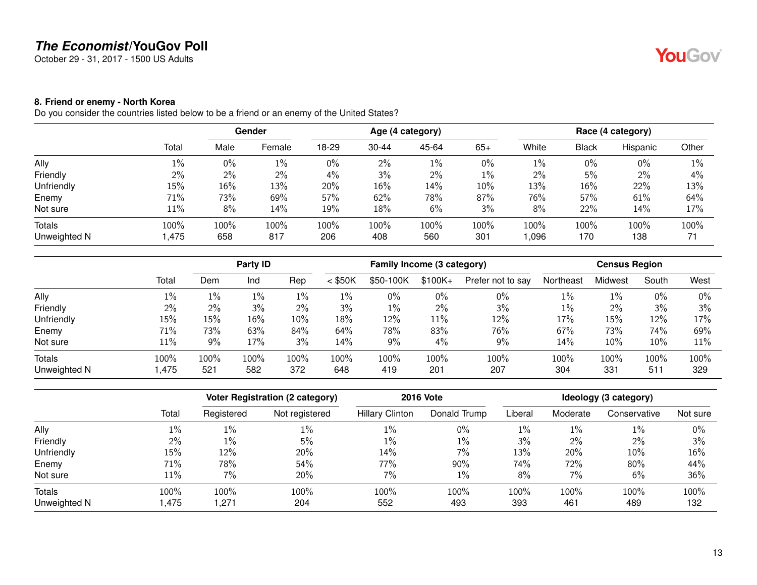October 29 - 31, 2017 - 1500 US Adults

#### <span id="page-12-0"></span>**8. Friend or enemy - North Korea**

Do you consider the countries listed below to be a friend or an enemy of the United States?

|              |        | Gender |        |       |           | Age (4 category) |        | Race (4 category) |        |          |       |
|--------------|--------|--------|--------|-------|-----------|------------------|--------|-------------------|--------|----------|-------|
|              | Total  | Male   | Female | 18-29 | $30 - 44$ | 45-64            | $65+$  | White             | Black  | Hispanic | Other |
| Ally         | $1\%$  | $0\%$  | 1%     | 0%    | 2%        | $1\%$            | $0\%$  | $1\%$             | 0%     | 0%       | $1\%$ |
| Friendly     | 2%     | 2%     | 2%     | $4\%$ | 3%        | 2%               | $1\%$  | 2%                | 5%     | $2\%$    | 4%    |
| Unfriendly   | 15%    | 16%    | 13%    | 20%   | 16%       | 14%              | $10\%$ | 13%               | $16\%$ | 22%      | 13%   |
| Enemy        | 71%    | 73%    | 69%    | 57%   | 62%       | 78%              | 87%    | 76%               | 57%    | 61%      | 64%   |
| Not sure     | $11\%$ | 8%     | 14%    | 19%   | 18%       | 6%               | 3%     | 8%                | 22%    | 14%      | 17%   |
| Totals       | 100%   | 100%   | 100%   | 100%  | 100%      | 100%             | 100%   | 100%              | 100%   | 100%     | 100%  |
| Unweighted N | 1,475  | 658    | 817    | 206   | 408       | 560              | 301    | 1,096             | 170    | 138      | 71    |

|              |       |       | Party ID |       |           | Family Income (3 category) |          |                   | <b>Census Region</b> |         |       |       |  |
|--------------|-------|-------|----------|-------|-----------|----------------------------|----------|-------------------|----------------------|---------|-------|-------|--|
|              | Total | Dem   | Ind      | Rep   | $<$ \$50K | \$50-100K                  | $$100K+$ | Prefer not to say | Northeast            | Midwest | South | West  |  |
| Ally         | $1\%$ | $1\%$ | 1%       | 1%    | 1%        | $0\%$                      | $0\%$    | $0\%$             | $1\%$                | $1\%$   | 0%    | $0\%$ |  |
| Friendly     | 2%    | $2\%$ | 3%       | $2\%$ | 3%        | 1%                         | $2\%$    | 3%                | $1\%$                | 2%      | 3%    | 3%    |  |
| Unfriendly   | 15%   | 15%   | 16%      | 10%   | 18%       | 12%                        | 11%      | 12%               | 17%                  | 15%     | 12%   | 17%   |  |
| Enemy        | 71%   | 73%   | 63%      | 84%   | 64%       | 78%                        | 83%      | 76%               | 67%                  | 73%     | 74%   | 69%   |  |
| Not sure     | 11%   | 9%    | 17%      | 3%    | 14%       | 9%                         | 4%       | 9%                | 14%                  | 10%     | 10%   | 11%   |  |
| Totals       | 100%  | 100%  | 100%     | 100%  | 100%      | 100%                       | 100%     | 100%              | 100%                 | 100%    | 100%  | 100%  |  |
| Unweighted N | ,475  | 521   | 582      | 372   | 648       | 419                        | 201      | 207               | 304                  | 331     | 511   | 329   |  |

|              |       | Voter Registration (2 category) |                | <b>2016 Vote</b>       | Ideology (3 category) |         |          |              |          |
|--------------|-------|---------------------------------|----------------|------------------------|-----------------------|---------|----------|--------------|----------|
|              | Total | Registered                      | Not registered | <b>Hillary Clinton</b> | Donald Trump          | Liberal | Moderate | Conservative | Not sure |
| Ally         | 1%    | $1\%$                           | $1\%$          | 1%                     | 0%                    | $1\%$   | $1\%$    | $1\%$        | 0%       |
| Friendly     | $2\%$ | 1%                              | 5%             | $1\%$                  | $1\%$                 | 3%      | $2\%$    | $2\%$        | 3%       |
| Unfriendly   | 15%   | 12%                             | 20%            | 14%                    | 7%                    | 13%     | 20%      | 10%          | 16%      |
| Enemy        | 71%   | 78%                             | 54%            | 77%                    | 90%                   | 74%     | 72%      | 80%          | 44%      |
| Not sure     | 11%   | 7%                              | 20%            | 7%                     | 1%                    | 8%      | 7%       | 6%           | 36%      |
| Totals       | 100%  | 100%                            | 100%           | 100%                   | 100%                  | 100%    | 100%     | 100%         | 100%     |
| Unweighted N | .475  | 1,271                           | 204            | 552                    | 493                   | 393     | 461      | 489          | 132      |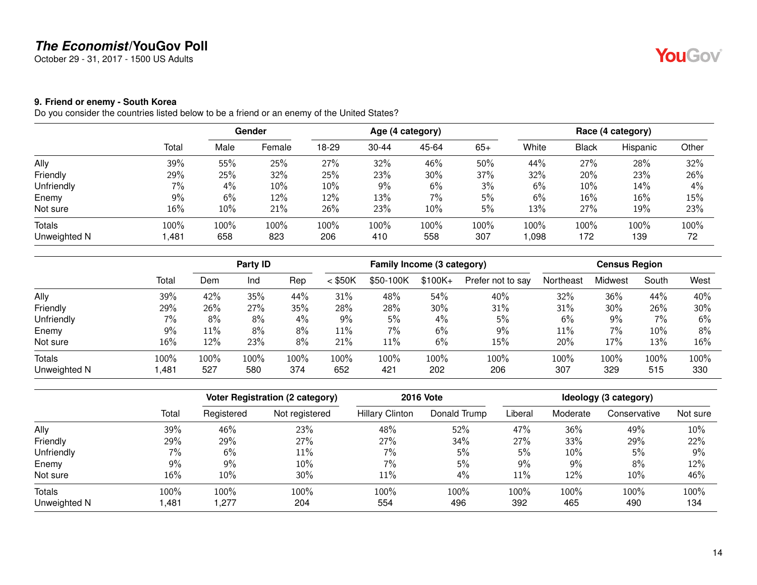October 29 - 31, 2017 - 1500 US Adults

# <span id="page-13-0"></span>**9. Friend or enemy - South Korea**

Do you consider the countries listed below to be a friend or an enemy of the United States?

|              |        |      | Gender |       |           | Age (4 category) |       |       |       | Race (4 category) |       |
|--------------|--------|------|--------|-------|-----------|------------------|-------|-------|-------|-------------------|-------|
|              | Total  | Male | Female | 18-29 | $30 - 44$ | 45-64            | $65+$ | White | Black | Hispanic          | Other |
| Ally         | 39%    | 55%  | 25%    | 27%   | 32%       | 46%              | 50%   | 44%   | 27%   | 28%               | 32%   |
| Friendly     | 29%    | 25%  | 32%    | 25%   | 23%       | 30%              | 37%   | 32%   | 20%   | 23%               | 26%   |
| Unfriendly   | 7%     | 4%   | 10%    | 10%   | 9%        | 6%               | 3%    | 6%    | 10%   | 14%               | 4%    |
| Enemy        | 9%     | 6%   | 12%    | 12%   | 13%       | 7%               | 5%    | 6%    | 16%   | 16%               | 15%   |
| Not sure     | $16\%$ | 10%  | 21%    | 26%   | 23%       | 10%              | 5%    | 13%   | 27%   | 19%               | 23%   |
| Totals       | 100%   | 100% | 100%   | 100%  | 100%      | 100%             | 100%  | 100%  | 100%  | 100%              | 100%  |
| Unweighted N | 481, ا | 658  | 823    | 206   | 410       | 558              | 307   | 1,098 | 172   | 139               | 72    |

|              |       |        | Party ID |      |           | Family Income (3 category) |          |                   |           | <b>Census Region</b> |       |      |
|--------------|-------|--------|----------|------|-----------|----------------------------|----------|-------------------|-----------|----------------------|-------|------|
|              | Total | Dem    | Ind      | Rep  | $<$ \$50K | \$50-100K                  | $$100K+$ | Prefer not to say | Northeast | Midwest              | South | West |
| Ally         | 39%   | 42%    | 35%      | 44%  | 31%       | 48%                        | 54%      | 40%               | 32%       | 36%                  | 44%   | 40%  |
| Friendly     | 29%   | 26%    | 27%      | 35%  | 28%       | 28%                        | 30%      | 31%               | 31%       | 30%                  | 26%   | 30%  |
| Unfriendly   | 7%    | 8%     | 8%       | 4%   | 9%        | 5%                         | 4%       | 5%                | 6%        | 9%                   | 7%    | 6%   |
| Enemy        | 9%    | $11\%$ | 8%       | 8%   | 11%       | $7\%$                      | 6%       | 9%                | 11%       | 7%                   | 10%   | 8%   |
| Not sure     | 16%   | 12%    | 23%      | 8%   | 21%       | 11%                        | 6%       | 15%               | 20%       | 17%                  | 13%   | 16%  |
| Totals       | 100%  | 100%   | 100%     | 100% | 100%      | 100%                       | 100%     | 100%              | 100%      | 100%                 | 100%  | 100% |
| Unweighted N | ,481  | 527    | 580      | 374  | 652       | 421                        | 202      | 206               | 307       | 329                  | 515   | 330  |

|              |       | Voter Registration (2 category) |                | <b>2016 Vote</b>       | Ideology (3 category) |         |          |              |          |
|--------------|-------|---------------------------------|----------------|------------------------|-----------------------|---------|----------|--------------|----------|
|              | Total | Registered                      | Not registered | <b>Hillary Clinton</b> | Donald Trump          | Liberal | Moderate | Conservative | Not sure |
| Ally         | 39%   | 46%                             | 23%            | 48%                    | 52%                   | 47%     | 36%      | 49%          | 10%      |
| Friendly     | 29%   | 29%                             | 27%            | 27%                    | 34%                   | 27%     | 33%      | 29%          | 22%      |
| Unfriendly   | $7\%$ | 6%                              | $11\%$         | 7%                     | 5%                    | 5%      | 10%      | 5%           | 9%       |
| Enemy        | 9%    | 9%                              | 10%            | 7%                     | 5%                    | $9\%$   | 9%       | 8%           | 12%      |
| Not sure     | 16%   | 10%                             | $30\%$         | 11%                    | 4%                    | 11%     | 12%      | $10\%$       | 46%      |
| Totals       | 100%  | 100%                            | 100%           | 100%                   | 100%                  | 100%    | 100%     | 100%         | 100%     |
| Unweighted N | ,481  | 1,277                           | 204            | 554                    | 496                   | 392     | 465      | 490          | 134      |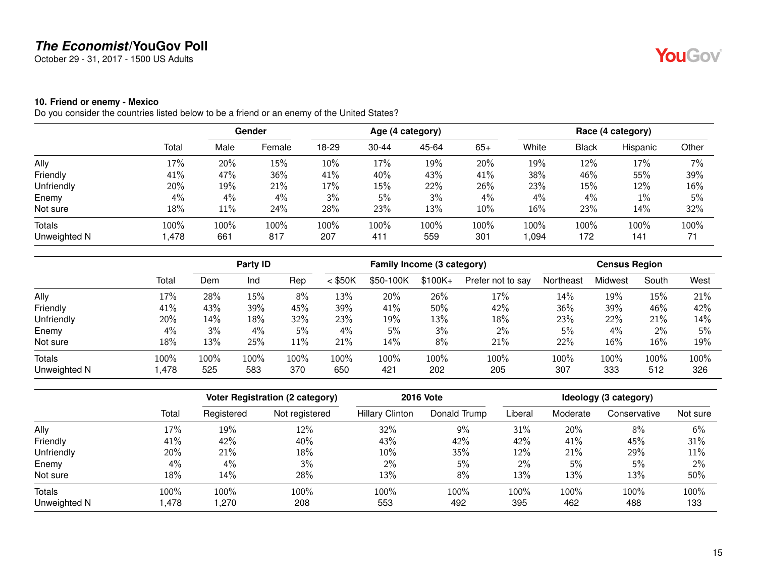October 29 - 31, 2017 - 1500 US Adults

#### <span id="page-14-0"></span>**10. Friend or enemy - Mexico**

Do you consider the countries listed below to be a friend or an enemy of the United States?

|              |       |      | Gender |       |           | Age (4 category) |        |       |       | Race (4 category) |       |
|--------------|-------|------|--------|-------|-----------|------------------|--------|-------|-------|-------------------|-------|
|              | Total | Male | Female | 18-29 | $30 - 44$ | 45-64            | $65+$  | White | Black | Hispanic          | Other |
| Ally         | 17%   | 20%  | 15%    | 10%   | 17%       | 19%              | 20%    | 19%   | 12%   | 17%               | 7%    |
| Friendly     | 41%   | 47%  | 36%    | 41%   | 40%       | 43%              | 41%    | 38%   | 46%   | 55%               | 39%   |
| Unfriendly   | 20%   | 19%  | 21%    | 17%   | 15%       | 22%              | 26%    | 23%   | 15%   | 12%               | 16%   |
| Enemy        | $4\%$ | 4%   | 4%     | 3%    | 5%        | 3%               | $4\%$  | 4%    | 4%    | $1\%$             | 5%    |
| Not sure     | 18%   | 11%  | 24%    | 28%   | 23%       | 13%              | $10\%$ | 16%   | 23%   | 14%               | 32%   |
| Totals       | 100%  | 100% | 100%   | 100%  | 100%      | 100%             | 100%   | 100%  | 100%  | 100%              | 100%  |
| Unweighted N | l,478 | 661  | 817    | 207   | 411       | 559              | 301    | 1,094 | 172   | 141               | 71    |

|              |       |      | Party ID |      |           | Family Income (3 category) |          |                   |           | <b>Census Region</b> |       |      |  |
|--------------|-------|------|----------|------|-----------|----------------------------|----------|-------------------|-----------|----------------------|-------|------|--|
|              | Total | Dem  | Ind      | Rep  | $<$ \$50K | \$50-100K                  | $$100K+$ | Prefer not to say | Northeast | Midwest              | South | West |  |
| Ally         | 17%   | 28%  | 15%      | 8%   | 13%       | 20%                        | 26%      | 17%               | 14%       | 19%                  | 15%   | 21%  |  |
| Friendly     | 41%   | 43%  | 39%      | 45%  | 39%       | 41%                        | 50%      | 42%               | 36%       | 39%                  | 46%   | 42%  |  |
| Unfriendly   | 20%   | 14%  | 18%      | 32%  | 23%       | 19%                        | 13%      | 18%               | 23%       | 22%                  | 21%   | 14%  |  |
| Enemy        | 4%    | 3%   | 4%       | 5%   | 4%        | 5%                         | 3%       | $2\%$             | 5%        | 4%                   | $2\%$ | 5%   |  |
| Not sure     | 18%   | 13%  | 25%      | 11%  | 21%       | 14%                        | 8%       | 21%               | 22%       | 16%                  | 16%   | 19%  |  |
| Totals       | 100%  | 100% | 100%     | 100% | 100%      | 100%                       | 100%     | 100%              | 100%      | 100%                 | 100%  | 100% |  |
| Unweighted N | ,478  | 525  | 583      | 370  | 650       | 421                        | 202      | 205               | 307       | 333                  | 512   | 326  |  |

|              |       | Voter Registration (2 category) |                | <b>2016 Vote</b>       | Ideology (3 category) |         |          |              |          |
|--------------|-------|---------------------------------|----------------|------------------------|-----------------------|---------|----------|--------------|----------|
|              | Total | Registered                      | Not registered | <b>Hillary Clinton</b> | Donald Trump          | Liberal | Moderate | Conservative | Not sure |
| Ally         | 17%   | 19%                             | 12%            | 32%                    | 9%                    | 31%     | 20%      | 8%           | 6%       |
| Friendly     | 41%   | 42%                             | 40%            | 43%                    | 42%                   | 42%     | 41%      | 45%          | 31%      |
| Unfriendly   | 20%   | 21%                             | 18%            | 10%                    | 35%                   | 12%     | 21%      | 29%          | 11%      |
| Enemy        | 4%    | 4%                              | 3%             | 2%                     | 5%                    | $2\%$   | 5%       | 5%           | 2%       |
| Not sure     | 18%   | 14%                             | 28%            | 13%                    | 8%                    | 13%     | 13%      | 13%          | 50%      |
| Totals       | 100%  | 100%                            | 100%           | 100%                   | 100%                  | 100%    | 100%     | 100%         | 100%     |
| Unweighted N | .478  | 1,270                           | 208            | 553                    | 492                   | 395     | 462      | 488          | 133      |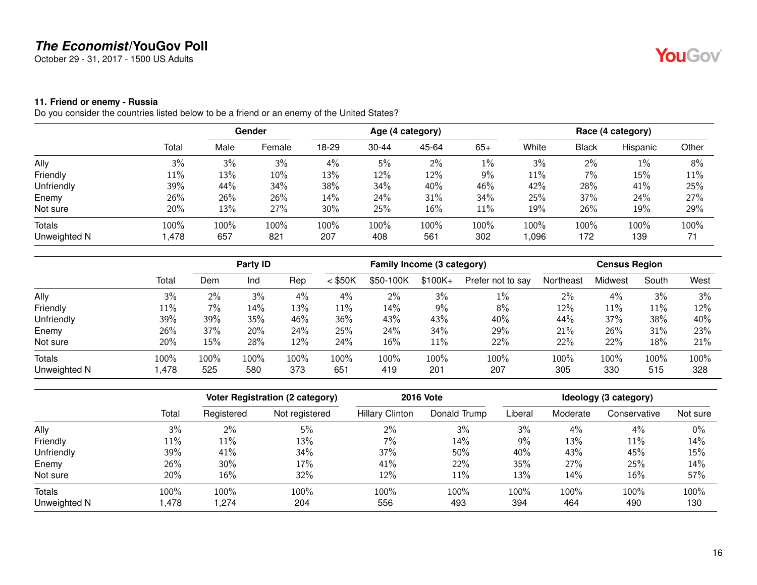October 29 - 31, 2017 - 1500 US Adults

#### <span id="page-15-0"></span>**11. Friend or enemy - Russia**

Do you consider the countries listed below to be a friend or an enemy of the United States?

|              |        |      | Gender |       |           | Age (4 category) |        |       |       | Race (4 category) |       |
|--------------|--------|------|--------|-------|-----------|------------------|--------|-------|-------|-------------------|-------|
|              | Total  | Male | Female | 18-29 | $30 - 44$ | 45-64            | $65+$  | White | Black | Hispanic          | Other |
| Ally         | 3%     | 3%   | 3%     | 4%    | 5%        | 2%               | $1\%$  | 3%    | 2%    | 1%                | 8%    |
| Friendly     | $11\%$ | 13%  | 10%    | 13%   | 12%       | 12%              | 9%     | 11%   | $7\%$ | 15%               | 11%   |
| Unfriendly   | 39%    | 44%  | 34%    | 38%   | 34%       | 40%              | 46%    | 42%   | 28%   | 41%               | 25%   |
| Enemy        | 26%    | 26%  | 26%    | 14%   | 24%       | 31%              | 34%    | 25%   | 37%   | 24%               | 27%   |
| Not sure     | 20%    | 13%  | 27%    | 30%   | 25%       | 16%              | $11\%$ | 19%   | 26%   | 19%               | 29%   |
| Totals       | 100%   | 100% | 100%   | 100%  | 100%      | 100%             | 100%   | 100%  | 100%  | 100%              | 100%  |
| Unweighted N | l,478  | 657  | 821    | 207   | 408       | 561              | 302    | 1,096 | 172   | 139               | 71    |

|              |        |         | Party ID |      |           | Family Income (3 category) |          |                   |           | <b>Census Region</b> |       |      |
|--------------|--------|---------|----------|------|-----------|----------------------------|----------|-------------------|-----------|----------------------|-------|------|
|              | Total  | Dem     | Ind      | Rep  | $<$ \$50K | \$50-100K                  | $$100K+$ | Prefer not to say | Northeast | Midwest              | South | West |
| Ally         | 3%     | 2%      | 3%       | 4%   | 4%        | 2%                         | 3%       | $1\%$             | 2%        | 4%                   | 3%    | 3%   |
| Friendly     | $11\%$ | $7\%$   | 14%      | 13%  | 11%       | 14%                        | $9\%$    | 8%                | 12%       | 11%                  | 11%   | 12%  |
| Unfriendly   | 39%    | 39%     | 35%      | 46%  | 36%       | 43%                        | 43%      | 40%               | 44%       | 37%                  | 38%   | 40%  |
| Enemy        | 26%    | 37%     | 20%      | 24%  | 25%       | 24%                        | 34%      | 29%               | 21%       | 26%                  | 31%   | 23%  |
| Not sure     | 20%    | 15%     | 28%      | 12%  | 24%       | 16%                        | $11\%$   | 22%               | 22%       | 22%                  | 18%   | 21%  |
| Totals       | 100%   | $100\%$ | 100%     | 100% | 100%      | 100%                       | 100%     | 100%              | 100%      | 100%                 | 100%  | 100% |
| Unweighted N | 478, ا | 525     | 580      | 373  | 651       | 419                        | 201      | 207               | 305       | 330                  | 515   | 328  |

|              |       | Voter Registration (2 category) |                | <b>2016 Vote</b>       | Ideology (3 category) |         |          |              |          |
|--------------|-------|---------------------------------|----------------|------------------------|-----------------------|---------|----------|--------------|----------|
|              | Total | Registered                      | Not registered | <b>Hillary Clinton</b> | Donald Trump          | Liberal | Moderate | Conservative | Not sure |
| Ally         | 3%    | 2%                              | 5%             | 2%                     | 3%                    | 3%      | 4%       | 4%           | $0\%$    |
| Friendly     | 11%   | $11\%$                          | 13%            | 7%                     | 14%                   | $9\%$   | 13%      | 11%          | 14%      |
| Unfriendly   | 39%   | 41%                             | 34%            | 37%                    | 50%                   | 40%     | 43%      | 45%          | 15%      |
| Enemy        | 26%   | 30%                             | 17%            | 41%                    | 22%                   | 35%     | 27%      | 25%          | 14%      |
| Not sure     | 20%   | 16%                             | 32%            | 12%                    | $11\%$                | 13%     | 14%      | 16%          | 57%      |
| Totals       | 100%  | 100%                            | 100%           | 100%                   | 100%                  | 100%    | 100%     | 100%         | 100%     |
| Unweighted N | .478  | 1,274                           | 204            | 556                    | 493                   | 394     | 464      | 490          | 130      |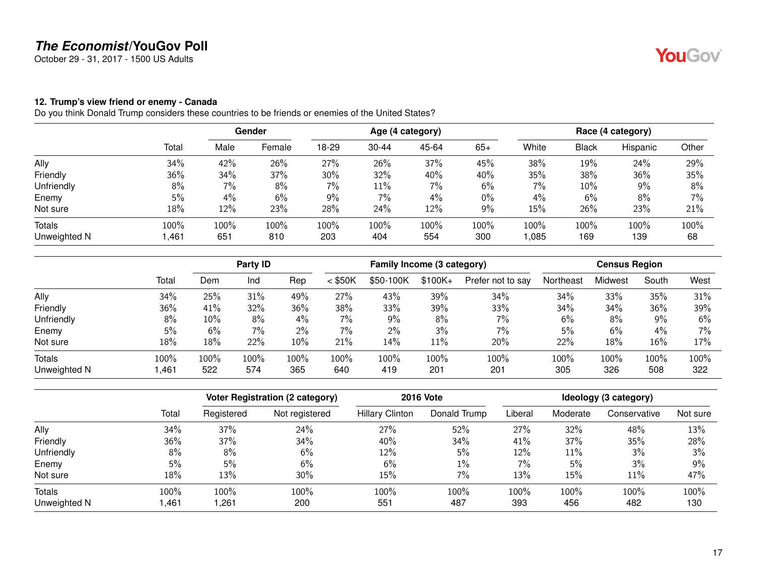October 29 - 31, 2017 - 1500 US Adults

#### <span id="page-16-0"></span>**12. Trump's view friend or enemy - Canada**

|              |        | <b>Gender</b> |        | Age (4 category) |           |       |       | Race (4 category) |       |          |       |
|--------------|--------|---------------|--------|------------------|-----------|-------|-------|-------------------|-------|----------|-------|
|              | Total  | Male          | Female | 18-29            | $30 - 44$ | 45-64 | $65+$ | White             | Black | Hispanic | Other |
| Ally         | 34%    | 42%           | 26%    | 27%              | 26%       | 37%   | 45%   | 38%               | 19%   | 24%      | 29%   |
| Friendly     | 36%    | 34%           | 37%    | 30%              | 32%       | 40%   | 40%   | 35%               | 38%   | 36%      | 35%   |
| Unfriendly   | 8%     | 7%            | 8%     | 7%               | 11%       | 7%    | $6\%$ | 7%                | 10%   | 9%       | 8%    |
| Enemy        | 5%     | 4%            | 6%     | 9%               | 7%        | 4%    | $0\%$ | 4%                | 6%    | 8%       | 7%    |
| Not sure     | 18%    | 12%           | 23%    | 28%              | 24%       | 12%   | 9%    | 15%               | 26%   | 23%      | 21%   |
| Totals       | 100%   | 100%          | 100%   | 100%             | 100%      | 100%  | 100%  | 100%              | 100%  | 100%     | 100%  |
| Unweighted N | 461, ا | 651           | 810    | 203              | 404       | 554   | 300   | 1,085             | 169   | 139      | 68    |

|               |       |      | Party ID |       |           | Family Income (3 category) |           |                   |           |         |       |       |
|---------------|-------|------|----------|-------|-----------|----------------------------|-----------|-------------------|-----------|---------|-------|-------|
|               | Total | Dem  | Ind      | Rep   | $<$ \$50K | \$50-100K                  | $$100K +$ | Prefer not to say | Northeast | Midwest | South | West  |
| Ally          | 34%   | 25%  | 31%      | 49%   | 27%       | 43%                        | 39%       | 34%               | 34%       | 33%     | 35%   | 31%   |
| Friendly      | 36%   | 41%  | 32%      | 36%   | 38%       | 33%                        | 39%       | 33%               | 34%       | 34%     | 36%   | 39%   |
| Unfriendly    | 8%    | 10%  | 8%       | $4\%$ | 7%        | $9\%$                      | 8%        | $7\%$             | 6%        | 8%      | $9\%$ | 6%    |
| Enemy         | 5%    | 6%   | 7%       | $2\%$ | $7\%$     | 2%                         | 3%        | 7%                | 5%        | 6%      | 4%    | $7\%$ |
| Not sure      | 18%   | 18%  | 22%      | 10%   | 21%       | 14%                        | $11\%$    | 20%               | 22%       | 18%     | 16%   | 17%   |
| <b>Totals</b> | 100%  | 100% | 100%     | 100%  | 100%      | 100%                       | 100%      | 100%              | 100%      | 100%    | 100%  | 100%  |
| Unweighted N  | .461, | 522  | 574      | 365   | 640       | 419                        | 201       | 201               | 305       | 326     | 508   | 322   |

|              |       | Voter Registration (2 category) |                | <b>2016 Vote</b>       | Ideology (3 category) |         |          |              |          |
|--------------|-------|---------------------------------|----------------|------------------------|-----------------------|---------|----------|--------------|----------|
|              | Total | Registered                      | Not registered | <b>Hillary Clinton</b> | Donald Trump          | Liberal | Moderate | Conservative | Not sure |
| Ally         | 34%   | 37%                             | 24%            | 27%                    | 52%                   | 27%     | 32%      | 48%          | 13%      |
| Friendly     | 36%   | 37%                             | 34%            | 40%                    | 34%                   | 41%     | 37%      | 35%          | 28%      |
| Unfriendly   | 8%    | 8%                              | 6%             | 12%                    | 5%                    | 12%     | 11%      | 3%           | 3%       |
| Enemy        | 5%    | 5%                              | 6%             | 6%                     | $1\%$                 | 7%      | 5%       | 3%           | 9%       |
| Not sure     | 18%   | 13%                             | $30\%$         | 15%                    | 7%                    | 13%     | 15%      | 11%          | 47%      |
| Totals       | 100%  | 100%                            | 100%           | 100%                   | 100%                  | 100%    | 100%     | 100%         | 100%     |
| Unweighted N | ,461  | 261,                            | 200            | 551                    | 487                   | 393     | 456      | 482          | 130      |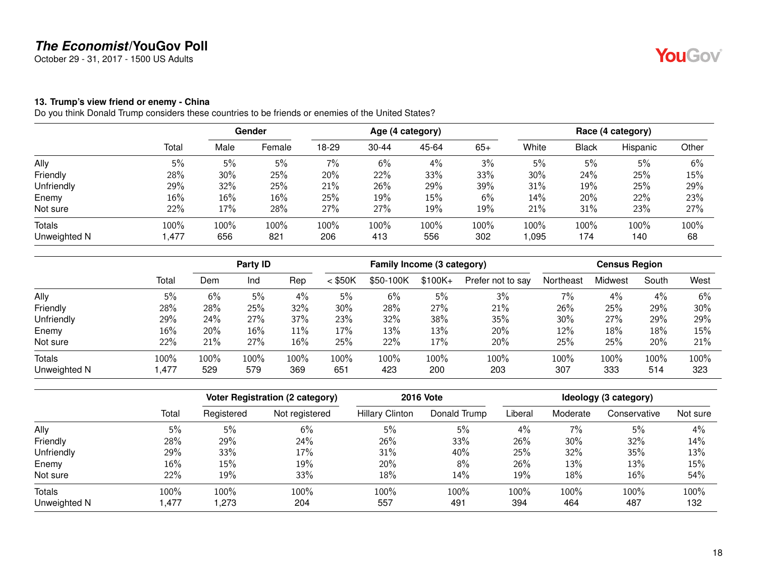October 29 - 31, 2017 - 1500 US Adults

#### <span id="page-17-0"></span>**13. Trump's view friend or enemy - China**

|              |        | <b>Gender</b> |        | Age (4 category) |           |       |       | Race (4 category) |              |          |       |
|--------------|--------|---------------|--------|------------------|-----------|-------|-------|-------------------|--------------|----------|-------|
|              | Total  | Male          | Female | 18-29            | $30 - 44$ | 45-64 | $65+$ | White             | <b>Black</b> | Hispanic | Other |
| Ally         | 5%     | 5%            | 5%     | 7%               | 6%        | 4%    | 3%    | 5%                | 5%           | 5%       | 6%    |
| Friendly     | 28%    | 30%           | 25%    | 20%              | 22%       | 33%   | 33%   | $30\%$            | 24%          | 25%      | 15%   |
| Unfriendly   | 29%    | 32%           | 25%    | 21%              | 26%       | 29%   | 39%   | 31%               | 19%          | 25%      | 29%   |
| Enemy        | $16\%$ | 16%           | 16%    | 25%              | 19%       | 15%   | 6%    | 14%               | 20%          | 22%      | 23%   |
| Not sure     | 22%    | 17%           | 28%    | 27%              | 27%       | 19%   | 19%   | 21%               | 31%          | 23%      | 27%   |
| Totals       | 100%   | 100%          | 100%   | 100%             | 100%      | 100%  | 100%  | 100%              | $100\%$      | 100%     | 100%  |
| Unweighted N | 1,477  | 656           | 821    | 206              | 413       | 556   | 302   | 0.095             | 174          | 140      | 68    |

|              |       |         | Party ID |      |           | Family Income (3 category) |          |                   | <b>Census Region</b> |         |       |      |  |
|--------------|-------|---------|----------|------|-----------|----------------------------|----------|-------------------|----------------------|---------|-------|------|--|
|              | Total | Dem     | Ind      | Rep  | $<$ \$50K | \$50-100K                  | $$100K+$ | Prefer not to say | Northeast            | Midwest | South | West |  |
| Ally         | 5%    | 6%      | 5%       | 4%   | 5%        | 6%                         | 5%       | 3%                | 7%                   | 4%      | 4%    | 6%   |  |
| Friendly     | 28%   | 28%     | 25%      | 32%  | 30%       | 28%                        | 27%      | 21%               | 26%                  | 25%     | 29%   | 30%  |  |
| Unfriendly   | 29%   | 24%     | 27%      | 37%  | 23%       | 32%                        | 38%      | 35%               | 30%                  | 27%     | 29%   | 29%  |  |
| Enemy        | 16%   | 20%     | 16%      | 11%  | 17%       | 13%                        | 13%      | 20%               | 12%                  | 18%     | 18%   | 15%  |  |
| Not sure     | 22%   | 21%     | 27%      | 16%  | 25%       | 22%                        | 17%      | 20%               | 25%                  | 25%     | 20%   | 21%  |  |
| Totals       | 100%  | $100\%$ | 100%     | 100% | 100%      | 100%                       | 100%     | 100%              | 100%                 | 100%    | 100%  | 100% |  |
| Unweighted N | 1,477 | 529     | 579      | 369  | 651       | 423                        | 200      | 203               | 307                  | 333     | 514   | 323  |  |

|              |       | Voter Registration (2 category) |                | <b>2016 Vote</b>       | Ideology (3 category) |         |          |              |          |
|--------------|-------|---------------------------------|----------------|------------------------|-----------------------|---------|----------|--------------|----------|
|              | Total | Registered                      | Not registered | <b>Hillary Clinton</b> | Donald Trump          | Liberal | Moderate | Conservative | Not sure |
| Ally         | 5%    | 5%                              | 6%             | 5%                     | 5%                    | 4%      | $7\%$    | 5%           | 4%       |
| Friendly     | 28%   | 29%                             | 24%            | 26%                    | 33%                   | 26%     | 30%      | 32%          | 14%      |
| Unfriendly   | 29%   | 33%                             | 17%            | 31%                    | 40%                   | 25%     | 32%      | 35%          | 13%      |
| Enemy        | 16%   | 15%                             | 19%            | 20%                    | 8%                    | 26%     | 13%      | 13%          | 15%      |
| Not sure     | 22%   | 19%                             | 33%            | 18%                    | 14%                   | 19%     | 18%      | 16%          | 54%      |
| Totals       | 100%  | 100%                            | 100%           | 100%                   | 100%                  | 100%    | 100%     | 100%         | 100%     |
| Unweighted N | .477  | 273, ا                          | 204            | 557                    | 491                   | 394     | 464      | 487          | 132      |

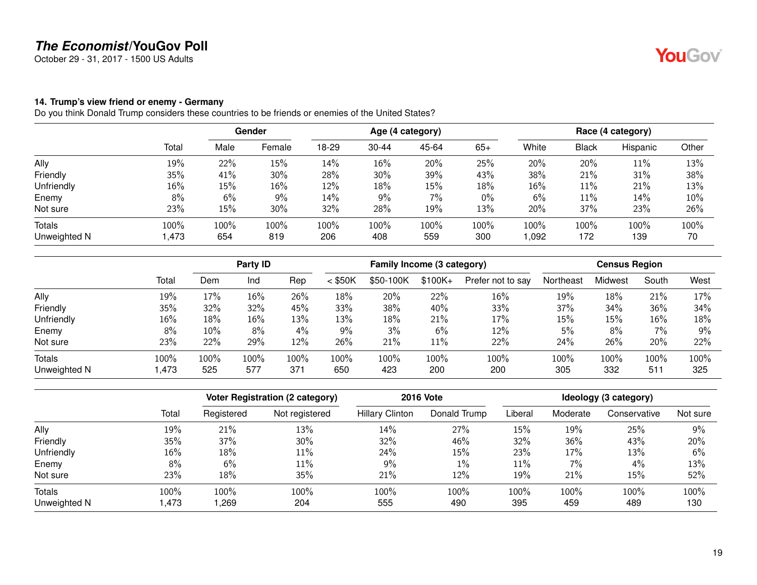October 29 - 31, 2017 - 1500 US Adults

#### <span id="page-18-0"></span>**14. Trump's view friend or enemy - Germany**

|              |        | Gender |         | Age (4 category) |           |       |       | Race (4 category) |              |          |       |
|--------------|--------|--------|---------|------------------|-----------|-------|-------|-------------------|--------------|----------|-------|
|              | Total  | Male   | Female  | 18-29            | $30 - 44$ | 45-64 | $65+$ | White             | <b>Black</b> | Hispanic | Other |
| Ally         | 19%    | 22%    | 15%     | 14%              | 16%       | 20%   | 25%   | 20%               | 20%          | 11%      | 13%   |
| Friendly     | 35%    | 41%    | 30%     | 28%              | 30%       | 39%   | 43%   | 38%               | 21%          | 31%      | 38%   |
| Unfriendly   | $16\%$ | 15%    | 16%     | 12%              | 18%       | 15%   | 18%   | $16\%$            | 11%          | 21%      | 13%   |
| Enemy        | 8%     | 6%     | 9%      | 14%              | 9%        | 7%    | $0\%$ | 6%                | 11%          | 14%      | 10%   |
| Not sure     | 23%    | 15%    | 30%     | 32%              | 28%       | 19%   | 13%   | 20%               | 37%          | 23%      | 26%   |
| Totals       | 100%   | 100%   | $100\%$ | 100%             | 100%      | 100%  | 100%  | 100%              | 100%         | 100%     | 100%  |
| Unweighted N | 473, ا | 654    | 819     | 206              | 408       | 559   | 300   | 0.092             | 172          | 139      | 70    |

|              |        |      | Party <b>ID</b> |       |           |           | Family Income (3 category) |                   |           |         | <b>Census Region</b> |       |  |  |
|--------------|--------|------|-----------------|-------|-----------|-----------|----------------------------|-------------------|-----------|---------|----------------------|-------|--|--|
|              | Total  | Dem  | Ind             | Rep   | $<$ \$50K | \$50-100K | $$100K+$                   | Prefer not to say | Northeast | Midwest | South                | West  |  |  |
| Ally         | 19%    | 17%  | 16%             | 26%   | 18%       | 20%       | 22%                        | 16%               | 19%       | 18%     | 21%                  | 17%   |  |  |
| Friendly     | 35%    | 32%  | 32%             | 45%   | 33%       | 38%       | 40%                        | 33%               | 37%       | 34%     | 36%                  | 34%   |  |  |
| Unfriendly   | $16\%$ | 18%  | 16%             | 13%   | 13%       | 18%       | 21%                        | 17%               | 15%       | 15%     | $16\%$               | 18%   |  |  |
| Enemy        | 8%     | 10%  | 8%              | $4\%$ | 9%        | 3%        | 6%                         | 12%               | 5%        | 8%      | 7%                   | $9\%$ |  |  |
| Not sure     | 23%    | 22%  | 29%             | 12%   | 26%       | 21%       | $11\%$                     | 22%               | 24%       | 26%     | 20%                  | 22%   |  |  |
| Totals       | 100%   | 100% | 100%            | 100%  | 100%      | 100%      | 100%                       | 100%              | 100%      | 100%    | 100%                 | 100%  |  |  |
| Unweighted N | ,473   | 525  | 577             | 371   | 650       | 423       | 200                        | 200               | 305       | 332     | 511                  | 325   |  |  |

|              |       | <b>Voter Registration (2 category)</b> |                | <b>2016 Vote</b>       | Ideology (3 category) |         |          |              |          |
|--------------|-------|----------------------------------------|----------------|------------------------|-----------------------|---------|----------|--------------|----------|
|              | Total | Registered                             | Not registered | <b>Hillary Clinton</b> | Donald Trump          | Liberal | Moderate | Conservative | Not sure |
| Ally         | 19%   | 21%                                    | 13%            | 14%                    | 27%                   | 15%     | 19%      | 25%          | 9%       |
| Friendly     | 35%   | 37%                                    | 30%            | 32%                    | 46%                   | 32%     | 36%      | 43%          | 20%      |
| Unfriendly   | 16%   | 18%                                    | 11%            | 24%                    | 15%                   | 23%     | 17%      | 13%          | 6%       |
| Enemy        | 8%    | 6%                                     | $11\%$         | 9%                     | $1\%$                 | $11\%$  | $7\%$    | 4%           | 13%      |
| Not sure     | 23%   | 18%                                    | 35%            | 21%                    | 12%                   | 19%     | 21%      | 15%          | 52%      |
| Totals       | 100%  | 100%                                   | 100%           | 100%                   | 100%                  | 100%    | 100%     | 100%         | 100%     |
| Unweighted N | .473  | ,269                                   | 204            | 555                    | 490                   | 395     | 459      | 489          | 130      |

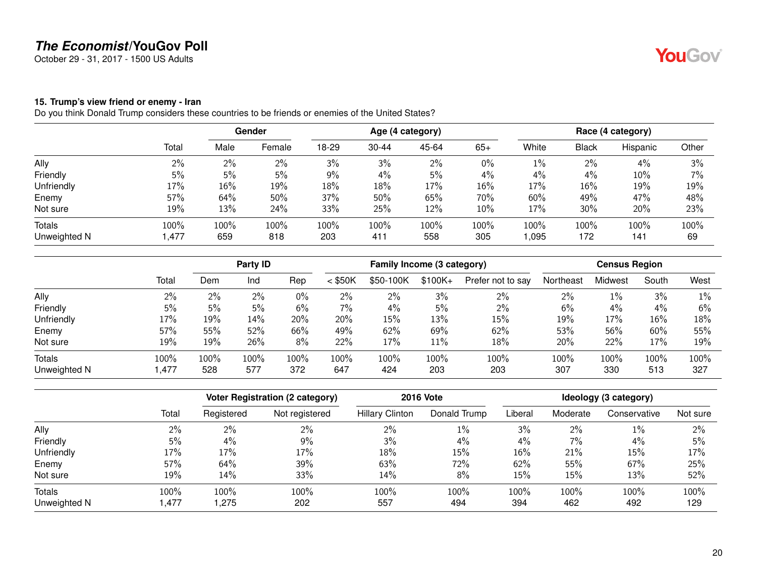October 29 - 31, 2017 - 1500 US Adults

#### <span id="page-19-0"></span>**15. Trump's view friend or enemy - Iran**

|              |       | Gender |        | Age (4 category) |           |       |       | Race (4 category) |              |          |       |
|--------------|-------|--------|--------|------------------|-----------|-------|-------|-------------------|--------------|----------|-------|
|              | Total | Male   | Female | 18-29            | $30 - 44$ | 45-64 | $65+$ | White             | <b>Black</b> | Hispanic | Other |
| Ally         | 2%    | $2\%$  | 2%     | 3%               | 3%        | 2%    | $0\%$ | $1\%$             | 2%           | 4%       | 3%    |
| Friendly     | 5%    | 5%     | 5%     | 9%               | 4%        | 5%    | 4%    | 4%                | 4%           | 10%      | 7%    |
| Unfriendly   | 17%   | 16%    | 19%    | 18%              | 18%       | 17%   | 16%   | 17%               | 16%          | 19%      | 19%   |
| Enemy        | 57%   | 64%    | 50%    | 37%              | 50%       | 65%   | 70%   | 60%               | 49%          | 47%      | 48%   |
| Not sure     | 19%   | 13%    | 24%    | 33%              | 25%       | 12%   | 10%   | 17%               | 30%          | 20%      | 23%   |
| Totals       | 100%  | 100%   | 100%   | 100%             | 100%      | 100%  | 100%  | 100%              | 100%         | 100%     | 100%  |
| Unweighted N | 1,477 | 659    | 818    | 203              | 411       | 558   | 305   | 095, ا            | 172          | 141      | 69    |

|              |        |       | Party <b>ID</b> |       |           |           | Family Income (3 category) |                   |           |         | <b>Census Region</b> |       |  |  |
|--------------|--------|-------|-----------------|-------|-----------|-----------|----------------------------|-------------------|-----------|---------|----------------------|-------|--|--|
|              | Total  | Dem   | Ind             | Rep   | $<$ \$50K | \$50-100K | $$100K+$                   | Prefer not to say | Northeast | Midwest | South                | West  |  |  |
| Ally         | 2%     | $2\%$ | 2%              | $0\%$ | 2%        | 2%        | 3%                         | $2\%$             | 2%        | $1\%$   | 3%                   | $1\%$ |  |  |
| Friendly     | 5%     | 5%    | 5%              | 6%    | 7%        | 4%        | 5%                         | 2%                | 6%        | 4%      | 4%                   | 6%    |  |  |
| Unfriendly   | 17%    | 19%   | 14%             | 20%   | 20%       | 15%       | 13%                        | 15%               | 19%       | 17%     | 16%                  | 18%   |  |  |
| Enemy        | 57%    | 55%   | 52%             | 66%   | 49%       | 62%       | 69%                        | 62%               | 53%       | 56%     | 60%                  | 55%   |  |  |
| Not sure     | 19%    | 19%   | 26%             | 8%    | 22%       | 17%       | 11%                        | 18%               | 20%       | 22%     | 17%                  | 19%   |  |  |
| Totals       | 100%   | 100%  | 100%            | 100%  | $100\%$   | 100%      | 100%                       | 100%              | 100%      | 100%    | 100%                 | 100%  |  |  |
| Unweighted N | 477, ا | 528   | 577             | 372   | 647       | 424       | 203                        | 203               | 307       | 330     | 513                  | 327   |  |  |

|              |       |            | Voter Registration (2 category) | <b>2016 Vote</b>       | Ideology (3 category) |         |          |              |          |
|--------------|-------|------------|---------------------------------|------------------------|-----------------------|---------|----------|--------------|----------|
|              | Total | Registered | Not registered                  | <b>Hillary Clinton</b> | Donald Trump          | Liberal | Moderate | Conservative | Not sure |
| Ally         | 2%    | 2%         | $2\%$                           | 2%                     | $1\%$                 | 3%      | 2%       | $1\%$        | 2%       |
| Friendly     | 5%    | 4%         | 9%                              | 3%                     | $4\%$                 | 4%      | $7\%$    | 4%           | 5%       |
| Unfriendly   | 17%   | 17%        | 17%                             | 18%                    | 15%                   | 16%     | 21%      | 15%          | 17%      |
| Enemy        | 57%   | 64%        | 39%                             | 63%                    | 72%                   | 62%     | 55%      | 67%          | 25%      |
| Not sure     | 19%   | 14%        | 33%                             | 14%                    | 8%                    | 15%     | 15%      | 13%          | 52%      |
| Totals       | 100%  | 100%       | 100%                            | 100%                   | 100%                  | 100%    | 100%     | 100%         | 100%     |
| Unweighted N | .477  | 1.275      | 202                             | 557                    | 494                   | 394     | 462      | 492          | 129      |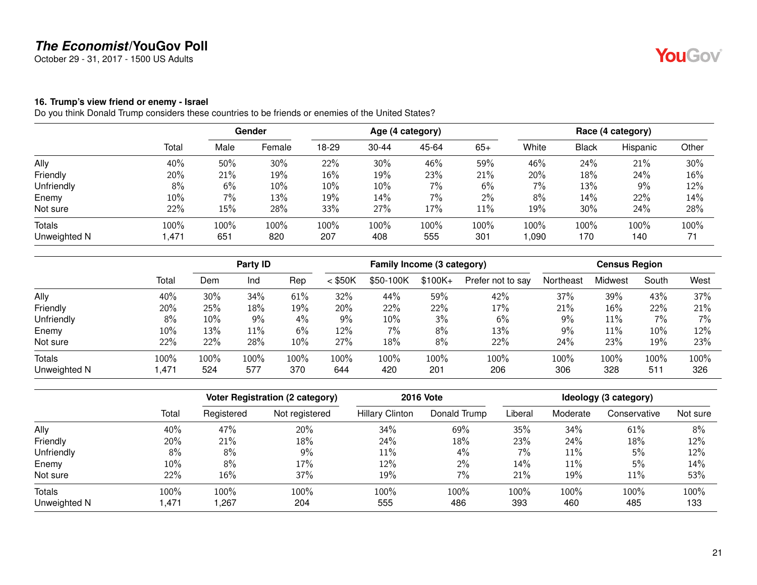October 29 - 31, 2017 - 1500 US Adults

#### <span id="page-20-0"></span>**16. Trump's view friend or enemy - Israel**

|              |       | <b>Gender</b> |        | Age (4 category) |           |       |       | Race (4 category) |              |          |       |
|--------------|-------|---------------|--------|------------------|-----------|-------|-------|-------------------|--------------|----------|-------|
|              | Total | Male          | Female | 18-29            | $30 - 44$ | 45-64 | $65+$ | White             | <b>Black</b> | Hispanic | Other |
| Ally         | 40%   | 50%           | 30%    | 22%              | 30%       | 46%   | 59%   | 46%               | 24%          | 21%      | 30%   |
| Friendly     | 20%   | 21%           | 19%    | 16%              | 19%       | 23%   | 21%   | 20%               | 18%          | 24%      | 16%   |
| Unfriendly   | 8%    | 6%            | 10%    | 10%              | 10%       | 7%    | 6%    | 7%                | 13%          | 9%       | 12%   |
| Enemy        | 10%   | 7%            | 13%    | 19%              | 14%       | 7%    | $2\%$ | 8%                | 14%          | 22%      | 14%   |
| Not sure     | 22%   | 15%           | 28%    | 33%              | 27%       | 17%   | 11%   | 19%               | 30%          | 24%      | 28%   |
| Totals       | 100%  | 100%          | 100%   | 100%             | 100%      | 100%  | 100%  | 100%              | 100%         | 100%     | 100%  |
| Unweighted N | 1,471 | 651           | 820    | 207              | 408       | 555   | 301   | 1,090             | 170          | 140      | 71    |

|               |       |      | Party ID |      |           |           | Family Income (3 category) |                   |           |         | <b>Census Region</b> |       |  |  |
|---------------|-------|------|----------|------|-----------|-----------|----------------------------|-------------------|-----------|---------|----------------------|-------|--|--|
|               | Total | Dem  | Ind      | Rep  | $<$ \$50K | \$50-100K | $$100K+$                   | Prefer not to say | Northeast | Midwest | South                | West  |  |  |
| Ally          | 40%   | 30%  | 34%      | 61%  | 32%       | 44%       | 59%                        | 42%               | 37%       | 39%     | 43%                  | 37%   |  |  |
| Friendly      | 20%   | 25%  | 18%      | 19%  | 20%       | 22%       | 22%                        | 17%               | 21%       | 16%     | 22%                  | 21%   |  |  |
| Unfriendly    | 8%    | 10%  | 9%       | 4%   | 9%        | 10%       | 3%                         | 6%                | 9%        | $11\%$  | 7%                   | $7\%$ |  |  |
| Enemy         | 10%   | 13%  | $11\%$   | 6%   | 12%       | 7%        | 8%                         | 13%               | $9\%$     | 11%     | 10%                  | 12%   |  |  |
| Not sure      | 22%   | 22%  | 28%      | 10%  | 27%       | 18%       | 8%                         | 22%               | 24%       | 23%     | 19%                  | 23%   |  |  |
| <b>Totals</b> | 100%  | 100% | 100%     | 100% | 100%      | 100%      | 100%                       | 100%              | 100%      | 100%    | 100%                 | 100%  |  |  |
| Unweighted N  | 1,471 | 524  | 577      | 370  | 644       | 420       | 201                        | 206               | 306       | 328     | 511                  | 326   |  |  |

|              |       | Voter Registration (2 category) |                | <b>2016 Vote</b>       | Ideology (3 category) |         |          |              |          |
|--------------|-------|---------------------------------|----------------|------------------------|-----------------------|---------|----------|--------------|----------|
|              | Total | Registered                      | Not registered | <b>Hillary Clinton</b> | Donald Trump          | Liberal | Moderate | Conservative | Not sure |
| Ally         | 40%   | 47%                             | 20%            | 34%                    | 69%                   | 35%     | 34%      | 61%          | 8%       |
| Friendly     | 20%   | 21%                             | 18%            | 24%                    | 18%                   | 23%     | 24%      | 18%          | 12%      |
| Unfriendly   | 8%    | 8%                              | 9%             | 11%                    | 4%                    | 7%      | 11%      | 5%           | 12%      |
| Enemy        | 10%   | 8%                              | 17%            | 12%                    | $2\%$                 | 14%     | 11%      | 5%           | 14%      |
| Not sure     | 22%   | 16%                             | $37\%$         | 19%                    | 7%                    | 21%     | 19%      | 11%          | 53%      |
| Totals       | 100%  | 100%                            | 100%           | 100%                   | 100%                  | 100%    | 100%     | 100%         | 100%     |
| Unweighted N | .471  | 267, ا                          | 204            | 555                    | 486                   | 393     | 460      | 485          | 133      |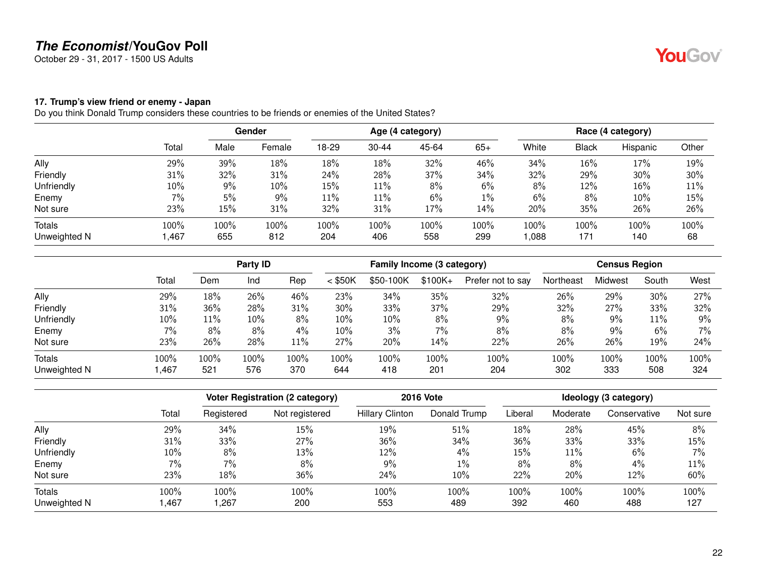October 29 - 31, 2017 - 1500 US Adults

#### <span id="page-21-0"></span>**17. Trump's view friend or enemy - Japan**

|              |        | <b>Gender</b> |        | Age (4 category) |           |       |       |       | Race (4 category) |          |       |  |
|--------------|--------|---------------|--------|------------------|-----------|-------|-------|-------|-------------------|----------|-------|--|
|              | Total  | Male          | Female | 18-29            | $30 - 44$ | 45-64 | $65+$ | White | <b>Black</b>      | Hispanic | Other |  |
| Ally         | 29%    | 39%           | 18%    | 18%              | 18%       | 32%   | 46%   | 34%   | 16%               | 17%      | 19%   |  |
| Friendly     | 31%    | 32%           | 31%    | 24%              | 28%       | 37%   | 34%   | 32%   | 29%               | 30%      | 30%   |  |
| Unfriendly   | 10%    | $9\%$         | 10%    | 15%              | 11%       | 8%    | 6%    | 8%    | 12%               | 16%      | 11%   |  |
| Enemy        | 7%     | 5%            | $9\%$  | 11%              | 11%       | 6%    | $1\%$ | 6%    | 8%                | 10%      | 15%   |  |
| Not sure     | 23%    | 15%           | 31%    | 32%              | 31%       | 17%   | 14%   | 20%   | 35%               | 26%      | 26%   |  |
| Totals       | 100%   | 100%          | 100%   | 100%             | 100%      | 100%  | 100%  | 100%  | 100%              | 100%     | 100%  |  |
| Unweighted N | 467, ا | 655           | 812    | 204              | 406       | 558   | 299   | 880,1 | 171               | 140      | 68    |  |

|              |       |      | Party ID |      |           | Family Income (3 category) |          |                   |           | <b>Census Region</b> |       |       |  |
|--------------|-------|------|----------|------|-----------|----------------------------|----------|-------------------|-----------|----------------------|-------|-------|--|
|              | Total | Dem  | Ind      | Rep  | $<$ \$50K | \$50-100K                  | $$100K+$ | Prefer not to say | Northeast | Midwest              | South | West  |  |
| Ally         | 29%   | 18%  | 26%      | 46%  | 23%       | 34%                        | 35%      | 32%               | 26%       | 29%                  | 30%   | 27%   |  |
| Friendly     | 31%   | 36%  | 28%      | 31%  | 30%       | 33%                        | 37%      | 29%               | 32%       | 27%                  | 33%   | 32%   |  |
| Unfriendly   | 10%   | 11%  | 10%      | 8%   | 10%       | 10%                        | 8%       | 9%                | 8%        | 9%                   | 11%   | 9%    |  |
| Enemy        | 7%    | 8%   | 8%       | 4%   | 10%       | 3%                         | 7%       | 8%                | 8%        | 9%                   | 6%    | $7\%$ |  |
| Not sure     | 23%   | 26%  | 28%      | 11%  | 27%       | 20%                        | 14%      | 22%               | 26%       | 26%                  | 19%   | 24%   |  |
| Totals       | 100%  | 100% | 100%     | 100% | 100%      | 100%                       | 100%     | 100%              | 100%      | 100%                 | 100%  | 100%  |  |
| Unweighted N | ,467  | 521  | 576      | 370  | 644       | 418                        | 201      | 204               | 302       | 333                  | 508   | 324   |  |

|              |       | Voter Registration (2 category) |                | <b>2016 Vote</b>       | Ideology (3 category) |         |          |              |          |
|--------------|-------|---------------------------------|----------------|------------------------|-----------------------|---------|----------|--------------|----------|
|              | Total | Registered                      | Not registered | <b>Hillary Clinton</b> | Donald Trump          | Liberal | Moderate | Conservative | Not sure |
| Ally         | 29%   | 34%                             | 15%            | 19%                    | 51%                   | 18%     | 28%      | 45%          | 8%       |
| Friendly     | 31%   | 33%                             | 27%            | 36%                    | 34%                   | 36%     | 33%      | 33%          | 15%      |
| Unfriendly   | 10%   | 8%                              | 13%            | 12%                    | 4%                    | 15%     | 11%      | 6%           | 7%       |
| Enemy        | $7\%$ | 7%                              | 8%             | $9\%$                  | $1\%$                 | 8%      | 8%       | 4%           | 11%      |
| Not sure     | 23%   | 18%                             | 36%            | 24%                    | 10%                   | 22%     | 20%      | 12%          | 60%      |
| Totals       | 100%  | 100%                            | 100%           | 100%                   | 100%                  | 100%    | 100%     | 100%         | 100%     |
| Unweighted N | ,467  | 1,267                           | 200            | 553                    | 489                   | 392     | 460      | 488          | 127      |

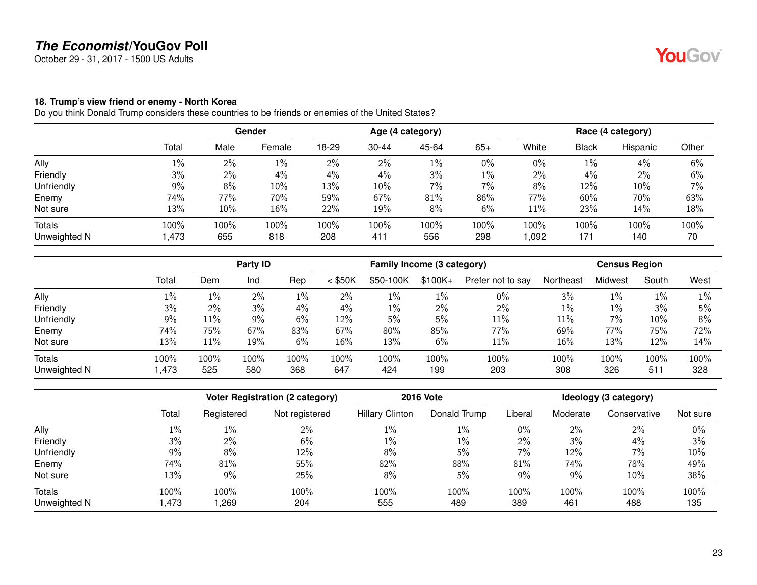October 29 - 31, 2017 - 1500 US Adults

#### <span id="page-22-0"></span>**18. Trump's view friend or enemy - North Korea**

|              |       | <b>Gender</b> |        | Age (4 category) |           |       |       | Race (4 category) |       |          |       |
|--------------|-------|---------------|--------|------------------|-----------|-------|-------|-------------------|-------|----------|-------|
|              | Total | Male          | Female | 18-29            | $30 - 44$ | 45-64 | $65+$ | White             | Black | Hispanic | Other |
| Ally         | $1\%$ | 2%            | 1%     | $2\%$            | 2%        | 1%    | $0\%$ | $0\%$             | $1\%$ | 4%       | 6%    |
| Friendly     | 3%    | $2\%$         | 4%     | $4\%$            | 4%        | 3%    | $1\%$ | 2%                | $4\%$ | 2%       | 6%    |
| Unfriendly   | 9%    | 8%            | 10%    | 13%              | 10%       | 7%    | 7%    | 8%                | 12%   | 10%      | 7%    |
| Enemy        | 74%   | 77%           | 70%    | 59%              | 67%       | 81%   | 86%   | 77%               | 60%   | 70%      | 63%   |
| Not sure     | 13%   | 10%           | 16%    | 22%              | 19%       | 8%    | 6%    | 11%               | 23%   | 14%      | 18%   |
| Totals       | 100%  | 100%          | 100%   | 100%             | 100%      | 100%  | 100%  | 100%              | 100%  | 100%     | 100%  |
| Unweighted N | 1,473 | 655           | 818    | 208              | 411       | 556   | 298   | 1,092             | 171   | 140      | 70    |

|              |       |       | Party ID |      |           |           | Family Income (3 category) |                   |           |         | <b>Census Region</b> |       |  |  |
|--------------|-------|-------|----------|------|-----------|-----------|----------------------------|-------------------|-----------|---------|----------------------|-------|--|--|
|              | Total | Dem   | Ind      | Rep  | $<$ \$50K | \$50-100K | $$100K+$                   | Prefer not to say | Northeast | Midwest | South                | West  |  |  |
| Ally         | $1\%$ | $1\%$ | 2%       | 1%   | 2%        | 1%        | 1%                         | $0\%$             | 3%        | $1\%$   | 1%                   | $1\%$ |  |  |
| Friendly     | 3%    | $2\%$ | 3%       | 4%   | 4%        | 1%        | 2%                         | 2%                | $1\%$     | $1\%$   | 3%                   | 5%    |  |  |
| Unfriendly   | 9%    | 11%   | 9%       | 6%   | 12%       | 5%        | 5%                         | 11%               | 11%       | 7%      | 10%                  | 8%    |  |  |
| Enemy        | 74%   | 75%   | 67%      | 83%  | 67%       | 80%       | 85%                        | 77%               | 69%       | 77%     | 75%                  | 72%   |  |  |
| Not sure     | 13%   | 11%   | 19%      | 6%   | 16%       | 13%       | 6%                         | 11%               | 16%       | 13%     | 12%                  | 14%   |  |  |
| Totals       | 100%  | 100%  | 100%     | 100% | 100%      | 100%      | 100%                       | 100%              | 100%      | 100%    | 100%                 | 100%  |  |  |
| Unweighted N | 1,473 | 525   | 580      | 368  | 647       | 424       | 199                        | 203               | 308       | 326     | 511                  | 328   |  |  |

|              |       | <b>Voter Registration (2 category)</b> |                | <b>2016 Vote</b>       | Ideology (3 category) |         |          |              |          |
|--------------|-------|----------------------------------------|----------------|------------------------|-----------------------|---------|----------|--------------|----------|
|              | Total | Registered                             | Not registered | <b>Hillary Clinton</b> | Donald Trump          | Liberal | Moderate | Conservative | Not sure |
| Ally         | $1\%$ | 1%                                     | 2%             | $1\%$                  | 1%                    | $0\%$   | 2%       | $2\%$        | 0%       |
| Friendly     | 3%    | 2%                                     | 6%             | $1\%$                  | $1\%$                 | $2\%$   | 3%       | 4%           | 3%       |
| Unfriendly   | 9%    | 8%                                     | 12%            | 8%                     | 5%                    | 7%      | 12%      | $7\%$        | 10%      |
| Enemy        | 74%   | 81%                                    | 55%            | 82%                    | 88%                   | 81%     | 74%      | 78%          | 49%      |
| Not sure     | 13%   | 9%                                     | 25%            | 8%                     | 5%                    | 9%      | 9%       | 10%          | 38%      |
| Totals       | 100%  | 100%                                   | 100%           | 100%                   | 100%                  | 100%    | 100%     | 100%         | 100%     |
| Unweighted N | .473  | ,269                                   | 204            | 555                    | 489                   | 389     | 461      | 488          | 135      |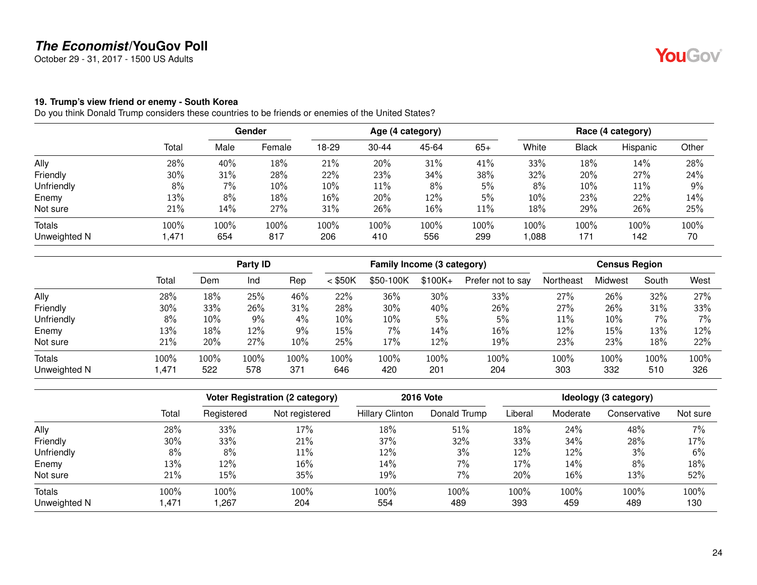October 29 - 31, 2017 - 1500 US Adults

#### <span id="page-23-0"></span>**19. Trump's view friend or enemy - South Korea**

|              |       | <b>Gender</b> |        | Age (4 category) |           |       |        | Race (4 category) |              |          |       |
|--------------|-------|---------------|--------|------------------|-----------|-------|--------|-------------------|--------------|----------|-------|
|              | Total | Male          | Female | 18-29            | $30 - 44$ | 45-64 | $65+$  | White             | <b>Black</b> | Hispanic | Other |
| Ally         | 28%   | 40%           | 18%    | 21%              | 20%       | 31%   | 41%    | 33%               | 18%          | 14%      | 28%   |
| Friendly     | 30%   | 31%           | 28%    | 22%              | 23%       | 34%   | 38%    | 32%               | 20%          | 27%      | 24%   |
| Unfriendly   | 8%    | 7%            | 10%    | 10%              | 11%       | 8%    | 5%     | 8%                | 10%          | 11%      | 9%    |
| Enemy        | 13%   | 8%            | 18%    | 16%              | 20%       | 12%   | $5\%$  | 10%               | 23%          | 22%      | 14%   |
| Not sure     | 21%   | 14%           | 27%    | 31%              | 26%       | 16%   | $11\%$ | 18%               | 29%          | 26%      | 25%   |
| Totals       | 100%  | 100%          | 100%   | 100%             | 100%      | 100%  | 100%   | 100%              | 100%         | 100%     | 100%  |
| Unweighted N | 1,471 | 654           | 817    | 206              | 410       | 556   | 299    | 880,1             | 171          | 142      | 70    |

|              |       |        | Party ID |      |           | Family Income (3 category) |          |                   |           | <b>Census Region</b> |       |      |
|--------------|-------|--------|----------|------|-----------|----------------------------|----------|-------------------|-----------|----------------------|-------|------|
|              | Total | Dem    | Ind      | Rep  | $<$ \$50K | \$50-100K                  | $$100K+$ | Prefer not to say | Northeast | Midwest              | South | West |
| Ally         | 28%   | 18%    | 25%      | 46%  | 22%       | 36%                        | 30%      | 33%               | 27%       | 26%                  | 32%   | 27%  |
| Friendly     | 30%   | 33%    | 26%      | 31%  | 28%       | 30%                        | 40%      | 26%               | 27%       | 26%                  | 31%   | 33%  |
| Unfriendly   | 8%    | $10\%$ | 9%       | 4%   | 10%       | 10%                        | 5%       | 5%                | 11%       | 10%                  | 7%    | 7%   |
| Enemy        | 13%   | 18%    | 12%      | 9%   | 15%       | $7\%$                      | 14%      | 16%               | 12%       | 15%                  | 13%   | 12%  |
| Not sure     | 21%   | 20%    | 27%      | 10%  | 25%       | 17%                        | 12%      | 19%               | 23%       | 23%                  | 18%   | 22%  |
| Totals       | 100%  | 100%   | 100%     | 100% | 100%      | 100%                       | 100%     | 100%              | 100%      | 100%                 | 100%  | 100% |
| Unweighted N | 1,471 | 522    | 578      | 371  | 646       | 420                        | 201      | 204               | 303       | 332                  | 510   | 326  |

|              |       |            | <b>Voter Registration (2 category)</b> | <b>2016 Vote</b>       | Ideology (3 category) |         |          |              |          |
|--------------|-------|------------|----------------------------------------|------------------------|-----------------------|---------|----------|--------------|----------|
|              | Total | Registered | Not registered                         | <b>Hillary Clinton</b> | Donald Trump          | Liberal | Moderate | Conservative | Not sure |
| Ally         | 28%   | 33%        | 17%                                    | 18%                    | 51%                   | 18%     | 24%      | 48%          | 7%       |
| Friendly     | 30%   | 33%        | 21%                                    | 37%                    | 32%                   | 33%     | 34%      | 28%          | 17%      |
| Unfriendly   | 8%    | 8%         | 11%                                    | 12%                    | 3%                    | 12%     | 12%      | 3%           | 6%       |
| Enemy        | 13%   | 12%        | $16\%$                                 | 14%                    | $7\%$                 | 17%     | 14%      | 8%           | 18%      |
| Not sure     | 21%   | 15%        | 35%                                    | 19%                    | 7%                    | 20%     | 16%      | 13%          | 52%      |
| Totals       | 100%  | 100%       | 100%                                   | 100%                   | 100%                  | 100%    | 100%     | 100%         | 100%     |
| Unweighted N | .471  | ,267       | 204                                    | 554                    | 489                   | 393     | 459      | 489          | 130      |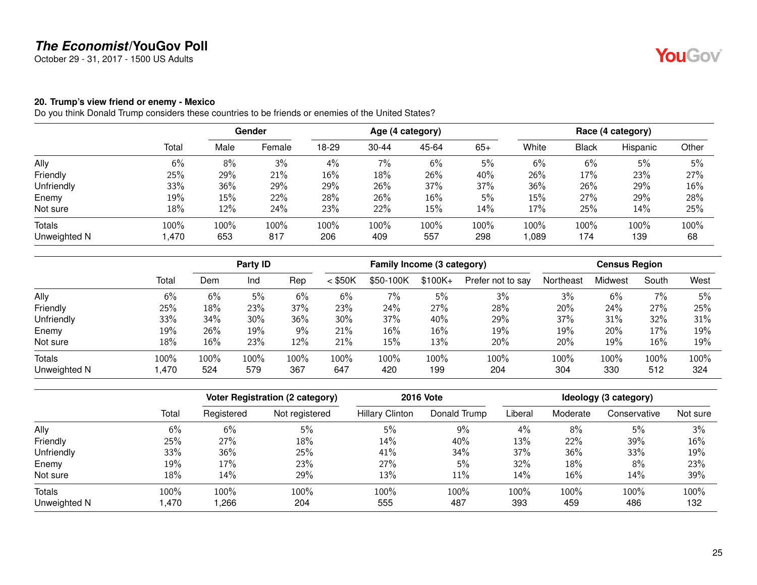October 29 - 31, 2017 - 1500 US Adults

#### <span id="page-24-0"></span>**20. Trump's view friend or enemy - Mexico**

Do you think Donald Trump considers these countries to be friends or enemies of the United States?

|              |       | <b>Gender</b> |        | Age (4 category) |           |       |       | Race (4 category) |              |          |       |
|--------------|-------|---------------|--------|------------------|-----------|-------|-------|-------------------|--------------|----------|-------|
|              | Total | Male          | Female | $18-29$          | $30 - 44$ | 45-64 | $65+$ | White             | <b>Black</b> | Hispanic | Other |
| Ally         | 6%    | 8%            | 3%     | 4%               | 7%        | 6%    | 5%    | 6%                | 6%           | 5%       | 5%    |
| Friendly     | 25%   | 29%           | 21%    | 16%              | 18%       | 26%   | 40%   | 26%               | 17%          | 23%      | 27%   |
| Unfriendly   | 33%   | 36%           | 29%    | 29%              | 26%       | 37%   | 37%   | 36%               | 26%          | 29%      | 16%   |
| Enemy        | 19%   | 15%           | 22%    | 28%              | 26%       | 16%   | 5%    | 15%               | 27%          | 29%      | 28%   |
| Not sure     | 18%   | 12%           | 24%    | 23%              | 22%       | 15%   | 14%   | 17%               | 25%          | 14%      | 25%   |
| Totals       | 100%  | 100%          | 100%   | 100%             | 100%      | 100%  | 100%  | 100%              | $100\%$      | 100%     | 100%  |
| Unweighted N | 1,470 | 653           | 817    | 206              | 409       | 557   | 298   | 089               | 174          | 139      | 68    |

|              |        |      | Party ID |      |           | Family Income (3 category) |          |                   |           | <b>Census Region</b> |       |      |  |
|--------------|--------|------|----------|------|-----------|----------------------------|----------|-------------------|-----------|----------------------|-------|------|--|
|              | Total  | Dem  | Ind      | Rep  | $<$ \$50K | \$50-100K                  | $$100K+$ | Prefer not to say | Northeast | Midwest              | South | West |  |
| Ally         | 6%     | 6%   | 5%       | 6%   | 6%        | 7%                         | 5%       | 3%                | 3%        | 6%                   | 7%    | 5%   |  |
| Friendly     | 25%    | 18%  | 23%      | 37%  | 23%       | 24%                        | 27%      | 28%               | 20%       | 24%                  | 27%   | 25%  |  |
| Unfriendly   | 33%    | 34%  | 30%      | 36%  | 30%       | 37%                        | 40%      | 29%               | 37%       | 31%                  | 32%   | 31%  |  |
| Enemy        | 19%    | 26%  | 19%      | 9%   | 21%       | 16%                        | 16%      | 19%               | 19%       | 20%                  | 17%   | 19%  |  |
| Not sure     | 18%    | 16%  | 23%      | 12%  | 21%       | 15%                        | 13%      | 20%               | 20%       | 19%                  | 16%   | 19%  |  |
| Totals       | 100%   | 100% | 100%     | 100% | 100%      | 100%                       | 100%     | 100%              | 100%      | 100%                 | 100%  | 100% |  |
| Unweighted N | 470, ا | 524  | 579      | 367  | 647       | 420                        | 199      | 204               | 304       | 330                  | 512   | 324  |  |

|              |       |            | Voter Registration (2 category) | <b>2016 Vote</b>       | Ideology (3 category) |         |          |              |          |
|--------------|-------|------------|---------------------------------|------------------------|-----------------------|---------|----------|--------------|----------|
|              | Total | Registered | Not registered                  | <b>Hillary Clinton</b> | Donald Trump          | Liberal | Moderate | Conservative | Not sure |
| Ally         | 6%    | 6%         | 5%                              | 5%                     | 9%                    | 4%      | 8%       | 5%           | 3%       |
| Friendly     | 25%   | 27%        | 18%                             | 14%                    | 40%                   | 13%     | 22%      | 39%          | 16%      |
| Unfriendly   | 33%   | 36%        | 25%                             | 41%                    | 34%                   | 37%     | 36%      | 33%          | 19%      |
| Enemy        | 19%   | 17%        | 23%                             | 27%                    | 5%                    | 32%     | 18%      | 8%           | 23%      |
| Not sure     | 18%   | 14%        | 29%                             | 13%                    | $11\%$                | 14%     | 16%      | 14%          | 39%      |
| Totals       | 100%  | 100%       | 100%                            | 100%                   | 100%                  | 100%    | 100%     | 100%         | 100%     |
| Unweighted N | .470  | ,266       | 204                             | 555                    | 487                   | 393     | 459      | 486          | 132      |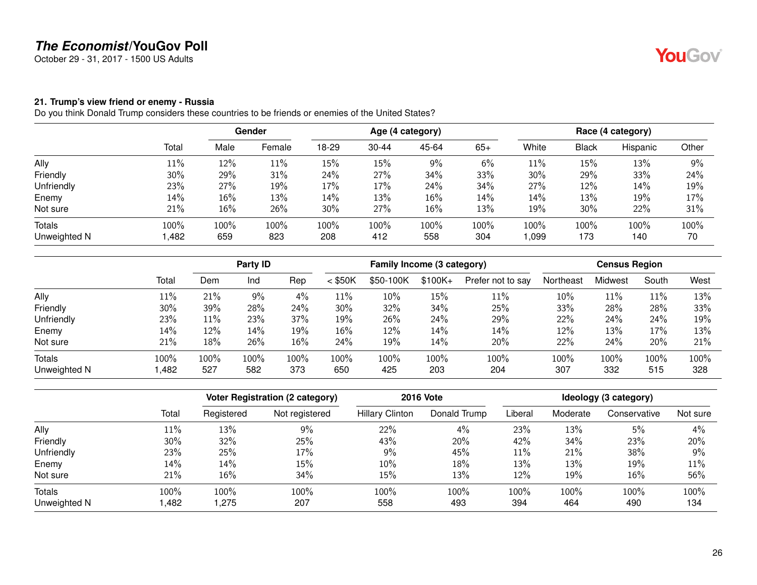October 29 - 31, 2017 - 1500 US Adults

#### <span id="page-25-0"></span>**21. Trump's view friend or enemy - Russia**

|              |        | Gender |        | Age (4 category) |           |       |       | Race (4 category) |              |          |       |
|--------------|--------|--------|--------|------------------|-----------|-------|-------|-------------------|--------------|----------|-------|
|              | Total  | Male   | Female | 18-29            | $30 - 44$ | 45-64 | $65+$ | White             | <b>Black</b> | Hispanic | Other |
| Ally         | $11\%$ | 12%    | 11%    | 15%              | 15%       | 9%    | 6%    | 11%               | 15%          | 13%      | 9%    |
| Friendly     | 30%    | 29%    | 31%    | 24%              | 27%       | 34%   | 33%   | 30%               | 29%          | 33%      | 24%   |
| Unfriendly   | 23%    | 27%    | 19%    | 17%              | 17%       | 24%   | 34%   | 27%               | 12%          | 14%      | 19%   |
| Enemy        | 14%    | 16%    | 13%    | 14%              | 13%       | 16%   | 14%   | 14%               | 13%          | 19%      | 17%   |
| Not sure     | 21%    | 16%    | 26%    | 30%              | 27%       | 16%   | 13%   | 19%               | 30%          | 22%      | 31%   |
| Totals       | 100%   | 100%   | 100%   | 100%             | 100%      | 100%  | 100%  | 100%              | $100\%$      | 100%     | 100%  |
| Unweighted N | ,482   | 659    | 823    | 208              | 412       | 558   | 304   | 1,099             | 173          | 140      | 70    |

|               |        | Party ID |      |      | Family Income (3 category) |           |          |                   | <b>Census Region</b> |         |        |      |
|---------------|--------|----------|------|------|----------------------------|-----------|----------|-------------------|----------------------|---------|--------|------|
|               | Total  | Dem      | Ind  | Rep  | $<$ \$50K                  | \$50-100K | $$100K+$ | Prefer not to say | Northeast            | Midwest | South  | West |
| Ally          | $11\%$ | 21%      | 9%   | 4%   | 11%                        | 10%       | 15%      | 11%               | 10%                  | 11%     | $11\%$ | 13%  |
| Friendly      | 30%    | 39%      | 28%  | 24%  | 30%                        | 32%       | 34%      | 25%               | 33%                  | 28%     | 28%    | 33%  |
| Unfriendly    | 23%    | 11%      | 23%  | 37%  | 19%                        | 26%       | 24%      | 29%               | 22%                  | 24%     | 24%    | 19%  |
| Enemy         | 14%    | 12%      | 14%  | 19%  | 16%                        | 12%       | 14%      | 14%               | 12%                  | 13%     | 17%    | 13%  |
| Not sure      | 21%    | 18%      | 26%  | 16%  | 24%                        | 19%       | 14%      | 20%               | 22%                  | 24%     | 20%    | 21%  |
| <b>Totals</b> | 100%   | 100%     | 100% | 100% | 100%                       | 100%      | 100%     | 100%              | 100%                 | 100%    | 100%   | 100% |
| Unweighted N  | ,482   | 527      | 582  | 373  | 650                        | 425       | 203      | 204               | 307                  | 332     | 515    | 328  |

|              |       |            | Voter Registration (2 category) | <b>2016 Vote</b>       |              |         | Ideology (3 category) |              |          |  |  |
|--------------|-------|------------|---------------------------------|------------------------|--------------|---------|-----------------------|--------------|----------|--|--|
|              | Total | Registered | Not registered                  | <b>Hillary Clinton</b> | Donald Trump | Liberal | Moderate              | Conservative | Not sure |  |  |
| Ally         | 11%   | 13%        | 9%                              | 22%                    | $4\%$        | 23%     | 13%                   | 5%           | 4%       |  |  |
| Friendly     | 30%   | 32%        | 25%                             | 43%                    | 20%          | 42%     | 34%                   | 23%          | 20%      |  |  |
| Unfriendly   | 23%   | 25%        | 17%                             | 9%                     | 45%          | 11%     | 21%                   | 38%          | 9%       |  |  |
| Enemy        | 14%   | 14%        | 15%                             | 10%                    | 18%          | 13%     | 13%                   | 19%          | 11%      |  |  |
| Not sure     | 21%   | 16%        | 34%                             | 15%                    | 13%          | 12%     | 19%                   | $16\%$       | 56%      |  |  |
| Totals       | 100%  | 100%       | 100%                            | 100%                   | 100%         | 100%    | 100%                  | 100%         | 100%     |  |  |
| Unweighted N | ,482  | 1.275      | 207                             | 558                    | 493          | 394     | 464                   | 490          | 134      |  |  |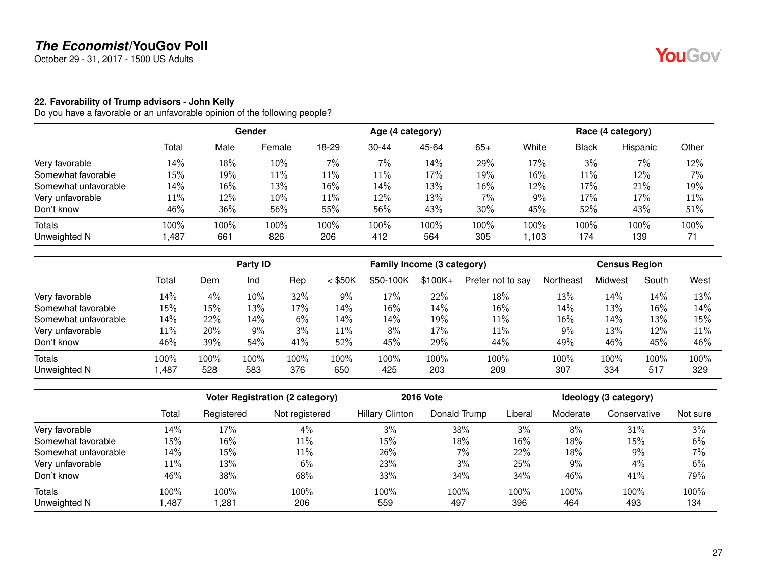October 29 - 31, 2017 - 1500 US Adults

#### <span id="page-26-0"></span>**22. Favorability of Trump advisors - John Kelly**

|                      |        | Gender |        |       |           | Age (4 category) |       | Race (4 category) |              |          |       |
|----------------------|--------|--------|--------|-------|-----------|------------------|-------|-------------------|--------------|----------|-------|
|                      | Total  | Male   | Female | 18-29 | $30 - 44$ | 45-64            | $65+$ | White             | <b>Black</b> | Hispanic | Other |
| Very favorable       | 14%    | 18%    | 10%    | 7%    | 7%        | 14%              | 29%   | 17%               | 3%           | 7%       | 12%   |
| Somewhat favorable   | $15\%$ | 19%    | 11%    | 11%   | 11%       | 17%              | 19%   | 16%               | 11%          | 12%      | 7%    |
| Somewhat unfavorable | 14%    | 16%    | 13%    | 16%   | 14%       | 13%              | 16%   | 12%               | 17%          | 21%      | 19%   |
| Very unfavorable     | $11\%$ | 12%    | 10%    | 11%   | 12%       | 13%              | 7%    | 9%                | 17%          | 17%      | 11%   |
| Don't know           | 46%    | 36%    | 56%    | 55%   | 56%       | 43%              | 30%   | 45%               | 52%          | 43%      | 51%   |
| <b>Totals</b>        | 100%   | 100%   | 100%   | 100%  | 100%      | 100%             | 100%  | 100%              | 100%         | 100%     | 100%  |
| Unweighted N         | 487, ا | 661    | 826    | 206   | 412       | 564              | 305   | 1,103             | 174          | 139      | 71    |

|                      |       | Party ID |      |      | Family Income (3 category) |           |          |                   | <b>Census Region</b> |         |       |      |
|----------------------|-------|----------|------|------|----------------------------|-----------|----------|-------------------|----------------------|---------|-------|------|
|                      | Total | Dem      | Ind  | Rep  | $<$ \$50K                  | \$50-100K | $$100K+$ | Prefer not to say | Northeast            | Midwest | South | West |
| Very favorable       | 14%   | 4%       | 10%  | 32%  | 9%                         | 17%       | 22%      | 18%               | 13%                  | 14%     | 14%   | 13%  |
| Somewhat favorable   | 15%   | 15%      | 13%  | 17%  | 14%                        | 16%       | 14%      | 16%               | 14%                  | 13%     | 16%   | 14%  |
| Somewhat unfavorable | 14%   | 22%      | 14%  | 6%   | 14%                        | 14%       | 19%      | 11%               | 16%                  | 14%     | 13%   | 15%  |
| Very unfavorable     | 11%   | 20%      | 9%   | 3%   | 11%                        | 8%        | 17%      | 11%               | 9%                   | 13%     | 12%   | 11%  |
| Don't know           | 46%   | 39%      | 54%  | 41%  | 52%                        | 45%       | 29%      | 44%               | 49%                  | 46%     | 45%   | 46%  |
| <b>Totals</b>        | 100%  | 100%     | 100% | 100% | 100%                       | $100\%$   | 100%     | 100%              | 100%                 | 100%    | 100%  | 100% |
| Unweighted N         | ,487  | 528      | 583  | 376  | 650                        | 425       | 203      | 209               | 307                  | 334     | 517   | 329  |

|                      |        |            | <b>Voter Registration (2 category)</b> | <b>2016 Vote</b>       | Ideology (3 category) |         |          |              |          |
|----------------------|--------|------------|----------------------------------------|------------------------|-----------------------|---------|----------|--------------|----------|
|                      | Total  | Registered | Not registered                         | <b>Hillary Clinton</b> | Donald Trump          | Liberal | Moderate | Conservative | Not sure |
| Very favorable       | 14%    | 17%        | 4%                                     | 3%                     | 38%                   | 3%      | 8%       | 31%          | 3%       |
| Somewhat favorable   | $15\%$ | 16%        | 11%                                    | 15%                    | 18%                   | 16%     | 18%      | 15%          | 6%       |
| Somewhat unfavorable | 14%    | 15%        | 11%                                    | 26%                    | $7\%$                 | 22%     | 18%      | 9%           | 7%       |
| Very unfavorable     | 11%    | 13%        | 6%                                     | 23%                    | 3%                    | 25%     | $9\%$    | $4\%$        | 6%       |
| Don't know           | 46%    | 38%        | 68%                                    | 33%                    | 34%                   | 34%     | 46%      | 41%          | 79%      |
| Totals               | 100%   | 100%       | 100%                                   | 100%                   | 100%                  | 100%    | 100%     | 100%         | 100%     |
| Unweighted N         | .487   | ,281       | 206                                    | 559                    | 497                   | 396     | 464      | 493          | 134      |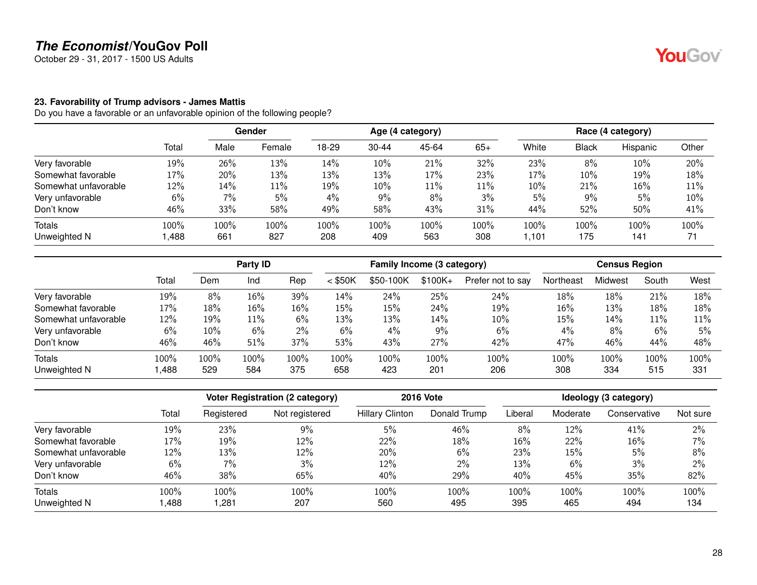October 29 - 31, 2017 - 1500 US Adults

#### <span id="page-27-0"></span>**23. Favorability of Trump advisors - James Mattis**

|                      |        |      | <b>Gender</b> |       |           | Age (4 category) |        |       |       | Race (4 category) |       |
|----------------------|--------|------|---------------|-------|-----------|------------------|--------|-------|-------|-------------------|-------|
|                      | Total  | Male | Female        | 18-29 | $30 - 44$ | 45-64            | $65+$  | White | Black | Hispanic          | Other |
| Very favorable       | 19%    | 26%  | 13%           | 14%   | 10%       | 21%              | 32%    | 23%   | 8%    | 10%               | 20%   |
| Somewhat favorable   | 17%    | 20%  | 13%           | 13%   | 13%       | 17%              | 23%    | 17%   | 10%   | 19%               | 18%   |
| Somewhat unfavorable | $12\%$ | 14%  | 11%           | 19%   | 10%       | 11%              | $11\%$ | 10%   | 21%   | 16%               | 11%   |
| Very unfavorable     | 6%     | 7%   | 5%            | 4%    | 9%        | 8%               | 3%     | 5%    | 9%    | 5%                | 10%   |
| Don't know           | 46%    | 33%  | 58%           | 49%   | 58%       | 43%              | 31%    | 44%   | 52%   | 50%               | 41%   |
| Totals               | 100%   | 100% | 100%          | 100%  | 100%      | 100%             | 100%   | 100%  | 100%  | 100%              | 100%  |
| Unweighted N         | ,488   | 661  | 827           | 208   | 409       | 563              | 308    | ,101  | 175   | 141               | 71    |

|                      |       | Party ID |        |      | Family Income (3 category) |           |          |                   | <b>Census Region</b> |         |       |      |
|----------------------|-------|----------|--------|------|----------------------------|-----------|----------|-------------------|----------------------|---------|-------|------|
|                      | Total | Dem      | Ind    | Rep  | $<$ \$50K                  | \$50-100K | $$100K+$ | Prefer not to say | Northeast            | Midwest | South | West |
| Very favorable       | 19%   | 8%       | $16\%$ | 39%  | 14%                        | 24%       | 25%      | 24%               | 18%                  | 18%     | 21%   | 18%  |
| Somewhat favorable   | 17%   | 18%      | 16%    | 16%  | 15%                        | 15%       | 24%      | 19%               | 16%                  | 13%     | 18%   | 18%  |
| Somewhat unfavorable | 12%   | 19%      | 11%    | 6%   | 13%                        | 13%       | 14%      | 10%               | 15%                  | 14%     | 11%   | 11%  |
| Very unfavorable     | 6%    | 10%      | 6%     | 2%   | 6%                         | 4%        | 9%       | 6%                | 4%                   | 8%      | 6%    | 5%   |
| Don't know           | 46%   | 46%      | 51%    | 37%  | 53%                        | 43%       | 27%      | 42%               | 47%                  | 46%     | 44%   | 48%  |
| Totals               | 100%  | 100%     | 100%   | 100% | 100%                       | $100\%$   | 100%     | 100%              | 100%                 | 100%    | 100%  | 100% |
| Unweighted N         | ,488  | 529      | 584    | 375  | 658                        | 423       | 201      | 206               | 308                  | 334     | 515   | 331  |

|                      |       | <b>Voter Registration (2 category)</b> |                | <b>2016 Vote</b>       | Ideology (3 category) |         |          |              |          |
|----------------------|-------|----------------------------------------|----------------|------------------------|-----------------------|---------|----------|--------------|----------|
|                      | Total | Registered                             | Not registered | <b>Hillary Clinton</b> | Donald Trump          | Liberal | Moderate | Conservative | Not sure |
| Very favorable       | 19%   | 23%                                    | 9%             | 5%                     | 46%                   | 8%      | 12%      | 41%          | 2%       |
| Somewhat favorable   | 17%   | 19%                                    | 12%            | 22%                    | 18%                   | $16\%$  | 22%      | 16%          | 7%       |
| Somewhat unfavorable | 12%   | 13%                                    | 12%            | 20%                    | 6%                    | 23%     | 15%      | 5%           | 8%       |
| Very unfavorable     | 6%    | 7%                                     | 3%             | 12%                    | 2%                    | 13%     | 6%       | 3%           | 2%       |
| Don't know           | 46%   | 38%                                    | 65%            | 40%                    | 29%                   | 40%     | 45%      | 35%          | 82%      |
| <b>Totals</b>        | 100%  | 100%                                   | 100%           | 100%                   | 100%                  | 100%    | 100%     | 100%         | 100%     |
| Unweighted N         | ,488  | ,281                                   | 207            | 560                    | 495                   | 395     | 465      | 494          | 134      |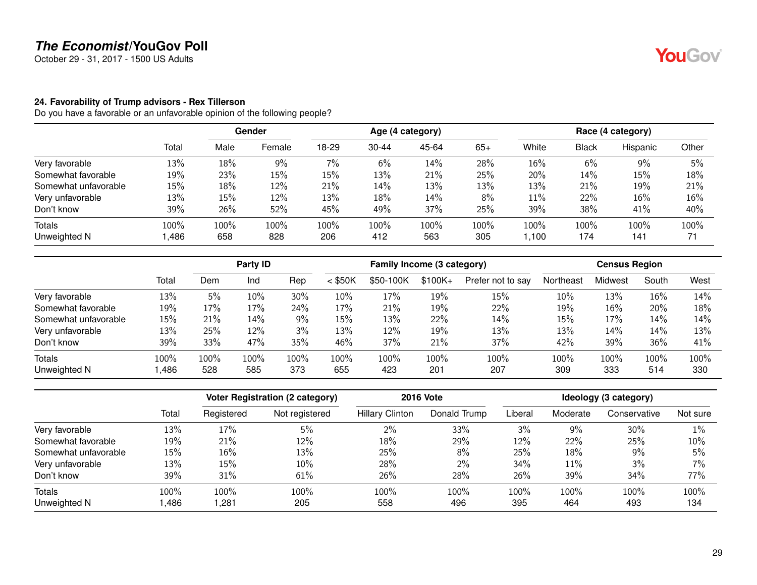October 29 - 31, 2017 - 1500 US Adults

#### <span id="page-28-0"></span>**24. Favorability of Trump advisors - Rex Tillerson**

|                      |       |      | <b>Gender</b> |       |           | Age (4 category) |       |        |              | Race (4 category) |       |
|----------------------|-------|------|---------------|-------|-----------|------------------|-------|--------|--------------|-------------------|-------|
|                      | Total | Male | Female        | 18-29 | $30 - 44$ | 45-64            | $65+$ | White  | <b>Black</b> | Hispanic          | Other |
| Very favorable       | 13%   | 18%  | $9\%$         | 7%    | 6%        | 14%              | 28%   | 16%    | 6%           | $9\%$             | 5%    |
| Somewhat favorable   | 19%   | 23%  | 15%           | 15%   | 13%       | 21%              | 25%   | 20%    | 14%          | 15%               | 18%   |
| Somewhat unfavorable | 15%   | 18%  | 12%           | 21%   | 14%       | 13%              | 13%   | 13%    | 21%          | 19%               | 21%   |
| Very unfavorable     | 13%   | 15%  | 12%           | 13%   | 18%       | 14%              | 8%    | $11\%$ | 22%          | 16%               | 16%   |
| Don't know           | 39%   | 26%  | 52%           | 45%   | 49%       | 37%              | 25%   | 39%    | 38%          | 41%               | 40%   |
| <b>Totals</b>        | 100%  | 100% | 100%          | 100%  | 100%      | 100%             | 100%  | 100%   | 100%         | 100%              | 100%  |
| Unweighted N         | ,486  | 658  | 828           | 206   | 412       | 563              | 305   | 1.100  | 174          | 141               |       |

|                      |       | Party ID |      |      | Family Income (3 category) |           |           |                   | <b>Census Region</b> |         |       |      |
|----------------------|-------|----------|------|------|----------------------------|-----------|-----------|-------------------|----------------------|---------|-------|------|
|                      | Total | Dem      | Ind  | Rep  | $<$ \$50K                  | \$50-100K | $$100K +$ | Prefer not to say | Northeast            | Midwest | South | West |
| Very favorable       | 13%   | 5%       | 10%  | 30%  | 10%                        | 17%       | 19%       | 15%               | 10%                  | 13%     | 16%   | 14%  |
| Somewhat favorable   | 19%   | 17%      | 17%  | 24%  | 17%                        | 21%       | 19%       | 22%               | 19%                  | 16%     | 20%   | 18%  |
| Somewhat unfavorable | 15%   | 21%      | 14%  | 9%   | 15%                        | 13%       | 22%       | 14%               | 15%                  | 17%     | 14%   | 14%  |
| Very unfavorable     | 13%   | 25%      | 12%  | 3%   | 13%                        | 12%       | 19%       | 13%               | 13%                  | 14%     | 14%   | 13%  |
| Don't know           | 39%   | 33%      | 47%  | 35%  | 46%                        | 37%       | 21%       | 37%               | 42%                  | 39%     | 36%   | 41%  |
| <b>Totals</b>        | 100%  | 100%     | 100% | 100% | 100%                       | 100%      | 100%      | 100%              | 100%                 | 100%    | 100%  | 100% |
| Unweighted N         | ,486  | 528      | 585  | 373  | 655                        | 423       | 201       | 207               | 309                  | 333     | 514   | 330  |

|                      |       | Voter Registration (2 category) |                | <b>2016 Vote</b>       | Ideology (3 category) |         |          |              |          |
|----------------------|-------|---------------------------------|----------------|------------------------|-----------------------|---------|----------|--------------|----------|
|                      | Total | Registered                      | Not registered | <b>Hillary Clinton</b> | Donald Trump          | Liberal | Moderate | Conservative | Not sure |
| Very favorable       | 13%   | 17%                             | 5%             | 2%                     | 33%                   | 3%      | $9\%$    | 30%          | $1\%$    |
| Somewhat favorable   | 19%   | 21%                             | 12%            | 18%                    | 29%                   | 12%     | 22%      | 25%          | 10%      |
| Somewhat unfavorable | 15%   | 16%                             | 13%            | 25%                    | 8%                    | 25%     | 18%      | 9%           | 5%       |
| Very unfavorable     | 13%   | 15%                             | 10%            | 28%                    | $2\%$                 | 34%     | 11%      | 3%           | 7%       |
| Don't know           | 39%   | 31%                             | 61%            | 26%                    | 28%                   | 26%     | 39%      | 34%          | 77%      |
| <b>Totals</b>        | 100%  | 100%                            | 100%           | 100%                   | 100%                  | 100%    | 100%     | 100%         | 100%     |
| Unweighted N         | ,486  | ,281                            | 205            | 558                    | 496                   | 395     | 464      | 493          | 134      |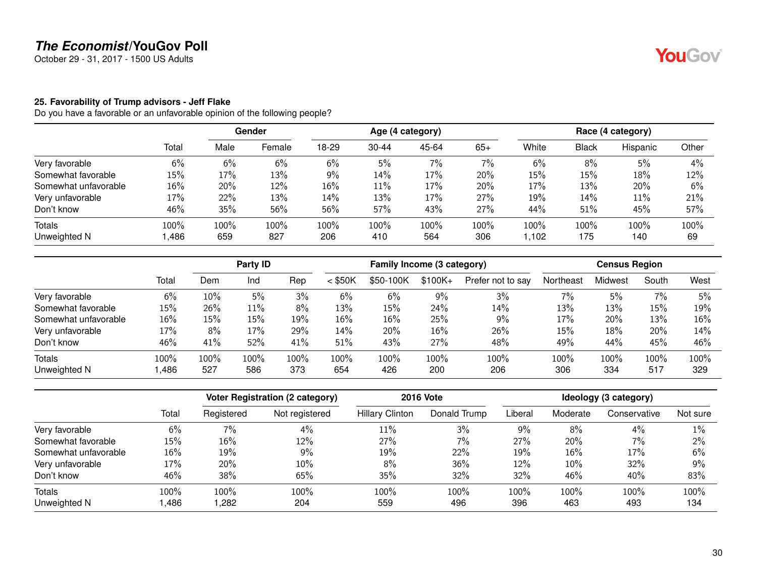October 29 - 31, 2017 - 1500 US Adults

#### <span id="page-29-0"></span>**25. Favorability of Trump advisors - Jeff Flake**

|                      |        |      | <b>Gender</b> |       |           | Age (4 category) |       |       |              | Race (4 category) |       |
|----------------------|--------|------|---------------|-------|-----------|------------------|-------|-------|--------------|-------------------|-------|
|                      | Total  | Male | Female        | 18-29 | $30 - 44$ | 45-64            | $65+$ | White | <b>Black</b> | Hispanic          | Other |
| Very favorable       | 6%     | 6%   | 6%            | 6%    | 5%        | $7\%$            | 7%    | 6%    | 8%           | 5%                | 4%    |
| Somewhat favorable   | $15\%$ | 17%  | 13%           | 9%    | 14%       | 17%              | 20%   | 15%   | 15%          | 18%               | 12%   |
| Somewhat unfavorable | $16\%$ | 20%  | 12%           | 16%   | 11%       | 17%              | 20%   | 17%   | 13%          | 20%               | 6%    |
| Very unfavorable     | 17%    | 22%  | 13%           | 14%   | 13%       | 17%              | 27%   | 19%   | 14%          | 11%               | 21%   |
| Don't know           | 46%    | 35%  | 56%           | 56%   | 57%       | 43%              | 27%   | 44%   | 51%          | 45%               | 57%   |
| <b>Totals</b>        | 100%   | 100% | 100%          | 100%  | 100%      | 100%             | 100%  | 100%  | 100%         | 100%              | 100%  |
| Unweighted N         | ,486   | 659  | 827           | 206   | 410       | 564              | 306   | 1,102 | 175          | 140               | 69    |

|                      |       | Party ID |      |      | Family Income (3 category) |           |           |                   | <b>Census Region</b> |         |       |      |
|----------------------|-------|----------|------|------|----------------------------|-----------|-----------|-------------------|----------------------|---------|-------|------|
|                      | Total | Dem      | Ind  | Rep  | $<$ \$50K                  | \$50-100K | $$100K +$ | Prefer not to say | Northeast            | Midwest | South | West |
| Very favorable       | 6%    | 10%      | 5%   | 3%   | 6%                         | 6%        | 9%        | 3%                | 7%                   | 5%      | 7%    | 5%   |
| Somewhat favorable   | 15%   | 26%      | 11%  | 8%   | 13%                        | 15%       | 24%       | 14%               | 13%                  | 13%     | 15%   | 19%  |
| Somewhat unfavorable | 16%   | 15%      | 15%  | 19%  | 16%                        | 16%       | 25%       | 9%                | 17%                  | 20%     | 13%   | 16%  |
| Very unfavorable     | 17%   | 8%       | 17%  | 29%  | 14%                        | 20%       | 16%       | 26%               | 15%                  | 18%     | 20%   | 14%  |
| Don't know           | 46%   | 41%      | 52%  | 41%  | 51%                        | 43%       | 27%       | 48%               | 49%                  | 44%     | 45%   | 46%  |
| <b>Totals</b>        | 100%  | 100%     | 100% | 100% | 100%                       | 100%      | 100%      | 100%              | 100%                 | 100%    | 100%  | 100% |
| Unweighted N         | ,486  | 527      | 586  | 373  | 654                        | 426       | 200       | 206               | 306                  | 334     | 517   | 329  |

|                      |       | Voter Registration (2 category) |                | <b>2016 Vote</b>       | Ideology (3 category) |         |          |              |          |
|----------------------|-------|---------------------------------|----------------|------------------------|-----------------------|---------|----------|--------------|----------|
|                      | Total | Registered                      | Not registered | <b>Hillary Clinton</b> | Donald Trump          | Liberal | Moderate | Conservative | Not sure |
| Very favorable       | 6%    | 7%                              | 4%             | 11%                    | 3%                    | 9%      | 8%       | 4%           | 1%       |
| Somewhat favorable   | 15%   | 16%                             | 12%            | 27%                    | 7%                    | 27%     | 20%      | 7%           | 2%       |
| Somewhat unfavorable | 16%   | 19%                             | 9%             | 19%                    | 22%                   | 19%     | 16%      | 17%          | 6%       |
| Very unfavorable     | 17%   | 20%                             | 10%            | 8%                     | 36%                   | 12%     | 10%      | 32%          | 9%       |
| Don't know           | 46%   | 38%                             | 65%            | 35%                    | 32%                   | 32%     | 46%      | 40%          | 83%      |
| <b>Totals</b>        | 100%  | 100%                            | 100%           | 100%                   | 100%                  | 100%    | 100%     | 100%         | 100%     |
| Unweighted N         | ,486  | ,282                            | 204            | 559                    | 496                   | 396     | 463      | 493          | 134      |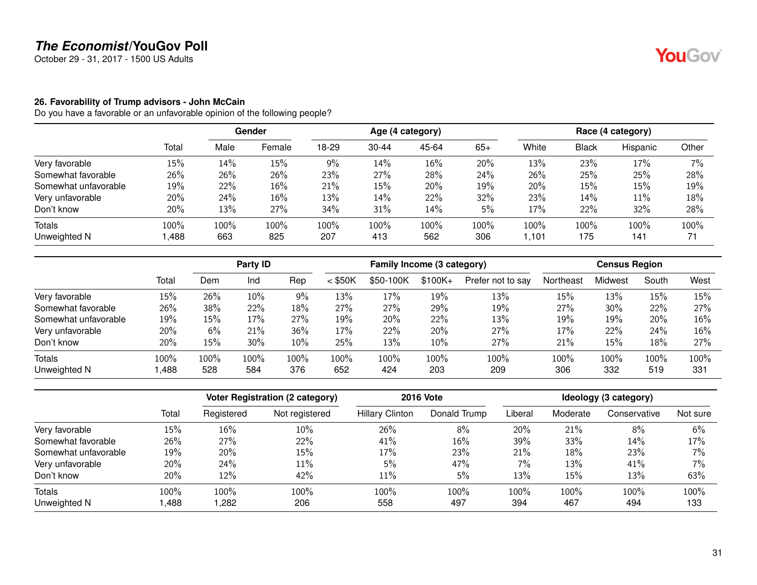October 29 - 31, 2017 - 1500 US Adults

#### <span id="page-30-0"></span>**26. Favorability of Trump advisors - John McCain**

|                      |       |      | <b>Gender</b> |       |           | Age (4 category) |       |        |              | Race (4 category) |       |
|----------------------|-------|------|---------------|-------|-----------|------------------|-------|--------|--------------|-------------------|-------|
|                      | Total | Male | Female        | 18-29 | $30 - 44$ | 45-64            | $65+$ | White  | <b>Black</b> | Hispanic          | Other |
| Very favorable       | 15%   | 14%  | 15%           | 9%    | 14%       | 16%              | 20%   | 13%    | 23%          | 17%               | 7%    |
| Somewhat favorable   | 26%   | 26%  | 26%           | 23%   | 27%       | 28%              | 24%   | 26%    | 25%          | 25%               | 28%   |
| Somewhat unfavorable | 19%   | 22%  | 16%           | 21%   | 15%       | 20%              | 19%   | 20%    | 15%          | 15%               | 19%   |
| Very unfavorable     | 20%   | 24%  | 16%           | 13%   | 14%       | 22%              | 32%   | 23%    | 14%          | 11%               | 18%   |
| Don't know           | 20%   | 13%  | 27%           | 34%   | 31%       | 14%              | 5%    | 17%    | 22%          | 32%               | 28%   |
| <b>Totals</b>        | 100%  | 100% | 100%          | 100%  | 100%      | 100%             | 100%  | 100%   | 100%         | 100%              | 100%  |
| Unweighted N         | ,488  | 663  | 825           | 207   | 413       | 562              | 306   | 101, ا | 175          | 141               | 71    |

|                      |       | Party ID |      |      | Family Income (3 category) |           |           |                   | <b>Census Region</b> |         |       |      |
|----------------------|-------|----------|------|------|----------------------------|-----------|-----------|-------------------|----------------------|---------|-------|------|
|                      | Total | Dem      | Ind  | Rep  | $<$ \$50K                  | \$50-100K | $$100K +$ | Prefer not to say | Northeast            | Midwest | South | West |
| Very favorable       | 15%   | 26%      | 10%  | 9%   | 13%                        | 17%       | 19%       | 13%               | 15%                  | 13%     | 15%   | 15%  |
| Somewhat favorable   | 26%   | 38%      | 22%  | 18%  | 27%                        | 27%       | 29%       | 19%               | 27%                  | 30%     | 22%   | 27%  |
| Somewhat unfavorable | 19%   | 15%      | 17%  | 27%  | 19%                        | 20%       | 22%       | 13%               | 19%                  | 19%     | 20%   | 16%  |
| Very unfavorable     | 20%   | 6%       | 21%  | 36%  | 17%                        | 22%       | 20%       | 27%               | 17%                  | 22%     | 24%   | 16%  |
| Don't know           | 20%   | 15%      | 30%  | 10%  | 25%                        | 13%       | 10%       | 27%               | 21%                  | 15%     | 18%   | 27%  |
| <b>Totals</b>        | 100%  | 100%     | 100% | 100% | 100%                       | 100%      | 100%      | 100%              | 100%                 | 100%    | 100%  | 100% |
| Unweighted N         | ,488  | 528      | 584  | 376  | 652                        | 424       | 203       | 209               | 306                  | 332     | 519   | 331  |

|                      |       |            | <b>Voter Registration (2 category)</b> |                        | <b>2016 Vote</b> | Ideology (3 category) |          |              |          |  |
|----------------------|-------|------------|----------------------------------------|------------------------|------------------|-----------------------|----------|--------------|----------|--|
|                      | Total | Registered | Not registered                         | <b>Hillary Clinton</b> | Donald Trump     | Liberal               | Moderate | Conservative | Not sure |  |
| Very favorable       | 15%   | 16%        | 10%                                    | 26%                    | 8%               | 20%                   | 21%      | 8%           | 6%       |  |
| Somewhat favorable   | 26%   | 27%        | 22%                                    | 41%                    | 16%              | 39%                   | 33%      | 14%          | 17%      |  |
| Somewhat unfavorable | 19%   | 20%        | 15%                                    | 17%                    | 23%              | 21%                   | 18%      | 23%          | 7%       |  |
| Very unfavorable     | 20%   | 24%        | $11\%$                                 | 5%                     | 47%              | 7%                    | 13%      | 41%          | 7%       |  |
| Don't know           | 20%   | 12%        | 42%                                    | 11%                    | 5%               | 13%                   | 15%      | 13%          | 63%      |  |
| <b>Totals</b>        | 100%  | 100%       | 100%                                   | 100%                   | 100%             | 100%                  | 100%     | 100%         | 100%     |  |
| Unweighted N         | ,488  | ,282       | 206                                    | 558                    | 497              | 394                   | 467      | 494          | 133      |  |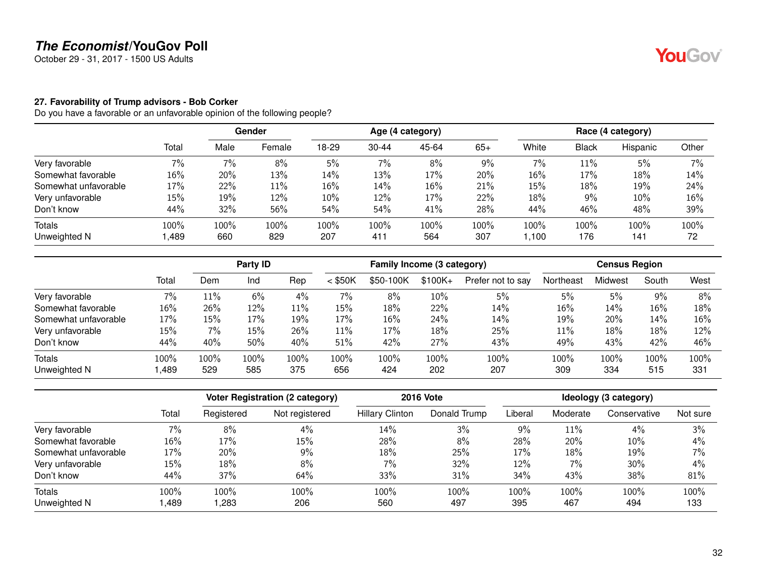October 29 - 31, 2017 - 1500 US Adults

#### <span id="page-31-0"></span>**27. Favorability of Trump advisors - Bob Corker**

|                      |        |      | <b>Gender</b> |        |           | Age (4 category) |       |       |       | Race (4 category) |       |
|----------------------|--------|------|---------------|--------|-----------|------------------|-------|-------|-------|-------------------|-------|
|                      | Total  | Male | Female        | 18-29  | $30 - 44$ | 45-64            | $65+$ | White | Black | Hispanic          | Other |
| Very favorable       | 7%     | 7%   | 8%            | 5%     | 7%        | 8%               | 9%    | 7%    | 11%   | 5%                | 7%    |
| Somewhat favorable   | 16%    | 20%  | 13%           | 14%    | 13%       | 17%              | 20%   | 16%   | 17%   | 18%               | 14%   |
| Somewhat unfavorable | $17\%$ | 22%  | 11%           | $16\%$ | 14%       | 16%              | 21%   | 15%   | 18%   | 19%               | 24%   |
| Very unfavorable     | 15%    | 19%  | 12%           | $10\%$ | 12%       | 17%              | 22%   | 18%   | 9%    | 10%               | 16%   |
| Don't know           | 44%    | 32%  | 56%           | 54%    | 54%       | 41%              | 28%   | 44%   | 46%   | 48%               | 39%   |
| <b>Totals</b>        | 100%   | 100% | 100%          | 100%   | 100%      | 100%             | 100%  | 100%  | 100%  | 100%              | 100%  |
| Unweighted N         | ,489   | 660  | 829           | 207    | 411       | 564              | 307   | ,100  | 176   | 141               | 72    |

|                      |       | Party ID |      |      | Family Income (3 category) |           |          |                   | <b>Census Region</b> |         |       |      |
|----------------------|-------|----------|------|------|----------------------------|-----------|----------|-------------------|----------------------|---------|-------|------|
|                      | Total | Dem      | Ind  | Rep  | $<$ \$50K                  | \$50-100K | $$100K+$ | Prefer not to say | Northeast            | Midwest | South | West |
| Very favorable       | 7%    | 11%      | 6%   | 4%   | $7\%$                      | 8%        | 10%      | 5%                | 5%                   | 5%      | 9%    | 8%   |
| Somewhat favorable   | 16%   | 26%      | 12%  | 11%  | 15%                        | 18%       | 22%      | 14%               | 16%                  | 14%     | 16%   | 18%  |
| Somewhat unfavorable | 17%   | 15%      | 17%  | 19%  | 17%                        | 16%       | 24%      | 14%               | 19%                  | 20%     | 14%   | 16%  |
| Very unfavorable     | 15%   | $7\%$    | 15%  | 26%  | 11%                        | 17%       | 18%      | 25%               | 11%                  | 18%     | 18%   | 12%  |
| Don't know           | 44%   | 40%      | 50%  | 40%  | 51%                        | 42%       | 27%      | 43%               | 49%                  | 43%     | 42%   | 46%  |
| <b>Totals</b>        | 100%  | 100%     | 100% | 100% | 100%                       | $100\%$   | 100%     | 100%              | 100%                 | 100%    | 100%  | 100% |
| Unweighted N         | ,489  | 529      | 585  | 375  | 656                        | 424       | 202      | 207               | 309                  | 334     | 515   | 331  |

|                      |        |            | <b>Voter Registration (2 category)</b> |                        | <b>2016 Vote</b> |         |          | Ideology (3 category) |          |
|----------------------|--------|------------|----------------------------------------|------------------------|------------------|---------|----------|-----------------------|----------|
|                      | Total  | Registered | Not registered                         | <b>Hillary Clinton</b> | Donald Trump     | Liberal | Moderate | Conservative          | Not sure |
| Very favorable       | 7%     | 8%         | 4%                                     | 14%                    | 3%               | $9\%$   | 11%      | 4%                    | 3%       |
| Somewhat favorable   | 16%    | 17%        | 15%                                    | 28%                    | 8%               | 28%     | 20%      | 10%                   | 4%       |
| Somewhat unfavorable | 17%    | 20%        | 9%                                     | 18%                    | 25%              | 17%     | 18%      | 19%                   | 7%       |
| Very unfavorable     | $15\%$ | 18%        | 8%                                     | 7%                     | 32%              | 12%     | 7%       | 30%                   | 4%       |
| Don't know           | 44%    | 37%        | 64%                                    | 33%                    | 31%              | 34%     | 43%      | 38%                   | 81%      |
| Totals               | 100%   | 100%       | 100%                                   | 100%                   | 100%             | 100%    | 100%     | 100%                  | 100%     |
| Unweighted N         | ,489   | ,283       | 206                                    | 560                    | 497              | 395     | 467      | 494                   | 133      |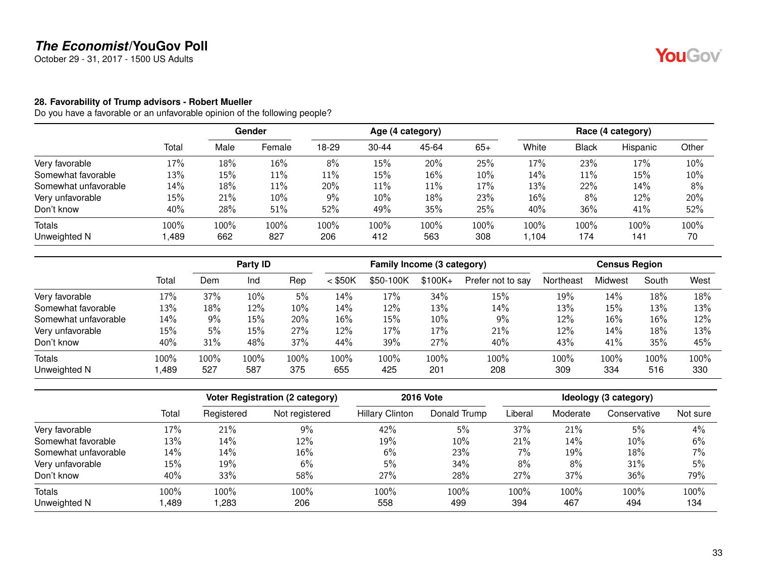October 29 - 31, 2017 - 1500 US Adults

#### <span id="page-32-0"></span>**28. Favorability of Trump advisors - Robert Mueller**

|                      |        | Gender<br>Age (4 category) |        |       | Race (4 category) |       |       |       |       |          |       |
|----------------------|--------|----------------------------|--------|-------|-------------------|-------|-------|-------|-------|----------|-------|
|                      | Total  | Male                       | Female | 18-29 | $30 - 44$         | 45-64 | $65+$ | White | Black | Hispanic | Other |
| Very favorable       | $17\%$ | 18%                        | 16%    | 8%    | 15%               | 20%   | 25%   | 17%   | 23%   | 17%      | 10%   |
| Somewhat favorable   | 13%    | 15%                        | 11%    | 11%   | 15%               | 16%   | 10%   | 14%   | 11%   | 15%      | 10%   |
| Somewhat unfavorable | 14%    | 18%                        | 11%    | 20%   | 11%               | 11%   | 17%   | 13%   | 22%   | 14%      | 8%    |
| Very unfavorable     | 15%    | 21%                        | 10%    | 9%    | 10%               | 18%   | 23%   | 16%   | 8%    | 12%      | 20%   |
| Don't know           | 40%    | 28%                        | 51%    | 52%   | 49%               | 35%   | 25%   | 40%   | 36%   | 41%      | 52%   |
| Totals               | 100%   | 100%                       | 100%   | 100%  | 100%              | 100%  | 100%  | 100%  | 100%  | 100%     | 100%  |
| Unweighted N         | ,489   | 662                        | 827    | 206   | 412               | 563   | 308   | 1,104 | 174   | 141      | 70    |

|                      |       | Party ID |      |      | Family Income (3 category) |           |          |                   | <b>Census Region</b> |         |       |      |
|----------------------|-------|----------|------|------|----------------------------|-----------|----------|-------------------|----------------------|---------|-------|------|
|                      | Total | Dem      | Ind  | Rep  | $<$ \$50K                  | \$50-100K | $$100K+$ | Prefer not to say | Northeast            | Midwest | South | West |
| Very favorable       | 17%   | 37%      | 10%  | 5%   | 14%                        | 17%       | 34%      | 15%               | 19%                  | 14%     | 18%   | 18%  |
| Somewhat favorable   | 13%   | 18%      | 12%  | 10%  | 14%                        | 12%       | 13%      | 14%               | 13%                  | 15%     | 13%   | 13%  |
| Somewhat unfavorable | 14%   | 9%       | 15%  | 20%  | 16%                        | 15%       | 10%      | 9%                | 12%                  | 16%     | 16%   | 12%  |
| Very unfavorable     | 15%   | 5%       | 15%  | 27%  | 12%                        | 17%       | 17%      | 21%               | 12%                  | 14%     | 18%   | 13%  |
| Don't know           | 40%   | 31%      | 48%  | 37%  | 44%                        | 39%       | 27%      | 40%               | 43%                  | 41%     | 35%   | 45%  |
| <b>Totals</b>        | 100%  | 100%     | 100% | 100% | 100%                       | 100%      | 100%     | 100%              | 100%                 | 100%    | 100%  | 100% |
| Unweighted N         | ,489  | 527      | 587  | 375  | 655                        | 425       | 201      | 208               | 309                  | 334     | 516   | 330  |

|                      |       | <b>Voter Registration (2 category)</b> |                | <b>2016 Vote</b>       | Ideology (3 category) |         |          |              |          |
|----------------------|-------|----------------------------------------|----------------|------------------------|-----------------------|---------|----------|--------------|----------|
|                      | Total | Registered                             | Not registered | <b>Hillary Clinton</b> | Donald Trump          | Liberal | Moderate | Conservative | Not sure |
| Very favorable       | 17%   | 21%                                    | 9%             | 42%                    | 5%                    | 37%     | 21%      | 5%           | 4%       |
| Somewhat favorable   | 13%   | 14%                                    | 12%            | 19%                    | 10%                   | 21%     | 14%      | 10%          | 6%       |
| Somewhat unfavorable | 14%   | 14%                                    | 16%            | 6%                     | 23%                   | 7%      | 19%      | 18%          | 7%       |
| Very unfavorable     | 15%   | 19%                                    | 6%             | 5%                     | 34%                   | 8%      | 8%       | 31%          | 5%       |
| Don't know           | 40%   | 33%                                    | 58%            | 27%                    | 28%                   | 27%     | 37%      | 36%          | 79%      |
| <b>Totals</b>        | 100%  | 100%                                   | 100%           | 100%                   | 100%                  | 100%    | 100%     | 100%         | 100%     |
| Unweighted N         | ,489  | ,283                                   | 206            | 558                    | 499                   | 394     | 467      | 494          | 134      |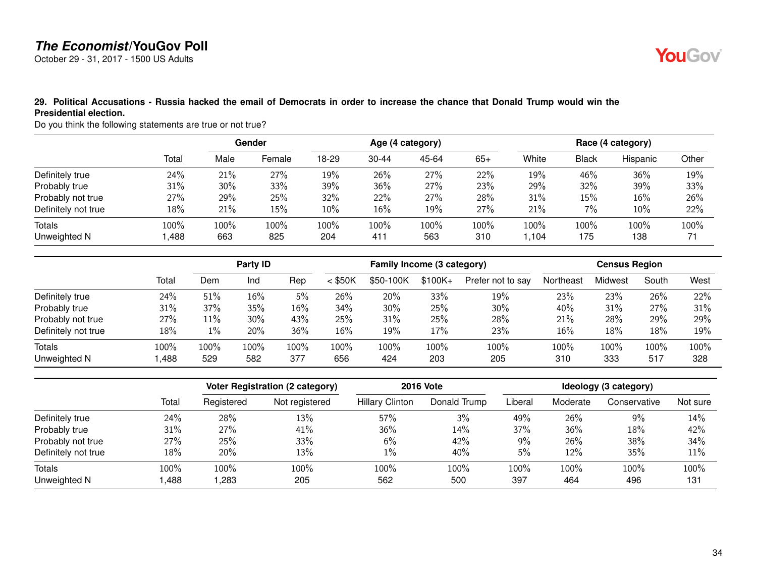October 29 - 31, 2017 - 1500 US Adults



#### <span id="page-33-0"></span>**29. Political Accusations - Russia hacked the email of Democrats in order to increase the chance that Donald Trump would win the Presidential election.**

Do you think the following statements are true or not true?

|                     |       |      |        | Gender |           |       | Age (4 category) |       |              |          | Race (4 category) |  |
|---------------------|-------|------|--------|--------|-----------|-------|------------------|-------|--------------|----------|-------------------|--|
|                     | Total | Male | Female | 18-29  | $30 - 44$ | 45-64 | $65+$            | White | <b>Black</b> | Hispanic | Other             |  |
| Definitely true     | 24%   | 21%  | 27%    | 19%    | 26%       | 27%   | 22%              | 19%   | 46%          | 36%      | 19%               |  |
| Probably true       | 31%   | 30%  | 33%    | 39%    | 36%       | 27%   | 23%              | 29%   | 32%          | 39%      | 33%               |  |
| Probably not true   | 27%   | 29%  | 25%    | 32%    | 22%       | 27%   | 28%              | 31%   | 15%          | 16%      | 26%               |  |
| Definitely not true | 18%   | 21%  | 15%    | 10%    | $16\%$    | 19%   | 27%              | 21%   | 7%           | 10%      | 22%               |  |
| Totals              | 100%  | 100% | 100%   | 100%   | 100%      | 100%  | 100%             | 100%  | 100%         | $100\%$  | 100%              |  |
| Unweighted N        | ,488  | 663  | 825    | 204    | 411       | 563   | 310              | ,104  | 175          | 138      | 71                |  |

|                     |       |       | Party ID |      |           | Family Income (3 category) |           |                   | <b>Census Region</b> |         |       |      |
|---------------------|-------|-------|----------|------|-----------|----------------------------|-----------|-------------------|----------------------|---------|-------|------|
|                     | Total | Dem   | Ind      | Rep  | $<$ \$50K | \$50-100K                  | $$100K +$ | Prefer not to say | Northeast            | Midwest | South | West |
| Definitely true     | 24%   | 51%   | 16%      | 5%   | 26%       | 20%                        | 33%       | 19%               | 23%                  | 23%     | 26%   | 22%  |
| Probably true       | 31%   | 37%   | 35%      | 16%  | 34%       | 30%                        | 25%       | 30%               | 40%                  | 31%     | 27%   | 31%  |
| Probably not true   | 27%   | 11%   | 30%      | 43%  | 25%       | 31%                        | 25%       | 28%               | 21%                  | 28%     | 29%   | 29%  |
| Definitely not true | 18%   | $1\%$ | 20%      | 36%  | 16%       | 19%                        | 17%       | 23%               | 16%                  | 18%     | 18%   | 19%  |
| Totals              | 100%  | 100%  | 100%     | 100% | 100%      | 100%                       | 100%      | 100%              | 100%                 | 100%    | 100%  | 100% |
| Unweighted N        | ,488  | 529   | 582      | 377  | 656       | 424                        | 203       | 205               | 310                  | 333     | 517   | 328  |

|                     |       |            | <b>Voter Registration (2 category)</b> |                        | <b>2016 Vote</b> | Ideology (3 category) |          |              |          |  |
|---------------------|-------|------------|----------------------------------------|------------------------|------------------|-----------------------|----------|--------------|----------|--|
|                     | Total | Registered | Not registered                         | <b>Hillary Clinton</b> | Donald Trump     | Liberal               | Moderate | Conservative | Not sure |  |
| Definitely true     | 24%   | 28%        | 13%                                    | 57%                    | 3%               | 49%                   | 26%      | 9%           | 14%      |  |
| Probably true       | 31%   | 27%        | 41%                                    | 36%                    | 14%              | 37%                   | 36%      | 18%          | 42%      |  |
| Probably not true   | 27%   | 25%        | 33%                                    | 6%                     | 42%              | 9%                    | 26%      | 38%          | 34%      |  |
| Definitely not true | 18%   | 20%        | 13%                                    | 1%                     | 40%              | 5%                    | 12%      | 35%          | 11%      |  |
| Totals              | 100%  | 100%       | 100%                                   | 100%                   | 100%             | 100%                  | 100%     | 100%         | 100%     |  |
| Unweighted N        | ,488  | ,283       | 205                                    | 562                    | 500              | 397                   | 464      | 496          | 131      |  |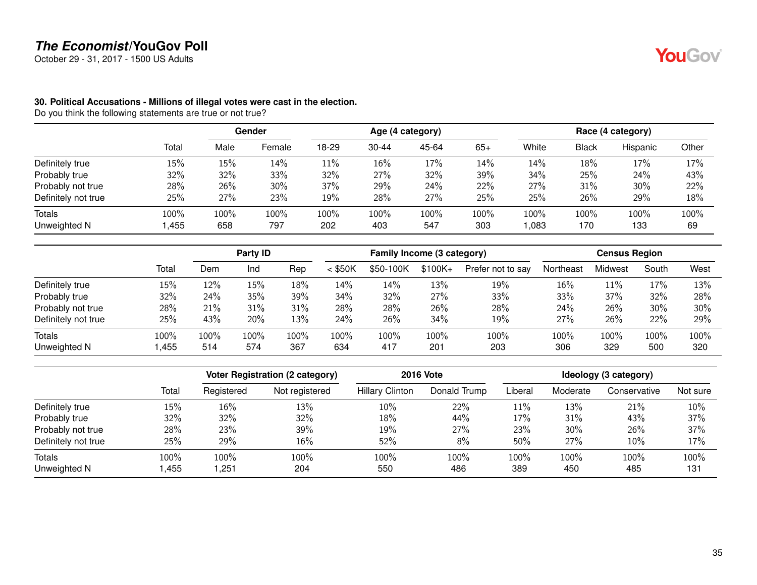October 29 - 31, 2017 - 1500 US Adults

#### <span id="page-34-0"></span>**30. Political Accusations - Millions of illegal votes were cast in the election.**

Do you think the following statements are true or not true?

|                        |              | Gender      |             |             |             | Age (4 category) |             | Race (4 category) |             |             |            |
|------------------------|--------------|-------------|-------------|-------------|-------------|------------------|-------------|-------------------|-------------|-------------|------------|
|                        | Total        | Male        | Female      | 18-29       | $30 - 44$   | 45-64            | $65+$       | White             | Black       | Hispanic    | Other      |
| Definitely true        | 15%          | 15%         | 14%         | $11\%$      | 16%         | 17%              | 14%         | 14%               | 18%         | 17%         | 17%        |
| Probably true          | 32%          | 32%         | 33%         | 32%         | 27%         | 32%              | 39%         | 34%               | 25%         | 24%         | 43%        |
| Probably not true      | 28%          | 26%         | 30%         | 37%         | 29%         | 24%              | 22%         | 27%               | 31%         | 30%         | 22%        |
| Definitely not true    | 25%          | 27%         | 23%         | 19%         | 28%         | 27%              | 25%         | 25%               | 26%         | 29%         | 18%        |
| Totals<br>Unweighted N | 100%<br>,455 | 100%<br>658 | 100%<br>797 | 100%<br>202 | 100%<br>403 | 100%<br>547      | 100%<br>303 | 100%<br>,083      | 100%<br>170 | 100%<br>133 | 100%<br>69 |

|                     |       |      | Party ID |      |           | Family Income (3 category) |           |                   |           | <b>Census Region</b> |       |      |
|---------------------|-------|------|----------|------|-----------|----------------------------|-----------|-------------------|-----------|----------------------|-------|------|
|                     | Total | Dem  | Ind      | Rep  | $<$ \$50K | \$50-100K                  | $$100K +$ | Prefer not to say | Northeast | Midwest              | South | West |
| Definitely true     | 15%   | 12%  | 15%      | 18%  | 14%       | 14%                        | 13%       | 19%               | 16%       | 11%                  | 17%   | 13%  |
| Probably true       | 32%   | 24%  | 35%      | 39%  | 34%       | 32%                        | 27%       | 33%               | 33%       | 37%                  | 32%   | 28%  |
| Probably not true   | 28%   | 21%  | 31%      | 31%  | 28%       | 28%                        | 26%       | 28%               | 24%       | 26%                  | 30%   | 30%  |
| Definitely not true | 25%   | 43%  | 20%      | 13%  | 24%       | 26%                        | 34%       | 19%               | 27%       | 26%                  | 22%   | 29%  |
| Totals              | 100%  | 100% | 100%     | 100% | 100%      | 100%                       | 100%      | 100%              | 100%      | 100%                 | 100%  | 100% |
| Unweighted N        | ,455  | 514  | 574      | 367  | 634       | 417                        | 201       | 203               | 306       | 329                  | 500   | 320  |

|                     |       |            | Voter Registration (2 category) |                        | <b>2016 Vote</b> | Ideology (3 category) |          |              |          |  |
|---------------------|-------|------------|---------------------------------|------------------------|------------------|-----------------------|----------|--------------|----------|--|
|                     | Total | Registered | Not registered                  | <b>Hillary Clinton</b> | Donald Trump     | Liberal               | Moderate | Conservative | Not sure |  |
| Definitely true     | 15%   | 16%        | 13%                             | 10%                    | 22%              | 11%                   | 13%      | 21%          | 10%      |  |
| Probably true       | 32%   | 32%        | 32%                             | 18%                    | 44%              | 17%                   | 31%      | 43%          | 37%      |  |
| Probably not true   | 28%   | 23%        | 39%                             | 19%                    | 27%              | 23%                   | 30%      | 26%          | 37%      |  |
| Definitely not true | 25%   | 29%        | 16%                             | 52%                    | 8%               | 50%                   | 27%      | 10%          | 17%      |  |
| <b>Totals</b>       | 100%  | 100%       | 100%                            | 100%                   | 100%             | 100%                  | 100%     | 100%         | 100%     |  |
| Unweighted N        | ,455  | ,251       | 204                             | 550                    | 486              | 389                   | 450      | 485          | 131      |  |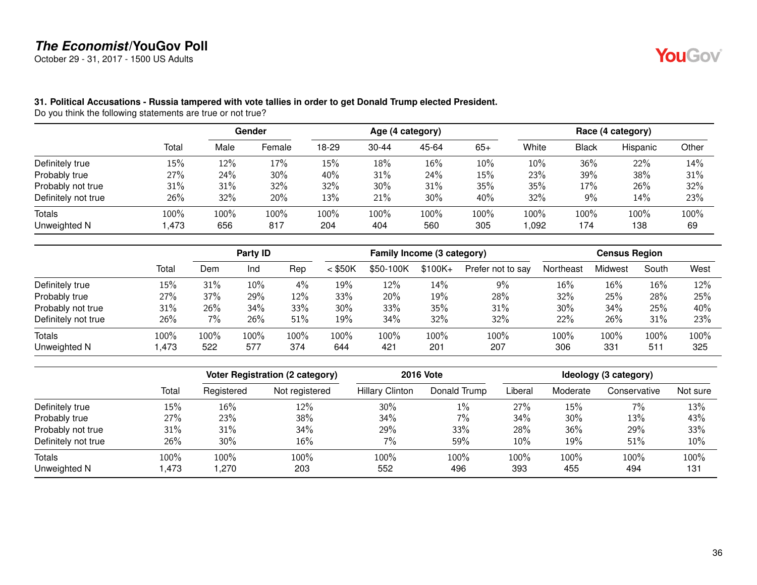October 29 - 31, 2017 - 1500 US Adults



#### <span id="page-35-0"></span>**31. Political Accusations - Russia tampered with vote tallies in order to get Donald Trump elected President.**

Do you think the following statements are true or not true?

|                     |       |      |        |       |           |       | Age (4 category) |       |              |          | Race (4 category) |  |
|---------------------|-------|------|--------|-------|-----------|-------|------------------|-------|--------------|----------|-------------------|--|
|                     | Total | Male | Female | 18-29 | $30 - 44$ | 45-64 | $65+$            | White | <b>Black</b> | Hispanic | Other             |  |
| Definitely true     | 15%   | 12%  | 17%    | 15%   | 18%       | 16%   | 10%              | 10%   | 36%          | 22%      | 14%               |  |
| Probably true       | 27%   | 24%  | 30%    | 40%   | 31%       | 24%   | 15%              | 23%   | 39%          | 38%      | 31%               |  |
| Probably not true   | 31%   | 31%  | 32%    | 32%   | 30%       | 31%   | 35%              | 35%   | 17%          | 26%      | 32%               |  |
| Definitely not true | 26%   | 32%  | 20%    | 13%   | 21%       | 30%   | 40%              | 32%   | 9%           | 14%      | 23%               |  |
| Totals              | 100%  | 100% | 100%   | 100%  | 100%      | 100%  | 100%             | 100%  | 100%         | 100%     | 100%              |  |
| Unweighted N        | 1,473 | 656  | 817    | 204   | 404       | 560   | 305              | ,092  | 174          | 138      | 69                |  |

|                     |       | Party ID |      |      | Family Income (3 category) |           |           |                   | <b>Census Region</b> |         |       |      |
|---------------------|-------|----------|------|------|----------------------------|-----------|-----------|-------------------|----------------------|---------|-------|------|
|                     | Total | Dem      | Ind  | Rep  | $<$ \$50K                  | \$50-100K | $$100K +$ | Prefer not to say | Northeast            | Midwest | South | West |
| Definitely true     | 15%   | 31%      | 10%  | 4%   | 19%                        | 12%       | 14%       | 9%                | 16%                  | 16%     | 16%   | 12%  |
| Probably true       | 27%   | 37%      | 29%  | 12%  | 33%                        | 20%       | 19%       | 28%               | 32%                  | 25%     | 28%   | 25%  |
| Probably not true   | 31%   | 26%      | 34%  | 33%  | 30%                        | 33%       | 35%       | 31%               | 30%                  | 34%     | 25%   | 40%  |
| Definitely not true | 26%   | 7%       | 26%  | 51%  | 19%                        | 34%       | 32%       | 32%               | 22%                  | 26%     | 31%   | 23%  |
| Totals              | 100%  | 100%     | 100% | 100% | 100%                       | 100%      | 100%      | 100%              | 100%                 | 100%    | 100%  | 100% |
| Unweighted N        | .473  | 522      | 577  | 374  | 644                        | 421       | 201       | 207               | 306                  | 331     | 511   | 325  |

|                        |               |              | Voter Registration (2 category) | <b>2016 Vote</b>       | Ideology (3 category) |             |             |              |             |
|------------------------|---------------|--------------|---------------------------------|------------------------|-----------------------|-------------|-------------|--------------|-------------|
|                        | Total         | Registered   | Not registered                  | <b>Hillary Clinton</b> | Donald Trump          | Liberal     | Moderate    | Conservative | Not sure    |
| Definitely true        | 15%           | $16\%$       | 12%                             | 30%                    | $1\%$                 | 27%         | 15%         | $7\%$        | 13%         |
| Probably true          | 27%           | 23%          | 38%                             | 34%                    | $7\%$                 | 34%         | 30%         | 13%          | 43%         |
| Probably not true      | 31%           | 31%          | 34%                             | 29%                    | 33%                   | 28%         | 36%         | 29%          | 33%         |
| Definitely not true    | 26%           | 30%          | 16%                             | $7\%$                  | 59%                   | 10%         | 19%         | 51%          | 10%         |
| Totals<br>Unweighted N | 100%<br>l.473 | 100%<br>.270 | 100%<br>203                     | 100%<br>552            | 100%<br>496           | 100%<br>393 | 100%<br>455 | 100%<br>494  | 100%<br>131 |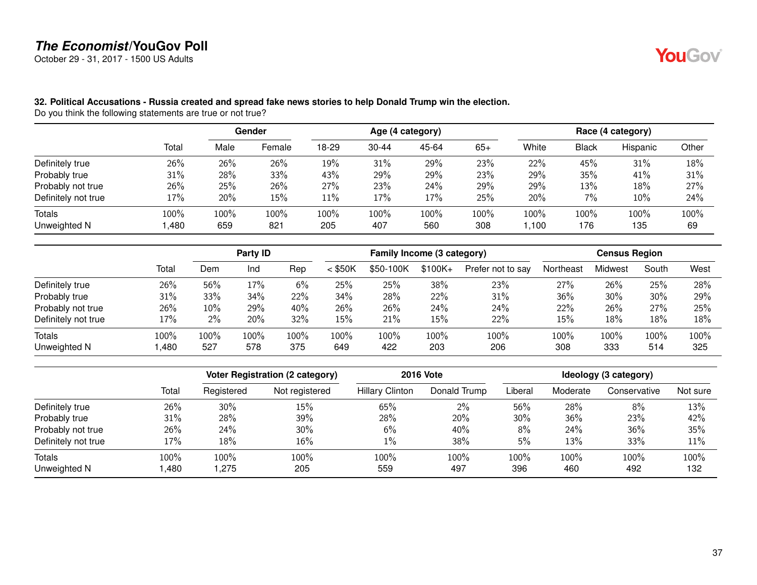October 29 - 31, 2017 - 1500 US Adults



#### **32. Political Accusations - Russia created and spread fake news stories to help Donald Trump win the election.**

Do you think the following statements are true or not true?

|                     |        | Gender |        | Age (4 category) |           |       |       | Race (4 category) |              |          |       |
|---------------------|--------|--------|--------|------------------|-----------|-------|-------|-------------------|--------------|----------|-------|
|                     | Total  | Male   | Female | 18-29            | $30 - 44$ | 45-64 | $65+$ | White             | <b>Black</b> | Hispanic | Other |
| Definitely true     | 26%    | 26%    | 26%    | 19%              | 31%       | 29%   | 23%   | 22%               | 45%          | 31%      | 18%   |
| Probably true       | $31\%$ | 28%    | 33%    | 43%              | 29%       | 29%   | 23%   | 29%               | 35%          | 41%      | 31%   |
| Probably not true   | 26%    | 25%    | 26%    | 27%              | 23%       | 24%   | 29%   | 29%               | 13%          | 18%      | 27%   |
| Definitely not true | 17%    | 20%    | 15%    | $11\%$           | 17%       | 17%   | 25%   | 20%               | 7%           | 10%      | 24%   |
| Totals              | 100%   | 100%   | 100%   | 100%             | 100%      | 100%  | 100%  | 100%              | 100%         | 100%     | 100%  |
| Unweighted N        | 1,480  | 659    | 821    | 205              | 407       | 560   | 308   | .100              | 176          | 135      | 69    |

|                     |       |         | <b>Party ID</b> |       |           | Family Income (3 category) |           |                   | <b>Census Region</b> |         |       |      |
|---------------------|-------|---------|-----------------|-------|-----------|----------------------------|-----------|-------------------|----------------------|---------|-------|------|
|                     | Total | Dem     | Ind             | Rep   | $<$ \$50K | \$50-100K                  | $$100K +$ | Prefer not to say | Northeast            | Midwest | South | West |
| Definitely true     | 26%   | 56%     | 17%             | $6\%$ | 25%       | 25%                        | 38%       | 23%               | 27%                  | 26%     | 25%   | 28%  |
| Probably true       | 31%   | 33%     | 34%             | 22%   | 34%       | 28%                        | 22%       | 31%               | 36%                  | 30%     | 30%   | 29%  |
| Probably not true   | 26%   | 10%     | 29%             | 40%   | 26%       | 26%                        | 24%       | 24%               | 22%                  | 26%     | 27%   | 25%  |
| Definitely not true | 17%   | 2%      | 20%             | 32%   | 15%       | 21%                        | 15%       | 22%               | 15%                  | 18%     | 18%   | 18%  |
| Totals              | 100%  | $100\%$ | 100%            | 100%  | 100%      | 100%                       | 100%      | 100%              | 100%                 | 100%    | 100%  | 100% |
| Unweighted N        | .480  | 527     | 578             | 375   | 649       | 422                        | 203       | 206               | 308                  | 333     | 514   | 325  |

|                        |              |              | Voter Registration (2 category) | <b>2016 Vote</b>       | Ideology (3 category) |             |             |              |             |
|------------------------|--------------|--------------|---------------------------------|------------------------|-----------------------|-------------|-------------|--------------|-------------|
|                        | Total        | Registered   | Not registered                  | <b>Hillary Clinton</b> | Donald Trump          | Liberal     | Moderate    | Conservative | Not sure    |
| Definitely true        | 26%          | 30%          | 15%                             | 65%                    | $2\%$                 | 56%         | 28%         | 8%           | 13%         |
| Probably true          | 31%          | 28%          | 39%                             | 28%                    | 20%                   | 30%         | 36%         | 23%          | 42%         |
| Probably not true      | 26%          | 24%          | 30%                             | 6%                     | 40%                   | 8%          | 24%         | 36%          | 35%         |
| Definitely not true    | 17%          | 18%          | 16%                             | $1\%$                  | 38%                   | 5%          | 13%         | 33%          | 11%         |
| Totals<br>Unweighted N | 100%<br>,480 | 100%<br>.275 | 100%<br>205                     | 100%<br>559            | 100%<br>497           | 100%<br>396 | 100%<br>460 | 100%<br>492  | 100%<br>132 |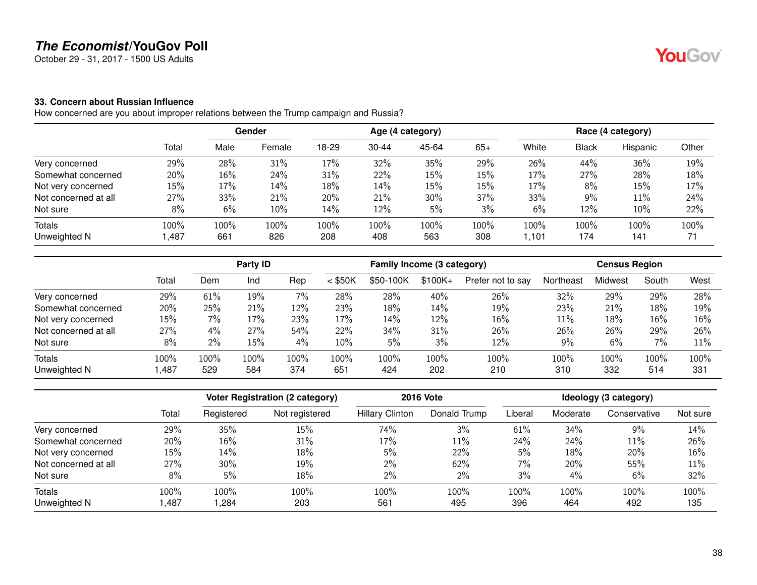October 29 - 31, 2017 - 1500 US Adults

#### **33. Concern about Russian Influence**

How concerned are you about improper relations between the Trump campaign and Russia?

|                      |        | Gender |        | Age (4 category) |           |       | Race (4 category) |       |       |          |       |
|----------------------|--------|--------|--------|------------------|-----------|-------|-------------------|-------|-------|----------|-------|
|                      | Total  | Male   | Female | 18-29            | $30 - 44$ | 45-64 | $65+$             | White | Black | Hispanic | Other |
| Very concerned       | 29%    | 28%    | 31%    | 17%              | 32%       | 35%   | 29%               | 26%   | 44%   | 36%      | 19%   |
| Somewhat concerned   | 20%    | 16%    | 24%    | 31%              | 22%       | 15%   | 15%               | 17%   | 27%   | 28%      | 18%   |
| Not very concerned   | 15%    | 17%    | 14%    | 18%              | 14%       | 15%   | 15%               | 17%   | 8%    | 15%      | 17%   |
| Not concerned at all | 27%    | 33%    | 21%    | 20%              | 21%       | 30%   | 37%               | 33%   | 9%    | 11%      | 24%   |
| Not sure             | 8%     | 6%     | 10%    | 14%              | 12%       | 5%    | 3%                | 6%    | 12%   | 10%      | 22%   |
| Totals               | 100%   | 100%   | 100%   | 100%             | 100%      | 100%  | 100%              | 100%  | 100%  | 100%     | 100%  |
| Unweighted N         | 487, ا | 661    | 826    | 208              | 408       | 563   | 308               | 1,101 | 174   | 141      | 71    |

|                      |       |       | Party ID |      |           | Family Income (3 category) |          |                   | <b>Census Region</b> |         |       |      |
|----------------------|-------|-------|----------|------|-----------|----------------------------|----------|-------------------|----------------------|---------|-------|------|
|                      | Total | Dem   | Ind      | Rep  | $<$ \$50K | \$50-100K                  | $$100K+$ | Prefer not to say | Northeast            | Midwest | South | West |
| Very concerned       | 29%   | 61%   | 19%      | 7%   | 28%       | 28%                        | 40%      | 26%               | 32%                  | 29%     | 29%   | 28%  |
| Somewhat concerned   | 20%   | 25%   | 21%      | 12%  | 23%       | 18%                        | 14%      | 19%               | 23%                  | 21%     | 18%   | 19%  |
| Not very concerned   | 15%   | 7%    | 17%      | 23%  | 17%       | 14%                        | 12%      | $16\%$            | 11%                  | 18%     | 16%   | 16%  |
| Not concerned at all | 27%   | 4%    | 27%      | 54%  | 22%       | 34%                        | 31%      | 26%               | 26%                  | 26%     | 29%   | 26%  |
| Not sure             | 8%    | $2\%$ | 15%      | 4%   | 10%       | 5%                         | 3%       | 12%               | $9\%$                | 6%      | 7%    | 11%  |
| <b>Totals</b>        | 100%  | 100%  | 100%     | 100% | 100%      | $100\%$                    | 100%     | 100%              | 100%                 | 100%    | 100%  | 100% |
| Unweighted N         | ,487  | 529   | 584      | 374  | 651       | 424                        | 202      | 210               | 310                  | 332     | 514   | 331  |

|                      |       |            | <b>2016 Vote</b><br><b>Voter Registration (2 category)</b> |                        |              |         | Ideology (3 category) |              |          |
|----------------------|-------|------------|------------------------------------------------------------|------------------------|--------------|---------|-----------------------|--------------|----------|
|                      | Total | Registered | Not registered                                             | <b>Hillary Clinton</b> | Donald Trump | Liberal | Moderate              | Conservative | Not sure |
| Very concerned       | 29%   | 35%        | 15%                                                        | 74%                    | 3%           | 61%     | 34%                   | 9%           | 14%      |
| Somewhat concerned   | 20%   | 16%        | 31%                                                        | 17%                    | 11%          | 24%     | 24%                   | 11%          | 26%      |
| Not very concerned   | 15%   | 14%        | 18%                                                        | 5%                     | 22%          | 5%      | 18%                   | 20%          | 16%      |
| Not concerned at all | 27%   | 30%        | 19%                                                        | $2\%$                  | 62%          | 7%      | 20%                   | 55%          | 11%      |
| Not sure             | 8%    | 5%         | 18%                                                        | 2%                     | 2%           | 3%      | 4%                    | 6%           | 32%      |
| <b>Totals</b>        | 100%  | 100%       | 100%                                                       | 100%                   | 100%         | 100%    | 100%                  | 100%         | 100%     |
| Unweighted N         | ,487  | ,284       | 203                                                        | 561                    | 495          | 396     | 464                   | 492          | 135      |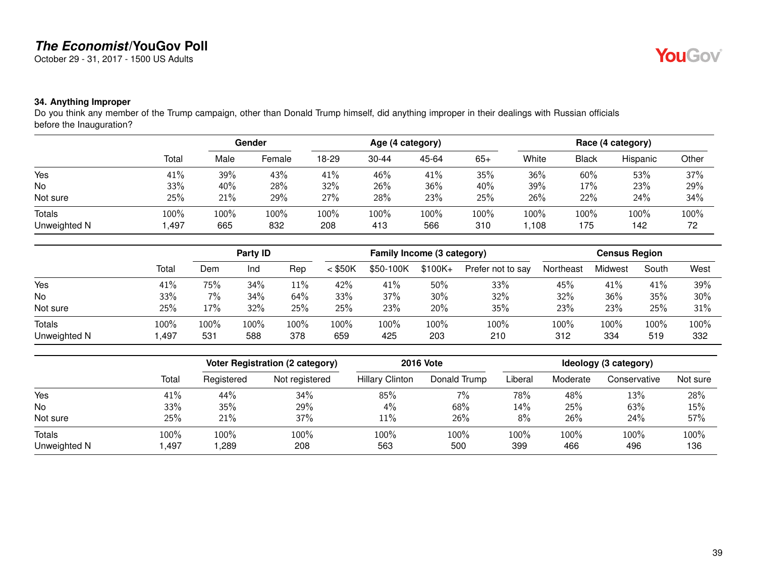October 29 - 31, 2017 - 1500 US Adults

## YouGov®

#### **34. Anything Improper**

Do you think any member of the Trump campaign, other than Donald Trump himself, did anything improper in their dealings with Russian officials before the Inauguration?

|                               |              | Gender      |             | Age (4 category) |                |             |             | Race (4 category) |              |             |            |
|-------------------------------|--------------|-------------|-------------|------------------|----------------|-------------|-------------|-------------------|--------------|-------------|------------|
|                               | Total        | Male        | Female      | 18-29            | $30 - 44$      | 45-64       | $65+$       | White             | <b>Black</b> | Hispanic    | Other      |
| Yes                           | 41%          | 39%         | 43%         | 41%              | 46%            | 41%         | 35%         | 36%               | 60%          | 53%         | 37%        |
| No                            | 33%          | 40%         | 28%         | 32%              | 26%            | 36%         | 40%         | 39%               | 17%          | 23%         | 29%        |
| Not sure                      | 25%          | 21%         | 29%         | 27%              | 28%            | 23%         | 25%         | 26%               | 22%          | 24%         | 34%        |
| <b>Totals</b><br>Unweighted N | 100%<br>,497 | 100%<br>665 | 100%<br>832 | 100%<br>208      | $100\%$<br>413 | 100%<br>566 | 100%<br>310 | 100%<br>,108      | 100%<br>175  | 100%<br>142 | 100%<br>72 |

|                        |              |             | Party ID    |             |             | Family Income (3 category) |             |                   | <b>Census Region</b> |             |             |             |
|------------------------|--------------|-------------|-------------|-------------|-------------|----------------------------|-------------|-------------------|----------------------|-------------|-------------|-------------|
|                        | Total        | Dem         | Ind         | Rep         | $<$ \$50K   | \$50-100K                  | $$100K +$   | Prefer not to say | Northeast            | Midwest     | South       | West        |
| Yes                    | 41%          | 75%         | 34%         | $11\%$      | 42%         | 41%                        | 50%         | 33%               | 45%                  | 41%         | 41%         | 39%         |
| <b>No</b>              | 33%          | $7\%$       | 34%         | 64%         | 33%         | 37%                        | 30%         | 32%               | 32%                  | 36%         | 35%         | 30%         |
| Not sure               | 25%          | 17%         | 32%         | 25%         | 25%         | 23%                        | 20%         | 35%               | 23%                  | 23%         | 25%         | 31%         |
| Totals<br>Unweighted N | 100%<br>,497 | 100%<br>531 | 100%<br>588 | 100%<br>378 | 100%<br>659 | 100%<br>425                | 100%<br>203 | 100%<br>210       | 100%<br>312          | 100%<br>334 | 100%<br>519 | 100%<br>332 |

|              |       |            | Voter Registration (2 category) |                        | <b>2016 Vote</b> |         |          | Ideology (3 category) |          |  |  |  |
|--------------|-------|------------|---------------------------------|------------------------|------------------|---------|----------|-----------------------|----------|--|--|--|
|              | Total | Registered | Not registered                  | <b>Hillary Clinton</b> | Donald Trump     | Liberal | Moderate | Conservative          | Not sure |  |  |  |
| Yes          | 41%   | 44%        | 34%                             | 85%                    | $7\%$            | 78%     | 48%      | 13%                   | 28%      |  |  |  |
| No           | 33%   | 35%        | 29%                             | 4%                     | 68%              | 14%     | 25%      | 63%                   | 15%      |  |  |  |
| Not sure     | 25%   | 21%        | 37%                             | $11\%$                 | 26%              | 8%      | 26%      | 24%                   | 57%      |  |  |  |
| Totals       | 100%  | 100%       | 100%                            | 100%                   | 100%             | 100%    | 100%     | 100%                  | 100%     |  |  |  |
| Unweighted N | ,497  | ,289       | 208                             | 563                    | 500              | 399     | 466      | 496                   | 136      |  |  |  |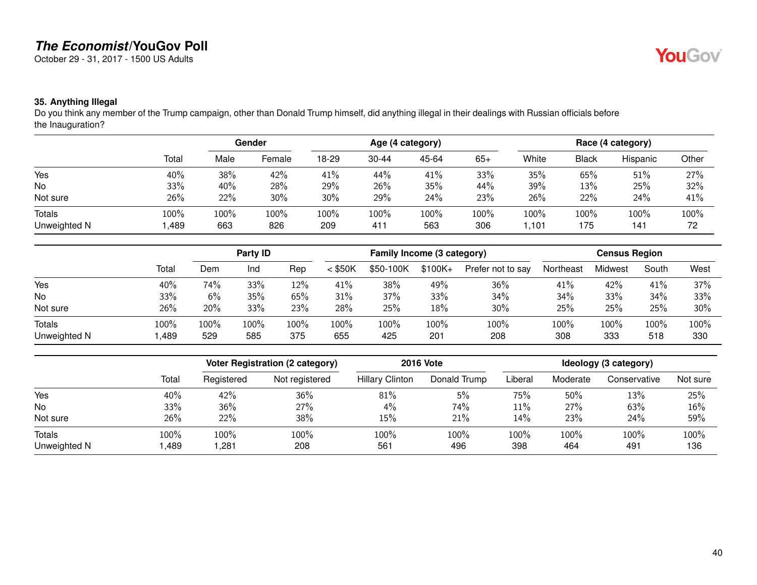October 29 - 31, 2017 - 1500 US Adults

## YouGov®

#### **35. Anything Illegal**

Do you think any member of the Trump campaign, other than Donald Trump himself, did anything illegal in their dealings with Russian officials before the Inauguration?

|                               |              | Gender      |             | Age (4 category) |                |             |             | Race (4 category) |              |             |            |
|-------------------------------|--------------|-------------|-------------|------------------|----------------|-------------|-------------|-------------------|--------------|-------------|------------|
|                               | Total        | Male        | Female      | 18-29            | $30 - 44$      | 45-64       | $65+$       | White             | <b>Black</b> | Hispanic    | Other      |
| Yes                           | 40%          | 38%         | 42%         | 41%              | 44%            | 41%         | 33%         | 35%               | 65%          | 51%         | 27%        |
| No                            | 33%          | 40%         | 28%         | 29%              | 26%            | 35%         | 44%         | 39%               | 13%          | 25%         | 32%        |
| Not sure                      | 26%          | 22%         | 30%         | 30%              | 29%            | 24%         | 23%         | 26%               | 22%          | 24%         | 41%        |
| <b>Totals</b><br>Unweighted N | 100%<br>,489 | 100%<br>663 | 100%<br>826 | 100%<br>209      | $100\%$<br>411 | 100%<br>563 | 100%<br>306 | 100%<br>101, ا    | 100%<br>175  | 100%<br>141 | 100%<br>72 |

|                               |              |             | Party ID    |             |             | Family Income (3 category) |             |                   |             | <b>Census Region</b> |             |             |
|-------------------------------|--------------|-------------|-------------|-------------|-------------|----------------------------|-------------|-------------------|-------------|----------------------|-------------|-------------|
|                               | Total        | Dem         | Ind         | Rep         | $<$ \$50K   | \$50-100K                  | $$100K +$   | Prefer not to say | Northeast   | Midwest              | South       | West        |
| Yes                           | 40%          | 74%         | 33%         | 12%         | 41%         | 38%                        | 49%         | 36%               | 41%         | 42%                  | 41%         | 37%         |
| No                            | 33%          | 6%          | 35%         | 65%         | 31%         | 37%                        | 33%         | 34%               | 34%         | 33%                  | 34%         | 33%         |
| Not sure                      | 26%          | 20%         | 33%         | 23%         | 28%         | 25%                        | 18%         | 30%               | 25%         | 25%                  | 25%         | 30%         |
| <b>Totals</b><br>Unweighted N | 100%<br>,489 | 100%<br>529 | 100%<br>585 | 100%<br>375 | 100%<br>655 | 100%<br>425                | 100%<br>201 | 100%<br>208       | 100%<br>308 | 100%<br>333          | 100%<br>518 | 100%<br>330 |

|              |       |            | Voter Registration (2 category) | <b>2016 Vote</b>       |              |         |          |              |          |
|--------------|-------|------------|---------------------------------|------------------------|--------------|---------|----------|--------------|----------|
|              | Total | Registered | Not registered                  | <b>Hillary Clinton</b> | Donald Trump | Liberal | Moderate | Conservative | Not sure |
| Yes          | 40%   | 42%        | 36%                             | 81%                    | 5%           | 75%     | 50%      | 13%          | 25%      |
| No           | 33%   | 36%        | 27%                             | 4%                     | 74%          | $11\%$  | 27%      | 63%          | 16%      |
| Not sure     | 26%   | 22%        | 38%                             | 15%                    | 21%          | 14%     | 23%      | 24%          | 59%      |
| Totals       | 100%  | 100%       | 100%                            | 100%                   | 100%         | 100%    | 100%     | 100%         | 100%     |
| Unweighted N | ,489  | ,281       | 208                             | 561                    | 496          | 398     | 464      | 491          | 136      |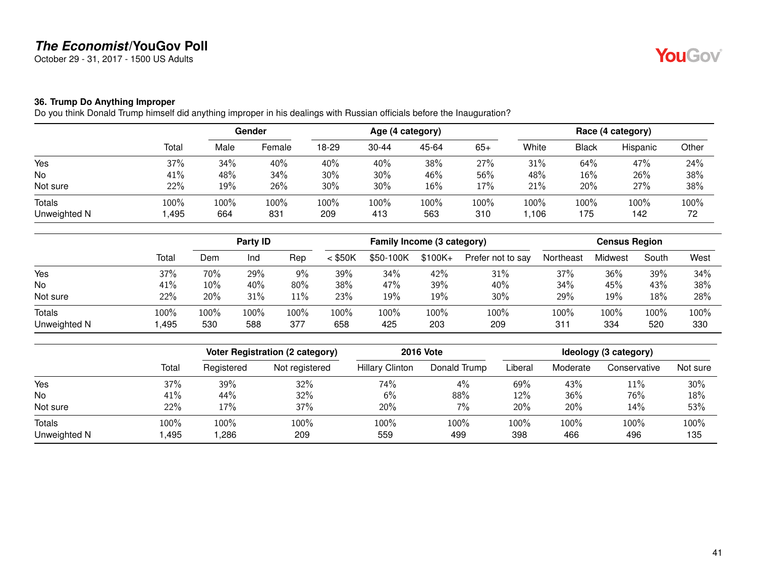October 29 - 31, 2017 - 1500 US Adults

#### **36. Trump Do Anything Improper**

Do you think Donald Trump himself did anything improper in his dealings with Russian officials before the Inauguration?

|               |       | Gender |        | Age (4 category) |           |       |       | Race (4 category) |       |          |       |
|---------------|-------|--------|--------|------------------|-----------|-------|-------|-------------------|-------|----------|-------|
|               | Total | Male   | Female | 18-29            | $30 - 44$ | 45-64 | $65+$ | White             | Black | Hispanic | Other |
| Yes           | 37%   | 34%    | 40%    | 40%              | 40%       | 38%   | 27%   | 31%               | 64%   | 47%      | 24%   |
| No            | 41%   | 48%    | 34%    | 30%              | 30%       | 46%   | 56%   | 48%               | 16%   | 26%      | 38%   |
| Not sure      | 22%   | 19%    | 26%    | 30%              | 30%       | 16%   | 17%   | 21%               | 20%   | 27%      | 38%   |
| <b>Totals</b> | 100%  | 100%   | 100%   | 100%             | 100%      | 100%  | 100%  | 100%              | 100%  | 100%     | 100%  |
| Unweighted N  | ,495  | 664    | 831    | 209              | 413       | 563   | 310   | ,106              | 175   | 142      | 72    |

|                        |              |             | Party <b>ID</b> |             |             | Family Income (3 category) |             |                   |             | <b>Census Region</b> |             |             |
|------------------------|--------------|-------------|-----------------|-------------|-------------|----------------------------|-------------|-------------------|-------------|----------------------|-------------|-------------|
|                        | Total        | Dem         | Ind             | Rep         | $<$ \$50K   | \$50-100K                  | $$100K +$   | Prefer not to say | Northeast   | Midwest              | South       | West        |
| Yes                    | 37%          | 70%         | 29%             | 9%          | 39%         | 34%                        | 42%         | 31%               | 37%         | 36%                  | 39%         | 34%         |
| No                     | 41%          | 10%         | 40%             | 80%         | 38%         | 47%                        | 39%         | 40%               | 34%         | 45%                  | 43%         | 38%         |
| Not sure               | 22%          | 20%         | 31%             | 11%         | 23%         | 19%                        | 19%         | 30%               | 29%         | 19%                  | 18%         | 28%         |
| Totals<br>Unweighted N | 100%<br>,495 | 100%<br>530 | 100%<br>588     | 100%<br>377 | 100%<br>658 | 100%<br>425                | 100%<br>203 | 100%<br>209       | 100%<br>311 | 100%<br>334          | 100%<br>520 | 100%<br>330 |

|                        |              |              | <b>Voter Registration (2 category)</b> | <b>2016 Vote</b>       | Ideology (3 category) |             |             |              |             |
|------------------------|--------------|--------------|----------------------------------------|------------------------|-----------------------|-------------|-------------|--------------|-------------|
|                        | Total        | Registered   | Not registered                         | <b>Hillary Clinton</b> | Donald Trump          | Liberal     | Moderate    | Conservative | Not sure    |
| Yes                    | 37%          | 39%          | 32%                                    | 74%                    | $4\%$                 | 69%         | 43%         | 11%          | 30%         |
| No                     | 41%          | 44%          | 32%                                    | 6%                     | 88%                   | 12%         | 36%         | 76%          | 18%         |
| Not sure               | 22%          | 17%          | 37%                                    | 20%                    | $7\%$                 | 20%         | 20%         | 14%          | 53%         |
| Totals<br>Unweighted N | 100%<br>,495 | 100%<br>,286 | 100%<br>209                            | 100%<br>559            | 100%<br>499           | 100%<br>398 | 100%<br>466 | 100%<br>496  | 100%<br>135 |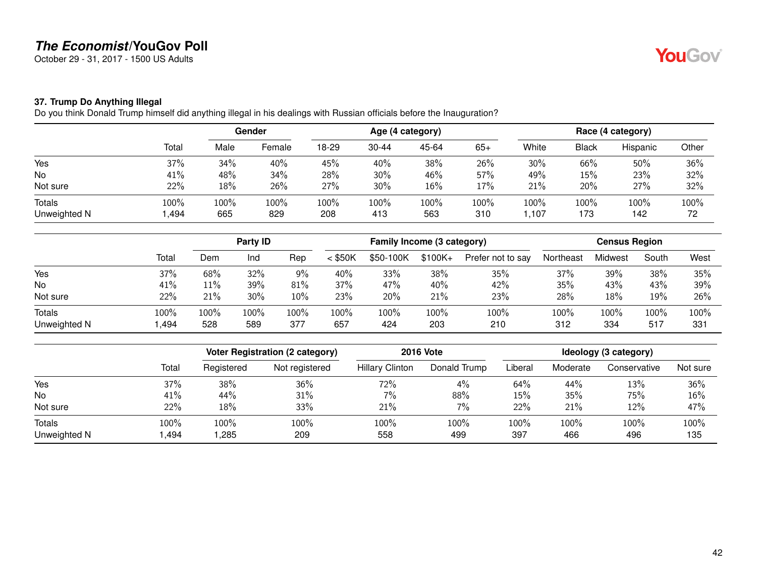October 29 - 31, 2017 - 1500 US Adults

#### **37. Trump Do Anything Illegal**

Do you think Donald Trump himself did anything illegal in his dealings with Russian officials before the Inauguration?

|                        |              | <b>Gender</b> |             | Age (4 category) |             |             |             | Race (4 category) |              |             |            |
|------------------------|--------------|---------------|-------------|------------------|-------------|-------------|-------------|-------------------|--------------|-------------|------------|
|                        | Total        | Male          | Female      | 18-29            | $30 - 44$   | 45-64       | $65+$       | White             | <b>Black</b> | Hispanic    | Other      |
| Yes                    | 37%          | 34%           | 40%         | 45%              | 40%         | 38%         | 26%         | 30%               | 66%          | 50%         | 36%        |
| No                     | 41%          | 48%           | 34%         | 28%              | 30%         | 46%         | 57%         | 49%               | 15%          | 23%         | 32%        |
| Not sure               | 22%          | 18%           | 26%         | 27%              | 30%         | 16%         | 17%         | 21%               | 20%          | 27%         | 32%        |
| Totals<br>Unweighted N | 100%<br>,494 | 100%<br>665   | 100%<br>829 | 100%<br>208      | 100%<br>413 | 100%<br>563 | 100%<br>310 | 100%<br>,107      | 100%<br>173  | 100%<br>142 | 100%<br>72 |

|              |       | Party <b>ID</b> |      |      | Family Income (3 category) |           |          |                   | <b>Census Region</b> |         |       |      |
|--------------|-------|-----------------|------|------|----------------------------|-----------|----------|-------------------|----------------------|---------|-------|------|
|              | Total | Dem             | Ind  | Rep  | $<$ \$50K                  | \$50-100K | $$100K+$ | Prefer not to say | Northeast            | Midwest | South | West |
| Yes          | 37%   | 68%             | 32%  | 9%   | 40%                        | 33%       | 38%      | 35%               | 37%                  | 39%     | 38%   | 35%  |
| No           | 41%   | 11%             | 39%  | 81%  | 37%                        | 47%       | 40%      | 42%               | 35%                  | 43%     | 43%   | 39%  |
| Not sure     | 22%   | 21%             | 30%  | 10%  | 23%                        | 20%       | 21%      | 23%               | 28%                  | 18%     | 19%   | 26%  |
| Totals       | 100%  | 100%            | 100% | 100% | 100%                       | 100%      | 100%     | 100%              | 100%                 | 100%    | 100%  | 100% |
| Unweighted N | ,494  | 528             | 589  | 377  | 657                        | 424       | 203      | 210               | 312                  | 334     | 517   | 331  |

|               |       |            | <b>Voter Registration (2 category)</b> |                        | <b>2016 Vote</b> |         |          | Ideology (3 category) |          |  |  |
|---------------|-------|------------|----------------------------------------|------------------------|------------------|---------|----------|-----------------------|----------|--|--|
|               | Total | Registered | Not registered                         | <b>Hillary Clinton</b> | Donald Trump     | Liberal | Moderate | Conservative          | Not sure |  |  |
| Yes           | 37%   | 38%        | 36%                                    | 72%                    | $4\%$            | 64%     | 44%      | 13%                   | 36%      |  |  |
| No            | 41%   | 44%        | 31%                                    | $7\%$                  | 88%              | 15%     | 35%      | 75%                   | 16%      |  |  |
| Not sure      | 22%   | 18%        | 33%                                    | 21%                    | $7\%$            | 22%     | 21%      | 12%                   | 47%      |  |  |
| <b>Totals</b> | 100%  | 100%       | 100%                                   | 100%                   | 100%             | 100%    | 100%     | 100%                  | 100%     |  |  |
| Unweighted N  | ,494  | 1,285      | 209                                    | 558                    | 499              | 397     | 466      | 496                   | 135      |  |  |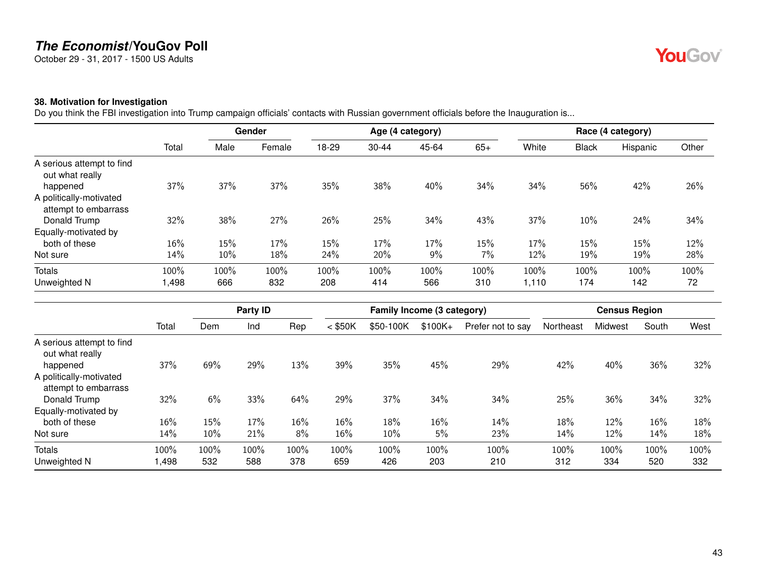October 29 - 31, 2017 - 1500 US Adults

#### **38. Motivation for Investigation**

Do you think the FBI investigation into Trump campaign officials' contacts with Russian government officials before the Inauguration is...

|                                                 |       |      | Gender |       |           | Age (4 category) |       |       |              | Race (4 category) |       |
|-------------------------------------------------|-------|------|--------|-------|-----------|------------------|-------|-------|--------------|-------------------|-------|
|                                                 | Total | Male | Female | 18-29 | $30 - 44$ | 45-64            | $65+$ | White | <b>Black</b> | Hispanic          | Other |
| A serious attempt to find<br>out what really    |       |      |        |       |           |                  |       |       |              |                   |       |
| happened                                        | 37%   | 37%  | 37%    | 35%   | 38%       | 40%              | 34%   | 34%   | 56%          | 42%               | 26%   |
| A politically-motivated<br>attempt to embarrass |       |      |        |       |           |                  |       |       |              |                   |       |
| Donald Trump                                    | 32%   | 38%  | 27%    | 26%   | 25%       | 34%              | 43%   | 37%   | 10%          | 24%               | 34%   |
| Equally-motivated by                            |       |      |        |       |           |                  |       |       |              |                   |       |
| both of these                                   | 16%   | 15%  | 17%    | 15%   | 17%       | 17%              | 15%   | 17%   | 15%          | 15%               | 12%   |
| Not sure                                        | 14%   | 10%  | 18%    | 24%   | 20%       | 9%               | 7%    | 12%   | 19%          | 19%               | 28%   |
| Totals                                          | 100%  | 100% | 100%   | 100%  | 100%      | 100%             | 100%  | 100%  | 100%         | 100%              | 100%  |
| Unweighted N                                    | ,498  | 666  | 832    | 208   | 414       | 566              | 310   | 1,110 | 174          | 142               | 72    |

|                                                             |       |      | Party ID |      |           | Family Income (3 category) |          |                   |           | <b>Census Region</b> |       |      |
|-------------------------------------------------------------|-------|------|----------|------|-----------|----------------------------|----------|-------------------|-----------|----------------------|-------|------|
|                                                             | Total | Dem  | Ind      | Rep  | $<$ \$50K | \$50-100K                  | $$100K+$ | Prefer not to say | Northeast | Midwest              | South | West |
| A serious attempt to find<br>out what really                |       |      |          |      |           |                            |          |                   |           |                      |       |      |
| happened<br>A politically-motivated<br>attempt to embarrass | 37%   | 69%  | 29%      | 13%  | 39%       | 35%                        | 45%      | 29%               | 42%       | 40%                  | 36%   | 32%  |
| Donald Trump                                                | 32%   | 6%   | 33%      | 64%  | 29%       | 37%                        | 34%      | 34%               | 25%       | 36%                  | 34%   | 32%  |
| Equally-motivated by                                        |       |      |          |      |           |                            |          |                   |           |                      |       |      |
| both of these                                               | 16%   | 15%  | 17%      | 16%  | 16%       | 18%                        | $16\%$   | 14%               | 18%       | 12%                  | 16%   | 18%  |
| Not sure                                                    | 14%   | 10%  | 21%      | 8%   | 16%       | 10%                        | 5%       | 23%               | 14%       | 12%                  | 14%   | 18%  |
| Totals                                                      | 100%  | 100% | $100\%$  | 100% | 100%      | 100%                       | 100%     | 100%              | 100%      | 100%                 | 100%  | 100% |
| Unweighted N                                                | ,498  | 532  | 588      | 378  | 659       | 426                        | 203      | 210               | 312       | 334                  | 520   | 332  |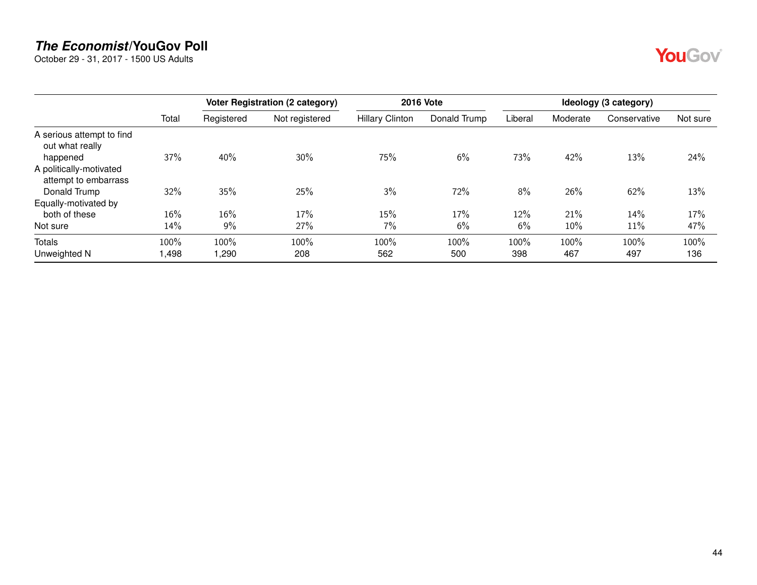October 29 - 31, 2017 - 1500 US Adults

|                                                             |       | <b>2016 Vote</b><br>Voter Registration (2 category) |                |                        | Ideology (3 category) |         |          |              |          |
|-------------------------------------------------------------|-------|-----------------------------------------------------|----------------|------------------------|-----------------------|---------|----------|--------------|----------|
|                                                             | Total | Registered                                          | Not registered | <b>Hillary Clinton</b> | Donald Trump          | Liberal | Moderate | Conservative | Not sure |
| A serious attempt to find<br>out what really                | 37%   | 40%                                                 | 30%            | 75%                    | 6%                    | 73%     | 42%      | 13%          | 24%      |
| happened<br>A politically-motivated<br>attempt to embarrass |       |                                                     |                |                        |                       |         |          |              |          |
| Donald Trump                                                | 32%   | 35%                                                 | 25%            | 3%                     | 72%                   | 8%      | 26%      | 62%          | 13%      |
| Equally-motivated by                                        |       |                                                     |                |                        |                       |         |          |              |          |
| both of these                                               | 16%   | 16%                                                 | 17%            | 15%                    | 17%                   | 12%     | 21%      | 14%          | 17%      |
| Not sure                                                    | 14%   | 9%                                                  | 27%            | 7%                     | 6%                    | 6%      | 10%      | 11%          | 47%      |
| Totals                                                      | 100%  | 100%                                                | 100%           | 100%                   | 100%                  | 100%    | 100%     | 100%         | 100%     |
| Unweighted N                                                | 1,498 | ,290                                                | 208            | 562                    | 500                   | 398     | 467      | 497          | 136      |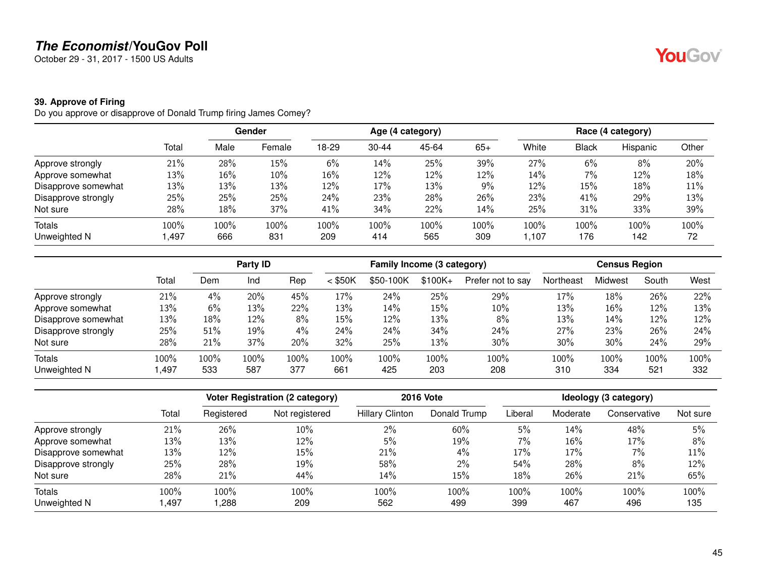October 29 - 31, 2017 - 1500 US Adults

#### **39. Approve of Firing**

Do you approve or disapprove of Donald Trump firing James Comey?

|                     |        |      | Gender |       | Age (4 category) |       |       |        | Race (4 category) |          |       |  |
|---------------------|--------|------|--------|-------|------------------|-------|-------|--------|-------------------|----------|-------|--|
|                     | Total  | Male | Female | 18-29 | $30 - 44$        | 45-64 | $65+$ | White  | <b>Black</b>      | Hispanic | Other |  |
| Approve strongly    | 21%    | 28%  | 15%    | 6%    | 14%              | 25%   | 39%   | 27%    | 6%                | 8%       | 20%   |  |
| Approve somewhat    | 13%    | 16%  | 10%    | 16%   | 12%              | 12%   | 12%   | 14%    | 7%                | 12%      | 18%   |  |
| Disapprove somewhat | 13%    | 13%  | 13%    | 12%   | 17%              | 13%   | $9\%$ | 12%    | 15%               | 18%      | 11%   |  |
| Disapprove strongly | 25%    | 25%  | 25%    | 24%   | 23%              | 28%   | 26%   | 23%    | 41%               | 29%      | 13%   |  |
| Not sure            | 28%    | 18%  | 37%    | 41%   | 34%              | 22%   | 14%   | 25%    | 31%               | 33%      | 39%   |  |
| Totals              | 100%   | 100% | 100%   | 100%  | 100%             | 100%  | 100%  | 100%   | 100%              | 100%     | 100%  |  |
| Unweighted N        | 497, ا | 666  | 831    | 209   | 414              | 565   | 309   | 107, ا | 176               | 142      | 72    |  |

|                     |       |      | Party ID |      | Family Income (3 category) |           |           |                   | <b>Census Region</b> |         |       |      |
|---------------------|-------|------|----------|------|----------------------------|-----------|-----------|-------------------|----------------------|---------|-------|------|
|                     | Total | Dem  | Ind      | Rep  | $<$ \$50K                  | \$50-100K | $$100K +$ | Prefer not to say | Northeast            | Midwest | South | West |
| Approve strongly    | 21%   | 4%   | 20%      | 45%  | 17%                        | 24%       | 25%       | 29%               | 17%                  | 18%     | 26%   | 22%  |
| Approve somewhat    | 13%   | 6%   | 13%      | 22%  | 13%                        | 14%       | 15%       | 10%               | 13%                  | 16%     | 12%   | 13%  |
| Disapprove somewhat | 13%   | 18%  | 12%      | 8%   | 15%                        | 12%       | 13%       | 8%                | 13%                  | 14%     | 12%   | 12%  |
| Disapprove strongly | 25%   | 51%  | 19%      | 4%   | 24%                        | 24%       | 34%       | 24%               | 27%                  | 23%     | 26%   | 24%  |
| Not sure            | 28%   | 21%  | 37%      | 20%  | 32%                        | 25%       | 13%       | 30%               | 30%                  | 30%     | 24%   | 29%  |
| Totals              | 100%  | 100% | 100%     | 100% | 100%                       | 100%      | 100%      | 100%              | 100%                 | 100%    | 100%  | 100% |
| Unweighted N        | .497  | 533  | 587      | 377  | 661                        | 425       | 203       | 208               | 310                  | 334     | 521   | 332  |

|                     |       |            | <b>Voter Registration (2 category)</b> |                        | <b>2016 Vote</b> |         |          |              | Ideology (3 category) |  |
|---------------------|-------|------------|----------------------------------------|------------------------|------------------|---------|----------|--------------|-----------------------|--|
|                     | Total | Registered | Not registered                         | <b>Hillary Clinton</b> | Donald Trump     | Liberal | Moderate | Conservative | Not sure              |  |
| Approve strongly    | 21%   | 26%        | 10%                                    | 2%                     | 60%              | 5%      | 14%      | 48%          | 5%                    |  |
| Approve somewhat    | 13%   | 13%        | 12%                                    | 5%                     | 19%              | 7%      | 16%      | 17%          | 8%                    |  |
| Disapprove somewhat | 13%   | 12%        | 15%                                    | 21%                    | 4%               | 17%     | 17%      | 7%           | 11%                   |  |
| Disapprove strongly | 25%   | 28%        | 19%                                    | 58%                    | $2\%$            | 54%     | 28%      | 8%           | 12%                   |  |
| Not sure            | 28%   | 21%        | 44%                                    | 14%                    | 15%              | 18%     | 26%      | 21%          | 65%                   |  |
| <b>Totals</b>       | 100%  | 100%       | 100%                                   | 100%                   | 100%             | 100%    | 100%     | 100%         | 100%                  |  |
| Unweighted N        | ,497  | ,288       | 209                                    | 562                    | 499              | 399     | 467      | 496          | 135                   |  |

45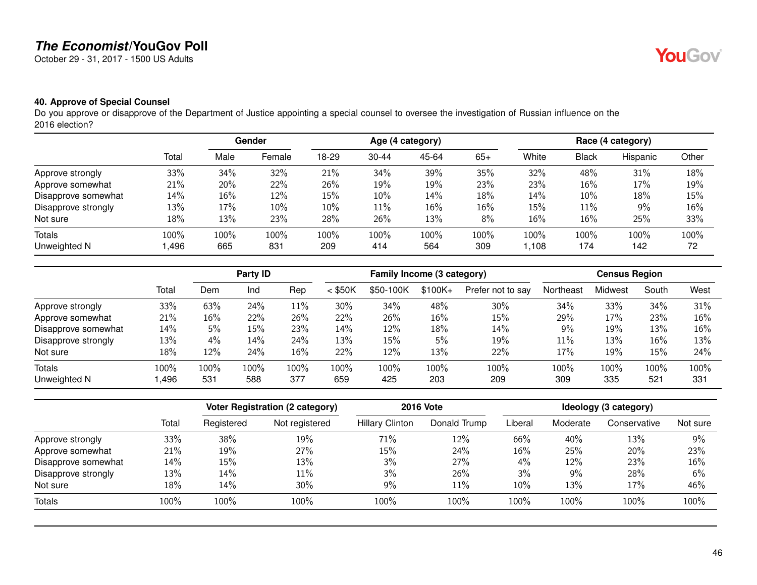October 29 - 31, 2017 - 1500 US Adults

## **40. Approve of Special Counsel**

Do you approve or disapprove of the Department of Justice appointing a special counsel to oversee the investigation of Russian influence on the 2016 election?

|                     |       |      | <b>Gender</b> |        |           | Age (4 category) |       |        |              | Race (4 category) |       |
|---------------------|-------|------|---------------|--------|-----------|------------------|-------|--------|--------------|-------------------|-------|
|                     | Total | Male | Female        | 18-29  | $30 - 44$ | 45-64            | $65+$ | White  | <b>Black</b> | Hispanic          | Other |
| Approve strongly    | 33%   | 34%  | 32%           | 21%    | 34%       | 39%              | 35%   | 32%    | 48%          | 31%               | 18%   |
| Approve somewhat    | 21%   | 20%  | 22%           | 26%    | 19%       | 19%              | 23%   | 23%    | 16%          | 17%               | 19%   |
| Disapprove somewhat | 14%   | 16%  | 12%           | 15%    | 10%       | 14%              | 18%   | 14%    | 10%          | 18%               | 15%   |
| Disapprove strongly | 13%   | 17%  | 10%           | $10\%$ | $11\%$    | 16%              | 16%   | $15\%$ | 11%          | 9%                | 16%   |
| Not sure            | 18%   | 13%  | 23%           | 28%    | 26%       | 13%              | 8%    | 16%    | 16%          | 25%               | 33%   |
| Totals              | 100%  | 100% | 100%          | 100%   | 100%      | 100%             | 100%  | 100%   | 100%         | 100%              | 100%  |
| Unweighted N        | ,496  | 665  | 831           | 209    | 414       | 564              | 309   | 1,108  | 174          | 142               | 72    |

|                     |       |       | Party ID |        |           | Family Income (3 category) |          |                   |           | <b>Census Region</b> |       |      |
|---------------------|-------|-------|----------|--------|-----------|----------------------------|----------|-------------------|-----------|----------------------|-------|------|
|                     | Total | Dem   | Ind      | Rep    | $<$ \$50K | \$50-100K                  | $$100K+$ | Prefer not to say | Northeast | <b>Midwest</b>       | South | West |
| Approve strongly    | 33%   | 63%   | 24%      | $11\%$ | 30%       | 34%                        | 48%      | 30%               | 34%       | 33%                  | 34%   | 31%  |
| Approve somewhat    | 21%   | 16%   | 22%      | 26%    | 22%       | 26%                        | 16%      | 15%               | 29%       | 17%                  | 23%   | 16%  |
| Disapprove somewhat | 14%   | 5%    | 15%      | 23%    | 14%       | 12%                        | 18%      | 14%               | 9%        | 19%                  | 13%   | 16%  |
| Disapprove strongly | 13%   | $4\%$ | 14%      | 24%    | 13%       | 15%                        | 5%       | 19%               | 11%       | 13%                  | 16%   | 13%  |
| Not sure            | 18%   | 12%   | 24%      | 16%    | 22%       | 12%                        | 13%      | 22%               | 17%       | 19%                  | 15%   | 24%  |
| Totals              | 100%  | 100%  | 100%     | 100%   | 100%      | 100%                       | 100%     | 100%              | 100%      | 100%                 | 100%  | 100% |
| Unweighted N        | ,496  | 531   | 588      | 377    | 659       | 425                        | 203      | 209               | 309       | 335                  | 521   | 331  |

|                     |       |            | Voter Registration (2 category) |                        | <b>2016 Vote</b> |         |          | Ideology (3 category) |          |
|---------------------|-------|------------|---------------------------------|------------------------|------------------|---------|----------|-----------------------|----------|
|                     | Total | Registered | Not registered                  | <b>Hillary Clinton</b> | Donald Trump     | Liberal | Moderate | Conservative          | Not sure |
| Approve strongly    | 33%   | 38%        | 19%                             | 71%                    | 12%              | 66%     | 40%      | 13%                   | 9%       |
| Approve somewhat    | 21%   | 19%        | 27%                             | 15%                    | 24%              | 16%     | 25%      | 20%                   | 23%      |
| Disapprove somewhat | 14%   | 15%        | 13%                             | 3%                     | 27%              | $4\%$   | $12\%$   | 23%                   | 16%      |
| Disapprove strongly | 13%   | 14%        | 11%                             | 3%                     | 26%              | 3%      | 9%       | 28%                   | 6%       |
| Not sure            | 18%   | 14%        | 30%                             | 9%                     | 11%              | 10%     | 13%      | 17%                   | 46%      |
| Totals              | 100%  | 100%       | 100%                            | 100%                   | 100%             | 100%    | 100%     | 100%                  | 100%     |

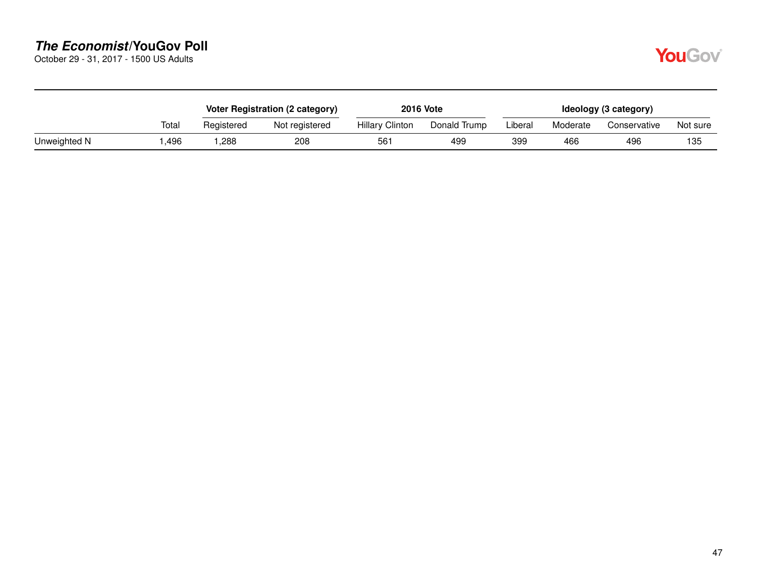October 29 - 31, 2017 - 1500 US Adults

|              |       |            | Voter Registration (2 category) |                        | <b>2016 Vote</b> |         |          | Ideology (3 category) |          |
|--------------|-------|------------|---------------------------------|------------------------|------------------|---------|----------|-----------------------|----------|
|              | Total | Registered | Not registered                  | <b>Hillary Clinton</b> | Donald Trump     | Liberal | Moderate | Conservative          | Not sure |
| Unweighted N | .496  | ,288       | 208                             | 561                    | 499              | 399     | 466      | 496                   | 135      |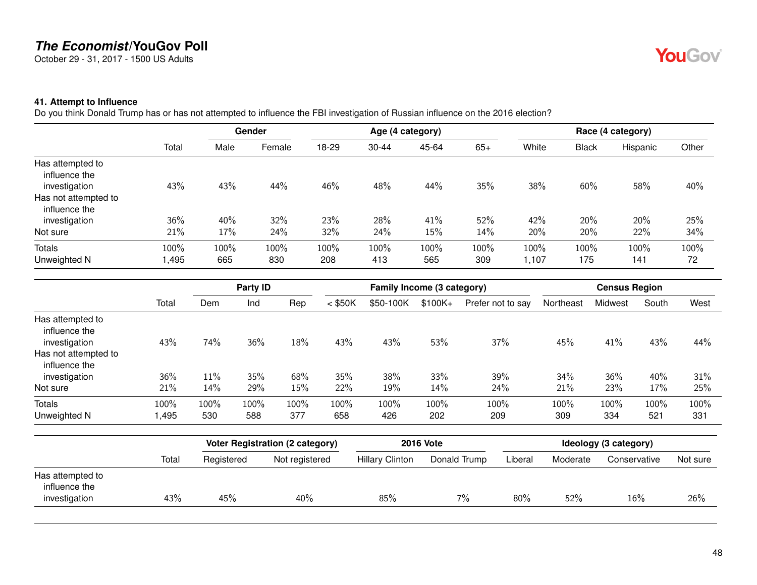October 29 - 31, 2017 - 1500 US Adults

# YouGov®

#### **41. Attempt to Influence**

Do you think Donald Trump has or has not attempted to influence the FBI investigation of Russian influence on the 2016 election?

|                                                                                             |              |             | Gender      |             |             | Age (4 category) |             |              |              | Race (4 category) |            |
|---------------------------------------------------------------------------------------------|--------------|-------------|-------------|-------------|-------------|------------------|-------------|--------------|--------------|-------------------|------------|
|                                                                                             | Total        | Male        | Female      | 18-29       | $30 - 44$   | 45-64            | $65+$       | White        | <b>Black</b> | Hispanic          | Other      |
| Has attempted to<br>influence the<br>investigation<br>Has not attempted to<br>influence the | 43%          | 43%         | 44%         | 46%         | 48%         | 44%              | 35%         | 38%          | 60%          | 58%               | 40%        |
| investigation                                                                               | 36%          | 40%         | 32%         | 23%         | 28%         | 41%              | 52%         | 42%          | 20%          | 20%               | 25%        |
| Not sure                                                                                    | 21%          | 17%         | 24%         | 32%         | 24%         | 15%              | 14%         | 20%          | 20%          | 22%               | 34%        |
| Totals<br>Unweighted N                                                                      | 100%<br>,495 | 100%<br>665 | 100%<br>830 | 100%<br>208 | 100%<br>413 | 100%<br>565      | 100%<br>309 | 100%<br>,107 | 100%<br>175  | 100%<br>141       | 100%<br>72 |

|                                                                            |              |             | Party ID       |             |             | Family Income (3 category) |             |                   |             | <b>Census Region</b> |             |             |
|----------------------------------------------------------------------------|--------------|-------------|----------------|-------------|-------------|----------------------------|-------------|-------------------|-------------|----------------------|-------------|-------------|
|                                                                            | Total        | Dem         | Ind            | Rep         | $<$ \$50K   | \$50-100K                  | $$100K+$    | Prefer not to say | Northeast   | Midwest              | South       | West        |
| Has attempted to<br>influence the<br>investigation<br>Has not attempted to | 43%          | 74%         | 36%            | 18%         | 43%         | 43%                        | 53%         | 37%               | 45%         | 41%                  | 43%         | 44%         |
| influence the<br>investigation                                             | 36%          | 11%         | 35%            | 68%         | 35%         | 38%                        | 33%         | 39%               | 34%         | 36%                  | 40%         | 31%         |
| Not sure                                                                   | 21%          | 14%         | 29%            | 15%         | 22%         | 19%                        | 14%         | 24%               | 21%         | 23%                  | 17%         | 25%         |
| <b>Totals</b><br>Unweighted N                                              | 100%<br>,495 | 100%<br>530 | $100\%$<br>588 | 100%<br>377 | 100%<br>658 | 100%<br>426                | 100%<br>202 | 100%<br>209       | 100%<br>309 | 100%<br>334          | 100%<br>521 | 100%<br>331 |

|                                                    |       |            | Voter Registration (2 category) |                        | <b>2016 Vote</b> |         |          | Ideology (3 category) |          |
|----------------------------------------------------|-------|------------|---------------------------------|------------------------|------------------|---------|----------|-----------------------|----------|
|                                                    | Total | Registered | Not registered                  | <b>Hillary Clinton</b> | Donald Trump     | Liberal | Moderate | Conservative          | Not sure |
| Has attempted to<br>influence the<br>investigation | 43%   | 45%        | 40%                             | 85%                    | $7\%$            | 80%     | 52%      | 16%                   | 26%      |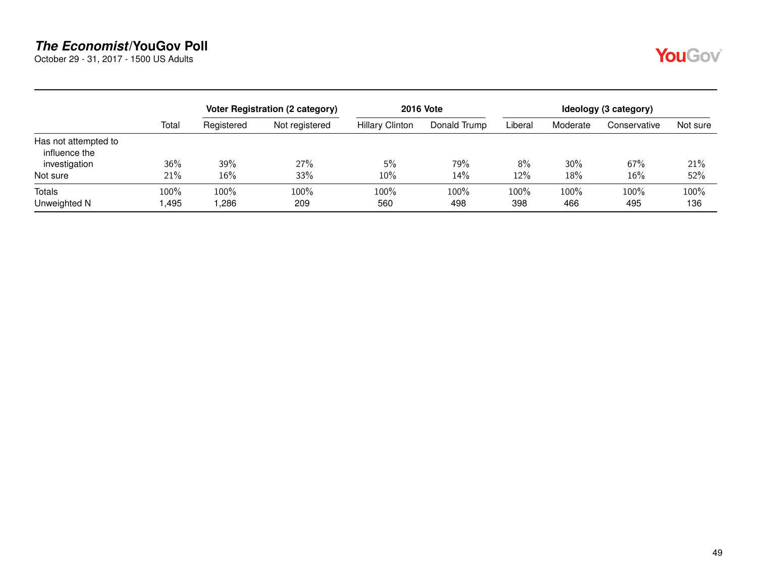October 29 - 31, 2017 - 1500 US Adults



|                                       |              |              | Voter Registration (2 category) |                        | <b>2016 Vote</b> |             |             | Ideology (3 category) |             |
|---------------------------------------|--------------|--------------|---------------------------------|------------------------|------------------|-------------|-------------|-----------------------|-------------|
|                                       | Total        | Registered   | Not registered                  | <b>Hillary Clinton</b> | Donald Trump     | Liberal     | Moderate    | Conservative          | Not sure    |
| Has not attempted to<br>influence the |              |              |                                 |                        |                  |             |             |                       |             |
| investigation                         | 36%          | 39%          | 27%                             | 5%                     | 79%              | 8%          | 30%         | 67%                   | 21%         |
| Not sure                              | 21%          | 16%          | 33%                             | 10%                    | 14%              | 12%         | 18%         | 16%                   | 52%         |
| <b>Totals</b><br>Unweighted N         | 100%<br>,495 | 100%<br>,286 | 100%<br>209                     | 100%<br>560            | 100%<br>498      | 100%<br>398 | 100%<br>466 | 100%<br>495           | 100%<br>136 |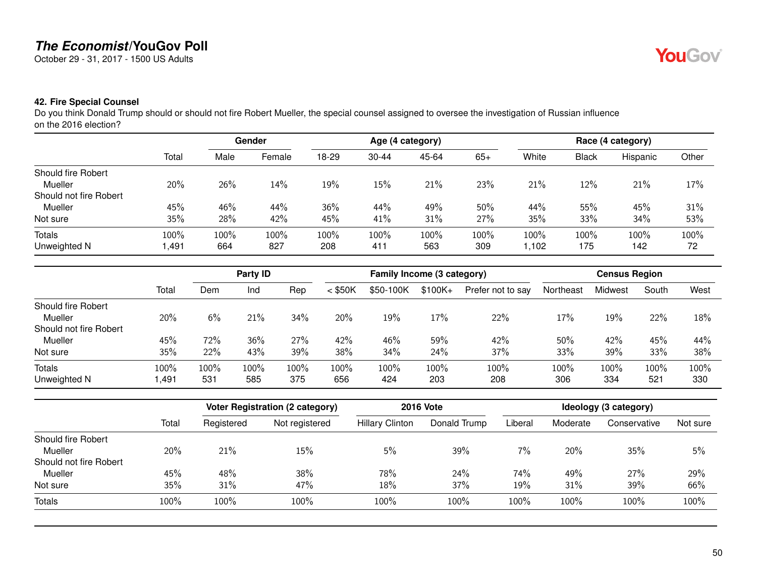October 29 - 31, 2017 - 1500 US Adults

## YouGov®

#### **42. Fire Special Counsel**

Do you think Donald Trump should or should not fire Robert Mueller, the special counsel assigned to oversee the investigation of Russian influence on the 2016 election?

|                        |       |      | <b>Gender</b> |       |           | Age (4 category) |       |       |              | Race (4 category) |       |
|------------------------|-------|------|---------------|-------|-----------|------------------|-------|-------|--------------|-------------------|-------|
|                        | Total | Male | Female        | 18-29 | $30 - 44$ | 45-64            | $65+$ | White | <b>Black</b> | Hispanic          | Other |
| Should fire Robert     |       |      |               |       |           |                  |       |       |              |                   |       |
| Mueller                | 20%   | 26%  | 14%           | 19%   | $15\%$    | 21%              | 23%   | 21%   | 12%          | 21%               | 17%   |
| Should not fire Robert |       |      |               |       |           |                  |       |       |              |                   |       |
| Mueller                | 45%   | 46%  | 44%           | 36%   | 44%       | 49%              | 50%   | 44%   | 55%          | 45%               | 31%   |
| Not sure               | 35%   | 28%  | 42%           | 45%   | 41%       | 31%              | 27%   | 35%   | 33%          | 34%               | 53%   |
| Totals                 | 100%  | 100% | 100%          | 100%  | $100\%$   | 100%             | 100%  | 100%  | 100%         | 100%              | 100%  |
| Unweighted N           | ,491  | 664  | 827           | 208   | 411       | 563              | 309   | 1,102 | 175          | 142               | 72    |

|                        |       |      | Party <b>ID</b> |         |           | Family Income (3 category) |          |                   |           | <b>Census Region</b> |       |      |
|------------------------|-------|------|-----------------|---------|-----------|----------------------------|----------|-------------------|-----------|----------------------|-------|------|
|                        | Total | Dem  | Ind             | Rep     | $<$ \$50K | \$50-100K                  | $$100K+$ | Prefer not to say | Northeast | Midwest              | South | West |
| Should fire Robert     |       |      |                 |         |           |                            |          |                   |           |                      |       |      |
| <b>Mueller</b>         | 20%   | 6%   | 21%             | 34%     | 20%       | 19%                        | 17%      | 22%               | 17%       | 19%                  | 22%   | 18%  |
| Should not fire Robert |       |      |                 |         |           |                            |          |                   |           |                      |       |      |
| <b>Mueller</b>         | 45%   | 72%  | 36%             | 27%     | 42%       | 46%                        | 59%      | 42%               | 50%       | 42%                  | 45%   | 44%  |
| Not sure               | 35%   | 22%  | 43%             | 39%     | 38%       | 34%                        | 24%      | 37%               | 33%       | 39%                  | 33%   | 38%  |
| <b>Totals</b>          | 100%  | 100% | 100%            | $100\%$ | 100%      | $100\%$                    | 100%     | 100%              | 100%      | 100%                 | 100%  | 100% |
| Unweighted N           | 491,  | 531  | 585             | 375     | 656       | 424                        | 203      | 208               | 306       | 334                  | 521   | 330  |

|                           |       |            | <b>Voter Registration (2 category)</b> |                        | <b>2016 Vote</b> |         |          | Ideology (3 category) |          |
|---------------------------|-------|------------|----------------------------------------|------------------------|------------------|---------|----------|-----------------------|----------|
|                           | Total | Registered | Not registered                         | <b>Hillary Clinton</b> | Donald Trump     | Liberal | Moderate | Conservative          | Not sure |
| <b>Should fire Robert</b> |       |            |                                        |                        |                  |         |          |                       |          |
| Mueller                   | 20%   | 21%        | 15%                                    | 5%                     | 39%              | 7%      | 20%      | 35%                   | 5%       |
| Should not fire Robert    |       |            |                                        |                        |                  |         |          |                       |          |
| Mueller                   | 45%   | 48%        | 38%                                    | 78%                    | 24%              | 74%     | 49%      | 27%                   | 29%      |
| Not sure                  | 35%   | 31%        | 47%                                    | 18%                    | 37%              | 19%     | 31%      | 39%                   | 66%      |
| <b>Totals</b>             | 100%  | 100%       | 100%                                   | 100%                   | 100%             | 100%    | 100%     | 100%                  | 100%     |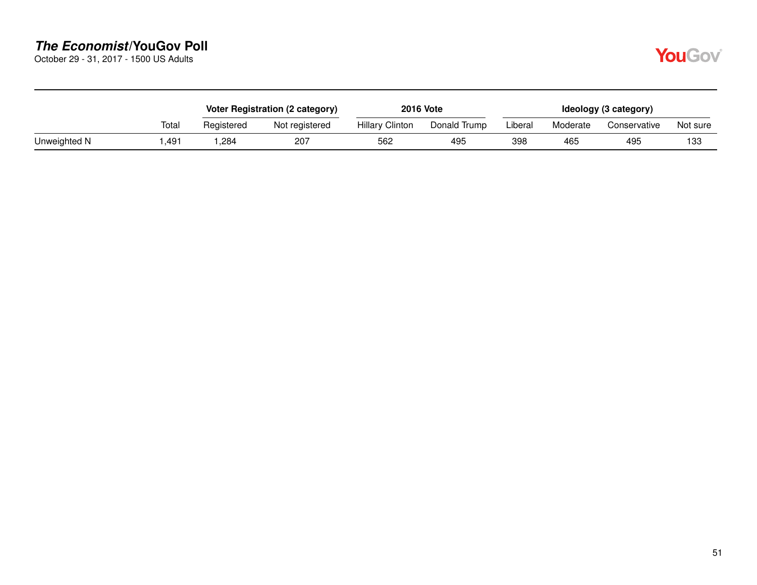October 29 - 31, 2017 - 1500 US Adults

|              |       |            | Voter Registration (2 category) |                        | <b>2016 Vote</b> |         |          | Ideology (3 category) |          |
|--------------|-------|------------|---------------------------------|------------------------|------------------|---------|----------|-----------------------|----------|
|              | Total | Registered | Not registered                  | <b>Hillary Clinton</b> | Donald Trump     | Liberal | Moderate | Conservative          | Not sure |
| Unweighted N | .491  | ,284       | 207                             | 562                    | 495              | 398     | 465      | 495                   | 133      |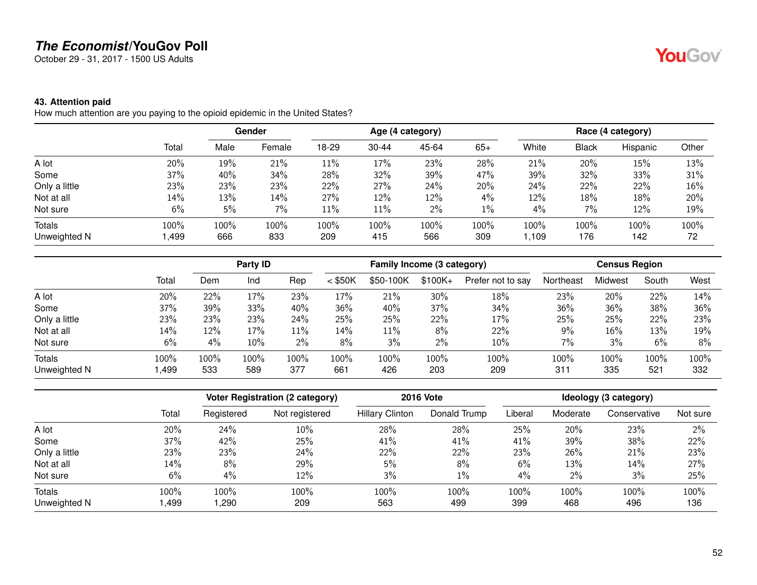October 29 - 31, 2017 - 1500 US Adults

#### **43. Attention paid**

How much attention are you paying to the opioid epidemic in the United States?

|               |        |      | <b>Gender</b> | Age (4 category) |       |       |       | Race (4 category) |              |          |       |
|---------------|--------|------|---------------|------------------|-------|-------|-------|-------------------|--------------|----------|-------|
|               | Total  | Male | Female        | 18-29            | 30-44 | 45-64 | $65+$ | White             | <b>Black</b> | Hispanic | Other |
| A lot         | 20%    | 19%  | 21%           | 11%              | 17%   | 23%   | 28%   | 21%               | 20%          | 15%      | 13%   |
| Some          | $37\%$ | 40%  | 34%           | 28%              | 32%   | 39%   | 47%   | 39%               | 32%          | 33%      | 31%   |
| Only a little | 23%    | 23%  | 23%           | 22%              | 27%   | 24%   | 20%   | 24%               | 22%          | 22%      | 16%   |
| Not at all    | $14\%$ | 13%  | 14%           | 27%              | 12%   | 12%   | 4%    | 12%               | 18%          | 18%      | 20%   |
| Not sure      | 6%     | 5%   | 7%            | $11\%$           | 11%   | 2%    | $1\%$ | 4%                | 7%           | 12%      | 19%   |
| Totals        | 100%   | 100% | 100%          | 100%             | 100%  | 100%  | 100%  | 100%              | 100%         | 100%     | 100%  |
| Unweighted N  | 499, ا | 666  | 833           | 209              | 415   | 566   | 309   | ,109              | 176          | 142      | 72    |

|               |       |      | Party ID |      |           | Family Income (3 category) |          |                   |           | <b>Census Region</b> |       |      |
|---------------|-------|------|----------|------|-----------|----------------------------|----------|-------------------|-----------|----------------------|-------|------|
|               | Total | Dem  | Ind      | Rep  | $<$ \$50K | \$50-100K                  | $$100K+$ | Prefer not to say | Northeast | Midwest              | South | West |
| A lot         | 20%   | 22%  | 17%      | 23%  | 17%       | 21%                        | 30%      | 18%               | 23%       | 20%                  | 22%   | 14%  |
| Some          | 37%   | 39%  | 33%      | 40%  | 36%       | 40%                        | 37%      | 34%               | 36%       | 36%                  | 38%   | 36%  |
| Only a little | 23%   | 23%  | 23%      | 24%  | 25%       | 25%                        | 22%      | 17%               | 25%       | 25%                  | 22%   | 23%  |
| Not at all    | 14%   | 12%  | 17%      | 11%  | 14%       | 11%                        | 8%       | 22%               | 9%        | 16%                  | 13%   | 19%  |
| Not sure      | 6%    | 4%   | 10%      | 2%   | 8%        | 3%                         | 2%       | 10%               | 7%        | 3%                   | 6%    | 8%   |
| <b>Totals</b> | 100%  | 100% | 100%     | 100% | 100%      | $100\%$                    | 100%     | 100%              | 100%      | 100%                 | 100%  | 100% |
| Unweighted N  | ,499  | 533  | 589      | 377  | 661       | 426                        | 203      | 209               | 311       | 335                  | 521   | 332  |

|               |       |            | <b>Voter Registration (2 category)</b> |                        | <b>2016 Vote</b> | Ideology (3 category) |          |              |          |
|---------------|-------|------------|----------------------------------------|------------------------|------------------|-----------------------|----------|--------------|----------|
|               | Total | Registered | Not registered                         | <b>Hillary Clinton</b> | Donald Trump     | Liberal               | Moderate | Conservative | Not sure |
| A lot         | 20%   | 24%        | 10%                                    | 28%                    | 28%              | 25%                   | 20%      | 23%          | 2%       |
| Some          | 37%   | 42%        | 25%                                    | 41%                    | 41%              | 41%                   | 39%      | 38%          | 22%      |
| Only a little | 23%   | 23%        | 24%                                    | 22%                    | 22%              | 23%                   | 26%      | 21%          | 23%      |
| Not at all    | 14%   | 8%         | 29%                                    | 5%                     | 8%               | 6%                    | 13%      | 14%          | 27%      |
| Not sure      | 6%    | 4%         | 12%                                    | 3%                     | 1%               | 4%                    | 2%       | 3%           | 25%      |
| Totals        | 100%  | 100%       | 100%                                   | 100%                   | 100%             | 100%                  | 100%     | 100%         | 100%     |
| Unweighted N  | ,499  | ,290       | 209                                    | 563                    | 499              | 399                   | 468      | 496          | 136      |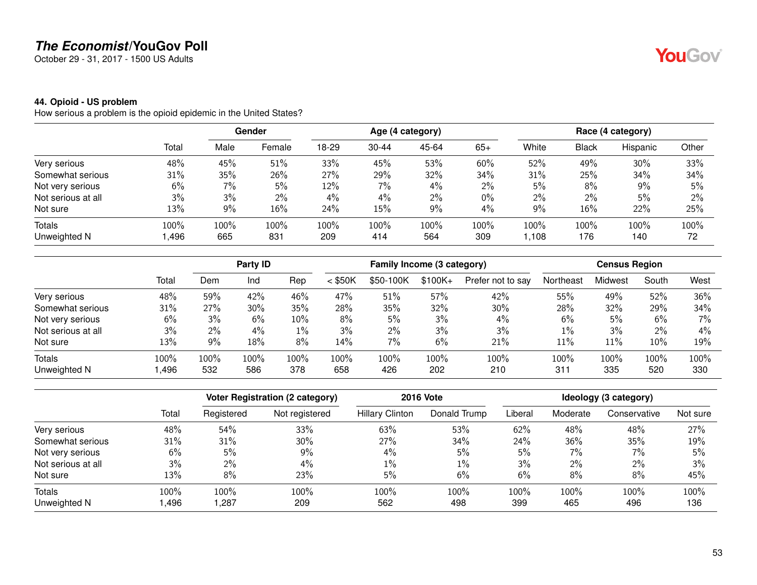October 29 - 31, 2017 - 1500 US Adults

#### **44. Opioid - US problem**

How serious a problem is the opioid epidemic in the United States?

|                    |       | Gender |        |       | Age (4 category) |       |       |       | Race (4 category) |          |       |  |
|--------------------|-------|--------|--------|-------|------------------|-------|-------|-------|-------------------|----------|-------|--|
|                    | Total | Male   | Female | 18-29 | $30 - 44$        | 45-64 | $65+$ | White | Black             | Hispanic | Other |  |
| Very serious       | 48%   | 45%    | 51%    | 33%   | 45%              | 53%   | 60%   | 52%   | 49%               | 30%      | 33%   |  |
| Somewhat serious   | 31%   | 35%    | 26%    | 27%   | 29%              | 32%   | 34%   | 31%   | 25%               | 34%      | 34%   |  |
| Not very serious   | 6%    | 7%     | 5%     | 12%   | 7%               | 4%    | 2%    | 5%    | 8%                | $9\%$    | 5%    |  |
| Not serious at all | 3%    | 3%     | 2%     | 4%    | 4%               | 2%    | $0\%$ | 2%    | 2%                | 5%       | $2\%$ |  |
| Not sure           | 13%   | $9\%$  | 16%    | 24%   | 15%              | 9%    | 4%    | 9%    | $16\%$            | 22%      | 25%   |  |
| <b>Totals</b>      | 100%  | 100%   | 100%   | 100%  | 100%             | 100%  | 100%  | 100%  | 100%              | 100%     | 100%  |  |
| Unweighted N       | ,496  | 665    | 831    | 209   | 414              | 564   | 309   | 1,108 | 176               | 140      | 72    |  |

|                    |       |       | Party ID |       |           | Family Income (3 category) |          |                   |           | <b>Census Region</b> |       |       |
|--------------------|-------|-------|----------|-------|-----------|----------------------------|----------|-------------------|-----------|----------------------|-------|-------|
|                    | Total | Dem   | Ind      | Rep   | $<$ \$50K | \$50-100K                  | $$100K+$ | Prefer not to say | Northeast | Midwest              | South | West  |
| Very serious       | 48%   | 59%   | 42%      | 46%   | 47%       | 51%                        | 57%      | 42%               | 55%       | 49%                  | 52%   | 36%   |
| Somewhat serious   | 31%   | 27%   | 30%      | 35%   | 28%       | 35%                        | 32%      | 30%               | 28%       | 32%                  | 29%   | 34%   |
| Not very serious   | 6%    | 3%    | 6%       | 10%   | 8%        | 5%                         | 3%       | 4%                | 6%        | 5%                   | 6%    | $7\%$ |
| Not serious at all | 3%    | $2\%$ | 4%       | $1\%$ | 3%        | $2\%$                      | 3%       | 3%                | 1%        | 3%                   | 2%    | $4\%$ |
| Not sure           | 13%   | 9%    | 18%      | 8%    | 14%       | 7%                         | 6%       | 21%               | 11%       | 11%                  | 10%   | 19%   |
| <b>Totals</b>      | 100%  | 100%  | 100%     | 100%  | 100%      | $100\%$                    | 100%     | 100%              | 100%      | 100%                 | 100%  | 100%  |
| Unweighted N       | ,496  | 532   | 586      | 378   | 658       | 426                        | 202      | 210               | 311       | 335                  | 520   | 330   |

|                    |       |            | <b>Voter Registration (2 category)</b> |                        | <b>2016 Vote</b> |         |          | Ideology (3 category) |          |
|--------------------|-------|------------|----------------------------------------|------------------------|------------------|---------|----------|-----------------------|----------|
|                    | Total | Registered | Not registered                         | <b>Hillary Clinton</b> | Donald Trump     | Liberal | Moderate | Conservative          | Not sure |
| Very serious       | 48%   | 54%        | 33%                                    | 63%                    | 53%              | 62%     | 48%      | 48%                   | 27%      |
| Somewhat serious   | 31%   | 31%        | 30%                                    | 27%                    | 34%              | 24%     | 36%      | 35%                   | 19%      |
| Not very serious   | 6%    | 5%         | 9%                                     | 4%                     | 5%               | 5%      | 7%       | 7%                    | 5%       |
| Not serious at all | 3%    | 2%         | 4%                                     | $1\%$                  | $1\%$            | 3%      | $2\%$    | $2\%$                 | 3%       |
| Not sure           | 13%   | 8%         | 23%                                    | 5%                     | 6%               | 6%      | 8%       | 8%                    | 45%      |
| <b>Totals</b>      | 100%  | 100%       | 100%                                   | 100%                   | 100%             | 100%    | 100%     | 100%                  | 100%     |
| Unweighted N       | ,496  | ,287       | 209                                    | 562                    | 498              | 399     | 465      | 496                   | 136      |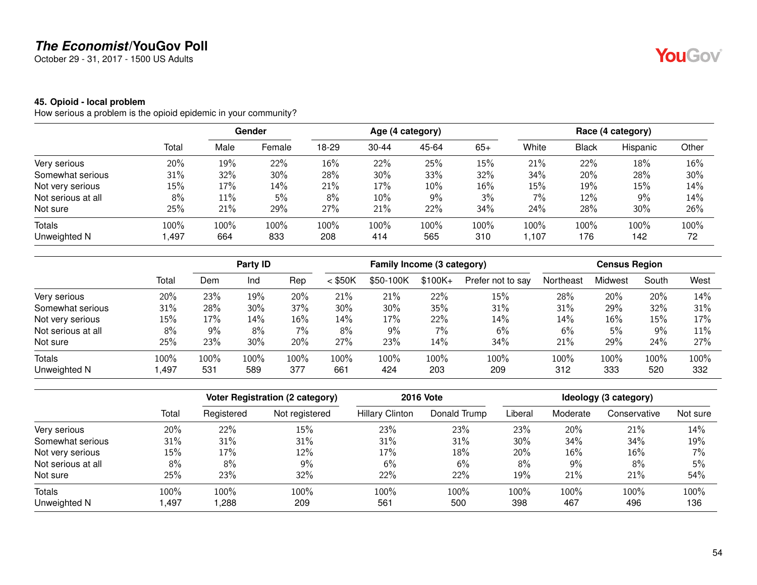October 29 - 31, 2017 - 1500 US Adults

#### **45. Opioid - local problem**

How serious a problem is the opioid epidemic in your community?

|                    |       |      | <b>Gender</b> | Age (4 category) |           |       |       | Race (4 category) |       |          |       |
|--------------------|-------|------|---------------|------------------|-----------|-------|-------|-------------------|-------|----------|-------|
|                    | Total | Male | Female        | 18-29            | $30 - 44$ | 45-64 | $65+$ | White             | Black | Hispanic | Other |
| Very serious       | 20%   | 19%  | 22%           | 16%              | 22%       | 25%   | 15%   | 21%               | 22%   | 18%      | 16%   |
| Somewhat serious   | 31%   | 32%  | 30%           | 28%              | 30%       | 33%   | 32%   | 34%               | 20%   | 28%      | 30%   |
| Not very serious   | 15%   | 17%  | 14%           | 21%              | 17%       | 10%   | 16%   | 15%               | 19%   | 15%      | 14%   |
| Not serious at all | 8%    | 11%  | 5%            | 8%               | 10%       | 9%    | 3%    | 7%                | 12%   | 9%       | 14%   |
| Not sure           | 25%   | 21%  | 29%           | 27%              | 21%       | 22%   | 34%   | 24%               | 28%   | 30%      | 26%   |
| Totals             | 100%  | 100% | 100%          | 100%             | 100%      | 100%  | 100%  | 100%              | 100%  | 100%     | 100%  |
| Unweighted N       | 1,497 | 664  | 833           | 208              | 414       | 565   | 310   | ,107              | 176   | 142      | 72    |

|                    |       |      | Party ID |       |           | Family Income (3 category) |          |                   |           | <b>Census Region</b> |       |      |
|--------------------|-------|------|----------|-------|-----------|----------------------------|----------|-------------------|-----------|----------------------|-------|------|
|                    | Total | Dem  | Ind      | Rep   | $<$ \$50K | \$50-100K                  | $$100K+$ | Prefer not to say | Northeast | Midwest              | South | West |
| Very serious       | 20%   | 23%  | 19%      | 20%   | 21%       | 21%                        | 22%      | 15%               | 28%       | 20%                  | 20%   | 14%  |
| Somewhat serious   | 31%   | 28%  | 30%      | 37%   | 30%       | 30%                        | 35%      | 31%               | 31%       | 29%                  | 32%   | 31%  |
| Not very serious   | 15%   | 17%  | 14%      | 16%   | 14%       | 17%                        | 22%      | 14%               | 14%       | 16%                  | 15%   | 17%  |
| Not serious at all | 8%    | 9%   | 8%       | $7\%$ | 8%        | 9%                         | 7%       | 6%                | 6%        | 5%                   | 9%    | 11%  |
| Not sure           | 25%   | 23%  | 30%      | 20%   | 27%       | 23%                        | 14%      | 34%               | 21%       | 29%                  | 24%   | 27%  |
| <b>Totals</b>      | 100%  | 100% | 100%     | 100%  | 100%      | $100\%$                    | 100%     | 100%              | 100%      | 100%                 | 100%  | 100% |
| Unweighted N       | ,497  | 531  | 589      | 377   | 661       | 424                        | 203      | 209               | 312       | 333                  | 520   | 332  |

|                    |       |            | <b>Voter Registration (2 category)</b> |                        | <b>2016 Vote</b> |         |          | Ideology (3 category) |          |  |  |
|--------------------|-------|------------|----------------------------------------|------------------------|------------------|---------|----------|-----------------------|----------|--|--|
|                    | Total | Registered | Not registered                         | <b>Hillary Clinton</b> | Donald Trump     | Liberal | Moderate | Conservative          | Not sure |  |  |
| Very serious       | 20%   | 22%        | 15%                                    | 23%                    | 23%              | 23%     | 20%      | 21%                   | 14%      |  |  |
| Somewhat serious   | 31%   | 31%        | 31%                                    | 31%                    | 31%              | 30%     | 34%      | 34%                   | 19%      |  |  |
| Not very serious   | 15%   | 17%        | 12%                                    | 17%                    | 18%              | 20%     | 16%      | $16\%$                | 7%       |  |  |
| Not serious at all | 8%    | 8%         | $9\%$                                  | 6%                     | 6%               | 8%      | $9\%$    | 8%                    | 5%       |  |  |
| Not sure           | 25%   | 23%        | 32%                                    | 22%                    | 22%              | 19%     | 21%      | 21%                   | 54%      |  |  |
| <b>Totals</b>      | 100%  | 100%       | 100%                                   | 100%                   | 100%             | 100%    | 100%     | 100%                  | 100%     |  |  |
| Unweighted N       | ,497  | ,288       | 209                                    | 561                    | 500              | 398     | 467      | 496                   | 136      |  |  |

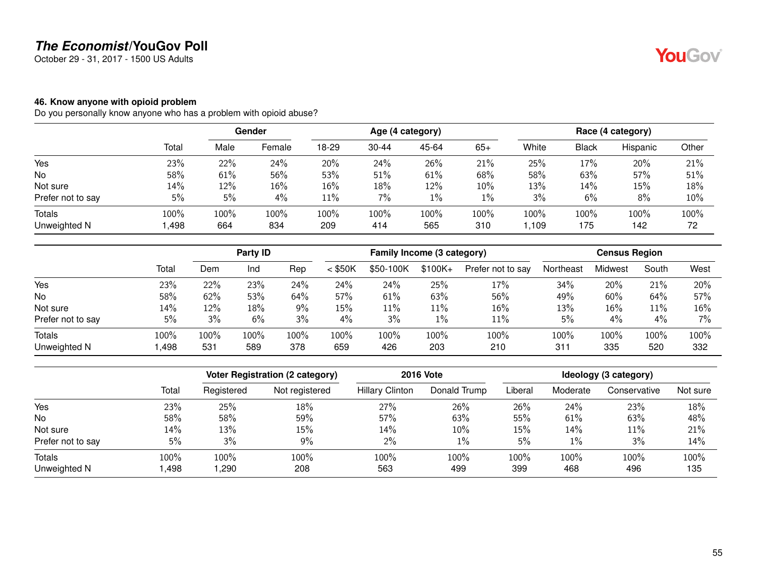October 29 - 31, 2017 - 1500 US Adults

#### **46. Know anyone with opioid problem**

Do you personally know anyone who has a problem with opioid abuse?

|                   |       | Gender |        | Age (4 category) |           |       |       | Race (4 category) |       |          |       |
|-------------------|-------|--------|--------|------------------|-----------|-------|-------|-------------------|-------|----------|-------|
|                   | Total | Male   | Female | 18-29            | $30 - 44$ | 45-64 | $65+$ | White             | Black | Hispanic | Other |
| Yes               | 23%   | 22%    | 24%    | 20%              | 24%       | 26%   | 21%   | 25%               | 17%   | 20%      | 21%   |
| No                | 58%   | 61%    | 56%    | 53%              | 51%       | 61%   | 68%   | 58%               | 63%   | 57%      | 51%   |
| Not sure          | 14%   | 12%    | 16%    | $16\%$           | 18%       | 12%   | 10%   | 13%               | 14%   | 15%      | 18%   |
| Prefer not to say | 5%    | 5%     | 4%     | $11\%$           | 7%        | $1\%$ | $1\%$ | 3%                | 6%    | 8%       | 10%   |
| <b>Totals</b>     | 100%  | 100%   | 100%   | 100%             | 100%      | 100%  | 100%  | 100%              | 100%  | 100%     | 100%  |
| Unweighted N      | ,498  | 664    | 834    | 209              | 414       | 565   | 310   | ,109              | 175   | 142      | 72    |

|                   |       | Party ID |      |       | Family Income (3 category) |           |           |                   | <b>Census Region</b> |         |       |       |
|-------------------|-------|----------|------|-------|----------------------------|-----------|-----------|-------------------|----------------------|---------|-------|-------|
|                   | Total | Dem      | Ind  | Rep   | $<$ \$50K                  | \$50-100K | $$100K +$ | Prefer not to say | Northeast            | Midwest | South | West  |
| Yes               | 23%   | 22%      | 23%  | 24%   | 24%                        | 24%       | 25%       | 17%               | 34%                  | 20%     | 21%   | 20%   |
| <b>No</b>         | 58%   | 62%      | 53%  | 64%   | 57%                        | 61%       | 63%       | 56%               | 49%                  | 60%     | 64%   | 57%   |
| Not sure          | 14%   | 12%      | 18%  | $9\%$ | 15%                        | $11\%$    | 11%       | 16%               | 13%                  | 16%     | 11%   | 16%   |
| Prefer not to say | 5%    | 3%       | 6%   | 3%    | 4%                         | 3%        | 1%        | 11%               | 5%                   | $4\%$   | 4%    | $7\%$ |
| Totals            | 100%  | 100%     | 100% | 100%  | 100%                       | 100%      | 100%      | 100%              | 100%                 | 100%    | 100%  | 100%  |
| Unweighted N      | ,498  | 531      | 589  | 378   | 659                        | 426       | 203       | 210               | 311                  | 335     | 520   | 332   |

|                   |       |            | Voter Registration (2 category) |                        | <b>2016 Vote</b> | Ideology (3 category) |          |              |          |
|-------------------|-------|------------|---------------------------------|------------------------|------------------|-----------------------|----------|--------------|----------|
|                   | Total | Registered | Not registered                  | <b>Hillary Clinton</b> | Donald Trump     | Liberal               | Moderate | Conservative | Not sure |
| Yes               | 23%   | 25%        | 18%                             | 27%                    | 26%              | 26%                   | 24%      | 23%          | 18%      |
| <b>No</b>         | 58%   | 58%        | 59%                             | 57%                    | 63%              | 55%                   | 61%      | 63%          | 48%      |
| Not sure          | 14%   | 13%        | 15%                             | 14%                    | 10%              | 15%                   | 14%      | 11%          | 21%      |
| Prefer not to say | 5%    | 3%         | 9%                              | $2\%$                  | 1%               | 5%                    | $1\%$    | 3%           | 14%      |
| <b>Totals</b>     | 100%  | 100%       | 100%                            | 100%                   | 100%             | 100%                  | 100%     | 100%         | 100%     |
| Unweighted N      | ,498  | ,290       | 208                             | 563                    | 499              | 399                   | 468      | 496          | 135      |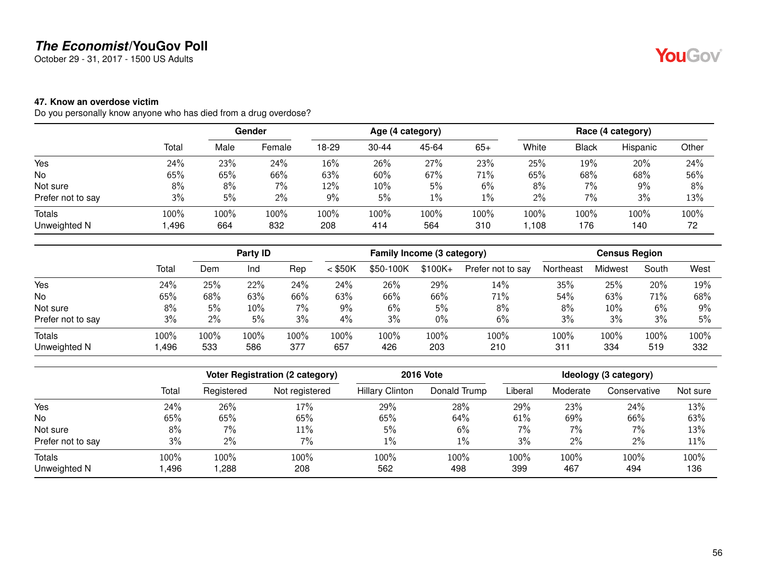October 29 - 31, 2017 - 1500 US Adults

#### **47. Know an overdose victim**

Do you personally know anyone who has died from a drug overdose?

|                   |       | Gender |        | Age (4 category) |           |       |       | Race (4 category) |       |          |       |
|-------------------|-------|--------|--------|------------------|-----------|-------|-------|-------------------|-------|----------|-------|
|                   | Total | Male   | Female | 18-29            | $30 - 44$ | 45-64 | $65+$ | White             | Black | Hispanic | Other |
| Yes               | 24%   | 23%    | 24%    | $16\%$           | 26%       | 27%   | 23%   | 25%               | 19%   | 20%      | 24%   |
| No                | 65%   | 65%    | 66%    | 63%              | 60%       | 67%   | 71%   | 65%               | 68%   | 68%      | 56%   |
| Not sure          | 8%    | 8%     | 7%     | 12%              | 10%       | 5%    | 6%    | 8%                | $7\%$ | 9%       | 8%    |
| Prefer not to say | 3%    | 5%     | $2\%$  | 9%               | 5%        | $1\%$ | $1\%$ | 2%                | $7\%$ | 3%       | 13%   |
| Totals            | 100%  | 100%   | 100%   | 100%             | 100%      | 100%  | 100%  | 100%              | 100%  | 100%     | 100%  |
| Unweighted N      | ,496  | 664    | 832    | 208              | 414       | 564   | 310   | ,108              | 176   | 140      | 72    |

|                   |       |       | Party ID |       |           | Family Income (3 category) |           |                   |           | <b>Census Region</b> |       |      |
|-------------------|-------|-------|----------|-------|-----------|----------------------------|-----------|-------------------|-----------|----------------------|-------|------|
|                   | Total | Dem   | Ind      | Rep   | $<$ \$50K | \$50-100K                  | $$100K +$ | Prefer not to say | Northeast | <b>Midwest</b>       | South | West |
| Yes               | 24%   | 25%   | 22%      | 24%   | 24%       | 26%                        | 29%       | 14%               | 35%       | 25%                  | 20%   | 19%  |
| No.               | 65%   | 68%   | 63%      | 66%   | 63%       | 66%                        | 66%       | 71%               | 54%       | 63%                  | 71%   | 68%  |
| Not sure          | 8%    | 5%    | 10%      | $7\%$ | 9%        | 6%                         | 5%        | 8%                | 8%        | 10%                  | 6%    | 9%   |
| Prefer not to say | 3%    | $2\%$ | 5%       | 3%    | 4%        | 3%                         | $0\%$     | 6%                | 3%        | 3%                   | 3%    | 5%   |
| <b>Totals</b>     | 100%  | 100%  | 100%     | 100%  | 100%      | 100%                       | 100%      | 100%              | 100%      | 100%                 | 100%  | 100% |
| Unweighted N      | ,496  | 533   | 586      | 377   | 657       | 426                        | 203       | 210               | 311       | 334                  | 519   | 332  |

|                   |       | Voter Registration (2 category) |                | <b>2016 Vote</b>       | Ideology (3 category) |         |          |              |          |
|-------------------|-------|---------------------------------|----------------|------------------------|-----------------------|---------|----------|--------------|----------|
|                   | Total | Registered                      | Not registered | <b>Hillary Clinton</b> | Donald Trump          | Liberal | Moderate | Conservative | Not sure |
| Yes               | 24%   | 26%                             | 17%            | 29%                    | 28%                   | 29%     | 23%      | 24%          | 13%      |
| <b>No</b>         | 65%   | 65%                             | 65%            | 65%                    | 64%                   | 61%     | 69%      | 66%          | 63%      |
| Not sure          | 8%    | $7\%$                           | 11%            | 5%                     | 6%                    | 7%      | $7\%$    | 7%           | 13%      |
| Prefer not to say | 3%    | $2\%$                           | 7%             | 1%                     | $1\%$                 | 3%      | 2%       | 2%           | 11%      |
| <b>Totals</b>     | 100%  | 100%                            | 100%           | 100%                   | 100%                  | 100%    | 100%     | 100%         | 100%     |
| Unweighted N      | ,496  | ,288                            | 208            | 562                    | 498                   | 399     | 467      | 494          | 136      |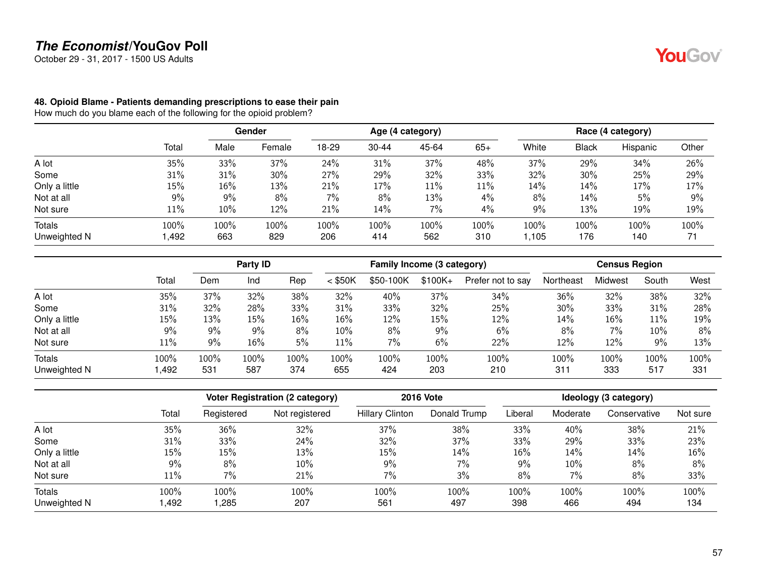October 29 - 31, 2017 - 1500 US Adults

#### **48. Opioid Blame - Patients demanding prescriptions to ease their pain**

How much do you blame each of the following for the opioid problem?

|               |        |      | <b>Gender</b> |       |           | Age (4 category) |        |       |              | Race (4 category) |       |
|---------------|--------|------|---------------|-------|-----------|------------------|--------|-------|--------------|-------------------|-------|
|               | Total  | Male | Female        | 18-29 | $30 - 44$ | 45-64            | $65+$  | White | <b>Black</b> | Hispanic          | Other |
| A lot         | 35%    | 33%  | 37%           | 24%   | 31%       | 37%              | 48%    | 37%   | 29%          | 34%               | 26%   |
| Some          | 31%    | 31%  | 30%           | 27%   | 29%       | 32%              | 33%    | 32%   | 30%          | 25%               | 29%   |
| Only a little | $15\%$ | 16%  | 13%           | 21%   | 17%       | 11%              | $11\%$ | 14%   | 14%          | 17%               | 17%   |
| Not at all    | 9%     | 9%   | 8%            | 7%    | 8%        | 13%              | 4%     | 8%    | 14%          | 5%                | 9%    |
| Not sure      | $11\%$ | 10%  | 12%           | 21%   | 14%       | 7%               | 4%     | 9%    | 13%          | 19%               | 19%   |
| Totals        | 100%   | 100% | 100%          | 100%  | 100%      | 100%             | 100%   | 100%  | 100%         | 100%              | 100%  |
| Unweighted N  | 492, ا | 663  | 829           | 206   | 414       | 562              | 310    | ,105  | 176          | 140               | 71    |

|               |        | Party <b>ID</b> |      |      | Family Income (3 category) |           |          | <b>Census Region</b> |           |         |        |      |
|---------------|--------|-----------------|------|------|----------------------------|-----------|----------|----------------------|-----------|---------|--------|------|
|               | Total  | Dem             | Ind  | Rep  | $<$ \$50K                  | \$50-100K | $$100K+$ | Prefer not to say    | Northeast | Midwest | South  | West |
| A lot         | 35%    | 37%             | 32%  | 38%  | 32%                        | 40%       | 37%      | 34%                  | 36%       | 32%     | 38%    | 32%  |
| Some          | 31%    | 32%             | 28%  | 33%  | 31%                        | 33%       | 32%      | 25%                  | 30%       | 33%     | 31%    | 28%  |
| Only a little | 15%    | 13%             | 15%  | 16%  | $16\%$                     | 12%       | 15%      | 12%                  | 14%       | 16%     | 11%    | 19%  |
| Not at all    | 9%     | 9%              | 9%   | 8%   | $10\%$                     | 8%        | 9%       | 6%                   | 8%        | 7%      | $10\%$ | 8%   |
| Not sure      | $11\%$ | 9%              | 16%  | 5%   | 11%                        | 7%        | 6%       | 22%                  | 12%       | 12%     | 9%     | 13%  |
| <b>Totals</b> | 100%   | 100%            | 100% | 100% | 100%                       | $100\%$   | 100%     | 100%                 | 100%      | 100%    | 100%   | 100% |
| Unweighted N  | ,492   | 531             | 587  | 374  | 655                        | 424       | 203      | 210                  | 311       | 333     | 517    | 331  |

|               |       |            | <b>Voter Registration (2 category)</b> |                        | <b>2016 Vote</b> |         |          | Ideology (3 category) |          |  |  |
|---------------|-------|------------|----------------------------------------|------------------------|------------------|---------|----------|-----------------------|----------|--|--|
|               | Total | Registered | Not registered                         | <b>Hillary Clinton</b> | Donald Trump     | Liberal | Moderate | Conservative          | Not sure |  |  |
| A lot         | 35%   | 36%        | 32%                                    | 37%                    | 38%              | 33%     | 40%      | 38%                   | 21%      |  |  |
| Some          | 31%   | 33%        | 24%                                    | 32%                    | 37%              | 33%     | 29%      | 33%                   | 23%      |  |  |
| Only a little | 15%   | 15%        | 13%                                    | 15%                    | 14%              | 16%     | 14%      | 14%                   | 16%      |  |  |
| Not at all    | 9%    | 8%         | 10%                                    | 9%                     | 7%               | 9%      | 10%      | 8%                    | 8%       |  |  |
| Not sure      | 11%   | 7%         | 21%                                    | 7%                     | 3%               | 8%      | 7%       | 8%                    | 33%      |  |  |
| <b>Totals</b> | 100%  | 100%       | 100%                                   | 100%                   | 100%             | 100%    | 100%     | 100%                  | 100%     |  |  |
| Unweighted N  | ,492  | ,285       | 207                                    | 561                    | 497              | 398     | 466      | 494                   | 134      |  |  |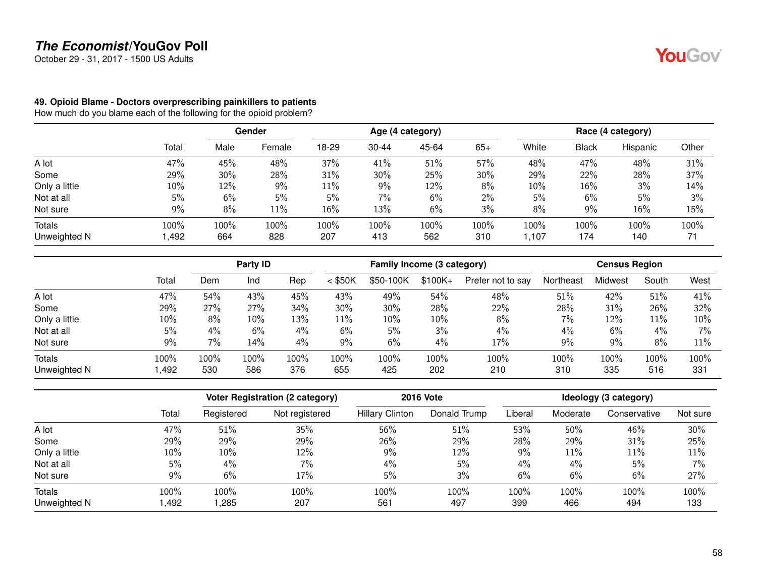October 29 - 31, 2017 - 1500 US Adults

#### **49. Opioid Blame - Doctors overprescribing painkillers to patients**

How much do you blame each of the following for the opioid problem?

|               |       | Gender |        | Age (4 category) |           |       |       | Race (4 category) |              |          |       |
|---------------|-------|--------|--------|------------------|-----------|-------|-------|-------------------|--------------|----------|-------|
|               | Total | Male   | Female | 18-29            | $30 - 44$ | 45-64 | $65+$ | White             | <b>Black</b> | Hispanic | Other |
| A lot         | 47%   | 45%    | 48%    | 37%              | 41%       | 51%   | 57%   | 48%               | 47%          | 48%      | 31%   |
| Some          | 29%   | 30%    | 28%    | 31%              | 30%       | 25%   | 30%   | 29%               | 22%          | 28%      | 37%   |
| Only a little | 10%   | 12%    | 9%     | $11\%$           | 9%        | 12%   | 8%    | 10%               | 16%          | 3%       | 14%   |
| Not at all    | 5%    | 6%     | 5%     | 5%               | 7%        | 6%    | $2\%$ | 5%                | 6%           | 5%       | 3%    |
| Not sure      | $9\%$ | 8%     | 11%    | 16%              | 13%       | 6%    | 3%    | 8%                | 9%           | 16%      | 15%   |
| Totals        | 100%  | 100%   | 100%   | 100%             | 100%      | 100%  | 100%  | 100%              | 100%         | 100%     | 100%  |
| Unweighted N  | 1,492 | 664    | 828    | 207              | 413       | 562   | 310   | 1.107             | 174          | 140      | 71    |

|               |       | Party <b>ID</b> |      |      | Family Income (3 category) |           |          |                   | <b>Census Region</b> |         |        |       |
|---------------|-------|-----------------|------|------|----------------------------|-----------|----------|-------------------|----------------------|---------|--------|-------|
|               | Total | Dem             | Ind  | Rep  | $<$ \$50K                  | \$50-100K | $$100K+$ | Prefer not to say | Northeast            | Midwest | South  | West  |
| A lot         | 47%   | 54%             | 43%  | 45%  | 43%                        | 49%       | 54%      | 48%               | 51%                  | 42%     | 51%    | 41%   |
| Some          | 29%   | 27%             | 27%  | 34%  | 30%                        | 30%       | 28%      | 22%               | 28%                  | 31%     | 26%    | 32%   |
| Only a little | 10%   | 8%              | 10%  | 13%  | 11%                        | 10%       | 10%      | 8%                | 7%                   | 12%     | $11\%$ | 10%   |
| Not at all    | 5%    | 4%              | 6%   | 4%   | 6%                         | 5%        | 3%       | $4\%$             | 4%                   | 6%      | 4%     | $7\%$ |
| Not sure      | 9%    | 7%              | 14%  | 4%   | 9%                         | 6%        | 4%       | 17%               | 9%                   | 9%      | 8%     | 11%   |
| Totals        | 100%  | 100%            | 100% | 100% | 100%                       | 100%      | 100%     | 100%              | 100%                 | 100%    | 100%   | 100%  |
| Unweighted N  | ,492  | 530             | 586  | 376  | 655                        | 425       | 202      | 210               | 310                  | 335     | 516    | 331   |

|               |       | <b>Voter Registration (2 category)</b> |                | <b>2016 Vote</b>       | Ideology (3 category) |         |          |              |          |
|---------------|-------|----------------------------------------|----------------|------------------------|-----------------------|---------|----------|--------------|----------|
|               | Total | Registered                             | Not registered | <b>Hillary Clinton</b> | Donald Trump          | Liberal | Moderate | Conservative | Not sure |
| A lot         | 47%   | 51%                                    | 35%            | 56%                    | 51%                   | 53%     | 50%      | 46%          | 30%      |
| Some          | 29%   | 29%                                    | 29%            | 26%                    | 29%                   | 28%     | 29%      | 31%          | 25%      |
| Only a little | 10%   | 10%                                    | 12%            | 9%                     | 12%                   | 9%      | $11\%$   | 11%          | 11%      |
| Not at all    | 5%    | $4\%$                                  | 7%             | 4%                     | 5%                    | 4%      | 4%       | 5%           | 7%       |
| Not sure      | 9%    | 6%                                     | 17%            | 5%                     | 3%                    | 6%      | 6%       | 6%           | 27%      |
| Totals        | 100%  | 100%                                   | 100%           | 100%                   | 100%                  | 100%    | 100%     | 100%         | 100%     |
| Unweighted N  | ,492  | ,285                                   | 207            | 561                    | 497                   | 399     | 466      | 494          | 133      |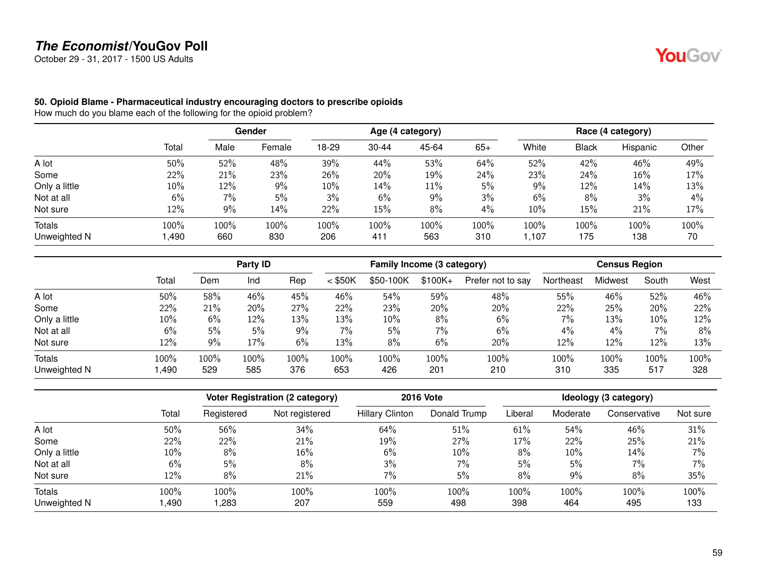October 29 - 31, 2017 - 1500 US Adults

YouGov®

#### **50. Opioid Blame - Pharmaceutical industry encouraging doctors to prescribe opioids**

How much do you blame each of the following for the opioid problem?

|               |        | <b>Gender</b> |        | Age (4 category) |           |       |       | Race (4 category) |              |          |       |
|---------------|--------|---------------|--------|------------------|-----------|-------|-------|-------------------|--------------|----------|-------|
|               | Total  | Male          | Female | 18-29            | $30 - 44$ | 45-64 | $65+$ | White             | <b>Black</b> | Hispanic | Other |
| A lot         | 50%    | 52%           | 48%    | 39%              | 44%       | 53%   | 64%   | 52%               | 42%          | 46%      | 49%   |
| Some          | 22%    | 21%           | 23%    | 26%              | 20%       | 19%   | 24%   | 23%               | 24%          | 16%      | 17%   |
| Only a little | 10%    | 12%           | $9\%$  | $10\%$           | 14%       | 11%   | 5%    | 9%                | 12%          | 14%      | 13%   |
| Not at all    | 6%     | 7%            | 5%     | 3%               | 6%        | 9%    | 3%    | 6%                | 8%           | 3%       | 4%    |
| Not sure      | $12\%$ | 9%            | 14%    | 22%              | 15%       | 8%    | 4%    | 10%               | 15%          | 21%      | 17%   |
| Totals        | 100%   | 100%          | 100%   | 100%             | 100%      | 100%  | 100%  | 100%              | 100%         | 100%     | 100%  |
| Unweighted N  | 490, ا | 660           | 830    | 206              | 411       | 563   | 310   | 1,107             | 175          | 138      | 70    |

|                               |              | Party <b>ID</b> |             |             | Family Income (3 category) |                |             | <b>Census Region</b> |             |             |             |             |
|-------------------------------|--------------|-----------------|-------------|-------------|----------------------------|----------------|-------------|----------------------|-------------|-------------|-------------|-------------|
|                               | Total        | Dem             | Ind         | Rep         | $<$ \$50K                  | \$50-100K      | $$100K +$   | Prefer not to say    | Northeast   | Midwest     | South       | West        |
| A lot                         | 50%          | 58%             | 46%         | 45%         | 46%                        | 54%            | 59%         | 48%                  | 55%         | 46%         | 52%         | 46%         |
| Some                          | 22%          | 21%             | 20%         | 27%         | 22%                        | 23%            | 20%         | 20%                  | 22%         | 25%         | 20%         | 22%         |
| Only a little                 | 10%          | 6%              | 12%         | 13%         | 13%                        | 10%            | 8%          | 6%                   | 7%          | 13%         | 10%         | 12%         |
| Not at all                    | 6%           | 5%              | 5%          | 9%          | 7%                         | 5%             | 7%          | 6%                   | 4%          | 4%          | 7%          | 8%          |
| Not sure                      | 12%          | 9%              | 17%         | 6%          | 13%                        | 8%             | 6%          | 20%                  | 12%         | 12%         | 12%         | 13%         |
| <b>Totals</b><br>Unweighted N | 100%<br>,490 | 100%<br>529     | 100%<br>585 | 100%<br>376 | 100%<br>653                | $100\%$<br>426 | 100%<br>201 | 100%<br>210          | 100%<br>310 | 100%<br>335 | 100%<br>517 | 100%<br>328 |

|               |        |            | <b>Voter Registration (2 category)</b> |                        | <b>2016 Vote</b> |         |          | Ideology (3 category) |          |
|---------------|--------|------------|----------------------------------------|------------------------|------------------|---------|----------|-----------------------|----------|
|               | Total  | Registered | Not registered                         | <b>Hillary Clinton</b> | Donald Trump     | Liberal | Moderate | Conservative          | Not sure |
| A lot         | 50%    | 56%        | 34%                                    | 64%                    | 51%              | 61%     | 54%      | 46%                   | 31%      |
| Some          | $22\%$ | 22%        | 21%                                    | 19%                    | 27%              | 17%     | 22%      | 25%                   | 21%      |
| Only a little | $10\%$ | 8%         | 16%                                    | 6%                     | 10%              | 8%      | 10%      | 14%                   | 7%       |
| Not at all    | 6%     | 5%         | 8%                                     | 3%                     | $7\%$            | 5%      | 5%       | 7%                    | 7%       |
| Not sure      | 12%    | 8%         | 21%                                    | 7%                     | 5%               | 8%      | 9%       | 8%                    | 35%      |
| Totals        | 100%   | 100%       | 100%                                   | 100%                   | 100%             | 100%    | 100%     | 100%                  | 100%     |
| Unweighted N  | ,490   | ,283       | 207                                    | 559                    | 498              | 398     | 464      | 495                   | 133      |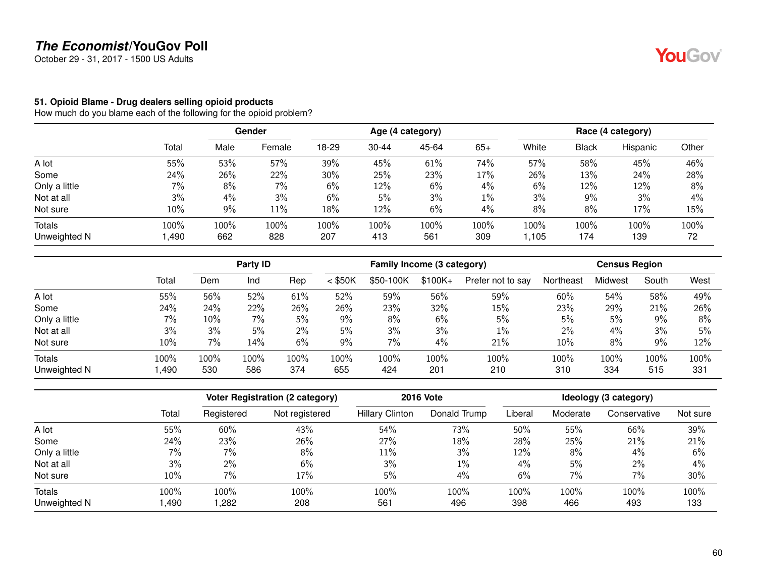October 29 - 31, 2017 - 1500 US Adults

#### **51. Opioid Blame - Drug dealers selling opioid products**

How much do you blame each of the following for the opioid problem?

|               |        |      | Gender | Age (4 category) |           |       |       | Race (4 category) |              |          |       |
|---------------|--------|------|--------|------------------|-----------|-------|-------|-------------------|--------------|----------|-------|
|               | Total  | Male | Female | 18-29            | $30 - 44$ | 45-64 | $65+$ | White             | <b>Black</b> | Hispanic | Other |
| A lot         | 55%    | 53%  | 57%    | 39%              | 45%       | 61%   | 74%   | 57%               | 58%          | 45%      | 46%   |
| Some          | 24%    | 26%  | 22%    | 30%              | 25%       | 23%   | 17%   | 26%               | 13%          | 24%      | 28%   |
| Only a little | $7\%$  | 8%   | 7%     | 6%               | 12%       | 6%    | $4\%$ | 6%                | 12%          | 12%      | 8%    |
| Not at all    | 3%     | 4%   | 3%     | 6%               | 5%        | 3%    | $1\%$ | 3%                | 9%           | 3%       | 4%    |
| Not sure      | 10%    | 9%   | 11%    | 18%              | 12%       | 6%    | 4%    | 8%                | 8%           | 17%      | 15%   |
| Totals        | 100%   | 100% | 100%   | 100%             | 100%      | 100%  | 100%  | 100%              | 100%         | 100%     | 100%  |
| Unweighted N  | 490, ا | 662  | 828    | 207              | 413       | 561   | 309   | 1,105             | 174          | 139      | 72    |

|                               |              | Party ID    |             |                | Family Income (3 category) |                |             |                   | <b>Census Region</b> |             |             |             |
|-------------------------------|--------------|-------------|-------------|----------------|----------------------------|----------------|-------------|-------------------|----------------------|-------------|-------------|-------------|
|                               | Total        | Dem         | Ind         | Rep            | $<$ \$50K                  | \$50-100K      | $$100K+$    | Prefer not to say | Northeast            | Midwest     | South       | West        |
| A lot                         | 55%          | 56%         | 52%         | 61%            | 52%                        | 59%            | 56%         | 59%               | 60%                  | 54%         | 58%         | 49%         |
| Some                          | 24%          | 24%         | 22%         | 26%            | 26%                        | 23%            | 32%         | 15%               | 23%                  | 29%         | 21%         | 26%         |
| Only a little                 | 7%           | 10%         | 7%          | 5%             | $9\%$                      | 8%             | 6%          | 5%                | 5%                   | 5%          | $9\%$       | 8%          |
| Not at all                    | 3%           | 3%          | 5%          | $2\%$          | 5%                         | 3%             | 3%          | $1\%$             | $2\%$                | 4%          | 3%          | 5%          |
| Not sure                      | 10%          | 7%          | 14%         | 6%             | 9%                         | 7%             | 4%          | 21%               | 10%                  | 8%          | 9%          | 12%         |
| <b>Totals</b><br>Unweighted N | 100%<br>,490 | 100%<br>530 | 100%<br>586 | $100\%$<br>374 | 100%<br>655                | $100\%$<br>424 | 100%<br>201 | 100%<br>210       | 100%<br>310          | 100%<br>334 | 100%<br>515 | 100%<br>331 |

|               |       |            | <b>Voter Registration (2 category)</b> | <b>2016 Vote</b>       | Ideology (3 category) |         |          |              |          |
|---------------|-------|------------|----------------------------------------|------------------------|-----------------------|---------|----------|--------------|----------|
|               | Total | Registered | Not registered                         | <b>Hillary Clinton</b> | Donald Trump          | Liberal | Moderate | Conservative | Not sure |
| A lot         | 55%   | 60%        | 43%                                    | 54%                    | 73%                   | 50%     | 55%      | 66%          | 39%      |
| Some          | 24%   | 23%        | 26%                                    | 27%                    | 18%                   | 28%     | 25%      | 21%          | 21%      |
| Only a little | 7%    | 7%         | 8%                                     | 11%                    | 3%                    | 12%     | 8%       | 4%           | 6%       |
| Not at all    | 3%    | 2%         | 6%                                     | 3%                     | $1\%$                 | 4%      | 5%       | $2\%$        | 4%       |
| Not sure      | 10%   | 7%         | 17%                                    | 5%                     | 4%                    | 6%      | 7%       | 7%           | 30%      |
| <b>Totals</b> | 100%  | 100%       | 100%                                   | 100%                   | 100%                  | 100%    | 100%     | 100%         | 100%     |
| Unweighted N  | ,490  | ,282       | 208                                    | 561                    | 496                   | 398     | 466      | 493          | 133      |

60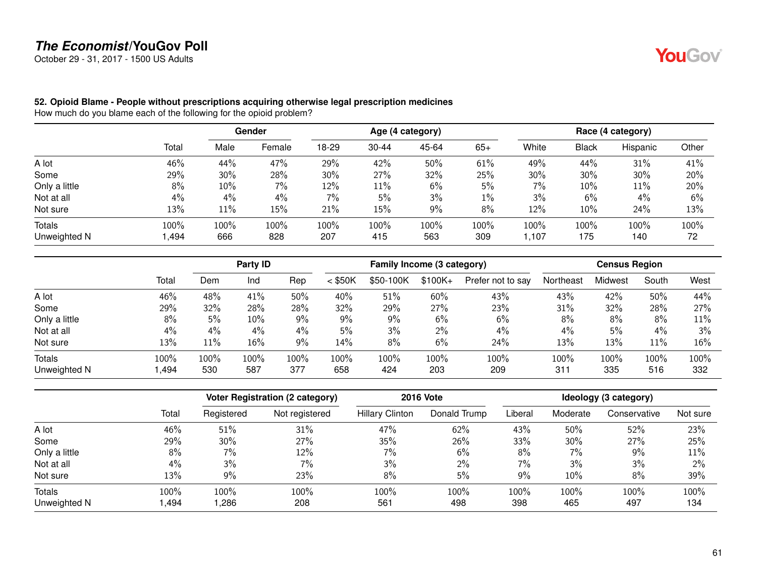October 29 - 31, 2017 - 1500 US Adults

YouGov®

#### **52. Opioid Blame - People without prescriptions acquiring otherwise legal prescription medicines**

How much do you blame each of the following for the opioid problem?

|               |        |      | <b>Gender</b> |       | Age (4 category) |       |       |       | Race (4 category) |          |       |  |
|---------------|--------|------|---------------|-------|------------------|-------|-------|-------|-------------------|----------|-------|--|
|               | Total  | Male | Female        | 18-29 | $30 - 44$        | 45-64 | $65+$ | White | <b>Black</b>      | Hispanic | Other |  |
| A lot         | 46%    | 44%  | 47%           | 29%   | 42%              | 50%   | 61%   | 49%   | 44%               | 31%      | 41%   |  |
| Some          | 29%    | 30%  | 28%           | 30%   | 27%              | 32%   | 25%   | 30%   | 30%               | 30%      | 20%   |  |
| Only a little | 8%     | 10%  | $7\%$         | 12%   | 11%              | 6%    | 5%    | 7%    | 10%               | 11%      | 20%   |  |
| Not at all    | $4\%$  | 4%   | 4%            | 7%    | 5%               | 3%    | $1\%$ | 3%    | 6%                | 4%       | 6%    |  |
| Not sure      | 13%    | 11%  | 15%           | 21%   | 15%              | 9%    | 8%    | 12%   | 10%               | 24%      | 13%   |  |
| Totals        | 100%   | 100% | 100%          | 100%  | 100%             | 100%  | 100%  | 100%  | 100%              | 100%     | 100%  |  |
| Unweighted N  | 494, ا | 666  | 828           | 207   | 415              | 563   | 309   | 1,107 | 175               | 140      | 72    |  |

|               |       | Party ID |      |      | Family Income (3 category) |           |          |                   | <b>Census Region</b> |         |        |      |
|---------------|-------|----------|------|------|----------------------------|-----------|----------|-------------------|----------------------|---------|--------|------|
|               | Total | Dem      | Ind  | Rep  | $<$ \$50K                  | \$50-100K | $$100K+$ | Prefer not to say | Northeast            | Midwest | South  | West |
| A lot         | 46%   | 48%      | 41%  | 50%  | 40%                        | 51%       | 60%      | 43%               | 43%                  | 42%     | 50%    | 44%  |
| Some          | 29%   | 32%      | 28%  | 28%  | 32%                        | 29%       | 27%      | 23%               | 31%                  | 32%     | 28%    | 27%  |
| Only a little | 8%    | 5%       | 10%  | 9%   | $9\%$                      | 9%        | 6%       | 6%                | 8%                   | 8%      | 8%     | 11%  |
| Not at all    | 4%    | 4%       | 4%   | 4%   | 5%                         | 3%        | 2%       | $4\%$             | 4%                   | 5%      | 4%     | 3%   |
| Not sure      | 13%   | 11%      | 16%  | 9%   | 14%                        | 8%        | 6%       | 24%               | 13%                  | 13%     | $11\%$ | 16%  |
| <b>Totals</b> | 100%  | 100%     | 100% | 100% | 100%                       | $100\%$   | 100%     | 100%              | 100%                 | 100%    | 100%   | 100% |
| Unweighted N  | .494  | 530      | 587  | 377  | 658                        | 424       | 203      | 209               | 311                  | 335     | 516    | 332  |

|               |       |            | <b>Voter Registration (2 category)</b> |                        | <b>2016 Vote</b> | Ideology (3 category) |          |              |          |
|---------------|-------|------------|----------------------------------------|------------------------|------------------|-----------------------|----------|--------------|----------|
|               | Total | Registered | Not registered                         | <b>Hillary Clinton</b> | Donald Trump     | Liberal               | Moderate | Conservative | Not sure |
| A lot         | 46%   | 51%        | 31%                                    | 47%                    | 62%              | 43%                   | 50%      | 52%          | 23%      |
| Some          | 29%   | 30%        | 27%                                    | 35%                    | 26%              | 33%                   | 30%      | 27%          | 25%      |
| Only a little | 8%    | 7%         | 12%                                    | 7%                     | 6%               | 8%                    | 7%       | 9%           | 11%      |
| Not at all    | 4%    | 3%         | 7%                                     | 3%                     | $2\%$            | $7\%$                 | 3%       | 3%           | 2%       |
| Not sure      | 13%   | 9%         | 23%                                    | 8%                     | 5%               | 9%                    | 10%      | 8%           | 39%      |
| <b>Totals</b> | 100%  | 100%       | 100%                                   | 100%                   | 100%             | 100%                  | $100\%$  | 100%         | 100%     |
| Unweighted N  | ,494  | ,286       | 208                                    | 561                    | 498              | 398                   | 465      | 497          | 134      |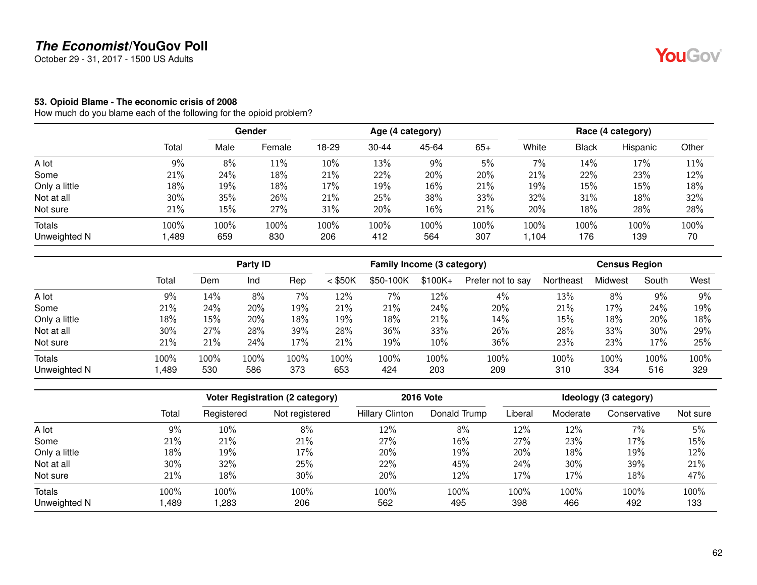October 29 - 31, 2017 - 1500 US Adults

#### **53. Opioid Blame - The economic crisis of 2008**

How much do you blame each of the following for the opioid problem?

|               |       | <b>Gender</b> |        | Age (4 category) |           |        |       | Race (4 category) |       |          |       |
|---------------|-------|---------------|--------|------------------|-----------|--------|-------|-------------------|-------|----------|-------|
|               | Total | Male          | Female | 18-29            | $30 - 44$ | 45-64  | $65+$ | White             | Black | Hispanic | Other |
| A lot         | $9\%$ | 8%            | 11%    | 10%              | 13%       | 9%     | $5\%$ | 7%                | 14%   | 17%      | 11%   |
| Some          | 21%   | 24%           | 18%    | 21%              | 22%       | 20%    | 20%   | 21%               | 22%   | 23%      | 12%   |
| Only a little | 18%   | 19%           | 18%    | 17%              | 19%       | $16\%$ | 21%   | 19%               | 15%   | 15%      | 18%   |
| Not at all    | 30%   | 35%           | 26%    | 21%              | 25%       | 38%    | 33%   | 32%               | 31%   | 18%      | 32%   |
| Not sure      | 21%   | 15%           | 27%    | 31%              | 20%       | 16%    | 21%   | 20%               | 18%   | 28%      | 28%   |
| <b>Totals</b> | 100%  | 100%          | 100%   | 100%             | 100%      | 100%   | 100%  | 100%              | 100%  | 100%     | 100%  |
| Unweighted N  | ,489  | 659           | 830    | 206              | 412       | 564    | 307   | ,104              | 176   | 139      | 70    |

|               |       | Party ID |      |       | Family Income (3 category) |           |          |                   | <b>Census Region</b> |         |       |      |
|---------------|-------|----------|------|-------|----------------------------|-----------|----------|-------------------|----------------------|---------|-------|------|
|               | Total | Dem      | Ind  | Rep   | $<$ \$50K                  | \$50-100K | $$100K+$ | Prefer not to say | Northeast            | Midwest | South | West |
| A lot         | $9\%$ | 14%      | 8%   | $7\%$ | 12%                        | 7%        | 12%      | 4%                | 13%                  | 8%      | 9%    | 9%   |
| Some          | 21%   | 24%      | 20%  | 19%   | 21%                        | 21%       | 24%      | 20%               | 21%                  | 17%     | 24%   | 19%  |
| Only a little | 18%   | 15%      | 20%  | 18%   | 19%                        | 18%       | 21%      | 14%               | 15%                  | 18%     | 20%   | 18%  |
| Not at all    | 30%   | 27%      | 28%  | 39%   | 28%                        | 36%       | 33%      | 26%               | 28%                  | 33%     | 30%   | 29%  |
| Not sure      | 21%   | 21%      | 24%  | 17%   | 21%                        | 19%       | 10%      | 36%               | 23%                  | 23%     | 17%   | 25%  |
| <b>Totals</b> | 100%  | 100%     | 100% | 100%  | 100%                       | $100\%$   | 100%     | 100%              | 100%                 | 100%    | 100%  | 100% |
| Unweighted N  | ,489  | 530      | 586  | 373   | 653                        | 424       | 203      | 209               | 310                  | 334     | 516   | 329  |

|               |       |            | <b>Voter Registration (2 category)</b> | <b>2016 Vote</b>       | Ideology (3 category) |         |          |              |          |
|---------------|-------|------------|----------------------------------------|------------------------|-----------------------|---------|----------|--------------|----------|
|               | Total | Registered | Not registered                         | <b>Hillary Clinton</b> | Donald Trump          | Liberal | Moderate | Conservative | Not sure |
| A lot         | 9%    | 10%        | 8%                                     | 12%                    | 8%                    | 12%     | 12%      | $7\%$        | 5%       |
| Some          | 21%   | 21%        | 21%                                    | 27%                    | 16%                   | 27%     | 23%      | 17%          | 15%      |
| Only a little | 18%   | 19%        | 17%                                    | 20%                    | 19%                   | 20%     | 18%      | 19%          | 12%      |
| Not at all    | 30%   | 32%        | 25%                                    | 22%                    | 45%                   | 24%     | 30%      | 39%          | 21%      |
| Not sure      | 21%   | 18%        | 30%                                    | 20%                    | 12%                   | 17%     | 17%      | 18%          | 47%      |
| Totals        | 100%  | 100%       | 100%                                   | 100%                   | 100%                  | 100%    | 100%     | 100%         | 100%     |
| Unweighted N  | ,489  | ,283       | 206                                    | 562                    | 495                   | 398     | 466      | 492          | 133      |

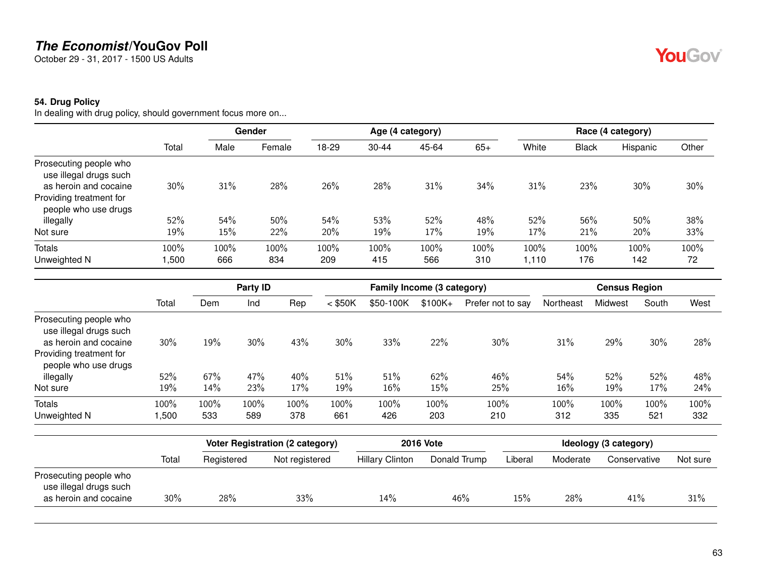October 29 - 31, 2017 - 1500 US Adults

#### **54. Drug Policy**

In dealing with drug policy, should government focus more on...

|                                                                                                                              |       |      | Gender | Age (4 category) |           |       |       |        |              | Race (4 category) |       |
|------------------------------------------------------------------------------------------------------------------------------|-------|------|--------|------------------|-----------|-------|-------|--------|--------------|-------------------|-------|
|                                                                                                                              | Total | Male | Female | 18-29            | $30 - 44$ | 45-64 | $65+$ | White  | <b>Black</b> | Hispanic          | Other |
| Prosecuting people who<br>use illegal drugs such<br>as heroin and cocaine<br>Providing treatment for<br>people who use drugs | 30%   | 31%  | 28%    | 26%              | 28%       | 31%   | 34%   | 31%    | 23%          | 30%               | 30%   |
| illegally                                                                                                                    | 52%   | 54%  | 50%    | 54%              | 53%       | 52%   | 48%   | 52%    | 56%          | 50%               | 38%   |
| Not sure                                                                                                                     | 19%   | 15%  | 22%    | 20%              | 19%       | 17%   | 19%   | 17%    | 21%          | 20%               | 33%   |
| <b>Totals</b>                                                                                                                | 100%  | 100% | 100%   | 100%             | 100%      | 100%  | 100%  | 100%   | 100%         | 100%              | 100%  |
| Unweighted N                                                                                                                 | ,500  | 666  | 834    | 209              | 415       | 566   | 310   | 110, ا | 176          | 142               | 72    |

|                                                                                                                              |              | Party ID    |             |             | Family Income (3 category) |             |             |                   | <b>Census Region</b> |             |             |             |
|------------------------------------------------------------------------------------------------------------------------------|--------------|-------------|-------------|-------------|----------------------------|-------------|-------------|-------------------|----------------------|-------------|-------------|-------------|
|                                                                                                                              | Total        | Dem         | Ind         | Rep         | $<$ \$50K                  | \$50-100K   | $$100K +$   | Prefer not to say | Northeast            | Midwest     | South       | West        |
| Prosecuting people who<br>use illegal drugs such<br>as heroin and cocaine<br>Providing treatment for<br>people who use drugs | 30%          | 19%         | 30%         | 43%         | 30%                        | 33%         | 22%         | 30%               | 31%                  | 29%         | 30%         | 28%         |
| illegally                                                                                                                    | 52%          | 67%         | 47%         | 40%         | 51%                        | 51%         | 62%         | 46%               | 54%                  | 52%         | 52%         | 48%         |
| Not sure                                                                                                                     | 19%          | 14%         | 23%         | 17%         | 19%                        | 16%         | 15%         | 25%               | 16%                  | 19%         | 17%         | 24%         |
| <b>Totals</b><br>Unweighted N                                                                                                | 100%<br>,500 | 100%<br>533 | 100%<br>589 | 100%<br>378 | 100%<br>661                | 100%<br>426 | 100%<br>203 | 100%<br>210       | 100%<br>312          | 100%<br>335 | 100%<br>521 | 100%<br>332 |

|                                                                           |       |            | Voter Registration (2 category) |                        | <b>2016 Vote</b> | Ideology (3 category) |          |              |          |  |
|---------------------------------------------------------------------------|-------|------------|---------------------------------|------------------------|------------------|-----------------------|----------|--------------|----------|--|
|                                                                           | Total | Registered | Not registered                  | <b>Hillary Clinton</b> | Donald Trump     | Liberal               | Moderate | Conservative | Not sure |  |
| Prosecuting people who<br>use illegal drugs such<br>as heroin and cocaine | 30%   | 28%        | 33%                             | 14%                    | 46%              | 15%                   | 28%      | 41%          | 31%      |  |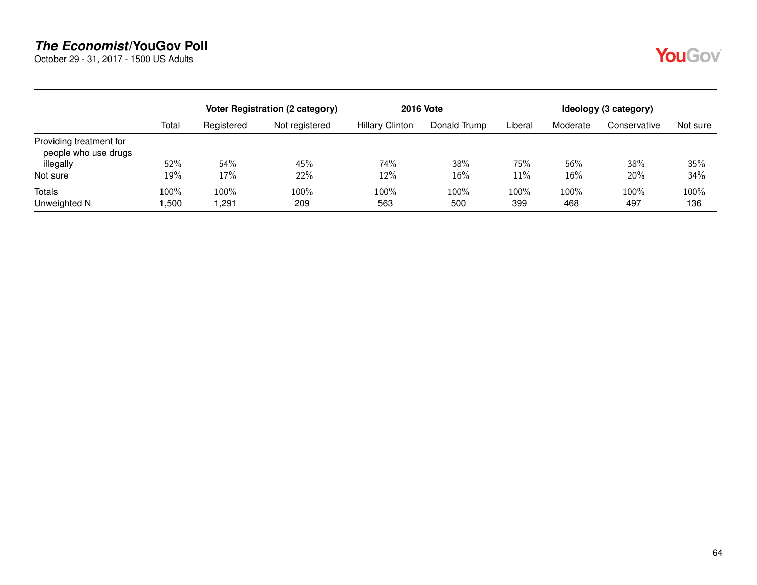October 29 - 31, 2017 - 1500 US Adults



|                                                 |              |              | Voter Registration (2 category) |                        | <b>2016 Vote</b> | Ideology (3 category) |             |              |             |
|-------------------------------------------------|--------------|--------------|---------------------------------|------------------------|------------------|-----------------------|-------------|--------------|-------------|
|                                                 | Total        | Registered   | Not registered                  | <b>Hillary Clinton</b> | Donald Trump     | Liberal               | Moderate    | Conservative | Not sure    |
| Providing treatment for<br>people who use drugs |              |              |                                 |                        |                  |                       |             |              |             |
| illegally                                       | 52%          | 54%          | 45%                             | 74%                    | 38%              | 75%                   | 56%         | 38%          | 35%         |
| Not sure                                        | 19%          | 17%          | 22%                             | 12%                    | 16%              | 11%                   | 16%         | 20%          | 34%         |
| Totals<br>Unweighted N                          | 100%<br>,500 | 100%<br>.291 | 100%<br>209                     | 100%<br>563            | 100%<br>500      | 100%<br>399           | 100%<br>468 | 100%<br>497  | 100%<br>136 |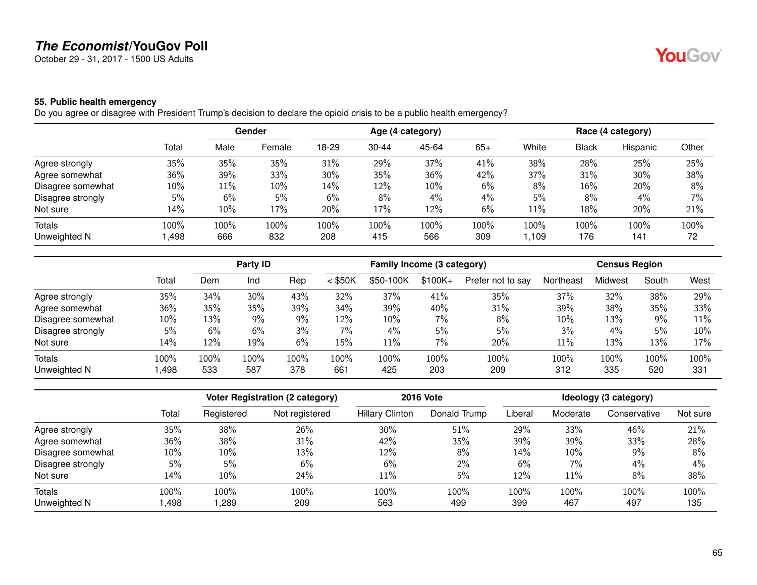October 29 - 31, 2017 - 1500 US Adults

## **55. Public health emergency**

Do you agree or disagree with President Trump's decision to declare the opioid crisis to be a public health emergency?

|                   |       |      | Gender | Age (4 category) |           |       |       | Race (4 category) |              |          |       |
|-------------------|-------|------|--------|------------------|-----------|-------|-------|-------------------|--------------|----------|-------|
|                   | Total | Male | Female | 18-29            | $30 - 44$ | 45-64 | $65+$ | White             | <b>Black</b> | Hispanic | Other |
| Agree strongly    | 35%   | 35%  | 35%    | 31%              | 29%       | 37%   | 41%   | 38%               | 28%          | 25%      | 25%   |
| Agree somewhat    | 36%   | 39%  | 33%    | 30%              | 35%       | 36%   | 42%   | 37%               | 31%          | 30%      | 38%   |
| Disagree somewhat | 10%   | 11%  | 10%    | 14%              | 12%       | 10%   | 6%    | 8%                | 16%          | 20%      | 8%    |
| Disagree strongly | 5%    | 6%   | 5%     | 6%               | 8%        | 4%    | 4%    | 5%                | 8%           | $4\%$    | 7%    |
| Not sure          | 14%   | 10%  | 17%    | 20%              | 17%       | 12%   | 6%    | 11%               | 18%          | 20%      | 21%   |
| Totals            | 100%  | 100% | 100%   | 100%             | 100%      | 100%  | 100%  | 100%              | 100%         | 100%     | 100%  |
| Unweighted N      | ,498  | 666  | 832    | 208              | 415       | 566   | 309   | ,109              | 176          | 141      | 72    |

|                   |       |      | Party ID |      |           | Family Income (3 category) |          |                   |           | <b>Census Region</b> |       |      |
|-------------------|-------|------|----------|------|-----------|----------------------------|----------|-------------------|-----------|----------------------|-------|------|
|                   | Total | Dem  | Ind      | Rep  | $<$ \$50K | \$50-100K                  | $$100K+$ | Prefer not to say | Northeast | Midwest              | South | West |
| Agree strongly    | 35%   | 34%  | 30%      | 43%  | 32%       | 37%                        | 41%      | 35%               | 37%       | 32%                  | 38%   | 29%  |
| Agree somewhat    | 36%   | 35%  | 35%      | 39%  | 34%       | 39%                        | 40%      | 31%               | 39%       | 38%                  | 35%   | 33%  |
| Disagree somewhat | 10%   | 13%  | $9\%$    | 9%   | 12%       | 10%                        | 7%       | 8%                | 10%       | 13%                  | $9\%$ | 11%  |
| Disagree strongly | 5%    | 6%   | 6%       | 3%   | $7\%$     | 4%                         | 5%       | 5%                | 3%        | 4%                   | 5%    | 10%  |
| Not sure          | 14%   | 12%  | 19%      | 6%   | 15%       | 11%                        | 7%       | 20%               | 11%       | 13%                  | 13%   | 17%  |
| Totals            | 100%  | 100% | 100%     | 100% | 100%      | 100%                       | 100%     | 100%              | 100%      | 100%                 | 100%  | 100% |
| Unweighted N      | ,498  | 533  | 587      | 378  | 661       | 425                        | 203      | 209               | 312       | 335                  | 520   | 331  |

|                   |        |            | <b>Voter Registration (2 category)</b> |                        | <b>2016 Vote</b> | Ideology (3 category) |          |              |          |
|-------------------|--------|------------|----------------------------------------|------------------------|------------------|-----------------------|----------|--------------|----------|
|                   | Total  | Registered | Not registered                         | <b>Hillary Clinton</b> | Donald Trump     | Liberal               | Moderate | Conservative | Not sure |
| Agree strongly    | 35%    | 38%        | 26%                                    | 30%                    | 51%              | 29%                   | 33%      | 46%          | 21%      |
| Agree somewhat    | 36%    | 38%        | 31%                                    | 42%                    | 35%              | 39%                   | 39%      | 33%          | 28%      |
| Disagree somewhat | $10\%$ | 10%        | 13%                                    | 12%                    | 8%               | 14%                   | 10%      | 9%           | 8%       |
| Disagree strongly | 5%     | 5%         | 6%                                     | 6%                     | $2\%$            | 6%                    | $7\%$    | $4\%$        | 4%       |
| Not sure          | 14%    | 10%        | 24%                                    | 11%                    | 5%               | 12%                   | 11%      | 8%           | 38%      |
| <b>Totals</b>     | 100%   | 100%       | 100%                                   | 100%                   | 100%             | 100%                  | 100%     | 100%         | 100%     |
| Unweighted N      | ,498   | ,289       | 209                                    | 563                    | 499              | 399                   | 467      | 497          | 135      |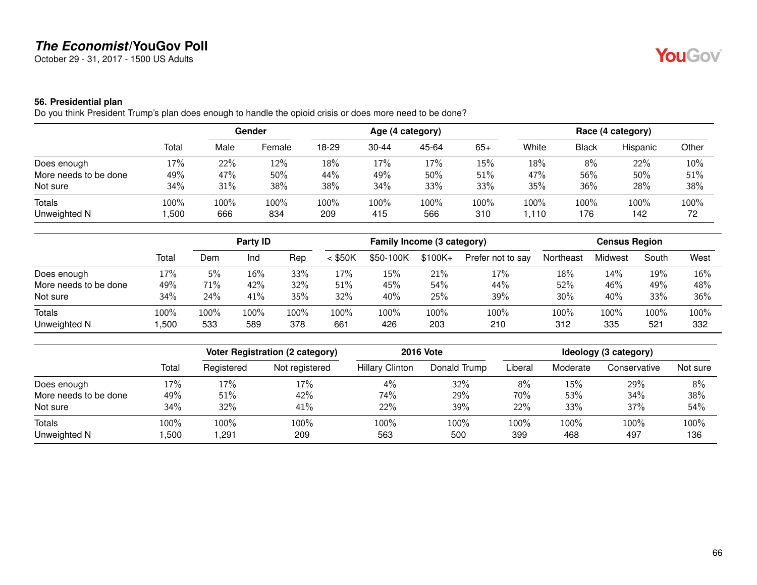October 29 - 31, 2017 - 1500 US Adults

#### **56. Presidential plan**

Do you think President Trump's plan does enough to handle the opioid crisis or does more need to be done?

|                       |        | Gender |        | Age (4 category) |           |       |       | Race (4 category) |       |          |       |
|-----------------------|--------|--------|--------|------------------|-----------|-------|-------|-------------------|-------|----------|-------|
|                       | Total  | Male   | Female | 18-29            | $30 - 44$ | 45-64 | $65+$ | White             | Black | Hispanic | Other |
| Does enough           | $17\%$ | 22%    | 12%    | 18%              | 17%       | 17%   | 15%   | 18%               | 8%    | 22%      | 10%   |
| More needs to be done | 49%    | 47%    | 50%    | 44%              | 49%       | 50%   | 51%   | 47%               | 56%   | 50%      | 51%   |
| Not sure              | 34%    | 31%    | 38%    | 38%              | 34%       | 33%   | 33%   | 35%               | 36%   | 28%      | 38%   |
| Totals                | 100%   | 100%   | 100%   | 100%             | 100%      | 100%  | 100%  | 100%              | 100%  | 100%     | 100%  |
| Unweighted N          | ,500   | 666    | 834    | 209              | 415       | 566   | 310   | .110              | 176   | 142      | 72    |

|                               |                 |             | Party ID    |             |             | Family Income (3 category) |             |                   |             | <b>Census Region</b> |             |             |  |
|-------------------------------|-----------------|-------------|-------------|-------------|-------------|----------------------------|-------------|-------------------|-------------|----------------------|-------------|-------------|--|
|                               | Total           | Dem         | Ind         | Rep         | $<$ \$50K   | \$50-100K                  | $$100K +$   | Prefer not to say | Northeast   | Midwest              | South       | West        |  |
| Does enough                   | 17%             | 5%          | 16%         | 33%         | 17%         | 15%                        | 21%         | 17%               | 18%         | 14%                  | 19%         | 16%         |  |
| More needs to be done         | 49%             | 71%         | 42%         | 32%         | 51%         | 45%                        | 54%         | 44%               | 52%         | 46%                  | 49%         | 48%         |  |
| Not sure                      | 34%             | 24%         | 41%         | 35%         | 32%         | 40%                        | 25%         | 39%               | 30%         | 40%                  | 33%         | 36%         |  |
| <b>Totals</b><br>Unweighted N | $100\%$<br>,500 | 100%<br>533 | 100%<br>589 | 100%<br>378 | 100%<br>661 | 100%<br>426                | 100%<br>203 | 100%<br>210       | 100%<br>312 | 100%<br>335          | 100%<br>521 | 100%<br>332 |  |

|                       |       | Voter Registration (2 category) |                |                        | <b>2016 Vote</b> | Ideology (3 category) |          |              |          |
|-----------------------|-------|---------------------------------|----------------|------------------------|------------------|-----------------------|----------|--------------|----------|
|                       | Total | Registered                      | Not registered | <b>Hillary Clinton</b> | Donald Trump     | Liberal               | Moderate | Conservative | Not sure |
| Does enough           | 17%   | 17%                             | 17%            | $4\%$                  | 32%              | 8%                    | 15%      | 29%          | 8%       |
| More needs to be done | 49%   | 51%                             | 42%            | 74%                    | 29%              | 70%                   | 53%      | 34%          | 38%      |
| Not sure              | 34%   | 32%                             | 41%            | 22%                    | 39%              | 22%                   | 33%      | 37%          | 54%      |
| <b>Totals</b>         | 100%  | 100%                            | 100%           | 100%                   | 100%             | 100%                  | 100%     | 100%         | 100%     |
| Unweighted N          | ,500  | .291                            | 209            | 563                    | 500              | 399                   | 468      | 497          | 136      |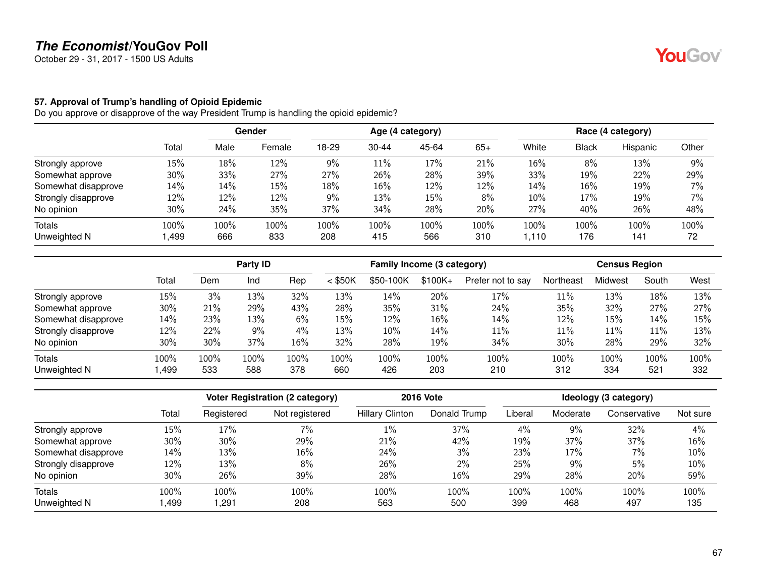October 29 - 31, 2017 - 1500 US Adults

#### **57. Approval of Trump's handling of Opioid Epidemic**

Do you approve or disapprove of the way President Trump is handling the opioid epidemic?

|                     |       |      | Gender<br>Age (4 category) |       |           |       | Race (4 category) |       |        |          |       |
|---------------------|-------|------|----------------------------|-------|-----------|-------|-------------------|-------|--------|----------|-------|
|                     | Total | Male | Female                     | 18-29 | $30 - 44$ | 45-64 | $65+$             | White | Black  | Hispanic | Other |
| Strongly approve    | 15%   | 18%  | 12%                        | 9%    | 11%       | 17%   | 21%               | 16%   | 8%     | 13%      | 9%    |
| Somewhat approve    | 30%   | 33%  | 27%                        | 27%   | 26%       | 28%   | 39%               | 33%   | 19%    | 22%      | 29%   |
| Somewhat disapprove | 14%   | 14%  | 15%                        | 18%   | 16%       | 12%   | 12%               | 14%   | $16\%$ | 19%      | 7%    |
| Strongly disapprove | 12%   | 12%  | 12%                        | 9%    | 13%       | 15%   | 8%                | 10%   | 17%    | 19%      | 7%    |
| No opinion          | 30%   | 24%  | 35%                        | 37%   | 34%       | 28%   | 20%               | 27%   | 40%    | 26%      | 48%   |
| Totals              | 100%  | 100% | 100%                       | 100%  | 100%      | 100%  | 100%              | 100%  | 100%   | 100%     | 100%  |
| Unweighted N        | ,499  | 666  | 833                        | 208   | 415       | 566   | 310               | 1.110 | 176    | 141      | 72    |

|                     |       |      | Party ID |      |           | Family Income (3 category) |          |                   |           | <b>Census Region</b> |        |      |
|---------------------|-------|------|----------|------|-----------|----------------------------|----------|-------------------|-----------|----------------------|--------|------|
|                     | Total | Dem  | Ind      | Rep  | $<$ \$50K | \$50-100K                  | $$100K+$ | Prefer not to say | Northeast | Midwest              | South  | West |
| Strongly approve    | 15%   | 3%   | 13%      | 32%  | 13%       | 14%                        | 20%      | 17%               | 11%       | 13%                  | 18%    | 13%  |
| Somewhat approve    | 30%   | 21%  | 29%      | 43%  | 28%       | 35%                        | 31%      | 24%               | 35%       | 32%                  | 27%    | 27%  |
| Somewhat disapprove | 14%   | 23%  | 13%      | 6%   | 15%       | 12%                        | 16%      | 14%               | 12%       | 15%                  | $14\%$ | 15%  |
| Strongly disapprove | 12%   | 22%  | 9%       | 4%   | 13%       | 10%                        | 14%      | 11%               | 11%       | 11%                  | $11\%$ | 13%  |
| No opinion          | 30%   | 30%  | 37%      | 16%  | 32%       | 28%                        | 19%      | 34%               | 30%       | 28%                  | 29%    | 32%  |
| <b>Totals</b>       | 100%  | 100% | 100%     | 100% | 100%      | 100%                       | 100%     | 100%              | 100%      | 100%                 | 100%   | 100% |
| Unweighted N        | ,499  | 533  | 588      | 378  | 660       | 426                        | 203      | 210               | 312       | 334                  | 521    | 332  |

|                     |       |            | <b>Voter Registration (2 category)</b> |                        | <b>2016 Vote</b> |         |          | Ideology (3 category) |          |
|---------------------|-------|------------|----------------------------------------|------------------------|------------------|---------|----------|-----------------------|----------|
|                     | Total | Registered | Not registered                         | <b>Hillary Clinton</b> | Donald Trump     | Liberal | Moderate | Conservative          | Not sure |
| Strongly approve    | 15%   | 17%        | 7%                                     | 1%                     | 37%              | 4%      | 9%       | 32%                   | 4%       |
| Somewhat approve    | 30%   | 30%        | 29%                                    | 21%                    | 42%              | 19%     | 37%      | 37%                   | 16%      |
| Somewhat disapprove | 14%   | 13%        | 16%                                    | 24%                    | 3%               | 23%     | 17%      | $7\%$                 | 10%      |
| Strongly disapprove | 12%   | 13%        | 8%                                     | 26%                    | $2\%$            | 25%     | $9\%$    | 5%                    | 10%      |
| No opinion          | 30%   | 26%        | 39%                                    | 28%                    | 16%              | 29%     | 28%      | 20%                   | 59%      |
| Totals              | 100%  | 100%       | 100%                                   | 100%                   | 100%             | 100%    | 100%     | 100%                  | 100%     |
| Unweighted N        | ,499  | ,291       | 208                                    | 563                    | 500              | 399     | 468      | 497                   | 135      |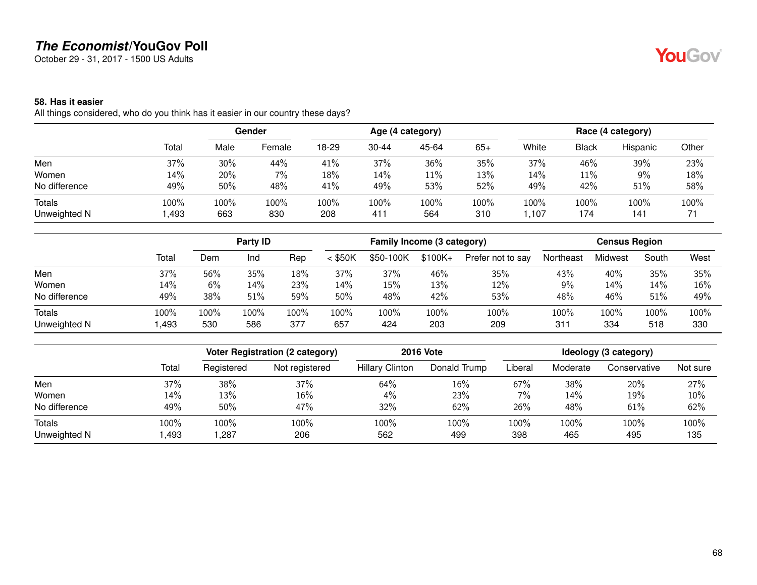October 29 - 31, 2017 - 1500 US Adults

#### **58. Has it easier**

All things considered, who do you think has it easier in our country these days?

|               |       |      | Gender |       | Age (4 category) |       |       |       | Race (4 category) |          |       |  |
|---------------|-------|------|--------|-------|------------------|-------|-------|-------|-------------------|----------|-------|--|
|               | Total | Male | Female | 18-29 | $30 - 44$        | 45-64 | $65+$ | White | <b>Black</b>      | Hispanic | Other |  |
| Men           | 37%   | 30%  | 44%    | 41%   | 37%              | 36%   | 35%   | 37%   | 46%               | 39%      | 23%   |  |
| Women         | 14%   | 20%  | $7\%$  | 18%   | 14%              | 11%   | 13%   | 14%   | 11%               | 9%       | 18%   |  |
| No difference | 49%   | 50%  | 48%    | 41%   | 49%              | 53%   | 52%   | 49%   | 42%               | 51%      | 58%   |  |
| Totals        | 100%  | 100% | 100%   | 100%  | 100%             | 100%  | 100%  | 100%  | 100%              | 100%     | 100%  |  |
| Unweighted N  | ,493  | 663  | 830    | 208   | 411              | 564   | 310   | 1,107 | 174               | 141      | 71    |  |

|                               |              |             | Party <b>ID</b> |             | Family Income (3 category) |             |             | <b>Census Region</b> |             |             |             |             |
|-------------------------------|--------------|-------------|-----------------|-------------|----------------------------|-------------|-------------|----------------------|-------------|-------------|-------------|-------------|
|                               | Total        | Dem         | Ind             | Rep         | $<$ \$50K                  | \$50-100K   | $$100K +$   | Prefer not to say    | Northeast   | Midwest     | South       | West        |
| Men                           | 37%          | 56%         | 35%             | 18%         | 37%                        | 37%         | 46%         | 35%                  | 43%         | 40%         | 35%         | 35%         |
| Women                         | 14%          | 6%          | 14%             | 23%         | 14%                        | 15%         | 13%         | 12%                  | 9%          | 14%         | 14%         | 16%         |
| No difference                 | 49%          | 38%         | 51%             | 59%         | 50%                        | 48%         | 42%         | 53%                  | 48%         | 46%         | 51%         | 49%         |
| <b>Totals</b><br>Unweighted N | 100%<br>.493 | 100%<br>530 | 100%<br>586     | 100%<br>377 | 100%<br>657                | 100%<br>424 | 100%<br>203 | 100%<br>209          | 100%<br>311 | 100%<br>334 | 100%<br>518 | 100%<br>330 |

|               |       | Voter Registration (2 category) |                | <b>2016 Vote</b>       | Ideology (3 category) |         |          |              |          |
|---------------|-------|---------------------------------|----------------|------------------------|-----------------------|---------|----------|--------------|----------|
|               | Total | Registered                      | Not registered | <b>Hillary Clinton</b> | Donald Trump          | Liberal | Moderate | Conservative | Not sure |
| Men           | 37%   | 38%                             | 37%            | 64%                    | 16%                   | 67%     | 38%      | 20%          | 27%      |
| Women         | 14%   | 13%                             | 16%            | $4\%$                  | 23%                   | 7%      | 14%      | 19%          | 10%      |
| No difference | 49%   | 50%                             | 47%            | 32%                    | 62%                   | 26%     | 48%      | $61\%$       | 62%      |
| <b>Totals</b> | 100%  | 100%                            | 100%           | 100%                   | 100%                  | 100%    | 100%     | 100%         | 100%     |
| Unweighted N  | ,493  | ,287                            | 206            | 562                    | 499                   | 398     | 465      | 495          | 135      |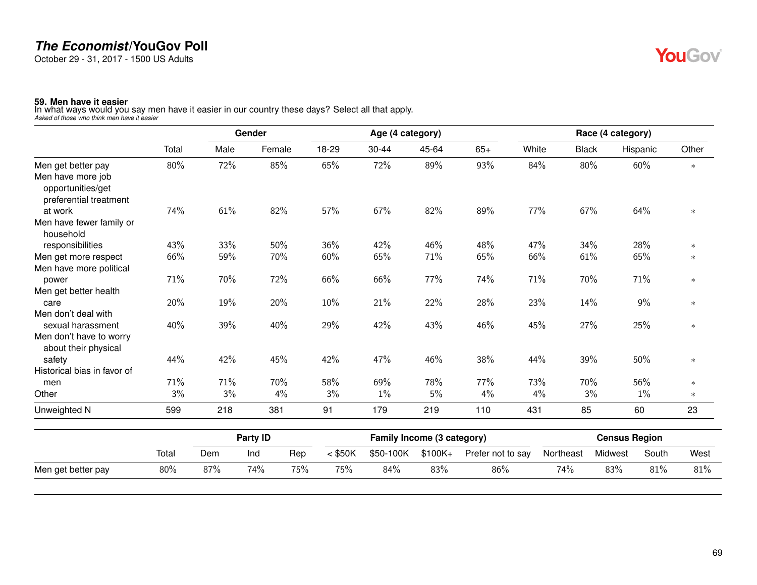October 29 - 31, 2017 - 1500 US Adults

**59. Men have it easier** In what ways would you say men have it easier in our country these days? Select all that apply. *Asked of those who think men have it easier*

|                                        |       |      | Gender |       |       | Age (4 category) |       |       |              | Race (4 category) |        |
|----------------------------------------|-------|------|--------|-------|-------|------------------|-------|-------|--------------|-------------------|--------|
|                                        | Total | Male | Female | 18-29 | 30-44 | 45-64            | $65+$ | White | <b>Black</b> | Hispanic          | Other  |
| Men get better pay                     | 80%   | 72%  | 85%    | 65%   | 72%   | 89%              | 93%   | 84%   | 80%          | 60%               | $\ast$ |
| Men have more job<br>opportunities/get |       |      |        |       |       |                  |       |       |              |                   |        |
| preferential treatment                 |       |      |        |       |       |                  |       |       |              |                   |        |
| at work                                | 74%   | 61%  | 82%    | 57%   | 67%   | 82%              | 89%   | 77%   | 67%          | 64%               | $\ast$ |
| Men have fewer family or<br>household  |       |      |        |       |       |                  |       |       |              |                   |        |
| responsibilities                       | 43%   | 33%  | 50%    | 36%   | 42%   | 46%              | 48%   | 47%   | 34%          | 28%               | $\ast$ |
| Men get more respect                   | 66%   | 59%  | 70%    | 60%   | 65%   | 71%              | 65%   | 66%   | 61%          | 65%               | $\ast$ |
| Men have more political                |       |      |        |       |       |                  |       |       |              |                   |        |
| power                                  | 71%   | 70%  | 72%    | 66%   | 66%   | 77%              | 74%   | 71%   | 70%          | 71%               | $\ast$ |
| Men get better health                  |       |      |        |       |       |                  |       |       |              |                   |        |
| care                                   | 20%   | 19%  | 20%    | 10%   | 21%   | 22%              | 28%   | 23%   | 14%          | 9%                | $\ast$ |
| Men don't deal with                    |       |      |        |       |       |                  |       |       |              |                   |        |
| sexual harassment                      | 40%   | 39%  | 40%    | 29%   | 42%   | 43%              | 46%   | 45%   | 27%          | 25%               | $\ast$ |
| Men don't have to worry                |       |      |        |       |       |                  |       |       |              |                   |        |
| about their physical                   |       |      |        |       |       |                  |       |       |              |                   |        |
| safety                                 | 44%   | 42%  | 45%    | 42%   | 47%   | 46%              | 38%   | 44%   | 39%          | 50%               | $\ast$ |
| Historical bias in favor of            |       |      |        |       |       |                  |       |       |              |                   |        |
| men                                    | 71%   | 71%  | 70%    | 58%   | 69%   | 78%              | 77%   | 73%   | 70%          | 56%               | $\ast$ |
| Other                                  | 3%    | 3%   | 4%     | 3%    | $1\%$ | 5%               | 4%    | 4%    | 3%           | $1\%$             | $\ast$ |
| Unweighted N                           | 599   | 218  | 381    | 91    | 179   | 219              | 110   | 431   | 85           | 60                | 23     |

|                    |       | Party ID |     |     | Family Income (3 category) |           |          |                   | <b>Census Region</b> |         |       |      |
|--------------------|-------|----------|-----|-----|----------------------------|-----------|----------|-------------------|----------------------|---------|-------|------|
|                    | Total | Dem      | Ind | Rep | $<$ \$50K                  | \$50-100K | $$100K+$ | Prefer not to say | Northeast            | Midwest | South | West |
| Men get better pay | 80%   | 87%      | 74% | 75% | 75%                        | 84%       | 83%      | 86%               | 74%                  | 83%     | 81%   | 81%  |

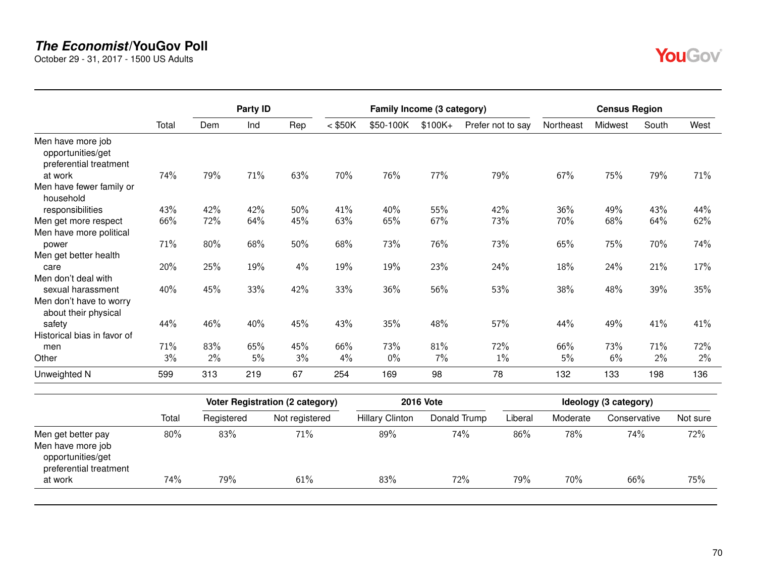October 29 - 31, 2017 - 1500 US Adults

opportunities/get preferential treatment<br>at work

|                                                                  |       |            | Party ID |                                        |           | Family Income (3 category) |                  |                         | <b>Census Region</b> |                       |       |          |  |
|------------------------------------------------------------------|-------|------------|----------|----------------------------------------|-----------|----------------------------|------------------|-------------------------|----------------------|-----------------------|-------|----------|--|
|                                                                  | Total | Dem        | Ind      | Rep                                    | $<$ \$50K | \$50-100K                  | $$100K +$        | Prefer not to say       | Northeast            | Midwest               | South | West     |  |
| Men have more job<br>opportunities/get<br>preferential treatment |       |            |          |                                        |           |                            |                  |                         |                      |                       |       |          |  |
| at work                                                          | 74%   | 79%        | 71%      | 63%                                    | 70%       | 76%                        | 77%              | 79%                     | 67%                  | 75%                   | 79%   | 71%      |  |
| Men have fewer family or<br>household                            |       |            |          |                                        |           |                            |                  |                         |                      |                       |       |          |  |
| responsibilities                                                 | 43%   | 42%        | 42%      | 50%                                    | 41%       | 40%                        | 55%              | 42%                     | 36%                  | 49%                   | 43%   | 44%      |  |
| Men get more respect                                             | 66%   | 72%        | 64%      | 45%                                    | 63%       | 65%                        | 67%              | 73%                     | 70%                  | 68%                   | 64%   | 62%      |  |
| Men have more political                                          |       |            |          |                                        |           |                            |                  |                         |                      |                       |       |          |  |
| power                                                            | 71%   | 80%        | 68%      | 50%                                    | 68%       | 73%                        | 76%              | 73%                     | 65%                  | 75%                   | 70%   | 74%      |  |
| Men get better health                                            |       |            |          |                                        |           |                            |                  |                         |                      |                       |       |          |  |
| care                                                             | 20%   | 25%        | 19%      | 4%                                     | 19%       | 19%                        | 23%              | 24%                     | 18%                  | 24%                   | 21%   | 17%      |  |
| Men don't deal with                                              |       |            |          |                                        |           |                            |                  |                         |                      |                       |       |          |  |
| sexual harassment                                                | 40%   | 45%        | 33%      | 42%                                    | 33%       | 36%                        | 56%              | 53%                     | 38%                  | 48%                   | 39%   | 35%      |  |
| Men don't have to worry<br>about their physical                  |       |            |          |                                        |           |                            |                  |                         |                      |                       |       |          |  |
| safety                                                           | 44%   | 46%        | 40%      | 45%                                    | 43%       | 35%                        | 48%              | 57%                     | 44%                  | 49%                   | 41%   | 41%      |  |
| Historical bias in favor of                                      |       |            |          |                                        |           |                            |                  |                         |                      |                       |       |          |  |
| men                                                              | 71%   | 83%        | 65%      | 45%                                    | 66%       | 73%                        | 81%              | 72%                     | 66%                  | 73%                   | 71%   | 72%      |  |
| Other                                                            | 3%    | 2%         | 5%       | 3%                                     | 4%        | $0\%$                      | 7%               | $1\%$                   | 5%                   | $6\%$                 | 2%    | 2%       |  |
| Unweighted N                                                     | 599   | 313        | 219      | 67                                     | 254       | 169                        | 98               | 78                      | 132                  | 133                   | 198   | 136      |  |
|                                                                  |       |            |          | <b>Voter Registration (2 category)</b> |           |                            | <b>2016 Vote</b> |                         |                      | Ideology (3 category) |       |          |  |
|                                                                  | Total | Registered |          | Not registered                         |           | <b>Hillary Clinton</b>     |                  | Donald Trump<br>Liberal | Moderate             | Conservative          |       | Not sure |  |
| Men get better pay                                               | 80%   | 83%        |          | 71%                                    |           | 89%                        |                  | 74%<br>86%              | 78%                  |                       | 74%   | 72%      |  |
| Men have more job                                                |       |            |          |                                        |           |                            |                  |                         |                      |                       |       |          |  |

at work 74% 79% 61% 83% 72% 79% 70% 66% 75%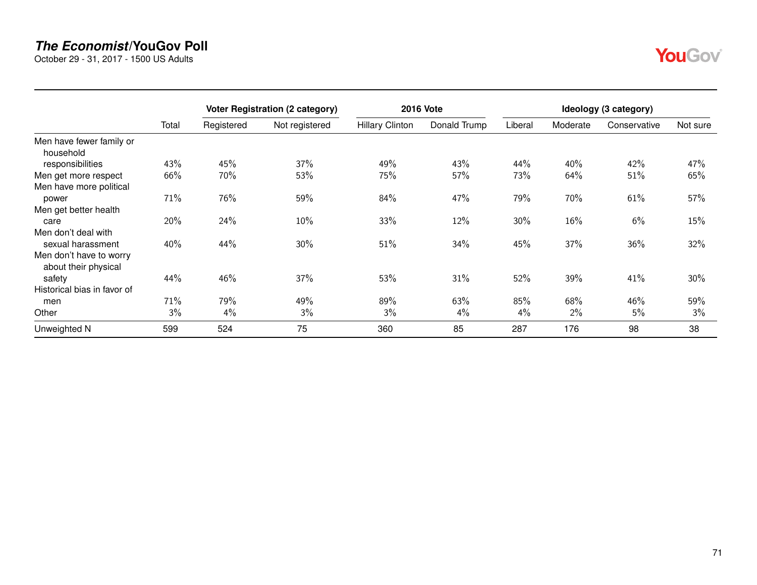October 29 - 31, 2017 - 1500 US Adults

|                                                 |       |            | <b>Voter Registration (2 category)</b> |                        | <b>2016 Vote</b> | Ideology (3 category) |          |              |          |  |  |
|-------------------------------------------------|-------|------------|----------------------------------------|------------------------|------------------|-----------------------|----------|--------------|----------|--|--|
|                                                 | Total | Registered | Not registered                         | <b>Hillary Clinton</b> | Donald Trump     | Liberal               | Moderate | Conservative | Not sure |  |  |
| Men have fewer family or<br>household           |       |            |                                        |                        |                  |                       |          |              |          |  |  |
| responsibilities                                | 43%   | 45%        | 37%                                    | 49%                    | 43%              | 44%                   | 40%      | 42%          | 47%      |  |  |
| Men get more respect                            | 66%   | 70%        | 53%                                    | 75%                    | 57%              | 73%                   | 64%      | 51%          | 65%      |  |  |
| Men have more political                         |       |            |                                        |                        |                  |                       |          |              |          |  |  |
| power                                           | 71%   | 76%        | 59%                                    | 84%                    | 47%              | 79%                   | 70%      | 61%          | 57%      |  |  |
| Men get better health                           |       |            |                                        |                        |                  |                       |          |              |          |  |  |
| care                                            | 20%   | 24%        | 10%                                    | 33%                    | 12%              | $30\%$                | 16%      | 6%           | 15%      |  |  |
| Men don't deal with                             |       |            |                                        |                        |                  |                       |          |              |          |  |  |
| sexual harassment                               | 40%   | 44%        | 30%                                    | 51%                    | 34%              | 45%                   | 37%      | 36%          | 32%      |  |  |
| Men don't have to worry<br>about their physical |       |            |                                        |                        |                  |                       |          |              |          |  |  |
| safety                                          | 44%   | 46%        | 37%                                    | 53%                    | 31%              | 52%                   | 39%      | 41%          | 30%      |  |  |
| Historical bias in favor of                     |       |            |                                        |                        |                  |                       |          |              |          |  |  |
| men                                             | 71%   | 79%        | 49%                                    | 89%                    | 63%              | 85%                   | 68%      | 46%          | 59%      |  |  |
| Other                                           | 3%    | $4\%$      | 3%                                     | 3%                     | 4%               | $4\%$                 | 2%       | 5%           | 3%       |  |  |
| Unweighted N                                    | 599   | 524        | 75                                     | 360                    | 85               | 287                   | 176      | 98           | 38       |  |  |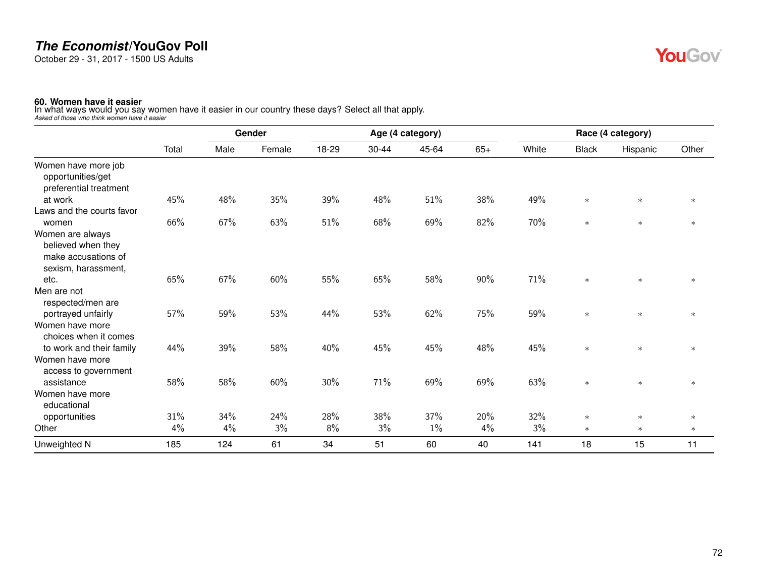October 29 - 31, 2017 - 1500 US Adults

## YouGov®

**60. Women have it easier** In what ways would you say women have it easier in our country these days? Select all that apply. *Asked of those who think women have it easier*

|                                                                                      |       | Gender |        |       |       | Age (4 category) |       |       |              | Race (4 category) |        |
|--------------------------------------------------------------------------------------|-------|--------|--------|-------|-------|------------------|-------|-------|--------------|-------------------|--------|
|                                                                                      | Total | Male   | Female | 18-29 | 30-44 | 45-64            | $65+$ | White | <b>Black</b> | Hispanic          | Other  |
| Women have more job<br>opportunities/get<br>preferential treatment                   |       |        |        |       |       |                  |       |       |              |                   |        |
| at work                                                                              | 45%   | 48%    | 35%    | 39%   | 48%   | 51%              | 38%   | 49%   | $\ast$       | $\ast$            | $\ast$ |
| Laws and the courts favor                                                            |       |        |        |       |       |                  |       |       |              |                   |        |
| women                                                                                | 66%   | 67%    | 63%    | 51%   | 68%   | 69%              | 82%   | 70%   | $\ast$       | $\ast$            | $\ast$ |
| Women are always<br>believed when they<br>make accusations of<br>sexism, harassment, |       |        |        |       |       |                  |       |       |              |                   |        |
| etc.                                                                                 | 65%   | 67%    | 60%    | 55%   | 65%   | 58%              | 90%   | 71%   | $\ast$       | $\ast$            | $\ast$ |
| Men are not<br>respected/men are                                                     |       |        |        |       |       |                  |       |       |              |                   |        |
| portrayed unfairly<br>Women have more<br>choices when it comes                       | 57%   | 59%    | 53%    | 44%   | 53%   | 62%              | 75%   | 59%   | $\ast$       | $\ast$            | $\ast$ |
| to work and their family                                                             | 44%   | 39%    | 58%    | 40%   | 45%   | 45%              | 48%   | 45%   | $\ast$       | $\ast$            | $\ast$ |
| Women have more<br>access to government                                              |       |        |        |       |       |                  |       |       |              |                   |        |
| assistance                                                                           | 58%   | 58%    | 60%    | 30%   | 71%   | 69%              | 69%   | 63%   | $\ast$       | $\ast$            | $\ast$ |
| Women have more<br>educational                                                       |       |        |        |       |       |                  |       |       |              |                   |        |
| opportunities                                                                        | 31%   | 34%    | 24%    | 28%   | 38%   | 37%              | 20%   | 32%   | $\ast$       | $\ast$            | $\ast$ |
| Other                                                                                | 4%    | 4%     | 3%     | $8\%$ | 3%    | $1\%$            | 4%    | 3%    | $\ast$       | $\ast$            | $\ast$ |
| Unweighted N                                                                         | 185   | 124    | 61     | 34    | 51    | 60               | 40    | 141   | 18           | 15                | 11     |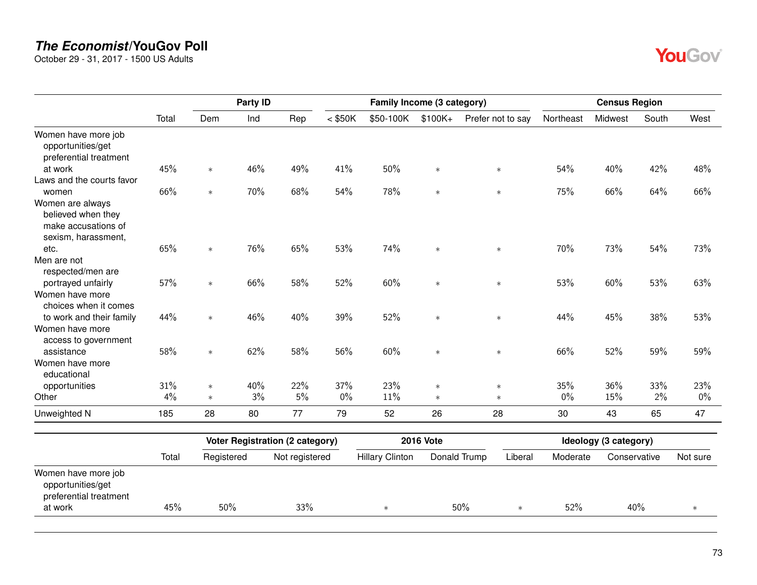October 29 - 31, 2017 - 1500 US Adults

|                                                                                      |       |            | Party ID |                                        |           |                        | Family Income (3 category) |                   |           | <b>Census Region</b>  |       |          |
|--------------------------------------------------------------------------------------|-------|------------|----------|----------------------------------------|-----------|------------------------|----------------------------|-------------------|-----------|-----------------------|-------|----------|
|                                                                                      | Total | Dem        | Ind      | Rep                                    | $<$ \$50K | \$50-100K              | $$100K +$                  | Prefer not to say | Northeast | Midwest               | South | West     |
| Women have more job<br>opportunities/get<br>preferential treatment                   |       |            |          |                                        |           |                        |                            |                   |           |                       |       |          |
| at work                                                                              | 45%   | $\ast$     | 46%      | 49%                                    | 41%       | 50%                    | $\ast$                     | $\ast$            | 54%       | 40%                   | 42%   | 48%      |
| Laws and the courts favor<br>women                                                   | 66%   | $\ast$     | 70%      | 68%                                    | 54%       | 78%                    | $\ast$                     | $\ast$            | 75%       | 66%                   | 64%   | 66%      |
| Women are always<br>believed when they<br>make accusations of<br>sexism, harassment, |       |            |          |                                        |           |                        |                            |                   |           |                       |       |          |
| etc.                                                                                 | 65%   | $\ast$     | 76%      | 65%                                    | 53%       | 74%                    | $\ast$                     | $\ast$            | 70%       | 73%                   | 54%   | 73%      |
| Men are not<br>respected/men are                                                     |       |            |          |                                        |           |                        |                            |                   |           |                       |       |          |
| portrayed unfairly<br>Women have more<br>choices when it comes                       | 57%   | $\ast$     | 66%      | 58%                                    | 52%       | 60%                    | $\ast$                     | $\ast$            | 53%       | 60%                   | 53%   | 63%      |
| to work and their family<br>Women have more<br>access to government                  | 44%   | $\ast$     | 46%      | 40%                                    | 39%       | 52%                    | $\ast$                     | $\ast$            | 44%       | 45%                   | 38%   | 53%      |
| assistance                                                                           | 58%   | $\ast$     | 62%      | 58%                                    | 56%       | 60%                    | $\ast$                     | $\ast$            | 66%       | 52%                   | 59%   | 59%      |
| Women have more<br>educational                                                       |       |            |          |                                        |           |                        |                            |                   |           |                       |       |          |
| opportunities                                                                        | 31%   | $\ast$     | 40%      | 22%                                    | 37%       | 23%                    | $\ast$                     | $\ast$            | 35%       | 36%                   | 33%   | 23%      |
| Other                                                                                | 4%    | $\ast$     | 3%       | 5%                                     | $0\%$     | 11%                    | $\ast$                     | $\ast$            | $0\%$     | 15%                   | 2%    | $0\%$    |
| Unweighted N                                                                         | 185   | 28         | 80       | 77                                     | 79        | 52                     | 26                         | 28                | 30        | 43                    | 65    | 47       |
|                                                                                      |       |            |          | <b>Voter Registration (2 category)</b> |           |                        | <b>2016 Vote</b>           |                   |           | Ideology (3 category) |       |          |
|                                                                                      | Total | Registered |          | Not registered                         |           | <b>Hillary Clinton</b> | Donald Trump               | Liberal           | Moderate  | Conservative          |       | Not sure |
| Women have more job                                                                  |       |            |          |                                        |           |                        |                            |                   |           |                       |       |          |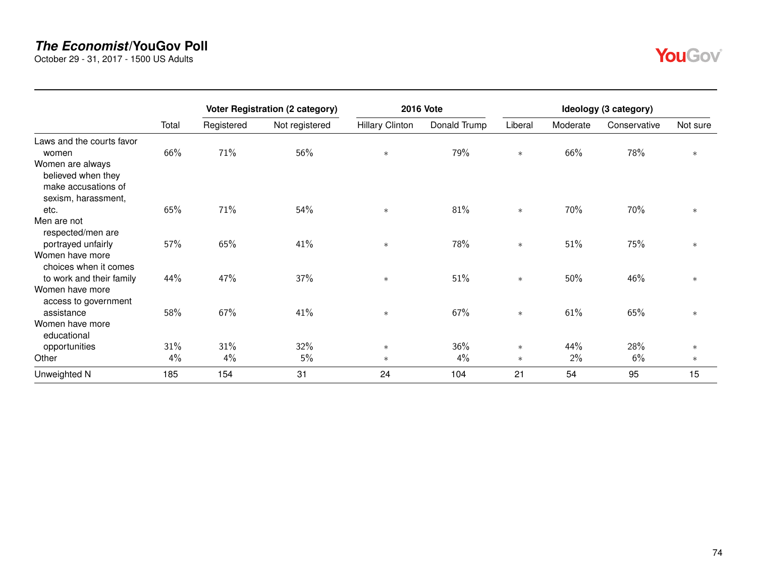October 29 - 31, 2017 - 1500 US Adults

|                                                                                      |       |            | <b>Voter Registration (2 category)</b> |                        | <b>2016 Vote</b> |         |          | Ideology (3 category) |          |
|--------------------------------------------------------------------------------------|-------|------------|----------------------------------------|------------------------|------------------|---------|----------|-----------------------|----------|
|                                                                                      | Total | Registered | Not registered                         | <b>Hillary Clinton</b> | Donald Trump     | Liberal | Moderate | Conservative          | Not sure |
| Laws and the courts favor<br>women                                                   | 66%   | 71%        | 56%                                    | $\ast$                 | 79%              | $\ast$  | 66%      | 78%                   | $\ast$   |
| Women are always<br>believed when they<br>make accusations of<br>sexism, harassment, |       |            |                                        |                        |                  |         |          |                       |          |
| etc.                                                                                 | 65%   | 71%        | 54%                                    | $\ast$                 | 81%              | $\ast$  | 70%      | 70%                   | $\ast$   |
| Men are not<br>respected/men are<br>portrayed unfairly                               | 57%   | 65%        | 41%                                    | $\ast$                 | 78%              | $\ast$  | 51%      | 75%                   | $\ast$   |
| Women have more<br>choices when it comes                                             |       |            |                                        |                        |                  |         |          |                       |          |
| to work and their family                                                             | 44%   | 47%        | 37%                                    | $\ast$                 | 51%              | $\ast$  | 50%      | 46%                   | $\ast$   |
| Women have more<br>access to government                                              |       |            |                                        |                        |                  |         |          |                       |          |
| assistance                                                                           | 58%   | 67%        | 41%                                    | $\ast$                 | 67%              | $\ast$  | 61%      | 65%                   | $\ast$   |
| Women have more<br>educational                                                       |       |            |                                        |                        |                  |         |          |                       |          |
| opportunities                                                                        | 31%   | 31%        | 32%                                    | $\ast$                 | 36%              | $\ast$  | 44%      | 28%                   | $\ast$   |
| Other                                                                                | 4%    | 4%         | 5%                                     | $\ast$                 | 4%               | $\ast$  | 2%       | 6%                    | $\ast$   |
| Unweighted N                                                                         | 185   | 154        | 31                                     | 24                     | 104              | 21      | 54       | 95                    | 15       |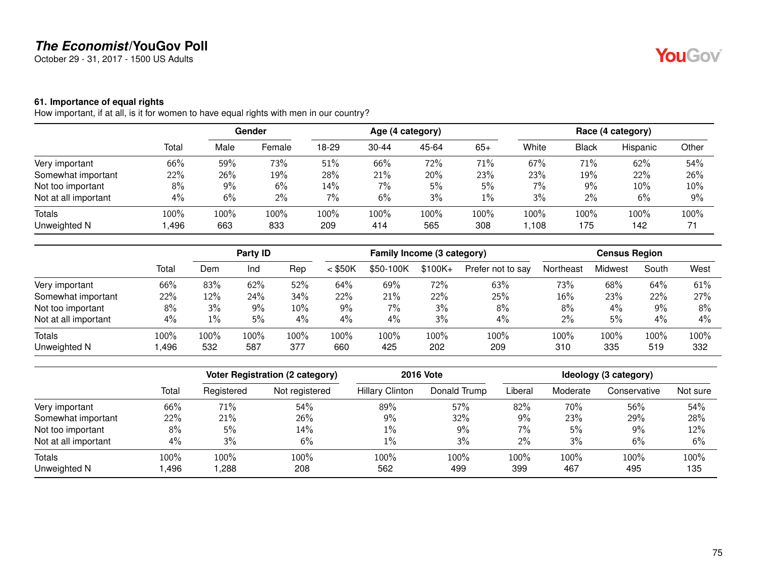October 29 - 31, 2017 - 1500 US Adults

#### **61. Importance of equal rights**

How important, if at all, is it for women to have equal rights with men in our country?

|                      | Total |       | <b>Gender</b> |       | Age (4 category) |       |       |         | Race (4 category) |          |       |  |
|----------------------|-------|-------|---------------|-------|------------------|-------|-------|---------|-------------------|----------|-------|--|
|                      |       | Male  | Female        | 18-29 | $30 - 44$        | 45-64 | $65+$ | White   | Black             | Hispanic | Other |  |
| Very important       | 66%   | 59%   | 73%           | 51%   | 66%              | 72%   | 71%   | 67%     | 71%               | 62%      | 54%   |  |
| Somewhat important   | 22%   | 26%   | 19%           | 28%   | 21%              | 20%   | 23%   | 23%     | 19%               | 22%      | 26%   |  |
| Not too important    | 8%    | $9\%$ | 6%            | 14%   | 7%               | 5%    | 5%    | 7%      | 9%                | 10%      | 10%   |  |
| Not at all important | 4%    | 6%    | $2\%$         | 7%    | 6%               | 3%    | $1\%$ | 3%      | $2\%$             | 6%       | 9%    |  |
| Totals               | 100%  | 100%  | 100%          | 100%  | 100%             | 100%  | 100%  | $100\%$ | 100%              | 100%     | 100%  |  |
| Unweighted N         | ,496  | 663   | 833           | 209   | 414              | 565   | 308   | ,108    | 175               | 142      | 71    |  |

|                      |       |      | Party ID<br>Family Income (3 category) |       |           |           | <b>Census Region</b> |                   |           |         |       |      |
|----------------------|-------|------|----------------------------------------|-------|-----------|-----------|----------------------|-------------------|-----------|---------|-------|------|
|                      | Total | Dem  | Ind                                    | Rep   | $<$ \$50K | \$50-100K | $$100K +$            | Prefer not to say | Northeast | Midwest | South | West |
| Very important       | 66%   | 83%  | 62%                                    | 52%   | 64%       | 69%       | 72%                  | 63%               | 73%       | 68%     | 64%   | 61%  |
| Somewhat important   | 22%   | 12%  | 24%                                    | 34%   | 22%       | 21%       | 22%                  | 25%               | 16%       | 23%     | 22%   | 27%  |
| Not too important    | 8%    | 3%   | 9%                                     | 10%   | 9%        | 7%        | 3%                   | 8%                | 8%        | 4%      | $9\%$ | 8%   |
| Not at all important | 4%    | 1%   | 5%                                     | $4\%$ | 4%        | 4%        | 3%                   | 4%                | 2%        | 5%      | 4%    | 4%   |
| <b>Totals</b>        | 100%  | 100% | 100%                                   | 100%  | 100%      | 100%      | 100%                 | 100%              | 100%      | 100%    | 100%  | 100% |
| Unweighted N         | ,496  | 532  | 587                                    | 377   | 660       | 425       | 202                  | 209               | 310       | 335     | 519   | 332  |

|                      |       |            | <b>Voter Registration (2 category)</b> | <b>2016 Vote</b>       | Ideology (3 category) |         |          |              |          |
|----------------------|-------|------------|----------------------------------------|------------------------|-----------------------|---------|----------|--------------|----------|
|                      | Total | Registered | Not registered                         | <b>Hillary Clinton</b> | Donald Trump          | Liberal | Moderate | Conservative | Not sure |
| Very important       | 66%   | 71%        | 54%                                    | 89%                    | 57%                   | 82%     | 70%      | 56%          | 54%      |
| Somewhat important   | 22%   | 21%        | 26%                                    | 9%                     | 32%                   | 9%      | 23%      | 29%          | 28%      |
| Not too important    | 8%    | 5%         | 14%                                    | $1\%$                  | 9%                    | 7%      | 5%       | $9\%$        | 12%      |
| Not at all important | 4%    | 3%         | 6%                                     | $1\%$                  | 3%                    | 2%      | 3%       | 6%           | 6%       |
| Totals               | 100%  | 100%       | 100%                                   | 100%                   | 100%                  | 100%    | 100%     | 100%         | 100%     |
| Unweighted N         | ,496  | ,288       | 208                                    | 562                    | 499                   | 399     | 467      | 495          | 135      |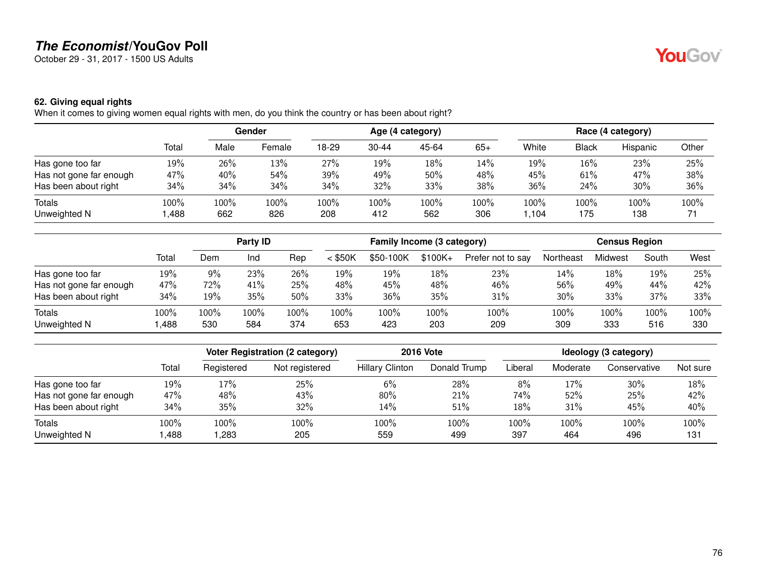October 29 - 31, 2017 - 1500 US Adults

### **62. Giving equal rights**

When it comes to giving women equal rights with men, do you think the country or has been about right?

|                         |              |             | Gender      |             |             | Age (4 category) |             |              |              | Race (4 category) |            |
|-------------------------|--------------|-------------|-------------|-------------|-------------|------------------|-------------|--------------|--------------|-------------------|------------|
|                         | Total        | Male        | Female      | 18-29       | $30 - 44$   | 45-64            | $65+$       | White        | <b>Black</b> | Hispanic          | Other      |
| Has gone too far        | 19%          | 26%         | 13%         | 27%         | 19%         | 18%              | 14%         | 19%          | $16\%$       | 23%               | 25%        |
| Has not gone far enough | 47%          | 40%         | 54%         | 39%         | 49%         | 50%              | 48%         | 45%          | 61%          | 47%               | 38%        |
| Has been about right    | 34%          | 34%         | 34%         | 34%         | 32%         | 33%              | 38%         | 36%          | 24%          | $30\%$            | 36%        |
| Totals<br>Unweighted N  | 100%<br>,488 | 100%<br>662 | 100%<br>826 | 100%<br>208 | 100%<br>412 | 100%<br>562      | 100%<br>306 | 100%<br>.104 | 100%<br>175  | 100%<br>138       | 100%<br>71 |

|                         |       | Party <b>ID</b> |      |      | Family Income (3 category) |           |           |                   | <b>Census Region</b> |         |       |      |
|-------------------------|-------|-----------------|------|------|----------------------------|-----------|-----------|-------------------|----------------------|---------|-------|------|
|                         | Total | Dem             | Ind  | Rep  | $<$ \$50K                  | \$50-100K | $$100K +$ | Prefer not to say | Northeast            | Midwest | South | West |
| Has gone too far        | 19%   | $9\%$           | 23%  | 26%  | 19%                        | 19%       | 18%       | 23%               | 14%                  | 18%     | 19%   | 25%  |
| Has not gone far enough | 47%   | 72%             | 41%  | 25%  | 48%                        | 45%       | 48%       | 46%               | 56%                  | 49%     | 44%   | 42%  |
| Has been about right    | 34%   | 19%             | 35%  | 50%  | 33%                        | 36%       | 35%       | 31%               | 30%                  | 33%     | 37%   | 33%  |
| <b>Totals</b>           | 100%  | $100\%$         | 100% | 100% | 100%                       | 100%      | 100%      | 100%              | 100%                 | 100%    | 100%  | 100% |
| Unweighted N            | ,488  | 530             | 584  | 374  | 653                        | 423       | 203       | 209               | 309                  | 333     | 516   | 330  |

|                               |              |              | Voter Registration (2 category) | <b>2016 Vote</b>       |              |             | Ideology (3 category) |              |             |  |  |
|-------------------------------|--------------|--------------|---------------------------------|------------------------|--------------|-------------|-----------------------|--------------|-------------|--|--|
|                               | Total        | Registered   | Not registered                  | <b>Hillary Clinton</b> | Donald Trump | Liberal     | Moderate              | Conservative | Not sure    |  |  |
| Has gone too far              | 19%          | 17%          | 25%                             | 6%                     | 28%          | 8%          | 17%                   | $30\%$       | 18%         |  |  |
| Has not gone far enough       | 47%          | 48%          | 43%                             | 80%                    | 21%          | 74%         | 52%                   | 25%          | 42%         |  |  |
| Has been about right          | 34%          | 35%          | 32%                             | 14%                    | 51%          | 18%         | 31%                   | 45%          | 40%         |  |  |
| <b>Totals</b><br>Unweighted N | 100%<br>.488 | 100%<br>.283 | 100%<br>205                     | 100%<br>559            | 100%<br>499  | 100%<br>397 | 100%<br>464           | 100%<br>496  | 100%<br>131 |  |  |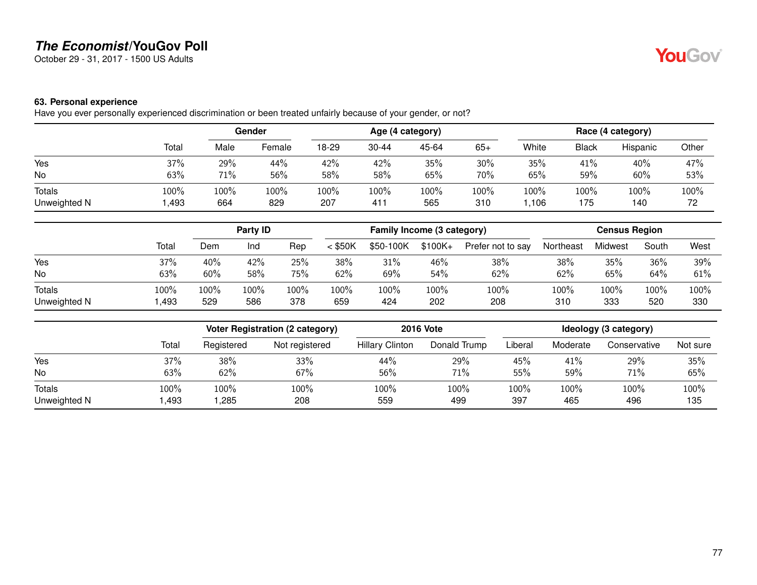October 29 - 31, 2017 - 1500 US Adults

# **YouGov**

### **63. Personal experience**

Have you ever personally experienced discrimination or been treated unfairly because of your gender, or not?

|               |       | Gender |        |       |                 | Age (4 category) |       | Race (4 category) |              |          |       |
|---------------|-------|--------|--------|-------|-----------------|------------------|-------|-------------------|--------------|----------|-------|
|               | Total | Male   | Female | 18-29 | $30 - 44$       | 45-64            | $65+$ | White             | <b>Black</b> | Hispanic | Other |
| Yes           | 37%   | 29%    | 44%    | 42%   | 42%             | 35%              | 30%   | 35%               | 41%          | 40%      | 47%   |
| No            | 63%   | 71%    | 56%    | 58%   | 58%             | 65%              | 70%   | 65%               | 59%          | 60%      | 53%   |
| <b>Totals</b> | 100%  | 100%   | 100%   | 100%  | 100%            | 100%             | 100%  | 100%              | 100%         | 100%     | 100%  |
| Unweighted N  | ,493  | 664    | 829    | 207   | 41 <sup>1</sup> | 565              | 310   | ,106              | 175          | 140      | 72    |

|               |       | Party ID |      |      | Family Income (3 category) |           |           |                   | <b>Census Region</b> |         |       |      |
|---------------|-------|----------|------|------|----------------------------|-----------|-----------|-------------------|----------------------|---------|-------|------|
|               | Total | Dem      | Ind  | Rep  | $<$ \$50K                  | \$50-100K | $$100K +$ | Prefer not to say | Northeast            | Midwest | South | West |
| Yes           | 37%   | 40%      | 42%  | 25%  | 38%                        | 31%       | 46%       | 38%               | 38%                  | 35%     | 36%   | 39%  |
| No            | 63%   | 60%      | 58%  | 75%  | 62%                        | 69%       | 54%       | 62%               | 62%                  | 65%     | 64%   | 61%  |
| <b>Totals</b> | 100%  | 100%     | 100% | 100% | 100%                       | 100%      | 100%      | 100%              | 100%                 | 100%    | 100%  | 100% |
| Unweighted N  | ,493  | 529      | 586  | 378  | 659                        | 424       | 202       | 208               | 310                  | 333     | 520   | 330  |

|              |       |            | <b>Voter Registration (2 category)</b> | <b>2016 Vote</b>       | Ideology (3 category) |         |          |              |          |
|--------------|-------|------------|----------------------------------------|------------------------|-----------------------|---------|----------|--------------|----------|
|              | Total | Registered | Not registered                         | <b>Hillary Clinton</b> | Donald Trump          | Liberal | Moderate | Conservative | Not sure |
| Yes          | 37%   | 38%        | 33%                                    | 44%                    | 29%                   | 45%     | 41%      | 29%          | 35%      |
| No           | 63%   | 62%        | 67%                                    | 56%                    | 71%                   | 55%     | 59%      | 71%          | 65%      |
| Totals       | 100%  | 100%       | 100%                                   | 100%                   | 100%                  | 100%    | 100%     | 100%         | $100\%$  |
| Unweighted N | ,493  | ,285       | 208                                    | 559                    | 499                   | 397     | 465      | 496          | 135      |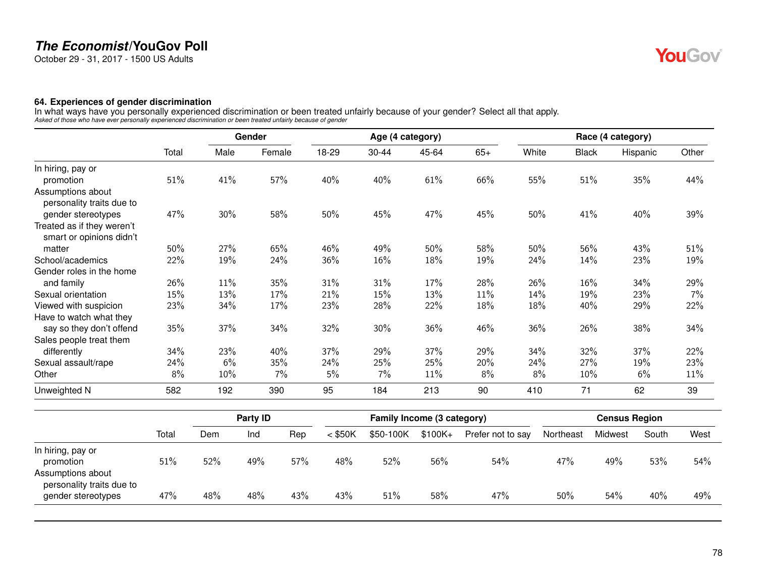October 29 - 31, 2017 - 1500 US Adults

#### **64. Experiences of gender discrimination**

In what ways have you personally experienced discrimination or been treated unfairly because of your gender? Select all that apply.<br>Asked of those who have ever personally experienced discrimination or been treated unfairl

|                                                        |       |      | Gender |       |           | Age (4 category) |       |       |              | Race (4 category) |       |
|--------------------------------------------------------|-------|------|--------|-------|-----------|------------------|-------|-------|--------------|-------------------|-------|
|                                                        | Total | Male | Female | 18-29 | $30 - 44$ | 45-64            | $65+$ | White | <b>Black</b> | Hispanic          | Other |
| In hiring, pay or                                      |       |      |        |       |           |                  |       |       |              |                   |       |
| promotion                                              | 51%   | 41%  | 57%    | 40%   | 40%       | 61%              | 66%   | 55%   | 51%          | 35%               | 44%   |
| Assumptions about<br>personality traits due to         |       |      |        |       |           |                  |       |       |              |                   |       |
| gender stereotypes                                     | 47%   | 30%  | 58%    | 50%   | 45%       | 47%              | 45%   | 50%   | 41%          | 40%               | 39%   |
| Treated as if they weren't<br>smart or opinions didn't |       |      |        |       |           |                  |       |       |              |                   |       |
| matter                                                 | 50%   | 27%  | 65%    | 46%   | 49%       | 50%              | 58%   | 50%   | 56%          | 43%               | 51%   |
| School/academics                                       | 22%   | 19%  | 24%    | 36%   | $16\%$    | 18%              | 19%   | 24%   | 14%          | 23%               | 19%   |
| Gender roles in the home                               |       |      |        |       |           |                  |       |       |              |                   |       |
| and family                                             | 26%   | 11%  | 35%    | 31%   | 31%       | 17%              | 28%   | 26%   | 16%          | 34%               | 29%   |
| Sexual orientation                                     | 15%   | 13%  | 17%    | 21%   | 15%       | 13%              | 11%   | 14%   | 19%          | 23%               | 7%    |
| Viewed with suspicion                                  | 23%   | 34%  | 17%    | 23%   | 28%       | 22%              | 18%   | 18%   | 40%          | 29%               | 22%   |
| Have to watch what they                                |       |      |        |       |           |                  |       |       |              |                   |       |
| say so they don't offend                               | 35%   | 37%  | 34%    | 32%   | 30%       | 36%              | 46%   | 36%   | 26%          | 38%               | 34%   |
| Sales people treat them                                |       |      |        |       |           |                  |       |       |              |                   |       |
| differently                                            | 34%   | 23%  | 40%    | 37%   | 29%       | 37%              | 29%   | 34%   | 32%          | 37%               | 22%   |
| Sexual assault/rape                                    | 24%   | 6%   | 35%    | 24%   | 25%       | 25%              | 20%   | 24%   | 27%          | 19%               | 23%   |
| Other                                                  | 8%    | 10%  | 7%     | 5%    | 7%        | 11%              | 8%    | 8%    | 10%          | 6%                | 11%   |
| Unweighted N                                           | 582   | 192  | 390    | 95    | 184       | 213              | 90    | 410   | 71           | 62                | 39    |

|                                                     |       |     | <b>Party ID</b> |     | Family Income (3 category) |           |          |                   | <b>Census Region</b> |         |       |      |
|-----------------------------------------------------|-------|-----|-----------------|-----|----------------------------|-----------|----------|-------------------|----------------------|---------|-------|------|
|                                                     | Total | Dem | Ind             | Rep | $<$ \$50K                  | \$50-100K | $$100K+$ | Prefer not to say | Northeast            | Midwest | South | West |
| In hiring, pay or<br>promotion<br>Assumptions about | 51%   | 52% | 49%             | 57% | 48%                        | 52%       | 56%      | 54%               | 47%                  | 49%     | 53%   | 54%  |
| personality traits due to<br>gender stereotypes     | 47%   | 48% | 48%             | 43% | 43%                        | 51%       | 58%      | 47%               | $50\%$               | 54%     | 40%   | 49%  |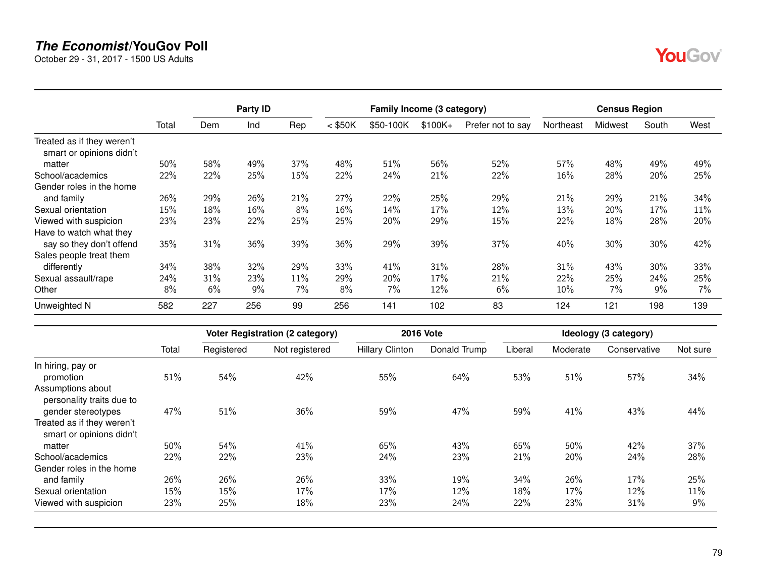October 29 - 31, 2017 - 1500 US Adults

|                                                        |       |     | Party ID |     |           | Family Income (3 category) |          |                   |           | <b>Census Region</b> |       |       |
|--------------------------------------------------------|-------|-----|----------|-----|-----------|----------------------------|----------|-------------------|-----------|----------------------|-------|-------|
|                                                        | Total | Dem | Ind      | Rep | $<$ \$50K | \$50-100K                  | $$100K+$ | Prefer not to say | Northeast | Midwest              | South | West  |
| Treated as if they weren't<br>smart or opinions didn't |       |     |          |     |           |                            |          |                   |           |                      |       |       |
| matter                                                 | 50%   | 58% | 49%      | 37% | 48%       | 51%                        | 56%      | 52%               | 57%       | 48%                  | 49%   | 49%   |
| School/academics                                       | 22%   | 22% | 25%      | 15% | 22%       | 24%                        | 21%      | 22%               | $16\%$    | 28%                  | 20%   | 25%   |
| Gender roles in the home                               |       |     |          |     |           |                            |          |                   |           |                      |       |       |
| and family                                             | 26%   | 29% | 26%      | 21% | 27%       | 22%                        | 25%      | 29%               | 21%       | 29%                  | 21%   | 34%   |
| Sexual orientation                                     | 15%   | 18% | 16%      | 8%  | 16%       | 14%                        | 17%      | 12%               | 13%       | 20%                  | 17%   | 11%   |
| Viewed with suspicion                                  | 23%   | 23% | 22%      | 25% | 25%       | 20%                        | 29%      | 15%               | 22%       | 18%                  | 28%   | 20%   |
| Have to watch what they                                |       |     |          |     |           |                            |          |                   |           |                      |       |       |
| say so they don't offend                               | 35%   | 31% | 36%      | 39% | 36%       | 29%                        | 39%      | 37%               | 40%       | 30%                  | 30%   | 42%   |
| Sales people treat them                                |       |     |          |     |           |                            |          |                   |           |                      |       |       |
| differently                                            | 34%   | 38% | 32%      | 29% | 33%       | 41%                        | 31%      | 28%               | 31%       | 43%                  | 30%   | 33%   |
| Sexual assault/rape                                    | 24%   | 31% | 23%      | 11% | 29%       | 20%                        | 17%      | 21%               | 22%       | 25%                  | 24%   | 25%   |
| Other                                                  | 8%    | 6%  | 9%       | 7%  | 8%        | 7%                         | 12%      | 6%                | $10\%$    | 7%                   | $9\%$ | $7\%$ |
| Unweighted N                                           | 582   | 227 | 256      | 99  | 256       | 141                        | 102      | 83                | 124       | 121                  | 198   | 139   |

| Registered | Not registered                                                     | <b>Hillary Clinton</b> |                   |                   |                   |                   |                   |
|------------|--------------------------------------------------------------------|------------------------|-------------------|-------------------|-------------------|-------------------|-------------------|
|            |                                                                    |                        | Donald Trump      | Liberal           | Moderate          | Conservative      | Not sure          |
|            |                                                                    |                        |                   |                   |                   |                   |                   |
| 54%        | 42%                                                                | 55%                    | 64%               | 53%               | 51%               | 57%               | 34%               |
|            |                                                                    |                        |                   |                   |                   |                   |                   |
|            |                                                                    |                        |                   |                   |                   |                   |                   |
|            | 36%                                                                |                        |                   |                   |                   |                   | 44%               |
|            |                                                                    |                        |                   |                   |                   |                   |                   |
|            |                                                                    |                        |                   |                   |                   |                   | 37%               |
|            |                                                                    |                        |                   |                   |                   |                   |                   |
|            |                                                                    |                        |                   |                   |                   |                   | 28%               |
|            |                                                                    |                        |                   |                   |                   |                   |                   |
| 26%        | 26%                                                                | 33%                    | 19%               | 34%               | 26%               | 17%               | 25%               |
| 15%        | 17%                                                                | 17%                    | 12%               | 18%               | 17%               | 12%               | 11%               |
| 25%        | 18%                                                                | 23%                    | 24%               | 22%               | 23%               | 31%               | 9%                |
|            | 51%<br>47%<br>51%<br>50%<br>54%<br>22%<br>22%<br>26%<br>15%<br>23% | 41%<br>23%             | 59%<br>65%<br>24% | 47%<br>43%<br>23% | 59%<br>65%<br>21% | 41%<br>50%<br>20% | 43%<br>42%<br>24% |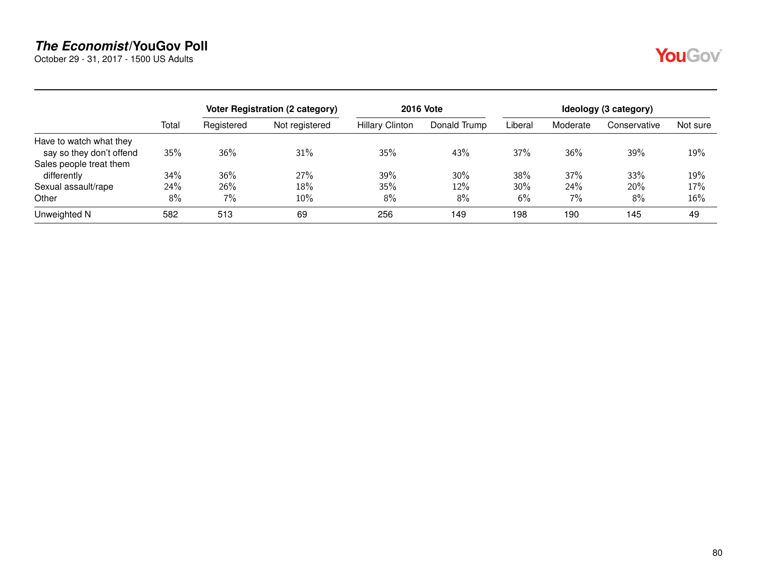October 29 - 31, 2017 - 1500 US Adults

|--|

|                          |       |            | Voter Registration (2 category) | <b>2016 Vote</b>       | Ideology (3 category) |         |          |              |          |
|--------------------------|-------|------------|---------------------------------|------------------------|-----------------------|---------|----------|--------------|----------|
|                          | Total | Registered | Not registered                  | <b>Hillary Clinton</b> | Donald Trump          | Liberal | Moderate | Conservative | Not sure |
| Have to watch what they  |       |            |                                 |                        |                       |         |          |              |          |
| say so they don't offend | 35%   | 36%        | 31%                             | 35%                    | 43%                   | 37%     | 36%      | 39%          | 19%      |
| Sales people treat them  |       |            |                                 |                        |                       |         |          |              |          |
| differently              | 34%   | 36%        | 27%                             | 39%                    | 30%                   | 38%     | 37%      | 33%          | 19%      |
| Sexual assault/rape      | 24%   | 26%        | 18%                             | 35%                    | 12%                   | 30%     | 24%      | 20%          | 17%      |
| Other                    | 8%    | 7%         | $10\%$                          | 8%                     | 8%                    | 6%      | 7%       | 8%           | 16%      |
| Unweighted N             | 582   | 513        | 69                              | 256                    | 149                   | 198     | 190      | 145          | 49       |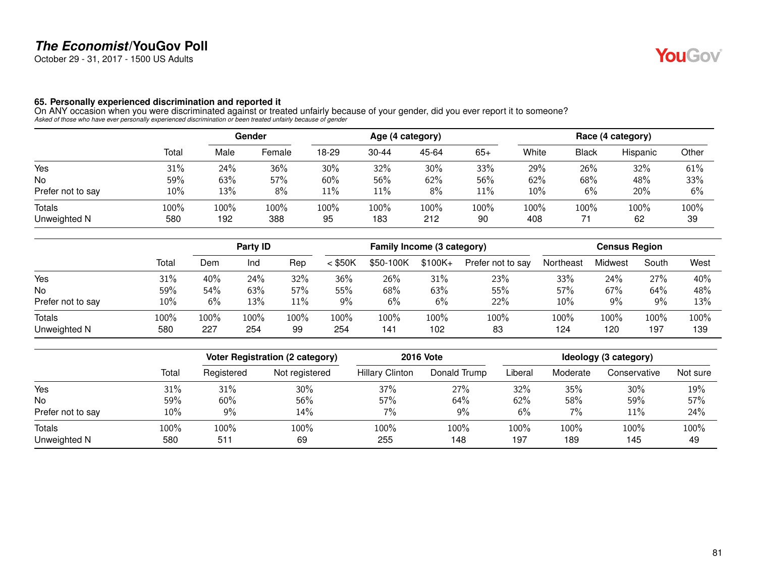October 29 - 31, 2017 - 1500 US Adults

#### **65. Personally experienced discrimination and reported it**

On ANY occasion when you were discriminated against or treated unfairly because of your gender, did you ever report it to someone?<br>Asked of those who have ever personally experienced discrimination or been treated unfairly

|                        |             | Gender      |             |            |             | Age (4 category) |            | Race (4 category) |              |            |            |  |
|------------------------|-------------|-------------|-------------|------------|-------------|------------------|------------|-------------------|--------------|------------|------------|--|
|                        | Total       | Male        | Female      | 18-29      | $30 - 44$   | 45-64            | $65+$      | White             | <b>Black</b> | Hispanic   | Other      |  |
| Yes                    | 31%         | 24%         | 36%         | 30%        | 32%         | 30%              | 33%        | 29%               | 26%          | 32%        | 61%        |  |
| No                     | 59%         | 63%         | 57%         | 60%        | 56%         | 62%              | 56%        | 62%               | 68%          | 48%        | 33%        |  |
| Prefer not to say      | 10%         | 13%         | 8%          | 11%        | 11%         | 8%               | 11%        | $10\%$            | 6%           | 20%        | 6%         |  |
| Totals<br>Unweighted N | 100%<br>580 | 100%<br>192 | 100%<br>388 | 100%<br>95 | 100%<br>183 | 100%<br>212      | 100%<br>90 | 100%<br>408       | 100%         | 100%<br>62 | 100%<br>39 |  |

|                        |             |             | Party ID    |            | Family Income (3 category) |             |             |                   | <b>Census Region</b> |             |             |             |
|------------------------|-------------|-------------|-------------|------------|----------------------------|-------------|-------------|-------------------|----------------------|-------------|-------------|-------------|
|                        | Total       | Dem         | Ind         | Rep        | $<$ \$50K                  | \$50-100K   | $$100K +$   | Prefer not to say | Northeast            | Midwest     | South       | West        |
| Yes                    | 31%         | 40%         | 24%         | 32%        | 36%                        | 26%         | 31%         | 23%               | 33%                  | 24%         | 27%         | 40%         |
| <b>No</b>              | 59%         | 54%         | 63%         | 57%        | 55%                        | 68%         | 63%         | 55%               | 57%                  | 67%         | 64%         | 48%         |
| Prefer not to say      | 10%         | 6%          | 13%         | 11%        | 9%                         | 6%          | 6%          | 22%               | 10%                  | 9%          | 9%          | 13%         |
| Totals<br>Unweighted N | 100%<br>580 | 100%<br>227 | 100%<br>254 | 100%<br>99 | 100%<br>254                | 100%<br>141 | 100%<br>102 | 100%<br>83        | 100%<br>124          | 100%<br>120 | 100%<br>197 | 100%<br>139 |

|                   |       |            | <b>Voter Registration (2 category)</b> | <b>2016 Vote</b>       | Ideology (3 category) |         |          |              |          |
|-------------------|-------|------------|----------------------------------------|------------------------|-----------------------|---------|----------|--------------|----------|
|                   | Total | Registered | Not registered                         | <b>Hillary Clinton</b> | Donald Trump          | Liberal | Moderate | Conservative | Not sure |
| Yes               | 31%   | 31%        | 30%                                    | 37%                    | 27%                   | 32%     | 35%      | 30%          | 19%      |
| No                | 59%   | 60%        | 56%                                    | 57%                    | 64%                   | 62%     | 58%      | 59%          | 57%      |
| Prefer not to say | 10%   | 9%         | 14%                                    | 7%                     | 9%                    | 6%      | 7%       | 11%          | 24%      |
| Totals            | 100%  | 100%       | 100%                                   | 100%                   | 100%                  | 100%    | 100%     | 100%         | 100%     |
| Unweighted N      | 580   | 511        | 69                                     | 255                    | 148                   | 197     | 189      | 145          | 49       |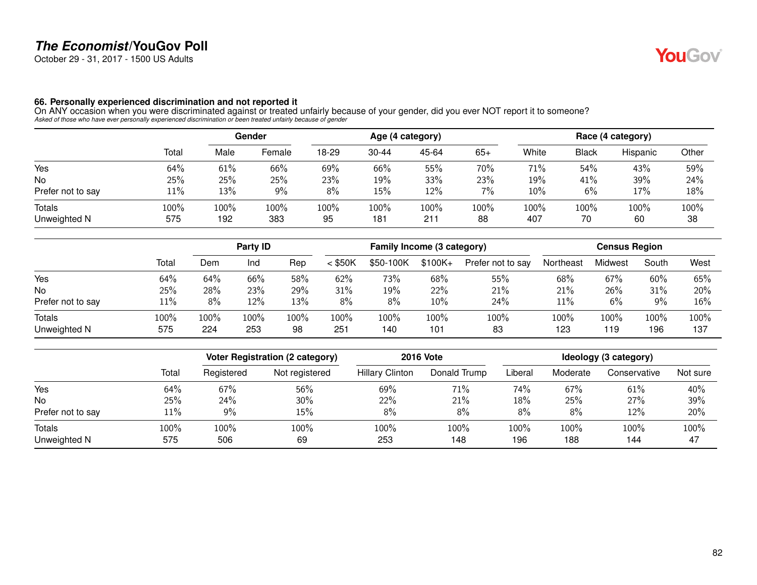October 29 - 31, 2017 - 1500 US Adults

#### **66. Personally experienced discrimination and not reported it**

On ANY occasion when you were discriminated against or treated unfairly because of your gender, did you ever NOT report it to someone?<br>Asked of those who have ever personally experienced discrimination or been treated unfa

|                        |             | Gender      |             |            |             | Age (4 category) |            | Race (4 category) |              |            |            |  |
|------------------------|-------------|-------------|-------------|------------|-------------|------------------|------------|-------------------|--------------|------------|------------|--|
|                        | Total       | Male        | Female      | 18-29      | $30 - 44$   | 45-64            | $65+$      | White             | <b>Black</b> | Hispanic   | Other      |  |
| Yes                    | 64%         | 61%         | 66%         | 69%        | 66%         | 55%              | 70%        | 71%               | 54%          | 43%        | 59%        |  |
| No                     | 25%         | 25%         | 25%         | 23%        | 19%         | 33%              | 23%        | 19%               | 41%          | 39%        | 24%        |  |
| Prefer not to say      | $11\%$      | 13%         | $9\%$       | 8%         | 15%         | 12%              | 7%         | 10%               | 6%           | 17%        | 18%        |  |
| Totals<br>Unweighted N | 100%<br>575 | 100%<br>192 | 100%<br>383 | 100%<br>95 | 100%<br>181 | 100%<br>211      | 100%<br>88 | $100\%$<br>407    | 100%<br>70   | 100%<br>60 | 100%<br>38 |  |

|                        |             | Party ID    |             |            | Family Income (3 category) |             |             | <b>Census Region</b> |             |             |             |             |
|------------------------|-------------|-------------|-------------|------------|----------------------------|-------------|-------------|----------------------|-------------|-------------|-------------|-------------|
|                        | Total       | Dem         | Ind         | Rep        | $<$ \$50K                  | \$50-100K   | $$100K +$   | Prefer not to say    | Northeast   | Midwest     | South       | West        |
| Yes                    | 64%         | 64%         | 66%         | 58%        | 62%                        | 73%         | 68%         | 55%                  | 68%         | 67%         | 60%         | 65%         |
| <b>No</b>              | 25%         | 28%         | 23%         | 29%        | 31%                        | 19%         | 22%         | 21%                  | 21%         | 26%         | 31%         | 20%         |
| Prefer not to say      | $11\%$      | 8%          | 12%         | 13%        | 8%                         | 8%          | 10%         | 24%                  | 11%         | 6%          | 9%          | 16%         |
| Totals<br>Unweighted N | 100%<br>575 | 100%<br>224 | 100%<br>253 | 100%<br>98 | 100%<br>251                | 100%<br>140 | 100%<br>101 | 100%<br>83           | 100%<br>123 | 100%<br>119 | 100%<br>196 | 100%<br>137 |

|                   |       |            | Voter Registration (2 category) | <b>2016 Vote</b>       | Ideology (3 category) |         |          |              |          |
|-------------------|-------|------------|---------------------------------|------------------------|-----------------------|---------|----------|--------------|----------|
|                   | Total | Registered | Not registered                  | <b>Hillary Clinton</b> | Donald Trump          | Liberal | Moderate | Conservative | Not sure |
| Yes               | 64%   | 67%        | 56%                             | 69%                    | 71%                   | 74%     | 67%      | 61%          | 40%      |
| No                | 25%   | 24%        | 30%                             | 22%                    | 21%                   | 18%     | 25%      | 27%          | 39%      |
| Prefer not to say | 11%   | 9%         | 15%                             | 8%                     | 8%                    | 8%      | 8%       | 12%          | 20%      |
| Totals            | 100%  | 100%       | 100%                            | 100%                   | 100%                  | 100%    | 100%     | 100%         | 100%     |
| Unweighted N      | 575   | 506        | 69                              | 253                    | 148                   | 196     | 188      | 144          | 47       |

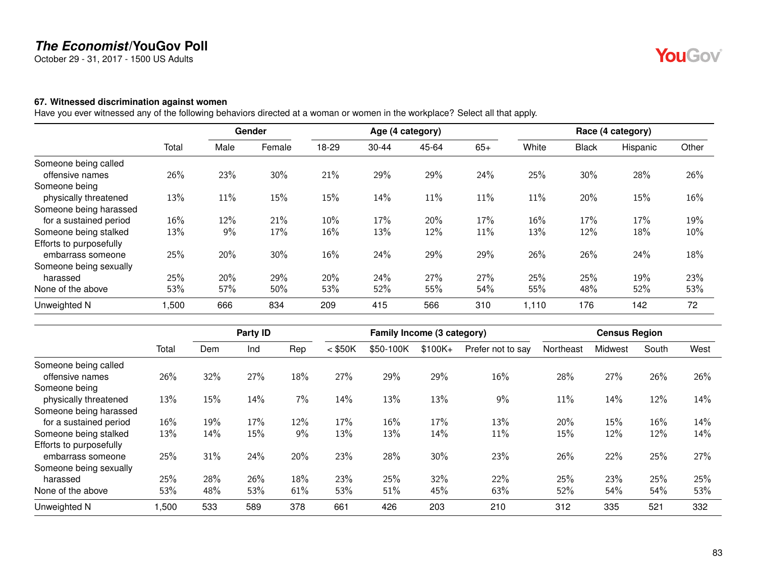October 29 - 31, 2017 - 1500 US Adults

#### **67. Witnessed discrimination against women**

Have you ever witnessed any of the following behaviors directed at a woman or women in the workplace? Select all that apply.

|                         |       |        | Gender |       |           | Age (4 category) |       |        |              | Race (4 category) |       |
|-------------------------|-------|--------|--------|-------|-----------|------------------|-------|--------|--------------|-------------------|-------|
|                         | Total | Male   | Female | 18-29 | $30 - 44$ | 45-64            | $65+$ | White  | <b>Black</b> | Hispanic          | Other |
| Someone being called    |       |        |        |       |           |                  |       |        |              |                   |       |
| offensive names         | 26%   | 23%    | 30%    | 21%   | 29%       | 29%              | 24%   | 25%    | 30%          | 28%               | 26%   |
| Someone being           |       |        |        |       |           |                  |       |        |              |                   |       |
| physically threatened   | 13%   | $11\%$ | 15%    | 15%   | 14%       | 11%              | 11%   | 11%    | 20%          | 15%               | 16%   |
| Someone being harassed  |       |        |        |       |           |                  |       |        |              |                   |       |
| for a sustained period  | 16%   | 12%    | 21%    | 10%   | 17%       | 20%              | 17%   | $16\%$ | 17%          | 17%               | 19%   |
| Someone being stalked   | 13%   | 9%     | 17%    | 16%   | 13%       | 12%              | 11%   | 13%    | 12%          | 18%               | 10%   |
| Efforts to purposefully |       |        |        |       |           |                  |       |        |              |                   |       |
| embarrass someone       | 25%   | 20%    | 30%    | 16%   | 24%       | 29%              | 29%   | 26%    | 26%          | 24%               | 18%   |
| Someone being sexually  |       |        |        |       |           |                  |       |        |              |                   |       |
| harassed                | 25%   | 20%    | 29%    | 20%   | 24%       | 27%              | 27%   | 25%    | 25%          | 19%               | 23%   |
| None of the above       | 53%   | 57%    | 50%    | 53%   | 52%       | 55%              | 54%   | 55%    | 48%          | 52%               | 53%   |
| Unweighted N            | 1,500 | 666    | 834    | 209   | 415       | 566              | 310   | 1,110  | 176          | 142               | 72    |

|                         |       |     | Party ID |     |           | Family Income (3 category) |          |                   |           | <b>Census Region</b> |       |      |
|-------------------------|-------|-----|----------|-----|-----------|----------------------------|----------|-------------------|-----------|----------------------|-------|------|
|                         | Total | Dem | Ind      | Rep | $<$ \$50K | \$50-100K                  | $$100K+$ | Prefer not to say | Northeast | Midwest              | South | West |
| Someone being called    |       |     |          |     |           |                            |          |                   |           |                      |       |      |
| offensive names         | 26%   | 32% | 27%      | 18% | 27%       | 29%                        | 29%      | 16%               | 28%       | 27%                  | 26%   | 26%  |
| Someone being           |       |     |          |     |           |                            |          |                   |           |                      |       |      |
| physically threatened   | 13%   | 15% | 14%      | 7%  | 14%       | 13%                        | 13%      | 9%                | 11%       | 14%                  | 12%   | 14%  |
| Someone being harassed  |       |     |          |     |           |                            |          |                   |           |                      |       |      |
| for a sustained period  | 16%   | 19% | 17%      | 12% | 17%       | 16%                        | 17%      | 13%               | 20%       | 15%                  | 16%   | 14%  |
| Someone being stalked   | 13%   | 14% | 15%      | 9%  | 13%       | 13%                        | 14%      | 11%               | 15%       | 12%                  | 12%   | 14%  |
| Efforts to purposefully |       |     |          |     |           |                            |          |                   |           |                      |       |      |
| embarrass someone       | 25%   | 31% | 24%      | 20% | 23%       | 28%                        | 30%      | 23%               | 26%       | 22%                  | 25%   | 27%  |
| Someone being sexually  |       |     |          |     |           |                            |          |                   |           |                      |       |      |
| harassed                | 25%   | 28% | 26%      | 18% | 23%       | 25%                        | 32%      | 22%               | 25%       | 23%                  | 25%   | 25%  |
| None of the above       | 53%   | 48% | 53%      | 61% | 53%       | 51%                        | 45%      | 63%               | 52%       | 54%                  | 54%   | 53%  |
| Unweighted N            | .500  | 533 | 589      | 378 | 661       | 426                        | 203      | 210               | 312       | 335                  | 521   | 332  |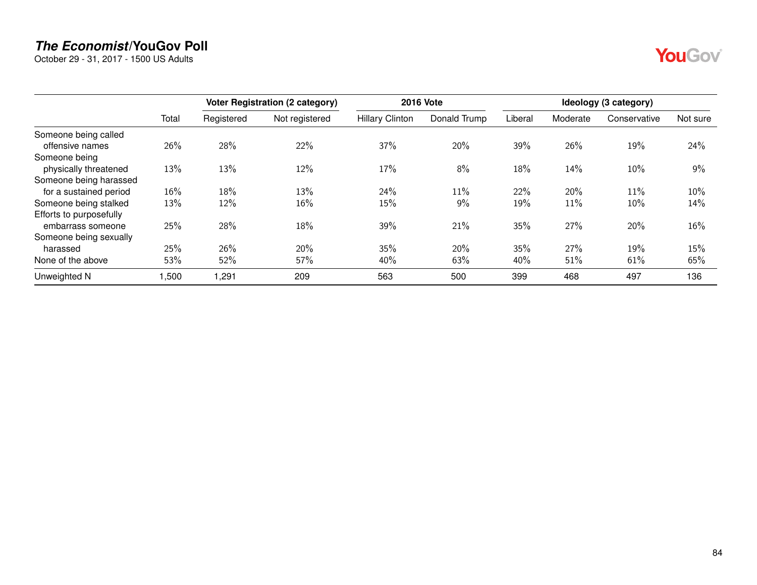October 29 - 31, 2017 - 1500 US Adults

|                         |       |            | Voter Registration (2 category) |                        | <b>2016 Vote</b> |         |          | Ideology (3 category) |          |
|-------------------------|-------|------------|---------------------------------|------------------------|------------------|---------|----------|-----------------------|----------|
|                         | Total | Registered | Not registered                  | <b>Hillary Clinton</b> | Donald Trump     | Liberal | Moderate | Conservative          | Not sure |
| Someone being called    |       |            |                                 |                        |                  |         |          |                       |          |
| offensive names         | 26%   | 28%        | 22%                             | 37%                    | 20%              | 39%     | 26%      | 19%                   | 24%      |
| Someone being           |       |            |                                 |                        |                  |         |          |                       |          |
| physically threatened   | 13%   | 13%        | 12%                             | 17%                    | 8%               | 18%     | 14%      | 10%                   | $9\%$    |
| Someone being harassed  |       |            |                                 |                        |                  |         |          |                       |          |
| for a sustained period  | 16%   | 18%        | 13%                             | 24%                    | 11%              | 22%     | 20%      | 11%                   | $10\%$   |
| Someone being stalked   | 13%   | 12%        | 16%                             | 15%                    | 9%               | 19%     | 11%      | 10%                   | 14%      |
| Efforts to purposefully |       |            |                                 |                        |                  |         |          |                       |          |
| embarrass someone       | 25%   | 28%        | 18%                             | 39%                    | 21%              | 35%     | 27%      | 20%                   | 16%      |
| Someone being sexually  |       |            |                                 |                        |                  |         |          |                       |          |
| harassed                | 25%   | 26%        | 20%                             | 35%                    | 20%              | 35%     | 27%      | 19%                   | 15%      |
| None of the above       | 53%   | 52%        | 57%                             | 40%                    | 63%              | 40%     | 51%      | 61%                   | 65%      |
| Unweighted N            | ,500  | ,291       | 209                             | 563                    | 500              | 399     | 468      | 497                   | 136      |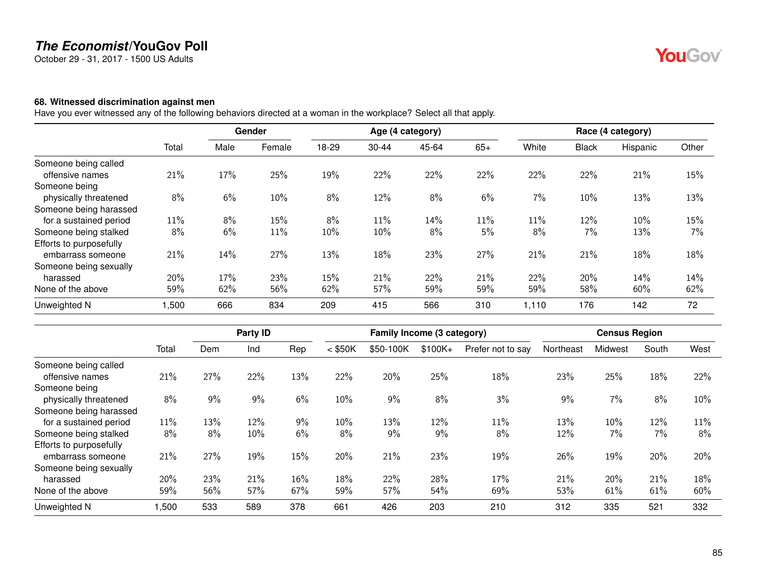October 29 - 31, 2017 - 1500 US Adults

#### **68. Witnessed discrimination against men**

Have you ever witnessed any of the following behaviors directed at a woman in the workplace? Select all that apply.

|                         |       |      | Gender |       |           | Age (4 category) |       |       |              | Race (4 category) |       |
|-------------------------|-------|------|--------|-------|-----------|------------------|-------|-------|--------------|-------------------|-------|
|                         | Total | Male | Female | 18-29 | $30 - 44$ | 45-64            | $65+$ | White | <b>Black</b> | Hispanic          | Other |
| Someone being called    |       |      |        |       |           |                  |       |       |              |                   |       |
| offensive names         | 21%   | 17%  | 25%    | 19%   | 22%       | 22%              | 22%   | 22%   | 22%          | 21%               | 15%   |
| Someone being           |       |      |        |       |           |                  |       |       |              |                   |       |
| physically threatened   | 8%    | 6%   | 10%    | 8%    | 12%       | 8%               | 6%    | $7\%$ | 10%          | 13%               | 13%   |
| Someone being harassed  |       |      |        |       |           |                  |       |       |              |                   |       |
| for a sustained period  | 11%   | 8%   | 15%    | 8%    | 11%       | 14%              | 11%   | 11%   | 12%          | 10%               | 15%   |
| Someone being stalked   | 8%    | 6%   | 11%    | 10%   | 10%       | 8%               | 5%    | 8%    | 7%           | 13%               | 7%    |
| Efforts to purposefully |       |      |        |       |           |                  |       |       |              |                   |       |
| embarrass someone       | 21%   | 14%  | 27%    | 13%   | 18%       | 23%              | 27%   | 21%   | 21%          | 18%               | 18%   |
| Someone being sexually  |       |      |        |       |           |                  |       |       |              |                   |       |
| harassed                | 20%   | 17%  | 23%    | 15%   | 21%       | 22%              | 21%   | 22%   | 20%          | 14%               | 14%   |
| None of the above       | 59%   | 62%  | 56%    | 62%   | 57%       | 59%              | 59%   | 59%   | 58%          | 60%               | 62%   |
| Unweighted N            | 1,500 | 666  | 834    | 209   | 415       | 566              | 310   | 1,110 | 176          | 142               | 72    |

|                         |       |     | Party ID |     |           | Family Income (3 category) |          |                   |           | <b>Census Region</b> |       |      |
|-------------------------|-------|-----|----------|-----|-----------|----------------------------|----------|-------------------|-----------|----------------------|-------|------|
|                         | Total | Dem | Ind      | Rep | $<$ \$50K | \$50-100K                  | $$100K+$ | Prefer not to say | Northeast | Midwest              | South | West |
| Someone being called    |       |     |          |     |           |                            |          |                   |           |                      |       |      |
| offensive names         | 21%   | 27% | 22%      | 13% | 22%       | 20%                        | 25%      | 18%               | 23%       | 25%                  | 18%   | 22%  |
| Someone being           |       |     |          |     |           |                            |          |                   |           |                      |       |      |
| physically threatened   | 8%    | 9%  | 9%       | 6%  | 10%       | 9%                         | 8%       | 3%                | 9%        | 7%                   | 8%    | 10%  |
| Someone being harassed  |       |     |          |     |           |                            |          |                   |           |                      |       |      |
| for a sustained period  | 11%   | 13% | 12%      | 9%  | 10%       | 13%                        | 12%      | 11%               | 13%       | $10\%$               | 12%   | 11%  |
| Someone being stalked   | 8%    | 8%  | 10%      | 6%  | 8%        | 9%                         | 9%       | 8%                | 12%       | 7%                   | 7%    | 8%   |
| Efforts to purposefully |       |     |          |     |           |                            |          |                   |           |                      |       |      |
| embarrass someone       | 21%   | 27% | 19%      | 15% | 20%       | 21%                        | 23%      | 19%               | 26%       | 19%                  | 20%   | 20%  |
| Someone being sexually  |       |     |          |     |           |                            |          |                   |           |                      |       |      |
| harassed                | 20%   | 23% | 21%      | 16% | 18%       | 22%                        | 28%      | 17%               | 21%       | 20%                  | 21%   | 18%  |
| None of the above       | 59%   | 56% | 57%      | 67% | 59%       | 57%                        | 54%      | 69%               | 53%       | 61%                  | 61%   | 60%  |
| Unweighted N            | .500  | 533 | 589      | 378 | 661       | 426                        | 203      | 210               | 312       | 335                  | 521   | 332  |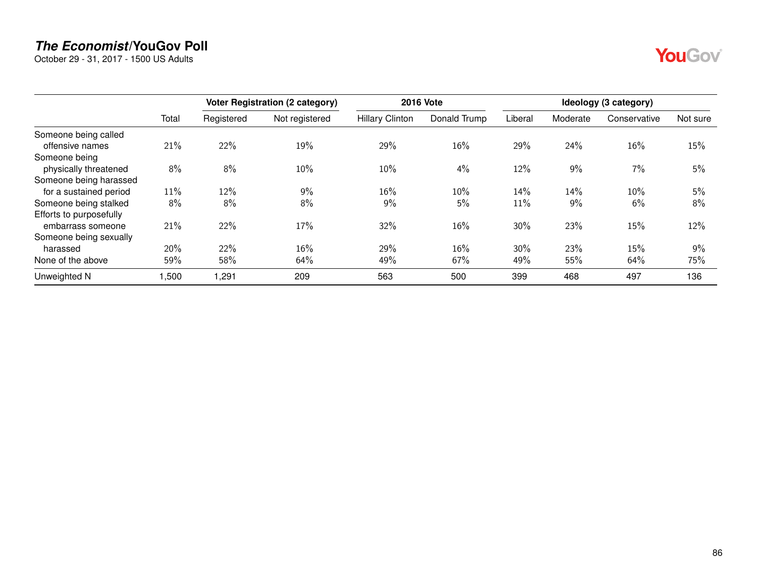October 29 - 31, 2017 - 1500 US Adults

|                         |       |            | Voter Registration (2 category) |                        | <b>2016 Vote</b> |         |          | Ideology (3 category) |          |
|-------------------------|-------|------------|---------------------------------|------------------------|------------------|---------|----------|-----------------------|----------|
|                         | Total | Registered | Not registered                  | <b>Hillary Clinton</b> | Donald Trump     | Liberal | Moderate | Conservative          | Not sure |
| Someone being called    |       |            |                                 |                        |                  |         |          |                       |          |
| offensive names         | 21%   | 22%        | 19%                             | 29%                    | $16\%$           | 29%     | 24%      | 16%                   | 15%      |
| Someone being           |       |            |                                 |                        |                  |         |          |                       |          |
| physically threatened   | 8%    | 8%         | 10%                             | 10%                    | 4%               | 12%     | 9%       | 7%                    | 5%       |
| Someone being harassed  |       |            |                                 |                        |                  |         |          |                       |          |
| for a sustained period  | 11%   | 12%        | 9%                              | $16\%$                 | $10\%$           | 14%     | 14%      | 10%                   | 5%       |
| Someone being stalked   | 8%    | 8%         | 8%                              | 9%                     | 5%               | 11%     | 9%       | 6%                    | 8%       |
| Efforts to purposefully |       |            |                                 |                        |                  |         |          |                       |          |
| embarrass someone       | 21%   | 22%        | 17%                             | 32%                    | 16%              | 30%     | 23%      | 15%                   | 12%      |
| Someone being sexually  |       |            |                                 |                        |                  |         |          |                       |          |
| harassed                | 20%   | 22%        | 16%                             | 29%                    | 16%              | 30%     | 23%      | 15%                   | 9%       |
| None of the above       | 59%   | 58%        | 64%                             | 49%                    | 67%              | 49%     | 55%      | 64%                   | 75%      |
| Unweighted N            | ,500  | ,291       | 209                             | 563                    | 500              | 399     | 468      | 497                   | 136      |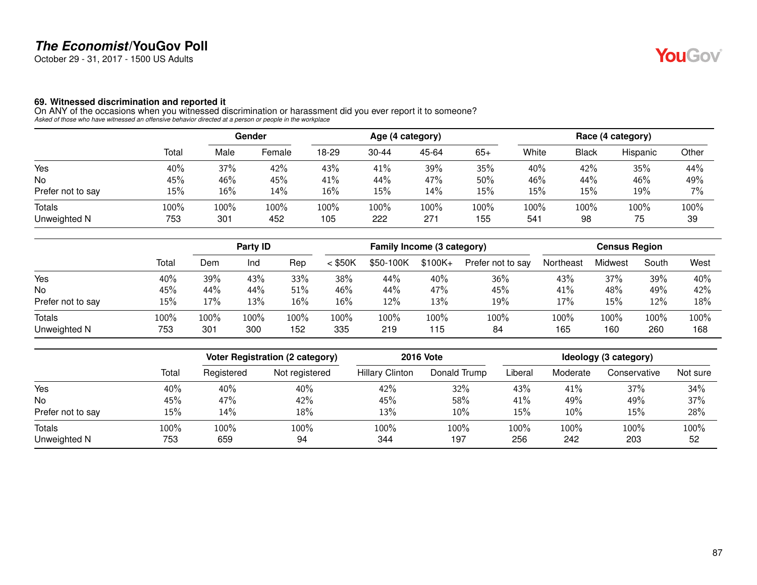October 29 - 31, 2017 - 1500 US Adults

#### **69. Witnessed discrimination and reported it**

On ANY of the occasions when you witnessed discrimination or harassment did you ever report it to someone? *Asked of those who have witnessed an offensive behavior directed at a person or people in the workplace*

|                               |             | Gender      |             |             |             | Age (4 category) |             | Race (4 category)       |              |            |            |
|-------------------------------|-------------|-------------|-------------|-------------|-------------|------------------|-------------|-------------------------|--------------|------------|------------|
|                               | Total       | Male        | Female      | 18-29       | $30 - 44$   | 45-64            | $65+$       | White                   | <b>Black</b> | Hispanic   | Other      |
| Yes                           | 40%         | 37%         | 42%         | 43%         | 41%         | 39%              | 35%         | 40%                     | 42%          | 35%        | 44%        |
| No                            | 45%         | 46%         | 45%         | 41%         | 44%         | 47%              | 50%         | 46%                     | 44%          | 46%        | 49%        |
| Prefer not to say             | 15%         | 16%         | 14%         | 16%         | 15%         | 14%              | 15%         | 15%                     | 15%          | 19%        | 7%         |
| <b>Totals</b><br>Unweighted N | 100%<br>753 | 100%<br>301 | 100%<br>452 | 100%<br>105 | 100%<br>222 | 100%<br>271      | 100%<br>155 | 100%<br>54 <sup>1</sup> | 100%<br>98   | 100%<br>75 | 100%<br>39 |

|                        |             |             | Party ID    |             | Family Income (3 category) |             |             |                   | <b>Census Region</b> |             |             |             |
|------------------------|-------------|-------------|-------------|-------------|----------------------------|-------------|-------------|-------------------|----------------------|-------------|-------------|-------------|
|                        | Total       | Dem         | Ind         | Rep         | $<$ \$50K                  | \$50-100K   | $$100K +$   | Prefer not to say | Northeast            | Midwest     | South       | West        |
| Yes                    | 40%         | 39%         | 43%         | 33%         | 38%                        | 44%         | 40%         | 36%               | 43%                  | 37%         | 39%         | 40%         |
| <b>No</b>              | 45%         | 44%         | 44%         | 51%         | 46%                        | 44%         | 47%         | 45%               | 41%                  | 48%         | 49%         | 42%         |
| Prefer not to say      | 15%         | 17%         | 13%         | 16%         | 16%                        | 12%         | 13%         | 19%               | 17%                  | 15%         | 12%         | 18%         |
| Totals<br>Unweighted N | 100%<br>753 | 100%<br>301 | 100%<br>300 | 100%<br>152 | LOO%<br>335                | 100%<br>219 | 100%<br>115 | 100%<br>84        | 100%<br>165          | 100%<br>160 | 100%<br>260 | 100%<br>168 |

|                   |       | <b>Voter Registration (2 category)</b> |                | <b>2016 Vote</b>       | Ideology (3 category) |         |          |              |          |
|-------------------|-------|----------------------------------------|----------------|------------------------|-----------------------|---------|----------|--------------|----------|
|                   | Total | Registered                             | Not registered | <b>Hillary Clinton</b> | Donald Trump          | Liberal | Moderate | Conservative | Not sure |
| Yes               | 40%   | 40%                                    | 40%            | 42%                    | 32%                   | 43%     | 41%      | 37%          | 34%      |
| <b>No</b>         | 45%   | 47%                                    | 42%            | 45%                    | 58%                   | 41%     | 49%      | 49%          | 37%      |
| Prefer not to say | 15%   | 14%                                    | 18%            | 13%                    | 10%                   | 15%     | 10%      | 15%          | 28%      |
| Totals            | 100%  | 100%                                   | 100%           | 100%                   | 100%                  | 100%    | 100%     | 100%         | 100%     |
| Unweighted N      | 753   | 659                                    | 94             | 344                    | 197                   | 256     | 242      | 203          | 52       |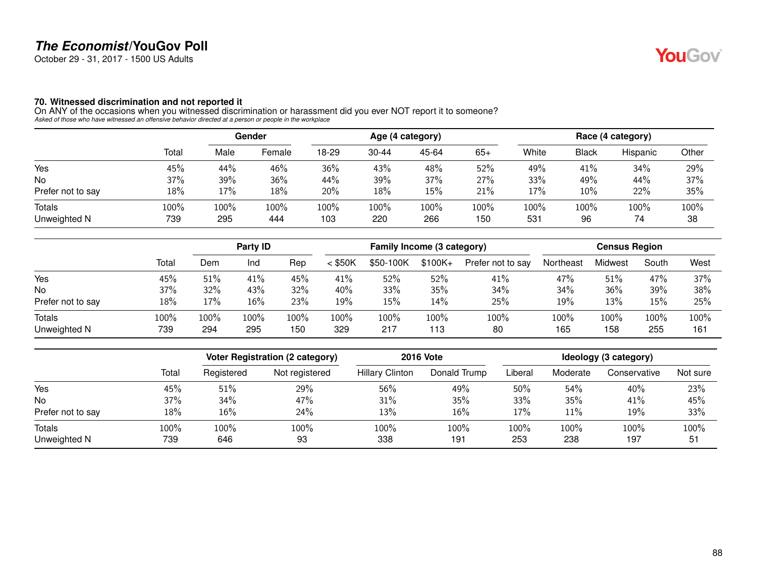October 29 - 31, 2017 - 1500 US Adults

#### **70. Witnessed discrimination and not reported it**

On ANY of the occasions when you witnessed discrimination or harassment did you ever NOT report it to someone? *Asked of those who have witnessed an offensive behavior directed at a person or people in the workplace*

|                   |       | Gender |         |       |           | Age (4 category) |       | Race (4 category) |              |          |       |
|-------------------|-------|--------|---------|-------|-----------|------------------|-------|-------------------|--------------|----------|-------|
|                   | Total | Male   | Female  | 18-29 | $30 - 44$ | 45-64            | $65+$ | White             | <b>Black</b> | Hispanic | Other |
| Yes               | 45%   | 44%    | 46%     | 36%   | 43%       | 48%              | 52%   | 49%               | 41%          | 34%      | 29%   |
| No                | 37%   | 39%    | 36%     | 44%   | 39%       | 37%              | 27%   | 33%               | 49%          | 44%      | 37%   |
| Prefer not to say | 18%   | 17%    | 18%     | 20%   | 18%       | 15%              | 21%   | 17%               | 10%          | 22%      | 35%   |
| <b>Totals</b>     | 100%  | 100%   | $100\%$ | 100%  | 100%      | 100%             | 100%  | 100%              | 100%         | 100%     | 100%  |
| Unweighted N      | 739   | 295    | 444     | 103   | 220       | 266              | 150   | 531               | 96           | 74       | 38    |

|                               |             |             | Party ID    |             |             | Family Income (3 category) |             |                   |             | <b>Census Region</b> |             |             |
|-------------------------------|-------------|-------------|-------------|-------------|-------------|----------------------------|-------------|-------------------|-------------|----------------------|-------------|-------------|
|                               | Total       | Dem         | Ind         | Rep         | $<$ \$50K   | \$50-100K                  | $$100K +$   | Prefer not to say | Northeast   | Midwest              | South       | West        |
| Yes                           | 45%         | 51%         | 41%         | 45%         | 41%         | 52%                        | 52%         | 41%               | 47%         | 51%                  | 47%         | 37%         |
| <b>No</b>                     | 37%         | 32%         | 43%         | 32%         | 40%         | 33%                        | 35%         | 34%               | 34%         | 36%                  | 39%         | 38%         |
| Prefer not to say             | 18%         | 17%         | 16%         | 23%         | 19%         | 15%                        | 14%         | 25%               | 19%         | 13%                  | 15%         | 25%         |
| <b>Totals</b><br>Unweighted N | 100%<br>739 | 100%<br>294 | 100%<br>295 | 100%<br>150 | 100%<br>329 | 100%<br>217                | 100%<br>113 | 100%<br>80        | 100%<br>165 | 100%<br>158          | 100%<br>255 | 100%<br>161 |

|                   |       |            | Voter Registration (2 category) | <b>2016 Vote</b>       | Ideology (3 category) |         |          |              |          |
|-------------------|-------|------------|---------------------------------|------------------------|-----------------------|---------|----------|--------------|----------|
|                   | Total | Registered | Not registered                  | <b>Hillary Clinton</b> | Donald Trump          | Liberal | Moderate | Conservative | Not sure |
| Yes               | 45%   | 51%        | 29%                             | 56%                    | 49%                   | 50%     | 54%      | 40%          | 23%      |
| <b>No</b>         | 37%   | 34%        | 47%                             | 31%                    | 35%                   | 33%     | 35%      | 41%          | 45%      |
| Prefer not to say | 18%   | 16%        | 24%                             | 13%                    | 16%                   | 17%     | 11%      | 19%          | 33%      |
| Totals            | 100%  | 100%       | 100%                            | 100%                   | 100%                  | 100%    | 100%     | 100%         | 100%     |
| Unweighted N      | 739   | 646        | 93                              | 338                    | 191                   | 253     | 238      | 197          | 51       |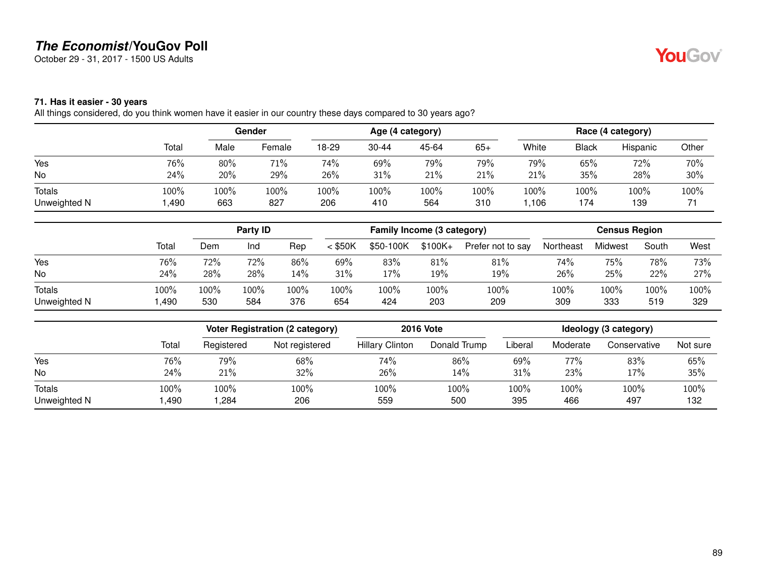October 29 - 31, 2017 - 1500 US Adults

# **YouGov**

### **71. Has it easier - 30 years**

All things considered, do you think women have it easier in our country these days compared to 30 years ago?

|              |       | Gender |        |       |           | Age (4 category) |       | Race (4 category) |              |          |       |
|--------------|-------|--------|--------|-------|-----------|------------------|-------|-------------------|--------------|----------|-------|
|              | Total | Male   | Female | 18-29 | $30 - 44$ | 45-64            | $65+$ | White             | <b>Black</b> | Hispanic | Other |
| Yes          | 76%   | 80%    | 71%    | 74%   | 69%       | 79%              | 79%   | 79%               | 65%          | 72%      | 70%   |
| No           | 24%   | 20%    | 29%    | 26%   | 31%       | 21%              | 21%   | 21%               | 35%          | 28%      | 30%   |
| Totals       | 100%  | 100%   | 100%   | 100%  | 100%      | 100%             | 100%  | 100%              | 100%         | 100%     | 100%  |
| Unweighted N | ,490  | 663    | 827    | 206   | 410       | 564              | 310   | ,106              | 174          | 139      |       |

|               |       | Party ID |      |      | Family Income (3 category) |           |          |                   | <b>Census Region</b> |         |       |      |
|---------------|-------|----------|------|------|----------------------------|-----------|----------|-------------------|----------------------|---------|-------|------|
|               | Total | Dem      | Ind  | Rep  | $<$ \$50K                  | \$50-100K | $$100K+$ | Prefer not to say | Northeast            | Midwest | South | West |
| Yes           | 76%   | 72%      | 72%  | 86%  | 69%                        | 83%       | 81%      | 81%               | 74%                  | 75%     | 78%   | 73%  |
| No            | 24%   | 28%      | 28%  | 14%  | 31%                        | 17%       | 19%      | 19%               | 26%                  | 25%     | 22%   | 27%  |
| <b>Totals</b> | 100%  | 100%     | 100% | 100% | 100%                       | 100%      | 100%     | 100%              | 100%                 | 100%    | 100%  | 100% |
| Unweighted N  | ,490  | 530      | 584  | 376  | 654                        | 424       | 203      | 209               | 309                  | 333     | 519   | 329  |

|              |       |            | <b>Voter Registration (2 category)</b> | <b>2016 Vote</b>       |              | Ideology (3 category) |          |              |          |  |
|--------------|-------|------------|----------------------------------------|------------------------|--------------|-----------------------|----------|--------------|----------|--|
|              | Total | Registered | Not registered                         | <b>Hillary Clinton</b> | Donald Trump | Liberal               | Moderate | Conservative | Not sure |  |
| Yes          | 76%   | 79%        | 68%                                    | 74%                    | 86%          | 69%                   | 77%      | 83%          | 65%      |  |
| No           | 24%   | 21%        | 32%                                    | 26%                    | $14\%$       | 31%                   | 23%      | 17%          | 35%      |  |
| Totals       | 100%  | 100%       | 100%                                   | 100%                   | 100%         | 100%                  | 100%     | 100%         | $100\%$  |  |
| Unweighted N | ,490  | ,284       | 206                                    | 559                    | 500          | 395                   | 466      | 497          | 132      |  |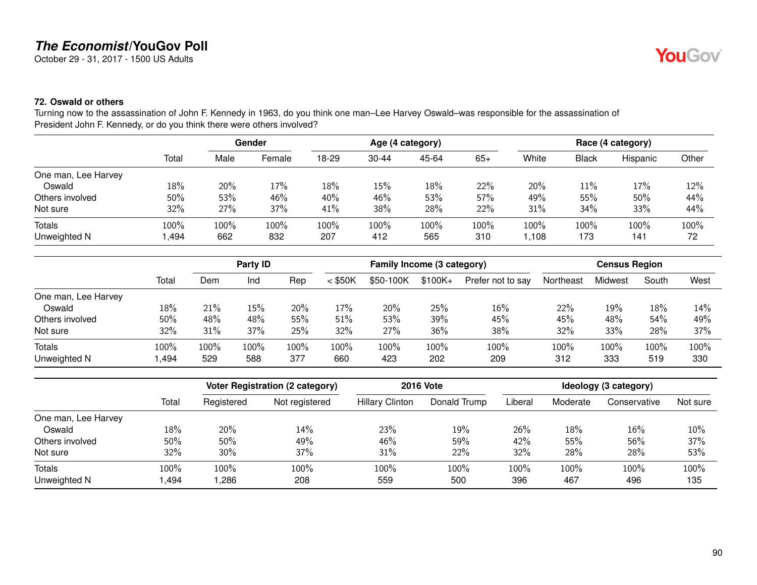October 29 - 31, 2017 - 1500 US Adults

### **72. Oswald or others**

Turning now to the assassination of John F. Kennedy in 1963, do you think one man–Lee Harvey Oswald–was responsible for the assassination of President John F. Kennedy, or do you think there were others involved?

|                     |        |      | Gender  |       |           | Age (4 category) |       |       |              | Race (4 category) |       |
|---------------------|--------|------|---------|-------|-----------|------------------|-------|-------|--------------|-------------------|-------|
|                     | Total  | Male | Female  | 18-29 | $30 - 44$ | 45-64            | $65+$ | White | <b>Black</b> | Hispanic          | Other |
| One man, Lee Harvey |        |      |         |       |           |                  |       |       |              |                   |       |
| Oswald              | 18%    | 20%  | 17%     | 18%   | $15\%$    | 18%              | 22%   | 20%   | 11%          | 17%               | 12%   |
| Others involved     | $50\%$ | 53%  | 46%     | 40%   | 46%       | 53%              | 57%   | 49%   | 55%          | 50%               | 44%   |
| Not sure            | 32%    | 27%  | 37%     | 41%   | 38%       | 28%              | 22%   | 31%   | 34%          | 33%               | 44%   |
| <b>Totals</b>       | 100%   | 100% | $100\%$ | 100%  | 100%      | 100%             | 100%  | 100%  | 100%         | 100%              | 100%  |
| Unweighted N        | ,494   | 662  | 832     | 207   | 412       | 565              | 310   | 1,108 | 173          | 141               | 72    |

|                     |       |      | Party ID<br>Family Income (3 category) |      |           |           |           | <b>Census Region</b> |           |         |       |      |
|---------------------|-------|------|----------------------------------------|------|-----------|-----------|-----------|----------------------|-----------|---------|-------|------|
|                     | Total | Dem  | Ind                                    | Rep  | $<$ \$50K | \$50-100K | $$100K +$ | Prefer not to say    | Northeast | Midwest | South | West |
| One man, Lee Harvey |       |      |                                        |      |           |           |           |                      |           |         |       |      |
| Oswald              | 18%   | 21%  | 15%                                    | 20%  | $17\%$    | 20%       | 25%       | 16%                  | 22%       | 19%     | 18%   | 14%  |
| Others involved     | 50%   | 48%  | 48%                                    | 55%  | 51%       | 53%       | 39%       | 45%                  | 45%       | 48%     | 54%   | 49%  |
| Not sure            | 32%   | 31%  | 37%                                    | 25%  | 32%       | 27%       | 36%       | 38%                  | 32%       | 33%     | 28%   | 37%  |
| <b>Totals</b>       | 100%  | 100% | 100%                                   | 100% | 100%      | 100%      | 100%      | 100%                 | 100%      | 100%    | 100%  | 100% |
| Unweighted N        | ,494  | 529  | 588                                    | 377  | 660       | 423       | 202       | 209                  | 312       | 333     | 519   | 330  |

|                     |       | <b>Voter Registration (2 category)</b> |                | <b>2016 Vote</b>       | Ideology (3 category) |         |          |              |          |
|---------------------|-------|----------------------------------------|----------------|------------------------|-----------------------|---------|----------|--------------|----------|
|                     | Total | Registered                             | Not registered | <b>Hillary Clinton</b> | Donald Trump          | Liberal | Moderate | Conservative | Not sure |
| One man, Lee Harvey |       |                                        |                |                        |                       |         |          |              |          |
| Oswald              | 18%   | 20%                                    | 14%            | 23%                    | 19%                   | 26%     | 18%      | 16%          | 10%      |
| Others involved     | 50%   | 50%                                    | 49%            | 46%                    | 59%                   | 42%     | 55%      | 56%          | 37%      |
| Not sure            | 32%   | $30\%$                                 | 37%            | 31%                    | 22%                   | 32%     | 28%      | 28%          | 53%      |
| Totals              | 100%  | 100%                                   | 100%           | 100%                   | 100%                  | 100%    | 100%     | 100%         | 100%     |
| Unweighted N        | ,494  | ,286                                   | 208            | 559                    | 500                   | 396     | 467      | 496          | 135      |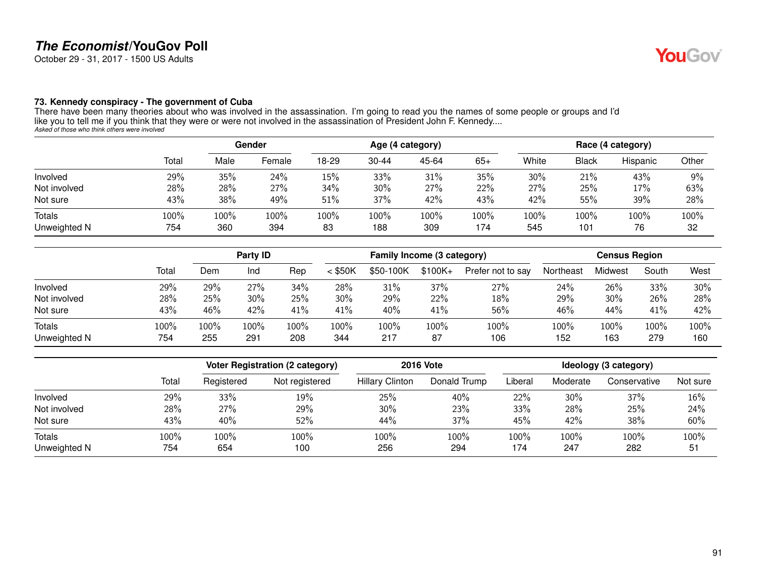October 29 - 31, 2017 - 1500 US Adults

#### **73. Kennedy conspiracy - The government of Cuba**

There have been many theories about who was involved in the assassination. I'm going to read you the names of some people or groups and I'd like you to tell me if you think that they were or were not involved in the assassination of President John F. Kennedy.... *Asked of those who think others were involved*

|                               |             | Gender         |             |            |                | Age (4 category) |             | Race (4 category) |              |            |            |
|-------------------------------|-------------|----------------|-------------|------------|----------------|------------------|-------------|-------------------|--------------|------------|------------|
|                               | Total       | Male           | Female      | 18-29      | $30 - 44$      | 45-64            | $65+$       | White             | <b>Black</b> | Hispanic   | Other      |
| Involved                      | 29%         | 35%            | 24%         | 15%        | 33%            | 31%              | 35%         | 30%               | 21%          | 43%        | 9%         |
| Not involved                  | 28%         | 28%            | 27%         | 34%        | 30%            | 27%              | 22%         | 27%               | 25%          | 17%        | 63%        |
| Not sure                      | 43%         | 38%            | 49%         | 51%        | 37%            | 42%              | 43%         | 42%               | 55%          | 39%        | 28%        |
| <b>Totals</b><br>Unweighted N | 100%<br>754 | $100\%$<br>360 | 100%<br>394 | 100%<br>83 | $100\%$<br>188 | 100%<br>309      | 100%<br>174 | 100%<br>545       | 100%<br>101  | 100%<br>76 | 100%<br>32 |

|                        |                |                | <b>Party ID</b> |             |             | Family Income (3 category) |            |                   |             | <b>Census Region</b> |             |             |
|------------------------|----------------|----------------|-----------------|-------------|-------------|----------------------------|------------|-------------------|-------------|----------------------|-------------|-------------|
|                        | Total          | Dem            | Ind             | Rep         | $<$ \$50K   | \$50-100K                  | $$100K+$   | Prefer not to say | Northeast   | Midwest              | South       | West        |
| Involved               | 29%            | 29%            | 27%             | 34%         | 28%         | 31%                        | 37%        | 27%               | 24%         | 26%                  | 33%         | 30%         |
| Not involved           | 28%            | 25%            | 30%             | 25%         | 30%         | 29%                        | 22%        | 18%               | 29%         | 30%                  | 26%         | 28%         |
| Not sure               | 43%            | 46%            | 42%             | 41%         | 41%         | 40%                        | 41%        | 56%               | 46%         | 44%                  | 41%         | 42%         |
| Totals<br>Unweighted N | $100\%$<br>754 | $100\%$<br>255 | 100%<br>291     | 100%<br>208 | 100%<br>344 | 100%<br>217                | 100%<br>87 | 100%<br>106       | 100%<br>152 | 100%<br>163          | 100%<br>279 | 100%<br>160 |

|              |       |            | Voter Registration (2 category) |                        | <b>2016 Vote</b> | Ideology (3 category) |          |              |          |
|--------------|-------|------------|---------------------------------|------------------------|------------------|-----------------------|----------|--------------|----------|
|              | Total | Registered | Not registered                  | <b>Hillary Clinton</b> | Donald Trump     | Liberal               | Moderate | Conservative | Not sure |
| Involved     | 29%   | 33%        | 19%                             | 25%                    | 40%              | 22%                   | 30%      | 37%          | 16%      |
| Not involved | 28%   | 27%        | 29%                             | 30%                    | 23%              | 33%                   | 28%      | 25%          | 24%      |
| Not sure     | 43%   | 40%        | 52%                             | 44%                    | 37%              | 45%                   | 42%      | 38%          | 60%      |
| Totals       | 100%  | 100%       | 100%                            | 100%                   | 100%             | 100%                  | 100%     | 100%         | 100%     |
| Unweighted N | 754   | 654        | 100                             | 256                    | 294              | 174                   | 247      | 282          | 51       |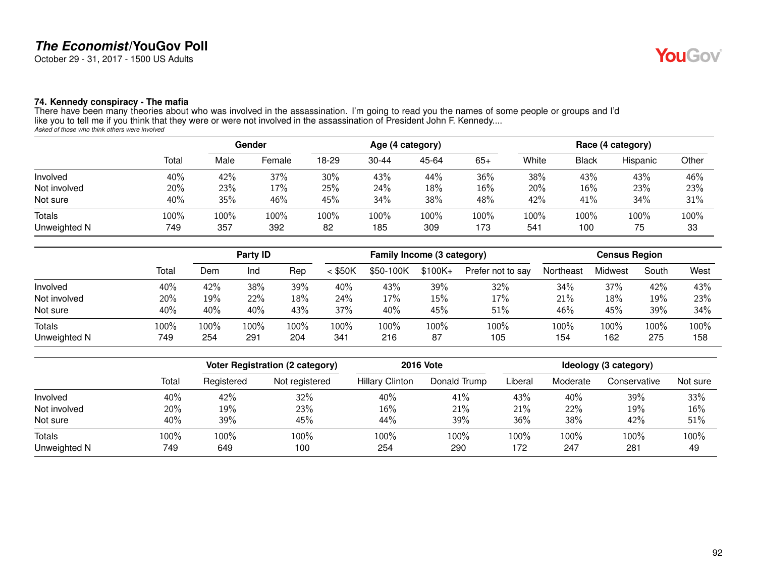October 29 - 31, 2017 - 1500 US Adults

#### **74. Kennedy conspiracy - The mafia**

|               |       | Gender  |        |       |           | Age (4 category) |       | Race (4 category) |              |          |       |
|---------------|-------|---------|--------|-------|-----------|------------------|-------|-------------------|--------------|----------|-------|
|               | Total | Male    | Female | 18-29 | $30 - 44$ | 45-64            | $65+$ | White             | <b>Black</b> | Hispanic | Other |
| Involved      | 40%   | 42%     | 37%    | 30%   | 43%       | 44%              | 36%   | 38%               | 43%          | 43%      | 46%   |
| Not involved  | 20%   | 23%     | 17%    | 25%   | 24%       | 18%              | 16%   | 20%               | 16%          | 23%      | 23%   |
| Not sure      | 40%   | 35%     | 46%    | 45%   | 34%       | 38%              | 48%   | 42%               | 41%          | 34%      | 31%   |
| <b>Totals</b> | 100%  | $100\%$ | 100%   | 100%  | 100%      | 100%             | 100%  | 100%              | 100%         | 100%     | 100%  |
| Unweighted N  | 749   | 357     | 392    | 82    | 185       | 309              | 173   | 54 <sup>°</sup>   | 100          | 75       | 33    |

|               |       |      | Party ID |      |           | Family Income (3 category) |           |                   |           | <b>Census Region</b> |       |      |
|---------------|-------|------|----------|------|-----------|----------------------------|-----------|-------------------|-----------|----------------------|-------|------|
|               | Total | Dem  | Ind      | Rep  | $<$ \$50K | \$50-100K                  | $$100K +$ | Prefer not to say | Northeast | Midwest              | South | West |
| Involved      | 40%   | 42%  | 38%      | 39%  | 40%       | 43%                        | 39%       | 32%               | 34%       | 37%                  | 42%   | 43%  |
| Not involved  | 20%   | 19%  | 22%      | 18%  | 24%       | 17%                        | 15%       | 17%               | 21%       | 18%                  | 19%   | 23%  |
| Not sure      | 40%   | 40%  | 40%      | 43%  | 37%       | 40%                        | 45%       | 51%               | 46%       | 45%                  | 39%   | 34%  |
| <b>Totals</b> | 100%  | 100% | 100%     | 100% | 100%      | 100%                       | 100%      | 100%              | 100%      | 100%                 | 100%  | 100% |
| Unweighted N  | 749   | 254  | 291      | 204  | 341       | 216                        | 87        | 105               | 154       | 162                  | 275   | 158  |

|                        |             |             | <b>Voter Registration (2 category)</b> | <b>2016 Vote</b>       | Ideology (3 category) |             |             |              |            |
|------------------------|-------------|-------------|----------------------------------------|------------------------|-----------------------|-------------|-------------|--------------|------------|
|                        | Total       | Registered  | Not registered                         | <b>Hillary Clinton</b> | Donald Trump          | Liberal     | Moderate    | Conservative | Not sure   |
| Involved               | 40%         | 42%         | 32%                                    | 40%                    | 41%                   | 43%         | 40%         | 39%          | 33%        |
| Not involved           | 20%         | 19%         | 23%                                    | 16%                    | 21%                   | 21%         | 22%         | 19%          | 16%        |
| Not sure               | 40%         | 39%         | 45%                                    | 44%                    | 39%                   | 36%         | 38%         | 42%          | 51%        |
| Totals<br>Unweighted N | 100%<br>749 | 100%<br>649 | 100%<br>100                            | 100%<br>254            | 100%<br>290           | 100%<br>172 | 100%<br>247 | 100%<br>281  | 100%<br>49 |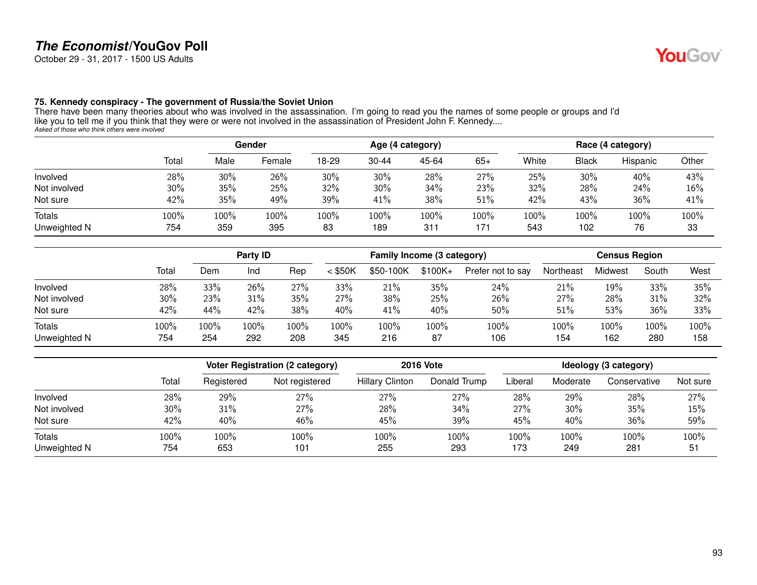October 29 - 31, 2017 - 1500 US Adults

#### **75. Kennedy conspiracy - The government of Russia/the Soviet Union**

|                               |             |             | Gender      |            |             | Age (4 category) |             |             |             | Race (4 category) |               |
|-------------------------------|-------------|-------------|-------------|------------|-------------|------------------|-------------|-------------|-------------|-------------------|---------------|
|                               | Total       | Male        | Female      | 18-29      | $30 - 44$   | 45-64            | $65+$       | White       | Black       | Hispanic          | Other         |
| Involved                      | 28%         | 30%         | 26%         | 30%        | 30%         | 28%              | 27%         | 25%         | 30%         | 40%               | 43%           |
| Not involved                  | 30%         | 35%         | 25%         | 32%        | 30%         | 34%              | 23%         | 32%         | 28%         | 24%               | 16%           |
| Not sure                      | 42%         | 35%         | 49%         | 39%        | 41%         | 38%              | 51%         | 42%         | 43%         | 36%               | 41%           |
| <b>Totals</b><br>Unweighted N | 100%<br>754 | 100%<br>359 | 100%<br>395 | 100%<br>83 | 100%<br>189 | 100%<br>311      | 100%<br>171 | 100%<br>543 | 100%<br>102 | 100%<br>76        | $100\%$<br>33 |

|                        |                |                | <b>Party ID</b> |             | Family Income (3 category) |             |            |                   | <b>Census Region</b> |             |             |             |
|------------------------|----------------|----------------|-----------------|-------------|----------------------------|-------------|------------|-------------------|----------------------|-------------|-------------|-------------|
|                        | Total          | Dem            | Ind             | Rep         | $<$ \$50K                  | \$50-100K   | $$100K +$  | Prefer not to say | Northeast            | Midwest     | South       | West        |
| Involved               | 28%            | 33%            | 26%             | 27%         | 33%                        | 21%         | 35%        | 24%               | 21%                  | 19%         | 33%         | 35%         |
| Not involved           | 30%            | 23%            | 31%             | 35%         | 27%                        | 38%         | 25%        | 26%               | 27%                  | 28%         | 31%         | 32%         |
| Not sure               | 42%            | 44%            | 42%             | 38%         | 40%                        | 41%         | 40%        | 50%               | 51%                  | 53%         | 36%         | 33%         |
| Totals<br>Unweighted N | $100\%$<br>754 | $100\%$<br>254 | 100%<br>292     | 100%<br>208 | 100%<br>345                | 100%<br>216 | 100%<br>87 | 100%<br>106       | 100%<br>154          | 100%<br>162 | 100%<br>280 | 100%<br>158 |

|              |       |            | <b>Voter Registration (2 category)</b> |                        | <b>2016 Vote</b> |         |          | Ideology (3 category) |          |  |  |
|--------------|-------|------------|----------------------------------------|------------------------|------------------|---------|----------|-----------------------|----------|--|--|
|              | Total | Registered | Not registered                         | <b>Hillary Clinton</b> | Donald Trump     | _iberal | Moderate | Conservative          | Not sure |  |  |
| Involved     | 28%   | 29%        | 27%                                    | 27%                    | 27%              | 28%     | 29%      | 28%                   | 27%      |  |  |
| Not involved | 30%   | 31%        | 27%                                    | 28%                    | 34%              | 27%     | 30%      | 35%                   | 15%      |  |  |
| Not sure     | 42%   | 40%        | 46%                                    | 45%                    | 39%              | 45%     | 40%      | 36%                   | 59%      |  |  |
| Totals       | 100%  | 100%       | 100%                                   | 100%                   | 100%             | 100%    | 100%     | 100%                  | 100%     |  |  |
| Unweighted N | 754   | 653        | 101                                    | 255                    | 293              | 173     | 249      | 281                   | 51       |  |  |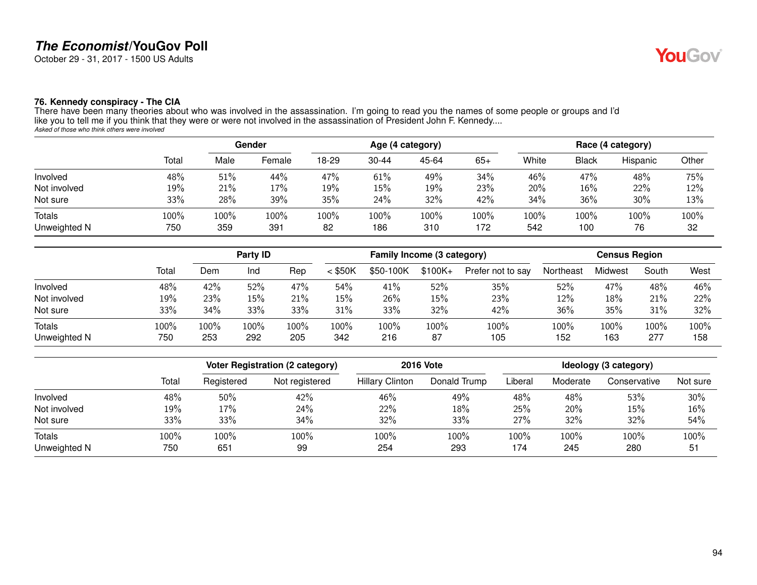October 29 - 31, 2017 - 1500 US Adults

#### **76. Kennedy conspiracy - The CIA**

|       | Gender  |        | Age (4 category) |           |       |       | Race (4 category) |              |          |            |
|-------|---------|--------|------------------|-----------|-------|-------|-------------------|--------------|----------|------------|
| Total | Male    | Female | 18-29            | $30 - 44$ | 45-64 | $65+$ | White             | <b>Black</b> | Hispanic | Other      |
| 48%   | 51%     | 44%    | 47%              | 61%       | 49%   | 34%   | 46%               | 47%          | 48%      | 75%        |
| 19%   | 21%     | 17%    | 19%              | 15%       | 19%   | 23%   | 20%               | 16%          | 22%      | 12%        |
| 33%   | 28%     | 39%    | 35%              | 24%       | 32%   | 42%   | 34%               | 36%          | $30\%$   | 13%        |
| 100%  | $100\%$ | 100%   | 100%             | $100\%$   | 100%  | 100%  | 100%              | 100%         | 100%     | 100%<br>32 |
|       | 750     | 359    | 391              | 82        | 186   | 310   | 172               | 542          | 100      | 76         |

|               |       |      | Party ID |      | Family Income (3 category) |           |          |                   | <b>Census Region</b> |         |       |      |
|---------------|-------|------|----------|------|----------------------------|-----------|----------|-------------------|----------------------|---------|-------|------|
|               | Total | Dem  | Ind      | Rep  | $<$ \$50K                  | \$50-100K | $$100K+$ | Prefer not to say | Northeast            | Midwest | South | West |
| Involved      | 48%   | 42%  | 52%      | 47%  | $54\%$                     | 41%       | 52%      | 35%               | 52%                  | 47%     | 48%   | 46%  |
| Not involved  | 19%   | 23%  | 15%      | 21%  | 15%                        | 26%       | 15%      | 23%               | 12%                  | 18%     | 21%   | 22%  |
| Not sure      | 33%   | 34%  | 33%      | 33%  | 31%                        | 33%       | 32%      | 42%               | 36%                  | 35%     | 31%   | 32%  |
| <b>Totals</b> | 100%  | 100% | 100%     | 100% | 100%                       | 100%      | 100%     | 100%              | 100%                 | 100%    | 100%  | 100% |
| Unweighted N  | 750   | 253  | 292      | 205  | 342                        | 216       | 87       | 105               | 152                  | 163     | 277   | 158  |

|                        |             | <b>Voter Registration (2 category)</b> |                |                        | <b>2016 Vote</b> | Ideology (3 category) |             |              |            |  |
|------------------------|-------------|----------------------------------------|----------------|------------------------|------------------|-----------------------|-------------|--------------|------------|--|
|                        | Total       | Registered                             | Not registered | <b>Hillary Clinton</b> | Donald Trump     | Liberal               | Moderate    | Conservative | Not sure   |  |
| Involved               | 48%         | 50%                                    | 42%            | 46%                    | 49%              | 48%                   | 48%         | 53%          | 30%        |  |
| Not involved           | 19%         | 17%                                    | 24%            | 22%                    | 18%              | 25%                   | 20%         | 15%          | 16%        |  |
| Not sure               | 33%         | 33%                                    | 34%            | 32%                    | 33%              | 27%                   | 32%         | 32%          | 54%        |  |
| Totals<br>Unweighted N | 100%<br>750 | 100%<br>651                            | 100%<br>99     | 100%<br>254            | 100%<br>293      | 100%<br>174           | 100%<br>245 | 100%<br>280  | 100%<br>51 |  |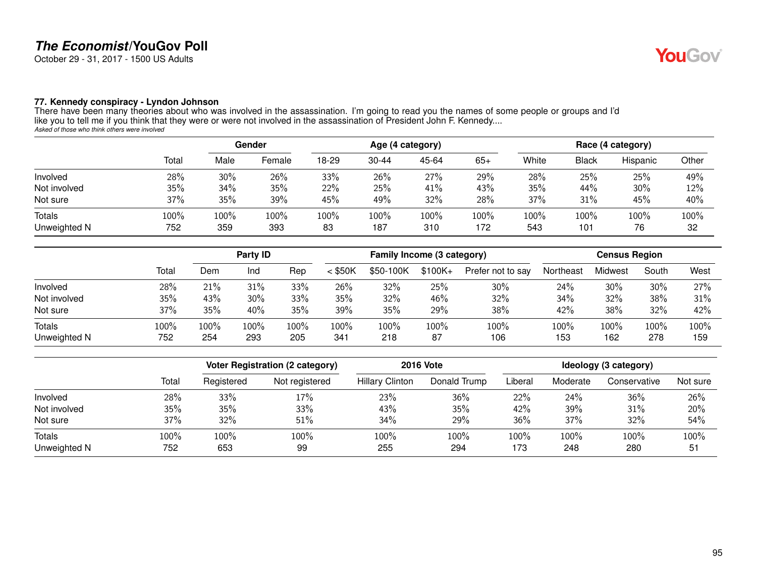October 29 - 31, 2017 - 1500 US Adults

#### **77. Kennedy conspiracy - Lyndon Johnson**

|               |       | Gender |        | Age (4 category) |           |       |       | Race (4 category) |              |          |       |
|---------------|-------|--------|--------|------------------|-----------|-------|-------|-------------------|--------------|----------|-------|
|               | Total | Male   | Female | 18-29            | $30 - 44$ | 45-64 | $65+$ | White             | <b>Black</b> | Hispanic | Other |
| Involved      | 28%   | 30%    | 26%    | 33%              | 26%       | 27%   | 29%   | 28%               | 25%          | 25%      | 49%   |
| Not involved  | 35%   | 34%    | 35%    | 22%              | 25%       | 41%   | 43%   | 35%               | 44%          | 30%      | 12%   |
| Not sure      | 37%   | 35%    | 39%    | 45%              | 49%       | 32%   | 28%   | 37%               | 31%          | 45%      | 40%   |
| <b>Totals</b> | 100%  | 100%   | 100%   | 100%             | $100\%$   | 100%  | 100%  | 100%              | 100%         | 100%     | 100%  |
| Unweighted N  | 752   | 359    | 393    | 83               | 187       | 310   | 172   | 543               | 101          | 76       | 32    |

|              |       |         | <b>Party ID</b> |      | Family Income (3 category) |           |           |                   | <b>Census Region</b> |         |       |      |
|--------------|-------|---------|-----------------|------|----------------------------|-----------|-----------|-------------------|----------------------|---------|-------|------|
|              | Total | Dem     | Ind             | Rep  | $<$ \$50K                  | \$50-100K | $$100K +$ | Prefer not to say | Northeast            | Midwest | South | West |
| Involved     | 28%   | 21%     | 31%             | 33%  | 26%                        | 32%       | 25%       | 30%               | 24%                  | 30%     | 30%   | 27%  |
| Not involved | 35%   | 43%     | 30%             | 33%  | 35%                        | 32%       | 46%       | 32%               | 34%                  | 32%     | 38%   | 31%  |
| Not sure     | 37%   | 35%     | 40%             | 35%  | 39%                        | 35%       | 29%       | 38%               | 42%                  | 38%     | 32%   | 42%  |
| Totals       | 100%  | $100\%$ | 100%            | 100% | 100%                       | 100%      | 100%      | 100%              | 100%                 | 100%    | 100%  | 100% |
| Unweighted N | 752   | 254     | 293             | 205  | 34 <sup>2</sup>            | 218       | 87        | 106               | 153                  | 162     | 278   | 159  |

|                        |             |             | Voter Registration (2 category) | <b>2016 Vote</b>       |              | Ideology (3 category) |             |              |            |  |
|------------------------|-------------|-------------|---------------------------------|------------------------|--------------|-----------------------|-------------|--------------|------------|--|
|                        | Total       | Registered  | Not registered                  | <b>Hillary Clinton</b> | Donald Trump | Liberal               | Moderate    | Conservative | Not sure   |  |
| Involved               | 28%         | 33%         | 17%                             | 23%                    | 36%          | 22%                   | 24%         | 36%          | 26%        |  |
| Not involved           | 35%         | 35%         | 33%                             | 43%                    | 35%          | 42%                   | 39%         | 31%          | 20%        |  |
| Not sure               | 37%         | 32%         | 51%                             | 34%                    | 29%          | 36%                   | 37%         | 32%          | 54%        |  |
| Totals<br>Unweighted N | 100%<br>752 | 100%<br>653 | 100%<br>99                      | 100%<br>255            | 100%<br>294  | 100%<br>173           | 100%<br>248 | 100%<br>280  | 100%<br>51 |  |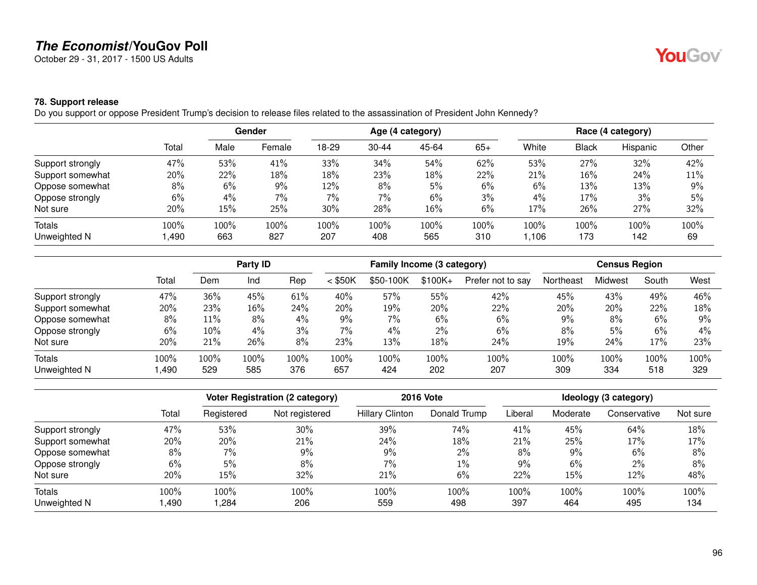October 29 - 31, 2017 - 1500 US Adults

### **78. Support release**

Do you support or oppose President Trump's decision to release files related to the assassination of President John Kennedy?

|                  |       |       | Gender |       |           | Age (4 category) |       |       |              | Race (4 category) |       |
|------------------|-------|-------|--------|-------|-----------|------------------|-------|-------|--------------|-------------------|-------|
|                  | Total | Male  | Female | 18-29 | $30 - 44$ | 45-64            | $65+$ | White | <b>Black</b> | Hispanic          | Other |
| Support strongly | 47%   | 53%   | 41%    | 33%   | 34%       | 54%              | 62%   | 53%   | 27%          | 32%               | 42%   |
| Support somewhat | 20%   | 22%   | 18%    | 18%   | 23%       | 18%              | 22%   | 21%   | 16%          | 24%               | 11%   |
| Oppose somewhat  | 8%    | 6%    | 9%     | 12%   | 8%        | 5%               | 6%    | 6%    | 13%          | 13%               | 9%    |
| Oppose strongly  | 6%    | $4\%$ | 7%     | 7%    | 7%        | 6%               | 3%    | 4%    | 17%          | 3%                | 5%    |
| Not sure         | 20%   | 15%   | 25%    | 30%   | 28%       | 16%              | 6%    | 17%   | 26%          | 27%               | 32%   |
| Totals           | 100%  | 100%  | 100%   | 100%  | 100%      | 100%             | 100%  | 100%  | 100%         | 100%              | 100%  |
| Unweighted N     | ,490  | 663   | 827    | 207   | 408       | 565              | 310   | 1,106 | 173          | 142               | 69    |

|                  |       | Party ID |      |      | Family Income (3 category) |           |          |                   | <b>Census Region</b> |         |       |       |
|------------------|-------|----------|------|------|----------------------------|-----------|----------|-------------------|----------------------|---------|-------|-------|
|                  | Total | Dem      | Ind  | Rep  | $<$ \$50K                  | \$50-100K | $$100K+$ | Prefer not to say | Northeast            | Midwest | South | West  |
| Support strongly | 47%   | 36%      | 45%  | 61%  | 40%                        | 57%       | 55%      | 42%               | 45%                  | 43%     | 49%   | 46%   |
| Support somewhat | 20%   | 23%      | 16%  | 24%  | 20%                        | 19%       | 20%      | 22%               | 20%                  | 20%     | 22%   | 18%   |
| Oppose somewhat  | 8%    | 11%      | 8%   | 4%   | 9%                         | 7%        | 6%       | 6%                | $9\%$                | 8%      | 6%    | 9%    |
| Oppose strongly  | 6%    | 10%      | 4%   | 3%   | 7%                         | 4%        | 2%       | 6%                | 8%                   | 5%      | 6%    | $4\%$ |
| Not sure         | 20%   | 21%      | 26%  | 8%   | 23%                        | 13%       | 18%      | 24%               | 19%                  | 24%     | 17%   | 23%   |
| <b>Totals</b>    | 100%  | 100%     | 100% | 100% | 100%                       | 100%      | 100%     | 100%              | 100%                 | 100%    | 100%  | 100%  |
| Unweighted N     | ,490  | 529      | 585  | 376  | 657                        | 424       | 202      | 207               | 309                  | 334     | 518   | 329   |

|                  |       | <b>Voter Registration (2 category)</b> |                | <b>2016 Vote</b>       | Ideology (3 category) |         |          |              |          |
|------------------|-------|----------------------------------------|----------------|------------------------|-----------------------|---------|----------|--------------|----------|
|                  | Total | Registered                             | Not registered | <b>Hillary Clinton</b> | Donald Trump          | Liberal | Moderate | Conservative | Not sure |
| Support strongly | 47%   | 53%                                    | 30%            | 39%                    | 74%                   | 41%     | 45%      | 64%          | 18%      |
| Support somewhat | 20%   | 20%                                    | 21%            | 24%                    | 18%                   | 21%     | 25%      | 17%          | 17%      |
| Oppose somewhat  | 8%    | 7%                                     | $9\%$          | 9%                     | 2%                    | 8%      | 9%       | 6%           | 8%       |
| Oppose strongly  | 6%    | 5%                                     | 8%             | 7%                     | $1\%$                 | 9%      | 6%       | $2\%$        | 8%       |
| Not sure         | 20%   | 15%                                    | 32%            | 21%                    | 6%                    | 22%     | 15%      | 12%          | 48%      |
| Totals           | 100%  | 100%                                   | 100%           | 100%                   | 100%                  | 100%    | 100%     | 100%         | 100%     |
| Unweighted N     | ,490  | ,284                                   | 206            | 559                    | 498                   | 397     | 464      | 495          | 134      |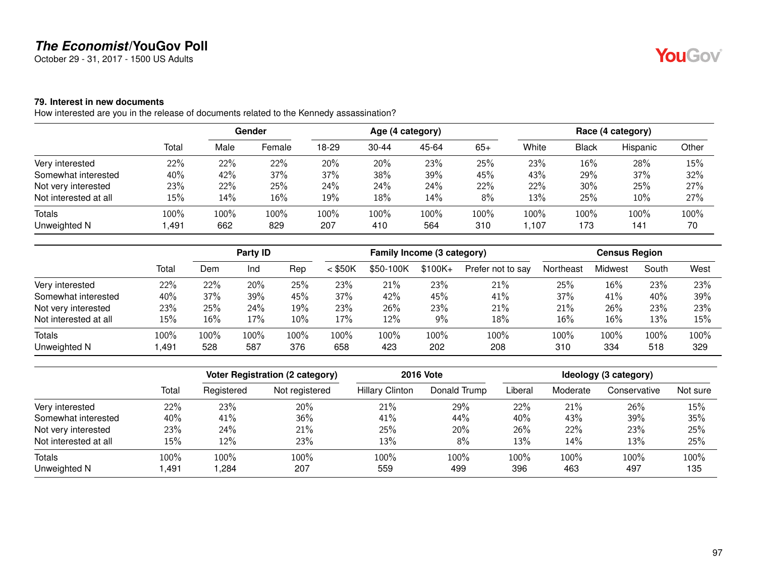October 29 - 31, 2017 - 1500 US Adults

### **79. Interest in new documents**

How interested are you in the release of documents related to the Kennedy assassination?

|                       |        |        | Gender |       |       | Age (4 category) |       |       |              | Race (4 category) |       |
|-----------------------|--------|--------|--------|-------|-------|------------------|-------|-------|--------------|-------------------|-------|
|                       | Total  | Male   | Female | 18-29 | 30-44 | 45-64            | $65+$ | White | <b>Black</b> | Hispanic          | Other |
| Very interested       | 22%    | 22%    | 22%    | 20%   | 20%   | 23%              | 25%   | 23%   | 16%          | 28%               | 15%   |
| Somewhat interested   | 40%    | 42%    | 37%    | 37%   | 38%   | 39%              | 45%   | 43%   | 29%          | 37%               | 32%   |
| Not very interested   | 23%    | 22%    | 25%    | 24%   | 24%   | 24%              | 22%   | 22%   | 30%          | 25%               | 27%   |
| Not interested at all | $15\%$ | $14\%$ | 16%    | 19%   | 18%   | 14%              | 8%    | 13%   | 25%          | 10%               | 27%   |
| Totals                | 100%   | 100%   | 100%   | 100%  | 100%  | 100%             | 100%  | 100%  | 100%         | 100%              | 100%  |
| Unweighted N          | 491,   | 662    | 829    | 207   | 410   | 564              | 310   | .107  | 173          | 141               | 70    |

|                       |       |      | Party ID |      |           | Family Income (3 category) |           |                   |           | <b>Census Region</b> |       |      |  |
|-----------------------|-------|------|----------|------|-----------|----------------------------|-----------|-------------------|-----------|----------------------|-------|------|--|
|                       | Total | Dem  | Ind      | Rep  | $<$ \$50K | \$50-100K                  | $$100K +$ | Prefer not to say | Northeast | Midwest              | South | West |  |
| Very interested       | 22%   | 22%  | 20%      | 25%  | 23%       | 21%                        | 23%       | 21%               | 25%       | 16%                  | 23%   | 23%  |  |
| Somewhat interested   | 40%   | 37%  | 39%      | 45%  | 37%       | 42%                        | 45%       | 41%               | 37%       | 41%                  | 40%   | 39%  |  |
| Not very interested   | 23%   | 25%  | 24%      | 19%  | 23%       | 26%                        | 23%       | 21%               | 21%       | 26%                  | 23%   | 23%  |  |
| Not interested at all | 15%   | 16%  | 17%      | 10%  | 17%       | 12%                        | 9%        | 18%               | 16%       | 16%                  | 13%   | 15%  |  |
| <b>Totals</b>         | 100%  | 100% | 100%     | 100% | 100%      | 100%                       | 100%      | 100%              | 100%      | 100%                 | 100%  | 100% |  |
| Unweighted N          | ,491  | 528  | 587      | 376  | 658       | 423                        | 202       | 208               | 310       | 334                  | 518   | 329  |  |

|                       |        |            | <b>Voter Registration (2 category)</b> |                        | <b>2016 Vote</b> |         |          | Ideology (3 category) |          |
|-----------------------|--------|------------|----------------------------------------|------------------------|------------------|---------|----------|-----------------------|----------|
|                       | Total  | Registered | Not registered                         | <b>Hillary Clinton</b> | Donald Trump     | Liberal | Moderate | Conservative          | Not sure |
| Very interested       | 22%    | 23%        | 20%                                    | 21%                    | 29%              | 22%     | 21%      | 26%                   | 15%      |
| Somewhat interested   | 40%    | 41%        | 36%                                    | 41%                    | 44%              | 40%     | 43%      | 39%                   | 35%      |
| Not very interested   | 23%    | 24%        | 21%                                    | 25%                    | 20%              | 26%     | 22%      | 23%                   | 25%      |
| Not interested at all | $15\%$ | 12%        | 23%                                    | 13%                    | 8%               | 13%     | 14%      | 13%                   | 25%      |
| Totals                | 100%   | 100%       | 100%                                   | 100%                   | 100%             | 100%    | 100%     | 100%                  | 100%     |
| Unweighted N          | ,491   | .284       | 207                                    | 559                    | 499              | 396     | 463      | 497                   | 135      |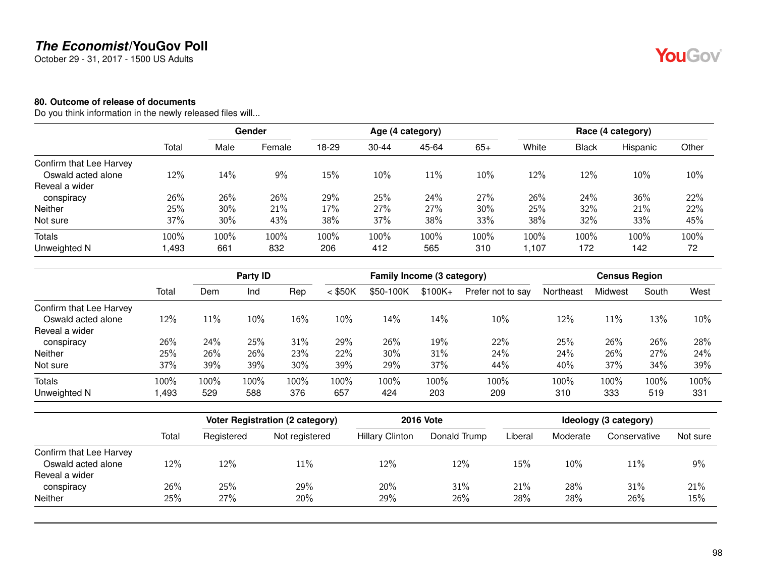October 29 - 31, 2017 - 1500 US Adults

### **80. Outcome of release of documents**

Do you think information in the newly released files will...

|                         |       |      | Gender |       |           | Age (4 category) |       |       |       | Race (4 category) |       |
|-------------------------|-------|------|--------|-------|-----------|------------------|-------|-------|-------|-------------------|-------|
|                         | Total | Male | Female | 18-29 | $30 - 44$ | 45-64            | $65+$ | White | Black | Hispanic          | Other |
| Confirm that Lee Harvey |       |      |        |       |           |                  |       |       |       |                   |       |
| Oswald acted alone      | 12%   | 14%  | 9%     | 15%   | 10%       | 11%              | 10%   | 12%   | 12%   | 10%               | 10%   |
| Reveal a wider          |       |      |        |       |           |                  |       |       |       |                   |       |
| conspiracy              | 26%   | 26%  | 26%    | 29%   | 25%       | 24%              | 27%   | 26%   | 24%   | 36%               | 22%   |
| <b>Neither</b>          | 25%   | 30%  | 21%    | 17%   | 27%       | 27%              | 30%   | 25%   | 32%   | 21%               | 22%   |
| Not sure                | 37%   | 30%  | 43%    | 38%   | 37%       | 38%              | 33%   | 38%   | 32%   | 33%               | 45%   |
| Totals                  | 100%  | 100% | 100%   | 100%  | 100%      | 100%             | 100%  | 100%  | 100%  | 100%              | 100%  |
| Unweighted N            | ,493  | 661  | 832    | 206   | 412       | 565              | 310   | 1,107 | 172   | 142               | 72    |

|                         |       |      | Party ID |      |           | Family Income (3 category) |           |                   |           | <b>Census Region</b> |       |      |
|-------------------------|-------|------|----------|------|-----------|----------------------------|-----------|-------------------|-----------|----------------------|-------|------|
|                         | Total | Dem  | Ind      | Rep  | $<$ \$50K | \$50-100K                  | $$100K +$ | Prefer not to say | Northeast | Midwest              | South | West |
| Confirm that Lee Harvey |       |      |          |      |           |                            |           |                   |           |                      |       |      |
| Oswald acted alone      | 12%   | 11%  | 10%      | 16%  | 10%       | 14%                        | 14%       | 10%               | 12%       | 11%                  | 13%   | 10%  |
| Reveal a wider          |       |      |          |      |           |                            |           |                   |           |                      |       |      |
| conspiracy              | 26%   | 24%  | 25%      | 31%  | 29%       | 26%                        | 19%       | 22%               | 25%       | 26%                  | 26%   | 28%  |
| <b>Neither</b>          | 25%   | 26%  | 26%      | 23%  | 22%       | 30%                        | 31%       | 24%               | 24%       | 26%                  | 27%   | 24%  |
| Not sure                | 37%   | 39%  | 39%      | 30%  | 39%       | 29%                        | 37%       | 44%               | 40%       | 37%                  | 34%   | 39%  |
| <b>Totals</b>           | 100%  | 100% | 100%     | 100% | 100%      | 100%                       | 100%      | 100%              | 100%      | 100%                 | 100%  | 100% |
| Unweighted N            | ,493  | 529  | 588      | 376  | 657       | 424                        | 203       | 209               | 310       | 333                  | 519   | 331  |

|                         |       |            | Voter Registration (2 category) |                        | <b>2016 Vote</b> |         |          | Ideology (3 category) |          |
|-------------------------|-------|------------|---------------------------------|------------------------|------------------|---------|----------|-----------------------|----------|
|                         | Total | Registered | Not registered                  | <b>Hillary Clinton</b> | Donald Trump     | Liberal | Moderate | Conservative          | Not sure |
| Confirm that Lee Harvey |       |            |                                 |                        |                  |         |          |                       |          |
| Oswald acted alone      | 12%   | 12%        | 11%                             | 12%                    | 12%              | 15%     | 10%      | 11%                   | 9%       |
| Reveal a wider          |       |            |                                 |                        |                  |         |          |                       |          |
| conspiracy              | 26%   | 25%        | 29%                             | 20%                    | 31%              | 21%     | 28%      | 31%                   | 21%      |
| <b>Neither</b>          | 25%   | 27%        | 20%                             | 29%                    | 26%              | 28%     | 28%      | 26%                   | 15%      |

98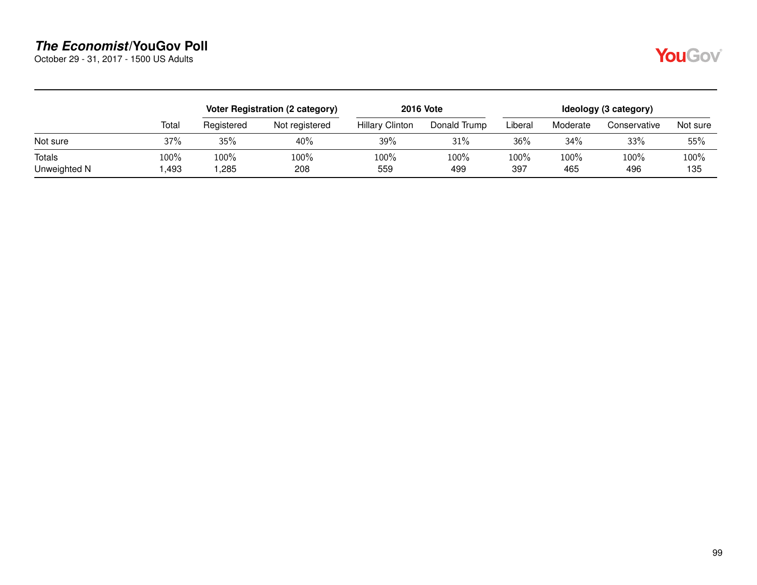October 29 - 31, 2017 - 1500 US Adults

|--|--|

|                        |              |              | Voter Registration (2 category) |                        | <b>2016 Vote</b> |             |             | Ideology (3 category) |             |
|------------------------|--------------|--------------|---------------------------------|------------------------|------------------|-------------|-------------|-----------------------|-------------|
|                        | Total        | Registered   | Not registered                  | <b>Hillary Clinton</b> | Donald Trump     | Liberal     | Moderate    | Conservative          | Not sure    |
| Not sure               | 37%          | 35%          | 40%                             | 39%                    | 31%              | 36%         | 34%         | 33%                   | 55%         |
| Totals<br>Unweighted N | 100%<br>,493 | 100%<br>,285 | 100%<br>208                     | 100%<br>559            | 100%<br>499      | 100%<br>397 | 100%<br>465 | 100%<br>496           | 100%<br>135 |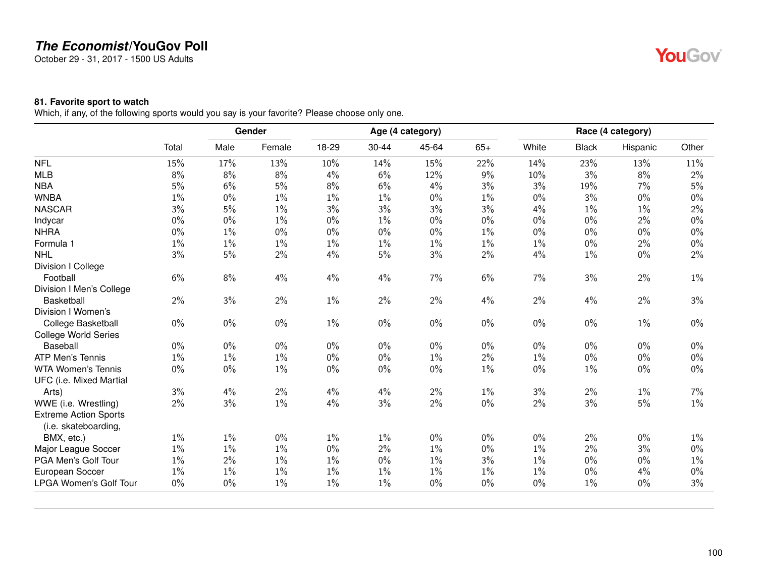October 29 - 31, 2017 - 1500 US Adults

# YouGov®

### **81. Favorite sport to watch**

Which, if any, of the following sports would you say is your favorite? Please choose only one.

|                              |       |       | Gender |       |       | Age (4 category) |       |       |              | Race (4 category) |       |
|------------------------------|-------|-------|--------|-------|-------|------------------|-------|-------|--------------|-------------------|-------|
|                              | Total | Male  | Female | 18-29 | 30-44 | 45-64            | $65+$ | White | <b>Black</b> | Hispanic          | Other |
| <b>NFL</b>                   | 15%   | 17%   | 13%    | 10%   | 14%   | 15%              | 22%   | 14%   | 23%          | 13%               | 11%   |
| <b>MLB</b>                   | 8%    | 8%    | 8%     | 4%    | 6%    | 12%              | 9%    | 10%   | 3%           | 8%                | 2%    |
| <b>NBA</b>                   | 5%    | 6%    | 5%     | 8%    | 6%    | 4%               | 3%    | 3%    | 19%          | 7%                | 5%    |
| <b>WNBA</b>                  | $1\%$ | $0\%$ | $1\%$  | 1%    | $1\%$ | $0\%$            | $1\%$ | $0\%$ | 3%           | $0\%$             | $0\%$ |
| <b>NASCAR</b>                | 3%    | $5\%$ | $1\%$  | 3%    | 3%    | 3%               | 3%    | 4%    | $1\%$        | $1\%$             | $2\%$ |
| Indycar                      | 0%    | $0\%$ | $1\%$  | $0\%$ | $1\%$ | $0\%$            | $0\%$ | $0\%$ | $0\%$        | 2%                | $0\%$ |
| <b>NHRA</b>                  | $0\%$ | $1\%$ | $0\%$  | $0\%$ | $0\%$ | $0\%$            | $1\%$ | $0\%$ | $0\%$        | $0\%$             | $0\%$ |
| Formula 1                    | $1\%$ | $1\%$ | $1\%$  | $1\%$ | $1\%$ | $1\%$            | $1\%$ | 1%    | $0\%$        | 2%                | $0\%$ |
| <b>NHL</b>                   | 3%    | $5\%$ | 2%     | 4%    | $5\%$ | $3\%$            | 2%    | 4%    | $1\%$        | $0\%$             | $2\%$ |
| Division I College           |       |       |        |       |       |                  |       |       |              |                   |       |
| Football                     | $6\%$ | 8%    | 4%     | 4%    | 4%    | 7%               | 6%    | 7%    | 3%           | $2\%$             | $1\%$ |
| Division I Men's College     |       |       |        |       |       |                  |       |       |              |                   |       |
| <b>Basketball</b>            | $2\%$ | 3%    | $2\%$  | $1\%$ | $2\%$ | $2\%$            | 4%    | $2\%$ | 4%           | $2\%$             | 3%    |
| Division I Women's           |       |       |        |       |       |                  |       |       |              |                   |       |
| College Basketball           | $0\%$ | $0\%$ | $0\%$  | $1\%$ | $0\%$ | $0\%$            | $0\%$ | $0\%$ | $0\%$        | $1\%$             | $0\%$ |
| <b>College World Series</b>  |       |       |        |       |       |                  |       |       |              |                   |       |
| Baseball                     | $0\%$ | $0\%$ | $0\%$  | $0\%$ | $0\%$ | $0\%$            | $0\%$ | $0\%$ | $0\%$        | $0\%$             | 0%    |
| <b>ATP Men's Tennis</b>      | $1\%$ | $1\%$ | $1\%$  | $0\%$ | $0\%$ | $1\%$            | 2%    | $1\%$ | $0\%$        | $0\%$             | $0\%$ |
| <b>WTA Women's Tennis</b>    | $0\%$ | $0\%$ | $1\%$  | $0\%$ | $0\%$ | $0\%$            | $1\%$ | $0\%$ | $1\%$        | $0\%$             | $0\%$ |
| UFC (i.e. Mixed Martial      |       |       |        |       |       |                  |       |       |              |                   |       |
| Arts)                        | 3%    | 4%    | 2%     | 4%    | 4%    | $2\%$            | $1\%$ | 3%    | $2\%$        | $1\%$             | 7%    |
| WWE (i.e. Wrestling)         | $2\%$ | 3%    | $1\%$  | 4%    | 3%    | $2\%$            | $0\%$ | $2\%$ | 3%           | 5%                | $1\%$ |
| <b>Extreme Action Sports</b> |       |       |        |       |       |                  |       |       |              |                   |       |
| (i.e. skateboarding,         |       |       |        |       |       |                  |       |       |              |                   |       |
| BMX, etc.)                   | $1\%$ | $1\%$ | $0\%$  | $1\%$ | $1\%$ | $0\%$            | $0\%$ | $0\%$ | $2\%$        | $0\%$             | $1\%$ |
| Major League Soccer          | $1\%$ | $1\%$ | $1\%$  | 0%    | 2%    | $1\%$            | $0\%$ | $1\%$ | $2\%$        | 3%                | $0\%$ |
| PGA Men's Golf Tour          | $1\%$ | 2%    | $1\%$  | 1%    | $0\%$ | $1\%$            | 3%    | $1\%$ | $0\%$        | $0\%$             | $1\%$ |
| European Soccer              | $1\%$ | $1\%$ | $1\%$  | 1%    | $1\%$ | 1%               | $1\%$ | $1\%$ | $0\%$        | 4%                | 0%    |
| LPGA Women's Golf Tour       | $0\%$ | $0\%$ | $1\%$  | 1%    | $1\%$ | $0\%$            | $0\%$ | $0\%$ | $1\%$        | $0\%$             | 3%    |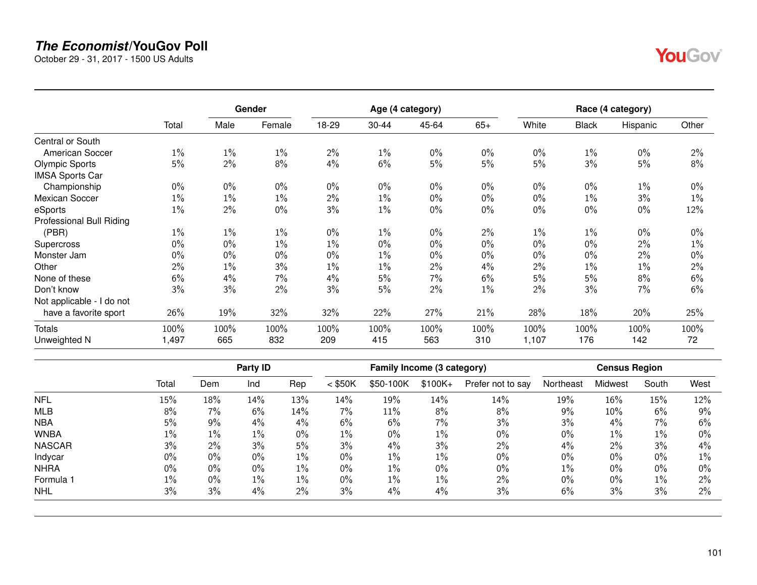October 29 - 31, 2017 - 1500 US Adults

|                           |       |       | Gender |       |           | Age (4 category) |       |       |              | Race (4 category) |       |
|---------------------------|-------|-------|--------|-------|-----------|------------------|-------|-------|--------------|-------------------|-------|
|                           | Total | Male  | Female | 18-29 | $30 - 44$ | 45-64            | $65+$ | White | <b>Black</b> | Hispanic          | Other |
| Central or South          |       |       |        |       |           |                  |       |       |              |                   |       |
| American Soccer           | $1\%$ | $1\%$ | $1\%$  | 2%    | $1\%$     | $0\%$            | $0\%$ | $0\%$ | 1%           | $0\%$             | 2%    |
| <b>Olympic Sports</b>     | 5%    | 2%    | 8%     | 4%    | 6%        | 5%               | 5%    | 5%    | 3%           | 5%                | 8%    |
| <b>IMSA Sports Car</b>    |       |       |        |       |           |                  |       |       |              |                   |       |
| Championship              | $0\%$ | $0\%$ | $0\%$  | $0\%$ | $0\%$     | $0\%$            | $0\%$ | $0\%$ | $0\%$        | $1\%$             | $0\%$ |
| <b>Mexican Soccer</b>     | 1%    | $1\%$ | $1\%$  | 2%    | $1\%$     | $0\%$            | $0\%$ | $0\%$ | $1\%$        | 3%                | $1\%$ |
| eSports                   | $1\%$ | 2%    | $0\%$  | 3%    | $1\%$     | $0\%$            | $0\%$ | $0\%$ | $0\%$        | $0\%$             | 12%   |
| Professional Bull Riding  |       |       |        |       |           |                  |       |       |              |                   |       |
| (PBR)                     | $1\%$ | $1\%$ | $1\%$  | $0\%$ | $1\%$     | $0\%$            | 2%    | $1\%$ | 1%           | $0\%$             | $0\%$ |
| Supercross                | $0\%$ | $0\%$ | $1\%$  | 1%    | $0\%$     | $0\%$            | $0\%$ | $0\%$ | $0\%$        | 2%                | 1%    |
| Monster Jam               | $0\%$ | $0\%$ | $0\%$  | 0%    | $1\%$     | $0\%$            | $0\%$ | $0\%$ | $0\%$        | 2%                | 0%    |
| Other                     | 2%    | $1\%$ | 3%     | 1%    | $1\%$     | 2%               | 4%    | 2%    | $1\%$        | $1\%$             | 2%    |
| None of these             | 6%    | 4%    | 7%     | 4%    | 5%        | 7%               | 6%    | 5%    | 5%           | 8%                | 6%    |
| Don't know                | 3%    | 3%    | 2%     | 3%    | 5%        | 2%               | $1\%$ | 2%    | 3%           | 7%                | 6%    |
| Not applicable - I do not |       |       |        |       |           |                  |       |       |              |                   |       |
| have a favorite sport     | 26%   | 19%   | 32%    | 32%   | 22%       | 27%              | 21%   | 28%   | 18%          | 20%               | 25%   |
| <b>Totals</b>             | 100%  | 100%  | 100%   | 100%  | 100%      | 100%             | 100%  | 100%  | 100%         | 100%              | 100%  |
| Unweighted N              | 1,497 | 665   | 832    | 209   | 415       | 563              | 310   | 1,107 | 176          | 142               | 72    |

|               |       |       | Party ID |       |           | Family Income (3 category) |          |                   |           | <b>Census Region</b> |       |       |
|---------------|-------|-------|----------|-------|-----------|----------------------------|----------|-------------------|-----------|----------------------|-------|-------|
|               | Total | Dem   | Ind      | Rep   | $<$ \$50K | \$50-100K                  | $$100K+$ | Prefer not to say | Northeast | Midwest              | South | West  |
| <b>NFL</b>    | 15%   | 18%   | 14%      | 13%   | 14%       | 19%                        | 14%      | 14%               | 19%       | $16\%$               | 15%   | 12%   |
| <b>MLB</b>    | 8%    | 7%    | 6%       | 14%   | 7%        | 11%                        | 8%       | 8%                | 9%        | $10\%$               | 6%    | 9%    |
| <b>NBA</b>    | 5%    | 9%    | 4%       | $4\%$ | 6%        | 6%                         | 7%       | 3%                | 3%        | 4%                   | 7%    | 6%    |
| <b>WNBA</b>   | 1%    | 1%    | $1\%$    | $0\%$ | $1\%$     | $0\%$                      | 1%       | $0\%$             | 0%        | $1\%$                | $1\%$ | $0\%$ |
| <b>NASCAR</b> | 3%    | $2\%$ | 3%       | 5%    | 3%        | 4%                         | 3%       | $2\%$             | 4%        | 2%                   | 3%    | 4%    |
| Indycar       | $0\%$ | 0%    | 0%       | $1\%$ | $0\%$     | $1\%$                      | $1\%$    | $0\%$             | 0%        | $0\%$                | 0%    | $1\%$ |
| <b>NHRA</b>   | $0\%$ | $0\%$ | $0\%$    | $1\%$ | $0\%$     | $1\%$                      | 0%       | 0%                | 1%        | $0\%$                | 0%    | $0\%$ |
| Formula 1     | $1\%$ | 0%    | $1\%$    | $1\%$ | $0\%$     | $1\%$                      | $1\%$    | 2%                | 0%        | $0\%$                | 1%    | $2\%$ |
| <b>NHL</b>    | 3%    | 3%    | 4%       | $2\%$ | 3%        | 4%                         | 4%       | 3%                | 6%        | 3%                   | 3%    | $2\%$ |
|               |       |       |          |       |           |                            |          |                   |           |                      |       |       |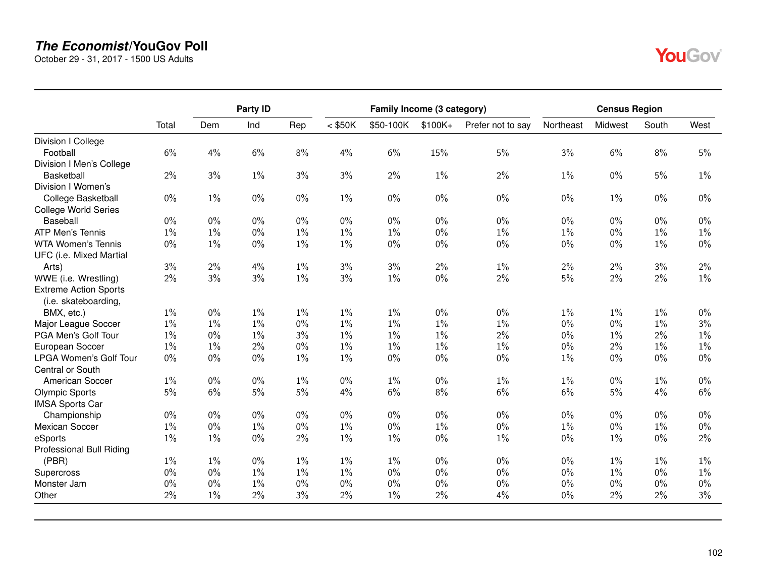October 29 - 31, 2017 - 1500 US Adults

|                               |       | Party ID |       |       |           | Family Income (3 category) |          |                   |           | <b>Census Region</b> |       |       |
|-------------------------------|-------|----------|-------|-------|-----------|----------------------------|----------|-------------------|-----------|----------------------|-------|-------|
|                               | Total | Dem      | Ind   | Rep   | $<$ \$50K | \$50-100K                  | $$100K+$ | Prefer not to say | Northeast | Midwest              | South | West  |
| Division I College            |       |          |       |       |           |                            |          |                   |           |                      |       |       |
| Football                      | 6%    | 4%       | $6\%$ | 8%    | 4%        | 6%                         | 15%      | 5%                | 3%        | 6%                   | 8%    | 5%    |
| Division I Men's College      |       |          |       |       |           |                            |          |                   |           |                      |       |       |
| <b>Basketball</b>             | 2%    | 3%       | $1\%$ | 3%    | 3%        | 2%                         | $1\%$    | $2\%$             | $1\%$     | $0\%$                | 5%    | $1\%$ |
| Division I Women's            |       |          |       |       |           |                            |          |                   |           |                      |       |       |
| College Basketball            | $0\%$ | $1\%$    | $0\%$ | $0\%$ | $1\%$     | $0\%$                      | $0\%$    | $0\%$             | $0\%$     | $1\%$                | $0\%$ | $0\%$ |
| <b>College World Series</b>   |       |          |       |       |           |                            |          |                   |           |                      |       |       |
| Baseball                      | $0\%$ | $0\%$    | $0\%$ | $0\%$ | $0\%$     | $0\%$                      | $0\%$    | $0\%$             | $0\%$     | $0\%$                | $0\%$ | $0\%$ |
| <b>ATP Men's Tennis</b>       | $1\%$ | $1\%$    | $0\%$ | $1\%$ | $1\%$     | $1\%$                      | $0\%$    | $1\%$             | 1%        | $0\%$                | $1\%$ | $1\%$ |
| <b>WTA Women's Tennis</b>     | $0\%$ | $1\%$    | $0\%$ | $1\%$ | $1\%$     | $0\%$                      | $0\%$    | $0\%$             | $0\%$     | $0\%$                | $1\%$ | $0\%$ |
| UFC (i.e. Mixed Martial       |       |          |       |       |           |                            |          |                   |           |                      |       |       |
| Arts)                         | 3%    | 2%       | 4%    | $1\%$ | 3%        | 3%                         | $2\%$    | $1\%$             | 2%        | 2%                   | 3%    | 2%    |
| WWE (i.e. Wrestling)          | 2%    | 3%       | 3%    | $1\%$ | 3%        | $1\%$                      | $0\%$    | 2%                | $5\%$     | $2\%$                | $2\%$ | $1\%$ |
| <b>Extreme Action Sports</b>  |       |          |       |       |           |                            |          |                   |           |                      |       |       |
| (i.e. skateboarding,          |       | $0\%$    |       |       | $1\%$     |                            | $0\%$    | $0\%$             |           |                      |       |       |
| BMX, etc.)                    | $1\%$ |          | $1\%$ | $1\%$ |           | $1\%$                      |          |                   | 1%        | 1%                   | $1\%$ | $0\%$ |
| Major League Soccer           | $1\%$ | $1\%$    | $1\%$ | $0\%$ | 1%        | $1\%$                      | $1\%$    | $1\%$             | 0%        | $0\%$                | $1\%$ | 3%    |
| PGA Men's Golf Tour           | $1\%$ | $0\%$    | $1\%$ | 3%    | $1\%$     | $1\%$                      | $1\%$    | 2%                | $0\%$     | $1\%$                | 2%    | $1\%$ |
| European Soccer               | $1\%$ | $1\%$    | $2\%$ | $0\%$ | $1\%$     | $1\%$                      | $1\%$    | $1\%$             | $0\%$     | 2%                   | $1\%$ | $1\%$ |
| <b>LPGA Women's Golf Tour</b> | $0\%$ | $0\%$    | $0\%$ | $1\%$ | $1\%$     | $0\%$                      | $0\%$    | $0\%$             | $1\%$     | $0\%$                | $0\%$ | $0\%$ |
| Central or South              |       |          |       |       |           |                            |          |                   |           |                      |       |       |
| American Soccer               | $1\%$ | $0\%$    | $0\%$ | $1\%$ | $0\%$     | $1\%$                      | $0\%$    | $1\%$             | 1%        | $0\%$                | $1\%$ | $0\%$ |
| <b>Olympic Sports</b>         | 5%    | 6%       | $5\%$ | 5%    | 4%        | 6%                         | $8\%$    | 6%                | 6%        | $5\%$                | 4%    | 6%    |
| <b>IMSA Sports Car</b>        |       |          |       |       |           |                            |          |                   |           |                      |       |       |
| Championship                  | $0\%$ | $0\%$    | $0\%$ | $0\%$ | $0\%$     | $0\%$                      | $0\%$    | $0\%$             | $0\%$     | $0\%$                | $0\%$ | $0\%$ |
| <b>Mexican Soccer</b>         | $1\%$ | $0\%$    | $1\%$ | $0\%$ | $1\%$     | $0\%$                      | $1\%$    | $0\%$             | $1\%$     | $0\%$                | $1\%$ | $0\%$ |
| eSports                       | $1\%$ | $1\%$    | $0\%$ | 2%    | $1\%$     | $1\%$                      | $0\%$    | $1\%$             | $0\%$     | $1\%$                | $0\%$ | 2%    |
| Professional Bull Riding      |       |          |       |       |           |                            |          |                   |           |                      |       |       |
| (PBR)                         | $1\%$ | $1\%$    | $0\%$ | $1\%$ | $1\%$     | $1\%$                      | $0\%$    | $0\%$             | $0\%$     | $1\%$                | $1\%$ | $1\%$ |
| Supercross                    | $0\%$ | $0\%$    | $1\%$ | $1\%$ | $1\%$     | $0\%$                      | $0\%$    | $0\%$             | $0\%$     | $1\%$                | $0\%$ | $1\%$ |
| Monster Jam                   | $0\%$ | $0\%$    | $1\%$ | $0\%$ | $0\%$     | $0\%$                      | $0\%$    | $0\%$             | $0\%$     | $0\%$                | $0\%$ | $0\%$ |
| Other                         | 2%    | $1\%$    | $2\%$ | 3%    | 2%        | $1\%$                      | 2%       | 4%                | 0%        | 2%                   | 2%    | 3%    |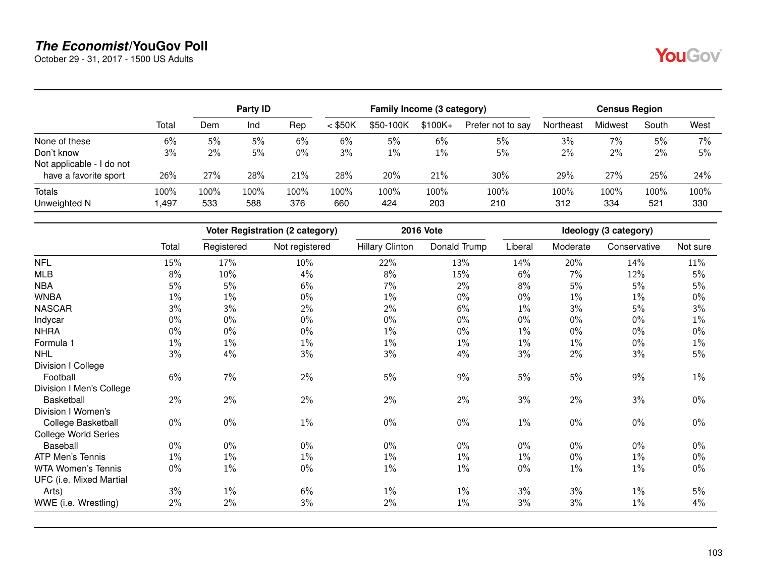October 29 - 31, 2017 - 1500 US Adults

|                           |       |       | <b>Party ID</b> |       |           | Family Income (3 category) |           |                   |           | <b>Census Region</b> |       |       |
|---------------------------|-------|-------|-----------------|-------|-----------|----------------------------|-----------|-------------------|-----------|----------------------|-------|-------|
|                           | Total | Dem   | Ind             | Rep   | $<$ \$50K | \$50-100K                  | $$100K +$ | Prefer not to say | Northeast | Midwest              | South | West  |
| None of these             | 6%    | 5%    | 5%              | 6%    | 6%        | 5%                         | 6%        | 5%                | 3%        | 7%                   | 5%    | $7\%$ |
| Don't know                | 3%    | $2\%$ | 5%              | $0\%$ | 3%        | $1\%$                      | $1\%$     | 5%                | 2%        | 2%                   | 2%    | 5%    |
| Not applicable - I do not |       |       |                 |       |           |                            |           |                   |           |                      |       |       |
| have a favorite sport     | 26%   | 27%   | 28%             | 21%   | 28%       | 20%                        | 21%       | 30%               | 29%       | 27%                  | 25%   | 24%   |
| <b>Totals</b>             | 100%  | 100%  | 100%            | 100%  | 100%      | 100%                       | 100%      | 100%              | 100%      | 100%                 | 100%  | 100%  |
| Unweighted N              | ,497  | 533   | 588             | 376   | 660       | 424                        | 203       | 210               | 312       | 334                  | 521   | 330   |

|                          |                      |            | <b>Voter Registration (2 category)</b> |                        | <b>2016 Vote</b> |         |          | Ideology (3 category) |          |
|--------------------------|----------------------|------------|----------------------------------------|------------------------|------------------|---------|----------|-----------------------|----------|
|                          | Total                | Registered | Not registered                         | <b>Hillary Clinton</b> | Donald Trump     | Liberal | Moderate | Conservative          | Not sure |
| <b>NFL</b>               | 15%                  | 17%        | 10%                                    | 22%                    | 13%              | 14%     | 20%      | 14%                   | 11%      |
| <b>MLB</b>               | 8%                   | 10%        | 4%                                     | 8%                     | 15%              | 6%      | 7%       | 12%                   | 5%       |
| <b>NBA</b>               | 5%                   | 5%         | 6%                                     | 7%                     | 2%               | 8%      | 5%       | 5%                    | 5%       |
| <b>WNBA</b>              | $1\%$                | $1\%$      | $0\%$                                  | $1\%$                  | $0\%$            | 0%      | $1\%$    | 1%                    | $0\%$    |
| <b>NASCAR</b>            | 3%                   | 3%         | 2%                                     | 2%                     | 6%               | $1\%$   | 3%       | 5%                    | 3%       |
| Indycar                  | $0\%$                | $0\%$      | 0%                                     |                        | $0\%$            | 0%      | $0\%$    | $0\%$                 | $1\%$    |
| <b>NHRA</b>              | $0\%$<br>0%<br>$0\%$ |            | 1%                                     | $0\%$                  | $1\%$            | $0\%$   | $0\%$    | $0\%$                 |          |
| Formula 1                | $1\%$                | $1\%$      | 1%                                     | $1\%$                  | $1\%$            | $1\%$   | $1\%$    | $0\%$                 | 1%       |
| <b>NHL</b>               | 3%                   | 4%         | 3%                                     | 3%                     | 4%               | 3%      | 2%       | 3%                    | 5%       |
| Division I College       |                      |            |                                        |                        |                  |         |          |                       |          |
| Football                 | 6%                   | 7%         | 2%                                     | 5%                     | 9%               | $5\%$   | 5%       | 9%                    | $1\%$    |
| Division I Men's College |                      |            |                                        |                        |                  |         |          |                       |          |
| <b>Basketball</b>        | $2\%$                | $2\%$      | $2\%$                                  | 2%                     | 2%               | 3%      | 2%       | 3%                    | $0\%$    |
| Division I Women's       |                      |            |                                        |                        |                  |         |          |                       |          |
| College Basketball       | $0\%$                | $0\%$      | $1\%$                                  | $0\%$                  | $0\%$            | $1\%$   | $0\%$    | $0\%$                 | $0\%$    |
| College World Series     |                      |            |                                        |                        |                  |         |          |                       |          |
| Baseball                 | $0\%$                | $0\%$      | $0\%$                                  | $0\%$                  | $0\%$            | $0\%$   | $0\%$    | 0%                    | $0\%$    |
| ATP Men's Tennis         | $1\%$                | $1\%$      | 1%                                     | $1\%$                  | $1\%$            | $1\%$   | $0\%$    | 1%                    | $0\%$    |
| WTA Women's Tennis       | $0\%$                | $1\%$      | $0\%$                                  | $1\%$                  | $1\%$            | $0\%$   | $1\%$    | $1\%$                 | $0\%$    |
| UFC (i.e. Mixed Martial  |                      |            |                                        |                        |                  |         |          |                       |          |
| Arts)                    | 3%                   | $1\%$      | 6%                                     | $1\%$                  | $1\%$            | 3%      | 3%       | $1\%$                 | 5%       |
| WWE (i.e. Wrestling)     | 2%                   | $2\%$      | 3%                                     | 2%                     | 1%               | 3%      | 3%       | 1%                    | 4%       |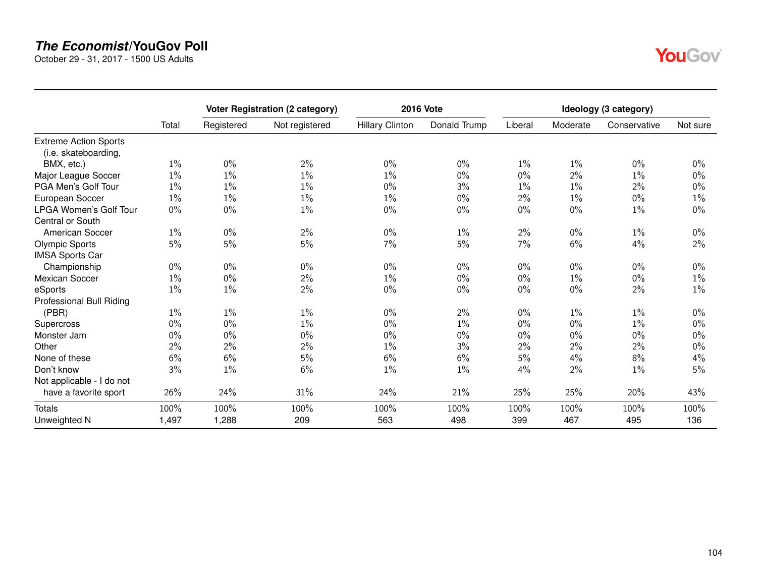October 29 - 31, 2017 - 1500 US Adults

|                                                      |       |            | Voter Registration (2 category) |                        | <b>2016 Vote</b> |         |          | Ideology (3 category) |          |
|------------------------------------------------------|-------|------------|---------------------------------|------------------------|------------------|---------|----------|-----------------------|----------|
|                                                      | Total | Registered | Not registered                  | <b>Hillary Clinton</b> | Donald Trump     | Liberal | Moderate | Conservative          | Not sure |
| <b>Extreme Action Sports</b><br>(i.e. skateboarding, |       |            |                                 |                        |                  |         |          |                       |          |
| BMX, etc.)                                           | $1\%$ | $0\%$      | 2%                              | $0\%$                  | $0\%$            | $1\%$   | $1\%$    | $0\%$                 | $0\%$    |
| Major League Soccer                                  | $1\%$ | $1\%$      | $1\%$                           | $1\%$                  | $0\%$            | $0\%$   | 2%       | $1\%$                 | $0\%$    |
| PGA Men's Golf Tour                                  | $1\%$ | $1\%$      | $1\%$                           | $0\%$                  | 3%               | $1\%$   | $1\%$    | $2\%$                 | $0\%$    |
| European Soccer                                      | $1\%$ | $1\%$      | 1%                              | 1%                     | 0%               | $2\%$   | 1%       | $0\%$                 | 1%       |
| <b>LPGA Women's Golf Tour</b><br>Central or South    | $0\%$ | $0\%$      | $1\%$                           | $0\%$                  | $0\%$            | $0\%$   | $0\%$    | $1\%$                 | $0\%$    |
| <b>American Soccer</b>                               | $1\%$ | $0\%$      | 2%                              | $0\%$                  | $1\%$            | 2%      | $0\%$    | $1\%$                 | $0\%$    |
| <b>Olympic Sports</b><br><b>IMSA Sports Car</b>      | 5%    | 5%         | 5%                              | 7%                     | 5%               | 7%      | 6%       | 4%                    | 2%       |
| Championship                                         | $0\%$ | $0\%$      | $0\%$                           | $0\%$                  | $0\%$            | $0\%$   | $0\%$    | $0\%$                 | $0\%$    |
| <b>Mexican Soccer</b>                                | $1\%$ | $0\%$      | 2%                              | $1\%$                  | $0\%$            | $0\%$   | $1\%$    | $0\%$                 | 1%       |
| eSports<br>Professional Bull Riding                  | $1\%$ | $1\%$      | 2%                              | $0\%$                  | $0\%$            | $0\%$   | $0\%$    | 2%                    | $1\%$    |
| (PBR)                                                | $1\%$ | $1\%$      | $1\%$                           | $0\%$                  | 2%               | $0\%$   | $1\%$    | $1\%$                 | $0\%$    |
| Supercross                                           | $0\%$ | $0\%$      | $1\%$                           | $0\%$                  | $1\%$            | $0\%$   | $0\%$    | $1\%$                 | $0\%$    |
| Monster Jam                                          | $0\%$ | $0\%$      | $0\%$                           | $0\%$                  | $0\%$            | $0\%$   | $0\%$    | $0\%$                 | $0\%$    |
| Other                                                | $2\%$ | 2%         | 2%                              | $1\%$                  | 3%               | 2%      | 2%       | 2%                    | $0\%$    |
| None of these                                        | 6%    | $6\%$      | 5%                              | 6%                     | 6%               | 5%      | 4%       | $8\%$                 | 4%       |
| Don't know                                           | 3%    | $1\%$      | 6%                              | $1\%$                  | $1\%$            | 4%      | 2%       | $1\%$                 | 5%       |
| Not applicable - I do not                            |       |            |                                 |                        |                  |         |          |                       |          |
| have a favorite sport                                | 26%   | 24%        | 31%                             | 24%                    | 21%              | 25%     | 25%      | 20%                   | 43%      |
| Totals                                               | 100%  | 100%       | 100%                            | 100%                   | 100%             | 100%    | 100%     | 100%                  | 100%     |
| Unweighted N                                         | 1,497 | 1,288      | 209                             | 563                    | 498              | 399     | 467      | 495                   | 136      |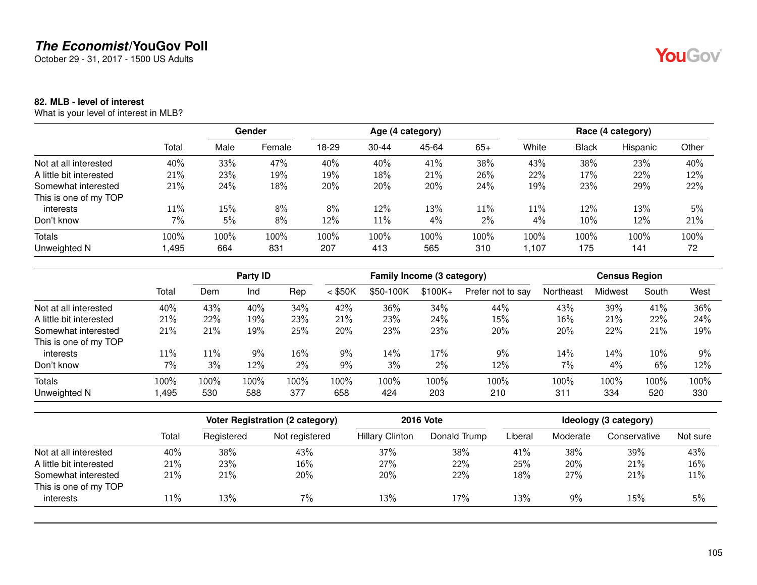October 29 - 31, 2017 - 1500 US Adults

### **82. MLB - level of interest**

What is your level of interest in MLB?

|                         |       |      | Gender |       |           | Age (4 category) |       |        | Race (4 category) |          |       |  |  |
|-------------------------|-------|------|--------|-------|-----------|------------------|-------|--------|-------------------|----------|-------|--|--|
|                         | Total | Male | Female | 18-29 | $30 - 44$ | 45-64            | $65+$ | White  | <b>Black</b>      | Hispanic | Other |  |  |
| Not at all interested   | 40%   | 33%  | 47%    | 40%   | 40%       | 41%              | 38%   | 43%    | 38%               | 23%      | 40%   |  |  |
| A little bit interested | 21%   | 23%  | 19%    | 19%   | 18%       | 21%              | 26%   | 22%    | 17%               | 22%      | 12%   |  |  |
| Somewhat interested     | 21%   | 24%  | 18%    | 20%   | 20%       | 20%              | 24%   | 19%    | 23%               | 29%      | 22%   |  |  |
| This is one of my TOP   |       |      |        |       |           |                  |       |        |                   |          |       |  |  |
| interests               | 11%   | 15%  | 8%     | 8%    | 12%       | 13%              | 11%   | $11\%$ | 12%               | 13%      | 5%    |  |  |
| Don't know              | 7%    | 5%   | 8%     | 12%   | $11\%$    | 4%               | 2%    | 4%     | 10%               | 12%      | 21%   |  |  |
| <b>Totals</b>           | 100%  | 100% | 100%   | 100%  | 100%      | 100%             | 100%  | 100%   | 100%              | 100%     | 100%  |  |  |
| Unweighted N            | ,495  | 664  | 831    | 207   | 413       | 565              | 310   | 1.107  | 175               | 141      | 72    |  |  |

|                         |       |      | Party ID |       |           | Family Income (3 category) |           |                   |           | <b>Census Region</b> |        |      |
|-------------------------|-------|------|----------|-------|-----------|----------------------------|-----------|-------------------|-----------|----------------------|--------|------|
|                         | Total | Dem  | Ind      | Rep   | $<$ \$50K | \$50-100K                  | $$100K +$ | Prefer not to say | Northeast | Midwest              | South  | West |
| Not at all interested   | 40%   | 43%  | 40%      | 34%   | 42%       | 36%                        | 34%       | 44%               | 43%       | 39%                  | 41%    | 36%  |
| A little bit interested | 21%   | 22%  | 19%      | 23%   | 21%       | 23%                        | 24%       | 15%               | 16%       | 21%                  | 22%    | 24%  |
| Somewhat interested     | 21%   | 21%  | 19%      | 25%   | 20%       | 23%                        | 23%       | 20%               | 20%       | 22%                  | 21%    | 19%  |
| This is one of my TOP   |       |      |          |       |           |                            |           |                   |           |                      |        |      |
| interests               | 11%   | 11%  | 9%       | 16%   | 9%        | 14%                        | 17%       | 9%                | 14%       | 14%                  | $10\%$ | 9%   |
| Don't know              | 7%    | 3%   | 12%      | $2\%$ | 9%        | 3%                         | 2%        | 12%               | 7%        | 4%                   | 6%     | 12%  |
| Totals                  | 100%  | 100% | 100%     | 100%  | 100%      | 100%                       | 100%      | 100%              | 100%      | 100%                 | 100%   | 100% |
| Unweighted N            | .495  | 530  | 588      | 377   | 658       | 424                        | 203       | 210               | 311       | 334                  | 520    | 330  |

|                         |       |            | Voter Registration (2 category) |                        | <b>2016 Vote</b> | Ideology (3 category) |          |              |          |  |  |
|-------------------------|-------|------------|---------------------------------|------------------------|------------------|-----------------------|----------|--------------|----------|--|--|
|                         | Total | Registered | Not registered                  | <b>Hillary Clinton</b> | Donald Trump     | Liberal               | Moderate | Conservative | Not sure |  |  |
| Not at all interested   | 40%   | 38%        | 43%                             | 37%                    | 38%              | 41%                   | 38%      | 39%          | 43%      |  |  |
| A little bit interested | 21%   | 23%        | $16\%$                          | 27%                    | 22%              | 25%                   | 20%      | 21%          | 16%      |  |  |
| Somewhat interested     | 21%   | 21%        | 20%                             | 20%                    | 22%              | 18%                   | 27%      | 21%          | 11%      |  |  |
| This is one of my TOP   |       |            |                                 |                        |                  |                       |          |              |          |  |  |
| interests               | 11%   | 13%        | $7\%$                           | 13%                    | 17%              | 13%                   | 9%       | 15%          | 5%       |  |  |
|                         |       |            |                                 |                        |                  |                       |          |              |          |  |  |

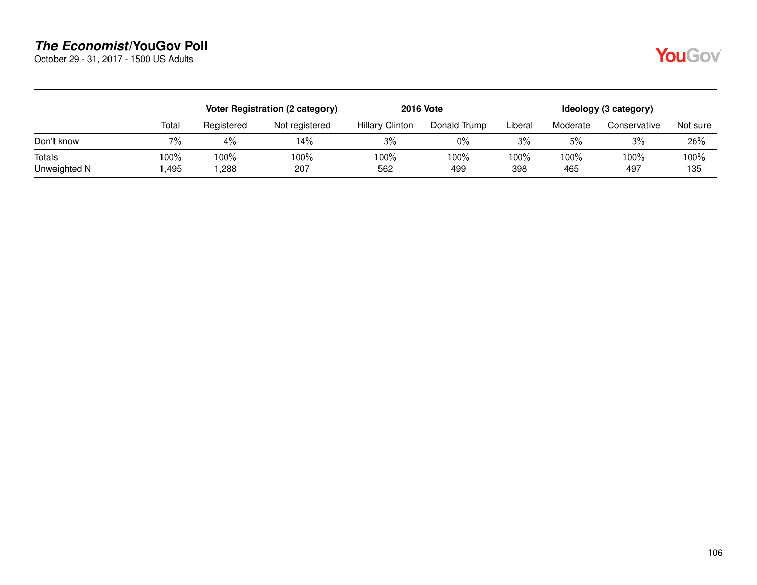October 29 - 31, 2017 - 1500 US Adults

|--|

|                        |              | Voter Registration (2 category) |                |                        | <b>2016 Vote</b> | Ideology (3 category) |             |              |             |  |
|------------------------|--------------|---------------------------------|----------------|------------------------|------------------|-----------------------|-------------|--------------|-------------|--|
|                        | Total        | Registered                      | Not registered | <b>Hillary Clinton</b> | Donald Trump     | Liberal               | Moderate    | Conservative | Not sure    |  |
| Don't know             | $7\%$        | 4%                              | 14%            | 3%                     | $0\%$            | 3%                    | 5%          | 3%           | 26%         |  |
| Totals<br>Unweighted N | 100%<br>,495 | 100%<br>,288                    | 100%<br>207    | 100%<br>562            | 100%<br>499      | 100%<br>398           | 100%<br>465 | 100%<br>497  | 100%<br>135 |  |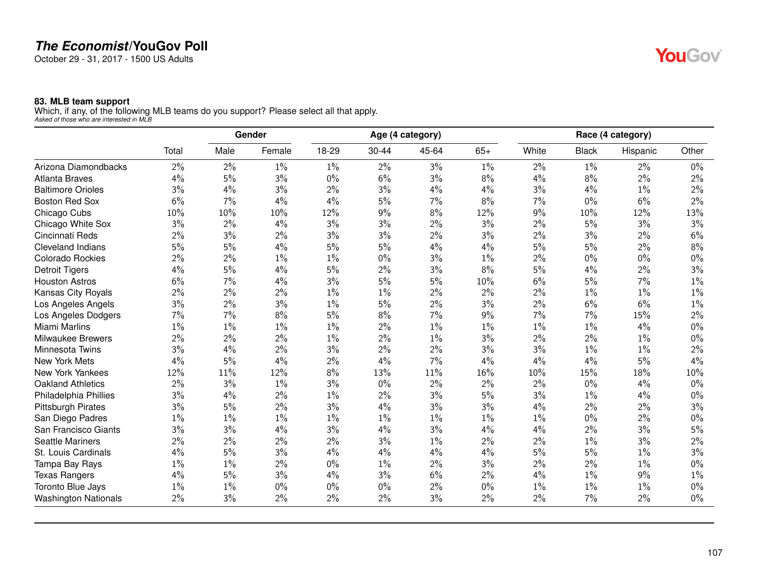October 29 - 31, 2017 - 1500 US Adults

#### **83. MLB team support**

Which, if any, of the following MLB teams do you support? Please select all that apply. *Asked of those who are interested in MLB*

|                             |       |       | Gender |       |           | Age (4 category) |       |       |              | Race (4 category) |       |
|-----------------------------|-------|-------|--------|-------|-----------|------------------|-------|-------|--------------|-------------------|-------|
|                             | Total | Male  | Female | 18-29 | $30 - 44$ | 45-64            | $65+$ | White | <b>Black</b> | Hispanic          | Other |
| Arizona Diamondbacks        | 2%    | 2%    | $1\%$  | $1\%$ | $2\%$     | 3%               | $1\%$ | 2%    | 1%           | 2%                | $0\%$ |
| <b>Atlanta Braves</b>       | 4%    | 5%    | 3%     | $0\%$ | 6%        | 3%               | 8%    | 4%    | 8%           | 2%                | 2%    |
| <b>Baltimore Orioles</b>    | 3%    | 4%    | 3%     | $2\%$ | 3%        | 4%               | 4%    | 3%    | 4%           | $1\%$             | 2%    |
| <b>Boston Red Sox</b>       | 6%    | 7%    | 4%     | 4%    | 5%        | 7%               | 8%    | 7%    | $0\%$        | 6%                | 2%    |
| Chicago Cubs                | 10%   | 10%   | 10%    | 12%   | 9%        | 8%               | 12%   | 9%    | 10%          | 12%               | 13%   |
| Chicago White Sox           | 3%    | 2%    | 4%     | 3%    | 3%        | $2\%$            | 3%    | 2%    | 5%           | 3%                | 3%    |
| Cincinnati Reds             | 2%    | 3%    | 2%     | 3%    | 3%        | $2\%$            | 3%    | 2%    | 3%           | 2%                | 6%    |
| <b>Cleveland Indians</b>    | 5%    | 5%    | 4%     | 5%    | 5%        | 4%               | 4%    | 5%    | 5%           | 2%                | 8%    |
| <b>Colorado Rockies</b>     | 2%    | 2%    | $1\%$  | $1\%$ | $0\%$     | 3%               | $1\%$ | $2\%$ | $0\%$        | $0\%$             | $0\%$ |
| <b>Detroit Tigers</b>       | 4%    | 5%    | 4%     | 5%    | 2%        | 3%               | 8%    | 5%    | 4%           | 2%                | 3%    |
| <b>Houston Astros</b>       | 6%    | 7%    | 4%     | 3%    | 5%        | $5\%$            | 10%   | $6\%$ | $5\%$        | 7%                | $1\%$ |
| Kansas City Royals          | 2%    | 2%    | 2%     | 1%    | $1\%$     | 2%               | 2%    | 2%    | 1%           | $1\%$             | $1\%$ |
| Los Angeles Angels          | 3%    | 2%    | 3%     | $1\%$ | 5%        | 2%               | 3%    | $2\%$ | 6%           | 6%                | $1\%$ |
| Los Angeles Dodgers         | 7%    | 7%    | 8%     | 5%    | 8%        | 7%               | 9%    | 7%    | 7%           | 15%               | 2%    |
| Miami Marlins               | $1\%$ | $1\%$ | $1\%$  | $1\%$ | 2%        | $1\%$            | $1\%$ | $1\%$ | $1\%$        | 4%                | 0%    |
| <b>Milwaukee Brewers</b>    | 2%    | 2%    | 2%     | $1\%$ | 2%        | $1\%$            | 3%    | 2%    | 2%           | $1\%$             | 0%    |
| Minnesota Twins             | 3%    | 4%    | $2\%$  | 3%    | 2%        | $2\%$            | 3%    | 3%    | $1\%$        | $1\%$             | 2%    |
| New York Mets               | 4%    | 5%    | 4%     | 2%    | 4%        | 7%               | 4%    | 4%    | 4%           | 5%                | 4%    |
| New York Yankees            | 12%   | 11%   | 12%    | 8%    | 13%       | 11%              | 16%   | 10%   | 15%          | 18%               | 10%   |
| <b>Oakland Athletics</b>    | 2%    | 3%    | $1\%$  | 3%    | $0\%$     | 2%               | 2%    | 2%    | $0\%$        | 4%                | $0\%$ |
| Philadelphia Phillies       | 3%    | 4%    | $2\%$  | $1\%$ | 2%        | 3%               | 5%    | 3%    | $1\%$        | 4%                | $0\%$ |
| <b>Pittsburgh Pirates</b>   | 3%    | 5%    | 2%     | 3%    | 4%        | 3%               | 3%    | 4%    | 2%           | 2%                | 3%    |
| San Diego Padres            | $1\%$ | 1%    | $1\%$  | $1\%$ | $1\%$     | $1\%$            | $1\%$ | $1\%$ | $0\%$        | 2%                | $0\%$ |
| San Francisco Giants        | 3%    | 3%    | 4%     | 3%    | 4%        | 3%               | 4%    | 4%    | 2%           | 3%                | 5%    |
| <b>Seattle Mariners</b>     | 2%    | 2%    | 2%     | 2%    | 3%        | 1%               | 2%    | $2\%$ | 1%           | 3%                | 2%    |
| St. Louis Cardinals         | 4%    | 5%    | 3%     | 4%    | 4%        | 4%               | 4%    | 5%    | $5\%$        | $1\%$             | 3%    |
| Tampa Bay Rays              | 1%    | 1%    | 2%     | 0%    | $1\%$     | 2%               | 3%    | 2%    | 2%           | 1%                | 0%    |
| <b>Texas Rangers</b>        | 4%    | 5%    | 3%     | 4%    | 3%        | 6%               | $2\%$ | 4%    | $1\%$        | 9%                | $1\%$ |
| Toronto Blue Jays           | $1\%$ | 1%    | $0\%$  | 0%    | 0%        | $2\%$            | $0\%$ | $1\%$ | $1\%$        | 1%                | 0%    |
| <b>Washington Nationals</b> | 2%    | 3%    | 2%     | 2%    | $2\%$     | 3%               | 2%    | 2%    | 7%           | 2%                | $0\%$ |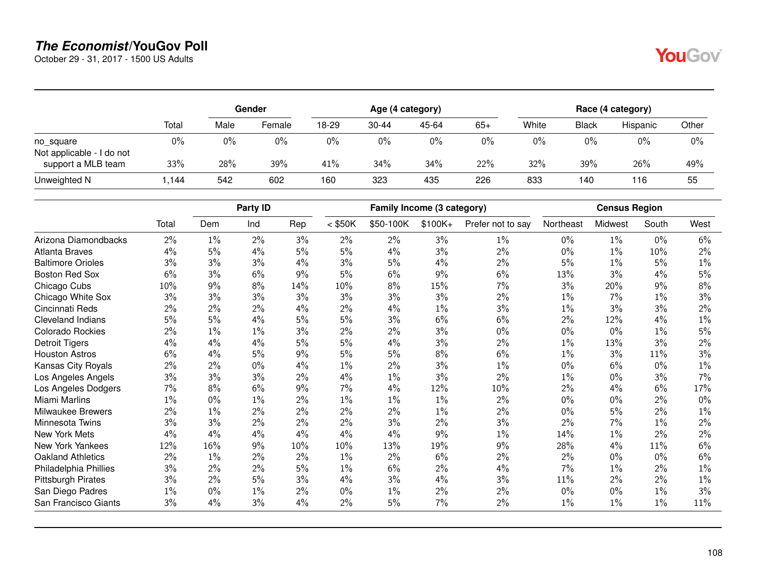October 29 - 31, 2017 - 1500 US Adults

|                                        |       |       | Gender |       |           | Age (4 category) |       |       |              | Race (4 category) |       |
|----------------------------------------|-------|-------|--------|-------|-----------|------------------|-------|-------|--------------|-------------------|-------|
|                                        | Total | Male  | Female | 18-29 | $30 - 44$ | 45-64            | $65+$ | White | <b>Black</b> | Hispanic          | Other |
| no square<br>Not applicable - I do not | $0\%$ | $0\%$ | $0\%$  | 0%    | 0%        | $0\%$            | 0%    | $0\%$ | $0\%$        | $0\%$             | $0\%$ |
| support a MLB team                     | 33%   | 28%   | 39%    | 41%   | 34%       | 34%              | 22%   | 32%   | 39%          | 26%               | 49%   |
| Unweighted N                           | .144  | 542   | 602    | 160   | 323       | 435              | 226   | 833   | 140          | 116               | 55    |

|                           |       |       | Party ID |     |           | Family Income (3 category) |          |                   |           | <b>Census Region</b> |       |       |
|---------------------------|-------|-------|----------|-----|-----------|----------------------------|----------|-------------------|-----------|----------------------|-------|-------|
|                           | Total | Dem   | Ind      | Rep | $<$ \$50K | \$50-100K                  | $$100K+$ | Prefer not to say | Northeast | Midwest              | South | West  |
| Arizona Diamondbacks      | 2%    | $1\%$ | 2%       | 3%  | 2%        | 2%                         | 3%       | $1\%$             | 0%        | $1\%$                | $0\%$ | 6%    |
| <b>Atlanta Braves</b>     | 4%    | 5%    | 4%       | 5%  | 5%        | 4%                         | 3%       | 2%                | $0\%$     | $1\%$                | 10%   | 2%    |
| <b>Baltimore Orioles</b>  | 3%    | 3%    | 3%       | 4%  | 3%        | 5%                         | 4%       | 2%                | 5%        | $1\%$                | 5%    | $1\%$ |
| <b>Boston Red Sox</b>     | 6%    | 3%    | 6%       | 9%  | 5%        | 6%                         | 9%       | 6%                | 13%       | 3%                   | 4%    | 5%    |
| Chicago Cubs              | 10%   | 9%    | 8%       | 14% | 10%       | 8%                         | 15%      | 7%                | 3%        | 20%                  | 9%    | 8%    |
| Chicago White Sox         | 3%    | 3%    | 3%       | 3%  | 3%        | 3%                         | 3%       | 2%                | 1%        | 7%                   | $1\%$ | 3%    |
| Cincinnati Reds           | 2%    | 2%    | 2%       | 4%  | 2%        | 4%                         | $1\%$    | 3%                | 1%        | 3%                   | 3%    | 2%    |
| <b>Cleveland Indians</b>  | 5%    | 5%    | 4%       | 5%  | 5%        | 3%                         | 6%       | 6%                | 2%        | 12%                  | 4%    | $1\%$ |
| <b>Colorado Rockies</b>   | 2%    | 1%    | $1\%$    | 3%  | 2%        | 2%                         | 3%       | 0%                | $0\%$     | $0\%$                | $1\%$ | 5%    |
| <b>Detroit Tigers</b>     | 4%    | 4%    | 4%       | 5%  | 5%        | 4%                         | 3%       | 2%                | 1%        | 13%                  | 3%    | 2%    |
| <b>Houston Astros</b>     | 6%    | 4%    | 5%       | 9%  | 5%        | 5%                         | 8%       | 6%                | 1%        | 3%                   | 11%   | 3%    |
| Kansas City Royals        | $2\%$ | 2%    | $0\%$    | 4%  | 1%        | 2%                         | 3%       | 1%                | 0%        | 6%                   | 0%    | $1\%$ |
| Los Angeles Angels        | 3%    | 3%    | 3%       | 2%  | 4%        | $1\%$                      | 3%       | 2%                | 1%        | $0\%$                | 3%    | 7%    |
| Los Angeles Dodgers       | 7%    | 8%    | 6%       | 9%  | 7%        | 4%                         | 12%      | 10%               | 2%        | 4%                   | 6%    | 17%   |
| Miami Marlins             | 1%    | 0%    | $1\%$    | 2%  | $1\%$     | $1\%$                      | $1\%$    | 2%                | $0\%$     | 0%                   | 2%    | 0%    |
| Milwaukee Brewers         | 2%    | $1\%$ | 2%       | 2%  | 2%        | 2%                         | $1\%$    | 2%                | 0%        | 5%                   | 2%    | $1\%$ |
| Minnesota Twins           | 3%    | 3%    | 2%       | 2%  | 2%        | 3%                         | 2%       | 3%                | 2%        | 7%                   | 1%    | 2%    |
| New York Mets             | $4\%$ | 4%    | 4%       | 4%  | 4%        | 4%                         | 9%       | 1%                | 14%       | $1\%$                | 2%    | 2%    |
| New York Yankees          | 12%   | 16%   | 9%       | 10% | 10%       | 13%                        | 19%      | 9%                | 28%       | 4%                   | 11%   | 6%    |
| <b>Oakland Athletics</b>  | 2%    | $1\%$ | $2\%$    | 2%  | $1\%$     | 2%                         | 6%       | 2%                | 2%        | 0%                   | 0%    | 6%    |
| Philadelphia Phillies     | 3%    | 2%    | 2%       | 5%  | 1%        | 6%                         | 2%       | 4%                | 7%        | $1\%$                | 2%    | $1\%$ |
| <b>Pittsburgh Pirates</b> | 3%    | 2%    | 5%       | 3%  | 4%        | 3%                         | 4%       | 3%                | 11%       | 2%                   | 2%    | $1\%$ |
| San Diego Padres          | 1%    | $0\%$ | $1\%$    | 2%  | $0\%$     | 1%                         | 2%       | 2%                | $0\%$     | 0%                   | $1\%$ | 3%    |
| San Francisco Giants      | 3%    | 4%    | 3%       | 4%  | 2%        | 5%                         | 7%       | 2%                | 1%        | $1\%$                | $1\%$ | 11%   |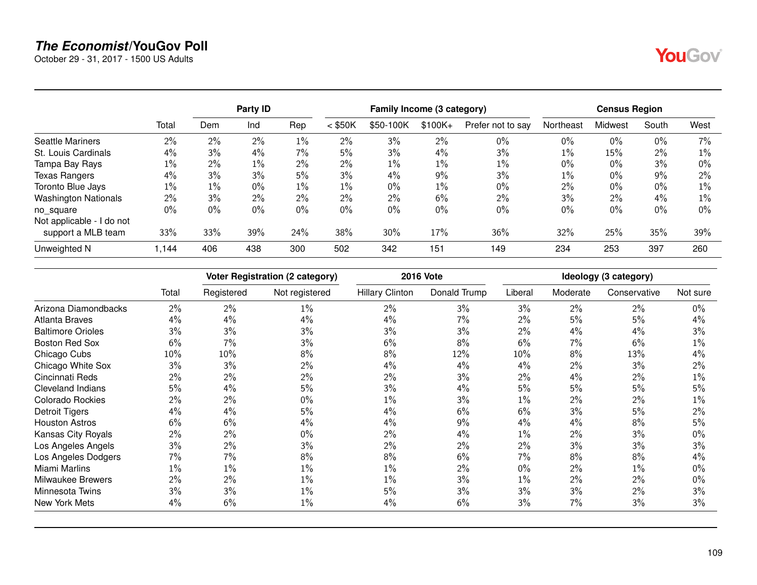October 29 - 31, 2017 - 1500 US Adults

|                             |       |       | Party <b>ID</b> |       | Family Income (3 category) |           |           |                   | <b>Census Region</b> |         |       |       |
|-----------------------------|-------|-------|-----------------|-------|----------------------------|-----------|-----------|-------------------|----------------------|---------|-------|-------|
|                             | Total | Dem   | Ind             | Rep   | $<$ \$50K                  | \$50-100K | $$100K +$ | Prefer not to say | Northeast            | Midwest | South | West  |
| <b>Seattle Mariners</b>     | $2\%$ | $2\%$ | 2%              | $1\%$ | $2\%$                      | 3%        | 2%        | $0\%$             | $0\%$                | 0%      | 0%    | $7\%$ |
| St. Louis Cardinals         | $4\%$ | 3%    | 4%              | $7\%$ | 5%                         | 3%        | 4%        | 3%                | $1\%$                | 15%     | 2%    | $1\%$ |
| Tampa Bay Rays              | $1\%$ | $2\%$ | 1%              | $2\%$ | 2%                         | $1\%$     | 1%        | $1\%$             | 0%                   | 0%      | 3%    | $0\%$ |
| <b>Texas Rangers</b>        | 4%    | 3%    | 3%              | 5%    | 3%                         | 4%        | 9%        | 3%                | $1\%$                | 0%      | 9%    | $2\%$ |
| Toronto Blue Jays           | $1\%$ | $1\%$ | 0%              | $1\%$ | $1\%$                      | $0\%$     | $1\%$     | $0\%$             | 2%                   | $0\%$   | 0%    | 1%    |
| <b>Washington Nationals</b> | 2%    | 3%    | 2%              | $2\%$ | $2\%$                      | $2\%$     | 6%        | $2\%$             | 3%                   | 2%      | 4%    | 1%    |
| no square                   | 0%    | 0%    | 0%              | 0%    | $0\%$                      | $0\%$     | 0%        | $0\%$             | $0\%$                | 0%      | 0%    | $0\%$ |
| Not applicable - I do not   |       |       |                 |       |                            |           |           |                   |                      |         |       |       |
| support a MLB team          | 33%   | 33%   | 39%             | 24%   | 38%                        | 30%       | 17%       | 36%               | 32%                  | 25%     | 35%   | 39%   |
| Unweighted N                | 1.144 | 406   | 438             | 300   | 502                        | 342       | 151       | 149               | 234                  | 253     | 397   | 260   |

|                          |       |            | <b>Voter Registration (2 category)</b> |                        | <b>2016 Vote</b> |         |          | Ideology (3 category) |          |
|--------------------------|-------|------------|----------------------------------------|------------------------|------------------|---------|----------|-----------------------|----------|
|                          | Total | Registered | Not registered                         | <b>Hillary Clinton</b> | Donald Trump     | Liberal | Moderate | Conservative          | Not sure |
| Arizona Diamondbacks     | 2%    | 2%         | $1\%$                                  | 2%                     | 3%               | 3%      | 2%       | $2\%$                 | $0\%$    |
| Atlanta Braves           | 4%    | 4%         | 4%                                     | 4%                     | 7%               | 2%      | 5%       | 5%                    | 4%       |
| <b>Baltimore Orioles</b> | 3%    | 3%         | 3%                                     | 3%                     | 3%               | 2%      | 4%       | 4%                    | 3%       |
| <b>Boston Red Sox</b>    | 6%    | 7%         | 3%                                     | 6%                     | 8%               | 6%      | 7%       | 6%                    | $1\%$    |
| Chicago Cubs             | 10%   | 10%        | 8%                                     | 8%                     | 12%              | 10%     | 8%       | 13%                   | $4\%$    |
| Chicago White Sox        | 3%    | 3%         | 2%                                     | 4%                     | 4%               | 4%      | $2\%$    | 3%                    | 2%       |
| Cincinnati Reds          | 2%    | 2%         | 2%                                     | 2%                     | 3%               | 2%      | 4%       | 2%                    | $1\%$    |
| <b>Cleveland Indians</b> | 5%    | 4%         | 5%                                     | 3%                     | 4%               | 5%      | 5%       | 5%                    | 5%       |
| <b>Colorado Rockies</b>  | 2%    | 2%         | 0%                                     | $1\%$                  | 3%               | $1\%$   | 2%       | 2%                    | $1\%$    |
| Detroit Tigers           | 4%    | 4%         | 5%                                     | $4\%$                  | 6%               | $6\%$   | 3%       | 5%                    | 2%       |
| <b>Houston Astros</b>    | 6%    | 6%         | 4%                                     | 4%                     | 9%               | 4%      | 4%       | 8%                    | 5%       |
| Kansas City Royals       | $2\%$ | $2\%$      | 0%                                     | 2%                     | $4\%$            | $1\%$   | 2%       | 3%                    | $0\%$    |
| Los Angeles Angels       | 3%    | $2\%$      | 3%                                     | 2%                     | 2%               | $2\%$   | 3%       | 3%                    | 3%       |
| Los Angeles Dodgers      | 7%    | 7%         | 8%                                     | 8%                     | 6%               | 7%      | 8%       | 8%                    | $4\%$    |
| Miami Marlins            | $1\%$ | $1\%$      | $1\%$                                  | 1%                     | 2%               | $0\%$   | 2%       | $1\%$                 | 0%       |
| Milwaukee Brewers        | 2%    | $2\%$      | $1\%$                                  | 1%                     | 3%               | $1\%$   | 2%       | 2%                    | $0\%$    |
| Minnesota Twins          | 3%    | $3\%$      | $1\%$                                  | 5%                     | 3%               | 3%      | 3%       | 2%                    | 3%       |
| New York Mets            | 4%    | 6%         | $1\%$                                  | 4%                     | 6%               | 3%      | 7%       | 3%                    | 3%       |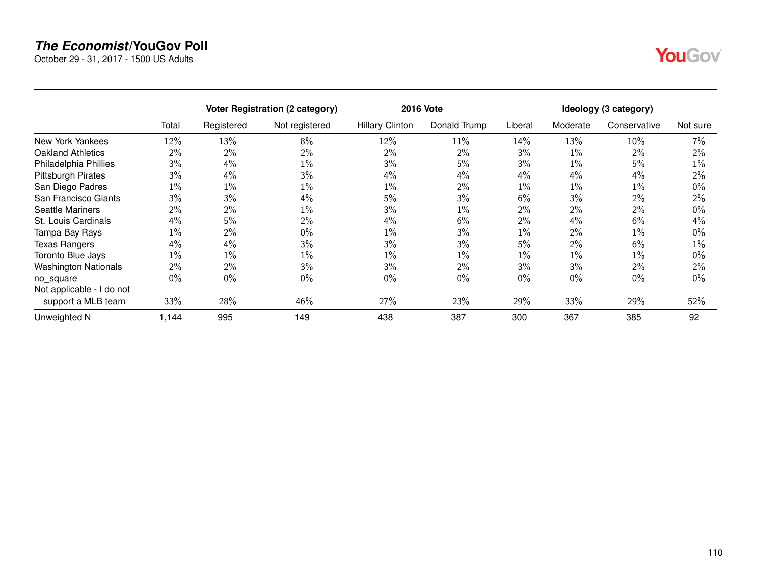October 29 - 31, 2017 - 1500 US Adults

| ٦ |  |
|---|--|
|   |  |

|                             |       |            | <b>Voter Registration (2 category)</b> |                        | <b>2016 Vote</b> |         |          | Ideology (3 category) |          |
|-----------------------------|-------|------------|----------------------------------------|------------------------|------------------|---------|----------|-----------------------|----------|
|                             | Total | Registered | Not registered                         | <b>Hillary Clinton</b> | Donald Trump     | Liberal | Moderate | Conservative          | Not sure |
| New York Yankees            | 12%   | 13%        | 8%                                     | 12%                    | $11\%$           | 14%     | 13%      | 10%                   | $7\%$    |
| <b>Oakland Athletics</b>    | 2%    | $2\%$      | 2%                                     | $2\%$                  | $2\%$            | 3%      | 1%       | 2%                    | $2\%$    |
| Philadelphia Phillies       | 3%    | $4\%$      | 1%                                     | $3\%$                  | 5%               | 3%      | 1%       | 5%                    | $1\%$    |
| <b>Pittsburgh Pirates</b>   | 3%    | 4%         | 3%                                     | 4%                     | 4%               | 4%      | 4%       | 4%                    | 2%       |
| San Diego Padres            | 1%    | $1\%$      | $1\%$                                  | $1\%$                  | $2\%$            | $1\%$   | 1%       | $1\%$                 | $0\%$    |
| San Francisco Giants        | 3%    | 3%         | 4%                                     | 5%                     | $3\%$            | 6%      | 3%       | 2%                    | $2\%$    |
| <b>Seattle Mariners</b>     | 2%    | $2\%$      | $1\%$                                  | 3%                     | $1\%$            | 2%      | 2%       | 2%                    | $0\%$    |
| St. Louis Cardinals         | $4\%$ | 5%         | 2%                                     | $4\%$                  | 6%               | 2%      | 4%       | 6%                    | $4\%$    |
| Tampa Bay Rays              | $1\%$ | $2\%$      | 0%                                     | $1\%$                  | $3\%$            | 1%      | 2%       | 1%                    | $0\%$    |
| <b>Texas Rangers</b>        | 4%    | 4%         | 3%                                     | $3\%$                  | $3\%$            | 5%      | 2%       | 6%                    | $1\%$    |
| Toronto Blue Jays           | $1\%$ | $1\%$      | 1%                                     | $1\%$                  | $1\%$            | $1\%$   | $1\%$    | $1\%$                 | $0\%$    |
| <b>Washington Nationals</b> | $2\%$ | $2\%$      | 3%                                     | $3\%$                  | $2\%$            | 3%      | 3%       | 2%                    | $2\%$    |
| no square                   | $0\%$ | $0\%$      | 0%                                     | $0\%$                  | $0\%$            | 0%      | 0%       | $0\%$                 | $0\%$    |
| Not applicable - I do not   |       |            |                                        |                        |                  |         |          |                       |          |
| support a MLB team          | 33%   | 28%        | 46%                                    | 27%                    | 23%              | 29%     | 33%      | 29%                   | 52%      |
| Unweighted N                | 1,144 | 995        | 149                                    | 438                    | 387              | 300     | 367      | 385                   | 92       |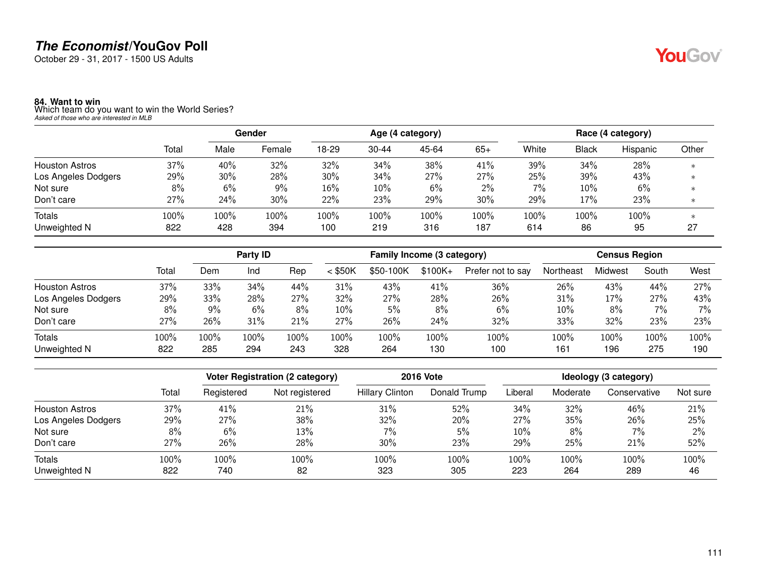October 29 - 31, 2017 - 1500 US Adults

**84. Want to win** Which team do you want to win the World Series? *Asked of those who are interested in MLB*

|                       |       | Gender |        | Age (4 category) |           |       |       | Race (4 category) |              |          |         |  |
|-----------------------|-------|--------|--------|------------------|-----------|-------|-------|-------------------|--------------|----------|---------|--|
|                       | Total | Male   | Female | 18-29            | $30 - 44$ | 45-64 | $65+$ | White             | <b>Black</b> | Hispanic | Other   |  |
| <b>Houston Astros</b> | 37%   | 40%    | 32%    | 32%              | 34%       | 38%   | 41%   | 39%               | 34%          | 28%      | $\ast$  |  |
| Los Angeles Dodgers   | 29%   | 30%    | 28%    | 30%              | 34%       | 27%   | 27%   | 25%               | 39%          | 43%      | $^\ast$ |  |
| Not sure              | 8%    | 6%     | 9%     | 16%              | 10%       | 6%    | 2%    | 7%                | 10%          | 6%       |         |  |
| Don't care            | 27%   | 24%    | 30%    | 22%              | 23%       | 29%   | 30%   | 29%               | 17%          | 23%      | $\ast$  |  |
| Totals                | 100%  | 100%   | 100%   | 100%             | 100%      | 100%  | 100%  | 100%              | $100\%$      | 100%     |         |  |
| Unweighted N          | 822   | 428    | 394    | 100              | 219       | 316   | 187   | 614               | 86           | 95       | 27      |  |

|                       |       | Party ID |      |      | Family Income (3 category) |           |           |                   | <b>Census Region</b> |         |       |      |
|-----------------------|-------|----------|------|------|----------------------------|-----------|-----------|-------------------|----------------------|---------|-------|------|
|                       | Total | Dem      | Ind  | Rep  | $<$ \$50K                  | \$50-100K | $$100K +$ | Prefer not to say | Northeast            | Midwest | South | West |
| <b>Houston Astros</b> | 37%   | 33%      | 34%  | 44%  | 31%                        | 43%       | 41%       | 36%               | 26%                  | 43%     | 44%   | 27%  |
| Los Angeles Dodgers   | 29%   | 33%      | 28%  | 27%  | 32%                        | 27%       | 28%       | 26%               | 31%                  | 17%     | 27%   | 43%  |
| Not sure              | 8%    | 9%       | 6%   | 8%   | 10%                        | 5%        | 8%        | 6%                | 10%                  | 8%      | 7%    | 7%   |
| Don't care            | 27%   | 26%      | 31%  | 21%  | 27%                        | 26%       | 24%       | 32%               | 33%                  | 32%     | 23%   | 23%  |
| Totals                | 100%  | 100%     | 100% | 100% | 100%                       | 100%      | 100%      | 100%              | 100%                 | 100%    | 100%  | 100% |
| Unweighted N          | 822   | 285      | 294  | 243  | 328                        | 264       | 130       | 100               | 161                  | 196     | 275   | 190  |

|                       |       |            | Voter Registration (2 category) |                        | <b>2016 Vote</b> | Ideology (3 category) |          |              |          |  |
|-----------------------|-------|------------|---------------------------------|------------------------|------------------|-----------------------|----------|--------------|----------|--|
|                       | Total | Registered | Not registered                  | <b>Hillary Clinton</b> | Donald Trump     | Liberal               | Moderate | Conservative | Not sure |  |
| <b>Houston Astros</b> | 37%   | 41%        | 21%                             | 31%                    | 52%              | 34%                   | 32%      | 46%          | 21%      |  |
| Los Angeles Dodgers   | 29%   | 27%        | 38%                             | 32%                    | 20%              | 27%                   | 35%      | 26%          | 25%      |  |
| Not sure              | 8%    | 6%         | 13%                             | 7%                     | 5%               | 10%                   | 8%       | 7%           | 2%       |  |
| Don't care            | 27%   | 26%        | 28%                             | 30%                    | 23%              | 29%                   | 25%      | 21%          | 52%      |  |
| Totals                | 100%  | 100%       | 100%                            | 100%                   | 100%             | 100%                  | 100%     | 100%         | 100%     |  |
| Unweighted N          | 822   | 740        | 82                              | 323                    | 305              | 223                   | 264      | 289          | 46       |  |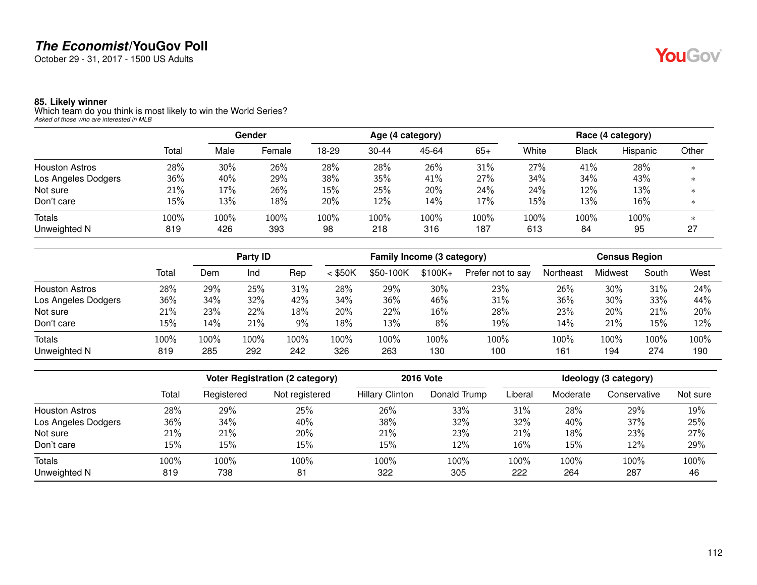October 29 - 31, 2017 - 1500 US Adults

#### **85. Likely winner**

Which team do you think is most likely to win the World Series? *Asked of those who are interested in MLB*

|                       |       | Gender |        | Age (4 category) |           |       |        | Race (4 category) |       |          |         |  |
|-----------------------|-------|--------|--------|------------------|-----------|-------|--------|-------------------|-------|----------|---------|--|
|                       | Total | Male   | Female | 18-29            | $30 - 44$ | 45-64 | $65+$  | White             | Black | Hispanic | Other   |  |
| <b>Houston Astros</b> | 28%   | 30%    | 26%    | 28%              | 28%       | 26%   | 31%    | 27%               | 41%   | 28%      | $\ast$  |  |
| Los Angeles Dodgers   | 36%   | 40%    | 29%    | 38%              | 35%       | 41%   | 27%    | 34%               | 34%   | 43%      | $\ast$  |  |
| Not sure              | 21%   | 17%    | 26%    | $15\%$           | 25%       | 20%   | 24%    | 24%               | 12%   | 13%      |         |  |
| Don't care            | 15%   | 13%    | 18%    | 20%              | 12%       | 14%   | $17\%$ | 15%               | 13%   | 16%      | $^\ast$ |  |
| <b>Totals</b>         | 100%  | 100%   | 100%   | 100%             | 100%      | 100%  | 100%   | 100%              | 100%  | 100%     |         |  |
| Unweighted N          | 819   | 426    | 393    | 98               | 218       | 316   | 187    | 613               | 84    | 95       | 27      |  |

|                       |       | Party ID |      |       | Family Income (3 category) |           |           |                   | <b>Census Region</b> |         |       |      |
|-----------------------|-------|----------|------|-------|----------------------------|-----------|-----------|-------------------|----------------------|---------|-------|------|
|                       | Total | Dem      | Ind  | Rep   | $<$ \$50K                  | \$50-100K | $$100K +$ | Prefer not to say | Northeast            | Midwest | South | West |
| <b>Houston Astros</b> | 28%   | 29%      | 25%  | 31%   | 28%                        | 29%       | 30%       | 23%               | 26%                  | 30%     | 31%   | 24%  |
| Los Angeles Dodgers   | 36%   | 34%      | 32%  | 42%   | 34%                        | 36%       | 46%       | 31%               | 36%                  | 30%     | 33%   | 44%  |
| Not sure              | 21%   | 23%      | 22%  | 18%   | 20%                        | 22%       | 16%       | 28%               | 23%                  | 20%     | 21%   | 20%  |
| Don't care            | 15%   | 14%      | 21%  | $9\%$ | 18%                        | 13%       | 8%        | 19%               | 14%                  | 21%     | 15%   | 12%  |
| Totals                | 100%  | 100%     | 100% | 100%  | 100%                       | 100%      | 100%      | 100%              | 100%                 | 100%    | 100%  | 100% |
| Unweighted N          | 819   | 285      | 292  | 242   | 326                        | 263       | 130       | 100               | 161                  | 194     | 274   | 190  |

|                       |       |            | <b>Voter Registration (2 category)</b> |                        | <b>2016 Vote</b> | Ideology (3 category) |          |              |          |  |
|-----------------------|-------|------------|----------------------------------------|------------------------|------------------|-----------------------|----------|--------------|----------|--|
|                       | Total | Registered | Not registered                         | <b>Hillary Clinton</b> | Donald Trump     | Liberal               | Moderate | Conservative | Not sure |  |
| <b>Houston Astros</b> | 28%   | 29%        | 25%                                    | 26%                    | 33%              | 31%                   | 28%      | 29%          | 19%      |  |
| Los Angeles Dodgers   | 36%   | 34%        | 40%                                    | 38%                    | 32%              | 32%                   | 40%      | 37%          | 25%      |  |
| Not sure              | 21%   | 21%        | 20%                                    | 21%                    | 23%              | 21%                   | 18%      | 23%          | 27%      |  |
| Don't care            | 15%   | 15%        | 15%                                    | 15%                    | 12%              | 16%                   | 15%      | 12%          | 29%      |  |
| Totals                | 100%  | 100%       | 100%                                   | 100%                   | 100%             | 100%                  | 100%     | 100%         | 100%     |  |
| Unweighted N          | 819   | 738        | 81                                     | 322                    | 305              | 222                   | 264      | 287          | 46       |  |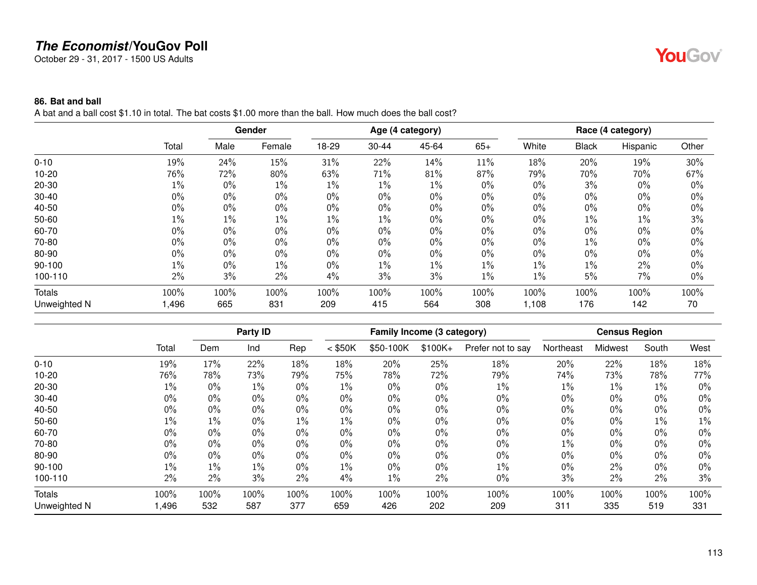October 29 - 31, 2017 - 1500 US Adults

#### **86. Bat and ball**

A bat and a ball cost \$1.10 in total. The bat costs \$1.00 more than the ball. How much does the ball cost?

|               |       |       | Gender |       |       | Age (4 category) |       |       |              | Race (4 category) |       |
|---------------|-------|-------|--------|-------|-------|------------------|-------|-------|--------------|-------------------|-------|
|               | Total | Male  | Female | 18-29 | 30-44 | 45-64            | $65+$ | White | <b>Black</b> | Hispanic          | Other |
| $0 - 10$      | 19%   | 24%   | 15%    | 31%   | 22%   | 14%              | 11%   | 18%   | 20%          | 19%               | 30%   |
| $10 - 20$     | 76%   | 72%   | 80%    | 63%   | 71%   | 81%              | 87%   | 79%   | 70%          | 70%               | 67%   |
| $20 - 30$     | $1\%$ | $0\%$ | $1\%$  | $1\%$ | $1\%$ | $1\%$            | $0\%$ | 0%    | 3%           | $0\%$             | $0\%$ |
| $30 - 40$     | $0\%$ | 0%    | $0\%$  | $0\%$ | $0\%$ | $0\%$            | 0%    | 0%    | 0%           | $0\%$             | $0\%$ |
| 40-50         | $0\%$ | $0\%$ | $0\%$  | $0\%$ | $0\%$ | $0\%$            | $0\%$ | 0%    | $0\%$        | $0\%$             | $0\%$ |
| 50-60         | $1\%$ | $1\%$ | $1\%$  | $1\%$ | 1%    | $0\%$            | $0\%$ | $0\%$ | 1%           | 1%                | 3%    |
| 60-70         | $0\%$ | $0\%$ | $0\%$  | $0\%$ | $0\%$ | $0\%$            | 0%    | $0\%$ | $0\%$        | 0%                | $0\%$ |
| 70-80         | $0\%$ | $0\%$ | $0\%$  | $0\%$ | $0\%$ | $0\%$            | $0\%$ | $0\%$ | $1\%$        | $0\%$             | $0\%$ |
| 80-90         | $0\%$ | $0\%$ | $0\%$  | $0\%$ | $0\%$ | $0\%$            | $0\%$ | $0\%$ | $0\%$        | $0\%$             | $0\%$ |
| 90-100        | $1\%$ | $0\%$ | $1\%$  | $0\%$ | $1\%$ | $1\%$            | $1\%$ | $1\%$ | 1%           | 2%                | $0\%$ |
| 100-110       | 2%    | 3%    | 2%     | 4%    | 3%    | 3%               | $1\%$ | $1\%$ | 5%           | 7%                | $0\%$ |
| <b>Totals</b> | 100%  | 100%  | 100%   | 100%  | 100%  | 100%             | 100%  | 100%  | 100%         | 100%              | 100%  |
| Unweighted N  | ,496  | 665   | 831    | 209   | 415   | 564              | 308   | 1,108 | 176          | 142               | 70    |

|              |       |       | Party ID |       |           | Family Income (3 category) |          |                   |           | <b>Census Region</b> |       |       |
|--------------|-------|-------|----------|-------|-----------|----------------------------|----------|-------------------|-----------|----------------------|-------|-------|
|              | Total | Dem   | Ind      | Rep   | $<$ \$50K | \$50-100K                  | $$100K+$ | Prefer not to say | Northeast | Midwest              | South | West  |
| $0 - 10$     | 19%   | 17%   | 22%      | 18%   | 18%       | 20%                        | 25%      | 18%               | 20%       | 22%                  | 18%   | 18%   |
| $10 - 20$    | 76%   | 78%   | 73%      | 79%   | 75%       | 78%                        | 72%      | 79%               | 74%       | 73%                  | 78%   | 77%   |
| 20-30        | 1%    | $0\%$ | $1\%$    | $0\%$ | 1%        | $0\%$                      | $0\%$    | $1\%$             | 1%        | $1\%$                | $1\%$ | $0\%$ |
| $30 - 40$    | $0\%$ | 0%    | $0\%$    | $0\%$ | $0\%$     | $0\%$                      | 0%       | $0\%$             | 0%        | $0\%$                | $0\%$ | $0\%$ |
| 40-50        | $0\%$ | $0\%$ | $0\%$    | $0\%$ | $0\%$     | $0\%$                      | 0%       | $0\%$             | 0%        | 0%                   | $0\%$ | $0\%$ |
| 50-60        | 1%    | $1\%$ | $0\%$    | $1\%$ | $1\%$     | $0\%$                      | $0\%$    | $0\%$             | $0\%$     | 0%                   | $1\%$ | 1%    |
| 60-70        | $0\%$ | 0%    | $0\%$    | $0\%$ | $0\%$     | $0\%$                      | 0%       | $0\%$             | 0%        | $0\%$                | $0\%$ | $0\%$ |
| 70-80        | $0\%$ | 0%    | $0\%$    | $0\%$ | $0\%$     | $0\%$                      | 0%       | $0\%$             | 1%        | 0%                   | $0\%$ | $0\%$ |
| 80-90        | $0\%$ | 0%    | $0\%$    | $0\%$ | $0\%$     | $0\%$                      | 0%       | $0\%$             | 0%        | $0\%$                | $0\%$ | $0\%$ |
| $90 - 100$   | $1\%$ | $1\%$ | $1\%$    | $0\%$ | $1\%$     | $0\%$                      | $0\%$    | $1\%$             | 0%        | 2%                   | $0\%$ | $0\%$ |
| 100-110      | 2%    | 2%    | 3%       | 2%    | 4%        | $1\%$                      | 2%       | $0\%$             | 3%        | 2%                   | $2\%$ | 3%    |
| Totals       | 100%  | 100%  | 100%     | 100%  | 100%      | 100%                       | 100%     | 100%              | 100%      | 100%                 | 100%  | 100%  |
| Unweighted N | ,496  | 532   | 587      | 377   | 659       | 426                        | 202      | 209               | 311       | 335                  | 519   | 331   |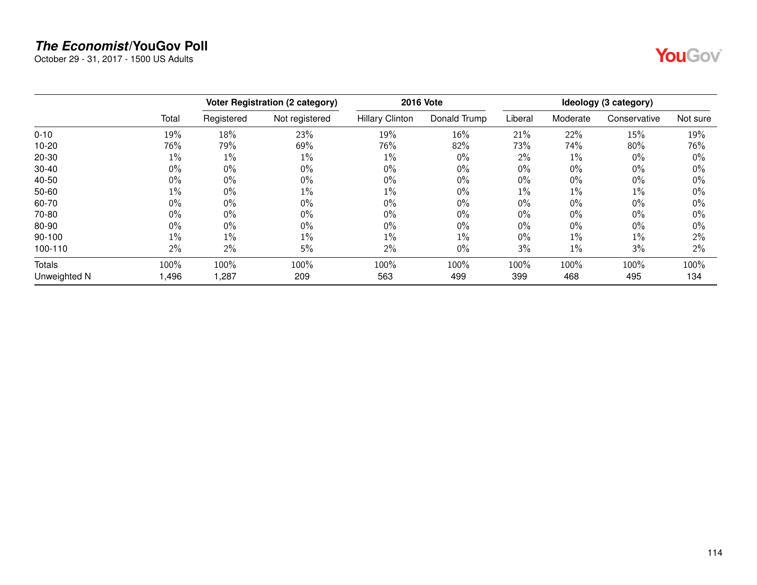October 29 - 31, 2017 - 1500 US Adults



|              |       |            | <b>Voter Registration (2 category)</b> |                        | <b>2016 Vote</b> |         |          | Ideology (3 category) |          |
|--------------|-------|------------|----------------------------------------|------------------------|------------------|---------|----------|-----------------------|----------|
|              | Total | Registered | Not registered                         | <b>Hillary Clinton</b> | Donald Trump     | Liberal | Moderate | Conservative          | Not sure |
| $0 - 10$     | 19%   | 18%        | 23%                                    | 19%                    | 16%              | 21%     | 22%      | 15%                   | 19%      |
| $10 - 20$    | 76%   | 79%        | 69%                                    | 76%                    | 82%              | 73%     | 74%      | 80%                   | 76%      |
| 20-30        | 1%    | $1\%$      | 1%                                     | $1\%$                  | $0\%$            | 2%      | $1\%$    | $0\%$                 | $0\%$    |
| $30 - 40$    | $0\%$ | $0\%$      | $0\%$                                  | $0\%$                  | $0\%$            | $0\%$   | $0\%$    | $0\%$                 | $0\%$    |
| 40-50        | $0\%$ | $0\%$      | $0\%$                                  | $0\%$                  | $0\%$            | $0\%$   | $0\%$    | 0%                    | 0%       |
| $50 - 60$    | $1\%$ | $0\%$      | $1\%$                                  | $1\%$                  | $0\%$            | $1\%$   | $1\%$    | 1%                    | 0%       |
| 60-70        | $0\%$ | $0\%$      | $0\%$                                  | $0\%$                  | $0\%$            | $0\%$   | $0\%$    | 0%                    | 0%       |
| 70-80        | $0\%$ | $0\%$      | 0%                                     | $0\%$                  | $0\%$            | $0\%$   | $0\%$    | $0\%$                 | 0%       |
| 80-90        | $0\%$ | $0\%$      | $0\%$                                  | $0\%$                  | $0\%$            | $0\%$   | $0\%$    | $0\%$                 | 0%       |
| 90-100       | $1\%$ | $1\%$      | $1\%$                                  | $1\%$                  | $1\%$            | $0\%$   | $1\%$    | 1%                    | 2%       |
| 100-110      | 2%    | $2\%$      | 5%                                     | $2\%$                  | $0\%$            | 3%      | $1\%$    | 3%                    | 2%       |
| Totals       | 100%  | 100%       | 100%                                   | 100%                   | 100%             | 100%    | 100%     | 100%                  | 100%     |
| Unweighted N | 1,496 | 1,287      | 209                                    | 563                    | 499              | 399     | 468      | 495                   | 134      |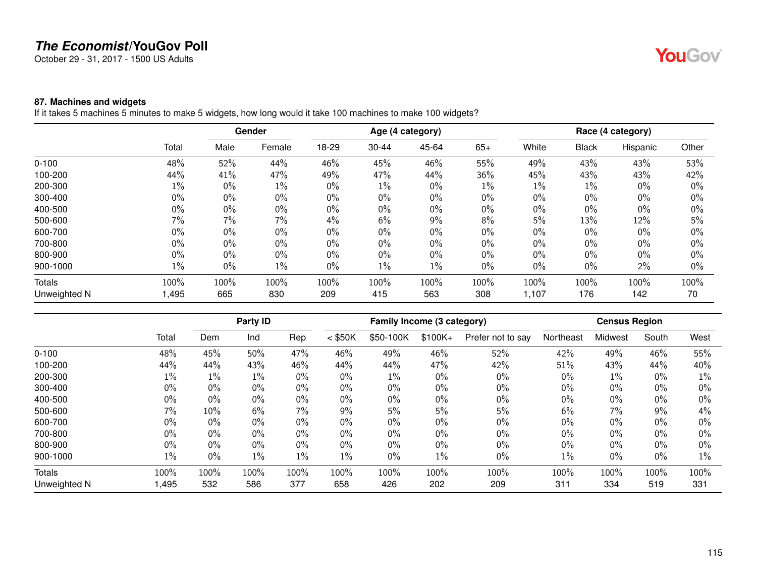October 29 - 31, 2017 - 1500 US Adults

#### **87. Machines and widgets**

If it takes 5 machines 5 minutes to make 5 widgets, how long would it take 100 machines to make 100 widgets?

|              |       |       | Gender |       |           | Age (4 category) |       |       |              | Race (4 category) |       |
|--------------|-------|-------|--------|-------|-----------|------------------|-------|-------|--------------|-------------------|-------|
|              | Total | Male  | Female | 18-29 | $30 - 44$ | 45-64            | $65+$ | White | <b>Black</b> | Hispanic          | Other |
| $0 - 100$    | 48%   | 52%   | 44%    | 46%   | 45%       | 46%              | 55%   | 49%   | 43%          | 43%               | 53%   |
| 100-200      | 44%   | 41%   | 47%    | 49%   | 47%       | 44%              | 36%   | 45%   | 43%          | 43%               | 42%   |
| 200-300      | $1\%$ | $0\%$ | $1\%$  | $0\%$ | $1\%$     | 0%               | $1\%$ | $1\%$ | 1%           | $0\%$             | $0\%$ |
| 300-400      | $0\%$ | $0\%$ | $0\%$  | $0\%$ | $0\%$     | 0%               | $0\%$ | $0\%$ | $0\%$        | $0\%$             | $0\%$ |
| 400-500      | $0\%$ | $0\%$ | 0%     | $0\%$ | 0%        | 0%               | $0\%$ | $0\%$ | 0%           | $0\%$             | $0\%$ |
| 500-600      | 7%    | 7%    | 7%     | 4%    | $6\%$     | 9%               | 8%    | 5%    | 13%          | 12%               | 5%    |
| 600-700      | $0\%$ | $0\%$ | 0%     | $0\%$ | $0\%$     | 0%               | $0\%$ | $0\%$ | $0\%$        | $0\%$             | $0\%$ |
| 700-800      | $0\%$ | $0\%$ | $0\%$  | $0\%$ | $0\%$     | $0\%$            | $0\%$ | $0\%$ | $0\%$        | $0\%$             | $0\%$ |
| 800-900      | $0\%$ | $0\%$ | $0\%$  | $0\%$ | 0%        | 0%               | $0\%$ | $0\%$ | $0\%$        | $0\%$             | $0\%$ |
| 900-1000     | $1\%$ | $0\%$ | $1\%$  | $0\%$ | $1\%$     | $1\%$            | $0\%$ | $0\%$ | 0%           | 2%                | $0\%$ |
| Totals       | 100%  | 100%  | 100%   | 100%  | 100%      | 100%             | 100%  | 100%  | 100%         | 100%              | 100%  |
| Unweighted N | 1,495 | 665   | 830    | 209   | 415       | 563              | 308   | 1,107 | 176          | 142               | 70    |

|              |       |       | Party ID |       |           | Family Income (3 category) |          |                   |           | <b>Census Region</b> |       |       |
|--------------|-------|-------|----------|-------|-----------|----------------------------|----------|-------------------|-----------|----------------------|-------|-------|
|              | Total | Dem   | Ind      | Rep   | $<$ \$50K | \$50-100K                  | $$100K+$ | Prefer not to say | Northeast | Midwest              | South | West  |
| $0 - 100$    | 48%   | 45%   | 50%      | 47%   | 46%       | 49%                        | 46%      | 52%               | 42%       | 49%                  | 46%   | 55%   |
| 100-200      | 44%   | 44%   | 43%      | 46%   | 44%       | 44%                        | 47%      | 42%               | 51%       | 43%                  | 44%   | 40%   |
| 200-300      | $1\%$ | $1\%$ | 1%       | $0\%$ | $0\%$     | $1\%$                      | 0%       | $0\%$             | 0%        | $1\%$                | $0\%$ | $1\%$ |
| 300-400      | 0%    | 0%    | 0%       | $0\%$ | $0\%$     | $0\%$                      | 0%       | $0\%$             | 0%        | 0%                   | $0\%$ | $0\%$ |
| 400-500      | $0\%$ | 0%    | 0%       | $0\%$ | $0\%$     | $0\%$                      | 0%       | $0\%$             | 0%        | 0%                   | $0\%$ | $0\%$ |
| 500-600      | 7%    | 10%   | 6%       | 7%    | $9\%$     | 5%                         | 5%       | 5%                | 6%        | 7%                   | $9\%$ | 4%    |
| 600-700      | $0\%$ | 0%    | 0%       | $0\%$ | $0\%$     | $0\%$                      | 0%       | $0\%$             | $0\%$     | 0%                   | $0\%$ | $0\%$ |
| 700-800      | $0\%$ | 0%    | $0\%$    | $0\%$ | $0\%$     | $0\%$                      | $0\%$    | $0\%$             | 0%        | 0%                   | $0\%$ | $0\%$ |
| 800-900      | 0%    | 0%    | 0%       | $0\%$ | $0\%$     | $0\%$                      | 0%       | $0\%$             | 0%        | 0%                   | $0\%$ | $0\%$ |
| 900-1000     | $1\%$ | 0%    | 1%       | $1\%$ | $1\%$     | $0\%$                      | 1%       | $0\%$             | 1%        | 0%                   | $0\%$ | 1%    |
| Totals       | 100%  | 100%  | 100%     | 100%  | 100%      | 100%                       | 100%     | 100%              | 100%      | 100%                 | 100%  | 100%  |
| Unweighted N | ,495  | 532   | 586      | 377   | 658       | 426                        | 202      | 209               | 311       | 334                  | 519   | 331   |

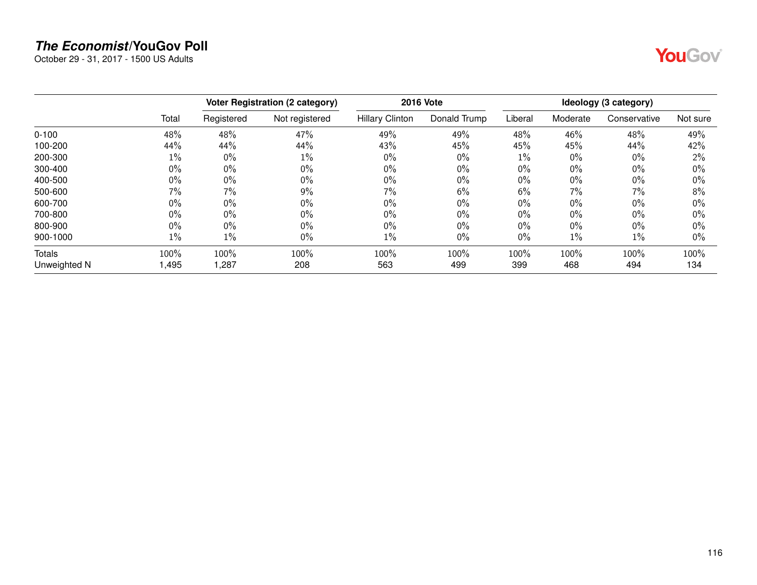October 29 - 31, 2017 - 1500 US Adults



|               |       |            | <b>Voter Registration (2 category)</b> |                        | <b>2016 Vote</b> |         |          | Ideology (3 category) |          |
|---------------|-------|------------|----------------------------------------|------------------------|------------------|---------|----------|-----------------------|----------|
|               | Total | Registered | Not registered                         | <b>Hillary Clinton</b> | Donald Trump     | Liberal | Moderate | Conservative          | Not sure |
| $0 - 100$     | 48%   | 48%        | 47%                                    | 49%                    | 49%              | 48%     | 46%      | 48%                   | 49%      |
| 100-200       | 44%   | 44%        | 44%                                    | 43%                    | 45%              | 45%     | 45%      | 44%                   | 42%      |
| 200-300       | $1\%$ | $0\%$      | $1\%$                                  | $0\%$                  | $0\%$            | $1\%$   | $0\%$    | $0\%$                 | 2%       |
| 300-400       | $0\%$ | $0\%$      | $0\%$                                  | $0\%$                  | $0\%$            | 0%      | $0\%$    | 0%                    | 0%       |
| 400-500       | $0\%$ | $0\%$      | 0%                                     | $0\%$                  | $0\%$            | $0\%$   | $0\%$    | $0\%$                 | 0%       |
| 500-600       | 7%    | 7%         | 9%                                     | $7\%$                  | 6%               | 6%      | 7%       | 7%                    | 8%       |
| 600-700       | $0\%$ | $0\%$      | 0%                                     | $0\%$                  | $0\%$            | $0\%$   | $0\%$    | $0\%$                 | 0%       |
| 700-800       | $0\%$ | $0\%$      | $0\%$                                  | $0\%$                  | $0\%$            | $0\%$   | $0\%$    | 0%                    | 0%       |
| 800-900       | $0\%$ | $0\%$      | $0\%$                                  | $0\%$                  | $0\%$            | $0\%$   | $0\%$    | $0\%$                 | 0%       |
| 900-1000      | $1\%$ | $1\%$      | $0\%$                                  | $1\%$                  | $0\%$            | $0\%$   | $1\%$    | 1%                    | $0\%$    |
| <b>Totals</b> | 100%  | 100%       | 100%                                   | 100%                   | 100%             | 100%    | 100%     | 100%                  | 100%     |
| Unweighted N  | 1,495 | 1,287      | 208                                    | 563                    | 499              | 399     | 468      | 494                   | 134      |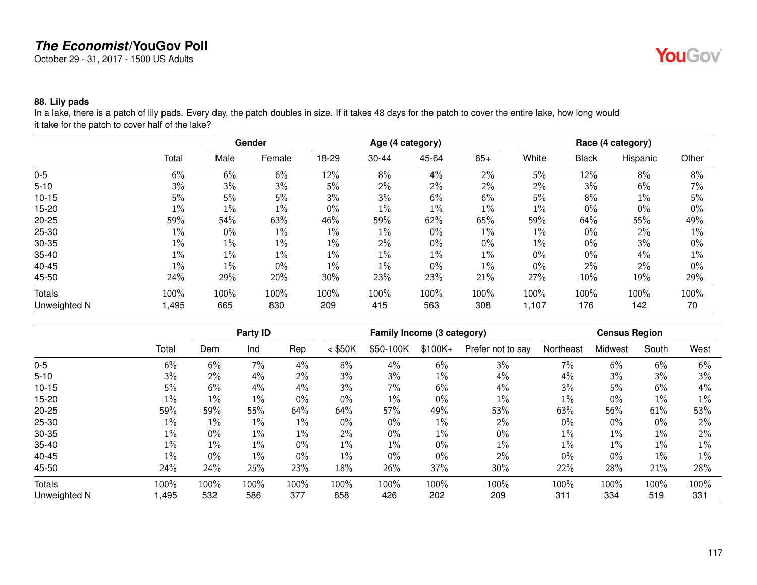October 29 - 31, 2017 - 1500 US Adults

## YouGov®

#### **88. Lily pads**

In a lake, there is a patch of lily pads. Every day, the patch doubles in size. If it takes 48 days for the patch to cover the entire lake, how long would it take for the patch to cover half of the lake?

|               |       |       | Gender |       |       | Age (4 category) |       |       |              | Race (4 category) |       |
|---------------|-------|-------|--------|-------|-------|------------------|-------|-------|--------------|-------------------|-------|
|               | Total | Male  | Female | 18-29 | 30-44 | 45-64            | $65+$ | White | <b>Black</b> | Hispanic          | Other |
| $0-5$         | 6%    | 6%    | 6%     | 12%   | 8%    | 4%               | 2%    | 5%    | 12%          | 8%                | 8%    |
| $5 - 10$      | 3%    | 3%    | 3%     | 5%    | 2%    | 2%               | 2%    | 2%    | 3%           | 6%                | 7%    |
| $10 - 15$     | 5%    | 5%    | 5%     | 3%    | 3%    | 6%               | 6%    | 5%    | 8%           | $1\%$             | 5%    |
| $15 - 20$     | $1\%$ | $1\%$ | $1\%$  | 0%    | 1%    | $1\%$            | $1\%$ | $1\%$ | $0\%$        | 0%                | 0%    |
| $20 - 25$     | 59%   | 54%   | 63%    | 46%   | 59%   | 62%              | 65%   | 59%   | 64%          | 55%               | 49%   |
| $25 - 30$     | $1\%$ | $0\%$ | $1\%$  | $1\%$ | 1%    | $0\%$            | $1\%$ | $1\%$ | $0\%$        | 2%                | $1\%$ |
| 30-35         | $1\%$ | $1\%$ | $1\%$  | $1\%$ | 2%    | $0\%$            | 0%    | $1\%$ | $0\%$        | 3%                | 0%    |
| $35 - 40$     | $1\%$ | 1%    | $1\%$  | $1\%$ | 1%    | $1\%$            | $1\%$ | 0%    | $0\%$        | 4%                | 1%    |
| 40-45         | $1\%$ | 1%    | 0%     | $1\%$ | 1%    | $0\%$            | $1\%$ | 0%    | $2\%$        | 2%                | $0\%$ |
| 45-50         | 24%   | 29%   | 20%    | 30%   | 23%   | 23%              | 21%   | 27%   | 10%          | 19%               | 29%   |
| <b>Totals</b> | 100%  | 100%  | 100%   | 100%  | 100%  | 100%             | 100%  | 100%  | 100%         | 100%              | 100%  |
| Unweighted N  | 1,495 | 665   | 830    | 209   | 415   | 563              | 308   | 1,107 | 176          | 142               | 70    |

|               |       |       | Party ID |       |           | Family Income (3 category) |          |                   |           | <b>Census Region</b> |       |       |
|---------------|-------|-------|----------|-------|-----------|----------------------------|----------|-------------------|-----------|----------------------|-------|-------|
|               | Total | Dem   | Ind      | Rep   | $<$ \$50K | \$50-100K                  | $$100K+$ | Prefer not to say | Northeast | Midwest              | South | West  |
| $0 - 5$       | 6%    | 6%    | 7%       | 4%    | 8%        | 4%                         | 6%       | 3%                | 7%        | 6%                   | 6%    | 6%    |
| $5 - 10$      | 3%    | 2%    | 4%       | $2\%$ | 3%        | 3%                         | $1\%$    | 4%                | 4%        | 3%                   | 3%    | 3%    |
| $10 - 15$     | 5%    | 6%    | 4%       | $4\%$ | 3%        | $7\%$                      | 6%       | $4\%$             | 3%        | 5%                   | 6%    | $4\%$ |
| 15-20         | 1%    | 1%    | $1\%$    | $0\%$ | $0\%$     | $1\%$                      | 0%       | $1\%$             | $1\%$     | $0\%$                | $1\%$ | $1\%$ |
| $20 - 25$     | 59%   | 59%   | 55%      | 64%   | 64%       | 57%                        | 49%      | 53%               | 63%       | 56%                  | 61%   | 53%   |
| 25-30         | $1\%$ | $1\%$ | $1\%$    | $1\%$ | $0\%$     | $0\%$                      | 1%       | $2\%$             | $0\%$     | $0\%$                | 0%    | $2\%$ |
| 30-35         | 1%    | 0%    | $1\%$    | $1\%$ | 2%        | $0\%$                      | $1\%$    | $0\%$             | $1\%$     | $1\%$                | $1\%$ | $2\%$ |
| $35 - 40$     | 1%    | $1\%$ | $1\%$    | $0\%$ | $1\%$     | $1\%$                      | 0%       | $1\%$             | $1\%$     | $1\%$                | $1\%$ | $1\%$ |
| 40-45         | $1\%$ | 0%    | $1\%$    | $0\%$ | $1\%$     | $0\%$                      | 0%       | $2\%$             | $0\%$     | $0\%$                | $1\%$ | $1\%$ |
| 45-50         | 24%   | 24%   | 25%      | 23%   | 18%       | 26%                        | 37%      | 30%               | 22%       | 28%                  | 21%   | 28%   |
| <b>Totals</b> | 100%  | 100%  | 100%     | 100%  | 100%      | 100%                       | 100%     | 100%              | 100%      | 100%                 | 100%  | 100%  |
| Unweighted N  | ,495  | 532   | 586      | 377   | 658       | 426                        | 202      | 209               | 311       | 334                  | 519   | 331   |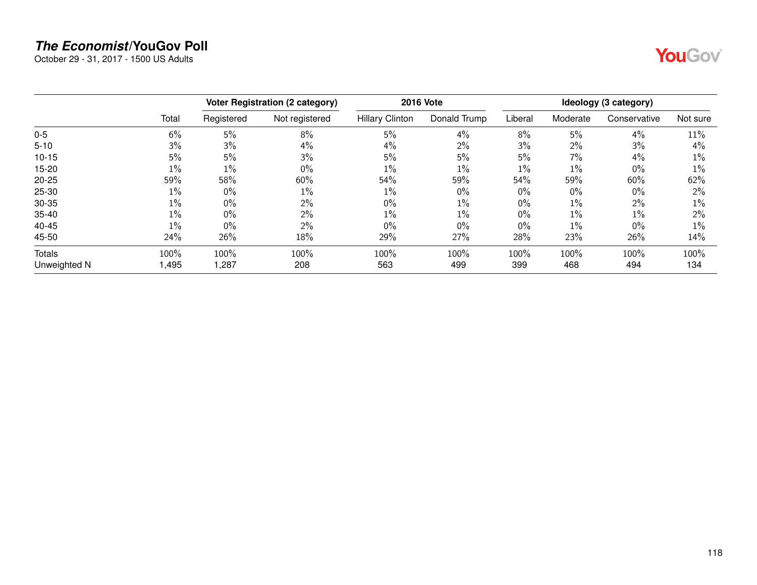October 29 - 31, 2017 - 1500 US Adults



|               |       |            | Voter Registration (2 category) |                        | <b>2016 Vote</b> |         |          | Ideology (3 category) |          |
|---------------|-------|------------|---------------------------------|------------------------|------------------|---------|----------|-----------------------|----------|
|               | Total | Registered | Not registered                  | <b>Hillary Clinton</b> | Donald Trump     | Liberal | Moderate | Conservative          | Not sure |
| $0-5$         | 6%    | 5%         | 8%                              | 5%                     | 4%               | 8%      | 5%       | 4%                    | 11%      |
| $5 - 10$      | 3%    | 3%         | 4%                              | 4%                     | $2\%$            | 3%      | $2\%$    | 3%                    | 4%       |
| $10 - 15$     | 5%    | 5%         | 3%                              | 5%                     | 5%               | 5%      | 7%       | 4%                    | $1\%$    |
| 15-20         | $1\%$ | $1\%$      | 0%                              | $1\%$                  | $1\%$            | 1%      | $1\%$    | $0\%$                 | 1%       |
| $20 - 25$     | 59%   | 58%        | 60%                             | 54%                    | 59%              | 54%     | 59%      | 60%                   | 62%      |
| $25 - 30$     | 1%    | $0\%$      | 1%                              | $1\%$                  | $0\%$            | $0\%$   | $0\%$    | 0%                    | 2%       |
| 30-35         | $1\%$ | $0\%$      | 2%                              | $0\%$                  | $1\%$            | $0\%$   | $1\%$    | 2%                    | 1%       |
| $35 - 40$     | $1\%$ | $0\%$      | 2%                              | $1\%$                  | $1\%$            | $0\%$   | $1\%$    | $1\%$                 | 2%       |
| 40-45         | $1\%$ | $0\%$      | 2%                              | $0\%$                  | $0\%$            | $0\%$   | $1\%$    | $0\%$                 | $1\%$    |
| 45-50         | 24%   | 26%        | 18%                             | 29%                    | 27%              | 28%     | 23%      | 26%                   | 14%      |
| <b>Totals</b> | 100%  | 100%       | 100%                            | 100%                   | 100%             | 100%    | 100%     | 100%                  | 100%     |
| Unweighted N  | ,495  | 1,287      | 208                             | 563                    | 499              | 399     | 468      | 494                   | 134      |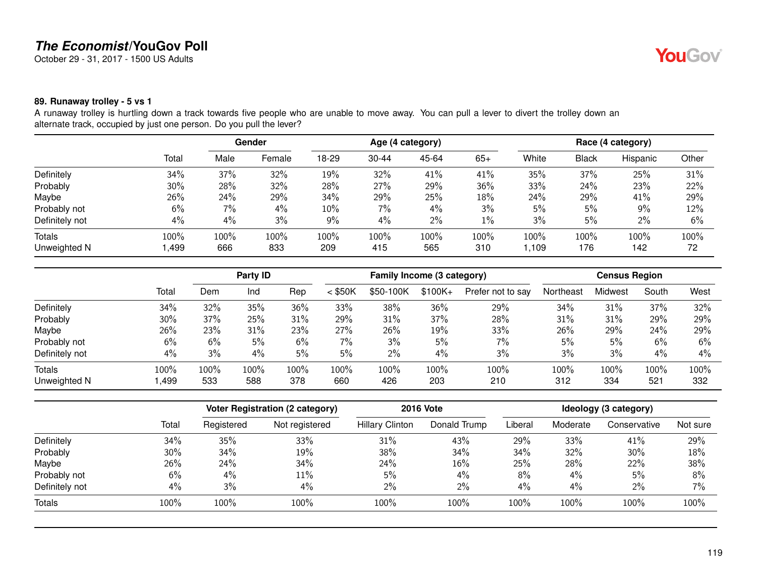October 29 - 31, 2017 - 1500 US Adults

#### **89. Runaway trolley - 5 vs 1**

A runaway trolley is hurtling down a track towards five people who are unable to move away. You can pull a lever to divert the trolley down an alternate track, occupied by just one person. Do you pull the lever?

|                |       |      | Gender |       |           | Age (4 category) |       |       |              | Race (4 category) |       |
|----------------|-------|------|--------|-------|-----------|------------------|-------|-------|--------------|-------------------|-------|
|                | Total | Male | Female | 18-29 | $30 - 44$ | 45-64            | $65+$ | White | <b>Black</b> | Hispanic          | Other |
| Definitely     | 34%   | 37%  | 32%    | 19%   | 32%       | 41%              | 41%   | 35%   | 37%          | 25%               | 31%   |
| Probably       | 30%   | 28%  | 32%    | 28%   | 27%       | 29%              | 36%   | 33%   | 24%          | 23%               | 22%   |
| Maybe          | 26%   | 24%  | 29%    | 34%   | 29%       | 25%              | 18%   | 24%   | 29%          | 41%               | 29%   |
| Probably not   | 6%    | 7%   | $4\%$  | 10%   | 7%        | 4%               | 3%    | 5%    | 5%           | 9%                | 12%   |
| Definitely not | 4%    | 4%   | 3%     | 9%    | 4%        | 2%               | $1\%$ | 3%    | 5%           | 2%                | 6%    |
| Totals         | 100%  | 100% | 100%   | 100%  | 100%      | 100%             | 100%  | 100%  | 100%         | 100%              | 100%  |
| Unweighted N   | ,499  | 666  | 833    | 209   | 415       | 565              | 310   | 1,109 | 176          | 142               | 72    |

|                |       | Party ID |      |      | Family Income (3 category) |           |          |                   | <b>Census Region</b> |         |       |      |
|----------------|-------|----------|------|------|----------------------------|-----------|----------|-------------------|----------------------|---------|-------|------|
|                | Total | Dem      | Ind  | Rep  | $<$ \$50K                  | \$50-100K | $$100K+$ | Prefer not to say | Northeast            | Midwest | South | West |
| Definitely     | 34%   | 32%      | 35%  | 36%  | 33%                        | 38%       | 36%      | 29%               | 34%                  | 31%     | 37%   | 32%  |
| Probably       | 30%   | 37%      | 25%  | 31%  | 29%                        | 31%       | 37%      | 28%               | 31%                  | 31%     | 29%   | 29%  |
| Maybe          | 26%   | 23%      | 31%  | 23%  | 27%                        | 26%       | 19%      | 33%               | 26%                  | 29%     | 24%   | 29%  |
| Probably not   | 6%    | 6%       | 5%   | 6%   | 7%                         | 3%        | 5%       | $7\%$             | 5%                   | 5%      | 6%    | 6%   |
| Definitely not | 4%    | 3%       | 4%   | 5%   | 5%                         | 2%        | 4%       | 3%                | 3%                   | 3%      | 4%    | 4%   |
| <b>Totals</b>  | 100%  | 100%     | 100% | 100% | 100%                       | 100%      | 100%     | 100%              | 100%                 | 100%    | 100%  | 100% |
| Unweighted N   | ,499  | 533      | 588  | 378  | 660                        | 426       | 203      | 210               | 312                  | 334     | 521   | 332  |

|                |       |            | <b>Voter Registration (2 category)</b> |                        | <b>2016 Vote</b> |         |          | Ideology (3 category) |          |
|----------------|-------|------------|----------------------------------------|------------------------|------------------|---------|----------|-----------------------|----------|
|                | Total | Registered | Not registered                         | <b>Hillary Clinton</b> | Donald Trump     | Liberal | Moderate | Conservative          | Not sure |
| Definitely     | 34%   | 35%        | 33%                                    | 31%                    | 43%              | 29%     | 33%      | 41%                   | 29%      |
| Probably       | 30%   | 34%        | 19%                                    | 38%                    | 34%              | 34%     | 32%      | 30%                   | 18%      |
| Maybe          | 26%   | 24%        | 34%                                    | 24%                    | 16%              | 25%     | 28%      | 22%                   | 38%      |
| Probably not   | 6%    | 4%         | 11%                                    | 5%                     | 4%               | 8%      | $4\%$    | 5%                    | 8%       |
| Definitely not | 4%    | 3%         | 4%                                     | 2%                     | $2\%$            | 4%      | $4\%$    | $2\%$                 | 7%       |
| Totals         | 100%  | 100%       | 100%                                   | 100%                   | 100%             | 100%    | 100%     | 100%                  | 100%     |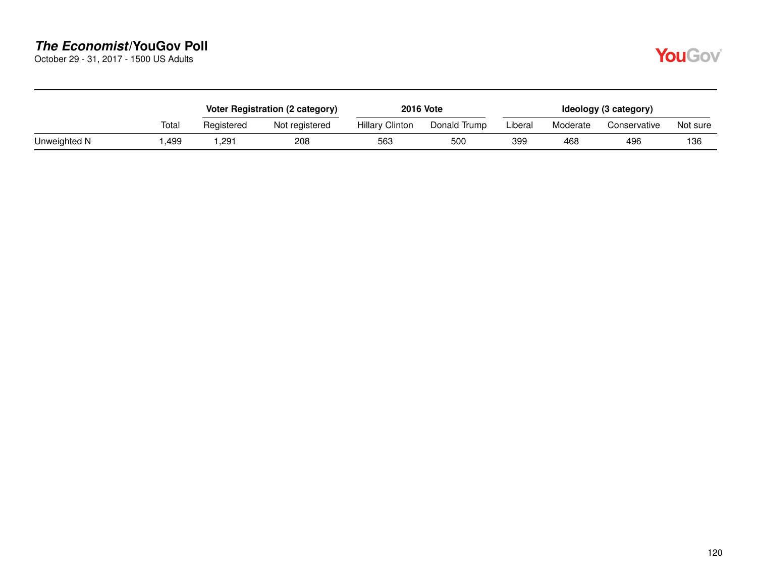October 29 - 31, 2017 - 1500 US Adults

|              |       |            | Voter Registration (2 category) |                        | <b>2016 Vote</b> | Ideology (3 category) |          |              |          |  |
|--------------|-------|------------|---------------------------------|------------------------|------------------|-----------------------|----------|--------------|----------|--|
|              | Total | Registered | Not registered                  | <b>Hillary Clinton</b> | Donald Trump     | Liberal               | Moderate | Conservative | Not sure |  |
| Unweighted N | .499  | ,291       | 208                             | 563                    | 500              | 399                   | 468      | 496          | 136      |  |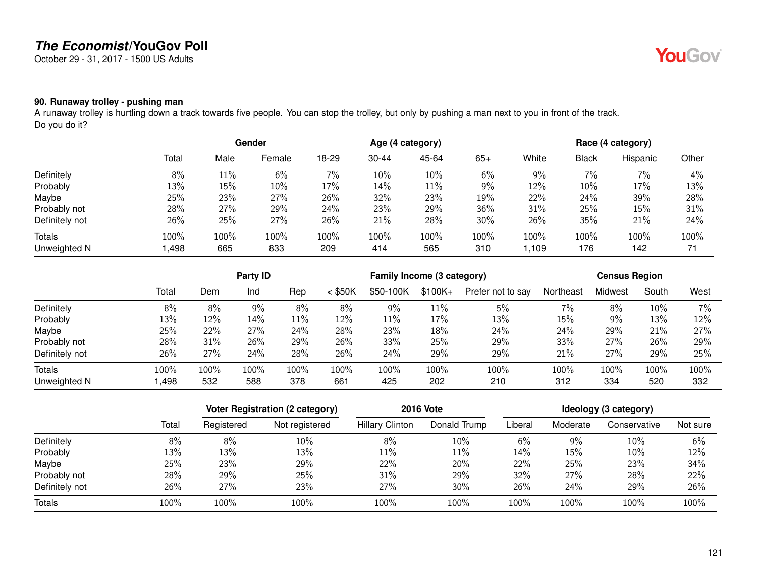October 29 - 31, 2017 - 1500 US Adults

### **90. Runaway trolley - pushing man**

A runaway trolley is hurtling down a track towards five people. You can stop the trolley, but only by pushing a man next to you in front of the track. Do you do it?

|                |       |      | Gender |       |           | Age (4 category) |       |       |       | Race (4 category) |       |
|----------------|-------|------|--------|-------|-----------|------------------|-------|-------|-------|-------------------|-------|
|                | Total | Male | Female | 18-29 | $30 - 44$ | 45-64            | $65+$ | White | Black | Hispanic          | Other |
| Definitely     | 8%    | 11%  | 6%     | 7%    | 10%       | 10%              | $6\%$ | 9%    | 7%    | 7%                | 4%    |
| Probably       | 13%   | 15%  | 10%    | 17%   | 14%       | 11%              | 9%    | 12%   | 10%   | 17%               | 13%   |
| Maybe          | 25%   | 23%  | 27%    | 26%   | 32%       | 23%              | 19%   | 22%   | 24%   | 39%               | 28%   |
| Probably not   | 28%   | 27%  | 29%    | 24%   | 23%       | 29%              | 36%   | 31%   | 25%   | 15%               | 31%   |
| Definitely not | 26%   | 25%  | 27%    | 26%   | 21%       | 28%              | 30%   | 26%   | 35%   | 21%               | 24%   |
| Totals         | 100%  | 100% | 100%   | 100%  | 100%      | 100%             | 100%  | 100%  | 100%  | 100%              | 100%  |
| Unweighted N   | ,498  | 665  | 833    | 209   | 414       | 565              | 310   | 1,109 | 176   | 142               | 71    |

|                |       | Party <b>ID</b> |       | Family Income (3 category) |           |           |           | <b>Census Region</b> |           |         |       |      |
|----------------|-------|-----------------|-------|----------------------------|-----------|-----------|-----------|----------------------|-----------|---------|-------|------|
|                | Total | Dem             | Ind   | Rep                        | $<$ \$50K | \$50-100K | $$100K +$ | Prefer not to say    | Northeast | Midwest | South | West |
| Definitely     | 8%    | 8%              | $9\%$ | 8%                         | 8%        | 9%        | 11%       | 5%                   | 7%        | 8%      | 10%   | 7%   |
| Probably       | 13%   | 12%             | 14%   | 11%                        | 12%       | 11%       | 17%       | 13%                  | 15%       | 9%      | 13%   | 12%  |
| Maybe          | 25%   | 22%             | 27%   | 24%                        | 28%       | 23%       | 18%       | 24%                  | 24%       | 29%     | 21%   | 27%  |
| Probably not   | 28%   | 31%             | 26%   | 29%                        | 26%       | 33%       | 25%       | 29%                  | 33%       | 27%     | 26%   | 29%  |
| Definitely not | 26%   | 27%             | 24%   | 28%                        | 26%       | 24%       | 29%       | 29%                  | 21%       | 27%     | 29%   | 25%  |
| <b>Totals</b>  | 100%  | 100%            | 100%  | 100%                       | 100%      | 100%      | 100%      | 100%                 | 100%      | 100%    | 100%  | 100% |
| Unweighted N   | ,498  | 532             | 588   | 378                        | 661       | 425       | 202       | 210                  | 312       | 334     | 520   | 332  |

|                |       | Voter Registration (2 category) |                | <b>2016 Vote</b>       | Ideology (3 category) |         |          |              |          |
|----------------|-------|---------------------------------|----------------|------------------------|-----------------------|---------|----------|--------------|----------|
|                | Total | Registered                      | Not registered | <b>Hillary Clinton</b> | Donald Trump          | Liberal | Moderate | Conservative | Not sure |
| Definitely     | 8%    | 8%                              | 10%            | 8%                     | 10%                   | 6%      | 9%       | 10%          | 6%       |
| Probably       | 13%   | 13%                             | 13%            | 11%                    | $11\%$                | 14%     | 15%      | 10%          | 12%      |
| Maybe          | 25%   | 23%                             | 29%            | 22%                    | 20%                   | 22%     | 25%      | 23%          | 34%      |
| Probably not   | 28%   | 29%                             | 25%            | 31%                    | 29%                   | 32%     | 27%      | 28%          | 22%      |
| Definitely not | 26%   | 27%                             | 23%            | 27%                    | 30%                   | 26%     | 24%      | 29%          | 26%      |
| Totals         | 100%  | 100%                            | 100%           | 100%                   | 100%                  | 100%    | 100%     | 100%         | 100%     |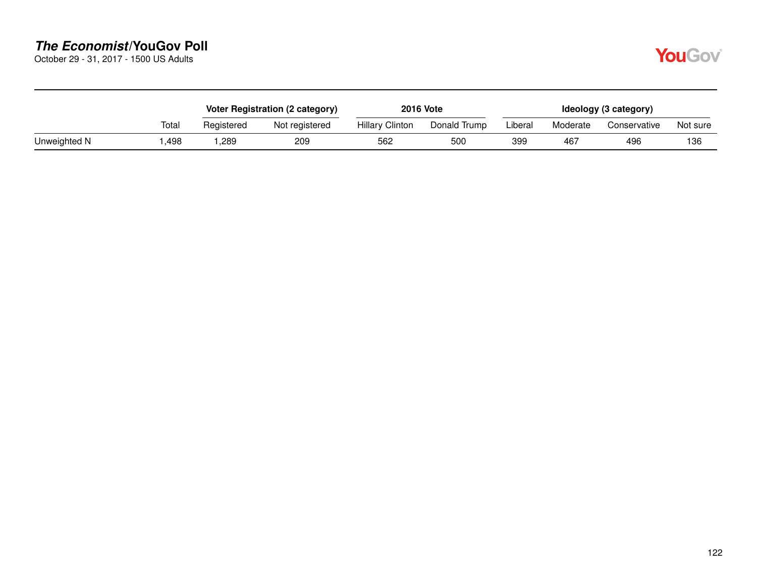October 29 - 31, 2017 - 1500 US Adults

|              |       |            | Voter Registration (2 category) |                        | <b>2016 Vote</b> | Ideology (3 category) |          |              |          |  |
|--------------|-------|------------|---------------------------------|------------------------|------------------|-----------------------|----------|--------------|----------|--|
|              | Total | Registered | Not registered                  | <b>Hillary Clinton</b> | Donald Trump     | Liberal               | Moderate | Conservative | Not sure |  |
| Unweighted N | .498  | ,289       | 209                             | 562                    | 50C              | 399                   | 467      | 496          | 136      |  |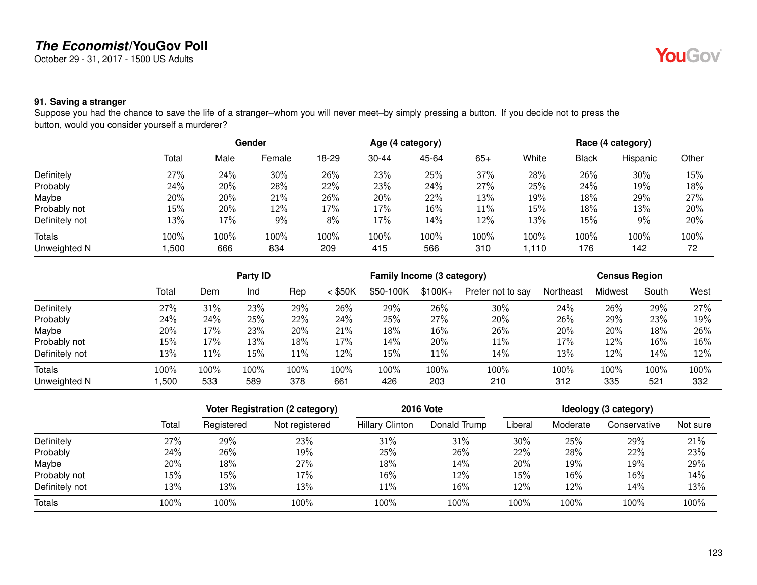October 29 - 31, 2017 - 1500 US Adults

## **YouGov**

#### **91. Saving a stranger**

Suppose you had the chance to save the life of a stranger–whom you will never meet–by simply pressing a button. If you decide not to press the button, would you consider yourself a murderer?

|                |       | Gender |        | Age (4 category) |           |       |       | Race (4 category) |              |          |       |
|----------------|-------|--------|--------|------------------|-----------|-------|-------|-------------------|--------------|----------|-------|
|                | Total | Male   | Female | 18-29            | $30 - 44$ | 45-64 | $65+$ | White             | <b>Black</b> | Hispanic | Other |
| Definitely     | 27%   | 24%    | 30%    | 26%              | 23%       | 25%   | 37%   | 28%               | 26%          | 30%      | 15%   |
| Probably       | 24%   | 20%    | 28%    | 22%              | 23%       | 24%   | 27%   | 25%               | 24%          | 19%      | 18%   |
| Maybe          | 20%   | 20%    | 21%    | 26%              | 20%       | 22%   | 13%   | 19%               | 18%          | 29%      | 27%   |
| Probably not   | 15%   | 20%    | 12%    | 17%              | 17%       | 16%   | 11%   | 15%               | 18%          | 13%      | 20%   |
| Definitely not | 13%   | 17%    | 9%     | 8%               | 17%       | 14%   | 12%   | 13%               | 15%          | 9%       | 20%   |
| <b>Totals</b>  | 100%  | 100%   | 100%   | 100%             | 100%      | 100%  | 100%  | 100%              | 100%         | $100\%$  | 100%  |
| Unweighted N   | ,500  | 666    | 834    | 209              | 415       | 566   | 310   | 1,110             | 176          | 142      | 72    |

|                |       | Party ID |      | Family Income (3 category) |           |           |          | <b>Census Region</b> |           |         |       |      |
|----------------|-------|----------|------|----------------------------|-----------|-----------|----------|----------------------|-----------|---------|-------|------|
|                | Total | Dem      | Ind  | Rep                        | $<$ \$50K | \$50-100K | $$100K+$ | Prefer not to say    | Northeast | Midwest | South | West |
| Definitely     | 27%   | 31%      | 23%  | 29%                        | 26%       | 29%       | 26%      | 30%                  | 24%       | 26%     | 29%   | 27%  |
| Probably       | 24%   | 24%      | 25%  | 22%                        | 24%       | 25%       | 27%      | 20%                  | 26%       | 29%     | 23%   | 19%  |
| Maybe          | 20%   | 17%      | 23%  | 20%                        | 21%       | 18%       | 16%      | 26%                  | 20%       | 20%     | 18%   | 26%  |
| Probably not   | 15%   | 17%      | 13%  | 18%                        | 17%       | 14%       | 20%      | 11%                  | 17%       | 12%     | 16%   | 16%  |
| Definitely not | 13%   | 11%      | 15%  | 11%                        | 12%       | 15%       | 11%      | 14%                  | 13%       | 12%     | 14%   | 12%  |
| <b>Totals</b>  | 100%  | 100%     | 100% | 100%                       | 100%      | 100%      | 100%     | 100%                 | 100%      | 100%    | 100%  | 100% |
| Unweighted N   | ,500  | 533      | 589  | 378                        | 661       | 426       | 203      | 210                  | 312       | 335     | 521   | 332  |

|                |       |            | <b>Voter Registration (2 category)</b> |                        | <b>2016 Vote</b> |         |          | Ideology (3 category) |          |
|----------------|-------|------------|----------------------------------------|------------------------|------------------|---------|----------|-----------------------|----------|
|                | Total | Registered | Not registered                         | <b>Hillary Clinton</b> | Donald Trump     | Liberal | Moderate | Conservative          | Not sure |
| Definitely     | 27%   | 29%        | 23%                                    | 31%                    | 31%              | 30%     | 25%      | 29%                   | 21%      |
| Probably       | 24%   | 26%        | 19%                                    | 25%                    | 26%              | 22%     | 28%      | 22%                   | 23%      |
| Maybe          | 20%   | 18%        | 27%                                    | 18%                    | 14%              | 20%     | 19%      | 19%                   | 29%      |
| Probably not   | 15%   | 15%        | 17%                                    | 16%                    | 12%              | 15%     | 16%      | 16%                   | 14%      |
| Definitely not | 13%   | 13%        | 13%                                    | 11%                    | 16%              | 12%     | $12\%$   | 14%                   | 13%      |
| <b>Totals</b>  | 100%  | 100%       | 100%                                   | 100%                   | 100%             | 100%    | 100%     | 100%                  | 100%     |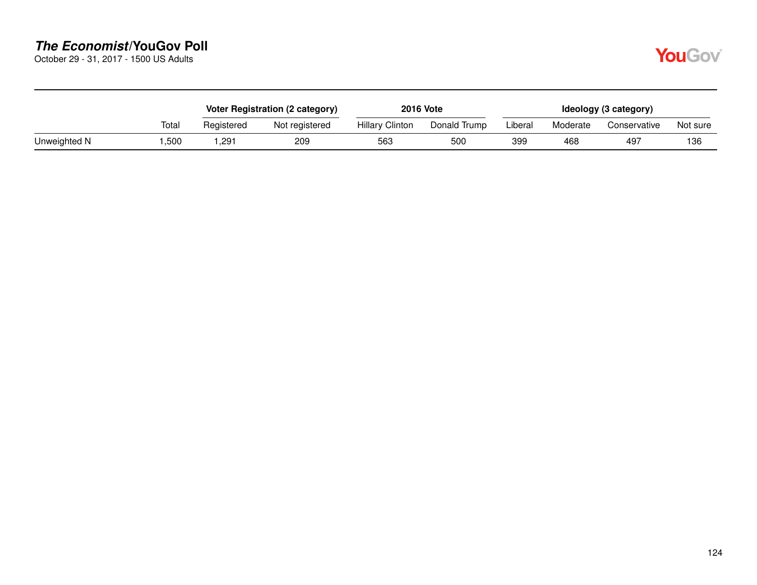October 29 - 31, 2017 - 1500 US Adults

|              |       |               | Voter Registration (2 category) |                        | <b>2016 Vote</b> |         |          | Ideology (3 category) |          |
|--------------|-------|---------------|---------------------------------|------------------------|------------------|---------|----------|-----------------------|----------|
|              | Total | Registered    | Not registered                  | <b>Hillary Clinton</b> | Donald Trump     | Liberal | Moderate | Conservative          | Not sure |
| Unweighted N | .500  | $.29^{\circ}$ | 209                             | 563                    | 50C              | 399     | 468      | 497                   | 136      |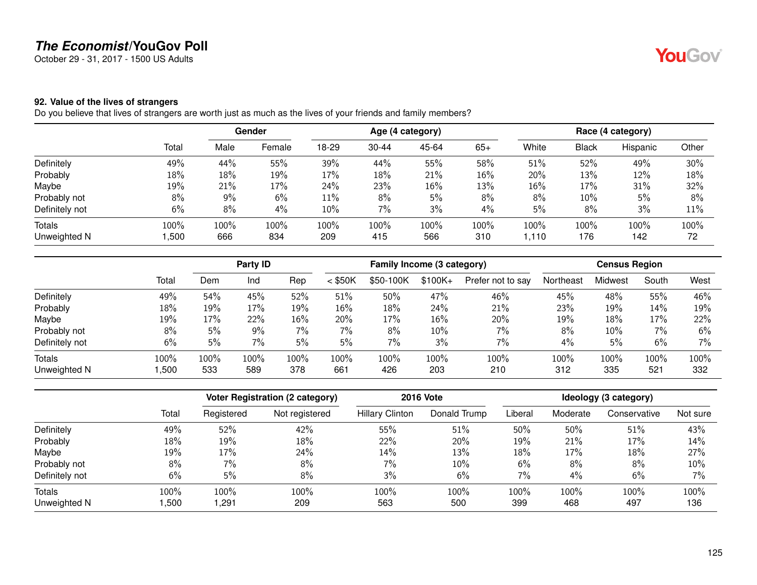October 29 - 31, 2017 - 1500 US Adults

### **92. Value of the lives of strangers**

Do you believe that lives of strangers are worth just as much as the lives of your friends and family members?

|                |       | <b>Gender</b> |        | Age (4 category) |           |       |        | Race (4 category) |       |          |       |
|----------------|-------|---------------|--------|------------------|-----------|-------|--------|-------------------|-------|----------|-------|
|                | Total | Male          | Female | 18-29            | $30 - 44$ | 45-64 | $65+$  | White             | Black | Hispanic | Other |
| Definitely     | 49%   | 44%           | 55%    | 39%              | 44%       | 55%   | 58%    | 51%               | 52%   | 49%      | 30%   |
| Probably       | 18%   | 18%           | 19%    | 17%              | 18%       | 21%   | $16\%$ | 20%               | 13%   | 12%      | 18%   |
| Maybe          | 19%   | 21%           | 17%    | 24%              | 23%       | 16%   | 13%    | 16%               | 17%   | 31%      | 32%   |
| Probably not   | 8%    | 9%            | 6%     | 11%              | 8%        | 5%    | 8%     | 8%                | 10%   | 5%       | 8%    |
| Definitely not | 6%    | 8%            | 4%     | 10%              | 7%        | 3%    | 4%     | 5%                | 8%    | 3%       | 11%   |
| Totals         | 100%  | 100%          | 100%   | 100%             | 100%      | 100%  | 100%   | 100%              | 100%  | 100%     | 100%  |
| Unweighted N   | ,500  | 666           | 834    | 209              | 415       | 566   | 310    | 1,110             | 176   | 142      | 72    |

|                |       | Party ID |      |       | Family Income (3 category) |           |           |                   | <b>Census Region</b> |         |       |       |
|----------------|-------|----------|------|-------|----------------------------|-----------|-----------|-------------------|----------------------|---------|-------|-------|
|                | Total | Dem      | Ind  | Rep   | $<$ \$50K                  | \$50-100K | $$100K +$ | Prefer not to say | Northeast            | Midwest | South | West  |
| Definitely     | 49%   | 54%      | 45%  | 52%   | 51%                        | 50%       | 47%       | 46%               | 45%                  | 48%     | 55%   | 46%   |
| Probably       | 18%   | 19%      | 17%  | 19%   | 16%                        | 18%       | 24%       | 21%               | 23%                  | 19%     | 14%   | 19%   |
| Maybe          | 19%   | 17%      | 22%  | 16%   | 20%                        | 17%       | 16%       | 20%               | 19%                  | 18%     | 17%   | 22%   |
| Probably not   | 8%    | 5%       | 9%   | $7\%$ | 7%                         | 8%        | 10%       | $7\%$             | 8%                   | 10%     | 7%    | 6%    |
| Definitely not | 6%    | 5%       | 7%   | 5%    | 5%                         | $7\%$     | 3%        | 7%                | 4%                   | 5%      | 6%    | $7\%$ |
| Totals         | 100%  | 100%     | 100% | 100%  | 100%                       | 100%      | 100%      | 100%              | 100%                 | 100%    | 100%  | 100%  |
| Unweighted N   | ,500  | 533      | 589  | 378   | 661                        | 426       | 203       | 210               | 312                  | 335     | 521   | 332   |

|                |       |            | <b>Voter Registration (2 category)</b> |                        | <b>2016 Vote</b> |         |          | Ideology (3 category) |          |
|----------------|-------|------------|----------------------------------------|------------------------|------------------|---------|----------|-----------------------|----------|
|                | Total | Registered | Not registered                         | <b>Hillary Clinton</b> | Donald Trump     | Liberal | Moderate | Conservative          | Not sure |
| Definitely     | 49%   | 52%        | 42%                                    | 55%                    | 51%              | 50%     | 50%      | 51%                   | 43%      |
| Probably       | 18%   | 19%        | 18%                                    | 22%                    | 20%              | 19%     | 21%      | 17%                   | 14%      |
| Maybe          | 19%   | 17%        | 24%                                    | 14%                    | 13%              | 18%     | 17%      | 18%                   | 27%      |
| Probably not   | 8%    | 7%         | 8%                                     | $7\%$                  | 10%              | 6%      | 8%       | 8%                    | 10%      |
| Definitely not | 6%    | 5%         | 8%                                     | 3%                     | 6%               | 7%      | 4%       | 6%                    | 7%       |
| Totals         | 100%  | 100%       | 100%                                   | 100%                   | 100%             | 100%    | 100%     | 100%                  | 100%     |
| Unweighted N   | ,500  | ,291       | 209                                    | 563                    | 500              | 399     | 468      | 497                   | 136      |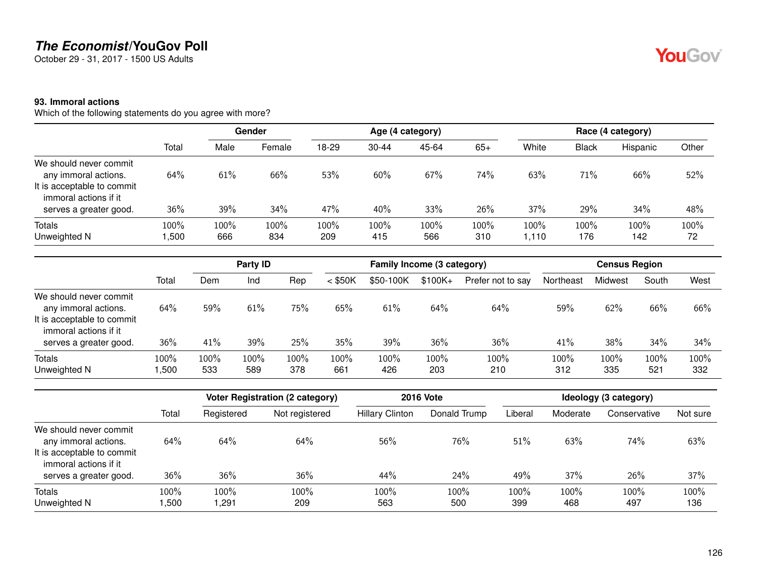October 29 - 31, 2017 - 1500 US Adults

#### **93. Immoral actions**

Which of the following statements do you agree with more?

|                                                                                                       |                |             | Gender      |             |             | Age (4 category) |             |               |              | Race (4 category) |            |
|-------------------------------------------------------------------------------------------------------|----------------|-------------|-------------|-------------|-------------|------------------|-------------|---------------|--------------|-------------------|------------|
|                                                                                                       | Total          | Male        | Female      | 18-29       | $30 - 44$   | 45-64            | $65+$       | White         | <b>Black</b> | Hispanic          | Other      |
| We should never commit<br>any immoral actions.<br>It is acceptable to commit<br>immoral actions if it | 64%            | 61%         | 66%         | 53%         | 60%         | 67%              | 74%         | 63%           | 71%          | 66%               | 52%        |
| serves a greater good.                                                                                | $36\%$         | 39%         | 34%         | 47%         | 40%         | 33%              | 26%         | 37%           | 29%          | 34%               | 48%        |
| Totals<br>Unweighted N                                                                                | 100%<br>500, ا | 100%<br>666 | 100%<br>834 | 100%<br>209 | 100%<br>415 | 100%<br>566      | 100%<br>310 | 100%<br>1,110 | 100%<br>176  | 100%<br>142       | 100%<br>72 |

|                                                                                                                                 |              |             | Party ID    |             |               | Family Income (3 category) |             |                   |             | <b>Census Region</b> |             |             |
|---------------------------------------------------------------------------------------------------------------------------------|--------------|-------------|-------------|-------------|---------------|----------------------------|-------------|-------------------|-------------|----------------------|-------------|-------------|
|                                                                                                                                 | Total        | Dem         | Ind         | Rep         | $<$ \$50K     | \$50-100K                  | $$100K +$   | Prefer not to say | Northeast   | Midwest              | South       | West        |
| We should never commit<br>any immoral actions.<br>It is acceptable to commit<br>immoral actions if it<br>serves a greater good. | 64%<br>36%   | 59%<br>41%  | 61%<br>39%  | 75%<br>25%  | $65\%$<br>35% | 61%<br>39%                 | 64%<br>36%  | 64%<br>36%        | 59%<br>41%  | 62%<br>38%           | 66%<br>34%  | 66%<br>34%  |
| <b>Totals</b><br>Unweighted N                                                                                                   | 100%<br>,500 | 100%<br>533 | 100%<br>589 | 100%<br>378 | 100%<br>661   | 100%<br>426                | 100%<br>203 | 100%<br>210       | 100%<br>312 | 100%<br>335          | 100%<br>521 | 100%<br>332 |

|                                                                                                       |                |              | Voter Registration (2 category) |                        | <b>2016 Vote</b> |             |             | Ideology (3 category) |             |
|-------------------------------------------------------------------------------------------------------|----------------|--------------|---------------------------------|------------------------|------------------|-------------|-------------|-----------------------|-------------|
|                                                                                                       | Total          | Registered   | Not registered                  | <b>Hillary Clinton</b> | Donald Trump     | Liberal     | Moderate    | Conservative          | Not sure    |
| We should never commit<br>any immoral actions.<br>It is acceptable to commit<br>immoral actions if it | 64%            | 64%          | 64%                             | 56%                    | 76%              | 51%         | 63%         | 74%                   | 63%         |
| serves a greater good.                                                                                | 36%            | 36%          | 36%                             | 44%                    | 24%              | 49%         | 37%         | 26%                   | 37%         |
| Totals<br>Unweighted N                                                                                | 100%<br>500, ا | 100%<br>,291 | 100%<br>209                     | 100%<br>563            | 100%<br>500      | 100%<br>399 | 100%<br>468 | 100%<br>497           | 100%<br>136 |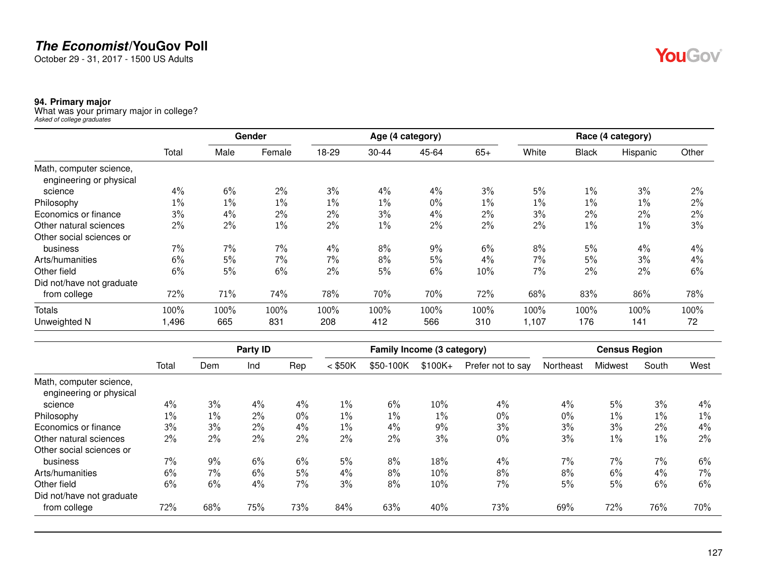October 29 - 31, 2017 - 1500 US Adults

#### **94. Primary major**

What was your primary major in college? *Asked of college graduates*

|                           |       |       | Gender |       |           | Age (4 category) |       |       |              | Race (4 category) |       |
|---------------------------|-------|-------|--------|-------|-----------|------------------|-------|-------|--------------|-------------------|-------|
|                           | Total | Male  | Female | 18-29 | $30 - 44$ | 45-64            | $65+$ | White | <b>Black</b> | Hispanic          | Other |
| Math, computer science,   |       |       |        |       |           |                  |       |       |              |                   |       |
| engineering or physical   |       |       |        |       |           |                  |       |       |              |                   |       |
| science                   | 4%    | 6%    | 2%     | 3%    | 4%        | 4%               | 3%    | 5%    | $1\%$        | 3%                | 2%    |
| Philosophy                | $1\%$ | $1\%$ | $1\%$  | $1\%$ | 1%        | $0\%$            | $1\%$ | 1%    | $1\%$        | $1\%$             | 2%    |
| Economics or finance      | 3%    | 4%    | $2\%$  | 2%    | 3%        | 4%               | 2%    | 3%    | 2%           | 2%                | 2%    |
| Other natural sciences    | 2%    | $2\%$ | $1\%$  | 2%    | 1%        | 2%               | 2%    | 2%    | $1\%$        | 1%                | 3%    |
| Other social sciences or  |       |       |        |       |           |                  |       |       |              |                   |       |
| business                  | 7%    | 7%    | 7%     | 4%    | 8%        | 9%               | 6%    | 8%    | 5%           | 4%                | 4%    |
| Arts/humanities           | 6%    | 5%    | 7%     | 7%    | 8%        | 5%               | 4%    | 7%    | 5%           | 3%                | 4%    |
| Other field               | 6%    | 5%    | 6%     | 2%    | 5%        | 6%               | 10%   | 7%    | 2%           | 2%                | 6%    |
| Did not/have not graduate |       |       |        |       |           |                  |       |       |              |                   |       |
| from college              | 72%   | 71%   | 74%    | 78%   | 70%       | 70%              | 72%   | 68%   | 83%          | 86%               | 78%   |
| <b>Totals</b>             | 100%  | 100%  | 100%   | 100%  | 100%      | 100%             | 100%  | 100%  | 100%         | 100%              | 100%  |
| Unweighted N              | 1,496 | 665   | 831    | 208   | 412       | 566              | 310   | 1,107 | 176          | 141               | 72    |

| $<$ \$50K<br>$1\%$ | \$50-100K | $$100K+$ | Prefer not to say | Northeast | Midwest | South | West  |
|--------------------|-----------|----------|-------------------|-----------|---------|-------|-------|
|                    |           |          |                   |           |         |       |       |
|                    |           |          |                   |           |         |       |       |
|                    | 6%        | 10%      | $4\%$             | 4%        | 5%      | 3%    | 4%    |
| $1\%$              | $1\%$     | $1\%$    | $0\%$             | $0\%$     | $1\%$   | 1%    | $1\%$ |
| $1\%$              | $4\%$     | 9%       | 3%                | 3%        | 3%      | 2%    | 4%    |
| $2\%$              | 2%        | 3%       | $0\%$             | 3%        | $1\%$   | $1\%$ | 2%    |
|                    |           |          |                   |           |         |       |       |
| 5%                 | 8%        | 18%      | $4\%$             | 7%        | 7%      | 7%    | 6%    |
| 4%                 | 8%        | 10%      | 8%                | 8%        | 6%      |       | 7%    |
| 3%                 | 8%        | 10%      | 7%                | 5%        | 5%      | 6%    | 6%    |
|                    |           |          |                   |           |         |       |       |
| 84%                | 63%       | 40%      | 73%               | 69%       | 72%     | 76%   | 70%   |
|                    |           |          |                   |           |         |       | 4%    |

YouGov®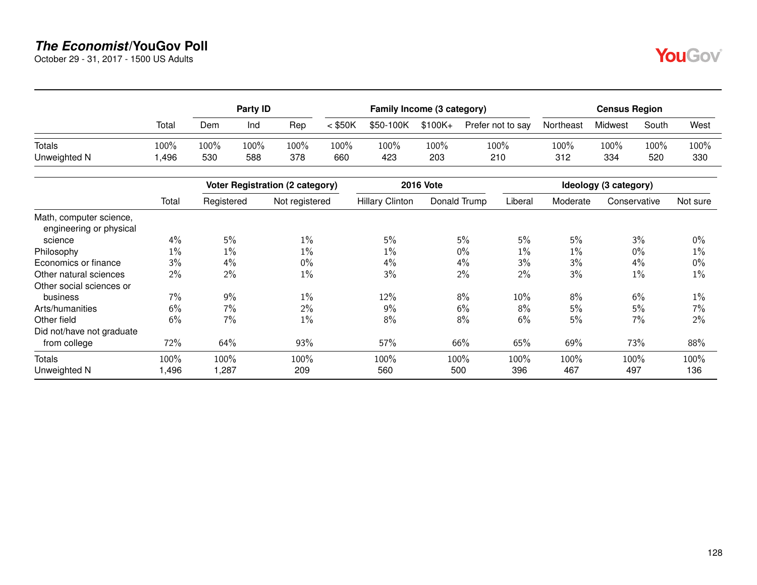October 29 - 31, 2017 - 1500 US Adults

|               |       |      | Party ID |      |           | Family Income (3 category) |         |                   |           | <b>Census Region</b> |       |      |
|---------------|-------|------|----------|------|-----------|----------------------------|---------|-------------------|-----------|----------------------|-------|------|
|               | Total | Dem  | Ind      | Rep  | $<$ \$50K | \$50-100K                  | \$100K+ | Prefer not to say | Northeast | Midwest              | South | West |
| <b>Totals</b> | 100%  | 100% | 100%     | 100% | 100%      | 100%                       | 100%    | 100%              | 100%      | $100\%$              | 100%  | 100% |
| Unweighted N  | ,496  | 530  | 588      | 378  | 660       | 423                        | 203     | 210               | 312       | 334                  | 520   | 330  |

|                                                    |       |            | <b>Voter Registration (2 category)</b> |                        | <b>2016 Vote</b> |         |          | Ideology (3 category) |          |
|----------------------------------------------------|-------|------------|----------------------------------------|------------------------|------------------|---------|----------|-----------------------|----------|
|                                                    | Total | Registered | Not registered                         | <b>Hillary Clinton</b> | Donald Trump     | Liberal | Moderate | Conservative          | Not sure |
| Math, computer science,<br>engineering or physical |       |            |                                        |                        |                  |         |          |                       |          |
| science                                            | 4%    | 5%         | $1\%$                                  | 5%                     | 5%               | 5%      | 5%       | 3%                    | $0\%$    |
| Philosophy                                         | 1%    | 1%         | $1\%$                                  | $1\%$                  | $0\%$            | $1\%$   | $1\%$    | $0\%$                 | $1\%$    |
| Economics or finance                               | 3%    | 4%         | 0%                                     | $4\%$                  | 4%               | 3%      | 3%       | 4%                    | 0%       |
| Other natural sciences                             | 2%    | 2%         | $1\%$                                  | 3%                     | $2\%$            | 2%      | 3%       | 1%                    | $1\%$    |
| Other social sciences or                           |       |            |                                        |                        |                  |         |          |                       |          |
| business                                           | $7\%$ | 9%         | $1\%$                                  | 12%                    | 8%               | 10%     | 8%       | 6%                    | 1%       |
| Arts/humanities                                    | 6%    | 7%         | 2%                                     | $9\%$                  | 6%               | 8%      | 5%       | 5%                    | 7%       |
| Other field                                        | 6%    | 7%         | $1\%$                                  | $8\%$                  | $8\%$            | 6%      | 5%       | 7%                    | 2%       |
| Did not/have not graduate                          |       |            |                                        |                        |                  |         |          |                       |          |
| from college                                       | 72%   | 64%        | 93%                                    | 57%                    | 66%              | 65%     | 69%      | 73%                   | 88%      |
| Totals                                             | 100%  | 100%       | 100%                                   | 100%                   | 100%             | 100%    | 100%     | 100%                  | 100%     |
| Unweighted N                                       | ,496  | 1,287      | 209                                    | 560                    | 500              | 396     | 467      | 497                   | 136      |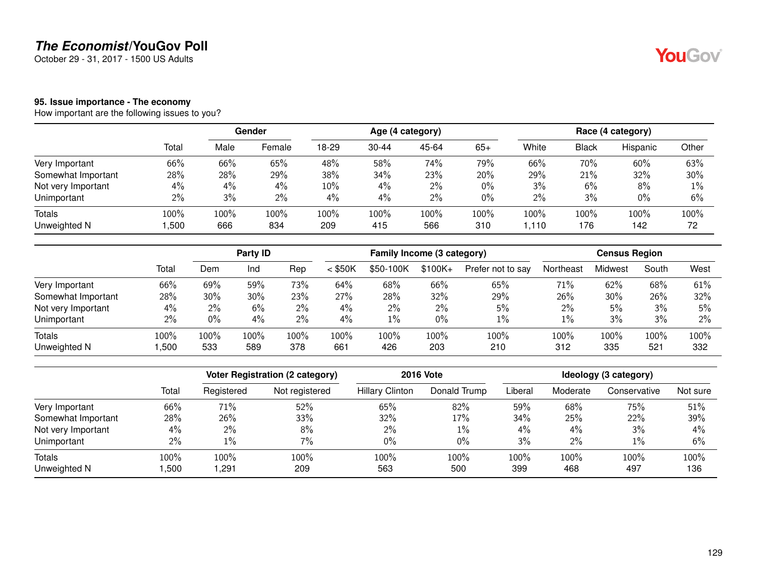October 29 - 31, 2017 - 1500 US Adults

#### **95. Issue importance - The economy**

How important are the following issues to you?

|                    |       |      | Gender |       |           | Age (4 category) |       |       |              | Race (4 category) |       |
|--------------------|-------|------|--------|-------|-----------|------------------|-------|-------|--------------|-------------------|-------|
|                    | Total | Male | Female | 18-29 | $30 - 44$ | 45-64            | $65+$ | White | <b>Black</b> | Hispanic          | Other |
| Very Important     | 66%   | 66%  | 65%    | 48%   | 58%       | 74%              | 79%   | 66%   | 70%          | 60%               | 63%   |
| Somewhat Important | 28%   | 28%  | 29%    | 38%   | 34%       | 23%              | 20%   | 29%   | 21%          | 32%               | 30%   |
| Not very Important | 4%    | 4%   | 4%     | 10%   | $4\%$     | 2%               | $0\%$ | 3%    | 6%           | 8%                | $1\%$ |
| Unimportant        | $2\%$ | 3%   | 2%     | 4%    | 4%        | 2%               | 0%    | $2\%$ | 3%           | $0\%$             | 6%    |
| <b>Totals</b>      | 100%  | 100% | 100%   | 100%  | 100%      | 100%             | 100%  | 100%  | 100%         | 100%              | 100%  |
| Unweighted N       | ,500  | 666  | 834    | 209   | 415       | 566              | 310   | 1.110 | 176          | 142               | 72    |

|                    |       |       | Party ID |       |           | Family Income (3 category) |           |                   |           | <b>Census Region</b> |       |      |
|--------------------|-------|-------|----------|-------|-----------|----------------------------|-----------|-------------------|-----------|----------------------|-------|------|
|                    | Total | Dem   | Ind      | Rep   | $<$ \$50K | \$50-100K                  | $$100K +$ | Prefer not to say | Northeast | Midwest              | South | West |
| Very Important     | 66%   | 69%   | 59%      | 73%   | 64%       | 68%                        | 66%       | 65%               | 71%       | 62%                  | 68%   | 61%  |
| Somewhat Important | 28%   | 30%   | 30%      | 23%   | 27%       | 28%                        | 32%       | 29%               | 26%       | 30%                  | 26%   | 32%  |
| Not very Important | 4%    | $2\%$ | 6%       | $2\%$ | 4%        | $2\%$                      | 2%        | 5%                | $2\%$     | 5%                   | 3%    | 5%   |
| Unimportant        | 2%    | 0%    | 4%       | $2\%$ | 4%        | $1\%$                      | $0\%$     | 1%                | 1%        | 3%                   | 3%    | 2%   |
| Totals             | 100%  | 100%  | 100%     | 100%  | 100%      | 100%                       | 100%      | 100%              | 100%      | 100%                 | 100%  | 100% |
| Unweighted N       | ,500  | 533   | 589      | 378   | 661       | 426                        | 203       | 210               | 312       | 335                  | 521   | 332  |

|                    |       |            | Voter Registration (2 category) |                        | <b>2016 Vote</b> |         |          | Ideology (3 category) |          |
|--------------------|-------|------------|---------------------------------|------------------------|------------------|---------|----------|-----------------------|----------|
|                    | Total | Registered | Not registered                  | <b>Hillary Clinton</b> | Donald Trump     | Liberal | Moderate | Conservative          | Not sure |
| Very Important     | 66%   | 71%        | 52%                             | 65%                    | 82%              | 59%     | 68%      | 75%                   | 51%      |
| Somewhat Important | 28%   | 26%        | 33%                             | 32%                    | 17%              | 34%     | 25%      | 22%                   | 39%      |
| Not very Important | 4%    | $2\%$      | 8%                              | $2\%$                  | $1\%$            | $4\%$   | 4%       | 3%                    | 4%       |
| Unimportant        | $2\%$ | $1\%$      | 7%                              | $0\%$                  | $0\%$            | 3%      | 2%       | $1\%$                 | 6%       |
| <b>Totals</b>      | 100%  | 100%       | 100%                            | 100%                   | 100%             | 100%    | 100%     | 100%                  | 100%     |
| Unweighted N       | ,500  | ,291       | 209                             | 563                    | 500              | 399     | 468      | 497                   | 136      |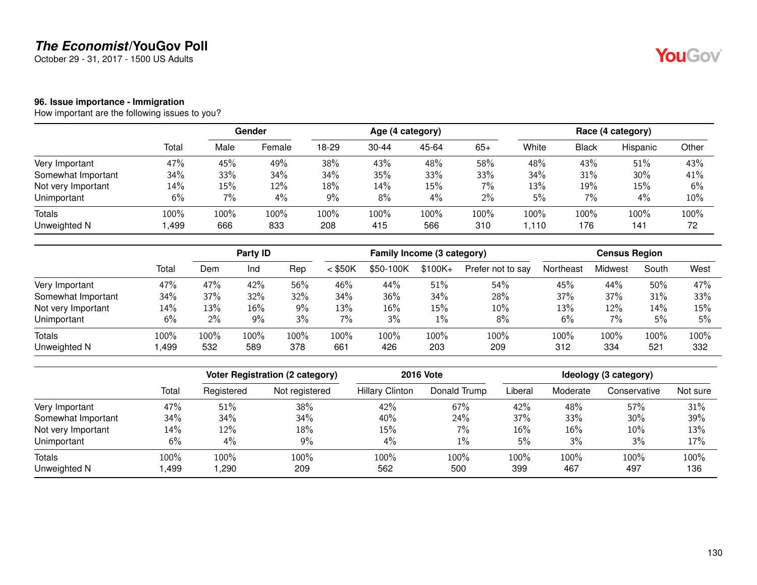October 29 - 31, 2017 - 1500 US Adults

#### **96. Issue importance - Immigration**

How important are the following issues to you?

|                    |       |      | Gender |       |           | Age (4 category) |       |       |              | Race (4 category) |       |
|--------------------|-------|------|--------|-------|-----------|------------------|-------|-------|--------------|-------------------|-------|
|                    | Total | Male | Female | 18-29 | $30 - 44$ | 45-64            | $65+$ | White | <b>Black</b> | Hispanic          | Other |
| Very Important     | 47%   | 45%  | 49%    | 38%   | 43%       | 48%              | 58%   | 48%   | 43%          | 51%               | 43%   |
| Somewhat Important | 34%   | 33%  | 34%    | 34%   | 35%       | 33%              | 33%   | 34%   | 31%          | 30%               | 41%   |
| Not very Important | 14%   | 15%  | 12%    | 18%   | 14%       | 15%              | 7%    | 13%   | 19%          | 15%               | 6%    |
| Unimportant        | 6%    | 7%   | 4%     | 9%    | 8%        | 4%               | $2\%$ | 5%    | 7%           | 4%                | 10%   |
| <b>Totals</b>      | 100%  | 100% | 100%   | 100%  | 100%      | 100%             | 100%  | 100%  | 100%         | 100%              | 100%  |
| Unweighted N       | ,499  | 666  | 833    | 208   | 415       | 566              | 310   | 1.110 | 176          | 141               | 72    |

|                    |       |       | Party <b>ID</b> |       |           | Family Income (3 category) |           |                   |           | <b>Census Region</b> |       |      |
|--------------------|-------|-------|-----------------|-------|-----------|----------------------------|-----------|-------------------|-----------|----------------------|-------|------|
|                    | Total | Dem   | Ind             | Rep   | $<$ \$50K | \$50-100K                  | $$100K +$ | Prefer not to say | Northeast | Midwest              | South | West |
| Very Important     | 47%   | 47%   | 42%             | 56%   | 46%       | 44%                        | 51%       | 54%               | 45%       | 44%                  | 50%   | 47%  |
| Somewhat Important | 34%   | 37%   | 32%             | 32%   | 34%       | 36%                        | 34%       | 28%               | 37%       | 37%                  | 31%   | 33%  |
| Not very Important | 14%   | 13%   | 16%             | $9\%$ | 13%       | 16%                        | 15%       | 10%               | 13%       | 12%                  | 14%   | 15%  |
| Unimportant        | 6%    | $2\%$ | 9%              | 3%    | 7%        | 3%                         | 1%        | 8%                | 6%        | $7\%$                | 5%    | 5%   |
| <b>Totals</b>      | 100%  | 100%  | 100%            | 100%  | 100%      | 100%                       | 100%      | 100%              | 100%      | 100%                 | 100%  | 100% |
| Unweighted N       | ,499  | 532   | 589             | 378   | 661       | 426                        | 203       | 209               | 312       | 334                  | 521   | 332  |

|                    |       |            | Voter Registration (2 category) |                        | <b>2016 Vote</b> |         |          | Ideology (3 category) |          |
|--------------------|-------|------------|---------------------------------|------------------------|------------------|---------|----------|-----------------------|----------|
|                    | Total | Registered | Not registered                  | <b>Hillary Clinton</b> | Donald Trump     | Liberal | Moderate | Conservative          | Not sure |
| Very Important     | 47%   | 51%        | 38%                             | 42%                    | 67%              | 42%     | 48%      | 57%                   | 31%      |
| Somewhat Important | 34%   | 34%        | 34%                             | 40%                    | 24%              | 37%     | 33%      | 30%                   | 39%      |
| Not very Important | 14%   | 12%        | 18%                             | 15%                    | $7\%$            | 16%     | 16%      | 10%                   | 13%      |
| Unimportant        | 6%    | $4\%$      | 9%                              | 4%                     | $1\%$            | 5%      | 3%       | 3%                    | 17%      |
| <b>Totals</b>      | 100%  | 100%       | 100%                            | 100%                   | 100%             | 100%    | 100%     | 100%                  | 100%     |
| Unweighted N       | ,499  | ,290       | 209                             | 562                    | 500              | 399     | 467      | 497                   | 136      |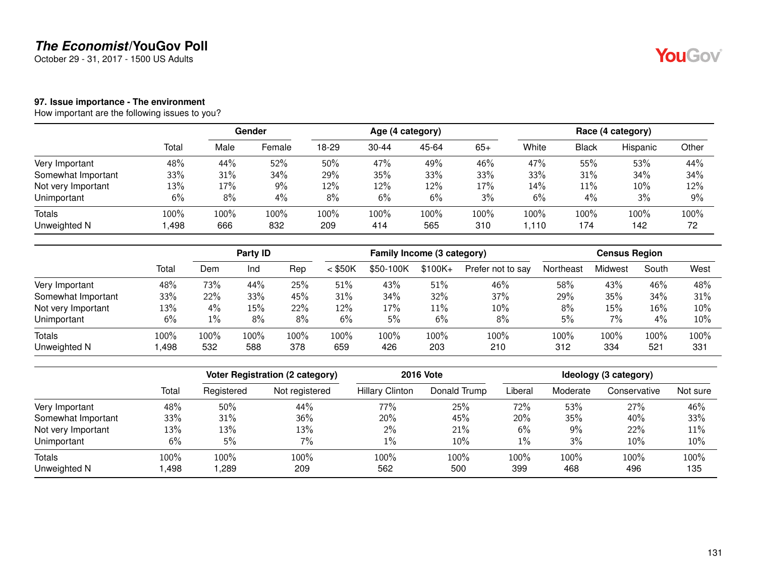October 29 - 31, 2017 - 1500 US Adults

### **97. Issue importance - The environment**

How important are the following issues to you?

|                    |       |      | Gender |       |           | Age (4 category) |       |       |       | Race (4 category) |       |
|--------------------|-------|------|--------|-------|-----------|------------------|-------|-------|-------|-------------------|-------|
|                    | Total | Male | Female | 18-29 | $30 - 44$ | 45-64            | $65+$ | White | Black | Hispanic          | Other |
| Very Important     | 48%   | 44%  | 52%    | 50%   | 47%       | 49%              | 46%   | 47%   | 55%   | 53%               | 44%   |
| Somewhat Important | 33%   | 31%  | 34%    | 29%   | 35%       | 33%              | 33%   | 33%   | 31%   | 34%               | 34%   |
| Not very Important | 13%   | 17%  | 9%     | 12%   | 12%       | 12%              | 17%   | 14%   | 11%   | 10%               | 12%   |
| Unimportant        | 6%    | 8%   | 4%     | 8%    | 6%        | 6%               | 3%    | 6%    | 4%    | 3%                | 9%    |
| <b>Totals</b>      | 100%  | 100% | 100%   | 100%  | 100%      | 100%             | 100%  | 100%  | 100%  | $100\%$           | 100%  |
| Unweighted N       | ,498  | 666  | 832    | 209   | 414       | 565              | 310   | .110  | 174   | 142               | 72    |

|                    |       | Party ID |      |      | Family Income (3 category) |           |           |                   | <b>Census Region</b> |         |       |      |
|--------------------|-------|----------|------|------|----------------------------|-----------|-----------|-------------------|----------------------|---------|-------|------|
|                    | Total | Dem      | Ind  | Rep  | $<$ \$50K                  | \$50-100K | $$100K +$ | Prefer not to say | Northeast            | Midwest | South | West |
| Very Important     | 48%   | 73%      | 44%  | 25%  | 51%                        | 43%       | 51%       | 46%               | 58%                  | 43%     | 46%   | 48%  |
| Somewhat Important | 33%   | 22%      | 33%  | 45%  | 31%                        | 34%       | 32%       | 37%               | 29%                  | 35%     | 34%   | 31%  |
| Not very Important | 13%   | 4%       | 15%  | 22%  | 12%                        | $17\%$    | 11%       | 10%               | 8%                   | 15%     | 16%   | 10%  |
| Unimportant        | 6%    | $1\%$    | 8%   | 8%   | 6%                         | 5%        | 6%        | 8%                | 5%                   | 7%      | 4%    | 10%  |
| Totals             | 100%  | $100\%$  | 100% | 100% | 100%                       | 100%      | 100%      | 100%              | 100%                 | 100%    | 100%  | 100% |
| Unweighted N       | .498  | 532      | 588  | 378  | 659                        | 426       | 203       | 210               | 312                  | 334     | 521   | 331  |

|                    |       | Voter Registration (2 category) |                | <b>2016 Vote</b>       | Ideology (3 category) |         |          |              |          |
|--------------------|-------|---------------------------------|----------------|------------------------|-----------------------|---------|----------|--------------|----------|
|                    | Total | Registered                      | Not registered | <b>Hillary Clinton</b> | Donald Trump          | Liberal | Moderate | Conservative | Not sure |
| Very Important     | 48%   | 50%                             | 44%            | 77%                    | 25%                   | 72%     | 53%      | 27%          | 46%      |
| Somewhat Important | 33%   | 31%                             | 36%            | 20%                    | 45%                   | 20%     | 35%      | 40%          | 33%      |
| Not very Important | 13%   | 13%                             | 13%            | $2\%$                  | 21%                   | 6%      | 9%       | 22%          | 11%      |
| Unimportant        | 6%    | 5%                              | $7\%$          | $1\%$                  | 10%                   | 1%      | 3%       | 10%          | 10%      |
| <b>Totals</b>      | 100%  | 100%                            | 100%           | 100%                   | 100%                  | 100%    | 100%     | 100%         | 100%     |
| Unweighted N       | ,498  | ,289                            | 209            | 562                    | 500                   | 399     | 468      | 496          | 135      |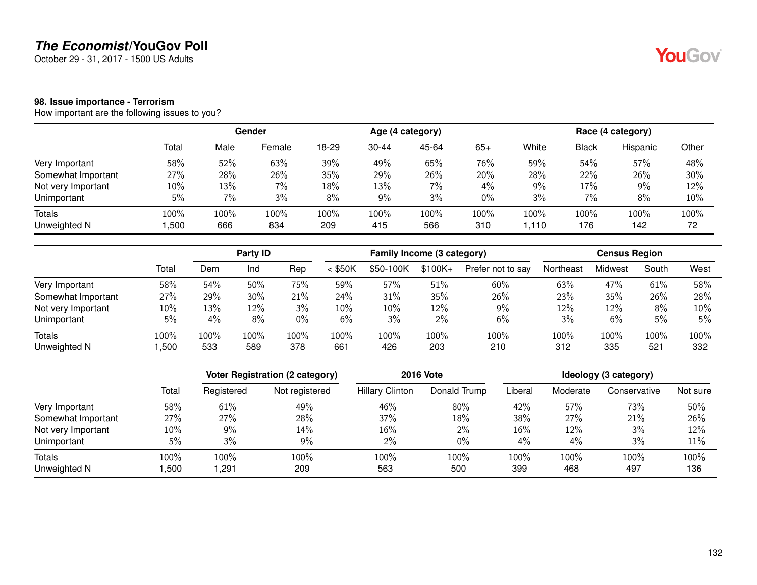October 29 - 31, 2017 - 1500 US Adults

#### **98. Issue importance - Terrorism**

How important are the following issues to you?

|                    |        |      | Gender |       |           | Age (4 category) |       |       |              | Race (4 category) |       |
|--------------------|--------|------|--------|-------|-----------|------------------|-------|-------|--------------|-------------------|-------|
|                    | Total  | Male | Female | 18-29 | $30 - 44$ | 45-64            | $65+$ | White | <b>Black</b> | Hispanic          | Other |
| Very Important     | 58%    | 52%  | 63%    | 39%   | 49%       | 65%              | 76%   | 59%   | 54%          | 57%               | 48%   |
| Somewhat Important | 27%    | 28%  | 26%    | 35%   | 29%       | 26%              | 20%   | 28%   | 22%          | 26%               | 30%   |
| Not very Important | $10\%$ | 13%  | $7\%$  | 18%   | 13%       | 7%               | 4%    | 9%    | 17%          | 9%                | 12%   |
| Unimportant        | 5%     | 7%   | 3%     | 8%    | 9%        | 3%               | $0\%$ | 3%    | 7%           | 8%                | 10%   |
| <b>Totals</b>      | 100%   | 100% | 100%   | 100%  | 100%      | 100%             | 100%  | 100%  | 100%         | 100%              | 100%  |
| Unweighted N       | ,500   | 666  | 834    | 209   | 415       | 566              | 310   | .110  | 176          | 142               | 72    |

|                    |       | Party <b>ID</b> |      |       | Family Income (3 category) |           |           |                   | <b>Census Region</b> |         |       |      |
|--------------------|-------|-----------------|------|-------|----------------------------|-----------|-----------|-------------------|----------------------|---------|-------|------|
|                    | Total | Dem             | Ind  | Rep   | $<$ \$50K                  | \$50-100K | $$100K +$ | Prefer not to say | Northeast            | Midwest | South | West |
| Very Important     | 58%   | 54%             | 50%  | 75%   | 59%                        | 57%       | 51%       | 60%               | 63%                  | 47%     | 61%   | 58%  |
| Somewhat Important | 27%   | 29%             | 30%  | 21%   | 24%                        | 31%       | 35%       | 26%               | 23%                  | 35%     | 26%   | 28%  |
| Not very Important | 10%   | 13%             | 12%  | 3%    | 10%                        | 10%       | 12%       | 9%                | 12%                  | 12%     | 8%    | 10%  |
| Unimportant        | 5%    | 4%              | 8%   | $0\%$ | 6%                         | 3%        | 2%        | 6%                | 3%                   | 6%      | 5%    | 5%   |
| <b>Totals</b>      | 100%  | 100%            | 100% | 100%  | 100%                       | 100%      | 100%      | 100%              | 100%                 | 100%    | 100%  | 100% |
| Unweighted N       | ,500  | 533             | 589  | 378   | 661                        | 426       | 203       | 210               | 312                  | 335     | 521   | 332  |

|                    |        | Voter Registration (2 category) |                |                        | <b>2016 Vote</b> | Ideology (3 category) |          |              |          |  |
|--------------------|--------|---------------------------------|----------------|------------------------|------------------|-----------------------|----------|--------------|----------|--|
|                    | Total  | Registered                      | Not registered | <b>Hillary Clinton</b> | Donald Trump     | Liberal               | Moderate | Conservative | Not sure |  |
| Very Important     | 58%    | 61%                             | 49%            | 46%                    | 80%              | 42%                   | 57%      | 73%          | 50%      |  |
| Somewhat Important | 27%    | 27%                             | 28%            | 37%                    | 18%              | 38%                   | 27%      | 21%          | 26%      |  |
| Not very Important | $10\%$ | 9%                              | 14%            | 16%                    | 2%               | 16%                   | 12%      | 3%           | 12%      |  |
| Unimportant        | 5%     | 3%                              | 9%             | $2\%$                  | $0\%$            | 4%                    | 4%       | 3%           | 11%      |  |
| <b>Totals</b>      | 100%   | 100%                            | 100%           | 100%                   | 100%             | 100%                  | 100%     | 100%         | 100%     |  |
| Unweighted N       | ,500   | 291,                            | 209            | 563                    | 500              | 399                   | 468      | 497          | 136      |  |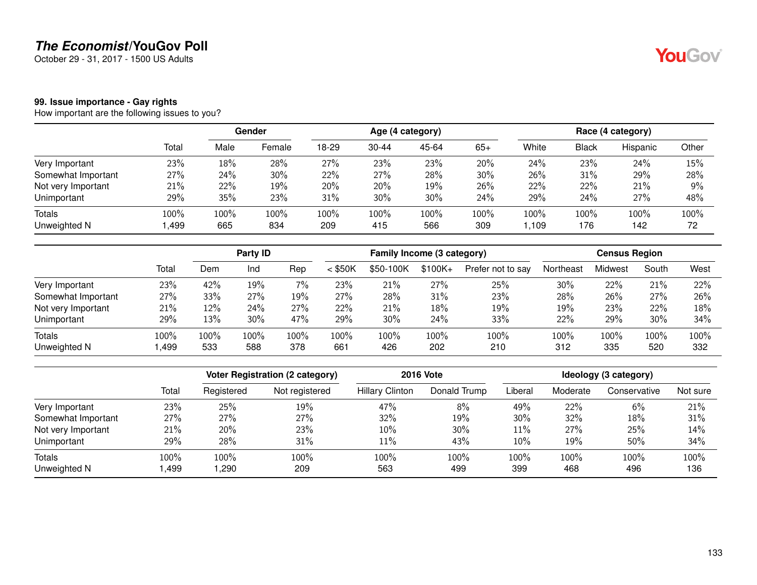October 29 - 31, 2017 - 1500 US Adults

#### **99. Issue importance - Gay rights**

How important are the following issues to you?

|                    |       |      | Gender |       |           | Age (4 category) |       |       |              | Race (4 category) |       |
|--------------------|-------|------|--------|-------|-----------|------------------|-------|-------|--------------|-------------------|-------|
|                    | Total | Male | Female | 18-29 | $30 - 44$ | 45-64            | $65+$ | White | <b>Black</b> | Hispanic          | Other |
| Very Important     | 23%   | 18%  | 28%    | 27%   | 23%       | 23%              | 20%   | 24%   | 23%          | 24%               | 15%   |
| Somewhat Important | 27%   | 24%  | 30%    | 22%   | 27%       | 28%              | 30%   | 26%   | 31%          | 29%               | 28%   |
| Not very Important | 21%   | 22%  | 19%    | 20%   | 20%       | 19%              | 26%   | 22%   | 22%          | 21%               | $9\%$ |
| Unimportant        | 29%   | 35%  | 23%    | 31%   | 30%       | 30%              | 24%   | 29%   | 24%          | 27%               | 48%   |
| <b>Totals</b>      | 100%  | 100% | 100%   | 100%  | 100%      | 100%             | 100%  | 100%  | 100%         | 100%              | 100%  |
| Unweighted N       | ,499  | 665  | 834    | 209   | 415       | 566              | 309   | .109  | 176          | 142               | 72    |

|                    |       | Party ID |      | Family Income (3 category) |           |           |           | <b>Census Region</b> |           |         |       |      |
|--------------------|-------|----------|------|----------------------------|-----------|-----------|-----------|----------------------|-----------|---------|-------|------|
|                    | Total | Dem      | Ind  | Rep                        | $<$ \$50K | \$50-100K | $$100K +$ | Prefer not to say    | Northeast | Midwest | South | West |
| Very Important     | 23%   | 42%      | 19%  | 7%                         | 23%       | 21%       | 27%       | 25%                  | 30%       | 22%     | 21%   | 22%  |
| Somewhat Important | 27%   | 33%      | 27%  | 19%                        | 27%       | 28%       | 31%       | 23%                  | 28%       | 26%     | 27%   | 26%  |
| Not very Important | 21%   | 12%      | 24%  | 27%                        | 22%       | 21%       | 18%       | 19%                  | 19%       | 23%     | 22%   | 18%  |
| Unimportant        | 29%   | 13%      | 30%  | 47%                        | 29%       | 30%       | 24%       | 33%                  | 22%       | 29%     | 30%   | 34%  |
| <b>Totals</b>      | 100%  | 100%     | 100% | 100%                       | 100%      | 100%      | 100%      | 100%                 | 100%      | 100%    | 100%  | 100% |
| Unweighted N       | ,499  | 533      | 588  | 378                        | 661       | 426       | 202       | 210                  | 312       | 335     | 520   | 332  |

|                    |       | Voter Registration (2 category) |                | <b>2016 Vote</b>       | Ideology (3 category) |         |          |              |          |
|--------------------|-------|---------------------------------|----------------|------------------------|-----------------------|---------|----------|--------------|----------|
|                    | Total | Registered                      | Not registered | <b>Hillary Clinton</b> | Donald Trump          | Liberal | Moderate | Conservative | Not sure |
| Very Important     | 23%   | 25%                             | 19%            | 47%                    | 8%                    | 49%     | 22%      | 6%           | 21%      |
| Somewhat Important | 27%   | 27%                             | 27%            | 32%                    | 19%                   | 30%     | 32%      | 18%          | 31%      |
| Not very Important | 21%   | 20%                             | 23%            | 10%                    | 30%                   | 11%     | 27%      | 25%          | 14%      |
| Unimportant        | 29%   | 28%                             | 31%            | 11%                    | 43%                   | 10%     | 19%      | 50%          | 34%      |
| <b>Totals</b>      | 100%  | 100%                            | 100%           | 100%                   | 100%                  | 100%    | 100%     | 100%         | 100%     |
| Unweighted N       | ,499  | ,290                            | 209            | 563                    | 499                   | 399     | 468      | 496          | 136      |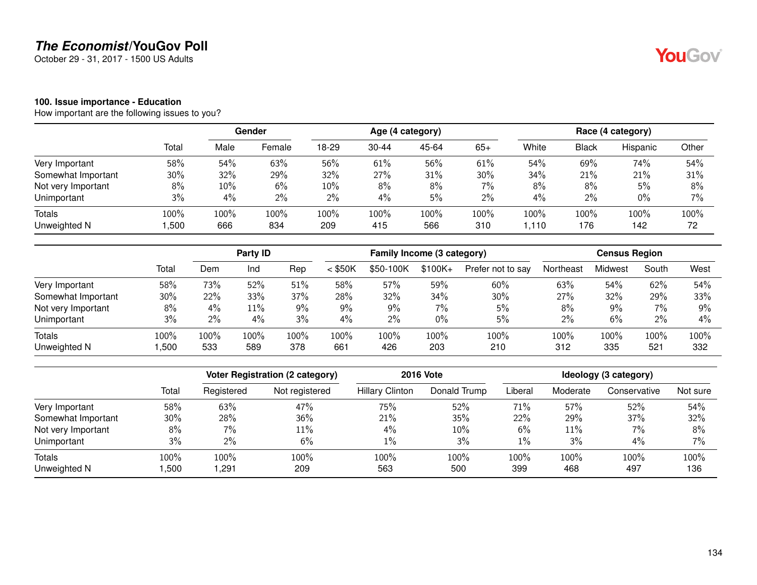October 29 - 31, 2017 - 1500 US Adults

#### **100. Issue importance - Education**

How important are the following issues to you?

|                    |       |      | Gender |       |           | Age (4 category) |       |       |              | Race (4 category) |       |
|--------------------|-------|------|--------|-------|-----------|------------------|-------|-------|--------------|-------------------|-------|
|                    | Total | Male | Female | 18-29 | $30 - 44$ | 45-64            | $65+$ | White | <b>Black</b> | Hispanic          | Other |
| Very Important     | 58%   | 54%  | 63%    | 56%   | 61%       | 56%              | 61%   | 54%   | 69%          | 74%               | 54%   |
| Somewhat Important | 30%   | 32%  | 29%    | 32%   | 27%       | 31%              | 30%   | 34%   | 21%          | 21%               | 31%   |
| Not very Important | 8%    | 10%  | 6%     | 10%   | 8%        | 8%               | 7%    | 8%    | 8%           | 5%                | 8%    |
| Unimportant        | 3%    | 4%   | 2%     | $2\%$ | 4%        | 5%               | $2\%$ | 4%    | $2\%$        | $0\%$             | 7%    |
| <b>Totals</b>      | 100%  | 100% | 100%   | 100%  | 100%      | 100%             | 100%  | 100%  | 100%         | 100%              | 100%  |
| Unweighted N       | ,500  | 666  | 834    | 209   | 415       | 566              | 310   | 1.110 | 176          | 142               | 72    |

|                    |       | Party <b>ID</b> |      |       | Family Income (3 category) |           |           |                   | <b>Census Region</b> |         |       |      |
|--------------------|-------|-----------------|------|-------|----------------------------|-----------|-----------|-------------------|----------------------|---------|-------|------|
|                    | Total | Dem             | Ind  | Rep   | $<$ \$50K                  | \$50-100K | $$100K +$ | Prefer not to say | Northeast            | Midwest | South | West |
| Very Important     | 58%   | 73%             | 52%  | 51%   | 58%                        | 57%       | 59%       | 60%               | 63%                  | 54%     | 62%   | 54%  |
| Somewhat Important | 30%   | 22%             | 33%  | 37%   | 28%                        | 32%       | 34%       | 30%               | 27%                  | 32%     | 29%   | 33%  |
| Not very Important | 8%    | 4%              | 11%  | $9\%$ | 9%                         | $9\%$     | 7%        | 5%                | 8%                   | $9\%$   | 7%    | 9%   |
| Unimportant        | 3%    | 2%              | 4%   | 3%    | 4%                         | $2\%$     | 0%        | 5%                | 2%                   | 6%      | 2%    | 4%   |
| <b>Totals</b>      | 100%  | 100%            | 100% | 100%  | 100%                       | 100%      | 100%      | 100%              | 100%                 | 100%    | 100%  | 100% |
| Unweighted N       | ,500  | 533             | 589  | 378   | 661                        | 426       | 203       | 210               | 312                  | 335     | 521   | 332  |

|                    |        |            | <b>Voter Registration (2 category)</b> |                        | <b>2016 Vote</b> | Ideology (3 category) |          |              |          |  |
|--------------------|--------|------------|----------------------------------------|------------------------|------------------|-----------------------|----------|--------------|----------|--|
|                    | Total  | Registered | Not registered                         | <b>Hillary Clinton</b> | Donald Trump     | Liberal               | Moderate | Conservative | Not sure |  |
| Very Important     | 58%    | 63%        | 47%                                    | 75%                    | 52%              | 71%                   | 57%      | 52%          | 54%      |  |
| Somewhat Important | $30\%$ | 28%        | 36%                                    | 21%                    | 35%              | 22%                   | 29%      | 37%          | 32%      |  |
| Not very Important | 8%     | $7\%$      | 11%                                    | $4\%$                  | 10%              | 6%                    | 11%      | 7%           | 8%       |  |
| Unimportant        | 3%     | $2\%$      | 6%                                     | 1%                     | 3%               | $1\%$                 | 3%       | 4%           | 7%       |  |
| Totals             | 100%   | $100\%$    | 100%                                   | 100%                   | 100%             | 100%                  | 100%     | 100%         | 100%     |  |
| Unweighted N       | ,500   | 291, ا     | 209                                    | 563                    | 500              | 399                   | 468      | 497          | 136      |  |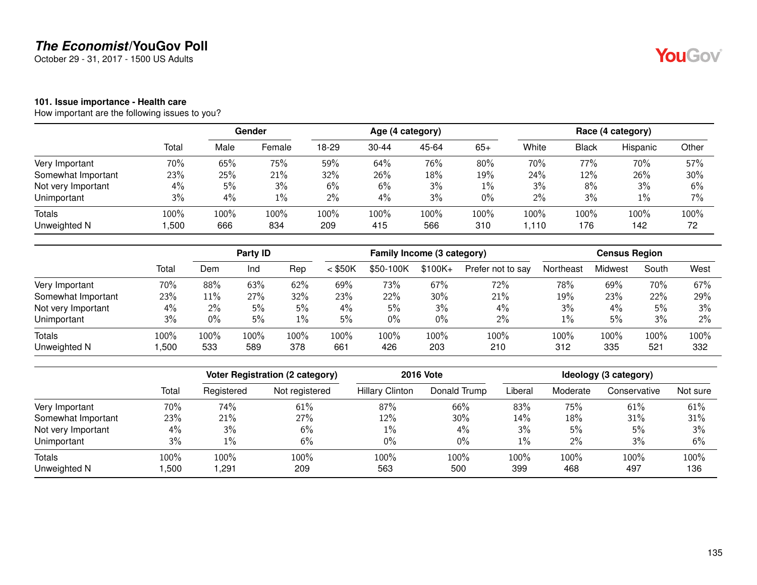October 29 - 31, 2017 - 1500 US Adults

#### **101. Issue importance - Health care**

How important are the following issues to you?

|                    |       |      | Gender |       |           | Age (4 category) |       |       |       | Race (4 category) |       |
|--------------------|-------|------|--------|-------|-----------|------------------|-------|-------|-------|-------------------|-------|
|                    | Total | Male | Female | 18-29 | $30 - 44$ | 45-64            | $65+$ | White | Black | Hispanic          | Other |
| Very Important     | 70%   | 65%  | 75%    | 59%   | 64%       | 76%              | 80%   | 70%   | 77%   | 70%               | 57%   |
| Somewhat Important | 23%   | 25%  | 21%    | 32%   | 26%       | 18%              | 19%   | 24%   | 12%   | 26%               | 30%   |
| Not very Important | 4%    | 5%   | 3%     | 6%    | 6%        | 3%               | $1\%$ | 3%    | 8%    | 3%                | 6%    |
| Unimportant        | 3%    | 4%   | $1\%$  | 2%    | 4%        | 3%               | $0\%$ | $2\%$ | 3%    | $1\%$             | 7%    |
| <b>Totals</b>      | 100%  | 100% | 100%   | 100%  | 100%      | 100%             | 100%  | 100%  | 100%  | 100%              | 100%  |
| Unweighted N       | ,500  | 666  | 834    | 209   | 415       | 566              | 310   | .110  | 176   | 142               | 72    |

|                    |       |        | Party <b>ID</b> |       |           | Family Income (3 category) |           |                   | <b>Census Region</b> |         |       |       |
|--------------------|-------|--------|-----------------|-------|-----------|----------------------------|-----------|-------------------|----------------------|---------|-------|-------|
|                    | Total | Dem    | Ind             | Rep   | $<$ \$50K | \$50-100K                  | $$100K +$ | Prefer not to say | Northeast            | Midwest | South | West  |
| Very Important     | 70%   | 88%    | 63%             | 62%   | 69%       | 73%                        | 67%       | 72%               | 78%                  | 69%     | 70%   | 67%   |
| Somewhat Important | 23%   | $11\%$ | 27%             | 32%   | 23%       | 22%                        | 30%       | 21%               | 19%                  | 23%     | 22%   | 29%   |
| Not very Important | 4%    | $2\%$  | 5%              | 5%    | 4%        | 5%                         | 3%        | 4%                | 3%                   | 4%      | 5%    | 3%    |
| Unimportant        | 3%    | 0%     | 5%              | $1\%$ | 5%        | $0\%$                      | 0%        | $2\%$             | 1%                   | 5%      | 3%    | $2\%$ |
| <b>Totals</b>      | 100%  | 100%   | 100%            | 100%  | 100%      | 100%                       | 100%      | 100%              | 100%                 | 100%    | 100%  | 100%  |
| Unweighted N       | ,500  | 533    | 589             | 378   | 661       | 426                        | 203       | 210               | 312                  | 335     | 521   | 332   |

|                    |       |            | Voter Registration (2 category) |                        | <b>2016 Vote</b> | Ideology (3 category) |          |              |          |  |
|--------------------|-------|------------|---------------------------------|------------------------|------------------|-----------------------|----------|--------------|----------|--|
|                    | Total | Registered | Not registered                  | <b>Hillary Clinton</b> | Donald Trump     | Liberal               | Moderate | Conservative | Not sure |  |
| Very Important     | 70%   | 74%        | 61%                             | 87%                    | 66%              | 83%                   | 75%      | 61%          | 61%      |  |
| Somewhat Important | 23%   | 21%        | 27%                             | 12%                    | 30%              | 14%                   | 18%      | 31%          | 31%      |  |
| Not very Important | 4%    | $3\%$      | 6%                              | 1%                     | $4\%$            | 3%                    | 5%       | 5%           | 3%       |  |
| Unimportant        | 3%    | $1\%$      | 6%                              | $0\%$                  | $0\%$            | $1\%$                 | $2\%$    | 3%           | 6%       |  |
| <b>Totals</b>      | 100%  | 100%       | 100%                            | 100%                   | 100%             | 100%                  | 100%     | 100%         | 100%     |  |
| Unweighted N       | ,500  | 291,       | 209                             | 563                    | 500              | 399                   | 468      | 497          | 136      |  |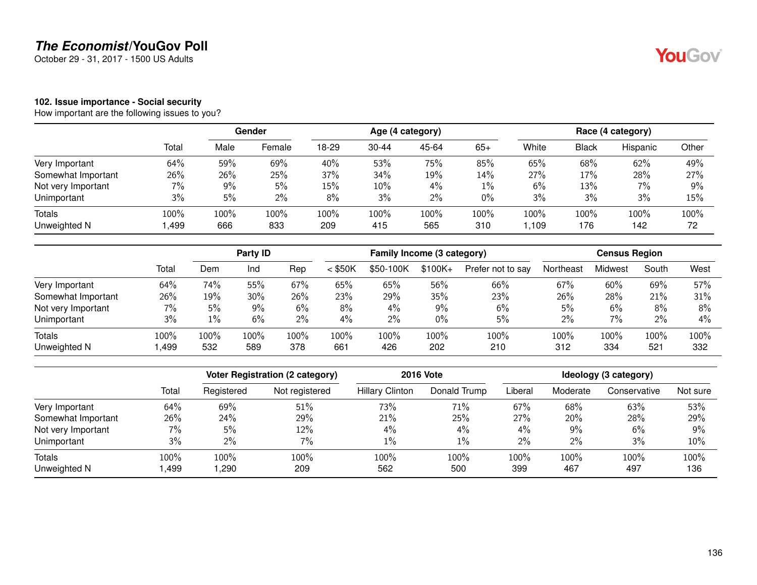October 29 - 31, 2017 - 1500 US Adults

## YouGov®

#### **102. Issue importance - Social security**

|                    |       |       | Gender |       |           | Age (4 category) |        |       |              | Race (4 category) |       |
|--------------------|-------|-------|--------|-------|-----------|------------------|--------|-------|--------------|-------------------|-------|
|                    | Total | Male  | Female | 18-29 | $30 - 44$ | 45-64            | $65+$  | White | <b>Black</b> | Hispanic          | Other |
| Very Important     | 64%   | 59%   | 69%    | 40%   | 53%       | 75%              | 85%    | 65%   | 68%          | 62%               | 49%   |
| Somewhat Important | 26%   | 26%   | 25%    | 37%   | 34%       | 19%              | $14\%$ | 27%   | 17%          | 28%               | 27%   |
| Not very Important | 7%    | $9\%$ | 5%     | 15%   | 10%       | 4%               | $1\%$  | 6%    | 13%          | 7%                | 9%    |
| Unimportant        | 3%    | 5%    | 2%     | 8%    | 3%        | $2\%$            | $0\%$  | 3%    | 3%           | 3%                | 15%   |
| Totals             | 100%  | 100%  | 100%   | 100%  | 100%      | 100%             | 100%   | 100%  | 100%         | 100%              | 100%  |
| Unweighted N       | ,499  | 666   | 833    | 209   | 415       | 565              | 310    | ,109  | 176          | 142               | 72    |

|                    |       |         | Party <b>ID</b> |      |           | Family Income (3 category) |           |                   | <b>Census Region</b> |         |       |       |
|--------------------|-------|---------|-----------------|------|-----------|----------------------------|-----------|-------------------|----------------------|---------|-------|-------|
|                    | Total | Dem     | Ind             | Rep  | $<$ \$50K | \$50-100K                  | $$100K +$ | Prefer not to say | Northeast            | Midwest | South | West  |
| Very Important     | 64%   | 74%     | 55%             | 67%  | 65%       | 65%                        | 56%       | 66%               | 67%                  | 60%     | 69%   | 57%   |
| Somewhat Important | 26%   | 19%     | 30%             | 26%  | 23%       | 29%                        | 35%       | 23%               | 26%                  | 28%     | 21%   | 31%   |
| Not very Important | 7%    | 5%      | 9%              | 6%   | 8%        | 4%                         | 9%        | 6%                | 5%                   | 6%      | 8%    | 8%    |
| Unimportant        | 3%    | $1\%$   | 6%              | 2%   | 4%        | 2%                         | 0%        | 5%                | 2%                   | $7\%$   | 2%    | $4\%$ |
| Totals             | 100%  | $100\%$ | 100%            | 100% | 100%      | 100%                       | 100%      | 100%              | 100%                 | 100%    | 100%  | 100%  |
| Unweighted N       | .499  | 532     | 589             | 378  | 661       | 426                        | 202       | 210               | 312                  | 334     | 521   | 332   |

|                        |              |              | Voter Registration (2 category) |                        | <b>2016 Vote</b> | Ideology (3 category) |             |              |             |  |
|------------------------|--------------|--------------|---------------------------------|------------------------|------------------|-----------------------|-------------|--------------|-------------|--|
|                        | Total        | Registered   | Not registered                  | <b>Hillary Clinton</b> | Donald Trump     | Liberal               | Moderate    | Conservative | Not sure    |  |
| Very Important         | 64%          | 69%          | 51%                             | 73%                    | 71%              | 67%                   | 68%         | 63%          | 53%         |  |
| Somewhat Important     | 26%          | 24%          | 29%                             | 21%                    | 25%              | 27%                   | 20%         | 28%          | 29%         |  |
| Not very Important     | 7%           | 5%           | 12%                             | $4\%$                  | $4\%$            | 4%                    | 9%          | 6%           | $9\%$       |  |
| Unimportant            | 3%           | $2\%$        | 7%                              | $1\%$                  | $1\%$            | 2%                    | 2%          | 3%           | 10%         |  |
| Totals<br>Unweighted N | 100%<br>.499 | 100%<br>,290 | 100%<br>209                     | 100%<br>562            | 100%<br>500      | 100%<br>399           | 100%<br>467 | 100%<br>497  | 100%<br>136 |  |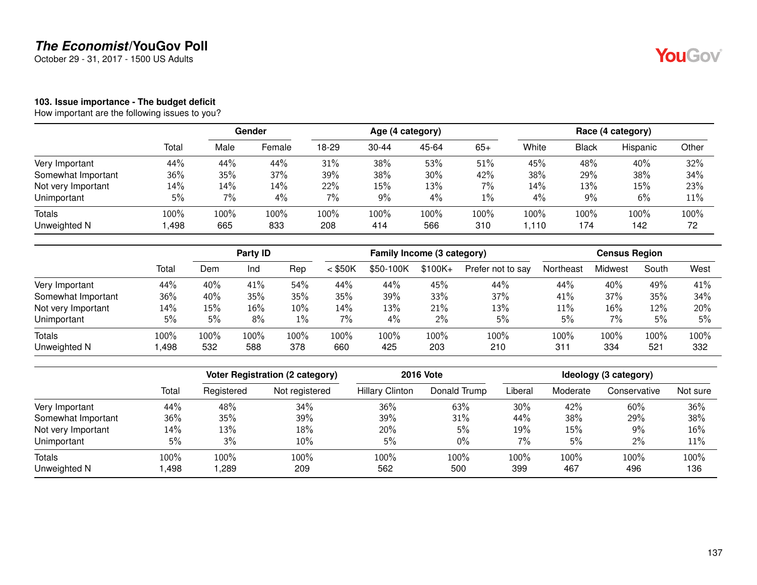October 29 - 31, 2017 - 1500 US Adults

# YouGov®

#### **103. Issue importance - The budget deficit**

|                    |       |      | Gender |       |           | Age (4 category) |       |       |              | Race (4 category) |       |
|--------------------|-------|------|--------|-------|-----------|------------------|-------|-------|--------------|-------------------|-------|
|                    | Total | Male | Female | 18-29 | $30 - 44$ | 45-64            | $65+$ | White | <b>Black</b> | Hispanic          | Other |
| Very Important     | 44%   | 44%  | 44%    | 31%   | 38%       | 53%              | 51%   | 45%   | 48%          | 40%               | 32%   |
| Somewhat Important | 36%   | 35%  | 37%    | 39%   | 38%       | 30%              | 42%   | 38%   | 29%          | 38%               | 34%   |
| Not very Important | 14%   | 14%  | 14%    | 22%   | 15%       | 13%              | 7%    | 14%   | 13%          | 15%               | 23%   |
| Unimportant        | 5%    | 7%   | 4%     | 7%    | 9%        | 4%               | $1\%$ | 4%    | 9%           | 6%                | 11%   |
| Totals             | 100%  | 100% | 100%   | 100%  | 100%      | 100%             | 100%  | 100%  | 100%         | 100%              | 100%  |
| Unweighted N       | ,498  | 665  | 833    | 208   | 414       | 566              | 310   | 1.110 | 174          | 142               | 72    |

|                    |       | <b>Party ID</b> |      |        | Family Income (3 category) |           |           |                   | <b>Census Region</b> |         |       |      |
|--------------------|-------|-----------------|------|--------|----------------------------|-----------|-----------|-------------------|----------------------|---------|-------|------|
|                    | Total | Dem             | Ind  | Rep    | $<$ \$50K                  | \$50-100K | $$100K +$ | Prefer not to say | Northeast            | Midwest | South | West |
| Very Important     | 44%   | 40%             | 41%  | 54%    | 44%                        | 44%       | 45%       | 44%               | 44%                  | 40%     | 49%   | 41%  |
| Somewhat Important | 36%   | 40%             | 35%  | 35%    | 35%                        | 39%       | 33%       | 37%               | 41%                  | 37%     | 35%   | 34%  |
| Not very Important | 14%   | 15%             | 16%  | $10\%$ | 14%                        | 13%       | 21%       | 13%               | 11%                  | 16%     | 12%   | 20%  |
| Unimportant        | 5%    | 5%              | 8%   | $1\%$  | $7\%$                      | 4%        | 2%        | 5%                | 5%                   | 7%      | 5%    | 5%   |
| Totals             | 100%  | 100%            | 100% | 100%   | 100%                       | 100%      | 100%      | 100%              | 100%                 | 100%    | 100%  | 100% |
| Unweighted N       | ,498  | 532             | 588  | 378    | 660                        | 425       | 203       | 210               | 311                  | 334     | 521   | 332  |

|                        |              |              | Voter Registration (2 category) |                        | <b>2016 Vote</b> | Ideology (3 category) |             |              |             |  |
|------------------------|--------------|--------------|---------------------------------|------------------------|------------------|-----------------------|-------------|--------------|-------------|--|
|                        | Total        | Registered   | Not registered                  | <b>Hillary Clinton</b> | Donald Trump     | Liberal               | Moderate    | Conservative | Not sure    |  |
| Very Important         | 44%          | 48%          | 34%                             | 36%                    | 63%              | 30%                   | 42%         | 60%          | 36%         |  |
| Somewhat Important     | 36%          | 35%          | 39%                             | 39%                    | 31%              | 44%                   | 38%         | 29%          | 38%         |  |
| Not very Important     | 14%          | 13%          | 18%                             | 20%                    | 5%               | 19%                   | 15%         | 9%           | 16%         |  |
| Unimportant            | 5%           | 3%           | 10%                             | 5%                     | $0\%$            | 7%                    | 5%          | 2%           | 11%         |  |
| Totals<br>Unweighted N | 100%<br>,498 | 100%<br>,289 | 100%<br>209                     | 100%<br>562            | 100%<br>500      | 100%<br>399           | 100%<br>467 | 100%<br>496  | 100%<br>136 |  |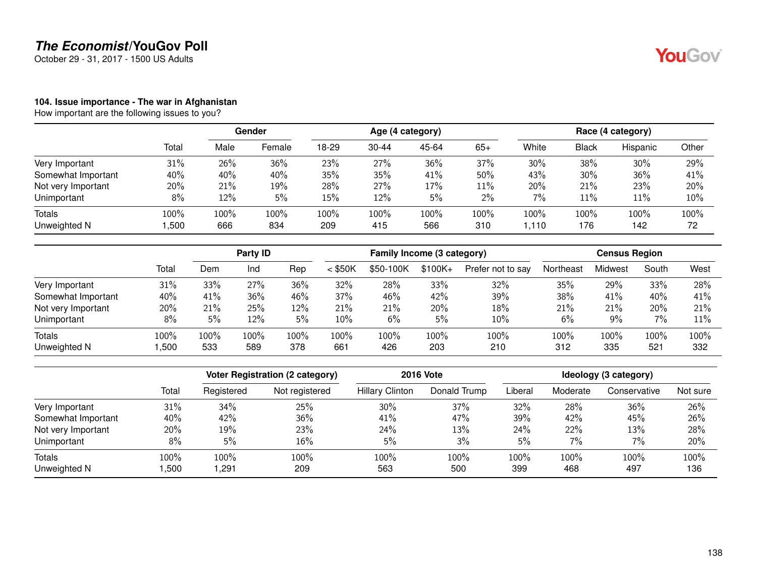October 29 - 31, 2017 - 1500 US Adults

## YouGov®

#### **104. Issue importance - The war in Afghanistan**

|                    |       | <b>Gender</b> |        |       |           | Age (4 category) |       | Race (4 category) |              |          |       |
|--------------------|-------|---------------|--------|-------|-----------|------------------|-------|-------------------|--------------|----------|-------|
|                    | Total | Male          | Female | 18-29 | $30 - 44$ | 45-64            | $65+$ | White             | <b>Black</b> | Hispanic | Other |
| Very Important     | 31%   | 26%           | 36%    | 23%   | 27%       | 36%              | 37%   | 30%               | 38%          | 30%      | 29%   |
| Somewhat Important | 40%   | 40%           | 40%    | 35%   | 35%       | 41%              | 50%   | 43%               | 30%          | 36%      | 41%   |
| Not very Important | 20%   | 21%           | 19%    | 28%   | 27%       | 17%              | 11%   | 20%               | 21%          | 23%      | 20%   |
| Unimportant        | 8%    | 12%           | 5%     | 15%   | 12%       | 5%               | $2\%$ | 7%                | 11%          | 11%      | 10%   |
| Totals             | 100%  | 100%          | 100%   | 100%  | 100%      | 100%             | 100%  | 100%              | 100%         | 100%     | 100%  |
| Unweighted N       | ,500  | 666           | 834    | 209   | 415       | 566              | 310   | 1,110             | 176          | 142      | 72    |

|                    |       |      | Party ID |      |           | Family Income (3 category) |           |                   | <b>Census Region</b> |         |       |      |  |
|--------------------|-------|------|----------|------|-----------|----------------------------|-----------|-------------------|----------------------|---------|-------|------|--|
|                    | Total | Dem  | Ind      | Rep  | $<$ \$50K | \$50-100K                  | $$100K +$ | Prefer not to say | Northeast            | Midwest | South | West |  |
| Very Important     | 31%   | 33%  | 27%      | 36%  | 32%       | 28%                        | 33%       | 32%               | 35%                  | 29%     | 33%   | 28%  |  |
| Somewhat Important | 40%   | 41%  | 36%      | 46%  | 37%       | 46%                        | 42%       | 39%               | 38%                  | 41%     | 40%   | 41%  |  |
| Not very Important | 20%   | 21%  | 25%      | 12%  | 21%       | 21%                        | 20%       | 18%               | 21%                  | 21%     | 20%   | 21%  |  |
| Unimportant        | 8%    | 5%   | 12%      | 5%   | 10%       | 6%                         | 5%        | 10%               | 6%                   | 9%      | 7%    | 11%  |  |
| Totals             | 100%  | 100% | 100%     | 100% | 100%      | 100%                       | 100%      | 100%              | 100%                 | 100%    | 100%  | 100% |  |
| Unweighted N       | .500  | 533  | 589      | 378  | 661       | 426                        | 203       | 210               | 312                  | 335     | 521   | 332  |  |

|                        |              |              | <b>Voter Registration (2 category)</b> | <b>2016 Vote</b>       | Ideology (3 category) |             |             |              |             |
|------------------------|--------------|--------------|----------------------------------------|------------------------|-----------------------|-------------|-------------|--------------|-------------|
|                        | Total        | Registered   | Not registered                         | <b>Hillary Clinton</b> | Donald Trump          | Liberal     | Moderate    | Conservative | Not sure    |
| Very Important         | 31%          | 34%          | 25%                                    | 30%                    | 37%                   | 32%         | 28%         | 36%          | 26%         |
| Somewhat Important     | 40%          | 42%          | 36%                                    | 41%                    | 47%                   | 39%         | 42%         | 45%          | 26%         |
| Not very Important     | 20%          | 19%          | 23%                                    | 24%                    | 13%                   | 24%         | 22%         | 13%          | 28%         |
| Unimportant            | 8%           | 5%           | 16%                                    | 5%                     | 3%                    | 5%          | 7%          | 7%           | 20%         |
| Totals<br>Unweighted N | 100%<br>,500 | 100%<br>291, | 100%<br>209                            | 100%<br>563            | 100%<br>500           | 100%<br>399 | 100%<br>468 | 100%<br>497  | 100%<br>136 |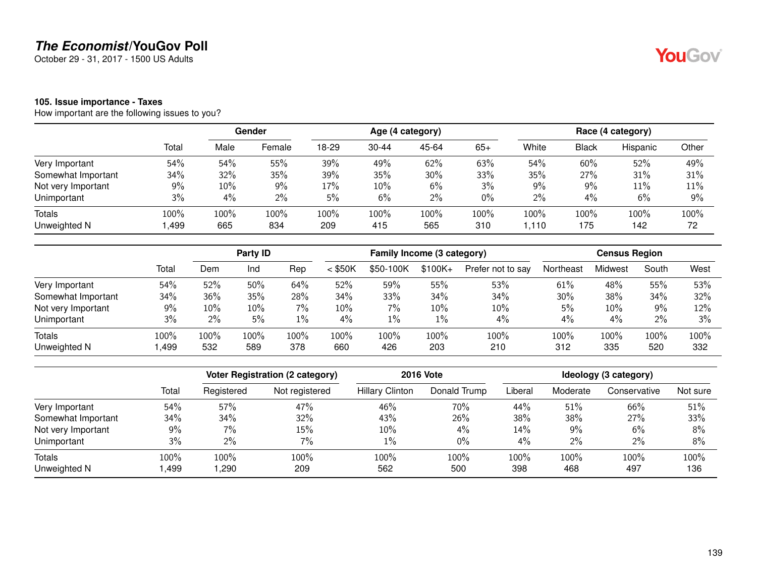October 29 - 31, 2017 - 1500 US Adults

### **105. Issue importance - Taxes**

How important are the following issues to you?

|                    |       |      | Gender |       |           | Age (4 category) |       |       |              | Race (4 category) |       |
|--------------------|-------|------|--------|-------|-----------|------------------|-------|-------|--------------|-------------------|-------|
|                    | Total | Male | Female | 18-29 | $30 - 44$ | 45-64            | $65+$ | White | <b>Black</b> | Hispanic          | Other |
| Very Important     | 54%   | 54%  | 55%    | 39%   | 49%       | 62%              | 63%   | 54%   | 60%          | 52%               | 49%   |
| Somewhat Important | 34%   | 32%  | 35%    | 39%   | 35%       | 30%              | 33%   | 35%   | 27%          | 31%               | 31%   |
| Not very Important | 9%    | 10%  | 9%     | 17%   | 10%       | 6%               | 3%    | $9\%$ | 9%           | 11%               | 11%   |
| Unimportant        | 3%    | 4%   | 2%     | 5%    | 6%        | 2%               | 0%    | 2%    | $4\%$        | 6%                | $9\%$ |
| <b>Totals</b>      | 100%  | 100% | 100%   | 100%  | 100%      | 100%             | 100%  | 100%  | 100%         | 100%              | 100%  |
| Unweighted N       | ,499  | 665  | 834    | 209   | 415       | 565              | 310   | 1.110 | 175          | 142               | 72    |

|                    |       | Party <b>ID</b> |      |       | Family Income (3 category) |           |           |                   | <b>Census Region</b> |         |       |      |
|--------------------|-------|-----------------|------|-------|----------------------------|-----------|-----------|-------------------|----------------------|---------|-------|------|
|                    | Total | Dem             | Ind  | Rep   | $<$ \$50K                  | \$50-100K | $$100K +$ | Prefer not to say | Northeast            | Midwest | South | West |
| Very Important     | 54%   | 52%             | 50%  | 64%   | 52%                        | 59%       | 55%       | 53%               | 61%                  | 48%     | 55%   | 53%  |
| Somewhat Important | 34%   | 36%             | 35%  | 28%   | 34%                        | 33%       | 34%       | 34%               | 30%                  | 38%     | 34%   | 32%  |
| Not very Important | 9%    | 10%             | 10%  | 7%    | 10%                        | 7%        | 10%       | 10%               | 5%                   | 10%     | 9%    | 12%  |
| Unimportant        | 3%    | $2\%$           | 5%   | $1\%$ | 4%                         | $1\%$     | 1%        | 4%                | 4%                   | $4\%$   | 2%    | 3%   |
| <b>Totals</b>      | 100%  | 100%            | 100% | 100%  | 100%                       | 100%      | 100%      | 100%              | 100%                 | 100%    | 100%  | 100% |
| Unweighted N       | ,499  | 532             | 589  | 378   | 660                        | 426       | 203       | 210               | 312                  | 335     | 520   | 332  |

|                    |       |            | <b>Voter Registration (2 category)</b> |                        | <b>2016 Vote</b> | Ideology (3 category) |          |              |          |  |
|--------------------|-------|------------|----------------------------------------|------------------------|------------------|-----------------------|----------|--------------|----------|--|
|                    | Total | Registered | Not registered                         | <b>Hillary Clinton</b> | Donald Trump     | Liberal               | Moderate | Conservative | Not sure |  |
| Very Important     | 54%   | 57%        | 47%                                    | 46%                    | 70%              | 44%                   | 51%      | 66%          | 51%      |  |
| Somewhat Important | 34%   | 34%        | 32%                                    | 43%                    | 26%              | 38%                   | 38%      | 27%          | 33%      |  |
| Not very Important | 9%    | $7\%$      | 15%                                    | 10%                    | $4\%$            | 14%                   | 9%       | 6%           | 8%       |  |
| Unimportant        | 3%    | $2\%$      | 7%                                     | 1%                     | $0\%$            | 4%                    | $2\%$    | 2%           | 8%       |  |
| Totals             | 100%  | 100%       | 100%                                   | 100%                   | 100%             | 100%                  | 100%     | 100%         | 100%     |  |
| Unweighted N       | ,499  | ,290       | 209                                    | 562                    | 500              | 398                   | 468      | 497          | 136      |  |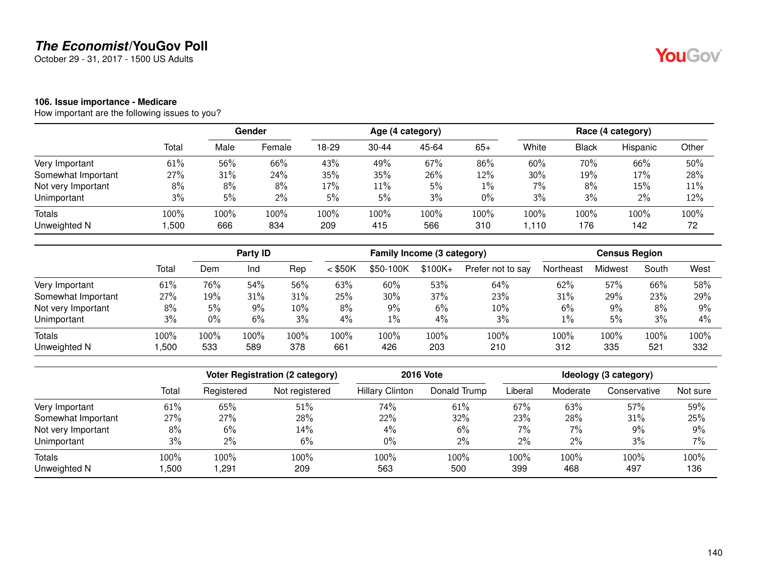October 29 - 31, 2017 - 1500 US Adults

#### **106. Issue importance - Medicare**

How important are the following issues to you?

|                    |       |      | Gender |       |           | Age (4 category) |       |       |       | Race (4 category) |       |
|--------------------|-------|------|--------|-------|-----------|------------------|-------|-------|-------|-------------------|-------|
|                    | Total | Male | Female | 18-29 | $30 - 44$ | 45-64            | $65+$ | White | Black | Hispanic          | Other |
| Very Important     | 61%   | 56%  | 66%    | 43%   | 49%       | 67%              | 86%   | 60%   | 70%   | 66%               | 50%   |
| Somewhat Important | 27%   | 31%  | 24%    | 35%   | 35%       | 26%              | 12%   | 30%   | 19%   | 17%               | 28%   |
| Not very Important | 8%    | 8%   | 8%     | 17%   | 11%       | 5%               | $1\%$ | 7%    | 8%    | 15%               | 11%   |
| Unimportant        | 3%    | 5%   | 2%     | 5%    | 5%        | 3%               | 0%    | 3%    | 3%    | 2%                | 12%   |
| <b>Totals</b>      | 100%  | 100% | 100%   | 100%  | 100%      | 100%             | 100%  | 100%  | 100%  | 100%              | 100%  |
| Unweighted N       | ,500  | 666  | 834    | 209   | 415       | 566              | 310   | .110  | 176   | 142               | 72    |

|                    |       | Party ID |      |      | Family Income (3 category) |           |           |                   | <b>Census Region</b> |         |       |      |
|--------------------|-------|----------|------|------|----------------------------|-----------|-----------|-------------------|----------------------|---------|-------|------|
|                    | Total | Dem      | Ind  | Rep  | $<$ \$50K                  | \$50-100K | $$100K +$ | Prefer not to say | Northeast            | Midwest | South | West |
| Very Important     | 61%   | 76%      | 54%  | 56%  | 63%                        | 60%       | 53%       | 64%               | 62%                  | 57%     | 66%   | 58%  |
| Somewhat Important | 27%   | 19%      | 31%  | 31%  | 25%                        | 30%       | 37%       | 23%               | 31%                  | 29%     | 23%   | 29%  |
| Not very Important | 8%    | 5%       | 9%   | 10%  | 8%                         | $9\%$     | 6%        | 10%               | 6%                   | 9%      | 8%    | 9%   |
| Unimportant        | 3%    | 0%       | 6%   | 3%   | 4%                         | $1\%$     | 4%        | 3%                | 1%                   | 5%      | 3%    | 4%   |
| Totals             | 100%  | 100%     | 100% | 100% | 100%                       | 100%      | 100%      | 100%              | 100%                 | 100%    | 100%  | 100% |
| Unweighted N       | ,500  | 533      | 589  | 378  | 661                        | 426       | 203       | 210               | 312                  | 335     | 521   | 332  |

|                    |       |            | Voter Registration (2 category) |                        | <b>2016 Vote</b> | Ideology (3 category) |          |              |          |  |
|--------------------|-------|------------|---------------------------------|------------------------|------------------|-----------------------|----------|--------------|----------|--|
|                    | Total | Registered | Not registered                  | <b>Hillary Clinton</b> | Donald Trump     | Liberal               | Moderate | Conservative | Not sure |  |
| Very Important     | 61%   | 65%        | 51%                             | 74%                    | 61%              | 67%                   | 63%      | 57%          | 59%      |  |
| Somewhat Important | 27%   | 27%        | 28%                             | 22%                    | 32%              | 23%                   | 28%      | 31%          | 25%      |  |
| Not very Important | 8%    | $6\%$      | 14%                             | $4\%$                  | 6%               | 7%                    | $7\%$    | 9%           | 9%       |  |
| Unimportant        | 3%    | $2\%$      | 6%                              | $0\%$                  | $2\%$            | 2%                    | 2%       | 3%           | 7%       |  |
| <b>Totals</b>      | 100%  | 100%       | 100%                            | 100%                   | 100%             | 100%                  | 100%     | 100%         | 100%     |  |
| Unweighted N       | ,500  | 291,       | 209                             | 563                    | 500              | 399                   | 468      | 497          | 136      |  |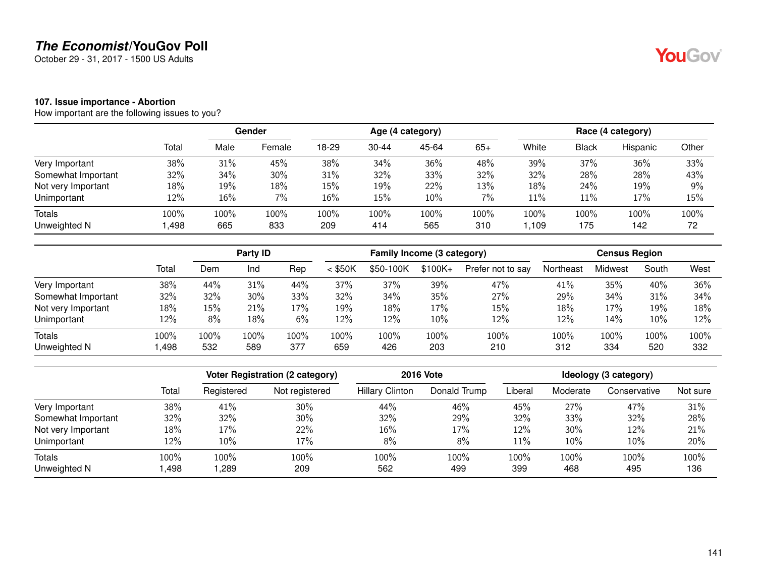October 29 - 31, 2017 - 1500 US Adults

#### **107. Issue importance - Abortion**

How important are the following issues to you?

|                               |              | Gender      |             | Age (4 category) |             |             |             |              | Race (4 category) |             |            |  |
|-------------------------------|--------------|-------------|-------------|------------------|-------------|-------------|-------------|--------------|-------------------|-------------|------------|--|
|                               | Total        | Male        | Female      | 18-29            | $30 - 44$   | 45-64       | $65+$       | White        | <b>Black</b>      | Hispanic    | Other      |  |
| Very Important                | 38%          | 31%         | 45%         | 38%              | 34%         | 36%         | 48%         | 39%          | 37%               | 36%         | 33%        |  |
| Somewhat Important            | 32%          | 34%         | 30%         | 31%              | 32%         | 33%         | 32%         | 32%          | 28%               | 28%         | 43%        |  |
| Not very Important            | 18%          | 19%         | 18%         | 15%              | 19%         | 22%         | 13%         | 18%          | 24%               | 19%         | $9\%$      |  |
| Unimportant                   | 12%          | 16%         | $7\%$       | 16%              | 15%         | $10\%$      | 7%          | 11%          | 11%               | 17%         | 15%        |  |
| <b>Totals</b><br>Unweighted N | 100%<br>,498 | 100%<br>665 | 100%<br>833 | 100%<br>209      | 100%<br>414 | 100%<br>565 | 100%<br>310 | 100%<br>,109 | 100%<br>175       | 100%<br>142 | 100%<br>72 |  |

|                    |       | Party <b>ID</b> |      |      | Family Income (3 category) |           |           |                   | <b>Census Region</b> |         |       |      |
|--------------------|-------|-----------------|------|------|----------------------------|-----------|-----------|-------------------|----------------------|---------|-------|------|
|                    | Total | Dem             | Ind  | Rep  | $<$ \$50K                  | \$50-100K | $$100K +$ | Prefer not to say | Northeast            | Midwest | South | West |
| Very Important     | 38%   | 44%             | 31%  | 44%  | 37%                        | 37%       | 39%       | 47%               | 41%                  | 35%     | 40%   | 36%  |
| Somewhat Important | 32%   | 32%             | 30%  | 33%  | 32%                        | 34%       | 35%       | 27%               | 29%                  | 34%     | 31%   | 34%  |
| Not very Important | 18%   | 15%             | 21%  | 17%  | 19%                        | 18%       | 17%       | 15%               | 18%                  | 17%     | 19%   | 18%  |
| Unimportant        | 12%   | 8%              | 18%  | 6%   | 12%                        | 12%       | 10%       | 12%               | 12%                  | 14%     | 10%   | 12%  |
| <b>Totals</b>      | 100%  | 100%            | 100% | 100% | 100%                       | 100%      | 100%      | 100%              | 100%                 | 100%    | 100%  | 100% |
| Unweighted N       | ,498  | 532             | 589  | 377  | 659                        | 426       | 203       | 210               | 312                  | 334     | 520   | 332  |

|                    |       |            | Voter Registration (2 category) |                        | <b>2016 Vote</b> | Ideology (3 category) |          |              |          |  |
|--------------------|-------|------------|---------------------------------|------------------------|------------------|-----------------------|----------|--------------|----------|--|
|                    | Total | Registered | Not registered                  | <b>Hillary Clinton</b> | Donald Trump     | Liberal               | Moderate | Conservative | Not sure |  |
| Very Important     | 38%   | 41%        | 30%                             | 44%                    | 46%              | 45%                   | 27%      | 47%          | 31%      |  |
| Somewhat Important | 32%   | 32%        | $30\%$                          | 32%                    | 29%              | 32%                   | 33%      | 32%          | 28%      |  |
| Not very Important | 18%   | 17%        | 22%                             | 16%                    | 17%              | 12%                   | 30%      | 12%          | 21%      |  |
| Unimportant        | 12%   | 10%        | 17%                             | 8%                     | 8%               | 11%                   | 10%      | 10%          | 20%      |  |
| Totals             | 100%  | 100%       | 100%                            | 100%                   | 100%             | 100%                  | 100%     | 100%         | 100%     |  |
| Unweighted N       | ,498  | ,289       | 209                             | 562                    | 499              | 399                   | 468      | 495          | 136      |  |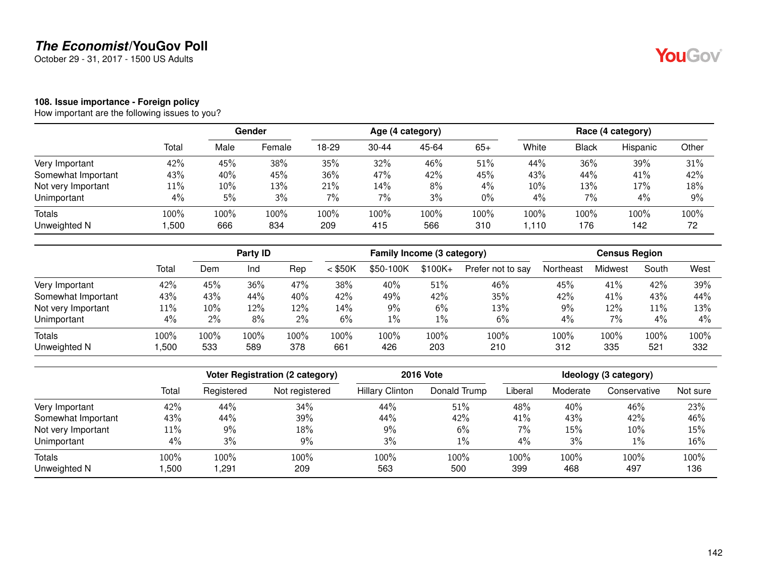October 29 - 31, 2017 - 1500 US Adults

## YouGov®

#### **108. Issue importance - Foreign policy**

|                    |        |      | Gender |       | Age (4 category) |       |       |       | Race (4 category) |          |       |  |
|--------------------|--------|------|--------|-------|------------------|-------|-------|-------|-------------------|----------|-------|--|
|                    | Total  | Male | Female | 18-29 | $30 - 44$        | 45-64 | $65+$ | White | <b>Black</b>      | Hispanic | Other |  |
| Very Important     | 42%    | 45%  | 38%    | 35%   | 32%              | 46%   | 51%   | 44%   | 36%               | 39%      | 31%   |  |
| Somewhat Important | 43%    | 40%  | 45%    | 36%   | 47%              | 42%   | 45%   | 43%   | 44%               | 41%      | 42%   |  |
| Not very Important | $11\%$ | 10%  | 13%    | 21%   | 14%              | 8%    | 4%    | 10%   | 13%               | 17%      | 18%   |  |
| Unimportant        | 4%     | 5%   | 3%     | 7%    | 7%               | 3%    | $0\%$ | 4%    | 7%                | 4%       | 9%    |  |
| Totals             | 100%   | 100% | 100%   | 100%  | 100%             | 100%  | 100%  | 100%  | 100%              | 100%     | 100%  |  |
| Unweighted N       | ,500   | 666  | 834    | 209   | 415              | 566   | 310   | 1,110 | 176               | 142      | 72    |  |

|                    |        | Party <b>ID</b> |      |      | Family Income (3 category) |           |           |                   | <b>Census Region</b> |         |       |       |
|--------------------|--------|-----------------|------|------|----------------------------|-----------|-----------|-------------------|----------------------|---------|-------|-------|
|                    | Total  | Dem             | Ind  | Rep  | $<$ \$50K                  | \$50-100K | $$100K +$ | Prefer not to say | Northeast            | Midwest | South | West  |
| Very Important     | 42%    | 45%             | 36%  | 47%  | 38%                        | 40%       | 51%       | 46%               | 45%                  | 41%     | 42%   | 39%   |
| Somewhat Important | 43%    | 43%             | 44%  | 40%  | 42%                        | 49%       | 42%       | 35%               | 42%                  | 41%     | 43%   | 44%   |
| Not very Important | $11\%$ | 10%             | 12%  | 12%  | 14%                        | 9%        | 6%        | 13%               | 9%                   | 12%     | 11%   | 13%   |
| Unimportant        | 4%     | $2\%$           | 8%   | 2%   | 6%                         | $1\%$     | $1\%$     | 6%                | 4%                   | 7%      | 4%    | $4\%$ |
| Totals             | 100%   | 100%            | 100% | 100% | 100%                       | $100\%$   | 100%      | 100%              | 100%                 | 100%    | 100%  | 100%  |
| Unweighted N       | ,500   | 533             | 589  | 378  | 661                        | 426       | 203       | 210               | 312                  | 335     | 521   | 332   |

|                        |                |              | Voter Registration (2 category) |                        | <b>2016 Vote</b> | Ideology (3 category) |             |              |             |  |
|------------------------|----------------|--------------|---------------------------------|------------------------|------------------|-----------------------|-------------|--------------|-------------|--|
|                        | Total          | Registered   | Not registered                  | <b>Hillary Clinton</b> | Donald Trump     | _iberal               | Moderate    | Conservative | Not sure    |  |
| Very Important         | 42%            | 44%          | 34%                             | 44%                    | 51%              | 48%                   | 40%         | 46%          | 23%         |  |
| Somewhat Important     | 43%            | 44%          | 39%                             | 44%                    | 42%              | 41%                   | 43%         | 42%          | 46%         |  |
| Not very Important     | 11%            | $9\%$        | 18%                             | $9\%$                  | 6%               | 7%                    | 15%         | 10%          | 15%         |  |
| Unimportant            | 4%             | 3%           | 9%                              | 3%                     | $1\%$            | $4\%$                 | 3%          | 1%           | 16%         |  |
| Totals<br>Unweighted N | 100%<br>500, ا | 100%<br>,291 | 100%<br>209                     | $100\%$<br>563         | 100%<br>500      | 100%<br>399           | 100%<br>468 | 100%<br>497  | 100%<br>136 |  |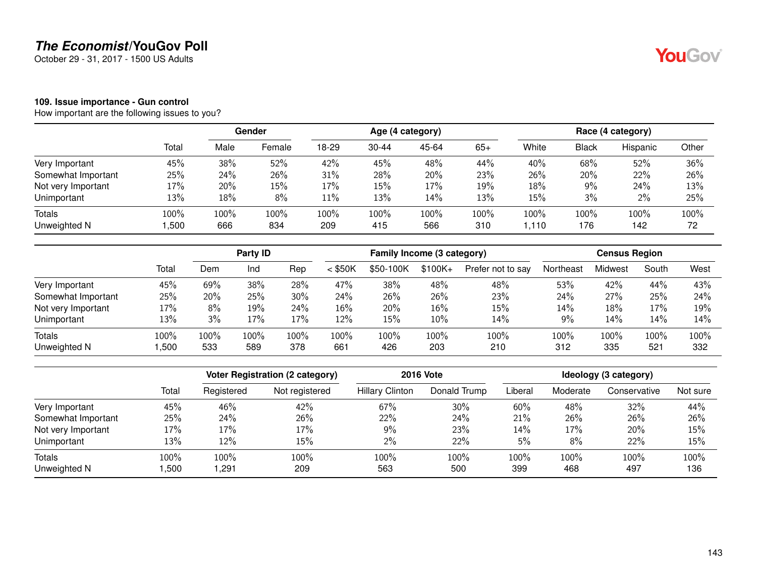October 29 - 31, 2017 - 1500 US Adults

## YouGov®

#### **109. Issue importance - Gun control**

|                    |        | Gender |        |       |           | Age (4 category) |       |       | Race (4 category) |          |       |  |
|--------------------|--------|--------|--------|-------|-----------|------------------|-------|-------|-------------------|----------|-------|--|
|                    | Total  | Male   | Female | 18-29 | $30 - 44$ | 45-64            | $65+$ | White | <b>Black</b>      | Hispanic | Other |  |
| Very Important     | 45%    | 38%    | 52%    | 42%   | 45%       | 48%              | 44%   | 40%   | 68%               | 52%      | 36%   |  |
| Somewhat Important | 25%    | 24%    | 26%    | 31%   | 28%       | 20%              | 23%   | 26%   | 20%               | 22%      | 26%   |  |
| Not very Important | $17\%$ | 20%    | 15%    | 17%   | 15%       | 17%              | 19%   | 18%   | 9%                | 24%      | 13%   |  |
| Unimportant        | 13%    | 18%    | 8%     | 11%   | 13%       | 14%              | 13%   | 15%   | 3%                | $2\%$    | 25%   |  |
| Totals             | 100%   | 100%   | 100%   | 100%  | 100%      | 100%             | 100%  | 100%  | 100%              | 100%     | 100%  |  |
| Unweighted N       | ,500   | 666    | 834    | 209   | 415       | 566              | 310   | 1,110 | 176               | 142      | 72    |  |

|                    |       | Party ID |      |      |           | Family Income (3 category) |          |                   |           | <b>Census Region</b> |       |      |  |
|--------------------|-------|----------|------|------|-----------|----------------------------|----------|-------------------|-----------|----------------------|-------|------|--|
|                    | Total | Dem      | Ind  | Rep  | $<$ \$50K | \$50-100K                  | $$100K+$ | Prefer not to say | Northeast | Midwest              | South | West |  |
| Very Important     | 45%   | 69%      | 38%  | 28%  | 47%       | 38%                        | 48%      | 48%               | 53%       | 42%                  | 44%   | 43%  |  |
| Somewhat Important | 25%   | 20%      | 25%  | 30%  | 24%       | 26%                        | 26%      | 23%               | 24%       | 27%                  | 25%   | 24%  |  |
| Not very Important | 17%   | 8%       | 19%  | 24%  | 16%       | 20%                        | 16%      | 15%               | 14%       | 18%                  | 17%   | 19%  |  |
| Unimportant        | 13%   | 3%       | 17%  | 17%  | 12%       | 15%                        | $10\%$   | 14%               | 9%        | 14%                  | 14%   | 14%  |  |
| Totals             | 100%  | 100%     | 100% | 100% | 100%      | 100%                       | 100%     | 100%              | 100%      | 100%                 | 100%  | 100% |  |
| Unweighted N       | ,500  | 533      | 589  | 378  | 661       | 426                        | 203      | 210               | 312       | 335                  | 521   | 332  |  |

|                        |                |              | Voter Registration (2 category) |                        | <b>2016 Vote</b> | Ideology (3 category) |             |              |             |  |
|------------------------|----------------|--------------|---------------------------------|------------------------|------------------|-----------------------|-------------|--------------|-------------|--|
|                        | Total          | Registered   | Not registered                  | <b>Hillary Clinton</b> | Donald Trump     | _iberal               | Moderate    | Conservative | Not sure    |  |
| Very Important         | 45%            | 46%          | 42%                             | 67%                    | $30\%$           | 60%                   | 48%         | 32%          | 44%         |  |
| Somewhat Important     | 25%            | 24%          | 26%                             | 22%                    | 24%              | 21%                   | 26%         | 26%          | 26%         |  |
| Not very Important     | 17%            | 17%          | 17%                             | $9\%$                  | 23%              | 14%                   | 17%         | 20%          | 15%         |  |
| Unimportant            | 13%            | 12%          | 15%                             | $2\%$                  | 22%              | 5%                    | 8%          | 22%          | 15%         |  |
| Totals<br>Unweighted N | 100%<br>500, ا | 100%<br>,291 | 100%<br>209                     | 100%<br>563            | 100%<br>500      | 100%<br>399           | 100%<br>468 | 100%<br>497  | 100%<br>136 |  |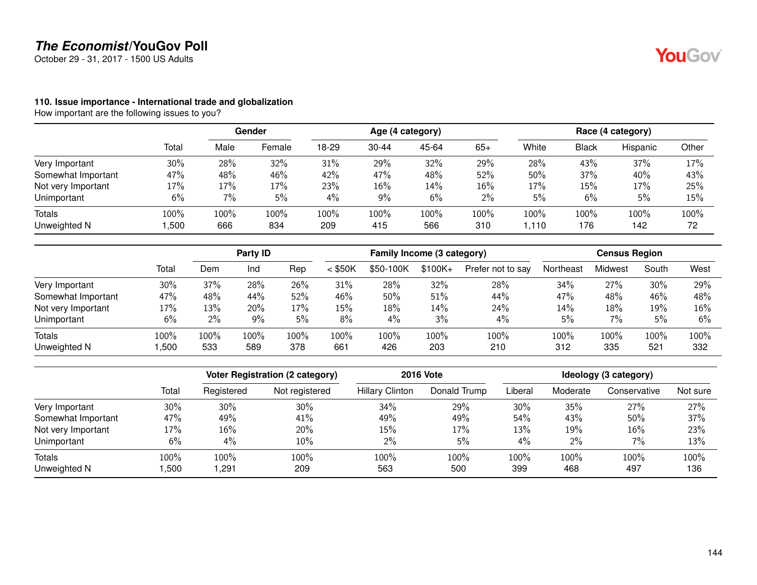October 29 - 31, 2017 - 1500 US Adults

#### **110. Issue importance - International trade and globalization**

How important are the following issues to you?

|                    | Total | Gender |        |       |           | Age (4 category) |       | Race (4 category) |       |          |       |
|--------------------|-------|--------|--------|-------|-----------|------------------|-------|-------------------|-------|----------|-------|
|                    |       | Male   | Female | 18-29 | $30 - 44$ | 45-64            | $65+$ | White             | Black | Hispanic | Other |
| Very Important     | 30%   | 28%    | 32%    | 31%   | 29%       | 32%              | 29%   | 28%               | 43%   | 37%      | 17%   |
| Somewhat Important | 47%   | 48%    | 46%    | 42%   | 47%       | 48%              | 52%   | 50%               | 37%   | 40%      | 43%   |
| Not very Important | 17%   | 17%    | 17%    | 23%   | 16%       | 14%              | 16%   | 17%               | 15%   | 17%      | 25%   |
| Unimportant        | 6%    | 7%     | 5%     | 4%    | 9%        | 6%               | 2%    | 5%                | 6%    | 5%       | 15%   |
| <b>Totals</b>      | 100%  | 100%   | 100%   | 100%  | 100%      | 100%             | 100%  | 100%              | 100%  | 100%     | 100%  |
| Unweighted N       | ,500  | 666    | 834    | 209   | 415       | 566              | 310   | .110              | 176   | 142      | 72    |

|                    |       | Party ID |      |      | Family Income (3 category) |           |           |                   | <b>Census Region</b> |         |       |      |
|--------------------|-------|----------|------|------|----------------------------|-----------|-----------|-------------------|----------------------|---------|-------|------|
|                    | Total | Dem      | Ind  | Rep  | $<$ \$50K                  | \$50-100K | $$100K +$ | Prefer not to say | Northeast            | Midwest | South | West |
| Very Important     | 30%   | 37%      | 28%  | 26%  | 31%                        | 28%       | 32%       | 28%               | 34%                  | 27%     | 30%   | 29%  |
| Somewhat Important | 47%   | 48%      | 44%  | 52%  | 46%                        | 50%       | 51%       | 44%               | 47%                  | 48%     | 46%   | 48%  |
| Not very Important | 17%   | 13%      | 20%  | 17%  | 15%                        | 18%       | 14%       | 24%               | 14%                  | 18%     | 19%   | 16%  |
| Unimportant        | 6%    | 2%       | 9%   | 5%   | 8%                         | $4\%$     | 3%        | 4%                | 5%                   | 7%      | 5%    | 6%   |
| Totals             | 100%  | 100%     | 100% | 100% | 100%                       | 100%      | 100%      | 100%              | 100%                 | 100%    | 100%  | 100% |
| Unweighted N       | ,500  | 533      | 589  | 378  | 661                        | 426       | 203       | 210               | 312                  | 335     | 521   | 332  |

|                    |       |            | Voter Registration (2 category) | <b>2016 Vote</b>       | Ideology (3 category) |         |          |              |          |
|--------------------|-------|------------|---------------------------------|------------------------|-----------------------|---------|----------|--------------|----------|
|                    | Total | Registered | Not registered                  | <b>Hillary Clinton</b> | Donald Trump          | Liberal | Moderate | Conservative | Not sure |
| Very Important     | 30%   | $30\%$     | 30%                             | 34%                    | 29%                   | 30%     | 35%      | 27%          | 27%      |
| Somewhat Important | 47%   | 49%        | 41%                             | 49%                    | 49%                   | 54%     | 43%      | 50%          | 37%      |
| Not very Important | 17%   | 16%        | 20%                             | 15%                    | 17%                   | 13%     | 19%      | 16%          | 23%      |
| Unimportant        | 6%    | $4\%$      | 10%                             | $2\%$                  | 5%                    | 4%      | 2%       | 7%           | 13%      |
| <b>Totals</b>      | 100%  | 100%       | 100%                            | 100%                   | 100%                  | 100%    | 100%     | 100%         | 100%     |
| Unweighted N       | ,500  | ,291       | 209                             | 563                    | 500                   | 399     | 468      | 497          | 136      |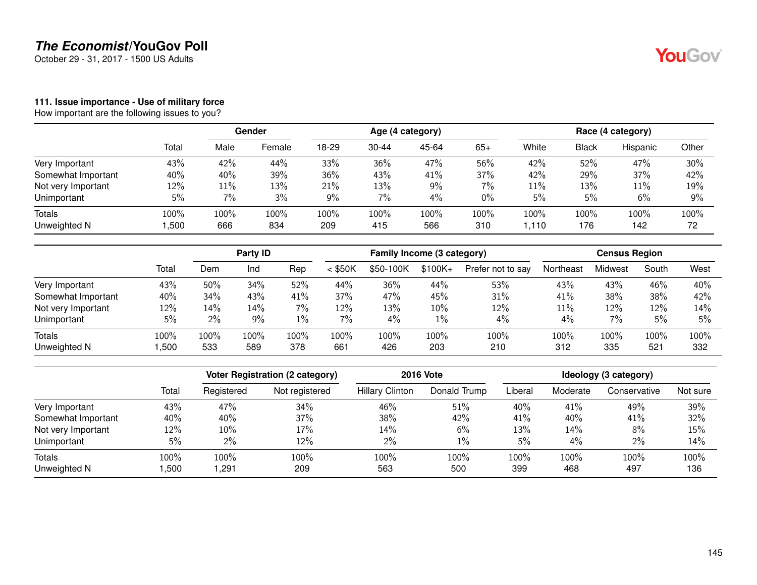October 29 - 31, 2017 - 1500 US Adults

#### **111. Issue importance - Use of military force**

How important are the following issues to you?

|                    |        |      | Gender |       |           | Age (4 category) |       | Race (4 category) |       |          |       |
|--------------------|--------|------|--------|-------|-----------|------------------|-------|-------------------|-------|----------|-------|
|                    | Total  | Male | Female | 18-29 | $30 - 44$ | 45-64            | $65+$ | White             | Black | Hispanic | Other |
| Very Important     | 43%    | 42%  | 44%    | 33%   | 36%       | 47%              | 56%   | 42%               | 52%   | 47%      | 30%   |
| Somewhat Important | 40%    | 40%  | 39%    | 36%   | 43%       | 41%              | 37%   | 42%               | 29%   | 37%      | 42%   |
| Not very Important | $12\%$ | 11%  | 13%    | 21%   | 13%       | 9%               | $7\%$ | 11%               | 13%   | 11%      | 19%   |
| Unimportant        | 5%     | 7%   | 3%     | 9%    | 7%        | 4%               | $0\%$ | 5%                | 5%    | 6%       | 9%    |
| <b>Totals</b>      | 100%   | 100% | 100%   | 100%  | 100%      | 100%             | 100%  | 100%              | 100%  | 100%     | 100%  |
| Unweighted N       | ,500   | 666  | 834    | 209   | 415       | 566              | 310   | .110              | 176   | 142      | 72    |

|                    |       | Party ID |       |       | Family Income (3 category) |           |           |                   | <b>Census Region</b> |         |       |      |
|--------------------|-------|----------|-------|-------|----------------------------|-----------|-----------|-------------------|----------------------|---------|-------|------|
|                    | Total | Dem      | Ind   | Rep   | $<$ \$50K                  | \$50-100K | $$100K +$ | Prefer not to say | Northeast            | Midwest | South | West |
| Very Important     | 43%   | 50%      | 34%   | 52%   | 44%                        | 36%       | 44%       | 53%               | 43%                  | 43%     | 46%   | 40%  |
| Somewhat Important | 40%   | 34%      | 43%   | 41%   | 37%                        | 47%       | 45%       | 31%               | 41%                  | 38%     | 38%   | 42%  |
| Not very Important | 12%   | 14%      | 14%   | $7\%$ | 12%                        | 13%       | 10%       | 12%               | 11%                  | 12%     | 12%   | 14%  |
| Unimportant        | 5%    | 2%       | $9\%$ | $1\%$ | 7%                         | 4%        | 1%        | 4%                | 4%                   | 7%      | 5%    | 5%   |
| Totals             | 100%  | 100%     | 100%  | 100%  | 100%                       | 100%      | 100%      | 100%              | 100%                 | 100%    | 100%  | 100% |
| Unweighted N       | ,500  | 533      | 589   | 378   | 661                        | 426       | 203       | 210               | 312                  | 335     | 521   | 332  |

|                    |         |            | Voter Registration (2 category) |                        | <b>2016 Vote</b> | Ideology (3 category) |          |              |          |  |
|--------------------|---------|------------|---------------------------------|------------------------|------------------|-----------------------|----------|--------------|----------|--|
|                    | Total   | Registered | Not registered                  | <b>Hillary Clinton</b> | Donald Trump     | Liberal               | Moderate | Conservative | Not sure |  |
| Very Important     | 43%     | 47%        | 34%                             | 46%                    | 51%              | 40%                   | 41%      | 49%          | 39%      |  |
| Somewhat Important | 40%     | 40%        | 37%                             | 38%                    | 42%              | 41%                   | 40%      | 41%          | 32%      |  |
| Not very Important | 12%     | $10\%$     | 17%                             | 14%                    | 6%               | 13%                   | 14%      | 8%           | 15%      |  |
| Unimportant        | 5%      | $2\%$      | 12%                             | $2\%$                  | $1\%$            | 5%                    | 4%       | 2%           | 14%      |  |
| Totals             | $100\%$ | 100%       | 100%                            | 100%                   | 100%             | 100%                  | 100%     | 100%         | 100%     |  |
| Unweighted N       | ,500    | ,291       | 209                             | 563                    | 500              | 399                   | 468      | 497          | 136      |  |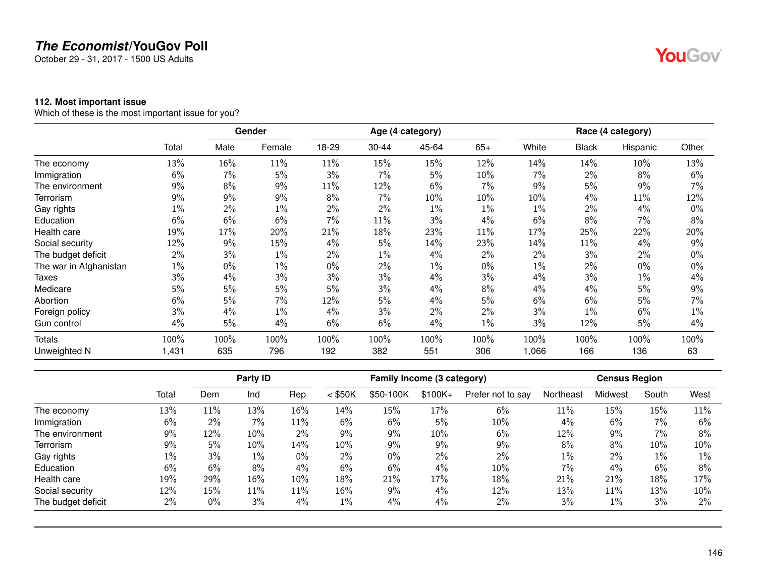October 29 - 31, 2017 - 1500 US Adults

#### **112. Most important issue**

Which of these is the most important issue for you?

|                        |       |       | Gender |       |           | Age (4 category) |       |       |              | Race (4 category) |       |
|------------------------|-------|-------|--------|-------|-----------|------------------|-------|-------|--------------|-------------------|-------|
|                        | Total | Male  | Female | 18-29 | $30 - 44$ | 45-64            | $65+$ | White | <b>Black</b> | Hispanic          | Other |
| The economy            | 13%   | 16%   | 11%    | 11%   | 15%       | 15%              | 12%   | 14%   | 14%          | 10%               | 13%   |
| Immigration            | 6%    | 7%    | 5%     | 3%    | 7%        | 5%               | 10%   | 7%    | 2%           | 8%                | 6%    |
| The environment        | 9%    | 8%    | 9%     | 11%   | 12%       | 6%               | 7%    | 9%    | 5%           | 9%                | 7%    |
| Terrorism              | 9%    | 9%    | 9%     | 8%    | 7%        | 10%              | 10%   | 10%   | 4%           | 11%               | 12%   |
| Gay rights             | 1%    | $2\%$ | $1\%$  | 2%    | 2%        | $1\%$            | $1\%$ | $1\%$ | 2%           | 4%                | $0\%$ |
| Education              | 6%    | 6%    | 6%     | 7%    | 11%       | 3%               | 4%    | 6%    | 8%           | $7\%$             | 8%    |
| Health care            | 19%   | 17%   | 20%    | 21%   | 18%       | 23%              | 11%   | 17%   | 25%          | 22%               | 20%   |
| Social security        | 12%   | 9%    | 15%    | 4%    | 5%        | 14%              | 23%   | 14%   | 11%          | 4%                | 9%    |
| The budget deficit     | 2%    | 3%    | $1\%$  | 2%    | 1%        | 4%               | 2%    | $2\%$ | 3%           | 2%                | $0\%$ |
| The war in Afghanistan | 1%    | $0\%$ | $1\%$  | $0\%$ | 2%        | $1\%$            | $0\%$ | $1\%$ | 2%           | $0\%$             | $0\%$ |
| Taxes                  | 3%    | 4%    | 3%     | 3%    | 3%        | 4%               | 3%    | 4%    | 3%           | $1\%$             | 4%    |
| Medicare               | 5%    | 5%    | 5%     | 5%    | 3%        | 4%               | 8%    | 4%    | $4\%$        | 5%                | 9%    |
| Abortion               | 6%    | 5%    | 7%     | 12%   | 5%        | 4%               | 5%    | 6%    | 6%           | 5%                | 7%    |
| Foreign policy         | 3%    | 4%    | $1\%$  | $4\%$ | 3%        | 2%               | 2%    | 3%    | 1%           | 6%                | 1%    |
| Gun control            | 4%    | 5%    | $4\%$  | 6%    | 6%        | 4%               | $1\%$ | 3%    | 12%          | 5%                | 4%    |
| Totals                 | 100%  | 100%  | 100%   | 100%  | 100%      | 100%             | 100%  | 100%  | 100%         | 100%              | 100%  |
| Unweighted N           | 1,431 | 635   | 796    | 192   | 382       | 551              | 306   | 1,066 | 166          | 136               | 63    |

|                    |       |       | Party ID |       |           | Family Income (3 category) |          |                   |           | <b>Census Region</b> |       |       |
|--------------------|-------|-------|----------|-------|-----------|----------------------------|----------|-------------------|-----------|----------------------|-------|-------|
|                    | Total | Dem   | Ind      | Rep   | $<$ \$50K | \$50-100K                  | $$100K+$ | Prefer not to say | Northeast | Midwest              | South | West  |
| The economy        | 13%   | 11%   | 13%      | 16%   | 14%       | 15%                        | 17%      | 6%                | 11%       | 15%                  | 15%   | 11%   |
| Immigration        | 6%    | $2\%$ | 7%       | 11%   | 6%        | 6%                         | 5%       | 10%               | 4%        | 6%                   | 7%    | 6%    |
| The environment    | 9%    | 12%   | 10%      | 2%    | 9%        | 9%                         | 10%      | 6%                | 12%       | 9%                   | 7%    | 8%    |
| Terrorism          | 9%    | 5%    | 10%      | 14%   | $10\%$    | 9%                         | 9%       | 9%                | 8%        | 8%                   | 10%   | 10%   |
| Gay rights         | $1\%$ | 3%    | $1\%$    | $0\%$ | 2%        | $0\%$                      | 2%       | $2\%$             | $1\%$     | $2\%$                | $1\%$ | $1\%$ |
| Education          | 6%    | 6%    | 8%       | 4%    | 6%        | 6%                         | 4%       | 10%               | 7%        | 4%                   | 6%    | 8%    |
| Health care        | 19%   | 29%   | 16%      | 10%   | 18%       | 21%                        | 17%      | 18%               | 21%       | 21%                  | 18%   | 17%   |
| Social security    | 12%   | 15%   | 11%      | 11%   | 16%       | 9%                         | 4%       | 12%               | 13%       | 11%                  | 13%   | 10%   |
| The budget deficit | 2%    | $0\%$ | 3%       | 4%    | 1%        | 4%                         | 4%       | $2\%$             | 3%        | $1\%$                | 3%    | 2%    |

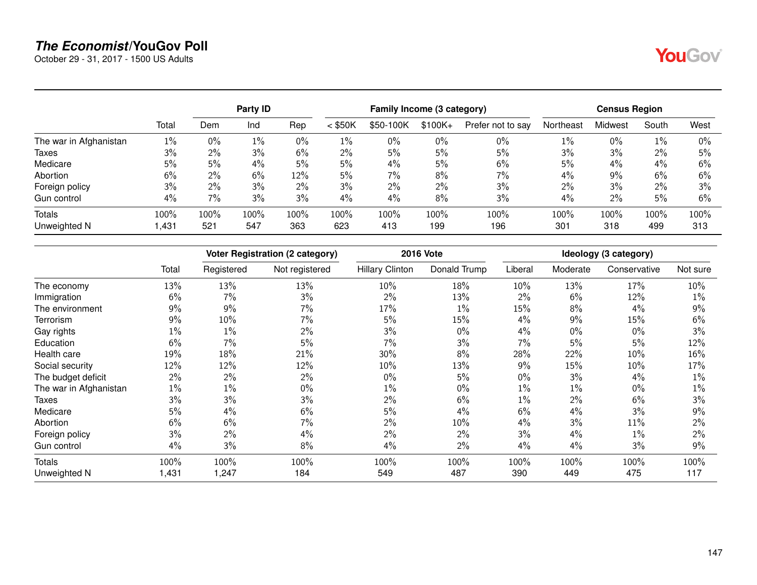October 29 - 31, 2017 - 1500 US Adults

|                        |        |       | Party ID |       |           | Family Income (3 category) |          |                   |           | <b>Census Region</b> |       |       |  |
|------------------------|--------|-------|----------|-------|-----------|----------------------------|----------|-------------------|-----------|----------------------|-------|-------|--|
|                        | Total  | Dem   | Ind      | Rep   | $<$ \$50K | \$50-100K                  | $$100K+$ | Prefer not to say | Northeast | Midwest              | South | West  |  |
| The war in Afghanistan | 1%     | 0%    | 1%       | $0\%$ | $1\%$     | $0\%$                      | $0\%$    | $0\%$             | 1%        | $0\%$                | $1\%$ | $0\%$ |  |
| Taxes                  | 3%     | 2%    | 3%       | 6%    | $2\%$     | 5%                         | 5%       | 5%                | 3%        | 3%                   | 2%    | 5%    |  |
| Medicare               | 5%     | 5%    | 4%       | 5%    | 5%        | 4%                         | 5%       | 6%                | 5%        | 4%                   | 4%    | 6%    |  |
| Abortion               | 6%     | $2\%$ | 6%       | 12%   | 5%        | 7%                         | 8%       | $7\%$             | 4%        | 9%                   | 6%    | 6%    |  |
| Foreign policy         | 3%     | 2%    | 3%       | $2\%$ | 3%        | 2%                         | 2%       | 3%                | 2%        | 3%                   | 2%    | 3%    |  |
| Gun control            | 4%     | 7%    | 3%       | 3%    | 4%        | 4%                         | 8%       | 3%                | 4%        | 2%                   | 5%    | 6%    |  |
| <b>Totals</b>          | 100%   | 100%  | 100%     | 100%  | 100%      | 100%                       | 100%     | 100%              | 100%      | 100%                 | 100%  | 100%  |  |
| Unweighted N           | 431, ا | 521   | 547      | 363   | 623       | 413                        | 199      | 196               | 301       | 318                  | 499   | 313   |  |

|                        |       |            | <b>Voter Registration (2 category)</b> |                        | <b>2016 Vote</b> |         |          | Ideology (3 category) |          |
|------------------------|-------|------------|----------------------------------------|------------------------|------------------|---------|----------|-----------------------|----------|
|                        | Total | Registered | Not registered                         | <b>Hillary Clinton</b> | Donald Trump     | Liberal | Moderate | Conservative          | Not sure |
| The economy            | 13%   | 13%        | 13%                                    | 10%                    | 18%              | 10%     | 13%      | 17%                   | 10%      |
| Immigration            | 6%    | 7%         | 3%                                     | $2\%$                  | 13%              | 2%      | 6%       | 12%                   | $1\%$    |
| The environment        | 9%    | $9\%$      | 7%                                     | 17%                    | $1\%$            | 15%     | 8%       | 4%                    | 9%       |
| Terrorism              | 9%    | 10%        | 7%                                     | 5%                     | 15%              | 4%      | 9%       | 15%                   | 6%       |
| Gay rights             | $1\%$ | $1\%$      | 2%                                     | 3%                     | $0\%$            | 4%      | $0\%$    | $0\%$                 | 3%       |
| Education              | 6%    | 7%         | 5%                                     | $7\%$                  | 3%               | 7%      | 5%       | 5%                    | 12%      |
| Health care            | 19%   | 18%        | 21%                                    | $30\%$                 | $8\%$            | 28%     | 22%      | 10%                   | 16%      |
| Social security        | 12%   | 12%        | 12%                                    | 10%                    | 13%              | 9%      | 15%      | 10%                   | 17%      |
| The budget deficit     | 2%    | $2\%$      | 2%                                     | $0\%$                  | 5%               | 0%      | 3%       | 4%                    | $1\%$    |
| The war in Afghanistan | $1\%$ | $1\%$      | $0\%$                                  | $1\%$                  | $0\%$            | $1\%$   | 1%       | $0\%$                 | 1%       |
| <b>Taxes</b>           | 3%    | 3%         | 3%                                     | $2\%$                  | 6%               | $1\%$   | 2%       | 6%                    | 3%       |
| Medicare               | 5%    | $4\%$      | 6%                                     | 5%                     | $4\%$            | 6%      | $4\%$    | 3%                    | 9%       |
| Abortion               | 6%    | 6%         | 7%                                     | $2\%$                  | 10%              | 4%      | 3%       | 11%                   | 2%       |
| Foreign policy         | 3%    | 2%         | 4%                                     | 2%                     | $2\%$            | 3%      | 4%       | $1\%$                 | 2%       |
| Gun control            | 4%    | 3%         | 8%                                     | 4%                     | $2\%$            | 4%      | 4%       | 3%                    | 9%       |
| Totals                 | 100%  | 100%       | 100%                                   | 100%                   | 100%             | 100%    | 100%     | 100%                  | 100%     |
| Unweighted N           | 1,431 | 1,247      | 184                                    | 549                    | 487              | 390     | 449      | 475                   | 117      |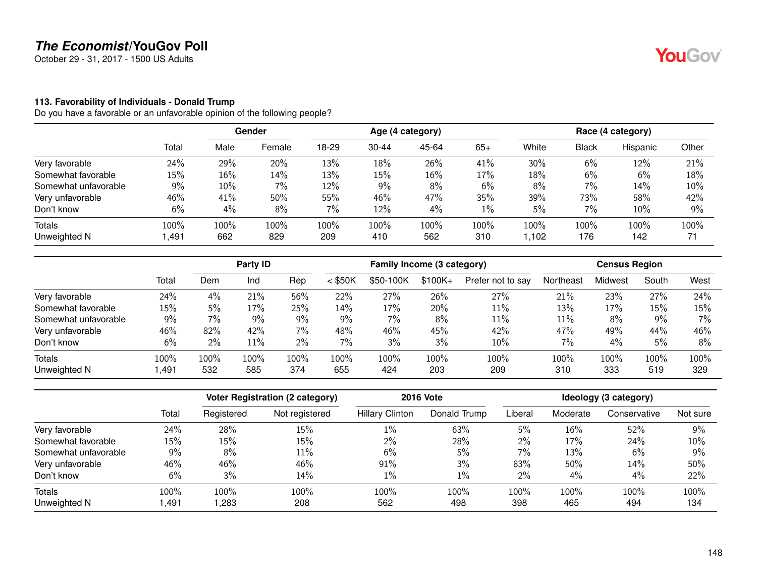October 29 - 31, 2017 - 1500 US Adults

### **113. Favorability of Individuals - Donald Trump**

|                      |        | Gender |        | Age (4 category) |           |       |       | Race (4 category) |       |          |       |
|----------------------|--------|--------|--------|------------------|-----------|-------|-------|-------------------|-------|----------|-------|
|                      | Total  | Male   | Female | 18-29            | $30 - 44$ | 45-64 | $65+$ | White             | Black | Hispanic | Other |
| Very favorable       | 24%    | 29%    | 20%    | 13%              | 18%       | 26%   | 41%   | 30%               | 6%    | 12%      | 21%   |
| Somewhat favorable   | $15\%$ | 16%    | 14%    | 13%              | 15%       | 16%   | 17%   | 18%               | 6%    | 6%       | 18%   |
| Somewhat unfavorable | 9%     | 10%    | 7%     | 12%              | 9%        | 8%    | 6%    | 8%                | $7\%$ | 14%      | 10%   |
| Very unfavorable     | 46%    | 41%    | 50%    | 55%              | 46%       | 47%   | 35%   | 39%               | 73%   | 58%      | 42%   |
| Don't know           | 6%     | 4%     | 8%     | 7%               | 12%       | 4%    | $1\%$ | 5%                | 7%    | 10%      | 9%    |
| <b>Totals</b>        | 100%   | 100%   | 100%   | 100%             | 100%      | 100%  | 100%  | 100%              | 100%  | 100%     | 100%  |
| Unweighted N         | 491,   | 662    | 829    | 209              | 410       | 562   | 310   | ,102              | 176   | 142      | 71    |

|                      |       |       | Party ID |      |           | Family Income (3 category) |           |                   |           | <b>Census Region</b> |       |       |
|----------------------|-------|-------|----------|------|-----------|----------------------------|-----------|-------------------|-----------|----------------------|-------|-------|
|                      | Total | Dem   | Ind      | Rep  | $<$ \$50K | \$50-100K                  | $$100K +$ | Prefer not to say | Northeast | Midwest              | South | West  |
| Very favorable       | 24%   | 4%    | 21%      | 56%  | 22%       | 27%                        | 26%       | 27%               | 21%       | 23%                  | 27%   | 24%   |
| Somewhat favorable   | 15%   | 5%    | 17%      | 25%  | 14%       | 17%                        | 20%       | 11%               | 13%       | 17%                  | 15%   | 15%   |
| Somewhat unfavorable | $9\%$ | 7%    | 9%       | 9%   | 9%        | 7%                         | 8%        | 11%               | 11%       | 8%                   | 9%    | $7\%$ |
| Very unfavorable     | 46%   | 82%   | 42%      | 7%   | 48%       | 46%                        | 45%       | 42%               | 47%       | 49%                  | 44%   | 46%   |
| Don't know           | 6%    | $2\%$ | 11%      | 2%   | $7\%$     | 3%                         | 3%        | 10%               | 7%        | 4%                   | 5%    | 8%    |
| <b>Totals</b>        | 100%  | 100%  | 100%     | 100% | 100%      | $100\%$                    | 100%      | 100%              | 100%      | 100%                 | 100%  | 100%  |
| Unweighted N         | .491  | 532   | 585      | 374  | 655       | 424                        | 203       | 209               | 310       | 333                  | 519   | 329   |

|                      |       | <b>Voter Registration (2 category)</b> |                |                        | <b>2016 Vote</b> | Ideology (3 category) |          |              |          |  |
|----------------------|-------|----------------------------------------|----------------|------------------------|------------------|-----------------------|----------|--------------|----------|--|
|                      | Total | Registered                             | Not registered | <b>Hillary Clinton</b> | Donald Trump     | Liberal               | Moderate | Conservative | Not sure |  |
| Very favorable       | 24%   | 28%                                    | 15%            | 1%                     | 63%              | 5%                    | 16%      | 52%          | $9\%$    |  |
| Somewhat favorable   | 15%   | 15%                                    | 15%            | 2%                     | 28%              | $2\%$                 | 17%      | 24%          | 10%      |  |
| Somewhat unfavorable | 9%    | 8%                                     | 11%            | 6%                     | 5%               | 7%                    | 13%      | 6%           | 9%       |  |
| Very unfavorable     | 46%   | 46%                                    | 46%            | 91%                    | 3%               | 83%                   | 50%      | 14%          | 50%      |  |
| Don't know           | 6%    | 3%                                     | 14%            | 1%                     | $1\%$            | $2\%$                 | 4%       | 4%           | 22%      |  |
| Totals               | 100%  | 100%                                   | 100%           | 100%                   | 100%             | 100%                  | 100%     | 100%         | 100%     |  |
| Unweighted N         | ,491  | ,283                                   | 208            | 562                    | 498              | 398                   | 465      | 494          | 134      |  |

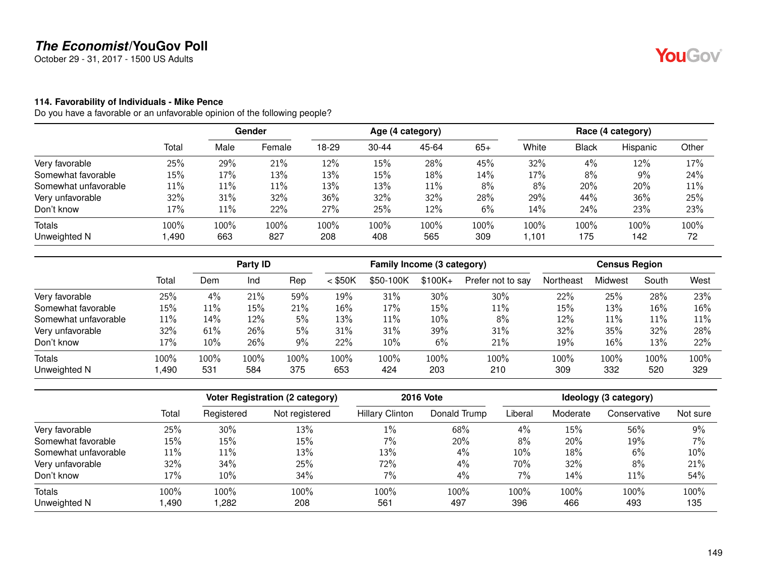October 29 - 31, 2017 - 1500 US Adults

#### **114. Favorability of Individuals - Mike Pence**

|                      |        |      | Gender |       |           | Age (4 category) |       |       |       | Race (4 category) |        |
|----------------------|--------|------|--------|-------|-----------|------------------|-------|-------|-------|-------------------|--------|
|                      | Total  | Male | Female | 18-29 | $30 - 44$ | 45-64            | $65+$ | White | Black | Hispanic          | Other  |
| Very favorable       | 25%    | 29%  | 21%    | 12%   | 15%       | 28%              | 45%   | 32%   | 4%    | 12%               | 17%    |
| Somewhat favorable   | 15%    | 17%  | 13%    | 13%   | 15%       | 18%              | 14%   | 17%   | 8%    | 9%                | 24%    |
| Somewhat unfavorable | $11\%$ | 11%  | 11%    | 13%   | 13%       | 11%              | 8%    | 8%    | 20%   | 20%               | $11\%$ |
| Very unfavorable     | 32%    | 31%  | 32%    | 36%   | 32%       | 32%              | 28%   | 29%   | 44%   | 36%               | 25%    |
| Don't know           | 17%    | 11%  | 22%    | 27%   | 25%       | 12%              | 6%    | 14%   | 24%   | 23%               | 23%    |
| <b>Totals</b>        | 100%   | 100% | 100%   | 100%  | 100%      | 100%             | 100%  | 100%  | 100%  | 100%              | 100%   |
| Unweighted N         | ,490   | 663  | 827    | 208   | 408       | 565              | 309   | ,101  | 175   | 142               | 72     |

|                      |        |        | Party ID |      |           | Family Income (3 category) |           |                   |           | <b>Census Region</b> |       |      |
|----------------------|--------|--------|----------|------|-----------|----------------------------|-----------|-------------------|-----------|----------------------|-------|------|
|                      | Total  | Dem    | Ind      | Rep  | $<$ \$50K | \$50-100K                  | $$100K +$ | Prefer not to say | Northeast | Midwest              | South | West |
| Very favorable       | 25%    | 4%     | 21%      | 59%  | 19%       | 31%                        | 30%       | 30%               | 22%       | 25%                  | 28%   | 23%  |
| Somewhat favorable   | 15%    | $11\%$ | 15%      | 21%  | $16\%$    | 17%                        | 15%       | 11%               | 15%       | 13%                  | 16%   | 16%  |
| Somewhat unfavorable | $11\%$ | 14%    | 12%      | 5%   | 13%       | 11%                        | 10%       | 8%                | 12%       | 11%                  | 11%   | 11%  |
| Very unfavorable     | 32%    | 61%    | 26%      | 5%   | 31%       | 31%                        | 39%       | 31%               | 32%       | 35%                  | 32%   | 28%  |
| Don't know           | 17%    | 10%    | 26%      | 9%   | 22%       | 10%                        | 6%        | 21%               | 19%       | 16%                  | 13%   | 22%  |
| <b>Totals</b>        | 100%   | 100%   | 100%     | 100% | 100%      | 100%                       | 100%      | 100%              | 100%      | 100%                 | 100%  | 100% |
| Unweighted N         | ,490   | 531    | 584      | 375  | 653       | 424                        | 203       | 210               | 309       | 332                  | 520   | 329  |

|                      |       |            | Voter Registration (2 category) |                        | <b>2016 Vote</b> |         |          | Ideology (3 category) |          |
|----------------------|-------|------------|---------------------------------|------------------------|------------------|---------|----------|-----------------------|----------|
|                      | Total | Registered | Not registered                  | <b>Hillary Clinton</b> | Donald Trump     | Liberal | Moderate | Conservative          | Not sure |
| Very favorable       | 25%   | 30%        | 13%                             | 1%                     | 68%              | 4%      | 15%      | 56%                   | 9%       |
| Somewhat favorable   | 15%   | 15%        | 15%                             | $7\%$                  | 20%              | 8%      | 20%      | 19%                   | 7%       |
| Somewhat unfavorable | 11%   | 11%        | 13%                             | 13%                    | 4%               | 10%     | 18%      | 6%                    | 10%      |
| Very unfavorable     | 32%   | 34%        | 25%                             | 72%                    | $4\%$            | 70%     | 32%      | 8%                    | 21%      |
| Don't know           | 17%   | 10%        | 34%                             | 7%                     | $4\%$            | 7%      | 14%      | 11%                   | 54%      |
| <b>Totals</b>        | 100%  | 100%       | 100%                            | 100%                   | 100%             | 100%    | 100%     | 100%                  | 100%     |
| Unweighted N         | ,490  | ,282       | 208                             | 561                    | 497              | 396     | 466      | 493                   | 135      |

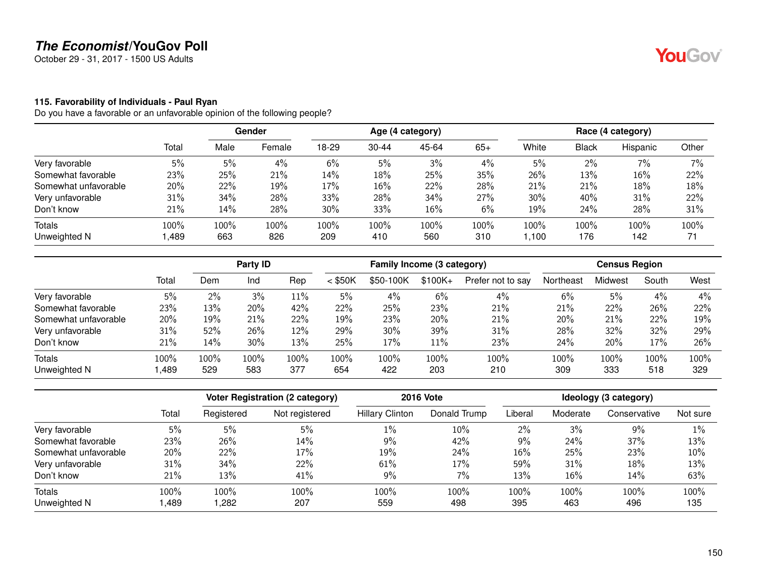October 29 - 31, 2017 - 1500 US Adults

### **115. Favorability of Individuals - Paul Ryan**

|                      |       | Gender |        | Age (4 category) |           |       |       | Race (4 category) |       |          |       |
|----------------------|-------|--------|--------|------------------|-----------|-------|-------|-------------------|-------|----------|-------|
|                      | Total | Male   | Female | 18-29            | $30 - 44$ | 45-64 | $65+$ | White             | Black | Hispanic | Other |
| Very favorable       | 5%    | 5%     | 4%     | 6%               | 5%        | 3%    | 4%    | 5%                | 2%    | $7\%$    | 7%    |
| Somewhat favorable   | 23%   | 25%    | 21%    | 14%              | 18%       | 25%   | 35%   | 26%               | 13%   | 16%      | 22%   |
| Somewhat unfavorable | 20%   | 22%    | 19%    | 17%              | 16%       | 22%   | 28%   | 21%               | 21%   | 18%      | 18%   |
| Very unfavorable     | 31%   | 34%    | 28%    | 33%              | 28%       | 34%   | 27%   | 30%               | 40%   | 31%      | 22%   |
| Don't know           | 21%   | 14%    | 28%    | 30%              | 33%       | 16%   | 6%    | 19%               | 24%   | 28%      | 31%   |
| <b>Totals</b>        | 100%  | 100%   | 100%   | 100%             | 100%      | 100%  | 100%  | 100%              | 100%  | 100%     | 100%  |
| Unweighted N         | ,489  | 663    | 826    | 209              | 410       | 560   | 310   | ,100              | 176   | 142      | 71    |

|                      |       |       | Party ID |      |           | Family Income (3 category) |          |                   |           | <b>Census Region</b> |       |      |
|----------------------|-------|-------|----------|------|-----------|----------------------------|----------|-------------------|-----------|----------------------|-------|------|
|                      | Total | Dem   | Ind      | Rep  | $<$ \$50K | \$50-100K                  | $$100K+$ | Prefer not to say | Northeast | Midwest              | South | West |
| Very favorable       | 5%    | $2\%$ | 3%       | 11%  | 5%        | 4%                         | 6%       | 4%                | 6%        | 5%                   | 4%    | 4%   |
| Somewhat favorable   | 23%   | 13%   | 20%      | 42%  | 22%       | 25%                        | 23%      | 21%               | 21%       | 22%                  | 26%   | 22%  |
| Somewhat unfavorable | 20%   | 19%   | 21%      | 22%  | 19%       | 23%                        | 20%      | 21%               | 20%       | 21%                  | 22%   | 19%  |
| Very unfavorable     | 31%   | 52%   | 26%      | 12%  | 29%       | 30%                        | 39%      | 31%               | 28%       | 32%                  | 32%   | 29%  |
| Don't know           | 21%   | 14%   | 30%      | 13%  | 25%       | 17%                        | $11\%$   | 23%               | 24%       | 20%                  | 17%   | 26%  |
| <b>Totals</b>        | 100%  | 100%  | 100%     | 100% | $100\%$   | 100%                       | 100%     | 100%              | 100%      | 100%                 | 100%  | 100% |
| Unweighted N         | ,489  | 529   | 583      | 377  | 654       | 422                        | 203      | 210               | 309       | 333                  | 518   | 329  |

|                      |       |            | <b>Voter Registration (2 category)</b> |                        | <b>2016 Vote</b> |         |          | Ideology (3 category) |          |
|----------------------|-------|------------|----------------------------------------|------------------------|------------------|---------|----------|-----------------------|----------|
|                      | Total | Registered | Not registered                         | <b>Hillary Clinton</b> | Donald Trump     | Liberal | Moderate | Conservative          | Not sure |
| Very favorable       | 5%    | 5%         | 5%                                     | 1%                     | 10%              | $2\%$   | 3%       | 9%                    | 1%       |
| Somewhat favorable   | 23%   | 26%        | 14%                                    | 9%                     | 42%              | 9%      | 24%      | 37%                   | 13%      |
| Somewhat unfavorable | 20%   | 22%        | 17%                                    | 19%                    | 24%              | 16%     | 25%      | 23%                   | 10%      |
| Very unfavorable     | 31%   | 34%        | 22%                                    | 61%                    | 17%              | 59%     | 31%      | 18%                   | 13%      |
| Don't know           | 21%   | 13%        | 41%                                    | 9%                     | 7%               | 13%     | 16%      | $14\%$                | 63%      |
| Totals               | 100%  | 100%       | 100%                                   | 100%                   | 100%             | 100%    | 100%     | 100%                  | 100%     |
| Unweighted N         | ,489  | ,282       | 207                                    | 559                    | 498              | 395     | 463      | 496                   | 135      |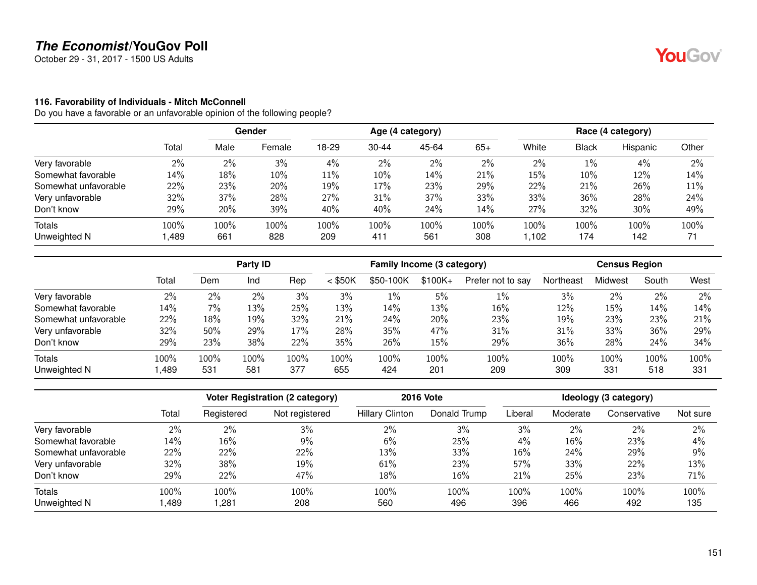October 29 - 31, 2017 - 1500 US Adults

#### **116. Favorability of Individuals - Mitch McConnell**

Do you have a favorable or an unfavorable opinion of the following people?

|                      |        | Gender |        | Age (4 category) |           |       |       | Race (4 category) |              |          |       |
|----------------------|--------|--------|--------|------------------|-----------|-------|-------|-------------------|--------------|----------|-------|
|                      | Total  | Male   | Female | 18-29            | $30 - 44$ | 45-64 | $65+$ | White             | <b>Black</b> | Hispanic | Other |
| Very favorable       | 2%     | 2%     | 3%     | 4%               | 2%        | 2%    | 2%    | 2%                | $1\%$        | $4\%$    | 2%    |
| Somewhat favorable   | 14%    | 18%    | 10%    | 11%              | 10%       | 14%   | 21%   | 15%               | 10%          | 12%      | 14%   |
| Somewhat unfavorable | 22%    | 23%    | 20%    | 19%              | 17%       | 23%   | 29%   | 22%               | 21%          | 26%      | 11%   |
| Very unfavorable     | 32%    | 37%    | 28%    | 27%              | 31%       | 37%   | 33%   | 33%               | 36%          | 28%      | 24%   |
| Don't know           | 29%    | 20%    | 39%    | 40%              | 40%       | 24%   | 14%   | 27%               | 32%          | 30%      | 49%   |
| <b>Totals</b>        | 100%   | 100%   | 100%   | 100%             | 100%      | 100%  | 100%  | 100%              | 100%         | 100%     | 100%  |
| Unweighted N         | 489، ا | 661    | 828    | 209              | 411       | 561   | 308   | 1.102             | 174          | 142      | 71    |

|                      |       | Party ID |      |      | Family Income (3 category) |           |           |                   | <b>Census Region</b> |         |       |      |
|----------------------|-------|----------|------|------|----------------------------|-----------|-----------|-------------------|----------------------|---------|-------|------|
|                      | Total | Dem      | Ind  | Rep  | $<$ \$50K                  | \$50-100K | $$100K +$ | Prefer not to say | Northeast            | Midwest | South | West |
| Very favorable       | 2%    | $2\%$    | 2%   | 3%   | 3%                         | $1\%$     | 5%        | $1\%$             | 3%                   | 2%      | 2%    | 2%   |
| Somewhat favorable   | 14%   | 7%       | 13%  | 25%  | 13%                        | 14%       | 13%       | 16%               | 12%                  | 15%     | 14%   | 14%  |
| Somewhat unfavorable | 22%   | 18%      | 19%  | 32%  | 21%                        | 24%       | 20%       | 23%               | 19%                  | 23%     | 23%   | 21%  |
| Very unfavorable     | 32%   | 50%      | 29%  | 17%  | 28%                        | 35%       | 47%       | 31%               | 31%                  | 33%     | 36%   | 29%  |
| Don't know           | 29%   | 23%      | 38%  | 22%  | 35%                        | 26%       | 15%       | 29%               | 36%                  | 28%     | 24%   | 34%  |
| <b>Totals</b>        | 100%  | 100%     | 100% | 100% | 100%                       | 100%      | 100%      | 100%              | 100%                 | 100%    | 100%  | 100% |
| Unweighted N         | .489  | 531      | 581  | 377  | 655                        | 424       | 201       | 209               | 309                  | 331     | 518   | 331  |

|                      |       |            | Voter Registration (2 category) |                        | <b>2016 Vote</b> |         |          | Ideology (3 category) |          |
|----------------------|-------|------------|---------------------------------|------------------------|------------------|---------|----------|-----------------------|----------|
|                      | Total | Registered | Not registered                  | <b>Hillary Clinton</b> | Donald Trump     | Liberal | Moderate | Conservative          | Not sure |
| Very favorable       | 2%    | 2%         | 3%                              | $2\%$                  | 3%               | 3%      | $2\%$    | $2\%$                 | 2%       |
| Somewhat favorable   | 14%   | 16%        | 9%                              | 6%                     | 25%              | 4%      | 16%      | 23%                   | 4%       |
| Somewhat unfavorable | 22%   | 22%        | 22%                             | 13%                    | 33%              | 16%     | 24%      | 29%                   | 9%       |
| Very unfavorable     | 32%   | 38%        | 19%                             | 61%                    | 23%              | 57%     | 33%      | 22%                   | 13%      |
| Don't know           | 29%   | 22%        | 47%                             | 18%                    | 16%              | 21%     | 25%      | 23%                   | 71%      |
| <b>Totals</b>        | 100%  | 100%       | 100%                            | 100%                   | 100%             | 100%    | 100%     | 100%                  | 100%     |
| Unweighted N         | ,489  | ,281       | 208                             | 560                    | 496              | 396     | 466      | 492                   | 135      |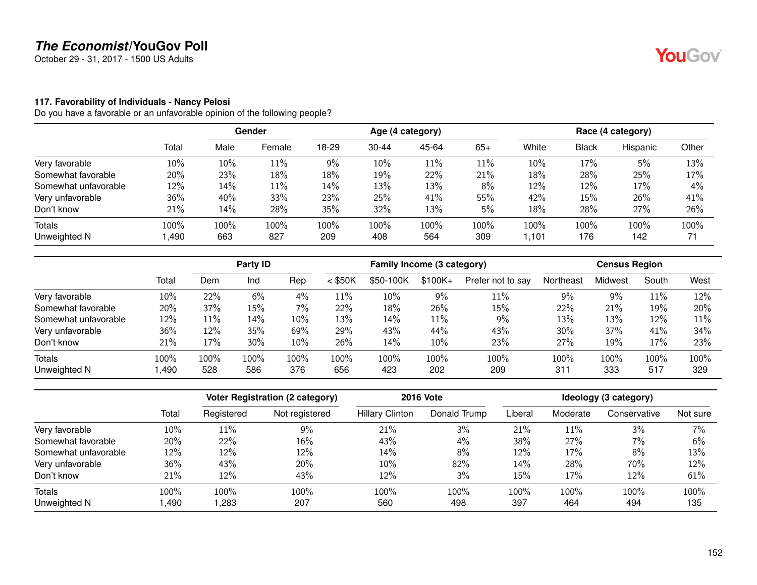October 29 - 31, 2017 - 1500 US Adults

### **117. Favorability of Individuals - Nancy Pelosi**

|                      |        | Gender |        | Age (4 category) |           |       |       | Race (4 category) |              |          |       |
|----------------------|--------|--------|--------|------------------|-----------|-------|-------|-------------------|--------------|----------|-------|
|                      | Total  | Male   | Female | 18-29            | $30 - 44$ | 45-64 | $65+$ | White             | <b>Black</b> | Hispanic | Other |
| Very favorable       | $10\%$ | 10%    | 11%    | $9\%$            | 10%       | 11%   | 11%   | 10%               | 17%          | 5%       | 13%   |
| Somewhat favorable   | 20%    | 23%    | 18%    | 18%              | 19%       | 22%   | 21%   | 18%               | 28%          | 25%      | 17%   |
| Somewhat unfavorable | $12\%$ | 14%    | 11%    | 14%              | 13%       | 13%   | 8%    | 12%               | 12%          | 17%      | 4%    |
| Very unfavorable     | 36%    | 40%    | 33%    | 23%              | 25%       | 41%   | 55%   | 42%               | 15%          | 26%      | 41%   |
| Don't know           | 21%    | 14%    | 28%    | 35%              | 32%       | 13%   | 5%    | 18%               | 28%          | 27%      | 26%   |
| <b>Totals</b>        | 100%   | 100%   | 100%   | 100%             | 100%      | 100%  | 100%  | 100%              | 100%         | 100%     | 100%  |
| Unweighted N         | ,490   | 663    | 827    | 209              | 408       | 564   | 309   | 1.101             | 176          | 142      | 71    |

|                      |       | Party ID |      |      | Family Income (3 category) |           |           |                   | <b>Census Region</b> |         |       |      |
|----------------------|-------|----------|------|------|----------------------------|-----------|-----------|-------------------|----------------------|---------|-------|------|
|                      | Total | Dem      | Ind  | Rep  | $<$ \$50K                  | \$50-100K | $$100K +$ | Prefer not to say | Northeast            | Midwest | South | West |
| Very favorable       | 10%   | 22%      | 6%   | 4%   | 11%                        | 10%       | 9%        | 11%               | 9%                   | 9%      | 11%   | 12%  |
| Somewhat favorable   | 20%   | 37%      | 15%  | 7%   | 22%                        | 18%       | 26%       | 15%               | 22%                  | 21%     | 19%   | 20%  |
| Somewhat unfavorable | 12%   | $11\%$   | 14%  | 10%  | 13%                        | 14%       | 11%       | 9%                | 13%                  | 13%     | 12%   | 11%  |
| Very unfavorable     | 36%   | 12%      | 35%  | 69%  | 29%                        | 43%       | 44%       | 43%               | 30%                  | 37%     | 41%   | 34%  |
| Don't know           | 21%   | 17%      | 30%  | 10%  | 26%                        | 14%       | 10%       | 23%               | 27%                  | 19%     | 17%   | 23%  |
| <b>Totals</b>        | 100%  | 100%     | 100% | 100% | 100%                       | 100%      | 100%      | 100%              | $100\%$              | 100%    | 100%  | 100% |
| Unweighted N         | ,490  | 528      | 586  | 376  | 656                        | 423       | 202       | 209               | 311                  | 333     | 517   | 329  |

|                      |       |            | Voter Registration (2 category) |                        | <b>2016 Vote</b> |         |          | Ideology (3 category) |          |
|----------------------|-------|------------|---------------------------------|------------------------|------------------|---------|----------|-----------------------|----------|
|                      | Total | Registered | Not registered                  | <b>Hillary Clinton</b> | Donald Trump     | Liberal | Moderate | Conservative          | Not sure |
| Very favorable       | 10%   | 11%        | 9%                              | 21%                    | 3%               | 21%     | $11\%$   | 3%                    | 7%       |
| Somewhat favorable   | 20%   | 22%        | 16%                             | 43%                    | $4\%$            | 38%     | 27%      | 7%                    | 6%       |
| Somewhat unfavorable | 12%   | 12%        | 12%                             | 14%                    | 8%               | 12%     | 17%      | 8%                    | 13%      |
| Very unfavorable     | 36%   | 43%        | 20%                             | 10%                    | 82%              | 14%     | 28%      | 70%                   | 12%      |
| Don't know           | 21%   | 12%        | 43%                             | 12%                    | 3%               | 15%     | 17%      | 12%                   | 61%      |
| <b>Totals</b>        | 100%  | 100%       | 100%                            | 100%                   | 100%             | 100%    | 100%     | 100%                  | 100%     |
| Unweighted N         | ,490  | ,283       | 207                             | 560                    | 498              | 397     | 464      | 494                   | 135      |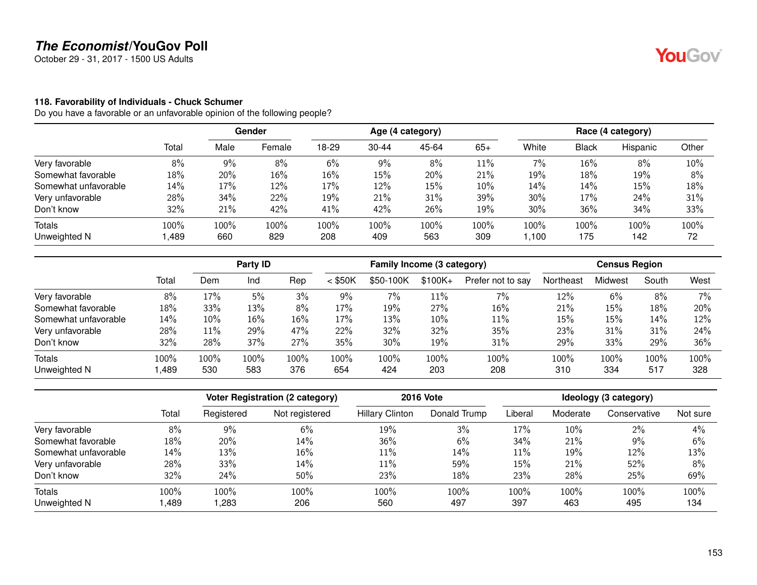October 29 - 31, 2017 - 1500 US Adults

#### **118. Favorability of Individuals - Chuck Schumer**

|                      |        |      | <b>Gender</b> |       |           | Age (4 category) |       |        |              | Race (4 category) |       |  |
|----------------------|--------|------|---------------|-------|-----------|------------------|-------|--------|--------------|-------------------|-------|--|
|                      | Total  | Male | Female        | 18-29 | $30 - 44$ | 45-64            | $65+$ | White  | <b>Black</b> | Hispanic          | Other |  |
| Very favorable       | 8%     | 9%   | 8%            | 6%    | 9%        | 8%               | 11%   | 7%     | 16%          | 8%                | 10%   |  |
| Somewhat favorable   | 18%    | 20%  | 16%           | 16%   | 15%       | 20%              | 21%   | 19%    | 18%          | 19%               | 8%    |  |
| Somewhat unfavorable | 14%    | 17%  | 12%           | 17%   | 12%       | 15%              | 10%   | 14%    | 14%          | 15%               | 18%   |  |
| Very unfavorable     | 28%    | 34%  | 22%           | 19%   | 21%       | 31%              | 39%   | 30%    | 17%          | 24%               | 31%   |  |
| Don't know           | $32\%$ | 21%  | 42%           | 41%   | 42%       | 26%              | 19%   | 30%    | 36%          | 34%               | 33%   |  |
| <b>Totals</b>        | 100%   | 100% | 100%          | 100%  | 100%      | 100%             | 100%  | 100%   | 100%         | 100%              | 100%  |  |
| Unweighted N         | 489, ا | 660  | 829           | 208   | 409       | 563              | 309   | 100, ا | 175          | 142               | 72    |  |

|                      |       | Party ID |      |         | Family Income (3 category) |           |          |                   | <b>Census Region</b> |         |       |       |
|----------------------|-------|----------|------|---------|----------------------------|-----------|----------|-------------------|----------------------|---------|-------|-------|
|                      | Total | Dem      | Ind  | Rep     | $<$ \$50K                  | \$50-100K | $$100K+$ | Prefer not to say | Northeast            | Midwest | South | West  |
| Very favorable       | 8%    | 17%      | 5%   | 3%      | 9%                         | $7\%$     | 11%      | $7\%$             | 12%                  | 6%      | 8%    | $7\%$ |
| Somewhat favorable   | 18%   | 33%      | 13%  | 8%      | 17%                        | 19%       | 27%      | 16%               | 21%                  | 15%     | 18%   | 20%   |
| Somewhat unfavorable | 14%   | 10%      | 16%  | 16%     | 17%                        | 13%       | 10%      | 11%               | 15%                  | 15%     | 14%   | 12%   |
| Very unfavorable     | 28%   | 11%      | 29%  | 47%     | 22%                        | 32%       | 32%      | 35%               | 23%                  | 31%     | 31%   | 24%   |
| Don't know           | 32%   | 28%      | 37%  | 27%     | 35%                        | 30%       | 19%      | 31%               | 29%                  | 33%     | 29%   | 36%   |
| <b>Totals</b>        | 100%  | 100%     | 100% | $100\%$ | 100%                       | $100\%$   | 100%     | 100%              | 100%                 | 100%    | 100%  | 100%  |
| Unweighted N         | .489  | 530      | 583  | 376     | 654                        | 424       | 203      | 208               | 310                  | 334     | 517   | 328   |

|                      |       |            | <b>Voter Registration (2 category)</b> | <b>2016 Vote</b>       | Ideology (3 category) |         |          |              |          |
|----------------------|-------|------------|----------------------------------------|------------------------|-----------------------|---------|----------|--------------|----------|
|                      | Total | Registered | Not registered                         | <b>Hillary Clinton</b> | Donald Trump          | Liberal | Moderate | Conservative | Not sure |
| Very favorable       | 8%    | 9%         | 6%                                     | 19%                    | 3%                    | 17%     | 10%      | 2%           | 4%       |
| Somewhat favorable   | 18%   | 20%        | 14%                                    | 36%                    | 6%                    | 34%     | 21%      | 9%           | 6%       |
| Somewhat unfavorable | 14%   | 13%        | 16%                                    | 11%                    | 14%                   | 11%     | 19%      | 12%          | 13%      |
| Very unfavorable     | 28%   | 33%        | 14%                                    | 11%                    | 59%                   | 15%     | 21%      | 52%          | 8%       |
| Don't know           | 32%   | 24%        | 50%                                    | 23%                    | 18%                   | 23%     | 28%      | 25%          | 69%      |
| Totals               | 100%  | 100%       | 100%                                   | 100%                   | 100%                  | 100%    | 100%     | 100%         | 100%     |
| Unweighted N         | ,489  | 283, ا     | 206                                    | 560                    | 497                   | 397     | 463      | 495          | 134      |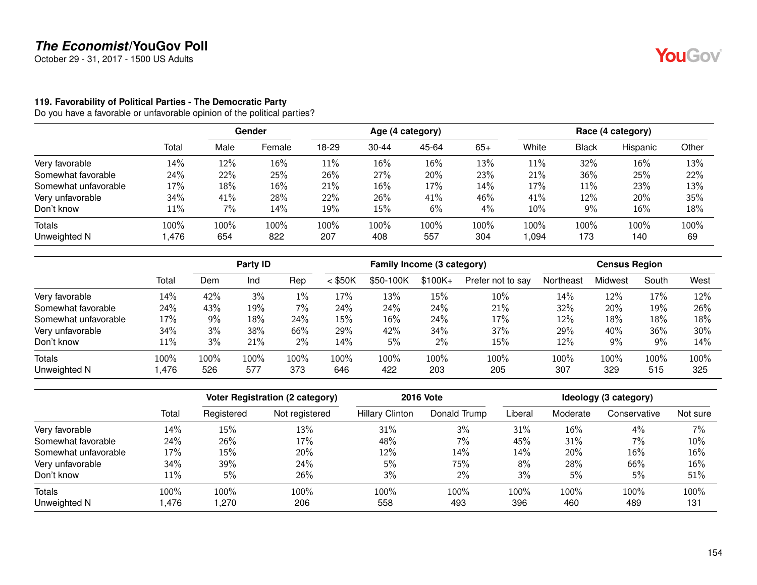October 29 - 31, 2017 - 1500 US Adults

### **119. Favorability of Political Parties - The Democratic Party**

Do you have a favorable or unfavorable opinion of the political parties?

|                      |        | <b>Gender</b> |        | Age (4 category) |           |       |       | Race (4 category) |       |          |       |
|----------------------|--------|---------------|--------|------------------|-----------|-------|-------|-------------------|-------|----------|-------|
|                      | Total  | Male          | Female | 18-29            | $30 - 44$ | 45-64 | $65+$ | White             | Black | Hispanic | Other |
| Very favorable       | 14%    | 12%           | 16%    | 11%              | 16%       | 16%   | 13%   | 11%               | 32%   | 16%      | 13%   |
| Somewhat favorable   | 24%    | 22%           | 25%    | 26%              | 27%       | 20%   | 23%   | 21%               | 36%   | 25%      | 22%   |
| Somewhat unfavorable | 17%    | 18%           | 16%    | 21%              | 16%       | 17%   | 14%   | 17%               | 11%   | 23%      | 13%   |
| Very unfavorable     | 34%    | 41%           | 28%    | 22%              | 26%       | 41%   | 46%   | 41%               | 12%   | 20%      | 35%   |
| Don't know           | $11\%$ | 7%            | 14%    | 19%              | 15%       | 6%    | 4%    | 10%               | 9%    | 16%      | 18%   |
| Totals               | 100%   | 100%          | 100%   | 100%             | 100%      | 100%  | 100%  | 100%              | 100%  | 100%     | 100%  |
| Unweighted N         | 1,476  | 654           | 822    | 207              | 408       | 557   | 304   | ,094              | 173   | 140      | 69    |

|                      |        |      | Party ID |       |           | Family Income (3 category) |           |                   |           | <b>Census Region</b> |       |      |
|----------------------|--------|------|----------|-------|-----------|----------------------------|-----------|-------------------|-----------|----------------------|-------|------|
|                      | Total  | Dem  | Ind      | Rep   | $<$ \$50K | \$50-100K                  | $$100K +$ | Prefer not to say | Northeast | Midwest              | South | West |
| Very favorable       | 14%    | 42%  | 3%       | $1\%$ | 17%       | 13%                        | 15%       | 10%               | 14%       | 12%                  | 17%   | 12%  |
| Somewhat favorable   | 24%    | 43%  | 19%      | 7%    | 24%       | 24%                        | 24%       | 21%               | 32%       | 20%                  | 19%   | 26%  |
| Somewhat unfavorable | $17\%$ | 9%   | 18%      | 24%   | 15%       | 16%                        | 24%       | 17%               | 12%       | 18%                  | 18%   | 18%  |
| Very unfavorable     | 34%    | 3%   | 38%      | 66%   | 29%       | 42%                        | 34%       | 37%               | 29%       | 40%                  | 36%   | 30%  |
| Don't know           | $11\%$ | 3%   | 21%      | 2%    | 14%       | 5%                         | 2%        | 15%               | 12%       | 9%                   | 9%    | 14%  |
| <b>Totals</b>        | 100%   | 100% | 100%     | 100%  | 100%      | 100%                       | 100%      | 100%              | 100%      | 100%                 | 100%  | 100% |
| Unweighted N         | .476,  | 526  | 577      | 373   | 646       | 422                        | 203       | 205               | 307       | 329                  | 515   | 325  |

|                      |       |            | <b>Voter Registration (2 category)</b> |                        | <b>2016 Vote</b> | Ideology (3 category) |          |              |          |
|----------------------|-------|------------|----------------------------------------|------------------------|------------------|-----------------------|----------|--------------|----------|
|                      | Total | Registered | Not registered                         | <b>Hillary Clinton</b> | Donald Trump     | Liberal               | Moderate | Conservative | Not sure |
| Very favorable       | 14%   | 15%        | 13%                                    | 31%                    | 3%               | 31%                   | 16%      | 4%           | 7%       |
| Somewhat favorable   | 24%   | 26%        | 17%                                    | 48%                    | 7%               | 45%                   | 31%      | 7%           | 10%      |
| Somewhat unfavorable | 17%   | 15%        | 20%                                    | 12%                    | 14%              | 14%                   | 20%      | 16%          | 16%      |
| Very unfavorable     | 34%   | 39%        | 24%                                    | 5%                     | 75%              | 8%                    | 28%      | 66%          | 16%      |
| Don't know           | 11%   | 5%         | 26%                                    | 3%                     | $2\%$            | 3%                    | 5%       | 5%           | 51%      |
| <b>Totals</b>        | 100%  | 100%       | 100%                                   | 100%                   | 100%             | 100%                  | 100%     | 100%         | 100%     |
| Unweighted N         | ,476  | ,270       | 206                                    | 558                    | 493              | 396                   | 460      | 489          | 131      |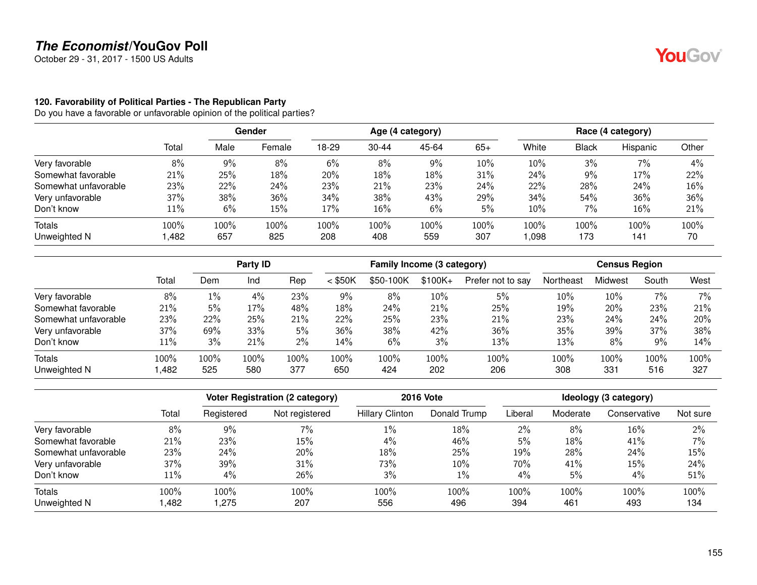October 29 - 31, 2017 - 1500 US Adults

### **120. Favorability of Political Parties - The Republican Party**

Do you have a favorable or unfavorable opinion of the political parties?

|                      |        | <b>Gender</b> |        | Age (4 category) |           |       |       | Race (4 category) |       |          |       |
|----------------------|--------|---------------|--------|------------------|-----------|-------|-------|-------------------|-------|----------|-------|
|                      | Total  | Male          | Female | 18-29            | $30 - 44$ | 45-64 | $65+$ | White             | Black | Hispanic | Other |
| Very favorable       | 8%     | 9%            | 8%     | 6%               | 8%        | 9%    | 10%   | 10%               | 3%    | $7\%$    | 4%    |
| Somewhat favorable   | 21%    | 25%           | 18%    | 20%              | 18%       | 18%   | 31%   | 24%               | $9\%$ | 17%      | 22%   |
| Somewhat unfavorable | 23%    | 22%           | 24%    | 23%              | 21%       | 23%   | 24%   | 22%               | 28%   | 24%      | 16%   |
| Very unfavorable     | $37\%$ | 38%           | 36%    | 34%              | 38%       | 43%   | 29%   | 34%               | 54%   | 36%      | 36%   |
| Don't know           | $11\%$ | 6%            | 15%    | 17%              | 16%       | 6%    | 5%    | 10%               | 7%    | 16%      | 21%   |
| Totals               | 100%   | 100%          | 100%   | 100%             | 100%      | 100%  | 100%  | 100%              | 100%  | 100%     | 100%  |
| Unweighted N         | ,482   | 657           | 825    | 208              | 408       | 559   | 307   | ,098              | 173   | 141      | 70    |

|                      |        |       | Party ID |      |           | Family Income (3 category) |          |                   |           | <b>Census Region</b> |       |       |
|----------------------|--------|-------|----------|------|-----------|----------------------------|----------|-------------------|-----------|----------------------|-------|-------|
|                      | Total  | Dem   | Ind      | Rep  | $<$ \$50K | \$50-100K                  | $$100K+$ | Prefer not to say | Northeast | Midwest              | South | West  |
| Very favorable       | 8%     | $1\%$ | 4%       | 23%  | $9\%$     | 8%                         | 10%      | 5%                | 10%       | 10%                  | 7%    | $7\%$ |
| Somewhat favorable   | 21%    | 5%    | 17%      | 48%  | 18%       | 24%                        | 21%      | 25%               | 19%       | 20%                  | 23%   | 21%   |
| Somewhat unfavorable | 23%    | 22%   | 25%      | 21%  | 22%       | 25%                        | 23%      | 21%               | 23%       | 24%                  | 24%   | 20%   |
| Very unfavorable     | 37%    | 69%   | 33%      | 5%   | 36%       | 38%                        | 42%      | 36%               | 35%       | 39%                  | 37%   | 38%   |
| Don't know           | $11\%$ | 3%    | 21%      | 2%   | 14%       | 6%                         | 3%       | 13%               | 13%       | 8%                   | 9%    | 14%   |
| <b>Totals</b>        | 100%   | 100%  | 100%     | 100% | 100%      | $100\%$                    | 100%     | 100%              | 100%      | 100%                 | 100%  | 100%  |
| Unweighted N         | ,482   | 525   | 580      | 377  | 650       | 424                        | 202      | 206               | 308       | 331                  | 516   | 327   |

|                      |       | <b>Voter Registration (2 category)</b> |                | <b>2016 Vote</b>       | Ideology (3 category) |         |          |              |          |
|----------------------|-------|----------------------------------------|----------------|------------------------|-----------------------|---------|----------|--------------|----------|
|                      | Total | Registered                             | Not registered | <b>Hillary Clinton</b> | Donald Trump          | Liberal | Moderate | Conservative | Not sure |
| Very favorable       | 8%    | 9%                                     | 7%             | 1%                     | 18%                   | $2\%$   | 8%       | $16\%$       | 2%       |
| Somewhat favorable   | 21%   | 23%                                    | 15%            | 4%                     | 46%                   | 5%      | 18%      | 41%          | 7%       |
| Somewhat unfavorable | 23%   | 24%                                    | 20%            | 18%                    | 25%                   | 19%     | 28%      | 24%          | 15%      |
| Very unfavorable     | 37%   | 39%                                    | 31%            | 73%                    | 10%                   | 70%     | 41%      | 15%          | 24%      |
| Don't know           | 11%   | 4%                                     | 26%            | 3%                     | $1\%$                 | 4%      | 5%       | 4%           | 51%      |
| Totals               | 100%  | 100%                                   | 100%           | 100%                   | 100%                  | 100%    | 100%     | 100%         | 100%     |
| Unweighted N         | ,482  | .275                                   | 207            | 556                    | 496                   | 394     | 461      | 493          | 134      |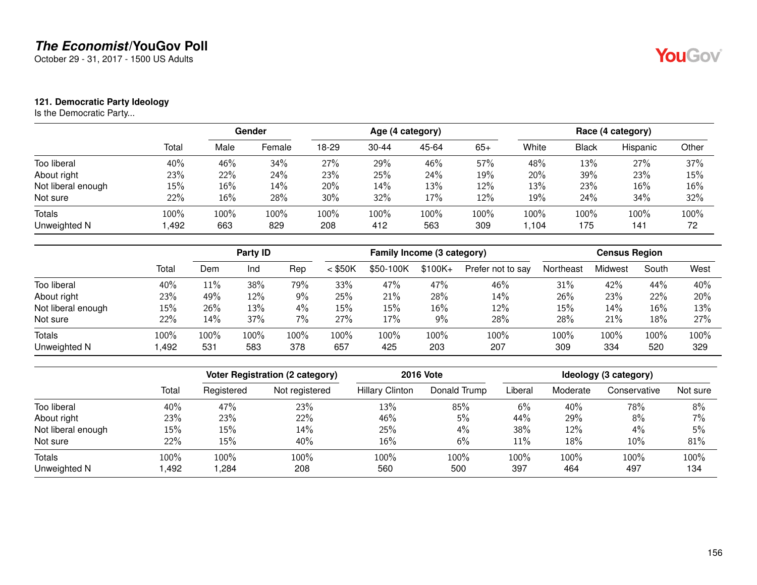October 29 - 31, 2017 - 1500 US Adults

### **121. Democratic Party Ideology**

Is the Democratic Party...

|                    |        |      | Gender |       |           | Age (4 category) |       |       |       | Race (4 category) |       |  |
|--------------------|--------|------|--------|-------|-----------|------------------|-------|-------|-------|-------------------|-------|--|
|                    | Total  | Male | Female | 18-29 | $30 - 44$ | 45-64            | $65+$ | White | Black | Hispanic          | Other |  |
| Too liberal        | 40%    | 46%  | 34%    | 27%   | 29%       | 46%              | 57%   | 48%   | 13%   | 27%               | 37%   |  |
| About right        | 23%    | 22%  | 24%    | 23%   | 25%       | 24%              | 19%   | 20%   | 39%   | 23%               | 15%   |  |
| Not liberal enough | $15\%$ | 16%  | 14%    | 20%   | 14%       | 13%              | 12%   | 13%   | 23%   | 16%               | 16%   |  |
| Not sure           | 22%    | 16%  | 28%    | 30%   | 32%       | 17%              | 12%   | 19%   | 24%   | 34%               | 32%   |  |
| <b>Totals</b>      | 100%   | 100% | 100%   | 100%  | 100%      | 100%             | 100%  | 100%  | 100%  | 100%              | 100%  |  |
| Unweighted N       | 492, ا | 663  | 829    | 208   | 412       | 563              | 309   | 1,104 | 175   | 141               | 72    |  |

|                    |       |         | Party ID |       |           | Family Income (3 category) |           |                   |           | <b>Census Region</b> |       |      |
|--------------------|-------|---------|----------|-------|-----------|----------------------------|-----------|-------------------|-----------|----------------------|-------|------|
|                    | Total | Dem     | Ind      | Rep   | $<$ \$50K | \$50-100K                  | $$100K +$ | Prefer not to say | Northeast | Midwest              | South | West |
| Too liberal        | 40%   | $11\%$  | 38%      | 79%   | 33%       | 47%                        | 47%       | 46%               | 31%       | 42%                  | 44%   | 40%  |
| About right        | 23%   | 49%     | 12%      | 9%    | 25%       | 21%                        | 28%       | 14%               | 26%       | 23%                  | 22%   | 20%  |
| Not liberal enough | 15%   | 26%     | 13%      | $4\%$ | 15%       | 15%                        | 16%       | 12%               | $15\%$    | 14%                  | 16%   | 13%  |
| Not sure           | 22%   | 14%     | 37%      | 7%    | 27%       | 17%                        | 9%        | 28%               | 28%       | 21%                  | 18%   | 27%  |
| Totals             | 100%  | $100\%$ | 100%     | 100%  | 100%      | 100%                       | 100%      | 100%              | 100%      | 100%                 | 100%  | 100% |
| Unweighted N       | .492  | 531     | 583      | 378   | 657       | 425                        | 203       | 207               | 309       | 334                  | 520   | 329  |

|                    |       | Voter Registration (2 category) |                |                        | <b>2016 Vote</b> | Ideology (3 category) |          |              |          |
|--------------------|-------|---------------------------------|----------------|------------------------|------------------|-----------------------|----------|--------------|----------|
|                    | Total | Registered                      | Not registered | <b>Hillary Clinton</b> | Donald Trump     | Liberal               | Moderate | Conservative | Not sure |
| Too liberal        | 40%   | 47%                             | 23%            | 13%                    | 85%              | 6%                    | 40%      | 78%          | 8%       |
| About right        | 23%   | 23%                             | 22%            | 46%                    | 5%               | 44%                   | 29%      | 8%           | 7%       |
| Not liberal enough | 15%   | 15%                             | 14%            | 25%                    | $4\%$            | 38%                   | $12\%$   | $4\%$        | 5%       |
| Not sure           | 22%   | 15%                             | 40%            | 16%                    | 6%               | 11%                   | 18%      | 10%          | 81%      |
| <b>Totals</b>      | 100%  | $100\%$                         | 100%           | 100%                   | 100%             | 100%                  | 100%     | 100%         | 100%     |
| Unweighted N       | ,492  | .284                            | 208            | 560                    | 500              | 397                   | 464      | 497          | 134      |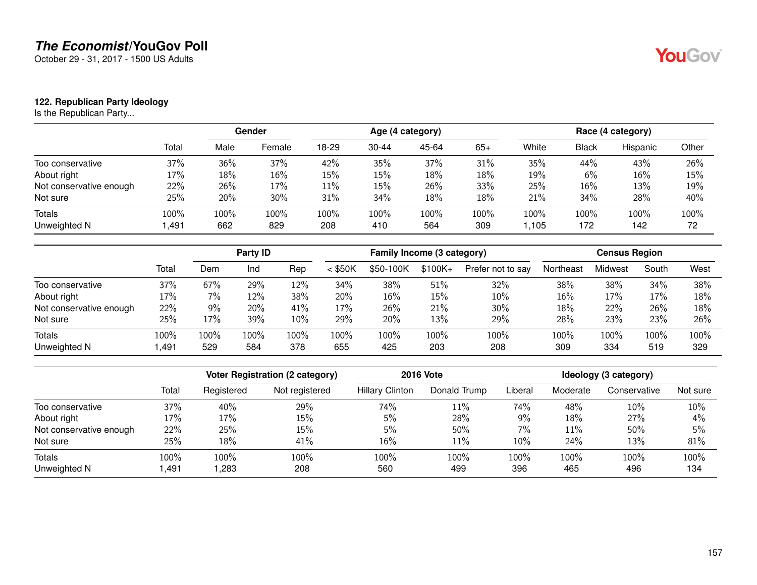October 29 - 31, 2017 - 1500 US Adults

### **122. Republican Party Ideology**

Is the Republican Party...

|                         |          |      | Gender |       |           | Age (4 category) |       |       |              | Race (4 category) |       |  |
|-------------------------|----------|------|--------|-------|-----------|------------------|-------|-------|--------------|-------------------|-------|--|
|                         | Total    | Male | Female | 18-29 | $30 - 44$ | 45-64            | $65+$ | White | <b>Black</b> | Hispanic          | Other |  |
| Too conservative        | 37%      | 36%  | 37%    | 42%   | 35%       | 37%              | 31%   | 35%   | 44%          | 43%               | 26%   |  |
| About right             | 17%      | 18%  | 16%    | 15%   | 15%       | 18%              | 18%   | 19%   | 6%           | 16%               | 15%   |  |
| Not conservative enough | 22%      | 26%  | 17%    | 11%   | 15%       | 26%              | 33%   | 25%   | 16%          | 13%               | 19%   |  |
| Not sure                | 25%      | 20%  | 30%    | 31%   | 34%       | 18%              | 18%   | 21%   | 34%          | 28%               | 40%   |  |
| <b>Totals</b>           | 100%     | 100% | 100%   | 100%  | 100%      | 100%             | 100%  | 100%  | 100%         | 100%              | 100%  |  |
| Unweighted N            | . 491، ، | 662  | 829    | 208   | 410       | 564              | 309   | 1,105 | 172          | 142               | 72    |  |

|                         |       | Party <b>ID</b> |      |      | Family Income (3 category) |           |           |                   | <b>Census Region</b> |         |       |      |
|-------------------------|-------|-----------------|------|------|----------------------------|-----------|-----------|-------------------|----------------------|---------|-------|------|
|                         | Total | Dem             | Ind  | Rep  | $<$ \$50K                  | \$50-100K | $$100K +$ | Prefer not to say | Northeast            | Midwest | South | West |
| Too conservative        | 37%   | 67%             | 29%  | 12%  | 34%                        | 38%       | 51%       | 32%               | 38%                  | 38%     | 34%   | 38%  |
| About right             | 17%   | 7%              | 12%  | 38%  | 20%                        | 16%       | 15%       | 10%               | 16%                  | 17%     | 17%   | 18%  |
| Not conservative enough | 22%   | 9%              | 20%  | 41%  | 17%                        | 26%       | 21%       | 30%               | 18%                  | 22%     | 26%   | 18%  |
| Not sure                | 25%   | 17%             | 39%  | 10%  | 29%                        | 20%       | 13%       | 29%               | 28%                  | 23%     | 23%   | 26%  |
| <b>Totals</b>           | 100%  | 100%            | 100% | 100% | 100%                       | 100%      | 100%      | 100%              | 100%                 | 100%    | 100%  | 100% |
| Unweighted N            | .491  | 529             | 584  | 378  | 655                        | 425       | 203       | 208               | 309                  | 334     | 519   | 329  |

|                         |       | Voter Registration (2 category) |                |                        | <b>2016 Vote</b> | Ideology (3 category) |          |              |          |
|-------------------------|-------|---------------------------------|----------------|------------------------|------------------|-----------------------|----------|--------------|----------|
|                         | Total | Registered                      | Not registered | <b>Hillary Clinton</b> | Donald Trump     | Liberal               | Moderate | Conservative | Not sure |
| Too conservative        | 37%   | 40%                             | 29%            | 74%                    | 11%              | 74%                   | 48%      | 10%          | 10%      |
| About right             | 17%   | 17%                             | 15%            | 5%                     | 28%              | 9%                    | 18%      | 27%          | 4%       |
| Not conservative enough | 22%   | 25%                             | 15%            | 5%                     | 50%              | 7%                    | 11%      | 50%          | 5%       |
| Not sure                | 25%   | 18%                             | 41%            | 16%                    | 11%              | 10%                   | 24%      | 13%          | 81%      |
| <b>Totals</b>           | 100%  | 100%                            | 100%           | 100%                   | 100%             | 100%                  | 100%     | 100%         | 100%     |
| Unweighted N            | ,491  | ,283                            | 208            | 560                    | 499              | 396                   | 465      | 496          | 134      |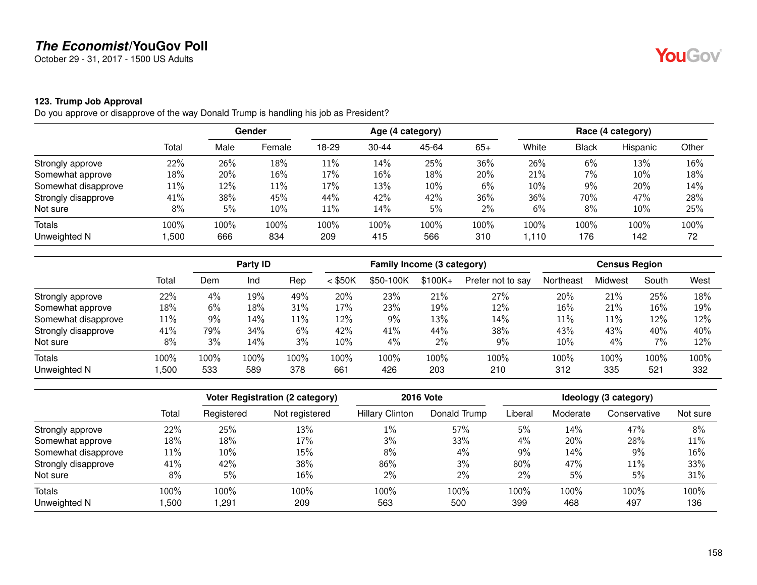October 29 - 31, 2017 - 1500 US Adults

# **123. Trump Job Approval**

Do you approve or disapprove of the way Donald Trump is handling his job as President?

|                     |        |      | Gender | Age (4 category) |           |       |       | Race (4 category) |              |          |       |
|---------------------|--------|------|--------|------------------|-----------|-------|-------|-------------------|--------------|----------|-------|
|                     | Total  | Male | Female | 18-29            | $30 - 44$ | 45-64 | $65+$ | White             | <b>Black</b> | Hispanic | Other |
| Strongly approve    | 22%    | 26%  | 18%    | 11%              | 14%       | 25%   | 36%   | 26%               | 6%           | 13%      | 16%   |
| Somewhat approve    | 18%    | 20%  | 16%    | 17%              | 16%       | 18%   | 20%   | 21%               | 7%           | 10%      | 18%   |
| Somewhat disapprove | $11\%$ | 12%  | 11%    | 17%              | 13%       | 10%   | 6%    | 10%               | 9%           | 20%      | 14%   |
| Strongly disapprove | 41%    | 38%  | 45%    | 44%              | 42%       | 42%   | 36%   | 36%               | 70%          | 47%      | 28%   |
| Not sure            | 8%     | 5%   | 10%    | $11\%$           | 14%       | 5%    | $2\%$ | 6%                | 8%           | 10%      | 25%   |
| Totals              | 100%   | 100% | 100%   | 100%             | 100%      | 100%  | 100%  | 100%              | 100%         | 100%     | 100%  |
| Unweighted N        | ,500   | 666  | 834    | 209              | 415       | 566   | 310   | 1.110             | 176          | 142      | 72    |

|                     |       |      | Party ID |      |           | Family Income (3 category) |          |                   |           | <b>Census Region</b> |       |      |
|---------------------|-------|------|----------|------|-----------|----------------------------|----------|-------------------|-----------|----------------------|-------|------|
|                     | Total | Dem  | Ind      | Rep  | $<$ \$50K | \$50-100K                  | $$100K+$ | Prefer not to say | Northeast | Midwest              | South | West |
| Strongly approve    | 22%   | 4%   | 19%      | 49%  | 20%       | 23%                        | 21%      | 27%               | 20%       | 21%                  | 25%   | 18%  |
| Somewhat approve    | 18%   | 6%   | 18%      | 31%  | 17%       | 23%                        | 19%      | 12%               | 16%       | 21%                  | 16%   | 19%  |
| Somewhat disapprove | 11%   | 9%   | 14%      | 11%  | 12%       | 9%                         | 13%      | 14%               | 11%       | 11%                  | 12%   | 12%  |
| Strongly disapprove | 41%   | 79%  | 34%      | 6%   | 42%       | 41%                        | 44%      | 38%               | 43%       | 43%                  | 40%   | 40%  |
| Not sure            | 8%    | 3%   | 14%      | 3%   | $10\%$    | 4%                         | 2%       | 9%                | 10%       | 4%                   | 7%    | 12%  |
| <b>Totals</b>       | 100%  | 100% | 100%     | 100% | 100%      | 100%                       | 100%     | 100%              | 100%      | 100%                 | 100%  | 100% |
| Unweighted N        | ,500  | 533  | 589      | 378  | 661       | 426                        | 203      | 210               | 312       | 335                  | 521   | 332  |

|                     |       |            | <b>Voter Registration (2 category)</b> |                        | <b>2016 Vote</b> |         |          | Ideology (3 category) |          |
|---------------------|-------|------------|----------------------------------------|------------------------|------------------|---------|----------|-----------------------|----------|
|                     | Total | Registered | Not registered                         | <b>Hillary Clinton</b> | Donald Trump     | Liberal | Moderate | Conservative          | Not sure |
| Strongly approve    | 22%   | 25%        | 13%                                    | 1%                     | 57%              | 5%      | 14%      | 47%                   | 8%       |
| Somewhat approve    | 18%   | 18%        | 17%                                    | 3%                     | 33%              | 4%      | 20%      | 28%                   | 11%      |
| Somewhat disapprove | 11%   | 10%        | 15%                                    | 8%                     | 4%               | 9%      | 14%      | 9%                    | 16%      |
| Strongly disapprove | 41%   | 42%        | 38%                                    | 86%                    | 3%               | 80%     | 47%      | 11%                   | 33%      |
| Not sure            | 8%    | 5%         | 16%                                    | 2%                     | 2%               | $2\%$   | 5%       | 5%                    | 31%      |
| <b>Totals</b>       | 100%  | 100%       | 100%                                   | 100%                   | 100%             | 100%    | 100%     | 100%                  | 100%     |
| Unweighted N        | ,500  | ,291       | 209                                    | 563                    | 500              | 399     | 468      | 497                   | 136      |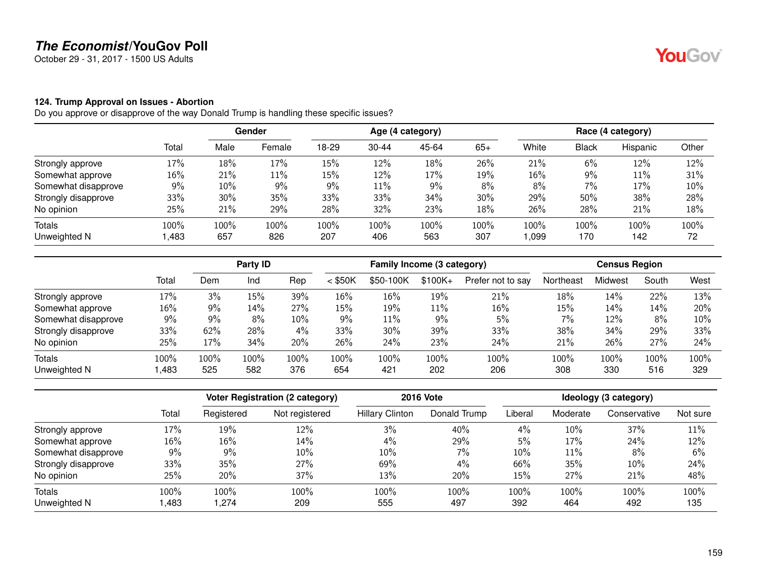October 29 - 31, 2017 - 1500 US Adults

#### **124. Trump Approval on Issues - Abortion**

|                     |        | Gender |        | Age (4 category) |           |       |       | Race (4 category) |              |          |       |
|---------------------|--------|--------|--------|------------------|-----------|-------|-------|-------------------|--------------|----------|-------|
|                     | Total  | Male   | Female | 18-29            | $30 - 44$ | 45-64 | $65+$ | White             | <b>Black</b> | Hispanic | Other |
| Strongly approve    | 17%    | 18%    | 17%    | 15%              | 12%       | 18%   | 26%   | 21%               | 6%           | 12%      | 12%   |
| Somewhat approve    | $16\%$ | 21%    | 11%    | 15%              | 12%       | 17%   | 19%   | 16%               | 9%           | 11%      | 31%   |
| Somewhat disapprove | 9%     | 10%    | 9%     | 9%               | 11%       | 9%    | $8\%$ | 8%                | 7%           | 17%      | 10%   |
| Strongly disapprove | 33%    | 30%    | 35%    | 33%              | 33%       | 34%   | 30%   | 29%               | 50%          | 38%      | 28%   |
| No opinion          | 25%    | 21%    | 29%    | 28%              | 32%       | 23%   | 18%   | 26%               | 28%          | 21%      | 18%   |
| Totals              | 100%   | 100%   | 100%   | 100%             | 100%      | 100%  | 100%  | 100%              | 100%         | 100%     | 100%  |
| Unweighted N        | ,483   | 657    | 826    | 207              | 406       | 563   | 307   | 990, ا            | 170          | 142      | 72    |

|                     |       | Party ID |      |       | Family Income (3 category) |           |          |                   | <b>Census Region</b> |         |       |      |
|---------------------|-------|----------|------|-------|----------------------------|-----------|----------|-------------------|----------------------|---------|-------|------|
|                     | Total | Dem      | Ind  | Rep   | $<$ \$50K                  | \$50-100K | $$100K+$ | Prefer not to say | Northeast            | Midwest | South | West |
| Strongly approve    | 17%   | 3%       | 15%  | 39%   | 16%                        | 16%       | 19%      | 21%               | 18%                  | 14%     | 22%   | 13%  |
| Somewhat approve    | 16%   | 9%       | 14%  | 27%   | 15%                        | 19%       | $11\%$   | 16%               | 15%                  | 14%     | 14%   | 20%  |
| Somewhat disapprove | 9%    | 9%       | 8%   | 10%   | 9%                         | 11%       | 9%       | 5%                | 7%                   | 12%     | 8%    | 10%  |
| Strongly disapprove | 33%   | 62%      | 28%  | $4\%$ | 33%                        | 30%       | 39%      | 33%               | 38%                  | 34%     | 29%   | 33%  |
| No opinion          | 25%   | 17%      | 34%  | 20%   | 26%                        | 24%       | 23%      | 24%               | 21%                  | 26%     | 27%   | 24%  |
| Totals              | 100%  | 100%     | 100% | 100%  | 100%                       | 100%      | 100%     | 100%              | 100%                 | 100%    | 100%  | 100% |
| Unweighted N        | .483  | 525      | 582  | 376   | 654                        | 421       | 202      | 206               | 308                  | 330     | 516   | 329  |

|                     |       |            | <b>Voter Registration (2 category)</b> |                        | <b>2016 Vote</b> |         |          | Ideology (3 category) |          |
|---------------------|-------|------------|----------------------------------------|------------------------|------------------|---------|----------|-----------------------|----------|
|                     | Total | Registered | Not registered                         | <b>Hillary Clinton</b> | Donald Trump     | Liberal | Moderate | Conservative          | Not sure |
| Strongly approve    | 17%   | 19%        | 12%                                    | 3%                     | 40%              | 4%      | 10%      | 37%                   | 11%      |
| Somewhat approve    | 16%   | 16%        | 14%                                    | 4%                     | 29%              | 5%      | 17%      | 24%                   | 12%      |
| Somewhat disapprove | 9%    | 9%         | 10%                                    | 10%                    | 7%               | $10\%$  | 11%      | 8%                    | 6%       |
| Strongly disapprove | 33%   | 35%        | 27%                                    | 69%                    | 4%               | 66%     | 35%      | 10%                   | 24%      |
| No opinion          | 25%   | 20%        | 37%                                    | 13%                    | 20%              | 15%     | 27%      | 21%                   | 48%      |
| <b>Totals</b>       | 100%  | 100%       | 100%                                   | 100%                   | 100%             | 100%    | 100%     | 100%                  | 100%     |
| Unweighted N        | ,483  | .274       | 209                                    | 555                    | 497              | 392     | 464      | 492                   | 135      |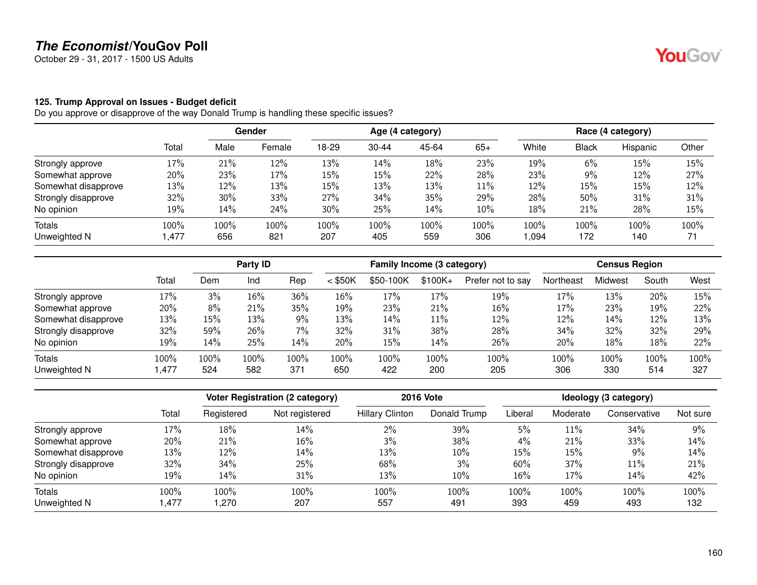October 29 - 31, 2017 - 1500 US Adults

#### **125. Trump Approval on Issues - Budget deficit**

|                     |        | <b>Gender</b> |        | Age (4 category) |           |       |        | Race (4 category) |              |          |       |
|---------------------|--------|---------------|--------|------------------|-----------|-------|--------|-------------------|--------------|----------|-------|
|                     | Total  | Male          | Female | 18-29            | $30 - 44$ | 45-64 | $65+$  | White             | <b>Black</b> | Hispanic | Other |
| Strongly approve    | 17%    | 21%           | 12%    | 13%              | 14%       | 18%   | 23%    | 19%               | $6\%$        | 15%      | 15%   |
| Somewhat approve    | 20%    | 23%           | 17%    | 15%              | 15%       | 22%   | 28%    | 23%               | 9%           | 12%      | 27%   |
| Somewhat disapprove | 13%    | 12%           | 13%    | 15%              | 13%       | 13%   | $11\%$ | 12%               | 15%          | 15%      | 12%   |
| Strongly disapprove | $32\%$ | 30%           | 33%    | 27%              | 34%       | 35%   | 29%    | 28%               | 50%          | 31%      | 31%   |
| No opinion          | 19%    | 14%           | 24%    | 30%              | 25%       | 14%   | $10\%$ | 18%               | 21%          | 28%      | 15%   |
| Totals              | 100%   | 100%          | 100%   | 100%             | 100%      | 100%  | 100%   | 100%              | 100%         | 100%     | 100%  |
| Unweighted N        | 1,477  | 656           | 821    | 207              | 405       | 559   | 306    | ,094              | 172          | 140      | 71    |

|                     |       |         | Party ID |       |           | Family Income (3 category) |          |                   |           | <b>Census Region</b> |       |      |
|---------------------|-------|---------|----------|-------|-----------|----------------------------|----------|-------------------|-----------|----------------------|-------|------|
|                     | Total | Dem     | Ind      | Rep   | $<$ \$50K | \$50-100K                  | $$100K+$ | Prefer not to say | Northeast | Midwest              | South | West |
| Strongly approve    | 17%   | 3%      | 16%      | 36%   | $16\%$    | 17%                        | 17%      | 19%               | 17%       | 13%                  | 20%   | 15%  |
| Somewhat approve    | 20%   | 8%      | 21%      | 35%   | 19%       | 23%                        | 21%      | 16%               | 17%       | 23%                  | 19%   | 22%  |
| Somewhat disapprove | 13%   | 15%     | 13%      | 9%    | 13%       | 14%                        | $11\%$   | 12%               | 12%       | 14%                  | 12%   | 13%  |
| Strongly disapprove | 32%   | 59%     | 26%      | $7\%$ | 32%       | 31%                        | 38%      | 28%               | 34%       | 32%                  | 32%   | 29%  |
| No opinion          | 19%   | 14%     | 25%      | 14%   | 20%       | 15%                        | 14%      | 26%               | 20%       | 18%                  | 18%   | 22%  |
| Totals              | 100%  | $100\%$ | 100%     | 100%  | 100%      | 100%                       | 100%     | 100%              | 100%      | 100%                 | 100%  | 100% |
| Unweighted N        | .477  | 524     | 582      | 371   | 650       | 422                        | 200      | 205               | 306       | 330                  | 514   | 327  |

|                     |       |            | <b>Voter Registration (2 category)</b> |                        | <b>2016 Vote</b> |         |          | Ideology (3 category) |          |
|---------------------|-------|------------|----------------------------------------|------------------------|------------------|---------|----------|-----------------------|----------|
|                     | Total | Registered | Not registered                         | <b>Hillary Clinton</b> | Donald Trump     | Liberal | Moderate | Conservative          | Not sure |
| Strongly approve    | 17%   | 18%        | 14%                                    | 2%                     | 39%              | 5%      | 11%      | 34%                   | 9%       |
| Somewhat approve    | 20%   | 21%        | 16%                                    | 3%                     | 38%              | 4%      | 21%      | 33%                   | 14%      |
| Somewhat disapprove | 13%   | 12%        | 14%                                    | 13%                    | 10%              | 15%     | 15%      | 9%                    | 14%      |
| Strongly disapprove | 32%   | 34%        | 25%                                    | 68%                    | 3%               | 60%     | 37%      | 11%                   | 21%      |
| No opinion          | 19%   | 14%        | 31%                                    | 13%                    | $10\%$           | 16%     | 17%      | 14%                   | 42%      |
| Totals              | 100%  | 100%       | 100%                                   | 100%                   | 100%             | 100%    | 100%     | 100%                  | 100%     |
| Unweighted N        | .477  | .270       | 207                                    | 557                    | 491              | 393     | 459      | 493                   | 132      |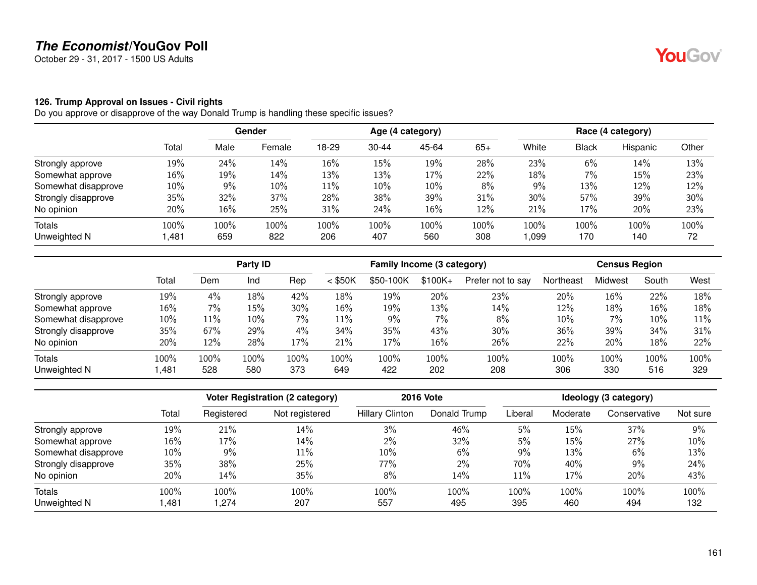October 29 - 31, 2017 - 1500 US Adults

#### **126. Trump Approval on Issues - Civil rights**

|                     |        |      | Gender | Age (4 category) |           |       |       | Race (4 category) |       |          |       |
|---------------------|--------|------|--------|------------------|-----------|-------|-------|-------------------|-------|----------|-------|
|                     | Total  | Male | Female | 18-29            | $30 - 44$ | 45-64 | $65+$ | White             | Black | Hispanic | Other |
| Strongly approve    | 19%    | 24%  | 14%    | 16%              | 15%       | 19%   | 28%   | 23%               | 6%    | 14%      | 13%   |
| Somewhat approve    | $16\%$ | 19%  | 14%    | 13%              | 13%       | 17%   | 22%   | 18%               | 7%    | 15%      | 23%   |
| Somewhat disapprove | $10\%$ | 9%   | 10%    | 11%              | 10%       | 10%   | $8\%$ | 9%                | 13%   | 12%      | 12%   |
| Strongly disapprove | 35%    | 32%  | 37%    | 28%              | 38%       | 39%   | 31%   | 30%               | 57%   | 39%      | 30%   |
| No opinion          | 20%    | 16%  | 25%    | 31%              | 24%       | 16%   | 12%   | 21%               | 17%   | 20%      | 23%   |
| Totals              | 100%   | 100% | 100%   | 100%             | 100%      | 100%  | 100%  | 100%              | 100%  | 100%     | 100%  |
| Unweighted N        | 481, ا | 659  | 822    | 206              | 407       | 560   | 308   | 1,099             | 170   | 140      | 72    |

|                     |       |       | Party ID |      | Family Income (3 category) |           |          | <b>Census Region</b> |           |         |        |      |
|---------------------|-------|-------|----------|------|----------------------------|-----------|----------|----------------------|-----------|---------|--------|------|
|                     | Total | Dem   | Ind      | Rep  | $<$ \$50K                  | \$50-100K | $$100K+$ | Prefer not to say    | Northeast | Midwest | South  | West |
| Strongly approve    | 19%   | 4%    | 18%      | 42%  | 18%                        | 19%       | 20%      | 23%                  | 20%       | 16%     | 22%    | 18%  |
| Somewhat approve    | 16%   | $7\%$ | 15%      | 30%  | $16\%$                     | 19%       | 13%      | 14%                  | 12%       | 18%     | $16\%$ | 18%  |
| Somewhat disapprove | 10%   | 11%   | 10%      | 7%   | 11%                        | 9%        | 7%       | 8%                   | 10%       | 7%      | 10%    | 11%  |
| Strongly disapprove | 35%   | 67%   | 29%      | 4%   | 34%                        | 35%       | 43%      | 30%                  | 36%       | 39%     | 34%    | 31%  |
| No opinion          | 20%   | 12%   | 28%      | 17%  | 21%                        | 17%       | 16%      | 26%                  | 22%       | 20%     | 18%    | 22%  |
| <b>Totals</b>       | 100%  | 100%  | 100%     | 100% | 100%                       | $100\%$   | 100%     | 100%                 | 100%      | 100%    | 100%   | 100% |
| Unweighted N        | .481  | 528   | 580      | 373  | 649                        | 422       | 202      | 208                  | 306       | 330     | 516    | 329  |

|                     |       |            | <b>Voter Registration (2 category)</b> |                        | <b>2016 Vote</b> | Ideology (3 category) |          |              |          |  |
|---------------------|-------|------------|----------------------------------------|------------------------|------------------|-----------------------|----------|--------------|----------|--|
|                     | Total | Registered | Not registered                         | <b>Hillary Clinton</b> | Donald Trump     | Liberal               | Moderate | Conservative | Not sure |  |
| Strongly approve    | 19%   | 21%        | 14%                                    | 3%                     | 46%              | 5%                    | 15%      | 37%          | 9%       |  |
| Somewhat approve    | 16%   | 17%        | 14%                                    | $2\%$                  | 32%              | 5%                    | 15%      | 27%          | 10%      |  |
| Somewhat disapprove | 10%   | 9%         | 11%                                    | 10%                    | 6%               | 9%                    | 13%      | 6%           | 13%      |  |
| Strongly disapprove | 35%   | 38%        | 25%                                    | 77%                    | $2\%$            | 70%                   | 40%      | 9%           | 24%      |  |
| No opinion          | 20%   | 14%        | 35%                                    | 8%                     | 14%              | 11%                   | 17%      | 20%          | 43%      |  |
| <b>Totals</b>       | 100%  | 100%       | 100%                                   | 100%                   | 100%             | 100%                  | 100%     | 100%         | 100%     |  |
| Unweighted N        | ,481  | .274       | 207                                    | 557                    | 495              | 395                   | 460      | 494          | 132      |  |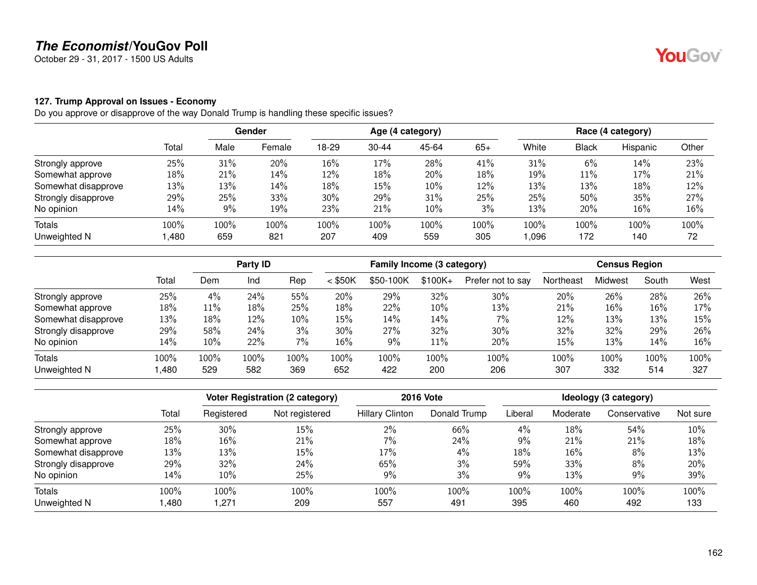October 29 - 31, 2017 - 1500 US Adults

#### **127. Trump Approval on Issues - Economy**

|                     |       | <b>Gender</b> |        | Age (4 category) |           |       |       | Race (4 category) |       |          |       |
|---------------------|-------|---------------|--------|------------------|-----------|-------|-------|-------------------|-------|----------|-------|
|                     | Total | Male          | Female | 18-29            | $30 - 44$ | 45-64 | $65+$ | White             | Black | Hispanic | Other |
| Strongly approve    | 25%   | 31%           | 20%    | 16%              | 17%       | 28%   | 41%   | 31%               | 6%    | 14%      | 23%   |
| Somewhat approve    | 18%   | 21%           | 14%    | 12%              | 18%       | 20%   | 18%   | 19%               | 11%   | 17%      | 21%   |
| Somewhat disapprove | 13%   | 13%           | 14%    | 18%              | 15%       | 10%   | 12%   | 13%               | 13%   | 18%      | 12%   |
| Strongly disapprove | 29%   | 25%           | 33%    | 30%              | 29%       | 31%   | 25%   | 25%               | 50%   | 35%      | 27%   |
| No opinion          | 14%   | 9%            | 19%    | 23%              | 21%       | 10%   | 3%    | 13%               | 20%   | 16%      | 16%   |
| Totals              | 100%  | 100%          | 100%   | 100%             | 100%      | 100%  | 100%  | 100%              | 100%  | 100%     | 100%  |
| Unweighted N        | ,480  | 659           | 821    | 207              | 409       | 559   | 305   | 096,              | 172   | 140      | 72    |

|                     |       |      | Party ID |      | Family Income (3 category) |           |          | <b>Census Region</b> |           |         |        |      |
|---------------------|-------|------|----------|------|----------------------------|-----------|----------|----------------------|-----------|---------|--------|------|
|                     | Total | Dem  | Ind      | Rep  | $<$ \$50K                  | \$50-100K | $$100K+$ | Prefer not to say    | Northeast | Midwest | South  | West |
| Strongly approve    | 25%   | 4%   | 24%      | 55%  | 20%                        | 29%       | 32%      | 30%                  | 20%       | 26%     | 28%    | 26%  |
| Somewhat approve    | 18%   | 11%  | 18%      | 25%  | 18%                        | 22%       | 10%      | 13%                  | 21%       | 16%     | $16\%$ | 17%  |
| Somewhat disapprove | 13%   | 18%  | 12%      | 10%  | 15%                        | 14%       | 14%      | $7\%$                | 12%       | 13%     | 13%    | 15%  |
| Strongly disapprove | 29%   | 58%  | 24%      | 3%   | 30%                        | 27%       | 32%      | 30%                  | 32%       | 32%     | 29%    | 26%  |
| No opinion          | 14%   | 10%  | 22%      | 7%   | 16%                        | 9%        | 11%      | 20%                  | 15%       | 13%     | 14%    | 16%  |
| <b>Totals</b>       | 100%  | 100% | 100%     | 100% | 100%                       | $100\%$   | 100%     | 100%                 | 100%      | 100%    | 100%   | 100% |
| Unweighted N        | .480  | 529  | 582      | 369  | 652                        | 422       | 200      | 206                  | 307       | 332     | 514    | 327  |

|                     |       |            | <b>Voter Registration (2 category)</b> |                        | <b>2016 Vote</b> |         |          | Ideology (3 category) |          |
|---------------------|-------|------------|----------------------------------------|------------------------|------------------|---------|----------|-----------------------|----------|
|                     | Total | Registered | Not registered                         | <b>Hillary Clinton</b> | Donald Trump     | Liberal | Moderate | Conservative          | Not sure |
| Strongly approve    | 25%   | 30%        | 15%                                    | 2%                     | 66%              | 4%      | 18%      | 54%                   | 10%      |
| Somewhat approve    | 18%   | 16%        | 21%                                    | 7%                     | 24%              | $9\%$   | 21%      | 21%                   | 18%      |
| Somewhat disapprove | 13%   | 13%        | 15%                                    | 17%                    | 4%               | 18%     | 16%      | 8%                    | 13%      |
| Strongly disapprove | 29%   | 32%        | 24%                                    | 65%                    | 3%               | 59%     | 33%      | 8%                    | 20%      |
| No opinion          | 14%   | 10%        | 25%                                    | 9%                     | 3%               | $9\%$   | 13%      | 9%                    | 39%      |
| <b>Totals</b>       | 100%  | 100%       | 100%                                   | 100%                   | 100%             | 100%    | 100%     | 100%                  | 100%     |
| Unweighted N        | ,480  | .271       | 209                                    | 557                    | 491              | 395     | 460      | 492                   | 133      |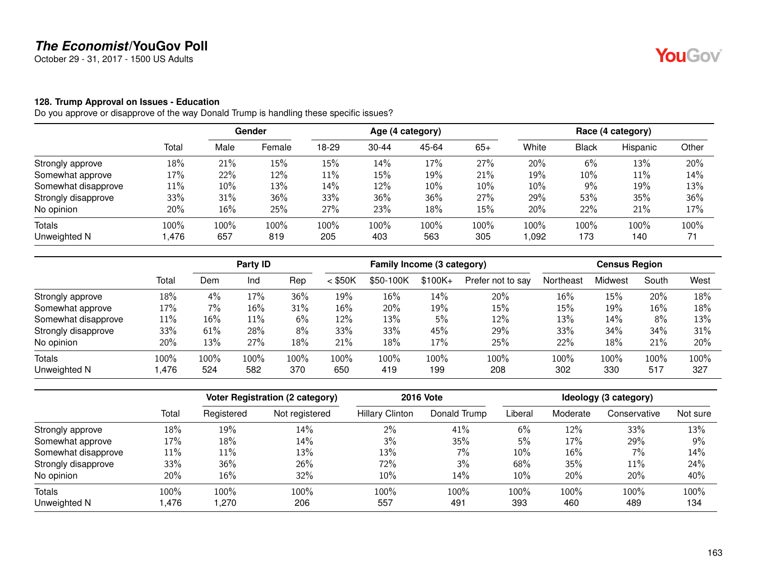October 29 - 31, 2017 - 1500 US Adults

#### **128. Trump Approval on Issues - Education**

|                     |        |      | Gender | Age (4 category) |           |       |       | Race (4 category) |       |          |       |
|---------------------|--------|------|--------|------------------|-----------|-------|-------|-------------------|-------|----------|-------|
|                     | Total  | Male | Female | 18-29            | $30 - 44$ | 45-64 | $65+$ | White             | Black | Hispanic | Other |
| Strongly approve    | 18%    | 21%  | 15%    | 15%              | 14%       | 17%   | 27%   | 20%               | 6%    | 13%      | 20%   |
| Somewhat approve    | 17%    | 22%  | 12%    | 11%              | 15%       | 19%   | 21%   | 19%               | 10%   | 11%      | 14%   |
| Somewhat disapprove | $11\%$ | 10%  | 13%    | 14%              | 12%       | 10%   | 10%   | 10%               | $9\%$ | 19%      | 13%   |
| Strongly disapprove | 33%    | 31%  | 36%    | 33%              | 36%       | 36%   | 27%   | 29%               | 53%   | 35%      | 36%   |
| No opinion          | 20%    | 16%  | 25%    | 27%              | 23%       | 18%   | 15%   | 20%               | 22%   | 21%      | 17%   |
| Totals              | 100%   | 100% | 100%   | 100%             | 100%      | 100%  | 100%  | 100%              | 100%  | 100%     | 100%  |
| Unweighted N        | .476،  | 657  | 819    | 205              | 403       | 563   | 305   | 1,092             | 173   | 140      | 71    |

|                     |       |       | Party ID |         |           | Family Income (3 category) |           |                   |           | <b>Census Region</b> |        |      |
|---------------------|-------|-------|----------|---------|-----------|----------------------------|-----------|-------------------|-----------|----------------------|--------|------|
|                     | Total | Dem   | Ind      | Rep     | $<$ \$50K | \$50-100K                  | $$100K +$ | Prefer not to say | Northeast | Midwest              | South  | West |
| Strongly approve    | 18%   | 4%    | 17%      | 36%     | 19%       | 16%                        | 14%       | 20%               | 16%       | 15%                  | 20%    | 18%  |
| Somewhat approve    | 17%   | $7\%$ | 16%      | 31%     | $16\%$    | 20%                        | 19%       | 15%               | 15%       | 19%                  | $16\%$ | 18%  |
| Somewhat disapprove | 11%   | 16%   | 11%      | 6%      | 12%       | 13%                        | 5%        | 12%               | 13%       | 14%                  | 8%     | 13%  |
| Strongly disapprove | 33%   | 61%   | 28%      | 8%      | 33%       | 33%                        | 45%       | 29%               | 33%       | 34%                  | 34%    | 31%  |
| No opinion          | 20%   | 13%   | 27%      | 18%     | 21%       | 18%                        | 17%       | 25%               | 22%       | 18%                  | 21%    | 20%  |
| Totals              | 100%  | 100%  | 100%     | $100\%$ | 100%      | $100\%$                    | 100%      | 100%              | 100%      | 100%                 | 100%   | 100% |
| Unweighted N        | ,476  | 524   | 582      | 370     | 650       | 419                        | 199       | 208               | 302       | 330                  | 517    | 327  |

|                     |       |            | <b>Voter Registration (2 category)</b> |                        | <b>2016 Vote</b> | Ideology (3 category) |          |              |          |  |
|---------------------|-------|------------|----------------------------------------|------------------------|------------------|-----------------------|----------|--------------|----------|--|
|                     | Total | Registered | Not registered                         | <b>Hillary Clinton</b> | Donald Trump     | Liberal               | Moderate | Conservative | Not sure |  |
| Strongly approve    | 18%   | 19%        | 14%                                    | 2%                     | 41%              | 6%                    | 12%      | 33%          | 13%      |  |
| Somewhat approve    | 17%   | 18%        | 14%                                    | 3%                     | 35%              | 5%                    | 17%      | 29%          | 9%       |  |
| Somewhat disapprove | 11%   | 11%        | 13%                                    | 13%                    | $7\%$            | $10\%$                | 16%      | $7\%$        | 14%      |  |
| Strongly disapprove | 33%   | 36%        | 26%                                    | 72%                    | 3%               | 68%                   | 35%      | 11%          | 24%      |  |
| No opinion          | 20%   | 16%        | 32%                                    | 10%                    | 14%              | $10\%$                | 20%      | 20%          | 40%      |  |
| Totals              | 100%  | 100%       | 100%                                   | 100%                   | 100%             | 100%                  | 100%     | 100%         | 100%     |  |
| Unweighted N        | .476  | .270       | 206                                    | 557                    | 491              | 393                   | 460      | 489          | 134      |  |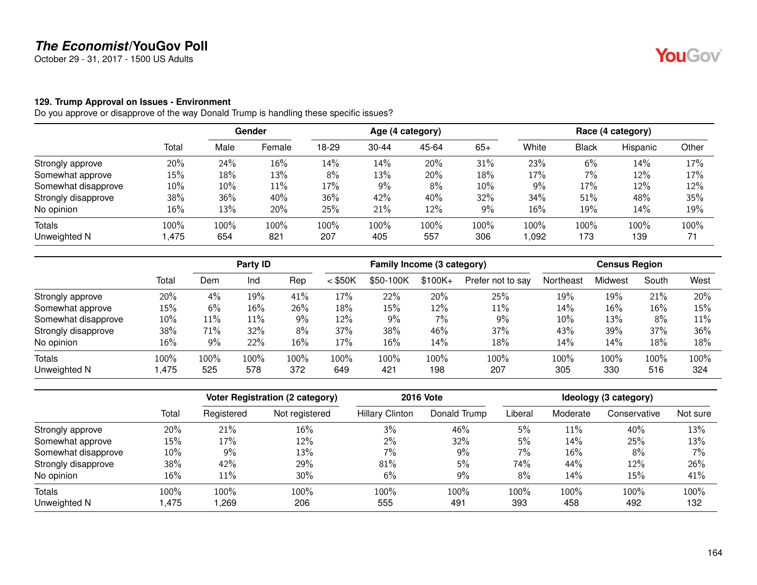October 29 - 31, 2017 - 1500 US Adults

#### **129. Trump Approval on Issues - Environment**

|                     |        |      | Gender | Age (4 category) |           |       |       | Race (4 category) |       |          |       |
|---------------------|--------|------|--------|------------------|-----------|-------|-------|-------------------|-------|----------|-------|
|                     | Total  | Male | Female | 18-29            | $30 - 44$ | 45-64 | $65+$ | White             | Black | Hispanic | Other |
| Strongly approve    | 20%    | 24%  | 16%    | 14%              | 14%       | 20%   | 31%   | 23%               | 6%    | 14%      | 17%   |
| Somewhat approve    | 15%    | 18%  | 13%    | 8%               | 13%       | 20%   | 18%   | 17%               | 7%    | 12%      | 17%   |
| Somewhat disapprove | $10\%$ | 10%  | 11%    | 17%              | 9%        | 8%    | 10%   | 9%                | 17%   | 12%      | 12%   |
| Strongly disapprove | 38%    | 36%  | 40%    | 36%              | 42%       | 40%   | 32%   | 34%               | 51%   | 48%      | 35%   |
| No opinion          | $16\%$ | 13%  | 20%    | 25%              | 21%       | 12%   | 9%    | 16%               | 19%   | 14%      | 19%   |
| Totals              | 100%   | 100% | 100%   | 100%             | 100%      | 100%  | 100%  | 100%              | 100%  | 100%     | 100%  |
| Unweighted N        | 475, ا | 654  | 821    | 207              | 405       | 557   | 306   | 1,092             | 173   | 139      | 71    |

|                     |       |      | Party ID |         | Family Income (3 category) |           |           | <b>Census Region</b> |           |         |        |      |
|---------------------|-------|------|----------|---------|----------------------------|-----------|-----------|----------------------|-----------|---------|--------|------|
|                     | Total | Dem  | Ind      | Rep     | $<$ \$50K                  | \$50-100K | $$100K +$ | Prefer not to say    | Northeast | Midwest | South  | West |
| Strongly approve    | 20%   | 4%   | 19%      | 41%     | 17%                        | 22%       | 20%       | 25%                  | 19%       | 19%     | 21%    | 20%  |
| Somewhat approve    | 15%   | 6%   | 16%      | 26%     | 18%                        | 15%       | 12%       | 11%                  | 14%       | 16%     | $16\%$ | 15%  |
| Somewhat disapprove | 10%   | 11%  | 11%      | 9%      | 12%                        | 9%        | 7%        | 9%                   | 10%       | 13%     | 8%     | 11%  |
| Strongly disapprove | 38%   | 71%  | 32%      | 8%      | 37%                        | 38%       | 46%       | 37%                  | 43%       | 39%     | 37%    | 36%  |
| No opinion          | 16%   | 9%   | 22%      | 16%     | 17%                        | 16%       | 14%       | 18%                  | 14%       | 14%     | 18%    | 18%  |
| Totals              | 100%  | 100% | 100%     | $100\%$ | 100%                       | $100\%$   | 100%      | 100%                 | 100%      | 100%    | 100%   | 100% |
| Unweighted N        | ,475  | 525  | 578      | 372     | 649                        | 421       | 198       | 207                  | 305       | 330     | 516    | 324  |

|                     |        |            | <b>Voter Registration (2 category)</b> |                        | <b>2016 Vote</b> |         |          | Ideology (3 category) |          |
|---------------------|--------|------------|----------------------------------------|------------------------|------------------|---------|----------|-----------------------|----------|
|                     | Total  | Registered | Not registered                         | <b>Hillary Clinton</b> | Donald Trump     | Liberal | Moderate | Conservative          | Not sure |
| Strongly approve    | 20%    | 21%        | 16%                                    | 3%                     | 46%              | 5%      | 11%      | 40%                   | 13%      |
| Somewhat approve    | $15\%$ | 17%        | 12%                                    | 2%                     | 32%              | 5%      | 14%      | 25%                   | 13%      |
| Somewhat disapprove | $10\%$ | 9%         | 13%                                    | 7%                     | 9%               | 7%      | 16%      | 8%                    | 7%       |
| Strongly disapprove | 38%    | 42%        | 29%                                    | 81%                    | 5%               | 74%     | 44%      | 12%                   | 26%      |
| No opinion          | 16%    | 11%        | 30%                                    | 6%                     | 9%               | 8%      | 14%      | 15%                   | 41%      |
| Totals              | 100%   | 100%       | 100%                                   | 100%                   | 100%             | 100%    | 100%     | 100%                  | 100%     |
| Unweighted N        | .475   | ,269       | 206                                    | 555                    | 491              | 393     | 458      | 492                   | 132      |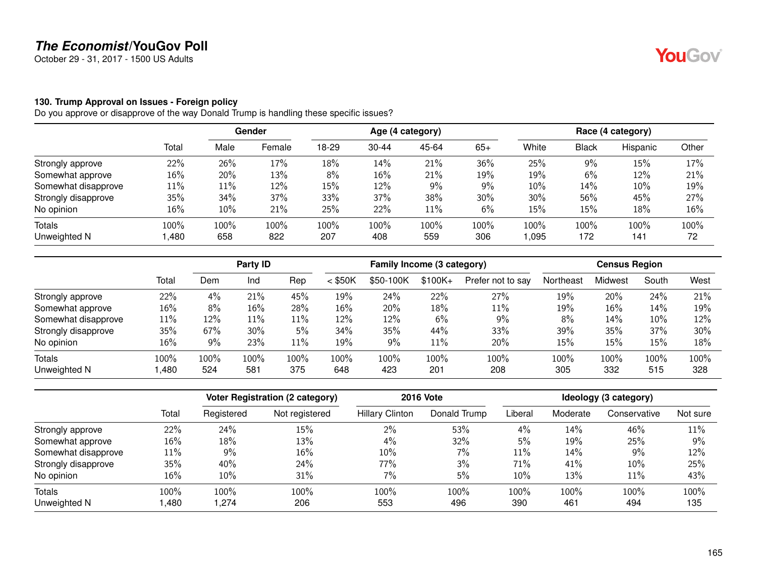October 29 - 31, 2017 - 1500 US Adults

#### **130. Trump Approval on Issues - Foreign policy**

|                     |        | Gender |        | Age (4 category) |           |       |       | Race (4 category) |              |          |       |
|---------------------|--------|--------|--------|------------------|-----------|-------|-------|-------------------|--------------|----------|-------|
|                     | Total  | Male   | Female | 18-29            | $30 - 44$ | 45-64 | $65+$ | White             | <b>Black</b> | Hispanic | Other |
| Strongly approve    | 22%    | 26%    | 17%    | 18%              | 14%       | 21%   | 36%   | 25%               | 9%           | 15%      | 17%   |
| Somewhat approve    | $16\%$ | 20%    | 13%    | 8%               | 16%       | 21%   | 19%   | 19%               | 6%           | 12%      | 21%   |
| Somewhat disapprove | $11\%$ | 11%    | 12%    | 15%              | 12%       | 9%    | $9\%$ | 10%               | 14%          | 10%      | 19%   |
| Strongly disapprove | $35\%$ | 34%    | 37%    | 33%              | 37%       | 38%   | 30%   | 30%               | 56%          | 45%      | 27%   |
| No opinion          | $16\%$ | 10%    | 21%    | 25%              | 22%       | 11%   | 6%    | 15%               | 15%          | 18%      | 16%   |
| Totals              | 100%   | 100%   | 100%   | 100%             | 100%      | 100%  | 100%  | 100%              | 100%         | 100%     | 100%  |
| Unweighted N        | 1,480  | 658    | 822    | 207              | 408       | 559   | 306   | 0.095             | 172          | 141      | 72    |

|                     |        |         | Party ID |      |           |           |          | Family Income (3 category)<br><b>Census Region</b> |           |         |       |      |
|---------------------|--------|---------|----------|------|-----------|-----------|----------|----------------------------------------------------|-----------|---------|-------|------|
|                     | Total  | Dem     | Ind      | Rep  | $<$ \$50K | \$50-100K | $$100K+$ | Prefer not to say                                  | Northeast | Midwest | South | West |
| Strongly approve    | 22%    | 4%      | 21%      | 45%  | 19%       | 24%       | 22%      | 27%                                                | 19%       | 20%     | 24%   | 21%  |
| Somewhat approve    | 16%    | 8%      | 16%      | 28%  | $16\%$    | 20%       | 18%      | 11%                                                | 19%       | 16%     | 14%   | 19%  |
| Somewhat disapprove | $11\%$ | 12%     | 11%      | 11%  | 12%       | 12%       | 6%       | 9%                                                 | 8%        | 14%     | 10%   | 12%  |
| Strongly disapprove | 35%    | 67%     | 30%      | 5%   | 34%       | 35%       | 44%      | 33%                                                | 39%       | 35%     | 37%   | 30%  |
| No opinion          | 16%    | 9%      | 23%      | 11%  | 19%       | 9%        | 11%      | 20%                                                | 15%       | 15%     | 15%   | 18%  |
| Totals              | 100%   | $100\%$ | 100%     | 100% | 100%      | 100%      | 100%     | 100%                                               | 100%      | 100%    | 100%  | 100% |
| Unweighted N        | .480   | 524     | 581      | 375  | 648       | 423       | 201      | 208                                                | 305       | 332     | 515   | 328  |

|                     |       |            | <b>Voter Registration (2 category)</b> |                        | <b>2016 Vote</b> |         |          | Ideology (3 category) |          |
|---------------------|-------|------------|----------------------------------------|------------------------|------------------|---------|----------|-----------------------|----------|
|                     | Total | Registered | Not registered                         | <b>Hillary Clinton</b> | Donald Trump     | Liberal | Moderate | Conservative          | Not sure |
| Strongly approve    | 22%   | 24%        | 15%                                    | $2\%$                  | 53%              | 4%      | 14%      | 46%                   | 11%      |
| Somewhat approve    | 16%   | 18%        | 13%                                    | 4%                     | 32%              | 5%      | 19%      | 25%                   | 9%       |
| Somewhat disapprove | 11%   | 9%         | 16%                                    | 10%                    | $7\%$            | $11\%$  | 14%      | 9%                    | 12%      |
| Strongly disapprove | 35%   | 40%        | 24%                                    | 77%                    | 3%               | 71%     | 41%      | 10%                   | 25%      |
| No opinion          | 16%   | 10%        | 31%                                    | 7%                     | 5%               | $10\%$  | 13%      | 11%                   | 43%      |
| <b>Totals</b>       | 100%  | 100%       | 100%                                   | 100%                   | 100%             | 100%    | 100%     | 100%                  | 100%     |
| Unweighted N        | ,480  | .274       | 206                                    | 553                    | 496              | 390     | 461      | 494                   | 135      |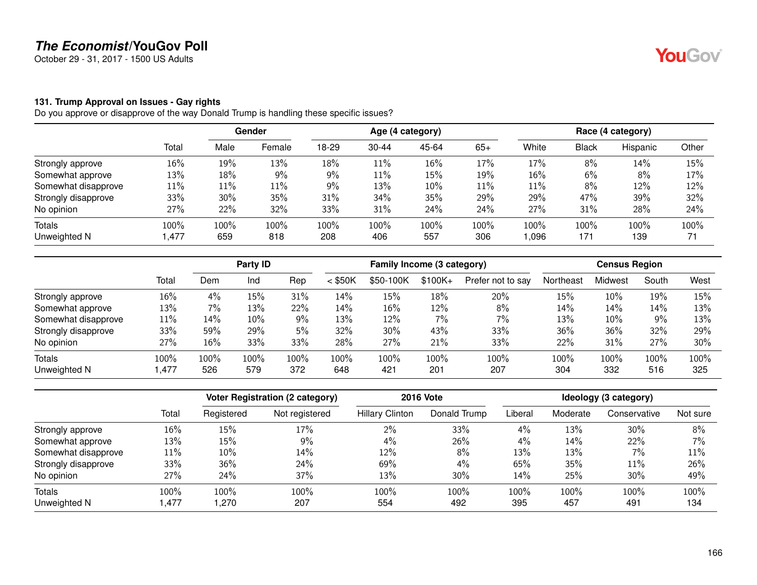October 29 - 31, 2017 - 1500 US Adults

#### **131. Trump Approval on Issues - Gay rights**

|                     |        |      | Gender | Age (4 category) |           |       |        | Race (4 category) |       |          |       |
|---------------------|--------|------|--------|------------------|-----------|-------|--------|-------------------|-------|----------|-------|
|                     | Total  | Male | Female | 18-29            | $30 - 44$ | 45-64 | $65+$  | White             | Black | Hispanic | Other |
| Strongly approve    | 16%    | 19%  | 13%    | 18%              | 11%       | 16%   | 17%    | 17%               | 8%    | 14%      | 15%   |
| Somewhat approve    | 13%    | 18%  | 9%     | 9%               | 11%       | 15%   | 19%    | 16%               | 6%    | 8%       | 17%   |
| Somewhat disapprove | $11\%$ | 11%  | 11%    | 9%               | 13%       | 10%   | $11\%$ | 11%               | 8%    | 12%      | 12%   |
| Strongly disapprove | 33%    | 30%  | 35%    | 31%              | 34%       | 35%   | 29%    | 29%               | 47%   | 39%      | 32%   |
| No opinion          | 27%    | 22%  | 32%    | 33%              | 31%       | 24%   | 24%    | 27%               | 31%   | 28%      | 24%   |
| Totals              | 100%   | 100% | 100%   | 100%             | 100%      | 100%  | 100%   | 100%              | 100%  | 100%     | 100%  |
| Unweighted N        | 1,477  | 659  | 818    | 208              | 406       | 557   | 306    | 1,096             | 171   | 139      | 71    |

|                     |        |         | Party ID |       | Family Income (3 category) |           |          | <b>Census Region</b> |           |         |       |      |
|---------------------|--------|---------|----------|-------|----------------------------|-----------|----------|----------------------|-----------|---------|-------|------|
|                     | Total  | Dem     | Ind      | Rep   | $<$ \$50K                  | \$50-100K | $$100K+$ | Prefer not to say    | Northeast | Midwest | South | West |
| Strongly approve    | 16%    | 4%      | 15%      | 31%   | 14%                        | 15%       | 18%      | 20%                  | 15%       | 10%     | 19%   | 15%  |
| Somewhat approve    | 13%    | 7%      | 13%      | 22%   | 14%                        | 16%       | 12%      | 8%                   | 14%       | 14%     | 14%   | 13%  |
| Somewhat disapprove | $11\%$ | 14%     | 10%      | $9\%$ | 13%                        | 12%       | 7%       | $7\%$                | 13%       | 10%     | 9%    | 13%  |
| Strongly disapprove | 33%    | 59%     | 29%      | 5%    | 32%                        | 30%       | 43%      | 33%                  | 36%       | 36%     | 32%   | 29%  |
| No opinion          | 27%    | 16%     | 33%      | 33%   | 28%                        | 27%       | 21%      | 33%                  | 22%       | 31%     | 27%   | 30%  |
| Totals              | 100%   | $100\%$ | 100%     | 100%  | 100%                       | 100%      | 100%     | 100%                 | 100%      | 100%    | 100%  | 100% |
| Unweighted N        | .477   | 526     | 579      | 372   | 648                        | 421       | 201      | 207                  | 304       | 332     | 516   | 325  |

|                     |       |            | <b>Voter Registration (2 category)</b> |                        | <b>2016 Vote</b> |         |          | Ideology (3 category) |          |
|---------------------|-------|------------|----------------------------------------|------------------------|------------------|---------|----------|-----------------------|----------|
|                     | Total | Registered | Not registered                         | <b>Hillary Clinton</b> | Donald Trump     | Liberal | Moderate | Conservative          | Not sure |
| Strongly approve    | 16%   | 15%        | 17%                                    | 2%                     | 33%              | 4%      | 13%      | 30%                   | 8%       |
| Somewhat approve    | 13%   | 15%        | $9\%$                                  | 4%                     | 26%              | 4%      | 14%      | 22%                   | 7%       |
| Somewhat disapprove | 11%   | 10%        | 14%                                    | 12%                    | 8%               | 13%     | 13%      | $7\%$                 | 11%      |
| Strongly disapprove | 33%   | 36%        | 24%                                    | 69%                    | 4%               | 65%     | 35%      | 11%                   | 26%      |
| No opinion          | 27%   | 24%        | 37%                                    | 13%                    | 30%              | 14%     | 25%      | $30\%$                | 49%      |
| Totals              | 100%  | 100%       | 100%                                   | 100%                   | 100%             | 100%    | 100%     | 100%                  | 100%     |
| Unweighted N        | .477  | .270       | 207                                    | 554                    | 492              | 395     | 457      | 491                   | 134      |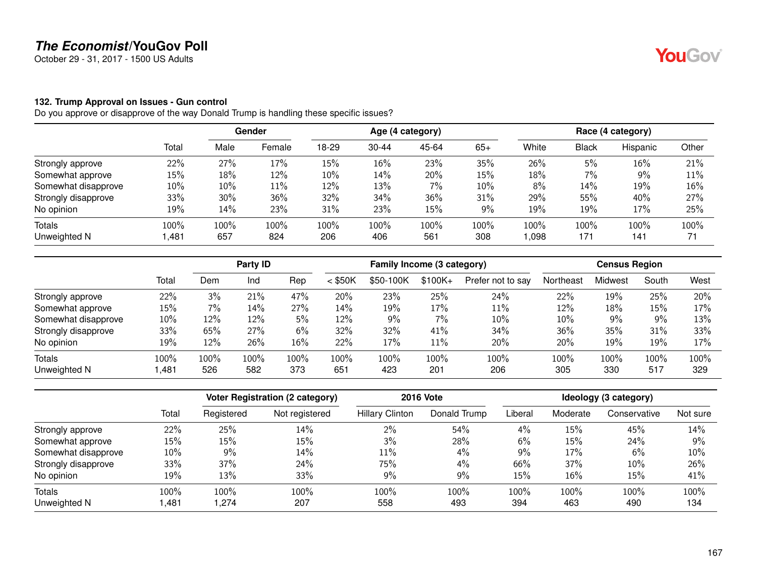October 29 - 31, 2017 - 1500 US Adults

#### **132. Trump Approval on Issues - Gun control**

|                     |        |      | <b>Gender</b> | Age (4 category) |           |       |       | Race (4 category) |              |          |       |
|---------------------|--------|------|---------------|------------------|-----------|-------|-------|-------------------|--------------|----------|-------|
|                     | Total  | Male | Female        | 18-29            | $30 - 44$ | 45-64 | $65+$ | White             | <b>Black</b> | Hispanic | Other |
| Strongly approve    | 22%    | 27%  | 17%           | 15%              | 16%       | 23%   | 35%   | 26%               | 5%           | 16%      | 21%   |
| Somewhat approve    | $15\%$ | 18%  | 12%           | 10%              | 14%       | 20%   | 15%   | 18%               | $7\%$        | 9%       | 11%   |
| Somewhat disapprove | $10\%$ | 10%  | 11%           | 12%              | 13%       | $7\%$ | 10%   | 8%                | 14%          | 19%      | 16%   |
| Strongly disapprove | 33%    | 30%  | 36%           | 32%              | 34%       | 36%   | 31%   | 29%               | 55%          | 40%      | 27%   |
| No opinion          | 19%    | 14%  | 23%           | 31%              | 23%       | 15%   | 9%    | 19%               | 19%          | 17%      | 25%   |
| Totals              | 100%   | 100% | 100%          | 100%             | 100%      | 100%  | 100%  | 100%              | 100%         | 100%     | 100%  |
| Unweighted N        | 1,481  | 657  | 824           | 206              | 406       | 561   | 308   | 0.098             | 171          | 141      | 71    |

|                     |       |      | Party ID |         |           | Family Income (3 category) |           |                   |           | <b>Census Region</b> |       |        |
|---------------------|-------|------|----------|---------|-----------|----------------------------|-----------|-------------------|-----------|----------------------|-------|--------|
|                     | Total | Dem  | Ind      | Rep     | $<$ \$50K | \$50-100K                  | $$100K +$ | Prefer not to say | Northeast | Midwest              | South | West   |
| Strongly approve    | 22%   | 3%   | 21%      | 47%     | 20%       | 23%                        | 25%       | 24%               | 22%       | 19%                  | 25%   | 20%    |
| Somewhat approve    | 15%   | 7%   | 14%      | 27%     | 14%       | 19%                        | 17%       | 11%               | 12%       | 18%                  | 15%   | 17%    |
| Somewhat disapprove | 10%   | 12%  | 12%      | 5%      | 12%       | 9%                         | 7%        | $10\%$            | 10%       | 9%                   | 9%    | 13%    |
| Strongly disapprove | 33%   | 65%  | 27%      | 6%      | 32%       | 32%                        | 41%       | 34%               | 36%       | 35%                  | 31%   | 33%    |
| No opinion          | 19%   | 12%  | 26%      | 16%     | 22%       | 17%                        | 11%       | 20%               | 20%       | 19%                  | 19%   | $17\%$ |
| Totals              | 100%  | 100% | 100%     | $100\%$ | 100%      | $100\%$                    | 100%      | 100%              | 100%      | 100%                 | 100%  | 100%   |
| Unweighted N        | ,481  | 526  | 582      | 373     | 651       | 423                        | 201       | 206               | 305       | 330                  | 517   | 329    |

|                     |        |            | <b>Voter Registration (2 category)</b> |                        | <b>2016 Vote</b> |         |          | Ideology (3 category) |          |
|---------------------|--------|------------|----------------------------------------|------------------------|------------------|---------|----------|-----------------------|----------|
|                     | Total  | Registered | Not registered                         | <b>Hillary Clinton</b> | Donald Trump     | Liberal | Moderate | Conservative          | Not sure |
| Strongly approve    | 22%    | 25%        | 14%                                    | 2%                     | 54%              | 4%      | 15%      | 45%                   | 14%      |
| Somewhat approve    | $15\%$ | 15%        | 15%                                    | 3%                     | 28%              | 6%      | 15%      | 24%                   | 9%       |
| Somewhat disapprove | $10\%$ | 9%         | 14%                                    | 11%                    | 4%               | 9%      | 17%      | 6%                    | 10%      |
| Strongly disapprove | 33%    | 37%        | 24%                                    | 75%                    | 4%               | 66%     | 37%      | 10%                   | 26%      |
| No opinion          | 19%    | 13%        | 33%                                    | 9%                     | 9%               | 15%     | 16%      | 15%                   | 41%      |
| Totals              | 100%   | 100%       | 100%                                   | 100%                   | 100%             | 100%    | 100%     | 100%                  | 100%     |
| Unweighted N        | ,481   | .274       | 207                                    | 558                    | 493              | 394     | 463      | 490                   | 134      |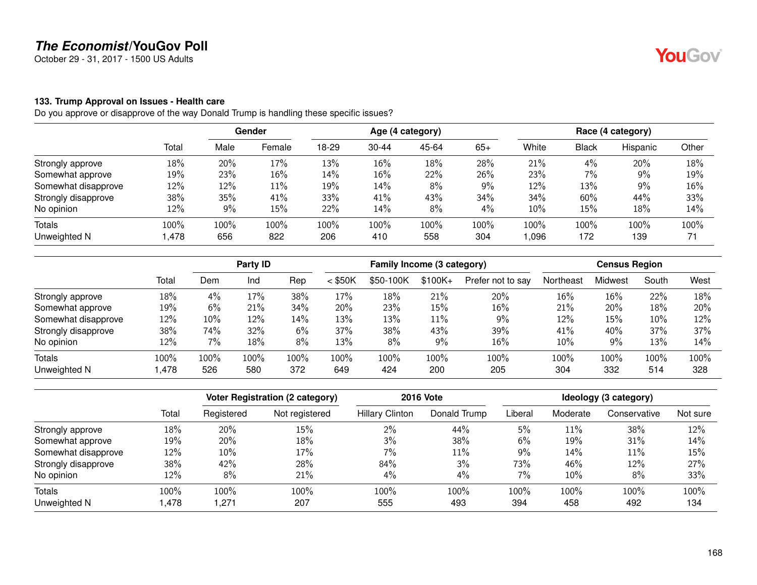October 29 - 31, 2017 - 1500 US Adults

#### **133. Trump Approval on Issues - Health care**

Do you approve or disapprove of the way Donald Trump is handling these specific issues?

|                     |        |      | <b>Gender</b> | Age (4 category) |           |       |       | Race (4 category) |       |          |       |
|---------------------|--------|------|---------------|------------------|-----------|-------|-------|-------------------|-------|----------|-------|
|                     | Total  | Male | Female        | 18-29            | $30 - 44$ | 45-64 | $65+$ | White             | Black | Hispanic | Other |
| Strongly approve    | 18%    | 20%  | 17%           | 13%              | 16%       | 18%   | 28%   | 21%               | 4%    | 20%      | 18%   |
| Somewhat approve    | 19%    | 23%  | 16%           | 14%              | 16%       | 22%   | 26%   | 23%               | $7\%$ | 9%       | 19%   |
| Somewhat disapprove | 12%    | 12%  | 11%           | 19%              | 14%       | 8%    | 9%    | 12%               | 13%   | 9%       | 16%   |
| Strongly disapprove | 38%    | 35%  | 41%           | 33%              | 41%       | 43%   | 34%   | 34%               | 60%   | 44%      | 33%   |
| No opinion          | 12%    | 9%   | 15%           | 22%              | 14%       | 8%    | 4%    | 10%               | 15%   | 18%      | 14%   |
| Totals              | 100%   | 100% | 100%          | 100%             | 100%      | 100%  | 100%  | 100%              | 100%  | 100%     | 100%  |
| Unweighted N        | 478, ا | 656  | 822           | 206              | 410       | 558   | 304   | 096,              | 172   | 139      | 71    |

|                     |       |      | Party ID |      |           | Family Income (3 category) |          |                   |           | <b>Census Region</b> |       |      |
|---------------------|-------|------|----------|------|-----------|----------------------------|----------|-------------------|-----------|----------------------|-------|------|
|                     | Total | Dem  | Ind      | Rep  | $<$ \$50K | \$50-100K                  | $$100K+$ | Prefer not to say | Northeast | Midwest              | South | West |
| Strongly approve    | 18%   | 4%   | 17%      | 38%  | 17%       | 18%                        | 21%      | 20%               | 16%       | 16%                  | 22%   | 18%  |
| Somewhat approve    | 19%   | 6%   | 21%      | 34%  | 20%       | 23%                        | 15%      | 16%               | 21%       | 20%                  | 18%   | 20%  |
| Somewhat disapprove | 12%   | 10%  | 12%      | 14%  | 13%       | 13%                        | $11\%$   | 9%                | 12%       | 15%                  | 10%   | 12%  |
| Strongly disapprove | 38%   | 74%  | 32%      | 6%   | 37%       | 38%                        | 43%      | 39%               | 41%       | 40%                  | 37%   | 37%  |
| No opinion          | 12%   | 7%   | 18%      | 8%   | 13%       | 8%                         | 9%       | 16%               | 10%       | 9%                   | 13%   | 14%  |
| <b>Totals</b>       | 100%  | 100% | 100%     | 100% | 100%      | $100\%$                    | 100%     | 100%              | 100%      | 100%                 | 100%  | 100% |
| Unweighted N        | ,478  | 526  | 580      | 372  | 649       | 424                        | 200      | 205               | 304       | 332                  | 514   | 328  |

|                     |       |            | <b>Voter Registration (2 category)</b> |                        | <b>2016 Vote</b> |         |          | Ideology (3 category) |          |
|---------------------|-------|------------|----------------------------------------|------------------------|------------------|---------|----------|-----------------------|----------|
|                     | Total | Registered | Not registered                         | <b>Hillary Clinton</b> | Donald Trump     | Liberal | Moderate | Conservative          | Not sure |
| Strongly approve    | 18%   | 20%        | 15%                                    | 2%                     | 44%              | 5%      | 11%      | 38%                   | 12%      |
| Somewhat approve    | 19%   | 20%        | 18%                                    | 3%                     | 38%              | 6%      | 19%      | 31%                   | 14%      |
| Somewhat disapprove | 12%   | 10%        | 17%                                    | 7%                     | 11%              | $9\%$   | 14%      | 11%                   | 15%      |
| Strongly disapprove | 38%   | 42%        | 28%                                    | 84%                    | 3%               | 73%     | 46%      | 12%                   | 27%      |
| No opinion          | 12%   | 8%         | 21%                                    | 4%                     | 4%               | 7%      | 10%      | 8%                    | 33%      |
| <b>Totals</b>       | 100%  | 100%       | 100%                                   | 100%                   | 100%             | 100%    | 100%     | 100%                  | 100%     |
| Unweighted N        | .478  | .271       | 207                                    | 555                    | 493              | 394     | 458      | 492                   | 134      |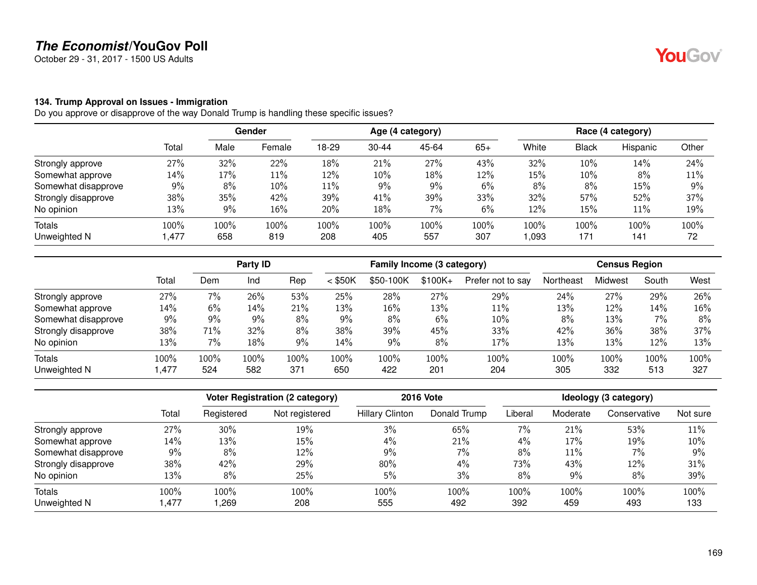October 29 - 31, 2017 - 1500 US Adults

#### **134. Trump Approval on Issues - Immigration**

|                     |        | <b>Gender</b> |        | Age (4 category) |           |       |       | Race (4 category) |              |          |       |
|---------------------|--------|---------------|--------|------------------|-----------|-------|-------|-------------------|--------------|----------|-------|
|                     | Total  | Male          | Female | 18-29            | $30 - 44$ | 45-64 | $65+$ | White             | <b>Black</b> | Hispanic | Other |
| Strongly approve    | 27%    | 32%           | 22%    | 18%              | 21%       | 27%   | 43%   | 32%               | 10%          | 14%      | 24%   |
| Somewhat approve    | $14\%$ | 17%           | 11%    | 12%              | 10%       | 18%   | 12%   | 15%               | 10%          | 8%       | 11%   |
| Somewhat disapprove | $9\%$  | 8%            | 10%    | $11\%$           | 9%        | 9%    | 6%    | 8%                | 8%           | 15%      | 9%    |
| Strongly disapprove | 38%    | 35%           | 42%    | 39%              | 41%       | 39%   | 33%   | 32%               | 57%          | 52%      | 37%   |
| No opinion          | 13%    | $9\%$         | 16%    | 20%              | 18%       | $7\%$ | 6%    | 12%               | 15%          | 11%      | 19%   |
| Totals              | 100%   | 100%          | 100%   | 100%             | 100%      | 100%  | 100%  | 100%              | 100%         | 100%     | 100%  |
| Unweighted N        | 1,477  | 658           | 819    | 208              | 405       | 557   | 307   | 093               | 171          | 141      | 72    |

|                     |       |      | Party ID |         |           | Family Income (3 category) |           |                   |           | <b>Census Region</b> |       |      |
|---------------------|-------|------|----------|---------|-----------|----------------------------|-----------|-------------------|-----------|----------------------|-------|------|
|                     | Total | Dem  | Ind      | Rep     | $<$ \$50K | \$50-100K                  | $$100K +$ | Prefer not to say | Northeast | Midwest              | South | West |
| Strongly approve    | 27%   | 7%   | 26%      | 53%     | 25%       | 28%                        | 27%       | 29%               | 24%       | 27%                  | 29%   | 26%  |
| Somewhat approve    | 14%   | 6%   | 14%      | 21%     | 13%       | 16%                        | 13%       | 11%               | 13%       | 12%                  | 14%   | 16%  |
| Somewhat disapprove | $9\%$ | 9%   | 9%       | 8%      | 9%        | 8%                         | 6%        | $10\%$            | 8%        | 13%                  | 7%    | 8%   |
| Strongly disapprove | 38%   | 71%  | 32%      | 8%      | 38%       | 39%                        | 45%       | 33%               | 42%       | 36%                  | 38%   | 37%  |
| No opinion          | 13%   | 7%   | 18%      | 9%      | 14%       | 9%                         | 8%        | 17%               | 13%       | 13%                  | 12%   | 13%  |
| Totals              | 100%  | 100% | 100%     | $100\%$ | 100%      | $100\%$                    | 100%      | 100%              | 100%      | 100%                 | 100%  | 100% |
| Unweighted N        | ,477  | 524  | 582      | 371     | 650       | 422                        | 201       | 204               | 305       | 332                  | 513   | 327  |

|                     |       |            | <b>Voter Registration (2 category)</b> |                        | <b>2016 Vote</b> |         |          | Ideology (3 category) |          |
|---------------------|-------|------------|----------------------------------------|------------------------|------------------|---------|----------|-----------------------|----------|
|                     | Total | Registered | Not registered                         | <b>Hillary Clinton</b> | Donald Trump     | Liberal | Moderate | Conservative          | Not sure |
| Strongly approve    | 27%   | 30%        | 19%                                    | 3%                     | 65%              | 7%      | 21%      | 53%                   | 11%      |
| Somewhat approve    | 14%   | 13%        | 15%                                    | 4%                     | 21%              | 4%      | 17%      | 19%                   | 10%      |
| Somewhat disapprove | 9%    | 8%         | 12%                                    | 9%                     | $7\%$            | 8%      | 11%      | $7\%$                 | 9%       |
| Strongly disapprove | 38%   | 42%        | 29%                                    | 80%                    | 4%               | 73%     | 43%      | 12%                   | 31%      |
| No opinion          | 13%   | 8%         | 25%                                    | 5%                     | 3%               | 8%      | 9%       | 8%                    | 39%      |
| <b>Totals</b>       | 100%  | 100%       | 100%                                   | 100%                   | 100%             | 100%    | 100%     | 100%                  | 100%     |
| Unweighted N        | .477  | ,269       | 208                                    | 555                    | 492              | 392     | 459      | 493                   | 133      |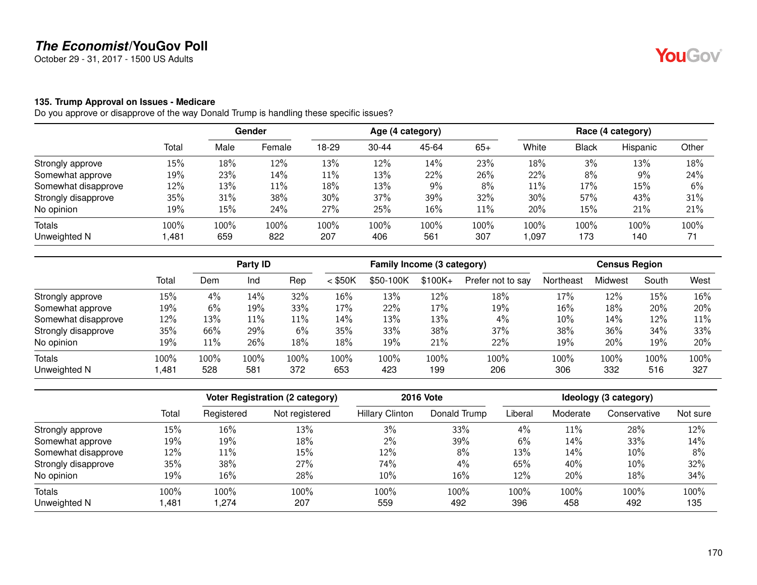October 29 - 31, 2017 - 1500 US Adults

#### **135. Trump Approval on Issues - Medicare**

|                     |        | Gender |        | Age (4 category) |           |       |        | Race (4 category) |       |          |       |
|---------------------|--------|--------|--------|------------------|-----------|-------|--------|-------------------|-------|----------|-------|
|                     | Total  | Male   | Female | 18-29            | $30 - 44$ | 45-64 | $65+$  | White             | Black | Hispanic | Other |
| Strongly approve    | 15%    | 18%    | 12%    | 13%              | 12%       | 14%   | 23%    | 18%               | 3%    | 13%      | 18%   |
| Somewhat approve    | 19%    | 23%    | 14%    | 11%              | 13%       | 22%   | 26%    | 22%               | 8%    | 9%       | 24%   |
| Somewhat disapprove | 12%    | 13%    | 11%    | 18%              | 13%       | 9%    | $8\%$  | 11%               | 17%   | 15%      | 6%    |
| Strongly disapprove | 35%    | 31%    | 38%    | 30%              | 37%       | 39%   | 32%    | 30%               | 57%   | 43%      | 31%   |
| No opinion          | 19%    | 15%    | 24%    | 27%              | 25%       | 16%   | $11\%$ | 20%               | 15%   | 21%      | 21%   |
| Totals              | 100%   | 100%   | 100%   | 100%             | 100%      | 100%  | 100%   | 100%              | 100%  | 100%     | 100%  |
| Unweighted N        | 481, ا | 659    | 822    | 207              | 406       | 561   | 307    | 097, ا            | 173   | 140      | 71    |

|                     |       |         | Party ID |      |           | Family Income (3 category) |          |                   |           | <b>Census Region</b> |       |      |
|---------------------|-------|---------|----------|------|-----------|----------------------------|----------|-------------------|-----------|----------------------|-------|------|
|                     | Total | Dem     | Ind      | Rep  | $<$ \$50K | \$50-100K                  | $$100K+$ | Prefer not to say | Northeast | Midwest              | South | West |
| Strongly approve    | 15%   | 4%      | 14%      | 32%  | 16%       | 13%                        | 12%      | 18%               | 17%       | 12%                  | 15%   | 16%  |
| Somewhat approve    | 19%   | 6%      | 19%      | 33%  | 17%       | 22%                        | 17%      | 19%               | 16%       | 18%                  | 20%   | 20%  |
| Somewhat disapprove | 12%   | 13%     | 11%      | 11%  | 14%       | 13%                        | 13%      | $4\%$             | 10%       | 14%                  | 12%   | 11%  |
| Strongly disapprove | 35%   | 66%     | 29%      | 6%   | 35%       | 33%                        | 38%      | 37%               | 38%       | 36%                  | 34%   | 33%  |
| No opinion          | 19%   | 11%     | 26%      | 18%  | 18%       | 19%                        | 21%      | 22%               | 19%       | 20%                  | 19%   | 20%  |
| Totals              | 100%  | $100\%$ | 100%     | 100% | 100%      | 100%                       | 100%     | 100%              | 100%      | 100%                 | 100%  | 100% |
| Unweighted N        | .481  | 528     | 581      | 372  | 653       | 423                        | 199      | 206               | 306       | 332                  | 516   | 327  |

|                     |       |            | <b>Voter Registration (2 category)</b> |                        | <b>2016 Vote</b> |         |          | Ideology (3 category) |          |
|---------------------|-------|------------|----------------------------------------|------------------------|------------------|---------|----------|-----------------------|----------|
|                     | Total | Registered | Not registered                         | <b>Hillary Clinton</b> | Donald Trump     | Liberal | Moderate | Conservative          | Not sure |
| Strongly approve    | 15%   | 16%        | 13%                                    | 3%                     | 33%              | 4%      | 11%      | 28%                   | 12%      |
| Somewhat approve    | 19%   | 19%        | 18%                                    | 2%                     | 39%              | 6%      | 14%      | 33%                   | 14%      |
| Somewhat disapprove | 12%   | 11%        | 15%                                    | 12%                    | 8%               | 13%     | 14%      | 10%                   | 8%       |
| Strongly disapprove | 35%   | 38%        | 27%                                    | 74%                    | 4%               | 65%     | 40%      | 10%                   | 32%      |
| No opinion          | 19%   | 16%        | 28%                                    | 10%                    | 16%              | 12%     | 20%      | 18%                   | 34%      |
| Totals              | 100%  | 100%       | 100%                                   | 100%                   | 100%             | 100%    | 100%     | 100%                  | 100%     |
| Unweighted N        | ,481  | .274       | 207                                    | 559                    | 492              | 396     | 458      | 492                   | 135      |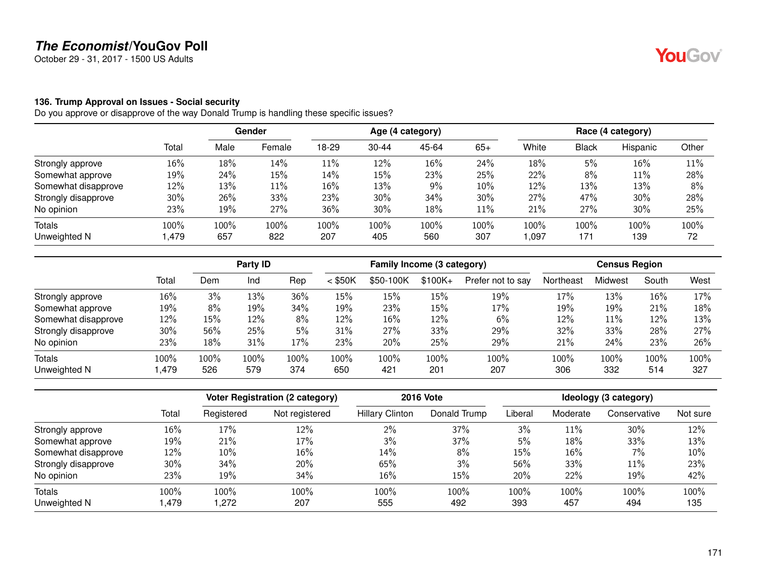October 29 - 31, 2017 - 1500 US Adults

#### **136. Trump Approval on Issues - Social security**

|                     |       | Gender |        | Age (4 category) |           |       |        | Race (4 category) |       |          |       |
|---------------------|-------|--------|--------|------------------|-----------|-------|--------|-------------------|-------|----------|-------|
|                     | Total | Male   | Female | 18-29            | $30 - 44$ | 45-64 | $65+$  | White             | Black | Hispanic | Other |
| Strongly approve    | 16%   | 18%    | 14%    | 11%              | 12%       | 16%   | 24%    | 18%               | 5%    | 16%      | 11%   |
| Somewhat approve    | 19%   | 24%    | 15%    | 14%              | 15%       | 23%   | 25%    | 22%               | 8%    | 11%      | 28%   |
| Somewhat disapprove | 12%   | 13%    | 11%    | 16%              | 13%       | $9\%$ | 10%    | 12%               | 13%   | 13%      | 8%    |
| Strongly disapprove | 30%   | 26%    | 33%    | 23%              | 30%       | 34%   | 30%    | 27%               | 47%   | 30%      | 28%   |
| No opinion          | 23%   | 19%    | 27%    | 36%              | 30%       | 18%   | $11\%$ | 21%               | 27%   | 30%      | 25%   |
| Totals              | 100%  | 100%   | 100%   | 100%             | 100%      | 100%  | 100%   | 100%              | 100%  | 100%     | 100%  |
| Unweighted N        | 1,479 | 657    | 822    | 207              | 405       | 560   | 307    | 097, ا            | 171   | 139      | 72    |

|                     |       |      | Party ID |         |           | Family Income (3 category) |           |                   |           | <b>Census Region</b> |        |      |
|---------------------|-------|------|----------|---------|-----------|----------------------------|-----------|-------------------|-----------|----------------------|--------|------|
|                     | Total | Dem  | Ind      | Rep     | $<$ \$50K | \$50-100K                  | $$100K +$ | Prefer not to say | Northeast | Midwest              | South  | West |
| Strongly approve    | 16%   | 3%   | 13%      | 36%     | 15%       | 15%                        | 15%       | 19%               | 17%       | 13%                  | $16\%$ | 17%  |
| Somewhat approve    | 19%   | 8%   | 19%      | 34%     | 19%       | 23%                        | 15%       | 17%               | 19%       | 19%                  | 21%    | 18%  |
| Somewhat disapprove | 12%   | 15%  | 12%      | 8%      | 12%       | 16%                        | 12%       | 6%                | 12%       | 11%                  | 12%    | 13%  |
| Strongly disapprove | 30%   | 56%  | 25%      | 5%      | 31%       | 27%                        | 33%       | 29%               | 32%       | 33%                  | 28%    | 27%  |
| No opinion          | 23%   | 18%  | 31%      | 17%     | 23%       | 20%                        | 25%       | 29%               | 21%       | 24%                  | 23%    | 26%  |
| Totals              | 100%  | 100% | 100%     | $100\%$ | 100%      | $100\%$                    | 100%      | 100%              | 100%      | 100%                 | 100%   | 100% |
| Unweighted N        | ,479  | 526  | 579      | 374     | 650       | 421                        | 201       | 207               | 306       | 332                  | 514    | 327  |

|                     |       |            | <b>Voter Registration (2 category)</b> |                        | <b>2016 Vote</b> |         |          | Ideology (3 category) |          |
|---------------------|-------|------------|----------------------------------------|------------------------|------------------|---------|----------|-----------------------|----------|
|                     | Total | Registered | Not registered                         | <b>Hillary Clinton</b> | Donald Trump     | Liberal | Moderate | Conservative          | Not sure |
| Strongly approve    | 16%   | 17%        | 12%                                    | 2%                     | 37%              | 3%      | 11%      | 30%                   | 12%      |
| Somewhat approve    | 19%   | 21%        | 17%                                    | 3%                     | 37%              | 5%      | 18%      | 33%                   | 13%      |
| Somewhat disapprove | 12%   | 10%        | 16%                                    | 14%                    | 8%               | 15%     | 16%      | $7\%$                 | 10%      |
| Strongly disapprove | 30%   | 34%        | 20%                                    | 65%                    | 3%               | 56%     | 33%      | 11%                   | 23%      |
| No opinion          | 23%   | 19%        | 34%                                    | 16%                    | 15%              | 20%     | 22%      | 19%                   | 42%      |
| Totals              | 100%  | 100%       | 100%                                   | 100%                   | 100%             | 100%    | 100%     | 100%                  | 100%     |
| Unweighted N        | .479  | .272       | 207                                    | 555                    | 492              | 393     | 457      | 494                   | 135      |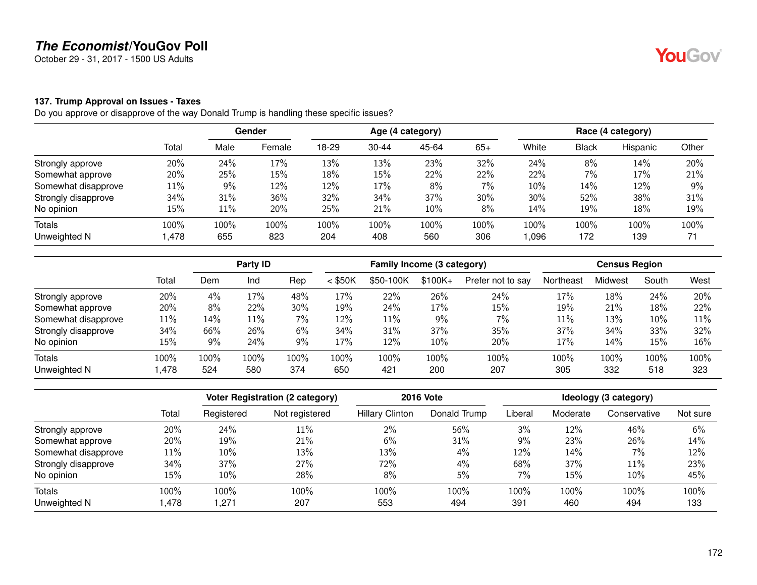October 29 - 31, 2017 - 1500 US Adults

#### **137. Trump Approval on Issues - Taxes**

Do you approve or disapprove of the way Donald Trump is handling these specific issues?

|                     |        |      | <b>Gender</b> | Age (4 category) |           |       |       | Race (4 category) |       |          |       |
|---------------------|--------|------|---------------|------------------|-----------|-------|-------|-------------------|-------|----------|-------|
|                     | Total  | Male | Female        | 18-29            | $30 - 44$ | 45-64 | $65+$ | White             | Black | Hispanic | Other |
| Strongly approve    | 20%    | 24%  | 17%           | 13%              | 13%       | 23%   | 32%   | 24%               | 8%    | 14%      | 20%   |
| Somewhat approve    | 20%    | 25%  | 15%           | 18%              | 15%       | 22%   | 22%   | 22%               | 7%    | 17%      | 21%   |
| Somewhat disapprove | $11\%$ | 9%   | 12%           | 12%              | 17%       | 8%    | $7\%$ | 10%               | 14%   | 12%      | 9%    |
| Strongly disapprove | 34%    | 31%  | 36%           | 32%              | 34%       | 37%   | 30%   | 30%               | 52%   | 38%      | 31%   |
| No opinion          | 15%    | 11%  | 20%           | 25%              | 21%       | 10%   | 8%    | 14%               | 19%   | 18%      | 19%   |
| Totals              | 100%   | 100% | 100%          | 100%             | 100%      | 100%  | 100%  | 100%              | 100%  | 100%     | 100%  |
| Unweighted N        | 478, ا | 655  | 823           | 204              | 408       | 560   | 306   | 096,              | 172   | 139      | 71    |

|                     |       | Party ID |      |       | Family Income (3 category) |           |          |                   | <b>Census Region</b> |         |        |      |
|---------------------|-------|----------|------|-------|----------------------------|-----------|----------|-------------------|----------------------|---------|--------|------|
|                     | Total | Dem      | Ind  | Rep   | $<$ \$50K                  | \$50-100K | $$100K+$ | Prefer not to say | Northeast            | Midwest | South  | West |
| Strongly approve    | 20%   | 4%       | 17%  | 48%   | 17%                        | 22%       | 26%      | 24%               | 17%                  | 18%     | 24%    | 20%  |
| Somewhat approve    | 20%   | 8%       | 22%  | 30%   | 19%                        | 24%       | 17%      | 15%               | 19%                  | 21%     | 18%    | 22%  |
| Somewhat disapprove | 11%   | 14%      | 11%  | $7\%$ | 12%                        | 11%       | 9%       | 7%                | 11%                  | 13%     | $10\%$ | 11%  |
| Strongly disapprove | 34%   | 66%      | 26%  | 6%    | 34%                        | 31%       | 37%      | 35%               | 37%                  | 34%     | 33%    | 32%  |
| No opinion          | 15%   | 9%       | 24%  | 9%    | 17%                        | 12%       | 10%      | 20%               | 17%                  | 14%     | 15%    | 16%  |
| <b>Totals</b>       | 100%  | 100%     | 100% | 100%  | 100%                       | $100\%$   | 100%     | 100%              | 100%                 | 100%    | 100%   | 100% |
| Unweighted N        | ,478  | 524      | 580  | 374   | 650                        | 421       | 200      | 207               | 305                  | 332     | 518    | 323  |

|                     |        |            | <b>Voter Registration (2 category)</b> |                        | <b>2016 Vote</b> |         |          | Ideology (3 category) |          |
|---------------------|--------|------------|----------------------------------------|------------------------|------------------|---------|----------|-----------------------|----------|
|                     | Total  | Registered | Not registered                         | <b>Hillary Clinton</b> | Donald Trump     | Liberal | Moderate | Conservative          | Not sure |
| Strongly approve    | 20%    | 24%        | $11\%$                                 | 2%                     | 56%              | 3%      | 12%      | 46%                   | 6%       |
| Somewhat approve    | 20%    | 19%        | 21%                                    | 6%                     | 31%              | $9\%$   | 23%      | 26%                   | 14%      |
| Somewhat disapprove | 11%    | 10%        | 13%                                    | 13%                    | 4%               | 12%     | 14%      | $7\%$                 | 12%      |
| Strongly disapprove | 34%    | 37%        | 27%                                    | 72%                    | 4%               | 68%     | 37%      | 11%                   | 23%      |
| No opinion          | $15\%$ | 10%        | 28%                                    | 8%                     | 5%               | 7%      | 15%      | $10\%$                | 45%      |
| Totals              | 100%   | 100%       | 100%                                   | 100%                   | 100%             | 100%    | 100%     | 100%                  | 100%     |
| Unweighted N        | .478   | .271       | 207                                    | 553                    | 494              | 391     | 460      | 494                   | 133      |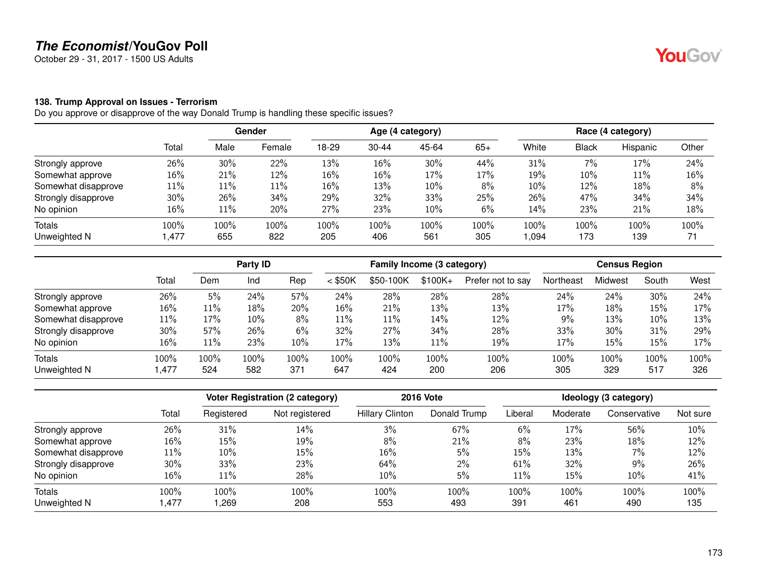October 29 - 31, 2017 - 1500 US Adults

#### **138. Trump Approval on Issues - Terrorism**

|                     |        | Gender |        | Age (4 category) |           |        |       | Race (4 category) |              |          |       |
|---------------------|--------|--------|--------|------------------|-----------|--------|-------|-------------------|--------------|----------|-------|
|                     | Total  | Male   | Female | 18-29            | $30 - 44$ | 45-64  | $65+$ | White             | <b>Black</b> | Hispanic | Other |
| Strongly approve    | 26%    | 30%    | 22%    | 13%              | 16%       | 30%    | 44%   | 31%               | 7%           | 17%      | 24%   |
| Somewhat approve    | $16\%$ | 21%    | 12%    | 16%              | 16%       | 17%    | 17%   | 19%               | 10%          | 11%      | 16%   |
| Somewhat disapprove | $11\%$ | $11\%$ | 11%    | 16%              | 13%       | 10%    | 8%    | 10%               | 12%          | 18%      | 8%    |
| Strongly disapprove | 30%    | 26%    | 34%    | 29%              | 32%       | 33%    | 25%   | 26%               | 47%          | 34%      | 34%   |
| No opinion          | 16%    | $11\%$ | 20%    | 27%              | 23%       | $10\%$ | 6%    | 14%               | 23%          | 21%      | 18%   |
| Totals              | 100%   | 100%   | 100%   | 100%             | 100%      | 100%   | 100%  | 100%              | 100%         | 100%     | 100%  |
| Unweighted N        | ,477   | 655    | 822    | 205              | 406       | 561    | 305   | ,094              | 173          | 139      | 71    |

|                     |        | Party ID |      |      | Family Income (3 category) |           |           |                   | <b>Census Region</b> |         |       |      |
|---------------------|--------|----------|------|------|----------------------------|-----------|-----------|-------------------|----------------------|---------|-------|------|
|                     | Total  | Dem      | Ind  | Rep  | $<$ \$50K                  | \$50-100K | $$100K +$ | Prefer not to say | Northeast            | Midwest | South | West |
| Strongly approve    | 26%    | 5%       | 24%  | 57%  | 24%                        | 28%       | 28%       | 28%               | 24%                  | 24%     | 30%   | 24%  |
| Somewhat approve    | 16%    | 11%      | 18%  | 20%  | 16%                        | 21%       | 13%       | 13%               | 17%                  | 18%     | 15%   | 17%  |
| Somewhat disapprove | $11\%$ | 17%      | 10%  | 8%   | 11%                        | 11%       | 14%       | 12%               | 9%                   | 13%     | 10%   | 13%  |
| Strongly disapprove | 30%    | 57%      | 26%  | 6%   | 32%                        | 27%       | 34%       | 28%               | 33%                  | 30%     | 31%   | 29%  |
| No opinion          | 16%    | 11%      | 23%  | 10%  | 17%                        | 13%       | 11%       | 19%               | 17%                  | 15%     | 15%   | 17%  |
| Totals              | 100%   | 100%     | 100% | 100% | 100%                       | 100%      | 100%      | 100%              | 100%                 | 100%    | 100%  | 100% |
| Unweighted N        | .477   | 524      | 582  | 371  | 647                        | 424       | 200       | 206               | 305                  | 329     | 517   | 326  |

|                     |       |            | <b>Voter Registration (2 category)</b> |                        | <b>2016 Vote</b> |         |          | Ideology (3 category) |          |
|---------------------|-------|------------|----------------------------------------|------------------------|------------------|---------|----------|-----------------------|----------|
|                     | Total | Registered | Not registered                         | <b>Hillary Clinton</b> | Donald Trump     | Liberal | Moderate | Conservative          | Not sure |
| Strongly approve    | 26%   | 31%        | 14%                                    | 3%                     | 67%              | 6%      | 17%      | 56%                   | 10%      |
| Somewhat approve    | 16%   | 15%        | 19%                                    | 8%                     | 21%              | 8%      | 23%      | 18%                   | 12%      |
| Somewhat disapprove | 11%   | 10%        | 15%                                    | 16%                    | 5%               | 15%     | 13%      | 7%                    | 12%      |
| Strongly disapprove | 30%   | 33%        | 23%                                    | 64%                    | $2\%$            | 61%     | 32%      | 9%                    | 26%      |
| No opinion          | 16%   | 11%        | 28%                                    | 10%                    | 5%               | 11%     | 15%      | $10\%$                | 41%      |
| Totals              | 100%  | 100%       | 100%                                   | 100%                   | 100%             | 100%    | 100%     | 100%                  | 100%     |
| Unweighted N        | .477  | ,269       | 208                                    | 553                    | 493              | 391     | 461      | 490                   | 135      |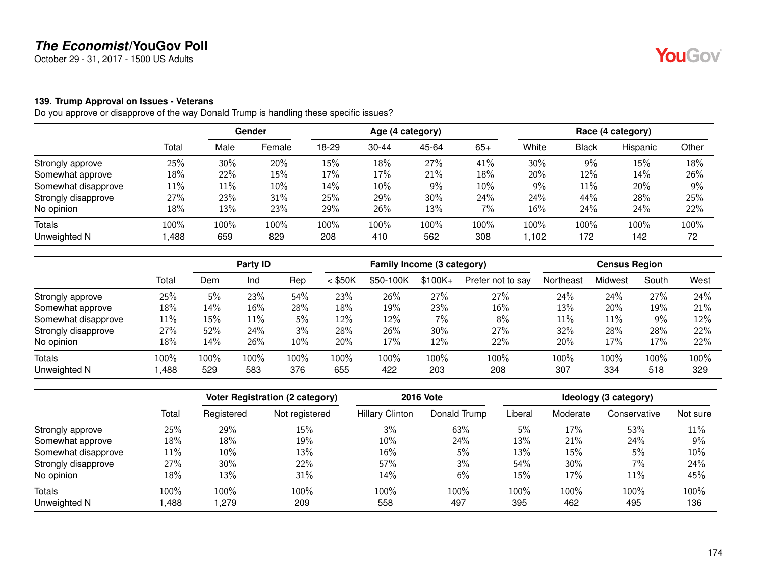October 29 - 31, 2017 - 1500 US Adults

#### **139. Trump Approval on Issues - Veterans**

Do you approve or disapprove of the way Donald Trump is handling these specific issues?

|                     |        |        | Gender | Age (4 category) |           |       |       | Race (4 category) |              |          |       |
|---------------------|--------|--------|--------|------------------|-----------|-------|-------|-------------------|--------------|----------|-------|
|                     | Total  | Male   | Female | 18-29            | $30 - 44$ | 45-64 | $65+$ | White             | <b>Black</b> | Hispanic | Other |
| Strongly approve    | 25%    | 30%    | 20%    | 15%              | 18%       | 27%   | 41%   | 30%               | 9%           | 15%      | 18%   |
| Somewhat approve    | 18%    | 22%    | 15%    | 17%              | 17%       | 21%   | 18%   | 20%               | 12%          | 14%      | 26%   |
| Somewhat disapprove | $11\%$ | $11\%$ | 10%    | 14%              | 10%       | 9%    | 10%   | 9%                | 11%          | 20%      | 9%    |
| Strongly disapprove | 27%    | 23%    | 31%    | 25%              | 29%       | 30%   | 24%   | 24%               | 44%          | 28%      | 25%   |
| No opinion          | 18%    | 13%    | 23%    | 29%              | 26%       | 13%   | 7%    | 16%               | 24%          | 24%      | 22%   |
| <b>Totals</b>       | 100%   | 100%   | 100%   | 100%             | 100%      | 100%  | 100%  | 100%              | 100%         | 100%     | 100%  |
| Unweighted N        | ,488   | 659    | 829    | 208              | 410       | 562   | 308   | 1,102             | 172          | 142      | 72    |

|                     |       |      | Party <b>ID</b> |      |           | Family Income (3 category) |          |                   |           | <b>Census Region</b> |       |      |
|---------------------|-------|------|-----------------|------|-----------|----------------------------|----------|-------------------|-----------|----------------------|-------|------|
|                     | Total | Dem  | Ind             | Rep  | $<$ \$50K | \$50-100K                  | $$100K+$ | Prefer not to say | Northeast | Midwest              | South | West |
| Strongly approve    | 25%   | 5%   | 23%             | 54%  | 23%       | 26%                        | 27%      | 27%               | 24%       | 24%                  | 27%   | 24%  |
| Somewhat approve    | 18%   | 14%  | 16%             | 28%  | 18%       | 19%                        | 23%      | 16%               | 13%       | 20%                  | 19%   | 21%  |
| Somewhat disapprove | 11%   | 15%  | 11%             | 5%   | 12%       | 12%                        | 7%       | 8%                | 11%       | 11%                  | $9\%$ | 12%  |
| Strongly disapprove | 27%   | 52%  | 24%             | 3%   | 28%       | 26%                        | 30%      | 27%               | 32%       | 28%                  | 28%   | 22%  |
| No opinion          | 18%   | 14%  | 26%             | 10%  | 20%       | 17%                        | 12%      | 22%               | 20%       | 17%                  | 17%   | 22%  |
| <b>Totals</b>       | 100%  | 100% | 100%            | 100% | 100%      | 100%                       | 100%     | 100%              | 100%      | 100%                 | 100%  | 100% |
| Unweighted N        | .488  | 529  | 583             | 376  | 655       | 422                        | 203      | 208               | 307       | 334                  | 518   | 329  |

|                     |        |            | <b>Voter Registration (2 category)</b> |                        | <b>2016 Vote</b> |         |          | Ideology (3 category) |          |
|---------------------|--------|------------|----------------------------------------|------------------------|------------------|---------|----------|-----------------------|----------|
|                     | Total  | Registered | Not registered                         | <b>Hillary Clinton</b> | Donald Trump     | Liberal | Moderate | Conservative          | Not sure |
| Strongly approve    | 25%    | 29%        | 15%                                    | 3%                     | 63%              | 5%      | 17%      | 53%                   | 11%      |
| Somewhat approve    | 18%    | 18%        | 19%                                    | 10%                    | 24%              | 13%     | 21%      | 24%                   | 9%       |
| Somewhat disapprove | 11%    | 10%        | 13%                                    | 16%                    | 5%               | 13%     | 15%      | 5%                    | 10%      |
| Strongly disapprove | $27\%$ | 30%        | 22%                                    | 57%                    | 3%               | 54%     | $30\%$   | 7%                    | 24%      |
| No opinion          | 18%    | 13%        | 31%                                    | 14%                    | 6%               | 15%     | 17%      | 11%                   | 45%      |
| Totals              | 100%   | 100%       | 100%                                   | 100%                   | 100%             | 100%    | 100%     | 100%                  | 100%     |
| Unweighted N        | ,488   | .279       | 209                                    | 558                    | 497              | 395     | 462      | 495                   | 136      |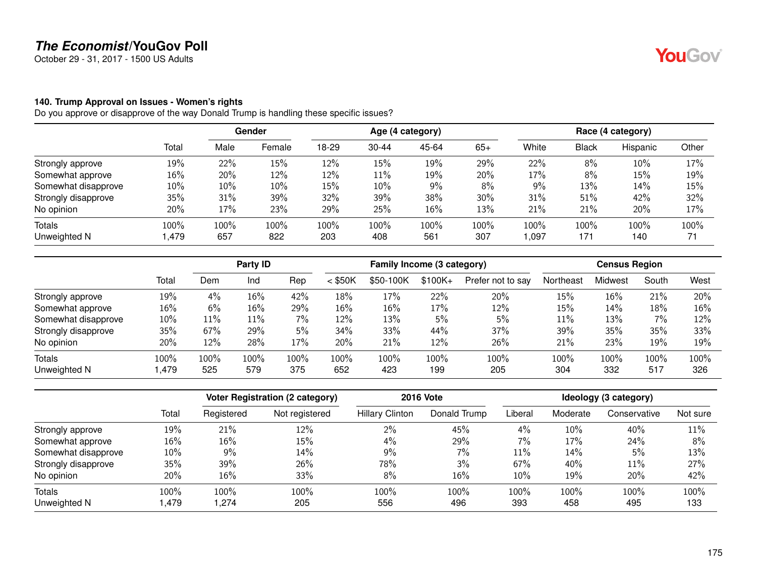October 29 - 31, 2017 - 1500 US Adults

#### **140. Trump Approval on Issues - Women's rights**

|                     |        |      | Gender | Age (4 category) |           |       |       | Race (4 category) |       |          |       |
|---------------------|--------|------|--------|------------------|-----------|-------|-------|-------------------|-------|----------|-------|
|                     | Total  | Male | Female | 18-29            | $30 - 44$ | 45-64 | $65+$ | White             | Black | Hispanic | Other |
| Strongly approve    | 19%    | 22%  | 15%    | 12%              | 15%       | 19%   | 29%   | 22%               | 8%    | 10%      | 17%   |
| Somewhat approve    | 16%    | 20%  | 12%    | 12%              | 11%       | 19%   | 20%   | 17%               | 8%    | 15%      | 19%   |
| Somewhat disapprove | $10\%$ | 10%  | 10%    | 15%              | 10%       | 9%    | 8%    | 9%                | 13%   | 14%      | 15%   |
| Strongly disapprove | 35%    | 31%  | 39%    | 32%              | 39%       | 38%   | 30%   | 31%               | 51%   | 42%      | 32%   |
| No opinion          | 20%    | 17%  | 23%    | 29%              | 25%       | 16%   | 13%   | 21%               | 21%   | 20%      | 17%   |
| Totals              | 100%   | 100% | 100%   | 100%             | 100%      | 100%  | 100%  | 100%              | 100%  | 100%     | 100%  |
| Unweighted N        | 1,479  | 657  | 822    | 203              | 408       | 561   | 307   | 097, ا            | 171   | 140      | 71    |

|                     |       |      | Party ID |         |           | Family Income (3 category) |           |                   |           | <b>Census Region</b> |       |      |
|---------------------|-------|------|----------|---------|-----------|----------------------------|-----------|-------------------|-----------|----------------------|-------|------|
|                     | Total | Dem  | Ind      | Rep     | $<$ \$50K | \$50-100K                  | $$100K +$ | Prefer not to say | Northeast | Midwest              | South | West |
| Strongly approve    | 19%   | 4%   | 16%      | 42%     | 18%       | 17%                        | 22%       | 20%               | 15%       | 16%                  | 21%   | 20%  |
| Somewhat approve    | 16%   | 6%   | 16%      | 29%     | $16\%$    | 16%                        | 17%       | 12%               | 15%       | 14%                  | 18%   | 16%  |
| Somewhat disapprove | 10%   | 11%  | 11%      | 7%      | 12%       | 13%                        | 5%        | 5%                | 11%       | 13%                  | 7%    | 12%  |
| Strongly disapprove | 35%   | 67%  | 29%      | 5%      | 34%       | 33%                        | 44%       | 37%               | 39%       | 35%                  | 35%   | 33%  |
| No opinion          | 20%   | 12%  | 28%      | 17%     | 20%       | 21%                        | 12%       | 26%               | 21%       | 23%                  | 19%   | 19%  |
| Totals              | 100%  | 100% | 100%     | $100\%$ | 100%      | $100\%$                    | 100%      | 100%              | 100%      | 100%                 | 100%  | 100% |
| Unweighted N        | ,479  | 525  | 579      | 375     | 652       | 423                        | 199       | 205               | 304       | 332                  | 517   | 326  |

|                     |        |            | <b>Voter Registration (2 category)</b> |                        | <b>2016 Vote</b> |         |          | Ideology (3 category) |          |
|---------------------|--------|------------|----------------------------------------|------------------------|------------------|---------|----------|-----------------------|----------|
|                     | Total  | Registered | Not registered                         | <b>Hillary Clinton</b> | Donald Trump     | Liberal | Moderate | Conservative          | Not sure |
| Strongly approve    | 19%    | 21%        | 12%                                    | 2%                     | 45%              | 4%      | 10%      | 40%                   | 11%      |
| Somewhat approve    | 16%    | 16%        | 15%                                    | 4%                     | 29%              | 7%      | 17%      | 24%                   | 8%       |
| Somewhat disapprove | $10\%$ | 9%         | 14%                                    | 9%                     | $7\%$            | $11\%$  | 14%      | 5%                    | 13%      |
| Strongly disapprove | 35%    | 39%        | 26%                                    | 78%                    | 3%               | 67%     | 40%      | 11%                   | 27%      |
| No opinion          | 20%    | 16%        | 33%                                    | 8%                     | 16%              | $10\%$  | 19%      | 20%                   | 42%      |
| Totals              | 100%   | 100%       | 100%                                   | 100%                   | 100%             | 100%    | 100%     | 100%                  | 100%     |
| Unweighted N        | .479   | .274       | 205                                    | 556                    | 496              | 393     | 458      | 495                   | 133      |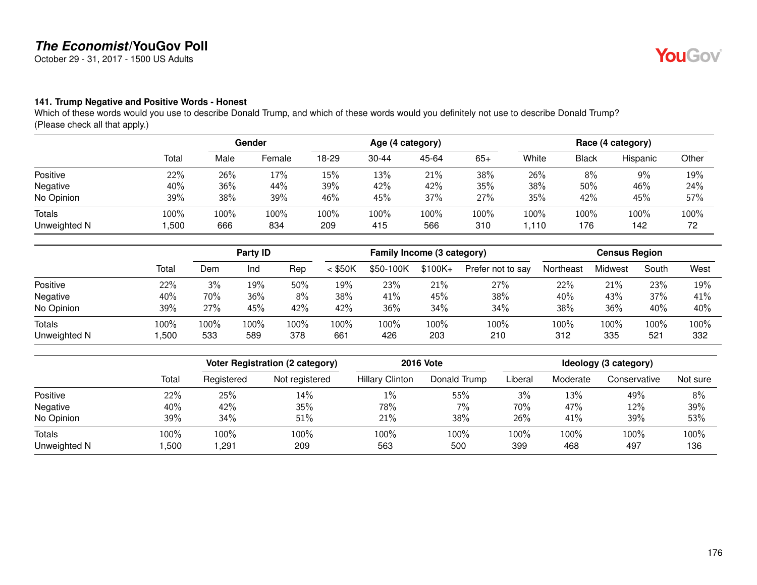October 29 - 31, 2017 - 1500 US Adults

### **141. Trump Negative and Positive Words - Honest**

Which of these words would you use to describe Donald Trump, and which of these words would you definitely not use to describe Donald Trump? (Please check all that apply.)

|                               |              |             | Gender      |             |             | Age (4 category) |             |              |             | Race (4 category) |            |  |
|-------------------------------|--------------|-------------|-------------|-------------|-------------|------------------|-------------|--------------|-------------|-------------------|------------|--|
|                               | Total        | Male        | Female      | 18-29       | $30 - 44$   | 45-64            | $65+$       | White        | Black       | Hispanic          | Other      |  |
| Positive                      | 22%          | 26%         | 17%         | 15%         | 13%         | 21%              | 38%         | 26%          | 8%          | 9%                | 19%        |  |
| Negative                      | 40%          | 36%         | 44%         | 39%         | 42%         | 42%              | 35%         | 38%          | 50%         | 46%               | 24%        |  |
| No Opinion                    | 39%          | 38%         | 39%         | 46%         | 45%         | 37%              | 27%         | 35%          | 42%         | 45%               | 57%        |  |
| <b>Totals</b><br>Unweighted N | 100%<br>,500 | 100%<br>666 | 100%<br>834 | 100%<br>209 | 100%<br>415 | 100%<br>566      | 100%<br>310 | 100%<br>.110 | 100%<br>176 | 100%<br>142       | 100%<br>72 |  |

|                               |              |             | Party ID    |             | Family Income (3 category) |             |             | <b>Census Region</b> |             |             |             |             |
|-------------------------------|--------------|-------------|-------------|-------------|----------------------------|-------------|-------------|----------------------|-------------|-------------|-------------|-------------|
|                               | Total        | Dem         | Ind         | Rep         | $<$ \$50K                  | \$50-100K   | $$100K +$   | Prefer not to say    | Northeast   | Midwest     | South       | West        |
| Positive                      | 22%          | 3%          | 19%         | 50%         | 19%                        | 23%         | 21%         | 27%                  | 22%         | 21%         | 23%         | 19%         |
| Negative                      | 40%          | 70%         | 36%         | 8%          | 38%                        | 41%         | 45%         | 38%                  | 40%         | 43%         | 37%         | 41%         |
| No Opinion                    | 39%          | 27%         | 45%         | 42%         | 42%                        | 36%         | 34%         | 34%                  | 38%         | 36%         | 40%         | 40%         |
| <b>Totals</b><br>Unweighted N | 100%<br>,500 | 100%<br>533 | 100%<br>589 | 100%<br>378 | 100%<br>661                | 100%<br>426 | 100%<br>203 | 100%<br>210          | 100%<br>312 | 100%<br>335 | 100%<br>521 | 100%<br>332 |

|              |       |            | <b>Voter Registration (2 category)</b> | <b>2016 Vote</b>       | Ideology (3 category) |         |          |              |          |
|--------------|-------|------------|----------------------------------------|------------------------|-----------------------|---------|----------|--------------|----------|
|              | Total | Registered | Not registered                         | <b>Hillary Clinton</b> | Donald Trump          | Liberal | Moderate | Conservative | Not sure |
| Positive     | 22%   | 25%        | 14%                                    | $1\%$                  | 55%                   | 3%      | 13%      | 49%          | 8%       |
| Negative     | 40%   | 42%        | 35%                                    | 78%                    | $7\%$                 | 70%     | 47%      | 12%          | 39%      |
| No Opinion   | 39%   | 34%        | 51%                                    | 21%                    | 38%                   | 26%     | 41%      | 39%          | 53%      |
| Totals       | 100%  | 100%       | 100%                                   | 100%                   | 100%                  | 100%    | 100%     | 100%         | 100%     |
| Unweighted N | ,500  | ,291       | 209                                    | 563                    | 500                   | 399     | 468      | 497          | 136      |

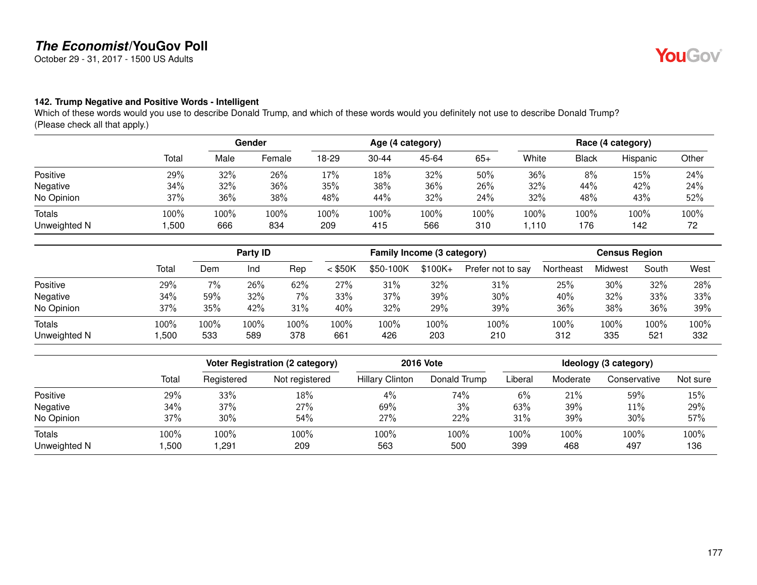October 29 - 31, 2017 - 1500 US Adults

### **142. Trump Negative and Positive Words - Intelligent**

Which of these words would you use to describe Donald Trump, and which of these words would you definitely not use to describe Donald Trump? (Please check all that apply.)

|                               |              |             | Gender      |             |             | Age (4 category) |             | Race (4 category) |              |             |            |  |
|-------------------------------|--------------|-------------|-------------|-------------|-------------|------------------|-------------|-------------------|--------------|-------------|------------|--|
|                               | Total        | Male        | Female      | 18-29       | $30 - 44$   | 45-64            | $65+$       | White             | <b>Black</b> | Hispanic    | Other      |  |
| Positive                      | 29%          | 32%         | 26%         | 17%         | 18%         | 32%              | 50%         | 36%               | 8%           | 15%         | 24%        |  |
| Negative                      | 34%          | 32%         | 36%         | 35%         | 38%         | 36%              | 26%         | 32%               | 44%          | 42%         | 24%        |  |
| No Opinion                    | 37%          | 36%         | 38%         | 48%         | 44%         | 32%              | 24%         | 32%               | 48%          | 43%         | 52%        |  |
| <b>Totals</b><br>Unweighted N | 100%<br>,500 | 100%<br>666 | 100%<br>834 | 100%<br>209 | 100%<br>415 | 100%<br>566      | 100%<br>310 | 100%<br>.110      | 100%<br>176  | 100%<br>142 | 100%<br>72 |  |

|                               |              |             | Party ID    |             |             | Family Income (3 category) |             |                   |             | <b>Census Region</b> |             |             |  |
|-------------------------------|--------------|-------------|-------------|-------------|-------------|----------------------------|-------------|-------------------|-------------|----------------------|-------------|-------------|--|
|                               | Total        | Dem         | Ind         | Rep         | $<$ \$50K   | \$50-100K                  | $$100K +$   | Prefer not to say | Northeast   | Midwest              | South       | West        |  |
| Positive                      | 29%          | $7\%$       | 26%         | 62%         | 27%         | 31%                        | 32%         | 31%               | 25%         | 30%                  | 32%         | 28%         |  |
| Negative                      | 34%          | 59%         | 32%         | $7\%$       | 33%         | 37%                        | 39%         | 30%               | 40%         | 32%                  | 33%         | 33%         |  |
| No Opinion                    | 37%          | 35%         | 42%         | 31%         | 40%         | 32%                        | 29%         | 39%               | 36%         | 38%                  | 36%         | 39%         |  |
| <b>Totals</b><br>Unweighted N | 100%<br>,500 | 100%<br>533 | 100%<br>589 | 100%<br>378 | 100%<br>661 | 100%<br>426                | 100%<br>203 | 100%<br>210       | 100%<br>312 | 100%<br>335          | 100%<br>521 | 100%<br>332 |  |

|              |       |            | <b>Voter Registration (2 category)</b> | <b>2016 Vote</b>       | Ideology (3 category) |         |          |              |          |
|--------------|-------|------------|----------------------------------------|------------------------|-----------------------|---------|----------|--------------|----------|
|              | Total | Registered | Not registered                         | <b>Hillary Clinton</b> | Donald Trump          | Liberal | Moderate | Conservative | Not sure |
| Positive     | 29%   | 33%        | 18%                                    | $4\%$                  | 74%                   | $6\%$   | 21%      | 59%          | 15%      |
| Negative     | 34%   | 37%        | 27%                                    | 69%                    | 3%                    | 63%     | 39%      | $11\%$       | 29%      |
| No Opinion   | 37%   | 30%        | 54%                                    | 27%                    | 22%                   | 31%     | 39%      | 30%          | 57%      |
| Totals       | 100%  | 100%       | 100%                                   | 100%                   | 100%                  | 100%    | 100%     | 100%         | 100%     |
| Unweighted N | ,500  | ,291       | 209                                    | 563                    | 500                   | 399     | 468      | 497          | 136      |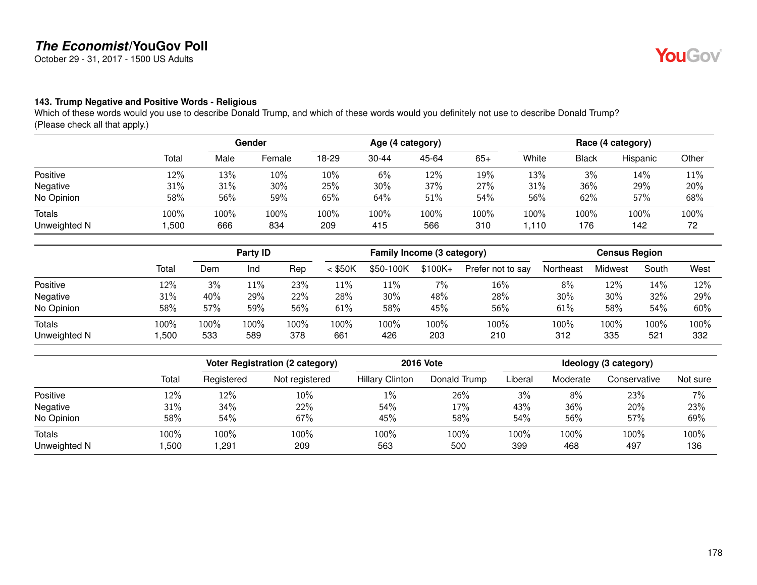October 29 - 31, 2017 - 1500 US Adults

### **143. Trump Negative and Positive Words - Religious**

Which of these words would you use to describe Donald Trump, and which of these words would you definitely not use to describe Donald Trump? (Please check all that apply.)

|                               |              | Gender      |             | Age (4 category) |             |             |             | Race (4 category) |              |             |            |
|-------------------------------|--------------|-------------|-------------|------------------|-------------|-------------|-------------|-------------------|--------------|-------------|------------|
|                               | Total        | Male        | Female      | 18-29            | $30 - 44$   | 45-64       | $65+$       | White             | <b>Black</b> | Hispanic    | Other      |
| Positive                      | 12%          | 13%         | 10%         | 10%              | 6%          | 12%         | 19%         | 13%               | 3%           | 14%         | 11%        |
| Negative                      | 31%          | 31%         | 30%         | 25%              | 30%         | 37%         | 27%         | 31%               | 36%          | 29%         | 20%        |
| No Opinion                    | 58%          | 56%         | 59%         | 65%              | 64%         | 51%         | 54%         | 56%               | 62%          | 57%         | 68%        |
| <b>Totals</b><br>Unweighted N | 100%<br>,500 | 100%<br>666 | 100%<br>834 | 100%<br>209      | 100%<br>415 | 100%<br>566 | 100%<br>310 | 100%<br>110. ا    | 100%<br>176  | 100%<br>142 | 100%<br>72 |

|                               |              | Party ID    |             |             | Family Income (3 category) |             |             |                   | <b>Census Region</b> |             |             |             |
|-------------------------------|--------------|-------------|-------------|-------------|----------------------------|-------------|-------------|-------------------|----------------------|-------------|-------------|-------------|
|                               | Total        | Dem         | Ind         | Rep         | $<$ \$50K                  | \$50-100K   | $$100K +$   | Prefer not to say | Northeast            | Midwest     | South       | West        |
| Positive                      | 12%          | 3%          | 11%         | 23%         | 11%                        | 11%         | 7%          | 16%               | 8%                   | 12%         | 14%         | 12%         |
| Negative                      | 31%          | 40%         | 29%         | 22%         | 28%                        | 30%         | 48%         | 28%               | 30%                  | 30%         | 32%         | 29%         |
| No Opinion                    | 58%          | 57%         | 59%         | 56%         | 61%                        | 58%         | 45%         | 56%               | 61%                  | 58%         | 54%         | 60%         |
| <b>Totals</b><br>Unweighted N | 100%<br>,500 | 100%<br>533 | 100%<br>589 | 100%<br>378 | 100%<br>661                | 100%<br>426 | 100%<br>203 | 100%<br>210       | 100%<br>312          | 100%<br>335 | 100%<br>521 | 100%<br>332 |

|              |       |            | <b>Voter Registration (2 category)</b> | <b>2016 Vote</b>       | Ideology (3 category) |         |          |              |          |
|--------------|-------|------------|----------------------------------------|------------------------|-----------------------|---------|----------|--------------|----------|
|              | Total | Registered | Not registered                         | <b>Hillary Clinton</b> | Donald Trump          | Liberal | Moderate | Conservative | Not sure |
| Positive     | 12%   | 12%        | $10\%$                                 | $1\%$                  | 26%                   | 3%      | 8%       | 23%          | 7%       |
| Negative     | 31%   | 34%        | 22%                                    | 54%                    | 17%                   | 43%     | 36%      | 20%          | 23%      |
| No Opinion   | 58%   | 54%        | 67%                                    | 45%                    | 58%                   | 54%     | 56%      | 57%          | 69%      |
| Totals       | 100%  | 100%       | 100%                                   | 100%                   | 100%                  | 100%    | 100%     | 100%         | 100%     |
| Unweighted N | ,500  | ,291       | 209                                    | 563                    | 500                   | 399     | 468      | 497          | 136      |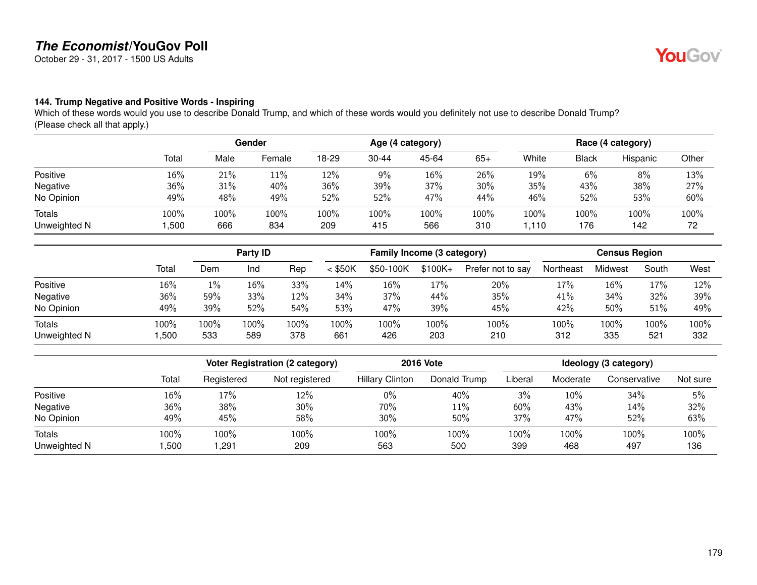October 29 - 31, 2017 - 1500 US Adults

### **144. Trump Negative and Positive Words - Inspiring**

Which of these words would you use to describe Donald Trump, and which of these words would you definitely not use to describe Donald Trump? (Please check all that apply.)

|                               |              | Gender      |             | Age (4 category) |             |             |             | Race (4 category) |              |             |            |
|-------------------------------|--------------|-------------|-------------|------------------|-------------|-------------|-------------|-------------------|--------------|-------------|------------|
|                               | Total        | Male        | Female      | 18-29            | $30 - 44$   | 45-64       | $65+$       | White             | <b>Black</b> | Hispanic    | Other      |
| Positive                      | 16%          | 21%         | 11%         | 12%              | $9\%$       | 16%         | 26%         | 19%               | 6%           | 8%          | 13%        |
| Negative                      | 36%          | 31%         | 40%         | 36%              | 39%         | 37%         | 30%         | 35%               | 43%          | 38%         | 27%        |
| No Opinion                    | 49%          | 48%         | 49%         | 52%              | 52%         | 47%         | 44%         | 46%               | 52%          | 53%         | 60%        |
| <b>Totals</b><br>Unweighted N | 100%<br>,500 | 100%<br>666 | 100%<br>834 | 100%<br>209      | 100%<br>415 | 100%<br>566 | 100%<br>310 | 100%<br>110. ا    | 100%<br>176  | 100%<br>142 | 100%<br>72 |

|                        | Party ID     |             |             | Family Income (3 category) |             |             |             | <b>Census Region</b> |             |             |             |             |
|------------------------|--------------|-------------|-------------|----------------------------|-------------|-------------|-------------|----------------------|-------------|-------------|-------------|-------------|
|                        | Total        | Dem         | Ind         | Rep                        | $<$ \$50K   | \$50-100K   | $$100K +$   | Prefer not to say    | Northeast   | Midwest     | South       | West        |
| Positive               | 16%          | $1\%$       | 16%         | 33%                        | 14%         | 16%         | 17%         | 20%                  | 17%         | 16%         | $17\%$      | 12%         |
| Negative               | 36%          | 59%         | 33%         | 12%                        | 34%         | 37%         | 44%         | 35%                  | 41%         | 34%         | 32%         | 39%         |
| No Opinion             | 49%          | 39%         | 52%         | 54%                        | 53%         | 47%         | 39%         | 45%                  | 42%         | 50%         | 51%         | 49%         |
| Totals<br>Unweighted N | 100%<br>,500 | 100%<br>533 | 100%<br>589 | 100%<br>378                | 100%<br>661 | 100%<br>426 | 100%<br>203 | 100%<br>210          | 100%<br>312 | 100%<br>335 | 100%<br>521 | 100%<br>332 |

|              |       |            | <b>Voter Registration (2 category)</b> | <b>2016 Vote</b>       | Ideology (3 category) |         |          |              |          |
|--------------|-------|------------|----------------------------------------|------------------------|-----------------------|---------|----------|--------------|----------|
|              | Total | Registered | Not registered                         | <b>Hillary Clinton</b> | Donald Trump          | Liberal | Moderate | Conservative | Not sure |
| Positive     | 16%   | 17%        | 12%                                    | $0\%$                  | 40%                   | 3%      | 10%      | 34%          | 5%       |
| Negative     | 36%   | 38%        | 30%                                    | 70%                    | 11%                   | 60%     | 43%      | 14%          | 32%      |
| No Opinion   | 49%   | 45%        | 58%                                    | 30%                    | 50%                   | 37%     | 47%      | 52%          | 63%      |
| Totals       | 100%  | 100%       | 100%                                   | 100%                   | 100%                  | 100%    | 100%     | 100%         | 100%     |
| Unweighted N | ,500  | ,291       | 209                                    | 563                    | 500                   | 399     | 468      | 497          | 136      |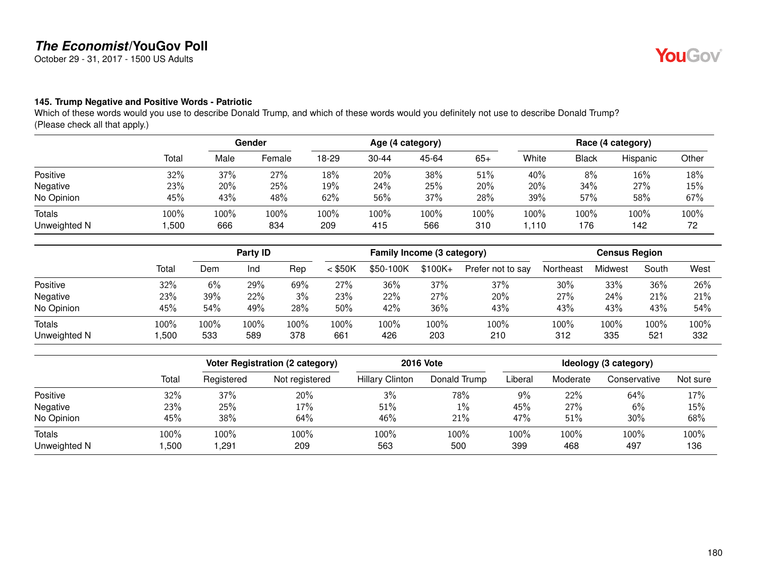October 29 - 31, 2017 - 1500 US Adults

### **145. Trump Negative and Positive Words - Patriotic**

Which of these words would you use to describe Donald Trump, and which of these words would you definitely not use to describe Donald Trump? (Please check all that apply.)

|                               |              | Gender      |             | Age (4 category) |             |             |             | Race (4 category) |             |             |            |
|-------------------------------|--------------|-------------|-------------|------------------|-------------|-------------|-------------|-------------------|-------------|-------------|------------|
|                               | Total        | Male        | Female      | 18-29            | $30 - 44$   | 45-64       | $65+$       | White             | Black       | Hispanic    | Other      |
| Positive                      | 32%          | 37%         | 27%         | 18%              | 20%         | 38%         | 51%         | 40%               | 8%          | 16%         | 18%        |
| Negative                      | 23%          | 20%         | 25%         | 19%              | 24%         | 25%         | 20%         | 20%               | 34%         | 27%         | 15%        |
| No Opinion                    | 45%          | 43%         | 48%         | 62%              | 56%         | 37%         | 28%         | 39%               | 57%         | 58%         | 67%        |
| <b>Totals</b><br>Unweighted N | 100%<br>,500 | 100%<br>666 | 100%<br>834 | 100%<br>209      | 100%<br>415 | 100%<br>566 | 100%<br>310 | 100%<br>.110      | 100%<br>176 | 100%<br>142 | 100%<br>72 |

|                               |              | Party ID    |             |             | Family Income (3 category) |             |             |                   | <b>Census Region</b> |             |             |             |
|-------------------------------|--------------|-------------|-------------|-------------|----------------------------|-------------|-------------|-------------------|----------------------|-------------|-------------|-------------|
|                               | Total        | Dem         | Ind         | Rep         | $<$ \$50K                  | \$50-100K   | $$100K +$   | Prefer not to say | Northeast            | Midwest     | South       | West        |
| Positive                      | 32%          | 6%          | 29%         | 69%         | 27%                        | 36%         | 37%         | 37%               | 30%                  | 33%         | 36%         | 26%         |
| Negative                      | 23%          | 39%         | 22%         | 3%          | 23%                        | 22%         | 27%         | 20%               | 27%                  | 24%         | 21%         | 21%         |
| No Opinion                    | 45%          | 54%         | 49%         | 28%         | 50%                        | 42%         | 36%         | 43%               | 43%                  | 43%         | 43%         | 54%         |
| <b>Totals</b><br>Unweighted N | 100%<br>,500 | 100%<br>533 | 100%<br>589 | 100%<br>378 | 100%<br>661                | 100%<br>426 | 100%<br>203 | 100%<br>210       | 100%<br>312          | 100%<br>335 | 100%<br>521 | 100%<br>332 |

|              |       |            | <b>Voter Registration (2 category)</b> | <b>2016 Vote</b>       | Ideology (3 category) |         |          |              |          |
|--------------|-------|------------|----------------------------------------|------------------------|-----------------------|---------|----------|--------------|----------|
|              | Total | Registered | Not registered                         | <b>Hillary Clinton</b> | Donald Trump          | Liberal | Moderate | Conservative | Not sure |
| Positive     | 32%   | 37%        | 20%                                    | 3%                     | 78%                   | $9\%$   | 22%      | 64%          | 17%      |
| Negative     | 23%   | 25%        | 17%                                    | 51%                    | $1\%$                 | 45%     | 27%      | 6%           | 15%      |
| No Opinion   | 45%   | 38%        | 64%                                    | 46%                    | 21%                   | 47%     | 51%      | 30%          | 68%      |
| Totals       | 100%  | 100%       | 100%                                   | 100%                   | 100%                  | 100%    | 100%     | 100%         | 100%     |
| Unweighted N | ,500  | ,291       | 209                                    | 563                    | 500                   | 399     | 468      | 497          | 136      |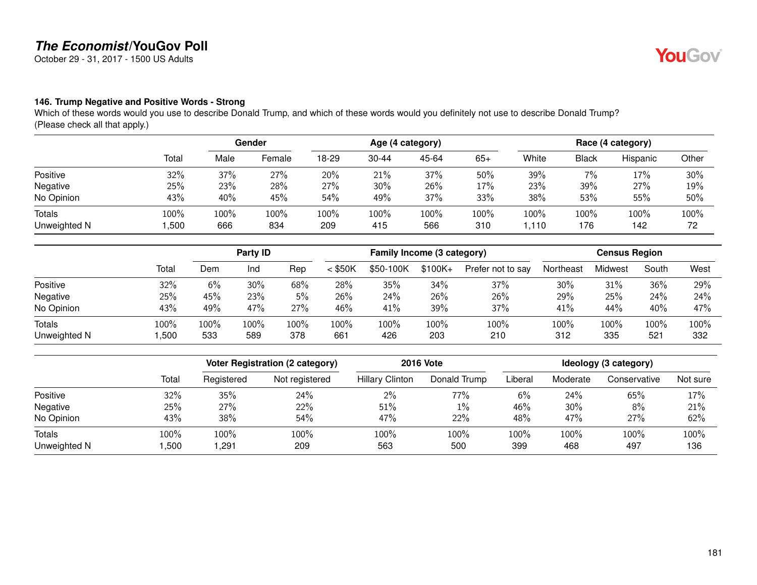October 29 - 31, 2017 - 1500 US Adults

#### **146. Trump Negative and Positive Words - Strong**

Which of these words would you use to describe Donald Trump, and which of these words would you definitely not use to describe Donald Trump? (Please check all that apply.)

|                               |              | Gender      |             | Age (4 category) |             |             |             | Race (4 category) |             |             |            |
|-------------------------------|--------------|-------------|-------------|------------------|-------------|-------------|-------------|-------------------|-------------|-------------|------------|
|                               | Total        | Male        | Female      | 18-29            | $30 - 44$   | 45-64       | $65+$       | White             | Black       | Hispanic    | Other      |
| Positive                      | 32%          | 37%         | 27%         | 20%              | 21%         | 37%         | 50%         | 39%               | 7%          | 17%         | 30%        |
| Negative                      | 25%          | 23%         | 28%         | 27%              | 30%         | 26%         | 17%         | 23%               | 39%         | 27%         | 19%        |
| No Opinion                    | 43%          | 40%         | 45%         | 54%              | 49%         | 37%         | 33%         | 38%               | 53%         | 55%         | 50%        |
| <b>Totals</b><br>Unweighted N | 100%<br>,500 | 100%<br>666 | 100%<br>834 | 100%<br>209      | 100%<br>415 | 100%<br>566 | 100%<br>310 | 100%<br>.110      | 100%<br>176 | 100%<br>142 | 100%<br>72 |

|                               |              |             | Party ID    |             |             | Family Income (3 category) |             |                   | <b>Census Region</b> |             |             |             |
|-------------------------------|--------------|-------------|-------------|-------------|-------------|----------------------------|-------------|-------------------|----------------------|-------------|-------------|-------------|
|                               | Total        | Dem         | Ind         | Rep         | $<$ \$50K   | \$50-100K                  | $$100K +$   | Prefer not to say | Northeast            | Midwest     | South       | West        |
| Positive                      | 32%          | 6%          | 30%         | 68%         | 28%         | 35%                        | 34%         | 37%               | 30%                  | 31%         | 36%         | 29%         |
| Negative                      | 25%          | 45%         | 23%         | 5%          | 26%         | 24%                        | 26%         | 26%               | 29%                  | 25%         | 24%         | 24%         |
| No Opinion                    | 43%          | 49%         | 47%         | 27%         | 46%         | 41%                        | 39%         | 37%               | 41%                  | 44%         | 40%         | 47%         |
| <b>Totals</b><br>Unweighted N | 100%<br>,500 | 100%<br>533 | 100%<br>589 | 100%<br>378 | 100%<br>661 | 100%<br>426                | 100%<br>203 | 100%<br>210       | 100%<br>312          | 100%<br>335 | 100%<br>521 | 100%<br>332 |

|              |       |            | <b>Voter Registration (2 category)</b> |                        | <b>2016 Vote</b> | Ideology (3 category) |          |              |          |
|--------------|-------|------------|----------------------------------------|------------------------|------------------|-----------------------|----------|--------------|----------|
|              | Total | Registered | Not registered                         | <b>Hillary Clinton</b> | Donald Trump     | Liberal               | Moderate | Conservative | Not sure |
| Positive     | 32%   | 35%        | 24%                                    | 2%                     | 77%              | 6%                    | 24%      | 65%          | 17%      |
| Negative     | 25%   | 27%        | 22%                                    | 51%                    | $1\%$            | 46%                   | 30%      | 8%           | 21%      |
| No Opinion   | 43%   | 38%        | 54%                                    | 47%                    | 22%              | 48%                   | 47%      | 27%          | 62%      |
| Totals       | 100%  | 100%       | 100%                                   | 100%                   | 100%             | 100%                  | 100%     | 100%         | 100%     |
| Unweighted N | ,500  | ,291       | 209                                    | 563                    | 500              | 399                   | 468      | 497          | 136      |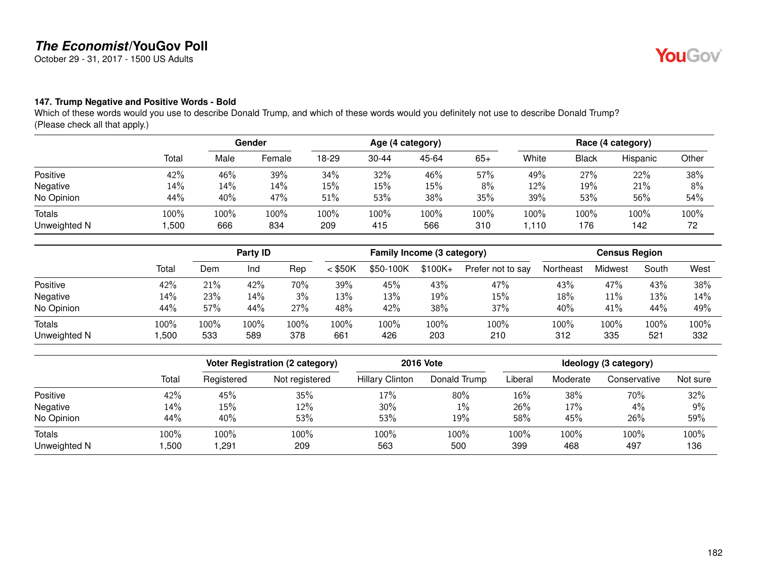October 29 - 31, 2017 - 1500 US Adults

#### **147. Trump Negative and Positive Words - Bold**

Which of these words would you use to describe Donald Trump, and which of these words would you definitely not use to describe Donald Trump? (Please check all that apply.)

|                               |              | Gender      |             | Age (4 category) |             |             |             | Race (4 category) |              |             |            |
|-------------------------------|--------------|-------------|-------------|------------------|-------------|-------------|-------------|-------------------|--------------|-------------|------------|
|                               | Total        | Male        | Female      | 18-29            | $30 - 44$   | 45-64       | $65+$       | White             | <b>Black</b> | Hispanic    | Other      |
| Positive                      | 42%          | 46%         | 39%         | 34%              | 32%         | 46%         | 57%         | 49%               | 27%          | 22%         | 38%        |
| Negative                      | 14%          | 14%         | 14%         | 15%              | $15\%$      | 15%         | 8%          | 12%               | 19%          | 21%         | 8%         |
| No Opinion                    | 44%          | 40%         | 47%         | 51%              | 53%         | 38%         | 35%         | 39%               | 53%          | 56%         | 54%        |
| <b>Totals</b><br>Unweighted N | 100%<br>,500 | 100%<br>666 | 100%<br>834 | 100%<br>209      | 100%<br>415 | 100%<br>566 | 100%<br>310 | 100%<br>110. ا    | 100%<br>176  | 100%<br>142 | 100%<br>72 |

|                        |              |             | Party ID    |             |             | Family Income (3 category) |             |                   |             | <b>Census Region</b> |             |             |
|------------------------|--------------|-------------|-------------|-------------|-------------|----------------------------|-------------|-------------------|-------------|----------------------|-------------|-------------|
|                        | Total        | Dem         | Ind         | Rep         | $<$ \$50K   | \$50-100K                  | $$100K +$   | Prefer not to say | Northeast   | Midwest              | South       | West        |
| Positive               | 42%          | 21%         | 42%         | 70%         | 39%         | 45%                        | 43%         | 47%               | 43%         | 47%                  | 43%         | 38%         |
| Negative               | 14%          | 23%         | 14%         | 3%          | 13%         | 13%                        | 19%         | 15%               | 18%         | 11%                  | 13%         | 14%         |
| No Opinion             | 44%          | 57%         | 44%         | 27%         | 48%         | 42%                        | 38%         | 37%               | 40%         | 41%                  | 44%         | 49%         |
| Totals<br>Unweighted N | 100%<br>,500 | 100%<br>533 | 100%<br>589 | 100%<br>378 | 100%<br>661 | 100%<br>426                | 100%<br>203 | 100%<br>210       | 100%<br>312 | 100%<br>335          | 100%<br>521 | 100%<br>332 |

|              |       |            | <b>Voter Registration (2 category)</b> |                        | <b>2016 Vote</b> | Ideology (3 category) |          |              |          |
|--------------|-------|------------|----------------------------------------|------------------------|------------------|-----------------------|----------|--------------|----------|
|              | Total | Registered | Not registered                         | <b>Hillary Clinton</b> | Donald Trump     | Liberal               | Moderate | Conservative | Not sure |
| Positive     | 42%   | 45%        | 35%                                    | 17%                    | 80%              | 16%                   | 38%      | 70%          | 32%      |
| Negative     | 14%   | $15\%$     | 12%                                    | 30%                    | $1\%$            | 26%                   | 17%      | 4%           | 9%       |
| No Opinion   | 44%   | 40%        | 53%                                    | 53%                    | 19%              | 58%                   | 45%      | 26%          | 59%      |
| Totals       | 100%  | 100%       | 100%                                   | 100%                   | 100%             | 100%                  | 100%     | 100%         | 100%     |
| Unweighted N | ,500  | ,291       | 209                                    | 563                    | 500              | 399                   | 468      | 497          | 136      |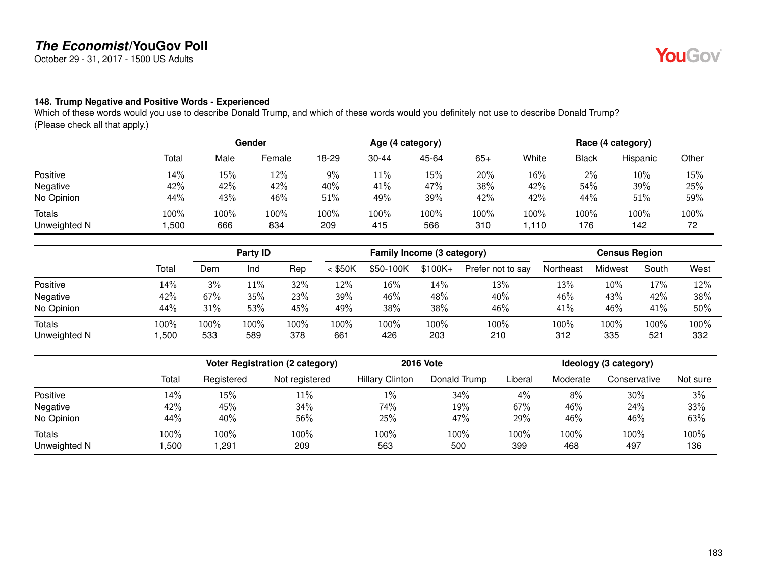October 29 - 31, 2017 - 1500 US Adults

#### **148. Trump Negative and Positive Words - Experienced**

Which of these words would you use to describe Donald Trump, and which of these words would you definitely not use to describe Donald Trump? (Please check all that apply.)

|                               |              | Gender      |             | Age (4 category) |                |             |             | Race (4 category) |              |             |            |
|-------------------------------|--------------|-------------|-------------|------------------|----------------|-------------|-------------|-------------------|--------------|-------------|------------|
|                               | Total        | Male        | Female      | 18-29            | $30 - 44$      | 45-64       | $65+$       | White             | <b>Black</b> | Hispanic    | Other      |
| Positive                      | 14%          | 15%         | 12%         | 9%               | 11%            | 15%         | 20%         | 16%               | 2%           | 10%         | 15%        |
| Negative                      | 42%          | 42%         | 42%         | 40%              | 41%            | 47%         | 38%         | 42%               | 54%          | 39%         | 25%        |
| No Opinion                    | 44%          | 43%         | 46%         | $51\%$           | 49%            | 39%         | 42%         | 42%               | 44%          | 51%         | 59%        |
| <b>Totals</b><br>Unweighted N | 100%<br>,500 | 100%<br>666 | 100%<br>834 | 100%<br>209      | $100\%$<br>415 | 100%<br>566 | 100%<br>310 | 100%<br>1,110     | 100%<br>176  | 100%<br>142 | 100%<br>72 |

|                               |              |             | Party ID    |             |             | Family Income (3 category) |             |                   | <b>Census Region</b> |             |             |             |
|-------------------------------|--------------|-------------|-------------|-------------|-------------|----------------------------|-------------|-------------------|----------------------|-------------|-------------|-------------|
|                               | Total        | Dem         | Ind         | Rep         | $<$ \$50K   | \$50-100K                  | $$100K +$   | Prefer not to say | Northeast            | Midwest     | South       | West        |
| Positive                      | 14%          | 3%          | 11%         | 32%         | 12%         | 16%                        | 14%         | 13%               | 13%                  | 10%         | 17%         | 12%         |
| Negative                      | 42%          | 67%         | 35%         | 23%         | 39%         | 46%                        | 48%         | 40%               | 46%                  | 43%         | 42%         | 38%         |
| No Opinion                    | 44%          | 31%         | 53%         | 45%         | 49%         | 38%                        | 38%         | 46%               | 41%                  | 46%         | 41%         | 50%         |
| <b>Totals</b><br>Unweighted N | 100%<br>,500 | 100%<br>533 | 100%<br>589 | 100%<br>378 | 100%<br>661 | 100%<br>426                | 100%<br>203 | 100%<br>210       | 100%<br>312          | 100%<br>335 | 100%<br>521 | 100%<br>332 |

|              |       |            | <b>Voter Registration (2 category)</b> |                        | <b>2016 Vote</b> | Ideology (3 category) |          |              |          |
|--------------|-------|------------|----------------------------------------|------------------------|------------------|-----------------------|----------|--------------|----------|
|              | Total | Registered | Not registered                         | <b>Hillary Clinton</b> | Donald Trump     | Liberal               | Moderate | Conservative | Not sure |
| Positive     | 14%   | 15%        | 11%                                    | $1\%$                  | 34%              | $4\%$                 | 8%       | 30%          | 3%       |
| Negative     | 42%   | 45%        | 34%                                    | 74%                    | 19%              | 67%                   | 46%      | 24%          | 33%      |
| No Opinion   | 44%   | 40%        | 56%                                    | 25%                    | 47%              | 29%                   | 46%      | 46%          | 63%      |
| Totals       | 100%  | 100%       | 100%                                   | 100%                   | 100%             | 100%                  | 100%     | 100%         | 100%     |
| Unweighted N | ,500  | ,291       | 209                                    | 563                    | 500              | 399                   | 468      | 497          | 136      |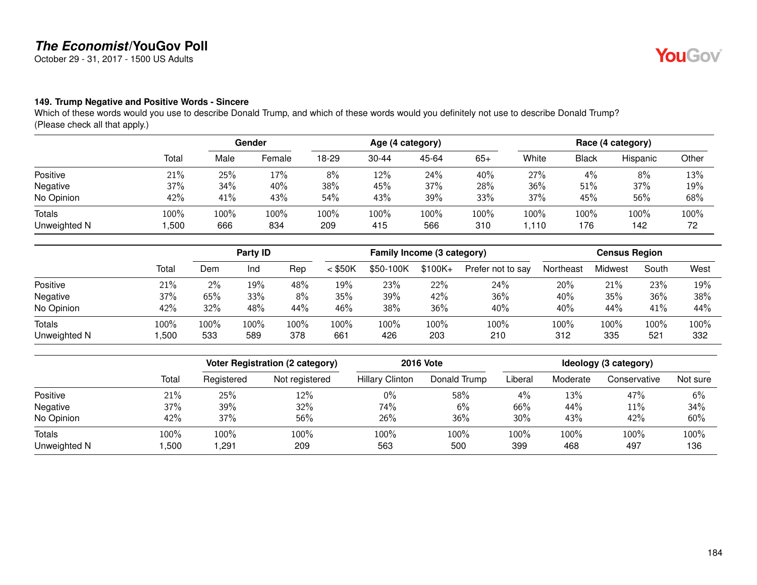October 29 - 31, 2017 - 1500 US Adults

#### **149. Trump Negative and Positive Words - Sincere**

Which of these words would you use to describe Donald Trump, and which of these words would you definitely not use to describe Donald Trump? (Please check all that apply.)

|                               |              | Gender      |             | Age (4 category) |             |             |             | Race (4 category) |              |             |            |
|-------------------------------|--------------|-------------|-------------|------------------|-------------|-------------|-------------|-------------------|--------------|-------------|------------|
|                               | Total        | Male        | Female      | 18-29            | $30 - 44$   | 45-64       | $65+$       | White             | <b>Black</b> | Hispanic    | Other      |
| Positive                      | 21%          | 25%         | 17%         | 8%               | 12%         | 24%         | 40%         | 27%               | 4%           | 8%          | 13%        |
| Negative                      | 37%          | 34%         | 40%         | 38%              | 45%         | 37%         | 28%         | 36%               | 51%          | 37%         | 19%        |
| No Opinion                    | 42%          | 41%         | 43%         | 54%              | 43%         | 39%         | 33%         | 37%               | 45%          | 56%         | 68%        |
| <b>Totals</b><br>Unweighted N | 100%<br>,500 | 100%<br>666 | 100%<br>834 | 100%<br>209      | 100%<br>415 | 100%<br>566 | 100%<br>310 | 100%<br>1,110     | 100%<br>176  | 100%<br>142 | 100%<br>72 |

|                               |              |             | Party ID    |             |             | Family Income (3 category) |             |                   | <b>Census Region</b> |             |             |             |  |
|-------------------------------|--------------|-------------|-------------|-------------|-------------|----------------------------|-------------|-------------------|----------------------|-------------|-------------|-------------|--|
|                               | Total        | Dem         | Ind         | Rep         | $<$ \$50K   | \$50-100K                  | $$100K +$   | Prefer not to say | Northeast            | Midwest     | South       | West        |  |
| Positive                      | 21%          | $2\%$       | 19%         | 48%         | 19%         | 23%                        | 22%         | 24%               | 20%                  | 21%         | 23%         | 19%         |  |
| Negative                      | 37%          | 65%         | 33%         | 8%          | 35%         | 39%                        | 42%         | 36%               | 40%                  | 35%         | 36%         | 38%         |  |
| No Opinion                    | 42%          | 32%         | 48%         | 44%         | 46%         | 38%                        | 36%         | 40%               | 40%                  | 44%         | 41%         | 44%         |  |
| <b>Totals</b><br>Unweighted N | 100%<br>,500 | 100%<br>533 | 100%<br>589 | 100%<br>378 | 100%<br>661 | 100%<br>426                | 100%<br>203 | 100%<br>210       | 100%<br>312          | 100%<br>335 | 100%<br>521 | 100%<br>332 |  |

|              |       |            | <b>Voter Registration (2 category)</b> |                        | <b>2016 Vote</b> | Ideology (3 category) |          |              |          |
|--------------|-------|------------|----------------------------------------|------------------------|------------------|-----------------------|----------|--------------|----------|
|              | Total | Registered | Not registered                         | <b>Hillary Clinton</b> | Donald Trump     | Liberal               | Moderate | Conservative | Not sure |
| Positive     | 21%   | 25%        | 12%                                    | $0\%$                  | 58%              | $4\%$                 | 13%      | 47%          | 6%       |
| Negative     | 37%   | 39%        | 32%                                    | 74%                    | 6%               | 66%                   | 44%      | $11\%$       | 34%      |
| No Opinion   | 42%   | 37%        | 56%                                    | 26%                    | 36%              | 30%                   | 43%      | 42%          | 60%      |
| Totals       | 100%  | 100%       | LOO%                                   | 100%                   | 100%             | 100%                  | 100%     | 100%         | 100%     |
| Unweighted N | ,500  | ,291       | 209                                    | 563                    | 500              | 399                   | 468      | 497          | 136      |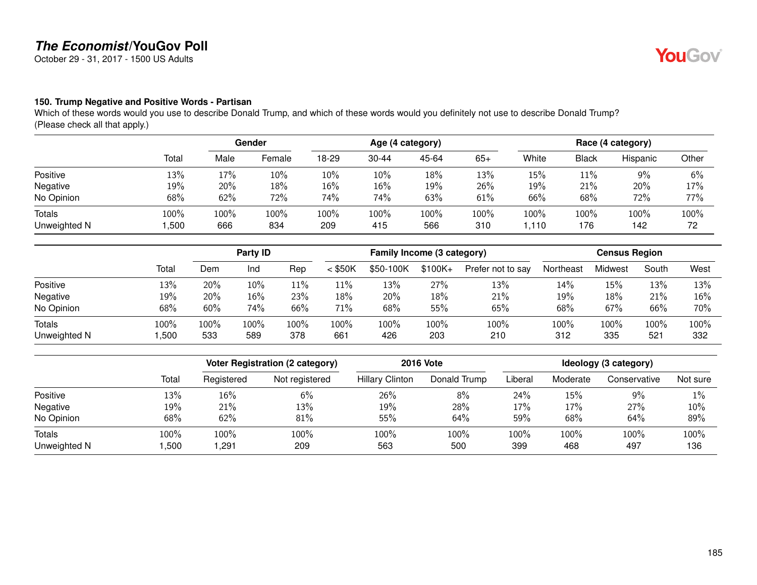October 29 - 31, 2017 - 1500 US Adults

#### **150. Trump Negative and Positive Words - Partisan**

Which of these words would you use to describe Donald Trump, and which of these words would you definitely not use to describe Donald Trump? (Please check all that apply.)

|                               |              | Gender      |             | Age (4 category) |             |             |             | Race (4 category) |              |             |            |
|-------------------------------|--------------|-------------|-------------|------------------|-------------|-------------|-------------|-------------------|--------------|-------------|------------|
|                               | Total        | Male        | Female      | 18-29            | $30 - 44$   | 45-64       | $65+$       | White             | <b>Black</b> | Hispanic    | Other      |
| Positive                      | 13%          | 17%         | 10%         | 10%              | 10%         | 18%         | 13%         | 15%               | 11%          | $9\%$       | 6%         |
| Negative                      | 19%          | 20%         | 18%         | 16%              | 16%         | 19%         | 26%         | 19%               | 21%          | 20%         | 17%        |
| No Opinion                    | 68%          | 62%         | 72%         | 74%              | 74%         | 63%         | 61%         | 66%               | 68%          | 72%         | 77%        |
| <b>Totals</b><br>Unweighted N | 100%<br>,500 | 100%<br>666 | 100%<br>834 | 100%<br>209      | 100%<br>415 | 100%<br>566 | 100%<br>310 | 100%<br>.110      | 100%<br>176  | 100%<br>142 | 100%<br>72 |

|                               |              |             | Party ID    |             |             | Family Income (3 category) |             |                   | <b>Census Region</b> |             |             |             |
|-------------------------------|--------------|-------------|-------------|-------------|-------------|----------------------------|-------------|-------------------|----------------------|-------------|-------------|-------------|
|                               | Total        | Dem         | Ind         | Rep         | $<$ \$50K   | \$50-100K                  | $$100K +$   | Prefer not to say | Northeast            | Midwest     | South       | West        |
| Positive                      | 13%          | 20%         | 10%         | $11\%$      | 11%         | 13%                        | 27%         | 13%               | 14%                  | 15%         | 13%         | 13%         |
| Negative                      | 19%          | 20%         | 16%         | 23%         | 18%         | 20%                        | 18%         | 21%               | 19%                  | 18%         | 21%         | 16%         |
| No Opinion                    | 68%          | 60%         | 74%         | 66%         | 71%         | 68%                        | 55%         | 65%               | 68%                  | 67%         | 66%         | 70%         |
| <b>Totals</b><br>Unweighted N | 100%<br>,500 | 100%<br>533 | 100%<br>589 | 100%<br>378 | 100%<br>661 | 100%<br>426                | 100%<br>203 | 100%<br>210       | 100%<br>312          | 100%<br>335 | 100%<br>521 | 100%<br>332 |

|              |       |            | <b>Voter Registration (2 category)</b> |                        | <b>2016 Vote</b> | Ideology (3 category) |          |              |          |
|--------------|-------|------------|----------------------------------------|------------------------|------------------|-----------------------|----------|--------------|----------|
|              | Total | Registered | Not registered                         | <b>Hillary Clinton</b> | Donald Trump     | Liberal               | Moderate | Conservative | Not sure |
| Positive     | 13%   | 16%        | 6%                                     | 26%                    | 8%               | 24%                   | 15%      | $9\%$        | 1%       |
| Negative     | 19%   | 21%        | 13%                                    | 19%                    | 28%              | 17%                   | 17%      | 27%          | 10%      |
| No Opinion   | 68%   | 62%        | 81%                                    | 55%                    | 64%              | 59%                   | 68%      | 64%          | 89%      |
| Totals       | 100%  | 100%       | 100%                                   | 100%                   | 100%             | 100%                  | 100%     | 100%         | 100%     |
| Unweighted N | ,500  | ,291       | 209                                    | 563                    | 500              | 399                   | 468      | 497          | 136      |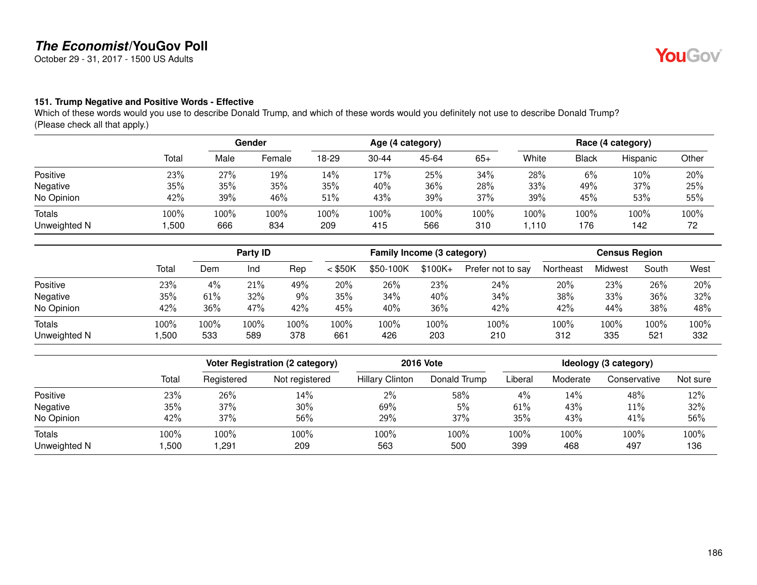October 29 - 31, 2017 - 1500 US Adults

#### **151. Trump Negative and Positive Words - Effective**

Which of these words would you use to describe Donald Trump, and which of these words would you definitely not use to describe Donald Trump? (Please check all that apply.)

|                               |              | Gender      |             | Age (4 category) |             |             |             | Race (4 category) |             |             |            |
|-------------------------------|--------------|-------------|-------------|------------------|-------------|-------------|-------------|-------------------|-------------|-------------|------------|
|                               | Total        | Male        | Female      | 18-29            | $30 - 44$   | 45-64       | $65+$       | White             | Black       | Hispanic    | Other      |
| Positive                      | 23%          | 27%         | 19%         | 14%              | 17%         | 25%         | 34%         | 28%               | 6%          | $10\%$      | 20%        |
| Negative                      | 35%          | 35%         | 35%         | 35%              | 40%         | 36%         | 28%         | 33%               | 49%         | 37%         | 25%        |
| No Opinion                    | 42%          | 39%         | 46%         | 51%              | 43%         | 39%         | 37%         | 39%               | 45%         | 53%         | 55%        |
| <b>Totals</b><br>Unweighted N | 100%<br>,500 | 100%<br>666 | 100%<br>834 | 100%<br>209      | 100%<br>415 | 100%<br>566 | 100%<br>310 | 100%<br>.110      | 100%<br>176 | 100%<br>142 | 100%<br>72 |

|                               |              |             | Party ID    |             |             | Family Income (3 category) |             |                   | <b>Census Region</b> |             |             |             |
|-------------------------------|--------------|-------------|-------------|-------------|-------------|----------------------------|-------------|-------------------|----------------------|-------------|-------------|-------------|
|                               | Total        | Dem         | Ind         | Rep         | $<$ \$50K   | \$50-100K                  | $$100K +$   | Prefer not to say | Northeast            | Midwest     | South       | West        |
| Positive                      | 23%          | 4%          | 21%         | 49%         | 20%         | 26%                        | 23%         | 24%               | 20%                  | 23%         | 26%         | 20%         |
| Negative                      | 35%          | 61%         | 32%         | 9%          | 35%         | 34%                        | 40%         | 34%               | 38%                  | 33%         | 36%         | 32%         |
| No Opinion                    | 42%          | 36%         | 47%         | 42%         | 45%         | 40%                        | 36%         | 42%               | 42%                  | 44%         | 38%         | 48%         |
| <b>Totals</b><br>Unweighted N | 100%<br>,500 | 100%<br>533 | 100%<br>589 | 100%<br>378 | 100%<br>661 | 100%<br>426                | 100%<br>203 | 100%<br>210       | 100%<br>312          | 100%<br>335 | 100%<br>521 | 100%<br>332 |

|              |       |            | <b>Voter Registration (2 category)</b> |                        | <b>2016 Vote</b> | Ideology (3 category) |          |              |          |
|--------------|-------|------------|----------------------------------------|------------------------|------------------|-----------------------|----------|--------------|----------|
|              | Total | Registered | Not registered                         | <b>Hillary Clinton</b> | Donald Trump     | Liberal               | Moderate | Conservative | Not sure |
| Positive     | 23%   | 26%        | 14%                                    | 2%                     | 58%              | $4\%$                 | 14%      | 48%          | 12%      |
| Negative     | 35%   | 37%        | $30\%$                                 | 69%                    | 5%               | 61%                   | 43%      | $11\%$       | 32%      |
| No Opinion   | 42%   | 37%        | 56%                                    | 29%                    | 37%              | 35%                   | 43%      | 41%          | 56%      |
| Totals       | 100%  | 100%       | LOO%                                   | 100%                   | 100%             | 100%                  | 100%     | 100%         | 100%     |
| Unweighted N | ,500  | ,291       | 209                                    | 563                    | 500              | 399                   | 468      | 497          | 136      |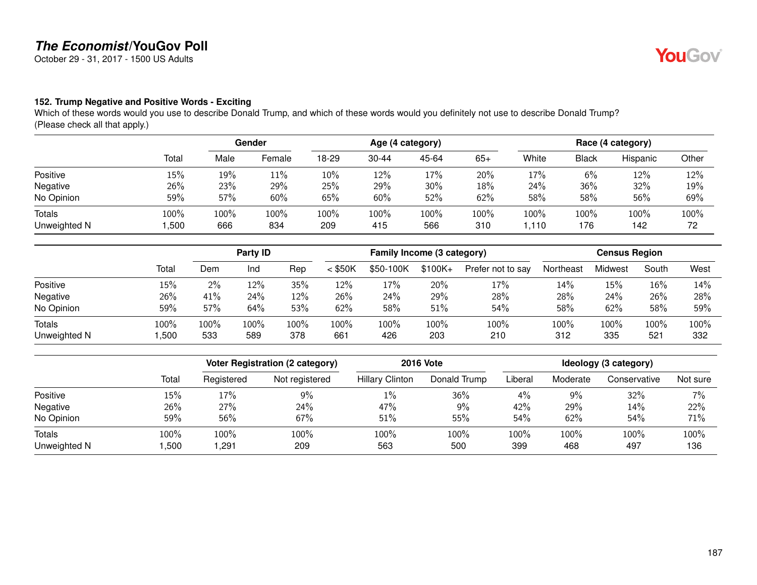October 29 - 31, 2017 - 1500 US Adults

#### **152. Trump Negative and Positive Words - Exciting**

Which of these words would you use to describe Donald Trump, and which of these words would you definitely not use to describe Donald Trump? (Please check all that apply.)

|                               |              | Gender      |             | Age (4 category) |             |             |             | Race (4 category) |             |             |            |
|-------------------------------|--------------|-------------|-------------|------------------|-------------|-------------|-------------|-------------------|-------------|-------------|------------|
|                               | Total        | Male        | Female      | 18-29            | $30 - 44$   | 45-64       | $65+$       | White             | Black       | Hispanic    | Other      |
| Positive                      | 15%          | 19%         | 11%         | 10%              | 12%         | 17%         | 20%         | 17%               | 6%          | 12%         | 12%        |
| Negative                      | 26%          | 23%         | 29%         | 25%              | 29%         | 30%         | 18%         | 24%               | 36%         | 32%         | 19%        |
| No Opinion                    | 59%          | 57%         | 60%         | 65%              | 60%         | 52%         | 62%         | 58%               | 58%         | 56%         | 69%        |
| <b>Totals</b><br>Unweighted N | 100%<br>,500 | 100%<br>666 | 100%<br>834 | 100%<br>209      | 100%<br>415 | 100%<br>566 | 100%<br>310 | 100%<br>.110      | 100%<br>176 | 100%<br>142 | 100%<br>72 |

|                               |              |             | Party ID    |             |             | Family Income (3 category) |             |                   | <b>Census Region</b> |             |             |             |
|-------------------------------|--------------|-------------|-------------|-------------|-------------|----------------------------|-------------|-------------------|----------------------|-------------|-------------|-------------|
|                               | Total        | Dem         | Ind         | Rep         | $<$ \$50K   | \$50-100K                  | $$100K +$   | Prefer not to say | Northeast            | Midwest     | South       | West        |
| Positive                      | 15%          | $2\%$       | 12%         | 35%         | 12%         | 17%                        | 20%         | 17%               | 14%                  | 15%         | 16%         | 14%         |
| Negative                      | 26%          | 41%         | 24%         | 12%         | 26%         | 24%                        | 29%         | 28%               | 28%                  | 24%         | 26%         | 28%         |
| No Opinion                    | 59%          | 57%         | 64%         | 53%         | 62%         | 58%                        | 51%         | 54%               | 58%                  | 62%         | 58%         | 59%         |
| <b>Totals</b><br>Unweighted N | 100%<br>,500 | 100%<br>533 | 100%<br>589 | 100%<br>378 | 100%<br>661 | 100%<br>426                | 100%<br>203 | 100%<br>210       | 100%<br>312          | 100%<br>335 | 100%<br>521 | 100%<br>332 |

|              |       |            | <b>Voter Registration (2 category)</b> |                        | <b>2016 Vote</b> | Ideology (3 category) |          |              |          |
|--------------|-------|------------|----------------------------------------|------------------------|------------------|-----------------------|----------|--------------|----------|
|              | Total | Registered | Not registered                         | <b>Hillary Clinton</b> | Donald Trump     | Liberal               | Moderate | Conservative | Not sure |
| Positive     | 15%   | 17%        | 9%                                     | $1\%$                  | 36%              | $4\%$                 | 9%       | 32%          | 7%       |
| Negative     | 26%   | 27%        | 24%                                    | 47%                    | 9%               | 42%                   | 29%      | 14%          | 22%      |
| No Opinion   | 59%   | 56%        | 67%                                    | 51%                    | 55%              | 54%                   | 62%      | 54%          | 71%      |
| Totals       | 100%  | 100%       | 100%                                   | 100%                   | 100%             | 100%                  | 100%     | 100%         | 100%     |
| Unweighted N | ,500  | ,291       | 209                                    | 563                    | 500              | 399                   | 468      | 497          | 136      |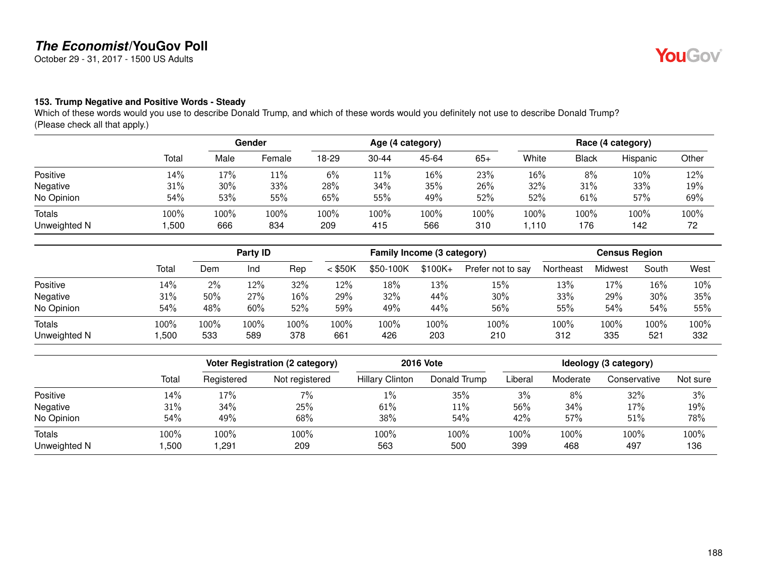October 29 - 31, 2017 - 1500 US Adults

#### **153. Trump Negative and Positive Words - Steady**

Which of these words would you use to describe Donald Trump, and which of these words would you definitely not use to describe Donald Trump? (Please check all that apply.)

|                               |              | Gender      |             | Age (4 category) |             |             |             | Race (4 category) |             |             |            |
|-------------------------------|--------------|-------------|-------------|------------------|-------------|-------------|-------------|-------------------|-------------|-------------|------------|
|                               | Total        | Male        | Female      | 18-29            | $30 - 44$   | 45-64       | $65+$       | White             | Black       | Hispanic    | Other      |
| Positive                      | 14%          | 17%         | 11%         | 6%               | 11%         | 16%         | 23%         | 16%               | 8%          | $10\%$      | 12%        |
| Negative                      | 31%          | 30%         | 33%         | 28%              | 34%         | 35%         | 26%         | 32%               | 31%         | 33%         | 19%        |
| No Opinion                    | 54%          | 53%         | 55%         | 65%              | 55%         | 49%         | 52%         | 52%               | 61%         | 57%         | 69%        |
| <b>Totals</b><br>Unweighted N | 100%<br>,500 | 100%<br>666 | 100%<br>834 | 100%<br>209      | 100%<br>415 | 100%<br>566 | 100%<br>310 | 100%<br>.110      | 100%<br>176 | 100%<br>142 | 100%<br>72 |

|                               |              |             | Party ID    |             |             | Family Income (3 category) |             |                   | <b>Census Region</b> |             |             |             |
|-------------------------------|--------------|-------------|-------------|-------------|-------------|----------------------------|-------------|-------------------|----------------------|-------------|-------------|-------------|
|                               | Total        | Dem         | Ind         | Rep         | $<$ \$50K   | \$50-100K                  | $$100K +$   | Prefer not to say | Northeast            | Midwest     | South       | West        |
| Positive                      | 14%          | $2\%$       | 12%         | 32%         | 12%         | 18%                        | 13%         | 15%               | 13%                  | 17%         | 16%         | 10%         |
| Negative                      | 31%          | 50%         | 27%         | 16%         | 29%         | 32%                        | 44%         | 30%               | 33%                  | 29%         | 30%         | 35%         |
| No Opinion                    | 54%          | 48%         | 60%         | 52%         | 59%         | 49%                        | 44%         | 56%               | 55%                  | 54%         | 54%         | 55%         |
| <b>Totals</b><br>Unweighted N | 100%<br>,500 | 100%<br>533 | 100%<br>589 | 100%<br>378 | 100%<br>661 | 100%<br>426                | 100%<br>203 | 100%<br>210       | 100%<br>312          | 100%<br>335 | 100%<br>521 | 100%<br>332 |

|              |       |            | <b>Voter Registration (2 category)</b> |                        | <b>2016 Vote</b> | Ideology (3 category) |          |              |          |
|--------------|-------|------------|----------------------------------------|------------------------|------------------|-----------------------|----------|--------------|----------|
|              | Total | Registered | Not registered                         | <b>Hillary Clinton</b> | Donald Trump     | Liberal               | Moderate | Conservative | Not sure |
| Positive     | 14%   | 17%        | 7%                                     | $1\%$                  | 35%              | 3%                    | 8%       | 32%          | 3%       |
| Negative     | 31%   | 34%        | 25%                                    | 61%                    | 11%              | 56%                   | 34%      | 17%          | 19%      |
| No Opinion   | 54%   | 49%        | 68%                                    | 38%                    | 54%              | 42%                   | 57%      | 51%          | 78%      |
| Totals       | 100%  | 100%       | 100%                                   | 100%                   | 100%             | 100%                  | 100%     | 100%         | 100%     |
| Unweighted N | ,500  | ,291       | 209                                    | 563                    | 500              | 399                   | 468      | 497          | 136      |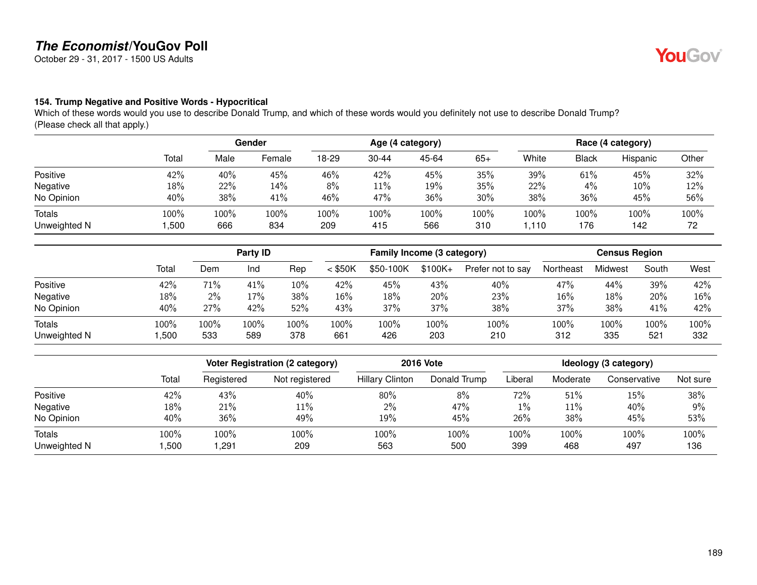October 29 - 31, 2017 - 1500 US Adults

#### **154. Trump Negative and Positive Words - Hypocritical**

Which of these words would you use to describe Donald Trump, and which of these words would you definitely not use to describe Donald Trump? (Please check all that apply.)

|                               |              | Gender      |             | Age (4 category) |                |             |             | Race (4 category) |              |             |            |
|-------------------------------|--------------|-------------|-------------|------------------|----------------|-------------|-------------|-------------------|--------------|-------------|------------|
|                               | Total        | Male        | Female      | 18-29            | $30 - 44$      | 45-64       | $65+$       | White             | <b>Black</b> | Hispanic    | Other      |
| Positive                      | 42%          | 40%         | 45%         | 46%              | 42%            | 45%         | 35%         | 39%               | 61%          | 45%         | 32%        |
| Negative                      | 18%          | 22%         | 14%         | 8%               | $11\%$         | 19%         | 35%         | 22%               | 4%           | 10%         | 12%        |
| No Opinion                    | 40%          | 38%         | 41%         | 46%              | 47%            | 36%         | 30%         | 38%               | 36%          | 45%         | 56%        |
| <b>Totals</b><br>Unweighted N | 100%<br>,500 | 100%<br>666 | 100%<br>834 | 100%<br>209      | $100\%$<br>415 | 100%<br>566 | 100%<br>310 | 100%<br>1,110     | 100%<br>176  | 100%<br>142 | 100%<br>72 |

|                        |              |             | Party ID    |             | Family Income (3 category) |             |             |                   | <b>Census Region</b> |             |             |             |
|------------------------|--------------|-------------|-------------|-------------|----------------------------|-------------|-------------|-------------------|----------------------|-------------|-------------|-------------|
|                        | Total        | Dem         | Ind         | Rep         | $<$ \$50K                  | \$50-100K   | $$100K +$   | Prefer not to say | Northeast            | Midwest     | South       | West        |
| Positive               | 42%          | 71%         | 41%         | 10%         | 42%                        | 45%         | 43%         | 40%               | 47%                  | 44%         | 39%         | 42%         |
| Negative               | 18%          | $2\%$       | 17%         | 38%         | 16%                        | 18%         | 20%         | 23%               | 16%                  | 18%         | 20%         | 16%         |
| No Opinion             | 40%          | 27%         | 42%         | 52%         | 43%                        | 37%         | 37%         | 38%               | 37%                  | 38%         | 41%         | 42%         |
| Totals<br>Unweighted N | 100%<br>,500 | 100%<br>533 | 100%<br>589 | 100%<br>378 | 100%<br>661                | 100%<br>426 | 100%<br>203 | 100%<br>210       | 100%<br>312          | 100%<br>335 | 100%<br>521 | 100%<br>332 |

|              |       |            | Voter Registration (2 category) | <b>2016 Vote</b>       | Ideology (3 category) |         |          |              |          |
|--------------|-------|------------|---------------------------------|------------------------|-----------------------|---------|----------|--------------|----------|
|              | Total | Registered | Not registered                  | <b>Hillary Clinton</b> | Donald Trump          | Liberal | Moderate | Conservative | Not sure |
| Positive     | 42%   | 43%        | 40%                             | 80%                    | 8%                    | 72%     | 51%      | 15%          | 38%      |
| Negative     | 18%   | 21%        | 11%                             | $2\%$                  | 47%                   | $1\%$   | 11%      | 40%          | 9%       |
| No Opinion   | 40%   | 36%        | 49%                             | 19%                    | 45%                   | 26%     | 38%      | 45%          | 53%      |
| Totals       | 100%  | 100%       | 100%                            | 100%                   | 100%                  | 100%    | 100%     | 100%         | 100%     |
| Unweighted N | ,500  | ,291       | 209                             | 563                    | 500                   | 399     | 468      | 497          | 136      |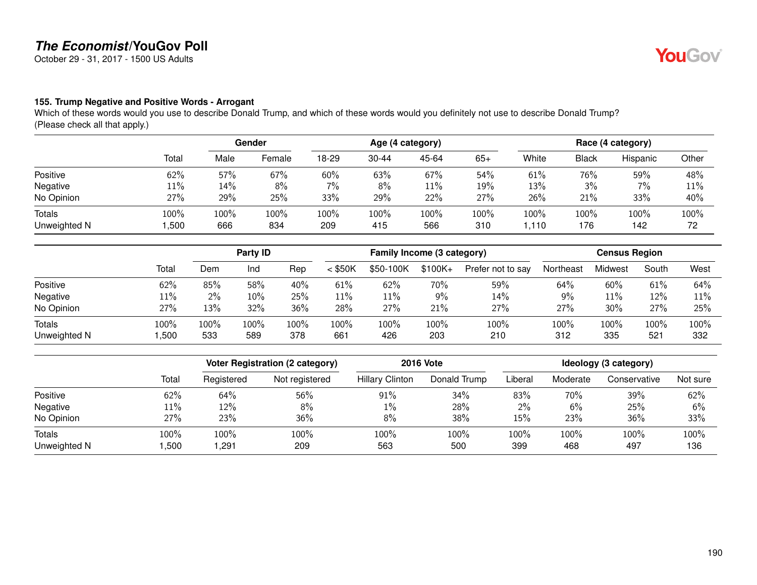October 29 - 31, 2017 - 1500 US Adults

#### **155. Trump Negative and Positive Words - Arrogant**

Which of these words would you use to describe Donald Trump, and which of these words would you definitely not use to describe Donald Trump? (Please check all that apply.)

|                               |              |                | Gender      |             | Age (4 category) |             |             |               | Race (4 category) |             |            |  |
|-------------------------------|--------------|----------------|-------------|-------------|------------------|-------------|-------------|---------------|-------------------|-------------|------------|--|
|                               | Total        | Male           | Female      | 18-29       | $30 - 44$        | 45-64       | $65+$       | White         | <b>Black</b>      | Hispanic    | Other      |  |
| Positive                      | 62%          | 57%            | 67%         | 60%         | 63%              | 67%         | 54%         | 61%           | 76%               | 59%         | 48%        |  |
| Negative                      | $11\%$       | 14%            | 8%          | 7%          | 8%               | 11%         | 19%         | 13%           | 3%                | $7\%$       | 11%        |  |
| No Opinion                    | 27%          | 29%            | 25%         | 33%         | 29%              | 22%         | 27%         | 26%           | 21%               | 33%         | 40%        |  |
| <b>Totals</b><br>Unweighted N | 100%<br>,500 | $100\%$<br>666 | 100%<br>834 | 100%<br>209 | 100%<br>415      | 100%<br>566 | 100%<br>310 | 100%<br>1,110 | 100%<br>176       | 100%<br>142 | 100%<br>72 |  |

|                               |              | Party ID    |             |             | Family Income (3 category) |             |             |                   | <b>Census Region</b> |             |             |             |
|-------------------------------|--------------|-------------|-------------|-------------|----------------------------|-------------|-------------|-------------------|----------------------|-------------|-------------|-------------|
|                               | Total        | Dem         | Ind         | Rep         | $<$ \$50K                  | \$50-100K   | $$100K +$   | Prefer not to say | Northeast            | Midwest     | South       | West        |
| Positive                      | 62%          | 85%         | 58%         | 40%         | 61%                        | 62%         | 70%         | 59%               | 64%                  | 60%         | 61%         | 64%         |
| Negative                      | $11\%$       | 2%          | 10%         | 25%         | $11\%$                     | $11\%$      | 9%          | 14%               | 9%                   | 11%         | 12%         | 11%         |
| No Opinion                    | 27%          | 13%         | 32%         | 36%         | 28%                        | 27%         | 21%         | 27%               | 27%                  | 30%         | 27%         | 25%         |
| <b>Totals</b><br>Unweighted N | 100%<br>,500 | 100%<br>533 | 100%<br>589 | 100%<br>378 | 100%<br>661                | 100%<br>426 | 100%<br>203 | 100%<br>210       | 100%<br>312          | 100%<br>335 | 100%<br>521 | 100%<br>332 |

|              |       |            | <b>Voter Registration (2 category)</b> | <b>2016 Vote</b>       | Ideology (3 category) |         |          |              |          |
|--------------|-------|------------|----------------------------------------|------------------------|-----------------------|---------|----------|--------------|----------|
|              | Total | Registered | Not registered                         | <b>Hillary Clinton</b> | Donald Trump          | Liberal | Moderate | Conservative | Not sure |
| Positive     | 62%   | 64%        | 56%                                    | 91%                    | 34%                   | 83%     | 70%      | 39%          | 62%      |
| Negative     | 11%   | 12%        | 8%                                     | $1\%$                  | 28%                   | $2\%$   | 6%       | 25%          | 6%       |
| No Opinion   | 27%   | 23%        | 36%                                    | 8%                     | 38%                   | 15%     | 23%      | 36%          | 33%      |
| Totals       | 100%  | 100%       | LOO%                                   | 100%                   | 100%                  | 100%    | 100%     | 100%         | 100%     |
| Unweighted N | ,500  | ,291       | 209                                    | 563                    | 500                   | 399     | 468      | 497          | 136      |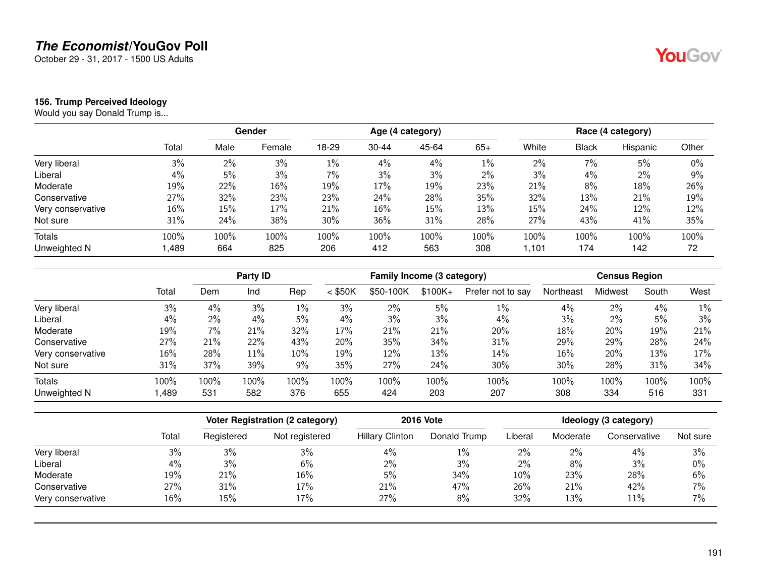October 29 - 31, 2017 - 1500 US Adults

#### **156. Trump Perceived Ideology**

Would you say Donald Trump is...

|                   |       | Gender |        |       |           | Age (4 category) |       | Race (4 category) |              |          |       |  |
|-------------------|-------|--------|--------|-------|-----------|------------------|-------|-------------------|--------------|----------|-------|--|
|                   | Total | Male   | Female | 18-29 | $30 - 44$ | 45-64            | $65+$ | White             | <b>Black</b> | Hispanic | Other |  |
| Very liberal      | 3%    | 2%     | 3%     | $1\%$ | 4%        | 4%               | $1\%$ | 2%                | $7\%$        | 5%       | 0%    |  |
| Liberal           | 4%    | 5%     | 3%     | 7%    | 3%        | 3%               | 2%    | 3%                | 4%           | 2%       | 9%    |  |
| Moderate          | 19%   | 22%    | 16%    | 19%   | 17%       | 19%              | 23%   | 21%               | 8%           | 18%      | 26%   |  |
| Conservative      | 27%   | 32%    | 23%    | 23%   | 24%       | 28%              | 35%   | 32%               | 13%          | 21%      | 19%   |  |
| Very conservative | 16%   | 15%    | 17%    | 21%   | 16%       | 15%              | 13%   | 15%               | 24%          | 12%      | 12%   |  |
| Not sure          | 31%   | 24%    | 38%    | 30%   | 36%       | 31%              | 28%   | 27%               | 43%          | 41%      | 35%   |  |
| Totals            | 100%  | 100%   | 100%   | 100%  | 100%      | 100%             | 100%  | 100%              | 100%         | 100%     | 100%  |  |
| Unweighted N      | ,489  | 664    | 825    | 206   | 412       | 563              | 308   | 1.101             | 174          | 142      | 72    |  |

|                   |       |      | Party ID |       |           | Family Income (3 category) |           |                   |           | <b>Census Region</b> |       |       |  |
|-------------------|-------|------|----------|-------|-----------|----------------------------|-----------|-------------------|-----------|----------------------|-------|-------|--|
|                   | Total | Dem  | Ind      | Rep   | $<$ \$50K | \$50-100K                  | $$100K +$ | Prefer not to say | Northeast | Midwest              | South | West  |  |
| Very liberal      | 3%    | 4%   | 3%       | $1\%$ | 3%        | $2\%$                      | 5%        | $1\%$             | 4%        | 2%                   | 4%    | $1\%$ |  |
| Liberal           | 4%    | 2%   | 4%       | 5%    | 4%        | 3%                         | 3%        | 4%                | 3%        | 2%                   | 5%    | 3%    |  |
| Moderate          | 19%   | 7%   | 21%      | 32%   | 17%       | 21%                        | 21%       | 20%               | 18%       | 20%                  | 19%   | 21%   |  |
| Conservative      | 27%   | 21%  | 22%      | 43%   | 20%       | 35%                        | 34%       | 31%               | 29%       | 29%                  | 28%   | 24%   |  |
| Very conservative | 16%   | 28%  | 11%      | 10%   | 19%       | 12%                        | 13%       | 14%               | 16%       | 20%                  | 13%   | 17%   |  |
| Not sure          | 31%   | 37%  | 39%      | 9%    | 35%       | 27%                        | 24%       | 30%               | 30%       | 28%                  | 31%   | 34%   |  |
| <b>Totals</b>     | 100%  | 100% | 100%     | 100%  | 100%      | 100%                       | 100%      | 100%              | 100%      | 100%                 | 100%  | 100%  |  |
| Unweighted N      | ,489  | 531  | 582      | 376   | 655       | 424                        | 203       | 207               | 308       | 334                  | 516   | 331   |  |

|                   |       |            | Voter Registration (2 category) | <b>2016 Vote</b>       |              |         | Ideology (3 category) |              |          |  |  |  |
|-------------------|-------|------------|---------------------------------|------------------------|--------------|---------|-----------------------|--------------|----------|--|--|--|
|                   | Total | Registered | Not registered                  | <b>Hillary Clinton</b> | Donald Trump | Liberal | Moderate              | Conservative | Not sure |  |  |  |
| Very liberal      | 3%    | 3%         | 3%                              | 4%                     | $1\%$        | 2%      | 2%                    | $4\%$        | 3%       |  |  |  |
| Liberal           | 4%    | 3%         | 6%                              | $2\%$                  | 3%           | $2\%$   | 8%                    | 3%           | 0%       |  |  |  |
| Moderate          | 19%   | 21%        | 16%                             | 5%                     | 34%          | $10\%$  | 23%                   | 28%          | 6%       |  |  |  |
| Conservative      | 27%   | 31%        | 17%                             | 21%                    | 47%          | 26%     | 21%                   | 42%          | $7\%$    |  |  |  |
| Very conservative | 16%   | 15%        | 17%                             | 27%                    | 8%           | 32%     | 13%                   | 11%          | 7%       |  |  |  |

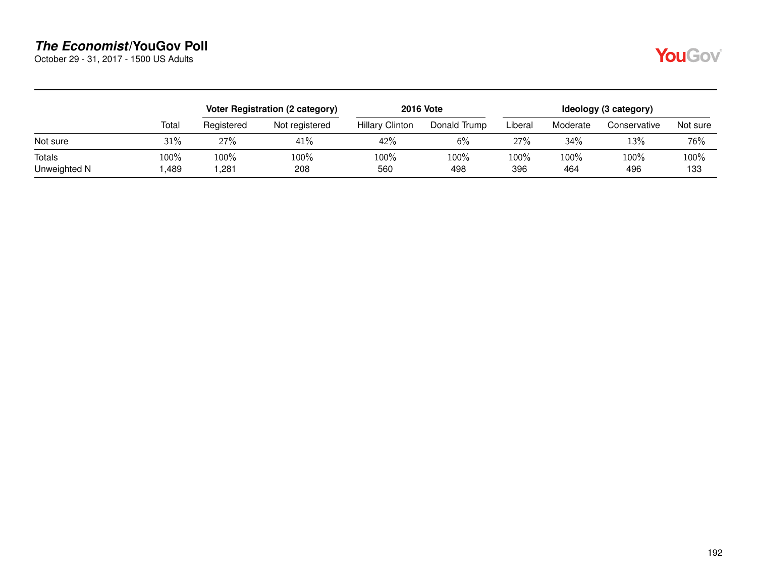October 29 - 31, 2017 - 1500 US Adults

|--|

|                        |              |              | Voter Registration (2 category) | <b>2016 Vote</b>       | Ideology (3 category) |             |             |              |             |  |
|------------------------|--------------|--------------|---------------------------------|------------------------|-----------------------|-------------|-------------|--------------|-------------|--|
|                        | Total        | Registered   | Not registered                  | <b>Hillary Clinton</b> | Donald Trump          | Liberal     | Moderate    | Conservative | Not sure    |  |
| Not sure               | 31%          | 27%          | 41%                             | 42%                    | 6%                    | 27%         | 34%         | 13%          | 76%         |  |
| Totals<br>Unweighted N | 100%<br>,489 | 100%<br>281. | 100%<br>208                     | 100%<br>560            | 100%<br>498           | 100%<br>396 | 100%<br>464 | 100%<br>496  | 100%<br>133 |  |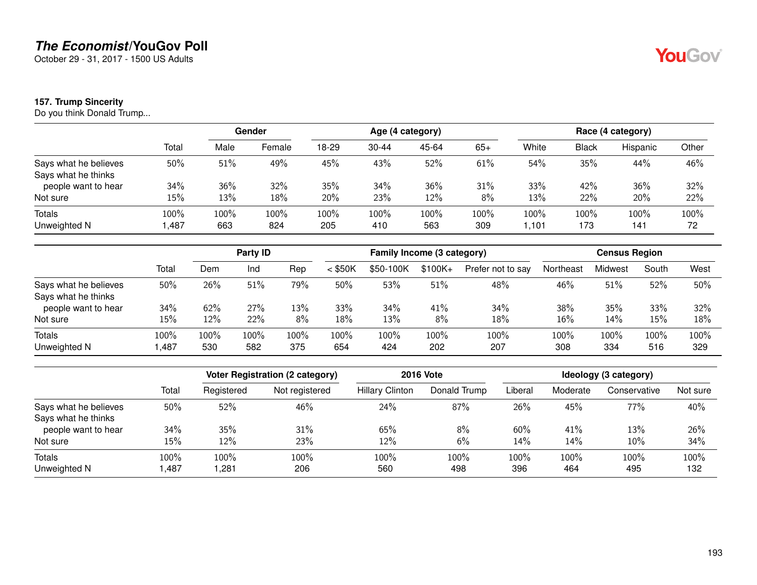October 29 - 31, 2017 - 1500 US Adults

#### **157. Trump Sincerity**

Do you think Donald Trump...

|                       |        | Gender |        | Age (4 category) |           |       |       | Race (4 category) |              |          |       |
|-----------------------|--------|--------|--------|------------------|-----------|-------|-------|-------------------|--------------|----------|-------|
|                       | Total  | Male   | Female | 18-29            | $30 - 44$ | 45-64 | $65+$ | White             | <b>Black</b> | Hispanic | Other |
| Says what he believes | 50%    | 51%    | 49%    | 45%              | 43%       | 52%   | 61%   | 54%               | 35%          | 44%      | 46%   |
| Says what he thinks   |        |        |        |                  |           |       |       |                   |              |          |       |
| people want to hear   | 34%    | 36%    | 32%    | 35%              | 34%       | 36%   | 31%   | 33%               | 42%          | 36%      | 32%   |
| Not sure              | 15%    | 13%    | 18%    | 20%              | 23%       | 12%   | 8%    | 13%               | 22%          | 20%      | 22%   |
| Totals                | 100%   | 100%   | 100%   | 100%             | 100%      | 100%  | 100%  | 100%              | 100%         | 100%     | 100%  |
| Unweighted N          | 487, ا | 663    | 824    | 205              | 410       | 563   | 309   | 101, ا            | 173          | 141      | 72    |

|                       |       | Party ID |      |      | Family Income (3 category) |           |          |                   | <b>Census Region</b> |                |       |      |
|-----------------------|-------|----------|------|------|----------------------------|-----------|----------|-------------------|----------------------|----------------|-------|------|
|                       | Total | Dem      | Ind  | Rep  | $<$ \$50K                  | \$50-100K | $$100K+$ | Prefer not to say | Northeast            | <b>Midwest</b> | South | West |
| Says what he believes | 50%   | 26%      | 51%  | 79%  | 50%                        | 53%       | 51%      | 48%               | 46%                  | 51%            | 52%   | 50%  |
| Says what he thinks   |       |          |      |      |                            |           |          |                   |                      |                |       |      |
| people want to hear   | 34%   | 62%      | 27%  | 13%  | 33%                        | 34%       | 41%      | 34%               | 38%                  | 35%            | 33%   | 32%  |
| Not sure              | 15%   | 12%      | 22%  | 8%   | 18%                        | 13%       | 8%       | 18%               | 16%                  | 14%            | 15%   | 18%  |
| <b>Totals</b>         | 100%  | 100%     | 100% | 100% | 100%                       | 100%      | 100%     | 100%              | 100%                 | 100%           | 100%  | 100% |
| Unweighted N          | .487  | 530      | 582  | 375  | 654                        | 424       | 202      | 207               | 308                  | 334            | 516   | 329  |

|                       |       | <b>Voter Registration (2 category)</b> |                |                        | <b>2016 Vote</b> | Ideology (3 category) |          |              |          |  |
|-----------------------|-------|----------------------------------------|----------------|------------------------|------------------|-----------------------|----------|--------------|----------|--|
|                       | Total | Registered                             | Not registered | <b>Hillary Clinton</b> | Donald Trump     | Liberal               | Moderate | Conservative | Not sure |  |
| Says what he believes | 50%   | 52%                                    | 46%            | 24%                    | 87%              | 26%                   | 45%      | 77%          | 40%      |  |
| Says what he thinks   |       |                                        |                |                        |                  |                       |          |              |          |  |
| people want to hear   | 34%   | 35%                                    | 31%            | 65%                    | 8%               | 60%                   | 41%      | 13%          | 26%      |  |
| Not sure              | 15%   | 12%                                    | 23%            | 12%                    | 6%               | 14%                   | 14%      | 10%          | 34%      |  |
| Totals                | 100%  | 100%                                   | 100%           | 100%                   | 100%             | 100%                  | 100%     | 100%         | 100%     |  |
| Unweighted N          | ,487  | ,281                                   | 206            | 560                    | 498              | 396                   | 464      | 495          | 132      |  |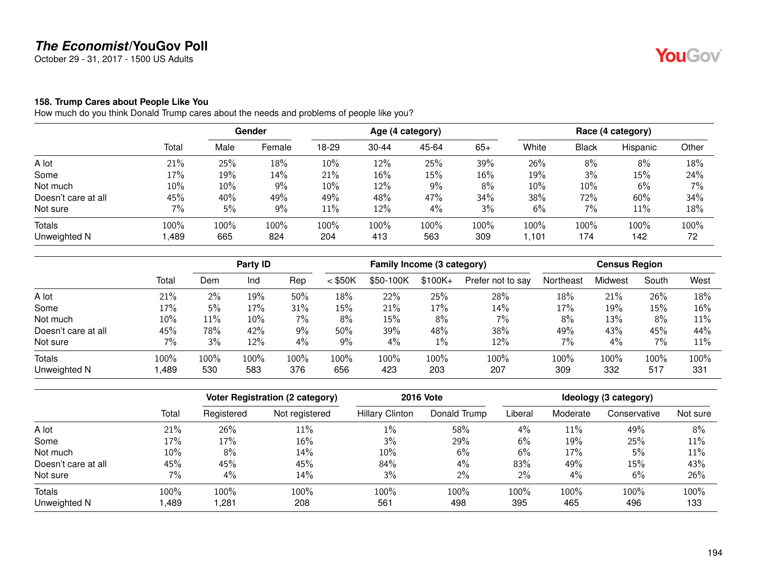October 29 - 31, 2017 - 1500 US Adults

#### **158. Trump Cares about People Like You**

How much do you think Donald Trump cares about the needs and problems of people like you?

|                     |        | Gender |        | Age (4 category) |           |       |       | Race (4 category) |       |          |       |
|---------------------|--------|--------|--------|------------------|-----------|-------|-------|-------------------|-------|----------|-------|
|                     | Total  | Male   | Female | 18-29            | $30 - 44$ | 45-64 | $65+$ | White             | Black | Hispanic | Other |
| A lot               | 21%    | 25%    | 18%    | 10%              | 12%       | 25%   | 39%   | 26%               | 8%    | 8%       | 18%   |
| Some                | 17%    | 19%    | 14%    | 21%              | 16%       | 15%   | 16%   | 19%               | 3%    | 15%      | 24%   |
| Not much            | $10\%$ | 10%    | 9%     | 10%              | 12%       | 9%    | 8%    | 10%               | 10%   | 6%       | 7%    |
| Doesn't care at all | 45%    | 40%    | 49%    | 49%              | 48%       | 47%   | 34%   | 38%               | 72%   | 60%      | 34%   |
| Not sure            | 7%     | 5%     | 9%     | 11%              | 12%       | 4%    | 3%    | 6%                | 7%    | 11%      | 18%   |
| Totals              | 100%   | 100%   | 100%   | 100%             | 100%      | 100%  | 100%  | 100%              | 100%  | 100%     | 100%  |
| Unweighted N        | ,489   | 665    | 824    | 204              | 413       | 563   | 309   | 1,101             | 174   | 142      | 72    |

|                     |       |       | Party ID |      |           | Family Income (3 category) |          |                   | <b>Census Region</b> |         |       |      |
|---------------------|-------|-------|----------|------|-----------|----------------------------|----------|-------------------|----------------------|---------|-------|------|
|                     | Total | Dem   | Ind      | Rep  | $<$ \$50K | \$50-100K                  | $$100K+$ | Prefer not to say | Northeast            | Midwest | South | West |
| A lot               | 21%   | $2\%$ | 19%      | 50%  | 18%       | 22%                        | 25%      | 28%               | 18%                  | 21%     | 26%   | 18%  |
| Some                | 17%   | 5%    | 17%      | 31%  | 15%       | 21%                        | 17%      | 14%               | 17%                  | 19%     | 15%   | 16%  |
| Not much            | 10%   | 11%   | $10\%$   | 7%   | 8%        | 15%                        | 8%       | $7\%$             | 8%                   | 13%     | 8%    | 11%  |
| Doesn't care at all | 45%   | 78%   | 42%      | 9%   | 50%       | 39%                        | 48%      | 38%               | 49%                  | 43%     | 45%   | 44%  |
| Not sure            | 7%    | 3%    | 12%      | 4%   | 9%        | 4%                         | 1%       | 12%               | 7%                   | 4%      | 7%    | 11%  |
| Totals              | 100%  | 100%  | 100%     | 100% | 100%      | 100%                       | 100%     | 100%              | 100%                 | 100%    | 100%  | 100% |
| Unweighted N        | ,489  | 530   | 583      | 376  | 656       | 423                        | 203      | 207               | 309                  | 332     | 517   | 331  |

|                     |       |            | <b>Voter Registration (2 category)</b> |                        | <b>2016 Vote</b> | Ideology (3 category) |          |              |          |  |
|---------------------|-------|------------|----------------------------------------|------------------------|------------------|-----------------------|----------|--------------|----------|--|
|                     | Total | Registered | Not registered                         | <b>Hillary Clinton</b> | Donald Trump     | Liberal               | Moderate | Conservative | Not sure |  |
| A lot               | 21%   | 26%        | 11%                                    | $1\%$                  | 58%              | 4%                    | 11%      | 49%          | 8%       |  |
| Some                | 17%   | 17%        | $16\%$                                 | 3%                     | 29%              | 6%                    | 19%      | 25%          | 11%      |  |
| Not much            | 10%   | 8%         | 14%                                    | 10%                    | 6%               | 6%                    | 17%      | 5%           | 11%      |  |
| Doesn't care at all | 45%   | 45%        | 45%                                    | 84%                    | $4\%$            | 83%                   | 49%      | 15%          | 43%      |  |
| Not sure            | 7%    | 4%         | $14\%$                                 | 3%                     | 2%               | $2\%$                 | 4%       | 6%           | 26%      |  |
| Totals              | 100%  | 100%       | 100%                                   | 100%                   | 100%             | 100%                  | 100%     | 100%         | 100%     |  |
| Unweighted N        | ,489  | ,281       | 208                                    | 561                    | 498              | 395                   | 465      | 496          | 133      |  |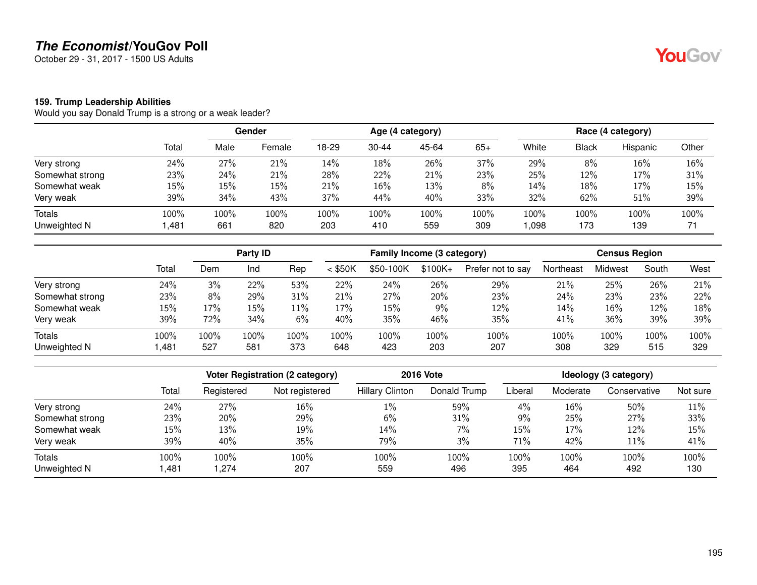October 29 - 31, 2017 - 1500 US Adults

#### **159. Trump Leadership Abilities**

Would you say Donald Trump is a strong or a weak leader?

|                 |        | Gender |        |       |           | Age (4 category) |       | Race (4 category) |       |          |       |
|-----------------|--------|--------|--------|-------|-----------|------------------|-------|-------------------|-------|----------|-------|
|                 | Total  | Male   | Female | 18-29 | $30 - 44$ | 45-64            | $65+$ | White             | Black | Hispanic | Other |
| Very strong     | 24%    | 27%    | 21%    | 14%   | 18%       | 26%              | 37%   | 29%               | 8%    | 16%      | 16%   |
| Somewhat strong | 23%    | 24%    | 21%    | 28%   | 22%       | 21%              | 23%   | 25%               | 12%   | 17%      | 31%   |
| Somewhat weak   | $15\%$ | 15%    | 15%    | 21%   | 16%       | 13%              | 8%    | 14%               | 18%   | 17%      | 15%   |
| Very weak       | 39%    | 34%    | 43%    | 37%   | 44%       | 40%              | 33%   | 32%               | 62%   | 51%      | 39%   |
| <b>Totals</b>   | 100%   | 100%   | 100%   | 100%  | 100%      | 100%             | 100%  | 100%              | 100%  | 100%     | 100%  |
| Unweighted N    | ,481   | 661    | 820    | 203   | 410       | 559              | 309   | ,098              | 173   | 139      | 71    |

|                 |       |      | Party <b>ID</b> |        |           | Family Income (3 category) |           |                   |           |         | <b>Census Region</b> |      |
|-----------------|-------|------|-----------------|--------|-----------|----------------------------|-----------|-------------------|-----------|---------|----------------------|------|
|                 | Total | Dem  | Ind             | Rep    | $<$ \$50K | \$50-100K                  | $$100K +$ | Prefer not to say | Northeast | Midwest | South                | West |
| Very strong     | 24%   | 3%   | 22%             | 53%    | 22%       | 24%                        | 26%       | 29%               | 21%       | 25%     | 26%                  | 21%  |
| Somewhat strong | 23%   | 8%   | 29%             | 31%    | 21%       | 27%                        | 20%       | 23%               | 24%       | 23%     | 23%                  | 22%  |
| Somewhat weak   | 15%   | 17%  | 15%             | $11\%$ | 17%       | 15%                        | 9%        | 12%               | 14%       | 16%     | 12%                  | 18%  |
| Very weak       | 39%   | 72%  | 34%             | 6%     | 40%       | 35%                        | 46%       | 35%               | 41%       | 36%     | 39%                  | 39%  |
| <b>Totals</b>   | 100%  | 100% | 100%            | 100%   | 100%      | 100%                       | 100%      | 100%              | 100%      | 100%    | 100%                 | 100% |
| Unweighted N    | ,481  | 527  | 581             | 373    | 648       | 423                        | 203       | 207               | 308       | 329     | 515                  | 329  |

|                 |       |            | Voter Registration (2 category) | <b>2016 Vote</b>       | Ideology (3 category) |         |          |              |          |
|-----------------|-------|------------|---------------------------------|------------------------|-----------------------|---------|----------|--------------|----------|
|                 | Total | Registered | Not registered                  | <b>Hillary Clinton</b> | Donald Trump          | Liberal | Moderate | Conservative | Not sure |
| Very strong     | 24%   | 27%        | 16%                             | $1\%$                  | 59%                   | 4%      | 16%      | 50%          | 11%      |
| Somewhat strong | 23%   | 20%        | 29%                             | 6%                     | 31%                   | 9%      | 25%      | 27%          | 33%      |
| Somewhat weak   | 15%   | 13%        | 19%                             | 14%                    | $7\%$                 | 15%     | 17%      | 12%          | 15%      |
| Very weak       | 39%   | 40%        | 35%                             | 79%                    | 3%                    | 71%     | 42%      | 11%          | 41%      |
| <b>Totals</b>   | 100%  | 100%       | 100%                            | 100%                   | 100%                  | 100%    | 100%     | 100%         | 100%     |
| Unweighted N    | ,481  | .274       | 207                             | 559                    | 496                   | 395     | 464      | 492          | 130      |

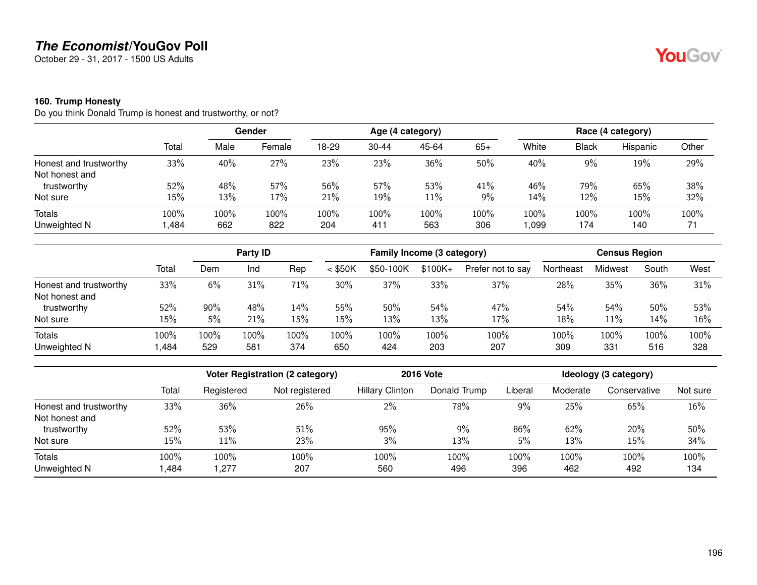October 29 - 31, 2017 - 1500 US Adults

#### **160. Trump Honesty**

Do you think Donald Trump is honest and trustworthy, or not?

|                        |        | <b>Gender</b> |        |       |           | Age (4 category) |       | Race (4 category) |              |          |       |
|------------------------|--------|---------------|--------|-------|-----------|------------------|-------|-------------------|--------------|----------|-------|
|                        | Total  | Male          | Female | 18-29 | $30 - 44$ | 45-64            | $65+$ | White             | <b>Black</b> | Hispanic | Other |
| Honest and trustworthy | 33%    | 40%           | 27%    | 23%   | 23%       | 36%              | 50%   | 40%               | 9%           | 19%      | 29%   |
| Not honest and         |        |               |        |       |           |                  |       |                   |              |          |       |
| trustworthy            | 52%    | 48%           | 57%    | 56%   | 57%       | 53%              | 41%   | 46%               | 79%          | 65%      | 38%   |
| Not sure               | $15\%$ | 13%           | 17%    | 21%   | 19%       | 11%              | 9%    | 14%               | 12%          | 15%      | 32%   |
| Totals                 | 100%   | 100%          | 100%   | 100%  | 100%      | 100%             | 100%  | 100%              | 100%         | 100%     | 100%  |
| Unweighted N           | ,484   | 662           | 822    | 204   | 411       | 563              | 306   | 990, ا            | 174          | 140      | 71    |

|                        |       | Party <b>ID</b> |      |      | Family Income (3 category) |           |           |                   | <b>Census Region</b> |         |       |      |
|------------------------|-------|-----------------|------|------|----------------------------|-----------|-----------|-------------------|----------------------|---------|-------|------|
|                        | Total | Dem             | Ind  | Rep  | $<$ \$50K                  | \$50-100K | $$100K +$ | Prefer not to say | Northeast            | Midwest | South | West |
| Honest and trustworthy | 33%   | 6%              | 31%  | 71%  | 30%                        | 37%       | 33%       | 37%               | 28%                  | 35%     | 36%   | 31%  |
| Not honest and         |       |                 |      |      |                            |           |           |                   |                      |         |       |      |
| trustworthy            | 52%   | 90%             | 48%  | 14%  | 55%                        | 50%       | 54%       | 47%               | 54%                  | 54%     | 50%   | 53%  |
| Not sure               | 15%   | 5%              | 21%  | 15%  | 15%                        | 13%       | 13%       | 17%               | 18%                  | 11%     | 14%   | 16%  |
| Totals                 | 100%  | 100%            | 100% | 100% | 100%                       | 100%      | 100%      | 100%              | 100%                 | 100%    | 100%  | 100% |
| Unweighted N           | ,484  | 529             | 581  | 374  | 650                        | 424       | 203       | 207               | 309                  | 331     | 516   | 328  |

|                        |       |            | Voter Registration (2 category) |                        | <b>2016 Vote</b> | Ideology (3 category) |          |              |          |  |
|------------------------|-------|------------|---------------------------------|------------------------|------------------|-----------------------|----------|--------------|----------|--|
|                        | Total | Registered | Not registered                  | <b>Hillary Clinton</b> | Donald Trump     | Liberal               | Moderate | Conservative | Not sure |  |
| Honest and trustworthy | 33%   | 36%        | 26%                             | $2\%$                  | 78%              | 9%                    | 25%      | 65%          | 16%      |  |
| Not honest and         |       |            |                                 |                        |                  |                       |          |              |          |  |
| trustworthy            | 52%   | 53%        | 51%                             | 95%                    | 9%               | 86%                   | 62%      | 20%          | 50%      |  |
| Not sure               | 15%   | 11%        | 23%                             | 3%                     | 13%              | 5%                    | 13%      | 15%          | 34%      |  |
| Totals                 | 100%  | 100%       | 100%                            | 100%                   | 100%             | 100%                  | 100%     | 100%         | 100%     |  |
| Unweighted N           | ,484  | ,277       | 207                             | 560                    | 496              | 396                   | 462      | 492          | 134      |  |

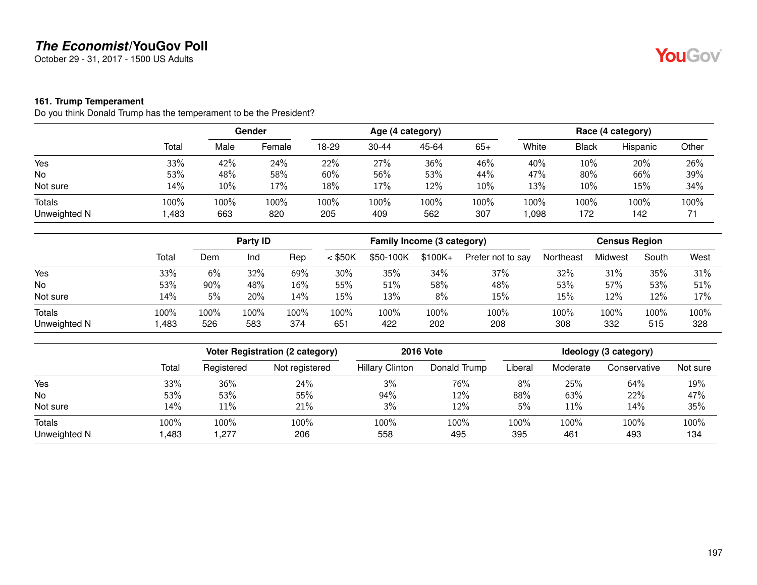October 29 - 31, 2017 - 1500 US Adults

#### **161. Trump Temperament**

Do you think Donald Trump has the temperament to be the President?

|                        |              |             | <b>Gender</b> |             |             | Age (4 category) |             |                 |              | Race (4 category) |            |
|------------------------|--------------|-------------|---------------|-------------|-------------|------------------|-------------|-----------------|--------------|-------------------|------------|
|                        | Total        | Male        | Female        | 18-29       | $30 - 44$   | 45-64            | $65+$       | White           | <b>Black</b> | Hispanic          | Other      |
| Yes                    | 33%          | 42%         | 24%           | 22%         | 27%         | 36%              | 46%         | 40%             | 10%          | 20%               | 26%        |
| No                     | 53%          | 48%         | 58%           | 60%         | 56%         | 53%              | 44%         | 47%             | 80%          | 66%               | 39%        |
| Not sure               | 14%          | 10%         | 17%           | 18%         | 17%         | 12%              | 10%         | 13%             | 10%          | 15%               | 34%        |
| Totals<br>Unweighted N | 100%<br>,483 | 100%<br>663 | 100%<br>820   | 100%<br>205 | 100%<br>409 | 100%<br>562      | 100%<br>307 | $100\%$<br>,098 | 100%<br>172  | 100%<br>142       | 100%<br>71 |

|                               |              | <b>Party ID</b> |             | Family Income (3 category) |             |             |             | <b>Census Region</b> |             |             |             |             |
|-------------------------------|--------------|-----------------|-------------|----------------------------|-------------|-------------|-------------|----------------------|-------------|-------------|-------------|-------------|
|                               | Total        | Dem             | Ind         | Rep                        | $<$ \$50K   | \$50-100K   | $$100K+$    | Prefer not to say    | Northeast   | Midwest     | South       | West        |
| Yes                           | 33%          | 6%              | 32%         | 69%                        | 30%         | 35%         | 34%         | 37%                  | 32%         | 31%         | 35%         | 31%         |
| No                            | 53%          | 90%             | 48%         | 16%                        | 55%         | 51%         | 58%         | 48%                  | 53%         | 57%         | 53%         | 51%         |
| Not sure                      | 14%          | 5%              | 20%         | 14%                        | 15%         | 13%         | 8%          | 15%                  | 15%         | 12%         | 12%         | 17%         |
| <b>Totals</b><br>Unweighted N | 100%<br>,483 | 100%<br>526     | 100%<br>583 | 100%<br>374                | 100%<br>651 | 100%<br>422 | 100%<br>202 | 100%<br>208          | 100%<br>308 | 100%<br>332 | 100%<br>515 | 100%<br>328 |

|                        |              | Voter Registration (2 category) |                | <b>2016 Vote</b>       | Ideology (3 category) |             |             |              |             |
|------------------------|--------------|---------------------------------|----------------|------------------------|-----------------------|-------------|-------------|--------------|-------------|
|                        | Total        | Registered                      | Not registered | <b>Hillary Clinton</b> | Donald Trump          | Liberal     | Moderate    | Conservative | Not sure    |
| Yes                    | 33%          | 36%                             | 24%            | 3%                     | 76%                   | 8%          | 25%         | 64%          | 19%         |
| No                     | 53%          | 53%                             | 55%            | 94%                    | 12%                   | 88%         | 63%         | 22%          | 47%         |
| Not sure               | 14%          | 11%                             | 21%            | 3%                     | 12%                   | 5%          | $11\%$      | 14%          | 35%         |
| Totals<br>Unweighted N | 100%<br>,483 | 100%<br>,277                    | 100%<br>206    | 100%<br>558            | 100%<br>495           | 100%<br>395 | 100%<br>461 | 100%<br>493  | 100%<br>134 |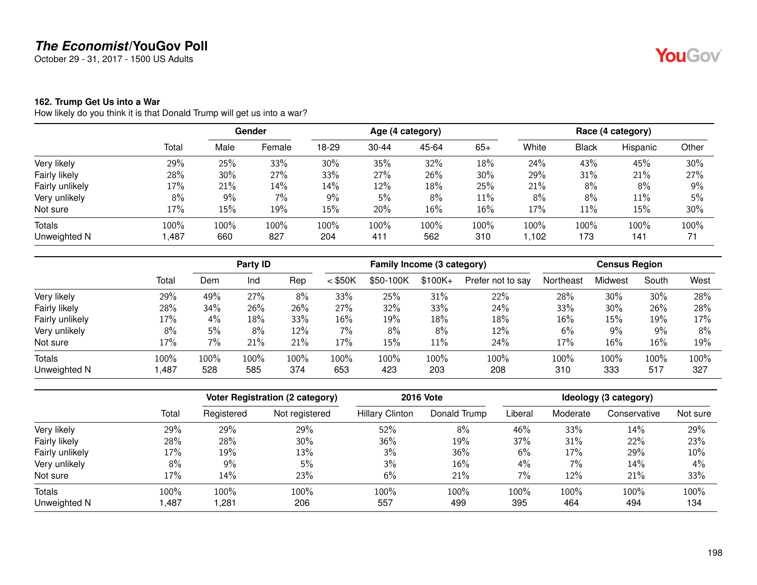October 29 - 31, 2017 - 1500 US Adults

#### **162. Trump Get Us into a War**

How likely do you think it is that Donald Trump will get us into a war?

|                 |       | Gender |        | Age (4 category) |           |       |       |       | Race (4 category) |          |       |  |
|-----------------|-------|--------|--------|------------------|-----------|-------|-------|-------|-------------------|----------|-------|--|
|                 | Total | Male   | Female | 18-29            | $30 - 44$ | 45-64 | $65+$ | White | <b>Black</b>      | Hispanic | Other |  |
| Very likely     | 29%   | 25%    | 33%    | 30%              | 35%       | 32%   | 18%   | 24%   | 43%               | 45%      | 30%   |  |
| Fairly likely   | 28%   | 30%    | 27%    | 33%              | 27%       | 26%   | 30%   | 29%   | 31%               | 21%      | 27%   |  |
| Fairly unlikely | 17%   | 21%    | 14%    | 14%              | 12%       | 18%   | 25%   | 21%   | 8%                | 8%       | 9%    |  |
| Very unlikely   | 8%    | 9%     | 7%     | 9%               | 5%        | 8%    | 11%   | 8%    | 8%                | 11%      | 5%    |  |
| Not sure        | 17%   | 15%    | 19%    | 15%              | 20%       | 16%   | 16%   | 17%   | 11%               | 15%      | 30%   |  |
| <b>Totals</b>   | 100%  | 100%   | 100%   | 100%             | 100%      | 100%  | 100%  | 100%  | 100%              | 100%     | 100%  |  |
| Unweighted N    | 1,487 | 660    | 827    | 204              | 411       | 562   | 310   | 1,102 | 173               | 141      | 71    |  |

|                 |        |      | Party ID |      |           | Family Income (3 category) |          |                   |           | <b>Census Region</b> |       |      |  |
|-----------------|--------|------|----------|------|-----------|----------------------------|----------|-------------------|-----------|----------------------|-------|------|--|
|                 | Total  | Dem  | Ind      | Rep  | $<$ \$50K | \$50-100K                  | $$100K+$ | Prefer not to say | Northeast | Midwest              | South | West |  |
| Very likely     | 29%    | 49%  | 27%      | 8%   | 33%       | 25%                        | 31%      | 22%               | 28%       | 30%                  | 30%   | 28%  |  |
| Fairly likely   | 28%    | 34%  | 26%      | 26%  | 27%       | 32%                        | 33%      | 24%               | 33%       | 30%                  | 26%   | 28%  |  |
| Fairly unlikely | 17%    | 4%   | 18%      | 33%  | 16%       | 19%                        | 18%      | 18%               | 16%       | 15%                  | 19%   | 17%  |  |
| Very unlikely   | 8%     | 5%   | 8%       | 12%  | $7\%$     | 8%                         | 8%       | 12%               | 6%        | 9%                   | 9%    | 8%   |  |
| Not sure        | 17%    | 7%   | 21%      | 21%  | 17%       | 15%                        | $11\%$   | 24%               | 17%       | 16%                  | 16%   | 19%  |  |
| <b>Totals</b>   | 100%   | 100% | 100%     | 100% | 100%      | 100%                       | 100%     | 100%              | 100%      | 100%                 | 100%  | 100% |  |
| Unweighted N    | 487, ا | 528  | 585      | 374  | 653       | 423                        | 203      | 208               | 310       | 333                  | 517   | 327  |  |

|                 |       | Voter Registration (2 category) |                | <b>2016 Vote</b>       | Ideology (3 category) |         |          |              |          |
|-----------------|-------|---------------------------------|----------------|------------------------|-----------------------|---------|----------|--------------|----------|
|                 | Total | Registered                      | Not registered | <b>Hillary Clinton</b> | Donald Trump          | Liberal | Moderate | Conservative | Not sure |
| Very likely     | 29%   | 29%                             | 29%            | 52%                    | 8%                    | 46%     | 33%      | 14%          | 29%      |
| Fairly likely   | 28%   | 28%                             | 30%            | 36%                    | 19%                   | 37%     | 31%      | 22%          | 23%      |
| Fairly unlikely | 17%   | 19%                             | 13%            | 3%                     | 36%                   | 6%      | 17%      | 29%          | 10%      |
| Very unlikely   | 8%    | 9%                              | 5%             | 3%                     | 16%                   | 4%      | $7\%$    | 14%          | $4\%$    |
| Not sure        | 17%   | 14%                             | 23%            | 6%                     | 21%                   | 7%      | 12%      | 21%          | 33%      |
| Totals          | 100%  | 100%                            | 100%           | 100%                   | 100%                  | 100%    | 100%     | 100%         | 100%     |
| Unweighted N    | ,487  | ,281                            | 206            | 557                    | 499                   | 395     | 464      | 494          | 134      |

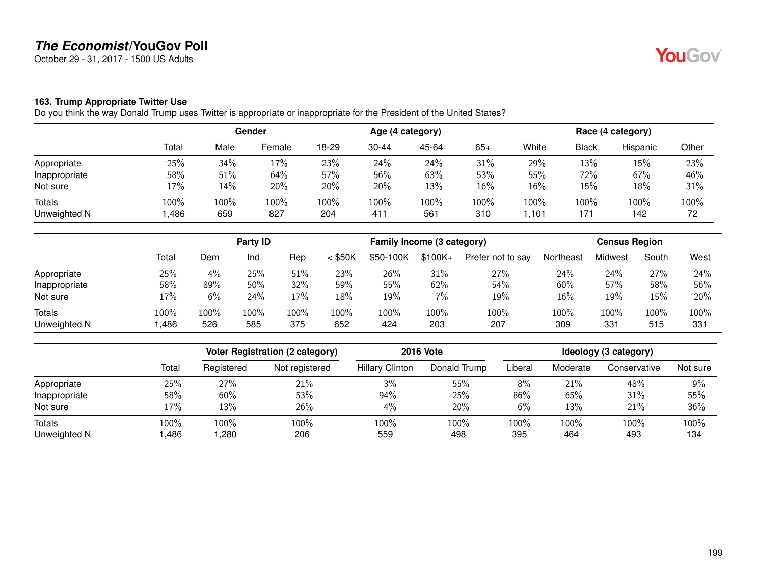October 29 - 31, 2017 - 1500 US Adults

#### **163. Trump Appropriate Twitter Use**

Do you think the way Donald Trump uses Twitter is appropriate or inappropriate for the President of the United States?

|                               |              |             | Gender      |             | Age (4 category) |             |             |              | Race (4 category) |             |            |  |
|-------------------------------|--------------|-------------|-------------|-------------|------------------|-------------|-------------|--------------|-------------------|-------------|------------|--|
|                               | Total        | Male        | Female      | 18-29       | $30 - 44$        | 45-64       | $65+$       | White        | Black             | Hispanic    | Other      |  |
| Appropriate                   | 25%          | 34%         | 17%         | 23%         | 24%              | 24%         | 31%         | 29%          | 13%               | 15%         | 23%        |  |
| Inappropriate                 | 58%          | 51%         | 64%         | 57%         | 56%              | 63%         | 53%         | 55%          | 72%               | 67%         | 46%        |  |
| Not sure                      | $17\%$       | 14%         | 20%         | 20%         | 20%              | 13%         | 16%         | 16%          | 15%               | 18%         | 31%        |  |
| <b>Totals</b><br>Unweighted N | 100%<br>,486 | 100%<br>659 | 100%<br>827 | 100%<br>204 | 100%<br>411      | 100%<br>561 | 100%<br>310 | 100%<br>,101 | 100%<br>171       | 100%<br>142 | 100%<br>72 |  |

|                        |              | Party ID    |             |             | Family Income (3 category) |             |             |                   | <b>Census Region</b> |             |             |             |
|------------------------|--------------|-------------|-------------|-------------|----------------------------|-------------|-------------|-------------------|----------------------|-------------|-------------|-------------|
|                        | Total        | Dem         | Ind         | Rep         | $<$ \$50K                  | \$50-100K   | $$100K +$   | Prefer not to say | Northeast            | Midwest     | South       | West        |
| Appropriate            | 25%          | 4%          | 25%         | 51%         | 23%                        | 26%         | 31%         | 27%               | 24%                  | 24%         | 27%         | 24%         |
| Inappropriate          | 58%          | 89%         | 50%         | 32%         | 59%                        | 55%         | 62%         | 54%               | 60%                  | 57%         | 58%         | 56%         |
| Not sure               | 17%          | 6%          | 24%         | 17%         | 18%                        | 19%         | 7%          | 19%               | 16%                  | 19%         | 15%         | 20%         |
| Totals<br>Unweighted N | 100%<br>,486 | 100%<br>526 | 100%<br>585 | 100%<br>375 | 100%<br>652                | 100%<br>424 | 100%<br>203 | 100%<br>207       | 100%<br>309          | 100%<br>331 | 100%<br>515 | 100%<br>331 |

|                        |              |              | <b>Voter Registration (2 category)</b> | <b>2016 Vote</b>       | Ideology (3 category) |             |             |              |             |
|------------------------|--------------|--------------|----------------------------------------|------------------------|-----------------------|-------------|-------------|--------------|-------------|
|                        | Total        | Registered   | Not registered                         | <b>Hillary Clinton</b> | Donald Trump          | Liberal     | Moderate    | Conservative | Not sure    |
| Appropriate            | 25%          | 27%          | 21%                                    | 3%                     | 55%                   | 8%          | 21%         | 48%          | 9%          |
| Inappropriate          | 58%          | 60%          | 53%                                    | 94%                    | 25%                   | 86%         | 65%         | 31%          | 55%         |
| Not sure               | 17%          | 13%          | 26%                                    | 4%                     | 20%                   | 6%          | 13%         | 21%          | 36%         |
| Totals<br>Unweighted N | 100%<br>,486 | 100%<br>,280 | 100%<br>206                            | 100%<br>559            | 100%<br>498           | 100%<br>395 | 100%<br>464 | 100%<br>493  | 100%<br>134 |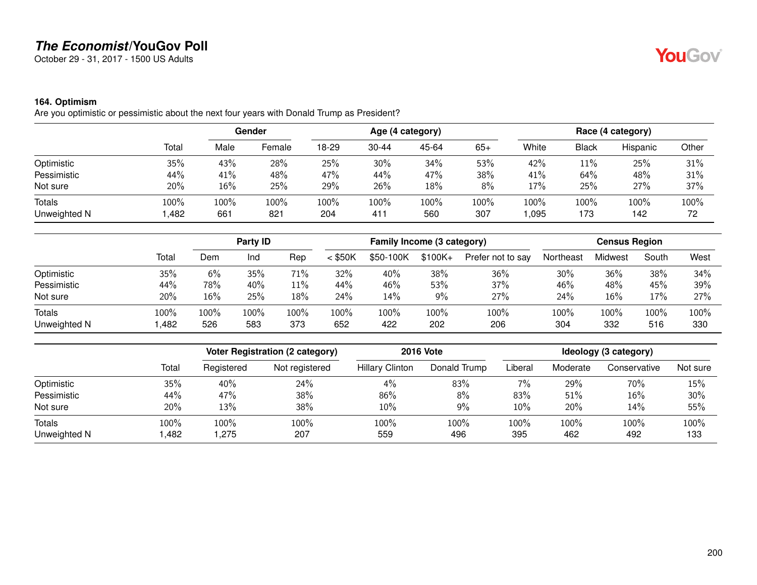October 29 - 31, 2017 - 1500 US Adults

#### **164. Optimism**

Are you optimistic or pessimistic about the next four years with Donald Trump as President?

|                               |              | Gender      |             | Age (4 category) |             |             |             | Race (4 category) |              |             |            |
|-------------------------------|--------------|-------------|-------------|------------------|-------------|-------------|-------------|-------------------|--------------|-------------|------------|
|                               | Total        | Male        | Female      | 18-29            | $30 - 44$   | 45-64       | 65+         | White             | <b>Black</b> | Hispanic    | Other      |
| Optimistic                    | 35%          | 43%         | 28%         | 25%              | 30%         | 34%         | 53%         | 42%               | 11%          | 25%         | 31%        |
| Pessimistic                   | 44%          | 41%         | 48%         | 47%              | 44%         | 47%         | 38%         | 41%               | 64%          | 48%         | 31%        |
| Not sure                      | 20%          | 16%         | 25%         | 29%              | 26%         | 18%         | 8%          | 17%               | 25%          | 27%         | 37%        |
| <b>Totals</b><br>Unweighted N | 100%<br>,482 | 100%<br>661 | 100%<br>821 | 100%<br>204      | 100%<br>411 | 100%<br>560 | 100%<br>307 | 100%<br>,095      | 100%<br>173  | 100%<br>142 | 100%<br>72 |

|                               |              | Party <b>ID</b> |             | Family Income (3 category) |             |             |             | <b>Census Region</b> |             |             |             |             |
|-------------------------------|--------------|-----------------|-------------|----------------------------|-------------|-------------|-------------|----------------------|-------------|-------------|-------------|-------------|
|                               | Total        | Dem             | Ind         | Rep                        | $<$ \$50K   | \$50-100K   | $$100K +$   | Prefer not to say    | Northeast   | Midwest     | South       | West        |
| Optimistic                    | 35%          | 6%              | 35%         | 71%                        | 32%         | 40%         | 38%         | 36%                  | 30%         | 36%         | 38%         | 34%         |
| Pessimistic                   | 44%          | 78%             | 40%         | 11%                        | 44%         | 46%         | 53%         | 37%                  | 46%         | 48%         | 45%         | 39%         |
| Not sure                      | 20%          | 16%             | 25%         | 18%                        | 24%         | 14%         | 9%          | 27%                  | 24%         | 16%         | 17%         | 27%         |
| <b>Totals</b><br>Unweighted N | 100%<br>,482 | 100%<br>526     | 100%<br>583 | 100%<br>373                | 100%<br>652 | 100%<br>422 | 100%<br>202 | 100%<br>206          | 100%<br>304 | 100%<br>332 | 100%<br>516 | 100%<br>330 |

|                               |              |                 | Voter Registration (2 category) |                        | <b>2016 Vote</b> | Ideology (3 category) |             |              |             |  |
|-------------------------------|--------------|-----------------|---------------------------------|------------------------|------------------|-----------------------|-------------|--------------|-------------|--|
|                               | Total        | Registered      | Not registered                  | <b>Hillary Clinton</b> | Donald Trump     | Liberal               | Moderate    | Conservative | Not sure    |  |
| Optimistic                    | 35%          | 40%             | 24%                             | $4\%$                  | 83%              | 7%                    | 29%         | 70%          | 15%         |  |
| Pessimistic                   | 44%          | 47%             | 38%                             | 86%                    | 8%               | 83%                   | 51%         | 16%          | 30%         |  |
| Not sure                      | 20%          | 13%             | 38%                             | 10%                    | 9%               | 10%                   | 20%         | 14%          | 55%         |  |
| <b>Totals</b><br>Unweighted N | 100%<br>,482 | $100\%$<br>,275 | 100%<br>207                     | 100%<br>559            | 100%<br>496      | 100%<br>395           | 100%<br>462 | 100%<br>492  | 100%<br>133 |  |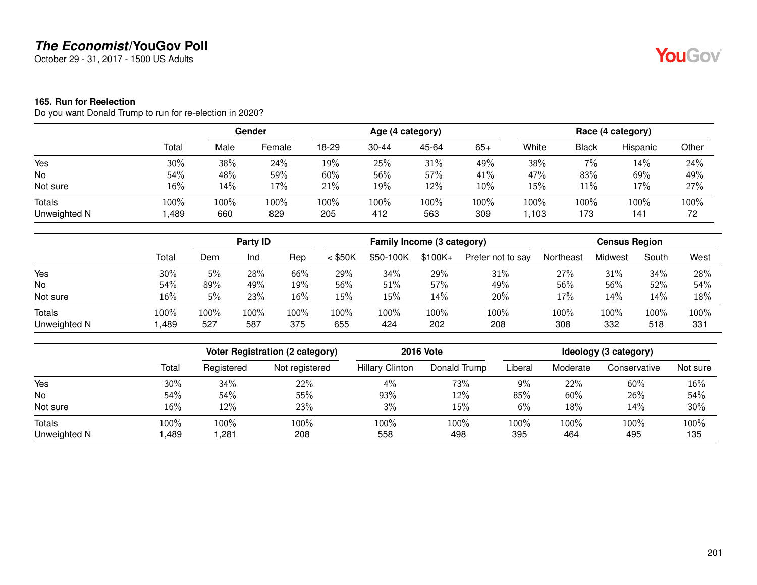October 29 - 31, 2017 - 1500 US Adults

#### **165. Run for Reelection**

Do you want Donald Trump to run for re-election in 2020?

|                        |              |             | Gender      |             | Age (4 category) |             |             |              |              | Race (4 category) |            |
|------------------------|--------------|-------------|-------------|-------------|------------------|-------------|-------------|--------------|--------------|-------------------|------------|
|                        | Total        | Male        | Female      | 18-29       | $30 - 44$        | 45-64       | $65+$       | White        | <b>Black</b> | Hispanic          | Other      |
| Yes                    | 30%          | 38%         | 24%         | 19%         | 25%              | 31%         | 49%         | 38%          | $7\%$        | 14%               | 24%        |
| No                     | 54%          | 48%         | 59%         | 60%         | 56%              | 57%         | 41%         | 47%          | 83%          | 69%               | 49%        |
| Not sure               | 16%          | 14%         | 17%         | 21%         | 19%              | 12%         | 10%         | 15%          | 11%          | 17%               | 27%        |
| Totals<br>Unweighted N | 100%<br>,489 | 100%<br>660 | 100%<br>829 | 100%<br>205 | 100%<br>412      | 100%<br>563 | 100%<br>309 | 100%<br>,103 | 100%<br>173  | 100%<br>141       | 100%<br>72 |

|                               |              | Party ID    |             |             | Family Income (3 category) |             |             |                   | <b>Census Region</b> |             |             |             |
|-------------------------------|--------------|-------------|-------------|-------------|----------------------------|-------------|-------------|-------------------|----------------------|-------------|-------------|-------------|
|                               | Total        | Dem         | Ind         | Rep         | $<$ \$50K                  | \$50-100K   | $$100K +$   | Prefer not to say | Northeast            | Midwest     | South       | West        |
| Yes                           | 30%          | 5%          | 28%         | 66%         | 29%                        | 34%         | 29%         | 31%               | 27%                  | 31%         | 34%         | 28%         |
| No                            | 54%          | 89%         | 49%         | 19%         | 56%                        | 51%         | 57%         | 49%               | 56%                  | 56%         | 52%         | 54%         |
| Not sure                      | 16%          | 5%          | 23%         | 16%         | 15%                        | 15%         | 14%         | 20%               | 17%                  | 14%         | 14%         | 18%         |
| <b>Totals</b><br>Unweighted N | 100%<br>,489 | 100%<br>527 | 100%<br>587 | 100%<br>375 | 100%<br>655                | 100%<br>424 | 100%<br>202 | 100%<br>208       | 100%<br>308          | 100%<br>332 | 100%<br>518 | 100%<br>331 |

|                               |              |              | Voter Registration (2 category) |                        | <b>2016 Vote</b> | Ideology (3 category) |             |              |             |  |
|-------------------------------|--------------|--------------|---------------------------------|------------------------|------------------|-----------------------|-------------|--------------|-------------|--|
|                               | Total        | Registered   | Not registered                  | <b>Hillary Clinton</b> | Donald Trump     | Liberal               | Moderate    | Conservative | Not sure    |  |
| Yes                           | 30%          | 34%          | 22%                             | $4\%$                  | 73%              | 9%                    | 22%         | 60%          | 16%         |  |
| No                            | 54%          | 54%          | 55%                             | 93%                    | 12%              | 85%                   | 60%         | 26%          | 54%         |  |
| Not sure                      | 16%          | 12%          | 23%                             | 3%                     | 15%              | 6%                    | 18%         | 14%          | 30%         |  |
| <b>Totals</b><br>Unweighted N | 100%<br>,489 | 100%<br>,281 | 100%<br>208                     | 100%<br>558            | 100%<br>498      | 100%<br>395           | 100%<br>464 | 100%<br>495  | 100%<br>135 |  |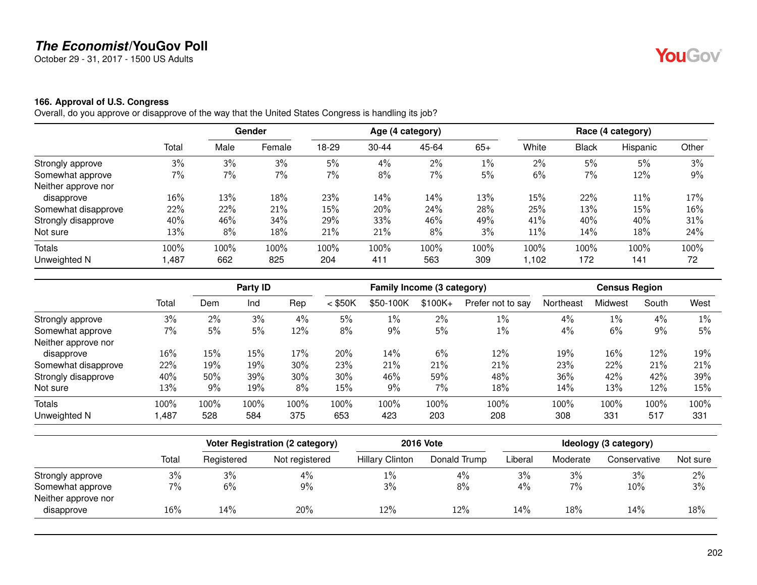October 29 - 31, 2017 - 1500 US Adults

# **YouGov**

#### **166. Approval of U.S. Congress**

Overall, do you approve or disapprove of the way that the United States Congress is handling its job?

|                     |       |      | Gender |       |       | Age (4 category) |       |       |              | Race (4 category) |       |
|---------------------|-------|------|--------|-------|-------|------------------|-------|-------|--------------|-------------------|-------|
|                     | Total | Male | Female | 18-29 | 30-44 | 45-64            | $65+$ | White | <b>Black</b> | Hispanic          | Other |
| Strongly approve    | 3%    | 3%   | 3%     | 5%    | 4%    | 2%               | $1\%$ | 2%    | 5%           | 5%                | 3%    |
| Somewhat approve    | 7%    | 7%   | $7\%$  | 7%    | 8%    | 7%               | 5%    | 6%    | 7%           | 12%               | 9%    |
| Neither approve nor |       |      |        |       |       |                  |       |       |              |                   |       |
| disapprove          | 16%   | 13%  | 18%    | 23%   | 14%   | 14%              | 13%   | 15%   | 22%          | $11\%$            | 17%   |
| Somewhat disapprove | 22%   | 22%  | 21%    | 15%   | 20%   | 24%              | 28%   | 25%   | 13%          | 15%               | 16%   |
| Strongly disapprove | 40%   | 46%  | 34%    | 29%   | 33%   | 46%              | 49%   | 41%   | 40%          | 40%               | 31%   |
| Not sure            | 13%   | 8%   | 18%    | 21%   | 21%   | 8%               | 3%    | 11%   | 14%          | 18%               | 24%   |
| <b>Totals</b>       | 100%  | 100% | 100%   | 100%  | 100%  | 100%             | 100%  | 100%  | 100%         | 100%              | 100%  |
| Unweighted N        | ,487  | 662  | 825    | 204   | 411   | 563              | 309   | ,102  | 172          | 141               | 72    |

|                     |       |       |      | Party ID |           |           | Family Income (3 category) |                   | <b>Census Region</b> |         |       |      |
|---------------------|-------|-------|------|----------|-----------|-----------|----------------------------|-------------------|----------------------|---------|-------|------|
|                     | Total | Dem   | Ind  | Rep      | $<$ \$50K | \$50-100K | $$100K +$                  | Prefer not to say | Northeast            | Midwest | South | West |
| Strongly approve    | 3%    | $2\%$ | 3%   | 4%       | 5%        | $1\%$     | $2\%$                      | $1\%$             | 4%                   | $1\%$   | 4%    | 1%   |
| Somewhat approve    | $7\%$ | 5%    | 5%   | 12%      | 8%        | 9%        | 5%                         | 1%                | 4%                   | 6%      | 9%    | 5%   |
| Neither approve nor |       |       |      |          |           |           |                            |                   |                      |         |       |      |
| disapprove          | 16%   | 15%   | 15%  | 17%      | 20%       | 14%       | 6%                         | 12%               | 19%                  | 16%     | 12%   | 19%  |
| Somewhat disapprove | 22%   | 19%   | 19%  | 30%      | 23%       | 21%       | 21%                        | 21%               | 23%                  | 22%     | 21%   | 21%  |
| Strongly disapprove | 40%   | 50%   | 39%  | 30%      | 30%       | 46%       | 59%                        | 48%               | 36%                  | 42%     | 42%   | 39%  |
| Not sure            | 13%   | 9%    | 19%  | 8%       | 15%       | 9%        | 7%                         | 18%               | 14%                  | 13%     | 12%   | 15%  |
| Totals              | 100%  | 100%  | 100% | 100%     | 100%      | 100%      | 100%                       | 100%              | 100%                 | 100%    | 100%  | 100% |
| Unweighted N        | ,487  | 528   | 584  | 375      | 653       | 423       | 203                        | 208               | 308                  | 331     | 517   | 331  |

|                     |       | <b>Voter Registration (2 category)</b> |                | <b>2016 Vote</b>       | Ideology (3 category) |         |          |              |          |
|---------------------|-------|----------------------------------------|----------------|------------------------|-----------------------|---------|----------|--------------|----------|
|                     | Total | Registered                             | Not registered | <b>Hillary Clinton</b> | Donald Trump          | Liberal | Moderate | Conservative | Not sure |
| Strongly approve    | 3%    | 3%                                     | 4%             | 1%                     | 4%                    | 3%      | 3%       | 3%           | $2\%$    |
| Somewhat approve    | 7%    | 6%                                     | 9%             | 3%                     | 8%                    | 4%      | $7\%$    | 10%          | 3%       |
| Neither approve nor |       |                                        |                |                        |                       |         |          |              |          |
| disapprove          | 16%   | 14%                                    | 20%            | 12%                    | 12%                   | 14%     | 18%      | 14%          | 18%      |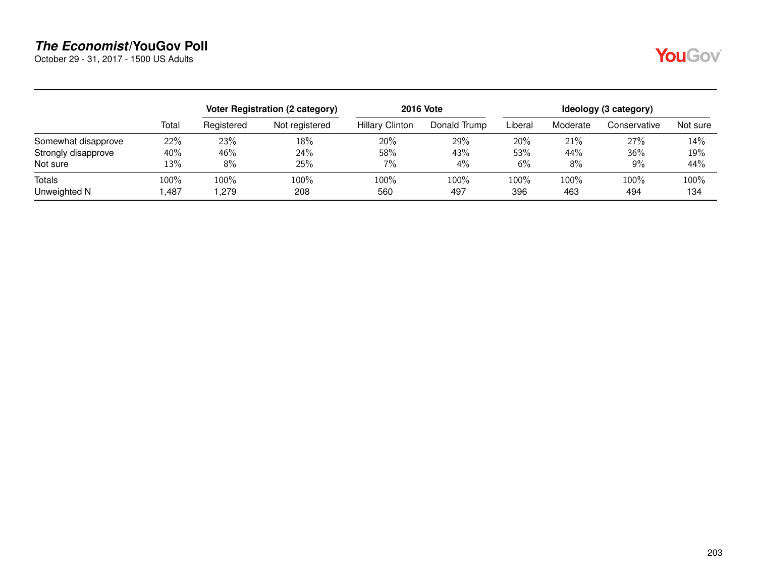October 29 - 31, 2017 - 1500 US Adults

|--|

|                               |                 |                  | Voter Registration (2 category) |                        | <b>2016 Vote</b> | Ideology (3 category) |             |              |             |  |
|-------------------------------|-----------------|------------------|---------------------------------|------------------------|------------------|-----------------------|-------------|--------------|-------------|--|
|                               | Total           | Registered       | Not registered                  | <b>Hillary Clinton</b> | Donald Trump     | Liberal               | Moderate    | Conservative | Not sure    |  |
| Somewhat disapprove           | 22%             | 23%              | 18%                             | 20%                    | 29%              | 20%                   | 21%         | 27%          | 14%         |  |
| Strongly disapprove           | 40%             | 46%              | 24%                             | 58%                    | 43%              | 53%                   | 44%         | 36%          | 19%         |  |
| Not sure                      | 13%             | $8\%$            | 25%                             | 7%                     | $4\%$            | 6%                    | 8%          | 9%           | 44%         |  |
| <b>Totals</b><br>Unweighted N | $100\%$<br>,487 | $100\%$<br>l.279 | $100\%$<br>208                  | 100%<br>560            | 100%<br>497      | 100%<br>396           | 100%<br>463 | 100%<br>494  | 100%<br>134 |  |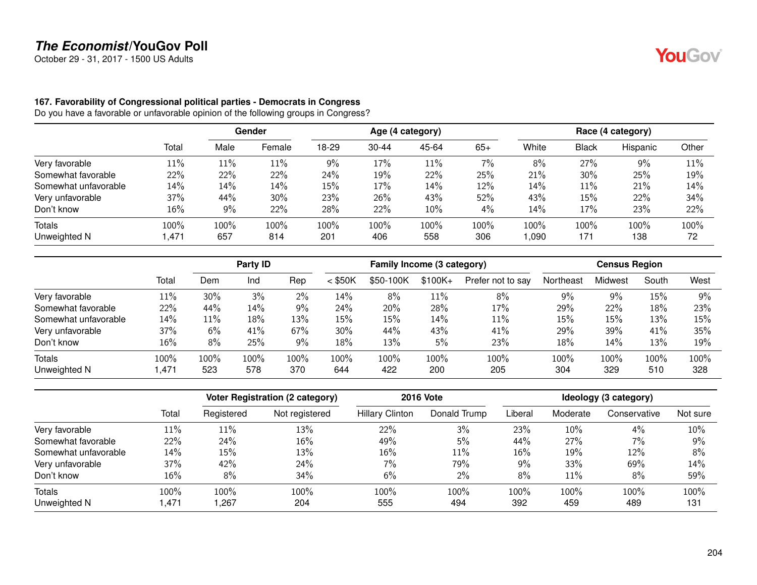October 29 - 31, 2017 - 1500 US Adults

#### **167. Favorability of Congressional political parties - Democrats in Congress**

Do you have a favorable or unfavorable opinion of the following groups in Congress?

|                      |        | Gender |        |       |           | Age (4 category) |       | Race (4 category) |              |          |       |  |
|----------------------|--------|--------|--------|-------|-----------|------------------|-------|-------------------|--------------|----------|-------|--|
|                      | Total  | Male   | Female | 18-29 | $30 - 44$ | 45-64            | $65+$ | White             | <b>Black</b> | Hispanic | Other |  |
| Very favorable       | $11\%$ | 11%    | 11%    | $9\%$ | 17%       | 11%              | 7%    | 8%                | 27%          | 9%       | 11%   |  |
| Somewhat favorable   | 22%    | 22%    | 22%    | 24%   | 19%       | 22%              | 25%   | 21%               | 30%          | 25%      | 19%   |  |
| Somewhat unfavorable | 14%    | 14%    | 14%    | 15%   | 17%       | 14%              | 12%   | 14%               | 11%          | 21%      | 14%   |  |
| Very unfavorable     | 37%    | 44%    | 30%    | 23%   | 26%       | 43%              | 52%   | 43%               | 15%          | 22%      | 34%   |  |
| Don't know           | 16%    | 9%     | 22%    | 28%   | 22%       | 10%              | 4%    | 14%               | 17%          | 23%      | 22%   |  |
| Totals               | 100%   | 100%   | 100%   | 100%  | 100%      | 100%             | 100%  | 100%              | 100%         | 100%     | 100%  |  |
| Unweighted N         | 471,   | 657    | 814    | 201   | 406       | 558              | 306   | ,090              | 171          | 138      | 72    |  |

|                      |        | Party ID |      |         |           | Family Income (3 category) |           |                   | <b>Census Region</b> |         |       |      |
|----------------------|--------|----------|------|---------|-----------|----------------------------|-----------|-------------------|----------------------|---------|-------|------|
|                      | Total  | Dem      | Ind  | Rep     | $<$ \$50K | \$50-100K                  | $$100K +$ | Prefer not to say | Northeast            | Midwest | South | West |
| Very favorable       | $11\%$ | 30%      | 3%   | 2%      | 14%       | 8%                         | 11%       | 8%                | 9%                   | 9%      | 15%   | 9%   |
| Somewhat favorable   | 22%    | 44%      | 14%  | 9%      | 24%       | 20%                        | 28%       | 17%               | 29%                  | 22%     | 18%   | 23%  |
| Somewhat unfavorable | 14%    | 11%      | 18%  | 13%     | 15%       | 15%                        | 14%       | 11%               | 15%                  | 15%     | 13%   | 15%  |
| Very unfavorable     | 37%    | 6%       | 41%  | 67%     | 30%       | 44%                        | 43%       | 41%               | 29%                  | 39%     | 41%   | 35%  |
| Don't know           | 16%    | 8%       | 25%  | 9%      | 18%       | 13%                        | 5%        | 23%               | 18%                  | 14%     | 13%   | 19%  |
| <b>Totals</b>        | 100%   | 100%     | 100% | $100\%$ | 100%      | $100\%$                    | 100%      | 100%              | 100%                 | 100%    | 100%  | 100% |
| Unweighted N         | 471,   | 523      | 578  | 370     | 644       | 422                        | 200       | 205               | 304                  | 329     | 510   | 328  |

|                      |       |            | <b>Voter Registration (2 category)</b> |                        | <b>2016 Vote</b> | Ideology (3 category) |          |              |          |  |
|----------------------|-------|------------|----------------------------------------|------------------------|------------------|-----------------------|----------|--------------|----------|--|
|                      | Total | Registered | Not registered                         | <b>Hillary Clinton</b> | Donald Trump     | Liberal               | Moderate | Conservative | Not sure |  |
| Very favorable       | 11%   | 11%        | 13%                                    | 22%                    | 3%               | 23%                   | 10%      | 4%           | 10%      |  |
| Somewhat favorable   | 22%   | 24%        | 16%                                    | 49%                    | 5%               | 44%                   | 27%      | 7%           | 9%       |  |
| Somewhat unfavorable | 14%   | 15%        | 13%                                    | 16%                    | $11\%$           | 16%                   | 19%      | 12%          | 8%       |  |
| Very unfavorable     | 37%   | 42%        | 24%                                    | $7\%$                  | 79%              | 9%                    | 33%      | 69%          | 14%      |  |
| Don't know           | 16%   | 8%         | 34%                                    | 6%                     | $2\%$            | 8%                    | 11%      | 8%           | 59%      |  |
| <b>Totals</b>        | 100%  | 100%       | 100%                                   | 100%                   | 100%             | 100%                  | 100%     | 100%         | 100%     |  |
| Unweighted N         | .471  | ,267       | 204                                    | 555                    | 494              | 392                   | 459      | 489          | 131      |  |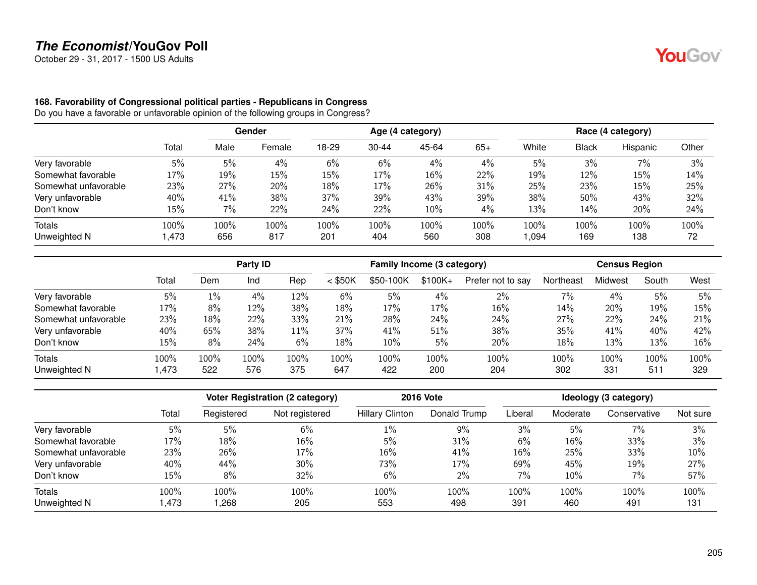October 29 - 31, 2017 - 1500 US Adults

# YouGov®

#### **168. Favorability of Congressional political parties - Republicans in Congress**

Do you have a favorable or unfavorable opinion of the following groups in Congress?

|                      |        |      | <b>Gender</b> |       |           | Age (4 category) |       | Race (4 category) |              |          |       |  |
|----------------------|--------|------|---------------|-------|-----------|------------------|-------|-------------------|--------------|----------|-------|--|
|                      | Total  | Male | Female        | 18-29 | $30 - 44$ | 45-64            | $65+$ | White             | <b>Black</b> | Hispanic | Other |  |
| Very favorable       | 5%     | 5%   | 4%            | 6%    | 6%        | 4%               | $4\%$ | 5%                | 3%           | 7%       | 3%    |  |
| Somewhat favorable   | $17\%$ | 19%  | 15%           | 15%   | 17%       | 16%              | 22%   | 19%               | 12%          | 15%      | 14%   |  |
| Somewhat unfavorable | 23%    | 27%  | 20%           | 18%   | 17%       | 26%              | 31%   | 25%               | 23%          | 15%      | 25%   |  |
| Very unfavorable     | 40%    | 41%  | 38%           | 37%   | 39%       | 43%              | 39%   | 38%               | 50%          | 43%      | 32%   |  |
| Don't know           | 15%    | 7%   | 22%           | 24%   | 22%       | $10\%$           | $4\%$ | 13%               | 14%          | 20%      | 24%   |  |
| Totals               | 100%   | 100% | 100%          | 100%  | 100%      | 100%             | 100%  | 100%              | 100%         | 100%     | 100%  |  |
| Unweighted N         | ,473   | 656  | 817           | 201   | 404       | 560              | 308   | 094,              | 169          | 138      | 72    |  |

|                      |       | Party ID |      |      | Family Income (3 category) |           |          | <b>Census Region</b> |           |         |       |      |
|----------------------|-------|----------|------|------|----------------------------|-----------|----------|----------------------|-----------|---------|-------|------|
|                      | Total | Dem      | Ind  | Rep  | $<$ \$50K                  | \$50-100K | $$100K+$ | Prefer not to say    | Northeast | Midwest | South | West |
| Very favorable       | 5%    | $1\%$    | 4%   | 12%  | 6%                         | 5%        | 4%       | 2%                   | 7%        | 4%      | 5%    | 5%   |
| Somewhat favorable   | 17%   | 8%       | 12%  | 38%  | 18%                        | 17%       | 17%      | 16%                  | 14%       | 20%     | 19%   | 15%  |
| Somewhat unfavorable | 23%   | 18%      | 22%  | 33%  | 21%                        | 28%       | 24%      | 24%                  | 27%       | 22%     | 24%   | 21%  |
| Very unfavorable     | 40%   | 65%      | 38%  | 11%  | 37%                        | 41%       | 51%      | 38%                  | 35%       | 41%     | 40%   | 42%  |
| Don't know           | 15%   | 8%       | 24%  | 6%   | 18%                        | 10%       | 5%       | 20%                  | 18%       | 13%     | 13%   | 16%  |
| Totals               | 100%  | 100%     | 100% | 100% | $100\%$                    | 100%      | 100%     | 100%                 | 100%      | 100%    | 100%  | 100% |
| Unweighted N         | .473  | 522      | 576  | 375  | 647                        | 422       | 200      | 204                  | 302       | 331     | 511   | 329  |

|                      |        |            | <b>Voter Registration (2 category)</b> |                        | <b>2016 Vote</b> | Ideology (3 category) |          |              |          |  |
|----------------------|--------|------------|----------------------------------------|------------------------|------------------|-----------------------|----------|--------------|----------|--|
|                      | Total  | Registered | Not registered                         | <b>Hillary Clinton</b> | Donald Trump     | Liberal               | Moderate | Conservative | Not sure |  |
| Very favorable       | 5%     | 5%         | 6%                                     | $1\%$                  | $9\%$            | 3%                    | 5%       | $7\%$        | 3%       |  |
| Somewhat favorable   | 17%    | 18%        | 16%                                    | 5%                     | 31%              | 6%                    | 16%      | 33%          | 3%       |  |
| Somewhat unfavorable | 23%    | 26%        | 17%                                    | 16%                    | 41%              | 16%                   | 25%      | 33%          | 10%      |  |
| Very unfavorable     | 40%    | 44%        | $30\%$                                 | 73%                    | 17%              | 69%                   | 45%      | 19%          | 27%      |  |
| Don't know           | $15\%$ | 8%         | 32%                                    | 6%                     | 2%               | 7%                    | 10%      | 7%           | 57%      |  |
| Totals               | 100%   | 100%       | 100%                                   | 100%                   | 100%             | 100%                  | 100%     | 100%         | 100%     |  |
| Unweighted N         | ,473   | ,268       | 205                                    | 553                    | 498              | 391                   | 460      | 491          | 131      |  |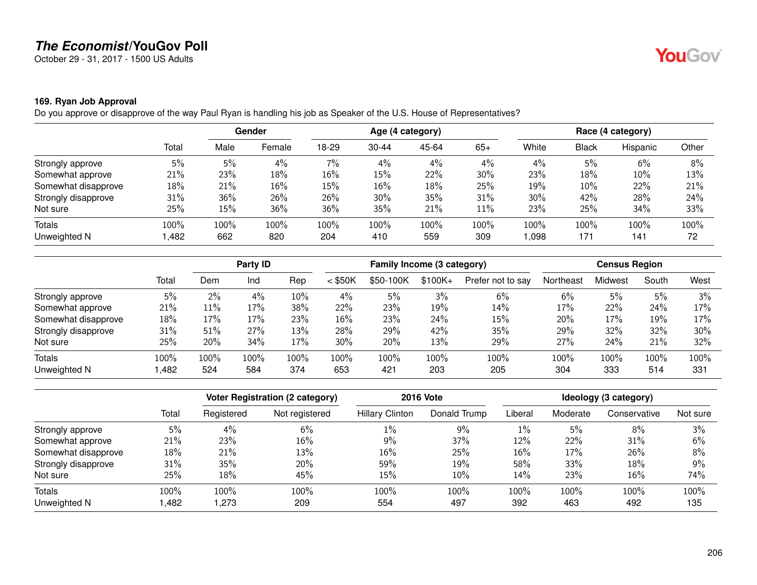October 29 - 31, 2017 - 1500 US Adults

## **169. Ryan Job Approval**

Do you approve or disapprove of the way Paul Ryan is handling his job as Speaker of the U.S. House of Representatives?

|                     |       | Gender |        | Age (4 category) |           |       |       | Race (4 category) |              |          |       |
|---------------------|-------|--------|--------|------------------|-----------|-------|-------|-------------------|--------------|----------|-------|
|                     | Total | Male   | Female | 18-29            | $30 - 44$ | 45-64 | $65+$ | White             | <b>Black</b> | Hispanic | Other |
| Strongly approve    | 5%    | 5%     | 4%     | 7%               | 4%        | 4%    | 4%    | 4%                | 5%           | 6%       | 8%    |
| Somewhat approve    | 21%   | 23%    | 18%    | 16%              | 15%       | 22%   | 30%   | 23%               | 18%          | 10%      | 13%   |
| Somewhat disapprove | 18%   | 21%    | 16%    | 15%              | 16%       | 18%   | 25%   | 19%               | 10%          | 22%      | 21%   |
| Strongly disapprove | 31%   | 36%    | 26%    | 26%              | 30%       | 35%   | 31%   | 30%               | 42%          | 28%      | 24%   |
| Not sure            | 25%   | 15%    | 36%    | 36%              | 35%       | 21%   | 11%   | 23%               | 25%          | 34%      | 33%   |
| Totals              | 100%  | 100%   | 100%   | 100%             | 100%      | 100%  | 100%  | 100%              | 100%         | 100%     | 100%  |
| Unweighted N        | ,482  | 662    | 820    | 204              | 410       | 559   | 309   | 800,              | 171          | 141      | 72    |

|                     |       |       | Party ID |      | Family Income (3 category) |           |          | <b>Census Region</b> |           |         |       |      |
|---------------------|-------|-------|----------|------|----------------------------|-----------|----------|----------------------|-----------|---------|-------|------|
|                     | Total | Dem   | Ind      | Rep  | $<$ \$50K                  | \$50-100K | $$100K+$ | Prefer not to say    | Northeast | Midwest | South | West |
| Strongly approve    | 5%    | $2\%$ | 4%       | 10%  | 4%                         | 5%        | 3%       | 6%                   | 6%        | 5%      | 5%    | 3%   |
| Somewhat approve    | 21%   | 11%   | 17%      | 38%  | 22%                        | 23%       | 19%      | 14%                  | 17%       | 22%     | 24%   | 17%  |
| Somewhat disapprove | 18%   | 17%   | 17%      | 23%  | $16\%$                     | 23%       | 24%      | 15%                  | 20%       | 17%     | 19%   | 17%  |
| Strongly disapprove | 31%   | 51%   | 27%      | 13%  | 28%                        | 29%       | 42%      | 35%                  | 29%       | 32%     | 32%   | 30%  |
| Not sure            | 25%   | 20%   | 34%      | 17%  | 30%                        | 20%       | 13%      | 29%                  | 27%       | 24%     | 21%   | 32%  |
| <b>Totals</b>       | 100%  | 100%  | 100%     | 100% | 100%                       | $100\%$   | 100%     | 100%                 | 100%      | 100%    | 100%  | 100% |
| Unweighted N        | ,482  | 524   | 584      | 374  | 653                        | 421       | 203      | 205                  | 304       | 333     | 514   | 331  |

|                     |       |            | <b>Voter Registration (2 category)</b> |                        | <b>2016 Vote</b> |         |          | Ideology (3 category) |          |
|---------------------|-------|------------|----------------------------------------|------------------------|------------------|---------|----------|-----------------------|----------|
|                     | Total | Registered | Not registered                         | <b>Hillary Clinton</b> | Donald Trump     | Liberal | Moderate | Conservative          | Not sure |
| Strongly approve    | 5%    | 4%         | 6%                                     | 1%                     | $9\%$            | $1\%$   | 5%       | 8%                    | 3%       |
| Somewhat approve    | 21%   | 23%        | 16%                                    | 9%                     | 37%              | 12%     | 22%      | 31%                   | 6%       |
| Somewhat disapprove | 18%   | 21%        | 13%                                    | 16%                    | 25%              | 16%     | 17%      | 26%                   | 8%       |
| Strongly disapprove | 31%   | 35%        | 20%                                    | 59%                    | 19%              | 58%     | 33%      | 18%                   | 9%       |
| Not sure            | 25%   | 18%        | 45%                                    | 15%                    | 10%              | 14%     | 23%      | $16\%$                | 74%      |
| <b>Totals</b>       | 100%  | 100%       | 100%                                   | 100%                   | 100%             | 100%    | 100%     | 100%                  | 100%     |
| Unweighted N        | ,482  | .273       | 209                                    | 554                    | 497              | 392     | 463      | 492                   | 135      |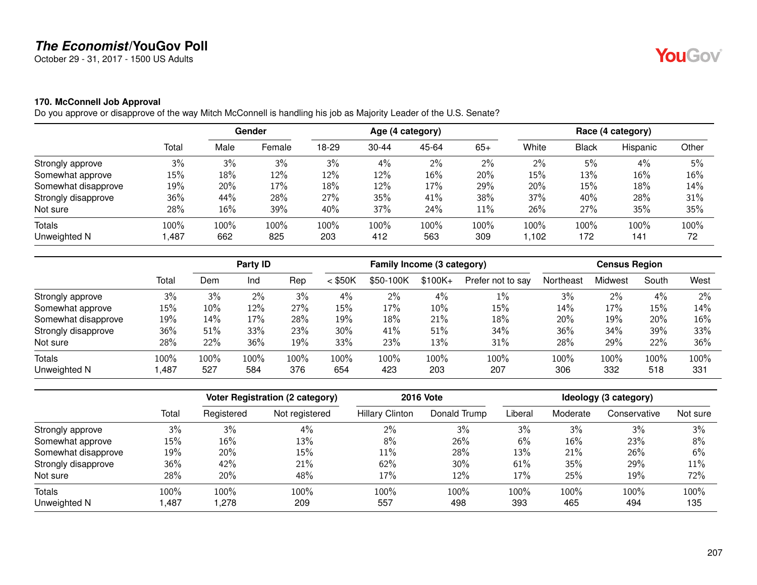October 29 - 31, 2017 - 1500 US Adults

### **170. McConnell Job Approval**

Do you approve or disapprove of the way Mitch McConnell is handling his job as Majority Leader of the U.S. Senate?

|                     |       | Gender |        | Age (4 category) |           |       |       | Race (4 category) |              |          |       |
|---------------------|-------|--------|--------|------------------|-----------|-------|-------|-------------------|--------------|----------|-------|
|                     | Total | Male   | Female | 18-29            | $30 - 44$ | 45-64 | $65+$ | White             | <b>Black</b> | Hispanic | Other |
| Strongly approve    | 3%    | 3%     | 3%     | 3%               | 4%        | 2%    | $2\%$ | $2\%$             | 5%           | 4%       | 5%    |
| Somewhat approve    | 15%   | 18%    | 12%    | 12%              | 12%       | 16%   | 20%   | 15%               | 13%          | 16%      | 16%   |
| Somewhat disapprove | 19%   | 20%    | 17%    | 18%              | 12%       | 17%   | 29%   | 20%               | 15%          | 18%      | 14%   |
| Strongly disapprove | 36%   | 44%    | 28%    | 27%              | 35%       | 41%   | 38%   | 37%               | 40%          | 28%      | 31%   |
| Not sure            | 28%   | 16%    | 39%    | 40%              | 37%       | 24%   | 11%   | 26%               | 27%          | 35%      | 35%   |
| Totals              | 100%  | 100%   | 100%   | 100%             | 100%      | 100%  | 100%  | 100%              | 100%         | 100%     | 100%  |
| Unweighted N        | ,487  | 662    | 825    | 203              | 412       | 563   | 309   | .102              | 172          | 141      | 72    |

|                     |       |      | Party ID |         |           | Family Income (3 category) |           |                   |           | <b>Census Region</b> |       |      |
|---------------------|-------|------|----------|---------|-----------|----------------------------|-----------|-------------------|-----------|----------------------|-------|------|
|                     | Total | Dem  | Ind      | Rep     | $<$ \$50K | \$50-100K                  | $$100K +$ | Prefer not to say | Northeast | Midwest              | South | West |
| Strongly approve    | 3%    | 3%   | 2%       | 3%      | 4%        | $2\%$                      | 4%        | $1\%$             | 3%        | 2%                   | 4%    | 2%   |
| Somewhat approve    | 15%   | 10%  | 12%      | 27%     | 15%       | 17%                        | 10%       | 15%               | 14%       | 17%                  | 15%   | 14%  |
| Somewhat disapprove | 19%   | 14%  | 17%      | 28%     | 19%       | 18%                        | 21%       | 18%               | 20%       | 19%                  | 20%   | 16%  |
| Strongly disapprove | 36%   | 51%  | 33%      | 23%     | 30%       | 41%                        | 51%       | 34%               | 36%       | 34%                  | 39%   | 33%  |
| Not sure            | 28%   | 22%  | 36%      | 19%     | 33%       | 23%                        | 13%       | 31%               | 28%       | 29%                  | 22%   | 36%  |
| <b>Totals</b>       | 100%  | 100% | 100%     | $100\%$ | 100%      | $100\%$                    | 100%      | 100%              | 100%      | 100%                 | 100%  | 100% |
| Unweighted N        | ,487  | 527  | 584      | 376     | 654       | 423                        | 203       | 207               | 306       | 332                  | 518   | 331  |

|                     |       |            | <b>Voter Registration (2 category)</b> |                        | <b>2016 Vote</b> |         |          | Ideology (3 category) |          |
|---------------------|-------|------------|----------------------------------------|------------------------|------------------|---------|----------|-----------------------|----------|
|                     | Total | Registered | Not registered                         | <b>Hillary Clinton</b> | Donald Trump     | Liberal | Moderate | Conservative          | Not sure |
| Strongly approve    | 3%    | 3%         | 4%                                     | 2%                     | 3%               | 3%      | 3%       | 3%                    | 3%       |
| Somewhat approve    | 15%   | 16%        | 13%                                    | 8%                     | 26%              | 6%      | 16%      | 23%                   | 8%       |
| Somewhat disapprove | 19%   | 20%        | 15%                                    | 11%                    | 28%              | 13%     | 21%      | 26%                   | 6%       |
| Strongly disapprove | 36%   | 42%        | 21%                                    | 62%                    | 30%              | 61%     | 35%      | 29%                   | 11%      |
| Not sure            | 28%   | 20%        | 48%                                    | 17%                    | 12%              | 17%     | 25%      | 19%                   | 72%      |
| <b>Totals</b>       | 100%  | 100%       | 100%                                   | 100%                   | 100%             | 100%    | 100%     | 100%                  | 100%     |
| Unweighted N        | ,487  | .278       | 209                                    | 557                    | 498              | 393     | 465      | 494                   | 135      |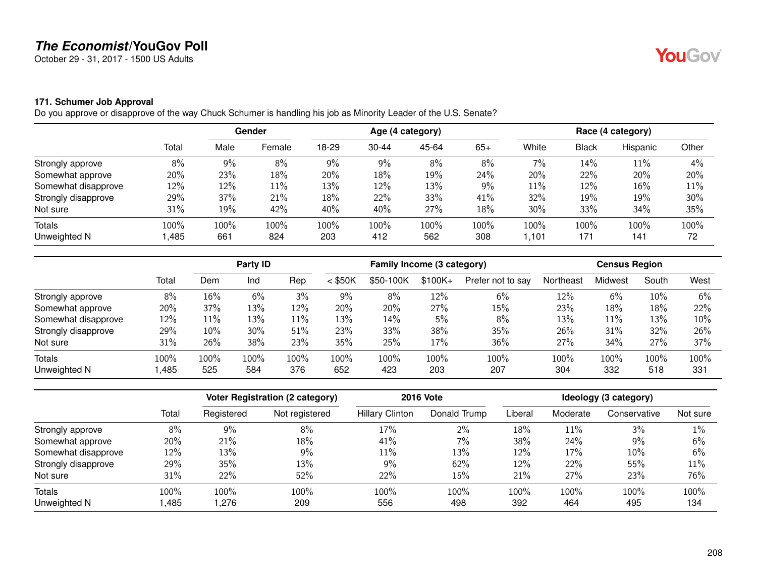October 29 - 31, 2017 - 1500 US Adults

### **171. Schumer Job Approval**

Do you approve or disapprove of the way Chuck Schumer is handling his job as Minority Leader of the U.S. Senate?

|                     |       |       | Gender |       |           | Age (4 category) |       |       |              | Race (4 category) |       |
|---------------------|-------|-------|--------|-------|-----------|------------------|-------|-------|--------------|-------------------|-------|
|                     | Total | Male  | Female | 18-29 | $30 - 44$ | 45-64            | $65+$ | White | <b>Black</b> | Hispanic          | Other |
| Strongly approve    | 8%    | $9\%$ | 8%     | 9%    | 9%        | 8%               | $8\%$ | 7%    | 14%          | 11%               | $4\%$ |
| Somewhat approve    | 20%   | 23%   | 18%    | 20%   | 18%       | 19%              | 24%   | 20%   | 22%          | 20%               | 20%   |
| Somewhat disapprove | 12%   | 12%   | 11%    | 13%   | 12%       | 13%              | 9%    | 11%   | 12%          | 16%               | 11%   |
| Strongly disapprove | 29%   | 37%   | 21%    | 18%   | 22%       | 33%              | 41%   | 32%   | 19%          | 19%               | 30%   |
| Not sure            | 31%   | 19%   | 42%    | 40%   | 40%       | 27%              | 18%   | 30%   | 33%          | 34%               | 35%   |
| Totals              | 100%  | 100%  | 100%   | 100%  | 100%      | 100%             | 100%  | 100%  | 100%         | 100%              | 100%  |
| Unweighted N        | ,485  | 661   | 824    | 203   | 412       | 562              | 308   | 1,101 | 171          | 141               | 72    |

|                     |       | Party ID |      |      | Family Income (3 category) |           |          |                   | <b>Census Region</b> |         |       |       |
|---------------------|-------|----------|------|------|----------------------------|-----------|----------|-------------------|----------------------|---------|-------|-------|
|                     | Total | Dem      | Ind  | Rep  | $<$ \$50K                  | \$50-100K | $$100K+$ | Prefer not to say | Northeast            | Midwest | South | West  |
| Strongly approve    | 8%    | 16%      | 6%   | 3%   | 9%                         | 8%        | 12%      | 6%                | 12%                  | 6%      | 10%   | $6\%$ |
| Somewhat approve    | 20%   | 37%      | 13%  | 12%  | 20%                        | 20%       | 27%      | 15%               | 23%                  | 18%     | 18%   | 22%   |
| Somewhat disapprove | 12%   | 11%      | 13%  | 11%  | 13%                        | 14%       | 5%       | 8%                | 13%                  | 11%     | 13%   | 10%   |
| Strongly disapprove | 29%   | 10%      | 30%  | 51%  | 23%                        | 33%       | 38%      | 35%               | 26%                  | 31%     | 32%   | 26%   |
| Not sure            | 31%   | 26%      | 38%  | 23%  | 35%                        | 25%       | 17%      | 36%               | 27%                  | 34%     | 27%   | 37%   |
| <b>Totals</b>       | 100%  | 100%     | 100% | 100% | 100%                       | $100\%$   | 100%     | 100%              | 100%                 | 100%    | 100%  | 100%  |
| Unweighted N        | ,485  | 525      | 584  | 376  | 652                        | 423       | 203      | 207               | 304                  | 332     | 518   | 331   |

|                     |       |            | <b>Voter Registration (2 category)</b> |                        | <b>2016 Vote</b> | Ideology (3 category) |          |              |          |  |
|---------------------|-------|------------|----------------------------------------|------------------------|------------------|-----------------------|----------|--------------|----------|--|
|                     | Total | Registered | Not registered                         | <b>Hillary Clinton</b> | Donald Trump     | Liberal               | Moderate | Conservative | Not sure |  |
| Strongly approve    | 8%    | 9%         | 8%                                     | 17%                    | 2%               | 18%                   | 11%      | 3%           | $1\%$    |  |
| Somewhat approve    | 20%   | 21%        | 18%                                    | 41%                    | $7\%$            | 38%                   | 24%      | 9%           | 6%       |  |
| Somewhat disapprove | 12%   | 13%        | 9%                                     | 11%                    | 13%              | 12%                   | 17%      | $10\%$       | 6%       |  |
| Strongly disapprove | 29%   | 35%        | 13%                                    | $9\%$                  | 62%              | 12%                   | 22%      | 55%          | 11%      |  |
| Not sure            | 31%   | 22%        | 52%                                    | 22%                    | 15%              | 21%                   | 27%      | 23%          | 76%      |  |
| <b>Totals</b>       | 100%  | 100%       | 100%                                   | 100%                   | 100%             | 100%                  | 100%     | 100%         | 100%     |  |
| Unweighted N        | ,485  | .276       | 209                                    | 556                    | 498              | 392                   | 464      | 495          | 134      |  |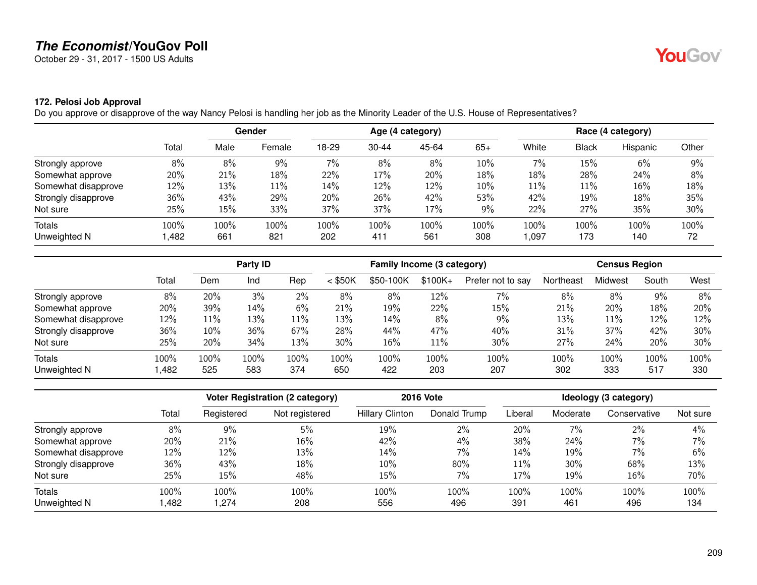October 29 - 31, 2017 - 1500 US Adults

### **172. Pelosi Job Approval**

Do you approve or disapprove of the way Nancy Pelosi is handling her job as the Minority Leader of the U.S. House of Representatives?

|                     |        | Gender |        | Age (4 category) |           |       |       | Race (4 category) |       |          |       |
|---------------------|--------|--------|--------|------------------|-----------|-------|-------|-------------------|-------|----------|-------|
|                     | Total  | Male   | Female | 18-29            | $30 - 44$ | 45-64 | $65+$ | White             | Black | Hispanic | Other |
| Strongly approve    | $8\%$  | 8%     | 9%     | $7\%$            | 8%        | 8%    | 10%   | $7\%$             | 15%   | 6%       | 9%    |
| Somewhat approve    | 20%    | 21%    | 18%    | 22%              | 17%       | 20%   | 18%   | 18%               | 28%   | 24%      | 8%    |
| Somewhat disapprove | $12\%$ | 13%    | 11%    | 14%              | 12%       | 12%   | 10%   | 11%               | 11%   | 16%      | 18%   |
| Strongly disapprove | 36%    | 43%    | 29%    | 20%              | 26%       | 42%   | 53%   | 42%               | 19%   | 18%      | 35%   |
| Not sure            | 25%    | 15%    | 33%    | 37%              | 37%       | 17%   | 9%    | 22%               | 27%   | 35%      | 30%   |
| Totals              | 100%   | 100%   | 100%   | 100%             | 100%      | 100%  | 100%  | 100%              | 100%  | 100%     | 100%  |
| Unweighted N        | ,482   | 661    | 821    | 202              | 411       | 561   | 308   | 097, ا            | 173   | 140      | 72    |

|                     |       |      | Party ID |      |           | Family Income (3 category) |          |                   |           | <b>Census Region</b> |       |      |
|---------------------|-------|------|----------|------|-----------|----------------------------|----------|-------------------|-----------|----------------------|-------|------|
|                     | Total | Dem  | Ind      | Rep  | $<$ \$50K | \$50-100K                  | $$100K+$ | Prefer not to say | Northeast | Midwest              | South | West |
| Strongly approve    | 8%    | 20%  | 3%       | 2%   | 8%        | 8%                         | 12%      | 7%                | 8%        | 8%                   | 9%    | 8%   |
| Somewhat approve    | 20%   | 39%  | 14%      | 6%   | 21%       | 19%                        | 22%      | 15%               | 21%       | 20%                  | 18%   | 20%  |
| Somewhat disapprove | 12%   | 11%  | 13%      | 11%  | 13%       | 14%                        | 8%       | 9%                | 13%       | 11%                  | 12%   | 12%  |
| Strongly disapprove | 36%   | 10%  | 36%      | 67%  | 28%       | 44%                        | 47%      | 40%               | 31%       | 37%                  | 42%   | 30%  |
| Not sure            | 25%   | 20%  | 34%      | 13%  | 30%       | 16%                        | $11\%$   | 30%               | 27%       | 24%                  | 20%   | 30%  |
| <b>Totals</b>       | 100%  | 100% | 100%     | 100% | 100%      | 100%                       | 100%     | 100%              | 100%      | $100\%$              | 100%  | 100% |
| Unweighted N        | ,482  | 525  | 583      | 374  | 650       | 422                        | 203      | 207               | 302       | 333                  | 517   | 330  |

|                     |       |            | <b>Voter Registration (2 category)</b> |                        | <b>2016 Vote</b> |         |          | Ideology (3 category) |          |
|---------------------|-------|------------|----------------------------------------|------------------------|------------------|---------|----------|-----------------------|----------|
|                     | Total | Registered | Not registered                         | <b>Hillary Clinton</b> | Donald Trump     | Liberal | Moderate | Conservative          | Not sure |
| Strongly approve    | 8%    | 9%         | 5%                                     | 19%                    | $2\%$            | 20%     | 7%       | $2\%$                 | 4%       |
| Somewhat approve    | 20%   | 21%        | 16%                                    | 42%                    | 4%               | 38%     | 24%      | 7%                    | 7%       |
| Somewhat disapprove | 12%   | 12%        | 13%                                    | 14%                    | $7\%$            | 14%     | 19%      | $7\%$                 | 6%       |
| Strongly disapprove | 36%   | 43%        | 18%                                    | 10%                    | 80%              | $11\%$  | 30%      | 68%                   | 13%      |
| Not sure            | 25%   | 15%        | 48%                                    | 15%                    | 7%               | 17%     | 19%      | 16%                   | 70%      |
| <b>Totals</b>       | 100%  | 100%       | 100%                                   | 100%                   | 100%             | 100%    | 100%     | 100%                  | 100%     |
| Unweighted N        | ,482  | .274       | 208                                    | 556                    | 496              | 391     | 461      | 496                   | 134      |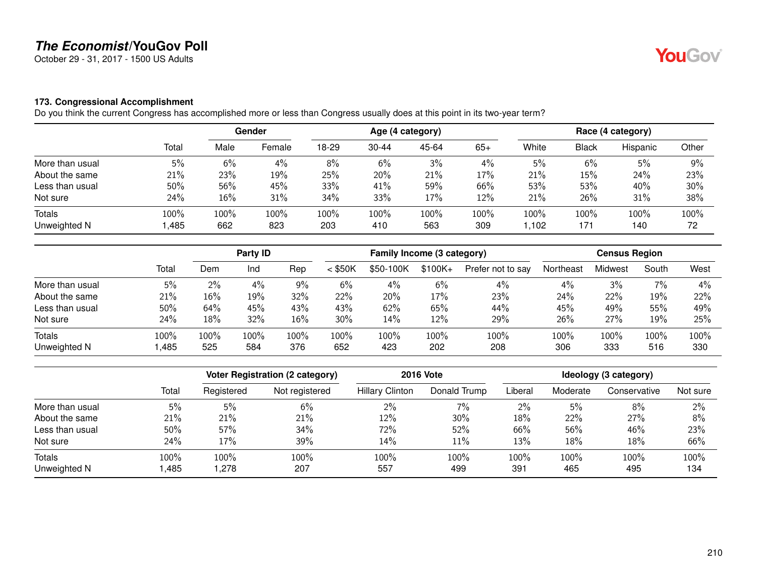October 29 - 31, 2017 - 1500 US Adults

#### **173. Congressional Accomplishment**

Do you think the current Congress has accomplished more or less than Congress usually does at this point in its two-year term?

|                 |       |       | Gender |       |           | Age (4 category) |       |       |              | Race (4 category) |       |  |
|-----------------|-------|-------|--------|-------|-----------|------------------|-------|-------|--------------|-------------------|-------|--|
|                 | Total | Male  | Female | 18-29 | $30 - 44$ | 45-64            | $65+$ | White | <b>Black</b> | Hispanic          | Other |  |
| More than usual | 5%    | $6\%$ | $4\%$  | 8%    | 6%        | 3%               | 4%    | 5%    | 6%           | 5%                | 9%    |  |
| About the same  | 21%   | 23%   | 19%    | 25%   | 20%       | 21%              | 17%   | 21%   | 15%          | 24%               | 23%   |  |
| Less than usual | 50%   | 56%   | 45%    | 33%   | 41%       | 59%              | 66%   | 53%   | 53%          | 40%               | 30%   |  |
| Not sure        | 24%   | 16%   | 31%    | 34%   | 33%       | 17%              | 12%   | 21%   | 26%          | 31%               | 38%   |  |
| Totals          | 100%  | 100%  | 100%   | 100%  | 100%      | 100%             | 100%  | 100%  | 100%         | 100%              | 100%  |  |
| Unweighted N    | ,485  | 662   | 823    | 203   | 410       | 563              | 309   | 1,102 | 171          | 140               | 72    |  |

|                 |       |       | Party ID |       |           | Family Income (3 category) |           |                   | <b>Census Region</b> |         |       |      |
|-----------------|-------|-------|----------|-------|-----------|----------------------------|-----------|-------------------|----------------------|---------|-------|------|
|                 | Total | Dem   | Ind      | Rep   | $<$ \$50K | \$50-100K                  | $$100K +$ | Prefer not to say | Northeast            | Midwest | South | West |
| More than usual | 5%    | $2\%$ | 4%       | $9\%$ | 6%        | $4\%$                      | 6%        | 4%                | 4%                   | 3%      | 7%    | 4%   |
| About the same  | 21%   | 16%   | 19%      | 32%   | 22%       | 20%                        | 17%       | 23%               | 24%                  | 22%     | 19%   | 22%  |
| Less than usual | 50%   | 64%   | 45%      | 43%   | 43%       | 62%                        | 65%       | 44%               | 45%                  | 49%     | 55%   | 49%  |
| Not sure        | 24%   | 18%   | 32%      | 16%   | 30%       | 14%                        | 12%       | 29%               | 26%                  | 27%     | 19%   | 25%  |
| Totals          | 100%  | 100%  | 100%     | 100%  | 100%      | 100%                       | 100%      | 100%              | 100%                 | 100%    | 100%  | 100% |
| Unweighted N    | ,485  | 525   | 584      | 376   | 652       | 423                        | 202       | 208               | 306                  | 333     | 516   | 330  |

|                 |       | Voter Registration (2 category) |                | <b>2016 Vote</b>       | Ideology (3 category) |         |          |              |          |
|-----------------|-------|---------------------------------|----------------|------------------------|-----------------------|---------|----------|--------------|----------|
|                 | Total | Registered                      | Not registered | <b>Hillary Clinton</b> | Donald Trump          | Liberal | Moderate | Conservative | Not sure |
| More than usual | 5%    | 5%                              | 6%             | $2\%$                  | 7%                    | 2%      | 5%       | 8%           | 2%       |
| About the same  | 21%   | 21%                             | 21%            | 12%                    | 30%                   | 18%     | 22%      | 27%          | 8%       |
| Less than usual | 50%   | 57%                             | 34%            | 72%                    | 52%                   | 66%     | 56%      | 46%          | 23%      |
| Not sure        | 24%   | 17%                             | 39%            | 14%                    | 11%                   | 13%     | 18%      | 18%          | 66%      |
| <b>Totals</b>   | 100%  | 100%                            | 100%           | 100%                   | 100%                  | 100%    | 100%     | 100%         | 100%     |
| Unweighted N    | ,485  | .278                            | 207            | 557                    | 499                   | 391     | 465      | 495          | 134      |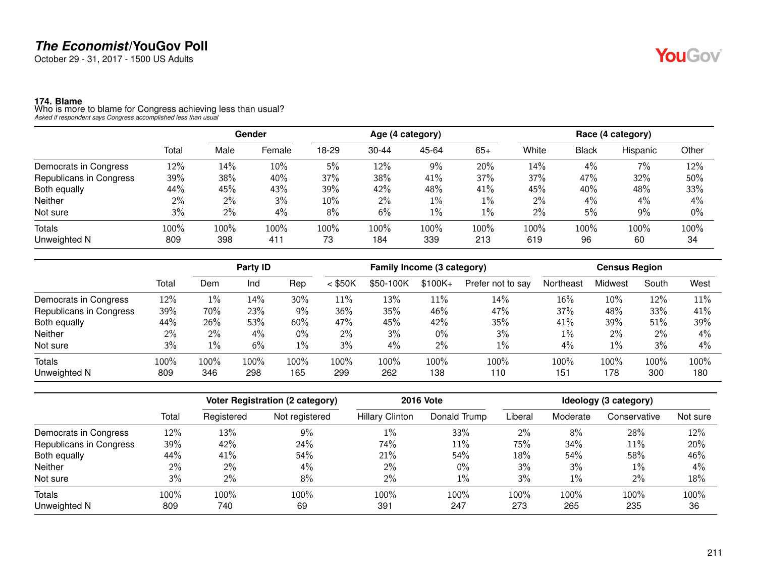October 29 - 31, 2017 - 1500 US Adults

**174. Blame**<br>Who is more to blame for Congress achieving less than usual?<br>Asked if respondent says Congress accomplished less than usual

|                         |        | Gender |        | Age (4 category) |           |       |       | Race (4 category) |              |          |       |
|-------------------------|--------|--------|--------|------------------|-----------|-------|-------|-------------------|--------------|----------|-------|
|                         | Total  | Male   | Female | 18-29            | $30 - 44$ | 45-64 | $65+$ | White             | <b>Black</b> | Hispanic | Other |
| Democrats in Congress   | $12\%$ | 14%    | 10%    | 5%               | 12%       | 9%    | 20%   | 14%               | 4%           | 7%       | 12%   |
| Republicans in Congress | 39%    | 38%    | 40%    | 37%              | 38%       | 41%   | 37%   | 37%               | 47%          | 32%      | 50%   |
| Both equally            | 44%    | 45%    | 43%    | 39%              | 42%       | 48%   | 41%   | 45%               | 40%          | 48%      | 33%   |
| <b>Neither</b>          | 2%     | $2\%$  | 3%     | 10%              | 2%        | $1\%$ | $1\%$ | $2\%$             | 4%           | 4%       | 4%    |
| Not sure                | 3%     | 2%     | 4%     | 8%               | 6%        | 1%    | $1\%$ | $2\%$             | 5%           | 9%       | $0\%$ |
| Totals                  | 100%   | 100%   | 100%   | 100%             | 100%      | 100%  | 100%  | 100%              | 100%         | 100%     | 100%  |
| Unweighted N            | 809    | 398    | 411    | 73               | 184       | 339   | 213   | 619               | 96           | 60       | 34    |

|                         |       | Party ID |       |       | Family Income (3 category) |           |           |                   | <b>Census Region</b> |         |       |       |
|-------------------------|-------|----------|-------|-------|----------------------------|-----------|-----------|-------------------|----------------------|---------|-------|-------|
|                         | Total | Dem      | Ind   | Rep   | $<$ \$50K                  | \$50-100K | $$100K +$ | Prefer not to say | Northeast            | Midwest | South | West  |
| Democrats in Congress   | 12%   | $1\%$    | 14%   | 30%   | 11%                        | 13%       | 11%       | 14%               | 16%                  | 10%     | 12%   | 11%   |
| Republicans in Congress | 39%   | 70%      | 23%   | 9%    | 36%                        | 35%       | 46%       | 47%               | 37%                  | 48%     | 33%   | 41%   |
| Both equally            | 44%   | 26%      | 53%   | 60%   | 47%                        | 45%       | 42%       | 35%               | 41%                  | 39%     | 51%   | 39%   |
| <b>Neither</b>          | 2%    | $2\%$    | $4\%$ | $0\%$ | $2\%$                      | 3%        | $0\%$     | 3%                | $1\%$                | $2\%$   | 2%    | $4\%$ |
| Not sure                | 3%    | 1%       | 6%    | $1\%$ | 3%                         | 4%        | 2%        | 1%                | 4%                   | $1\%$   | 3%    | 4%    |
| <b>Totals</b>           | 100%  | 100%     | 100%  | 100%  | 100%                       | 100%      | 100%      | 100%              | 100%                 | 100%    | 100%  | 100%  |
| Unweighted N            | 809   | 346      | 298   | 165   | 299                        | 262       | 138       | 110               | 151                  | 178     | 300   | 180   |

|                         |       | <b>Voter Registration (2 category)</b> |                |                        | <b>2016 Vote</b> | Ideology (3 category) |          |              |          |
|-------------------------|-------|----------------------------------------|----------------|------------------------|------------------|-----------------------|----------|--------------|----------|
|                         | Total | Registered                             | Not registered | <b>Hillary Clinton</b> | Donald Trump     | Liberal               | Moderate | Conservative | Not sure |
| Democrats in Congress   | 12%   | 13%                                    | $9\%$          | 1%                     | 33%              | 2%                    | 8%       | 28%          | 12%      |
| Republicans in Congress | 39%   | 42%                                    | 24%            | 74%                    | 11%              | 75%                   | 34%      | 11%          | 20%      |
| Both equally            | 44%   | 41%                                    | 54%            | 21%                    | 54%              | 18%                   | 54%      | 58%          | 46%      |
| <b>Neither</b>          | 2%    | $2\%$                                  | 4%             | $2\%$                  | $0\%$            | 3%                    | 3%       | $1\%$        | $4\%$    |
| Not sure                | 3%    | 2%                                     | 8%             | 2%                     | $1\%$            | 3%                    | $1\%$    | 2%           | 18%      |
| <b>Totals</b>           | 100%  | 100%                                   | 100%           | 100%                   | 100%             | 100%                  | 100%     | 100%         | 100%     |
| Unweighted N            | 809   | 740                                    | 69             | 391                    | 247              | 273                   | 265      | 235          | 36       |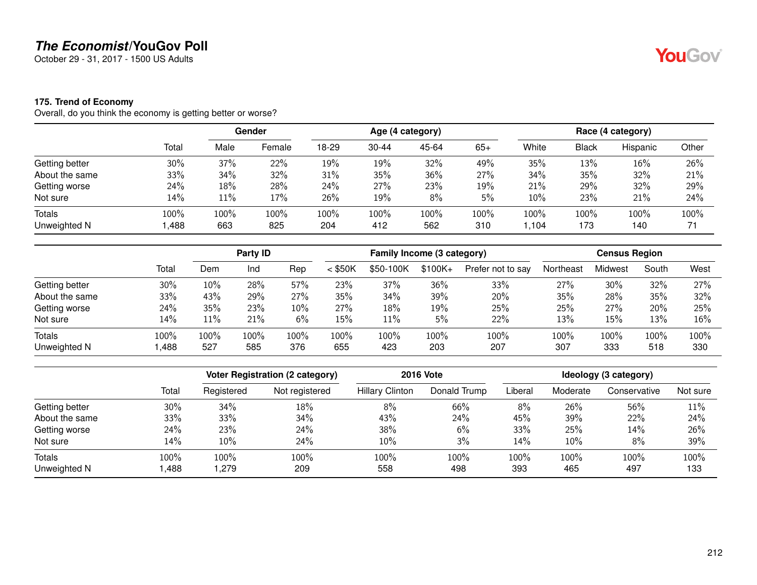October 29 - 31, 2017 - 1500 US Adults

### **175. Trend of Economy**

Overall, do you think the economy is getting better or worse?

|                |        |      | <b>Gender</b> |       |           | Age (4 category) |       |       |              | Race (4 category) |       |  |
|----------------|--------|------|---------------|-------|-----------|------------------|-------|-------|--------------|-------------------|-------|--|
|                | Total  | Male | Female        | 18-29 | $30 - 44$ | 45-64            | $65+$ | White | <b>Black</b> | Hispanic          | Other |  |
| Getting better | 30%    | 37%  | 22%           | 19%   | 19%       | 32%              | 49%   | 35%   | 13%          | 16%               | 26%   |  |
| About the same | 33%    | 34%  | 32%           | 31%   | 35%       | 36%              | 27%   | 34%   | 35%          | 32%               | 21%   |  |
| Getting worse  | 24%    | 18%  | 28%           | 24%   | 27%       | 23%              | 19%   | 21%   | 29%          | 32%               | 29%   |  |
| Not sure       | $14\%$ | 11%  | 17%           | 26%   | 19%       | 8%               | 5%    | 10%   | 23%          | 21%               | 24%   |  |
| <b>Totals</b>  | 100%   | 100% | 100%          | 100%  | 100%      | 100%             | 100%  | 100%  | 100%         | 100%              | 100%  |  |
| Unweighted N   | ,488   | 663  | 825           | 204   | 412       | 562              | 310   | ,104  | 173          | 140               | 71    |  |

|                |       | <b>Party ID</b> |      |      | Family Income (3 category) |           |           |                   | <b>Census Region</b> |         |       |      |
|----------------|-------|-----------------|------|------|----------------------------|-----------|-----------|-------------------|----------------------|---------|-------|------|
|                | Total | Dem             | Ind  | Rep  | $<$ \$50K                  | \$50-100K | $$100K +$ | Prefer not to say | Northeast            | Midwest | South | West |
| Getting better | 30%   | 10%             | 28%  | 57%  | 23%                        | 37%       | 36%       | 33%               | 27%                  | 30%     | 32%   | 27%  |
| About the same | 33%   | 43%             | 29%  | 27%  | 35%                        | 34%       | 39%       | 20%               | 35%                  | 28%     | 35%   | 32%  |
| Getting worse  | 24%   | 35%             | 23%  | 10%  | 27%                        | 18%       | 19%       | 25%               | 25%                  | 27%     | 20%   | 25%  |
| Not sure       | 14%   | 11%             | 21%  | 6%   | 15%                        | $11\%$    | 5%        | 22%               | 13%                  | 15%     | 13%   | 16%  |
| Totals         | 100%  | $100\%$         | 100% | 100% | 100%                       | 100%      | 100%      | 100%              | 100%                 | 100%    | 100%  | 100% |
| Unweighted N   | ,488  | 527             | 585  | 376  | 655                        | 423       | 203       | 207               | 307                  | 333     | 518   | 330  |

|                               |              | Voter Registration (2 category) |                | <b>2016 Vote</b>       | Ideology (3 category) |             |             |              |             |
|-------------------------------|--------------|---------------------------------|----------------|------------------------|-----------------------|-------------|-------------|--------------|-------------|
|                               | Total        | Registered                      | Not registered | <b>Hillary Clinton</b> | Donald Trump          | Liberal     | Moderate    | Conservative | Not sure    |
| Getting better                | 30%          | 34%                             | 18%            | 8%                     | 66%                   | 8%          | 26%         | 56%          | 11%         |
| About the same                | 33%          | 33%                             | 34%            | 43%                    | 24%                   | 45%         | 39%         | 22%          | 24%         |
| Getting worse                 | 24%          | 23%                             | 24%            | 38%                    | 6%                    | 33%         | 25%         | 14%          | 26%         |
| Not sure                      | 14%          | $10\%$                          | 24%            | 10%                    | 3%                    | 14%         | 10%         | 8%           | 39%         |
| <b>Totals</b><br>Unweighted N | 100%<br>,488 | 100%<br>279, ا                  | 100%<br>209    | 100%<br>558            | 100%<br>498           | 100%<br>393 | 100%<br>465 | 100%<br>497  | 100%<br>133 |

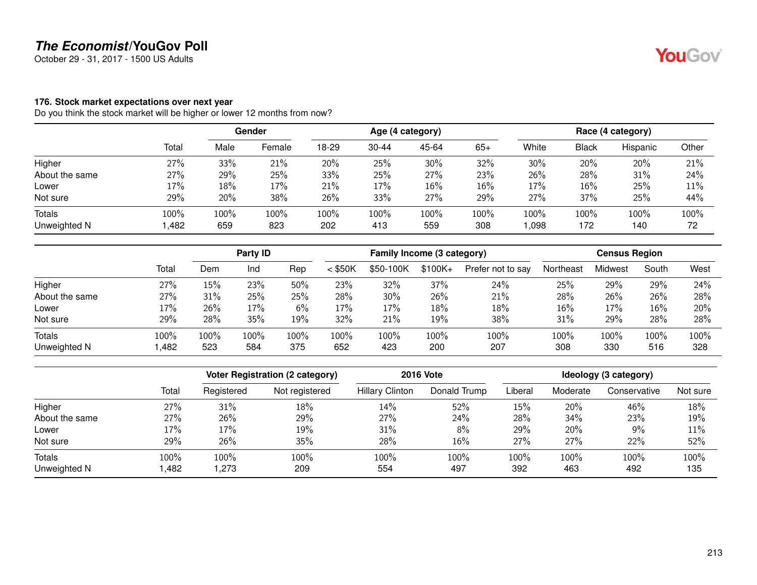October 29 - 31, 2017 - 1500 US Adults

#### **176. Stock market expectations over next year**

Do you think the stock market will be higher or lower 12 months from now?

|                |       | Gender |        | Age (4 category) |           |       |        | Race (4 category) |       |          |       |
|----------------|-------|--------|--------|------------------|-----------|-------|--------|-------------------|-------|----------|-------|
|                | Total | Male   | Female | 18-29            | $30 - 44$ | 45-64 | $65+$  | White             | Black | Hispanic | Other |
| Higher         | 27%   | 33%    | 21%    | 20%              | 25%       | 30%   | 32%    | 30%               | 20%   | 20%      | 21%   |
| About the same | 27%   | 29%    | 25%    | 33%              | 25%       | 27%   | 23%    | 26%               | 28%   | 31%      | 24%   |
| Lower          | 17%   | 18%    | 17%    | 21%              | 17%       | 16%   | $16\%$ | 17%               | 16%   | 25%      | 11%   |
| Not sure       | 29%   | 20%    | 38%    | 26%              | 33%       | 27%   | 29%    | 27%               | 37%   | 25%      | 44%   |
| Totals         | 100%  | 100%   | 100%   | 100%             | 100%      | 100%  | 100%   | 100%              | 100%  | 100%     | 100%  |
| Unweighted N   | ,482  | 659    | 823    | 202              | 413       | 559   | 308    | ,098              | 172   | 140      | 72    |

|                |       | Party ID |      |      | Family Income (3 category) |           |           |                   | <b>Census Region</b> |         |       |      |
|----------------|-------|----------|------|------|----------------------------|-----------|-----------|-------------------|----------------------|---------|-------|------|
|                | Total | Dem      | Ind  | Rep  | $<$ \$50K                  | \$50-100K | $$100K +$ | Prefer not to say | Northeast            | Midwest | South | West |
| Higher         | 27%   | 15%      | 23%  | 50%  | 23%                        | 32%       | 37%       | 24%               | 25%                  | 29%     | 29%   | 24%  |
| About the same | 27%   | 31%      | 25%  | 25%  | 28%                        | 30%       | 26%       | 21%               | 28%                  | 26%     | 26%   | 28%  |
| Lower          | 17%   | 26%      | 17%  | 6%   | 17%                        | 17%       | 18%       | 18%               | 16%                  | 17%     | 16%   | 20%  |
| Not sure       | 29%   | 28%      | 35%  | 19%  | 32%                        | 21%       | 19%       | 38%               | 31%                  | 29%     | 28%   | 28%  |
| <b>Totals</b>  | 100%  | 100%     | 100% | 100% | 100%                       | 100%      | 100%      | 100%              | 100%                 | 100%    | 100%  | 100% |
| Unweighted N   | ,482  | 523      | 584  | 375  | 652                        | 423       | 200       | 207               | 308                  | 330     | 516   | 328  |

|                |       |            | Voter Registration (2 category) |                        | <b>2016 Vote</b> | Ideology (3 category) |          |              |          |  |
|----------------|-------|------------|---------------------------------|------------------------|------------------|-----------------------|----------|--------------|----------|--|
|                | Total | Registered | Not registered                  | <b>Hillary Clinton</b> | Donald Trump     | Liberal               | Moderate | Conservative | Not sure |  |
| Higher         | 27%   | 31%        | 18%                             | 14%                    | 52%              | 15%                   | 20%      | 46%          | 18%      |  |
| About the same | 27%   | 26%        | 29%                             | 27%                    | 24%              | 28%                   | 34%      | 23%          | 19%      |  |
| Lower          | 17%   | 17%        | 19%                             | 31%                    | 8%               | 29%                   | 20%      | 9%           | 11%      |  |
| Not sure       | 29%   | 26%        | 35%                             | 28%                    | 16%              | 27%                   | 27%      | 22%          | 52%      |  |
| <b>Totals</b>  | 100%  | 100%       | 100%                            | 100%                   | 100%             | 100%                  | 100%     | 100%         | 100%     |  |
| Unweighted N   | ,482  | ,273       | 209                             | 554                    | 497              | 392                   | 463      | 492          | 135      |  |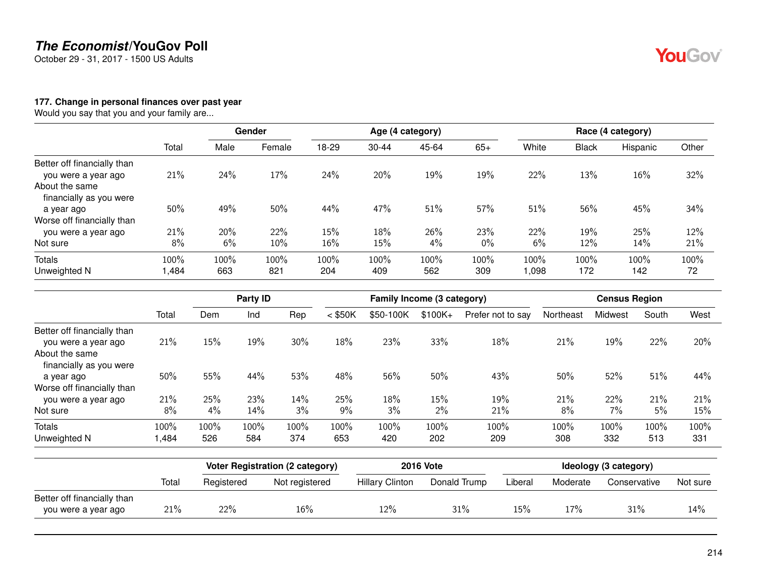October 29 - 31, 2017 - 1500 US Adults

YouGov®

#### **177. Change in personal finances over past year**

Would you say that you and your family are...

|                             |       | Gender |        | Age (4 category) |           |       |       | Race (4 category) |              |          |       |  |
|-----------------------------|-------|--------|--------|------------------|-----------|-------|-------|-------------------|--------------|----------|-------|--|
|                             | Total | Male   | Female | 18-29            | $30 - 44$ | 45-64 | $65+$ | White             | <b>Black</b> | Hispanic | Other |  |
| Better off financially than |       |        |        |                  |           |       |       |                   |              |          |       |  |
| you were a year ago         | 21%   | 24%    | 17%    | 24%              | 20%       | 19%   | 19%   | 22%               | 13%          | 16%      | 32%   |  |
| About the same              |       |        |        |                  |           |       |       |                   |              |          |       |  |
| financially as you were     |       |        |        |                  |           |       |       |                   |              |          |       |  |
| a year ago                  | 50%   | 49%    | 50%    | 44%              | 47%       | 51%   | 57%   | 51%               | 56%          | 45%      | 34%   |  |
| Worse off financially than  |       |        |        |                  |           |       |       |                   |              |          |       |  |
| you were a year ago         | 21%   | 20%    | 22%    | 15%              | 18%       | 26%   | 23%   | 22%               | 19%          | 25%      | 12%   |  |
| Not sure                    | 8%    | 6%     | 10%    | 16%              | 15%       | 4%    | $0\%$ | 6%                | 12%          | 14%      | 21%   |  |
| <b>Totals</b>               | 100%  | 100%   | 100%   | 100%             | 100%      | 100%  | 100%  | 100%              | 100%         | 100%     | 100%  |  |
| Unweighted N                | 1,484 | 663    | 821    | 204              | 409       | 562   | 309   | 1,098             | 172          | 142      | 72    |  |

|                             |       | Party ID |      |      | Family Income (3 category) |           |          |                   | <b>Census Region</b> |         |       |      |
|-----------------------------|-------|----------|------|------|----------------------------|-----------|----------|-------------------|----------------------|---------|-------|------|
|                             | Total | Dem      | Ind  | Rep  | $<$ \$50K                  | \$50-100K | $$100K+$ | Prefer not to say | Northeast            | Midwest | South | West |
| Better off financially than |       |          |      |      |                            |           |          |                   |                      |         |       |      |
| you were a year ago         | 21%   | 15%      | 19%  | 30%  | 18%                        | 23%       | 33%      | 18%               | 21%                  | 19%     | 22%   | 20%  |
| About the same              |       |          |      |      |                            |           |          |                   |                      |         |       |      |
| financially as you were     |       |          |      |      |                            |           |          |                   |                      |         |       |      |
| a year ago                  | 50%   | 55%      | 44%  | 53%  | 48%                        | 56%       | 50%      | 43%               | 50%                  | 52%     | 51%   | 44%  |
| Worse off financially than  |       |          |      |      |                            |           |          |                   |                      |         |       |      |
| you were a year ago         | 21%   | 25%      | 23%  | 14%  | 25%                        | 18%       | 15%      | 19%               | 21%                  | 22%     | 21%   | 21%  |
| Not sure                    | 8%    | 4%       | 14%  | 3%   | 9%                         | 3%        | 2%       | 21%               | 8%                   | $7\%$   | 5%    | 15%  |
| Totals                      | 100%  | 100%     | 100% | 100% | 100%                       | 100%      | 100%     | 100%              | 100%                 | 100%    | 100%  | 100% |
| Unweighted N                | .484  | 526      | 584  | 374  | 653                        | 420       | 202      | 209               | 308                  | 332     | 513   | 331  |

|                             |       | Voter Registration (2 category) |                | <b>2016 Vote</b>       | Ideology (3 category) |         |          |              |          |
|-----------------------------|-------|---------------------------------|----------------|------------------------|-----------------------|---------|----------|--------------|----------|
|                             | Total | Registered                      | Not registered | <b>Hillary Clinton</b> | Donald Trump          | Liberal | Moderate | Conservative | Not sure |
| Better off financially than |       |                                 |                |                        |                       |         |          |              |          |
| you were a year ago         | 21%   | 22%                             | 16%            | 12%                    | 31%                   | 15%     | 17%      | 31%          | 14%      |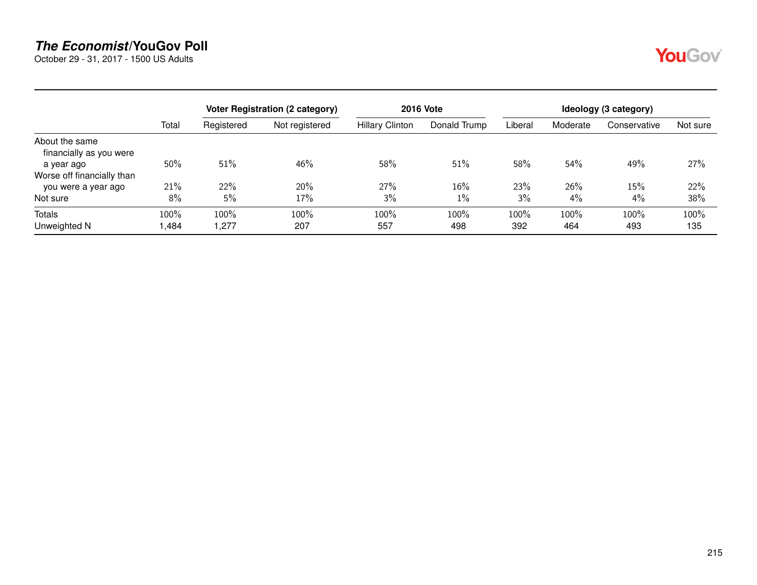October 29 - 31, 2017 - 1500 US Adults

|--|

|                                           |       |            | Voter Registration (2 category) | <b>2016 Vote</b>       | Ideology (3 category) |         |          |              |          |
|-------------------------------------------|-------|------------|---------------------------------|------------------------|-----------------------|---------|----------|--------------|----------|
|                                           | Total | Registered | Not registered                  | <b>Hillary Clinton</b> | Donald Trump          | Liberal | Moderate | Conservative | Not sure |
| About the same<br>financially as you were |       |            |                                 |                        |                       |         |          |              |          |
| a year ago                                | 50%   | 51%        | 46%                             | 58%                    | 51%                   | 58%     | 54%      | 49%          | 27%      |
| Worse off financially than                |       |            |                                 |                        |                       |         |          |              |          |
| you were a year ago                       | 21%   | 22%        | 20%                             | 27%                    | 16%                   | 23%     | 26%      | 15%          | 22%      |
| Not sure                                  | 8%    | 5%         | 17%                             | 3%                     | 1%                    | 3%      | 4%       | 4%           | 38%      |
| <b>Totals</b>                             | 100%  | 100%       | 100%                            | 100%                   | 100%                  | 100%    | 100%     | 100%         | 100%     |
| Unweighted N                              | ,484  | ,277       | 207                             | 557                    | 498                   | 392     | 464      | 493          | 135      |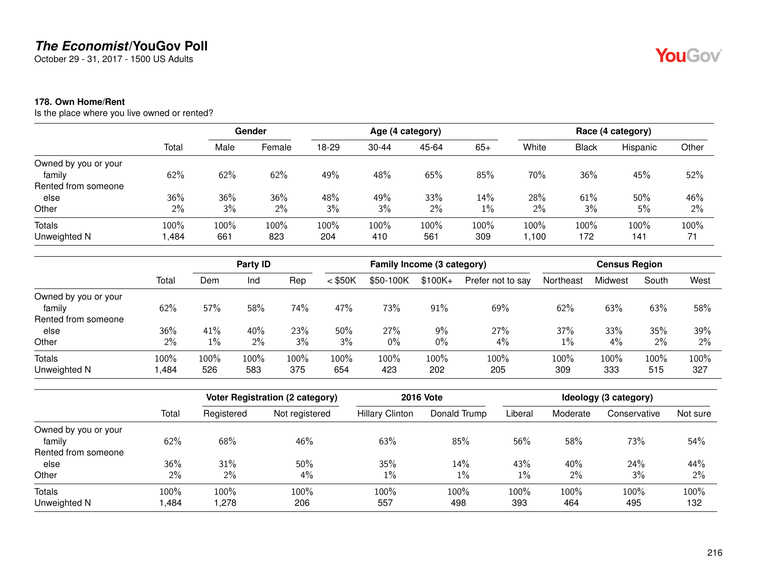October 29 - 31, 2017 - 1500 US Adults

#### **178. Own Home/Rent**

Is the place where you live owned or rented?

|                      | Total | Gender |        |       |           | Age (4 category) |       | Race (4 category) |              |          |       |
|----------------------|-------|--------|--------|-------|-----------|------------------|-------|-------------------|--------------|----------|-------|
|                      |       | Male   | Female | 18-29 | $30 - 44$ | 45-64            | $65+$ | White             | <b>Black</b> | Hispanic | Other |
| Owned by you or your |       |        |        |       |           |                  |       |                   |              |          |       |
| family               | 62%   | 62%    | 62%    | 49%   | 48%       | 65%              | 85%   | 70%               | 36%          | 45%      | 52%   |
| Rented from someone  |       |        |        |       |           |                  |       |                   |              |          |       |
| else                 | 36%   | 36%    | 36%    | 48%   | 49%       | 33%              | 14%   | 28%               | 61%          | 50%      | 46%   |
| Other                | 2%    | 3%     | 2%     | 3%    | 3%        | 2%               | $1\%$ | 2%                | 3%           | 5%       | 2%    |
| <b>Totals</b>        | 100%  | 100%   | 100%   | 100%  | 100%      | 100%             | 100%  | 100%              | 100%         | 100%     | 100%  |
| Unweighted N         | ,484  | 661    | 823    | 204   | 410       | 561              | 309   | 1,100             | 172          | 141      | 71    |

|                      | Total | Party ID |      |      | Family Income (3 category) |           |           |                   | <b>Census Region</b> |         |       |      |
|----------------------|-------|----------|------|------|----------------------------|-----------|-----------|-------------------|----------------------|---------|-------|------|
|                      |       | Dem      | Ind  | Rep  | $<$ \$50K                  | \$50-100K | $$100K +$ | Prefer not to say | Northeast            | Midwest | South | West |
| Owned by you or your |       |          |      |      |                            |           |           |                   |                      |         |       |      |
| family               | 62%   | 57%      | 58%  | 74%  | 47%                        | 73%       | 91%       | 69%               | 62%                  | 63%     | 63%   | 58%  |
| Rented from someone  |       |          |      |      |                            |           |           |                   |                      |         |       |      |
| else                 | 36%   | 41%      | 40%  | 23%  | 50%                        | 27%       | 9%        | 27%               | 37%                  | 33%     | 35%   | 39%  |
| Other                | 2%    | 1%       | 2%   | 3%   | 3%                         | $0\%$     | 0%        | $4\%$             | 1%                   | 4%      | 2%    | 2%   |
| Totals               | 100%  | 100%     | 100% | 100% | 100%                       | 100%      | 100%      | 100%              | 100%                 | 100%    | 100%  | 100% |
| Unweighted N         | ,484  | 526      | 583  | 375  | 654                        | 423       | 202       | 205               | 309                  | 333     | 515   | 327  |

|                      |       | Voter Registration (2 category) |                |                        | <b>2016 Vote</b> | Ideology (3 category) |          |              |          |  |
|----------------------|-------|---------------------------------|----------------|------------------------|------------------|-----------------------|----------|--------------|----------|--|
|                      | Total | Registered                      | Not registered | <b>Hillary Clinton</b> | Donald Trump     | Liberal               | Moderate | Conservative | Not sure |  |
| Owned by you or your |       |                                 |                |                        |                  |                       |          |              |          |  |
| family               | 62%   | 68%                             | 46%            | 63%                    | 85%              | 56%                   | 58%      | 73%          | 54%      |  |
| Rented from someone  |       |                                 |                |                        |                  |                       |          |              |          |  |
| else                 | 36%   | 31%                             | 50%            | 35%                    | 14%              | 43%                   | 40%      | 24%          | 44%      |  |
| Other                | $2\%$ | 2%                              | 4%             | $1\%$                  | $1\%$            | 1%                    | $2\%$    | 3%           | 2%       |  |
| <b>Totals</b>        | 100%  | 100%                            | 100%           | 100%                   | 100%             | 100%                  | 100%     | 100%         | 100%     |  |
| Unweighted N         | ,484  | ,278                            | 206            | 557                    | 498              | 393                   | 464      | 495          | 132      |  |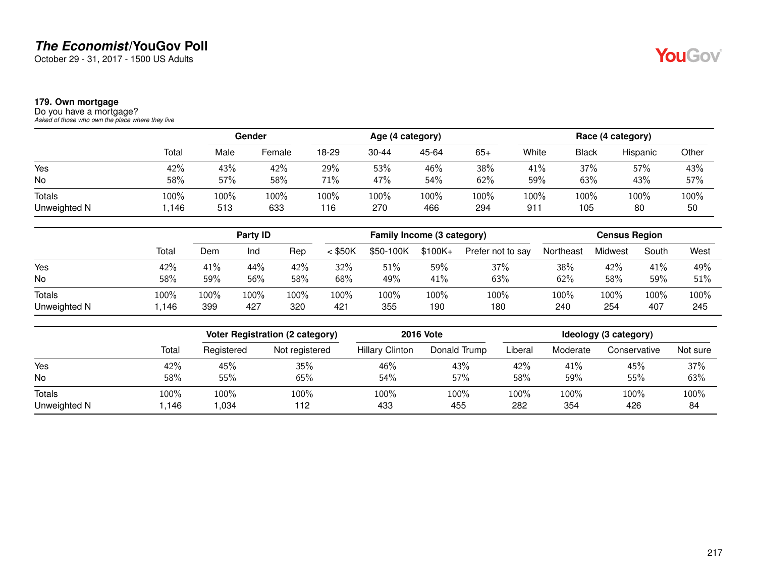October 29 - 31, 2017 - 1500 US Adults

#### **179. Own mortgage**

Do you have a mortgage? *Asked of those who own the place where they live*

|              |       |      | Gender |       |           | Age (4 category) |      |        |       | Race (4 category) |       |
|--------------|-------|------|--------|-------|-----------|------------------|------|--------|-------|-------------------|-------|
|              | Total | Male | Female | 18-29 | $30 - 44$ | 45-64            | 65+  | White  | Black | Hispanic          | Other |
| Yes          | 42%   | 43%  | 42%    | 29%   | 53%       | 46%              | 38%  | 41%    | 37%   | 57%               | 43%   |
| No           | 58%   | 57%  | 58%    | 71%   | 47%       | 54%              | 62%  | 59%    | 63%   | 43%               | 57%   |
| Totals       | 100%  | 100% | 100%   | 100%  | 100%      | 100%             | 100% | 100%   | 100%  | 100%              | 100%  |
| Unweighted N | .146  | 513  | 633    | 116   | 270       | 466              | 294  | $91 -$ | 105   | 80                | 50    |

|               |       | Party <b>ID</b> |      |      | Family Income (3 category) |           |          |                   | <b>Census Region</b> |         |       |      |
|---------------|-------|-----------------|------|------|----------------------------|-----------|----------|-------------------|----------------------|---------|-------|------|
|               | Total | Dem             | Ind  | Rep  | $<$ \$50K                  | \$50-100K | $$100K+$ | Prefer not to say | Northeast            | Midwest | South | West |
| Yes           | 42%   | 41%             | 44%  | 42%  | 32%                        | 51%       | 59%      | 37%               | 38%                  | 42%     | 41%   | 49%  |
| No            | 58%   | 59%             | 56%  | 58%  | 68%                        | 49%       | 41%      | 63%               | 62%                  | 58%     | 59%   | 51%  |
| <b>Totals</b> | 100%  | 100%            | 100% | 100% | 100%                       | 100%      | 100%     | 100%              | 100%                 | 100%    | 100%  | 100% |
| Unweighted N  | 146.، | 399             | 427  | 320  | 421                        | 355       | 190      | 180               | 240                  | 254     | 407   | 245  |

|               |       |            | Voter Registration (2 category) |                        | <b>2016 Vote</b> |         |          | Ideology (3 category) |          |
|---------------|-------|------------|---------------------------------|------------------------|------------------|---------|----------|-----------------------|----------|
|               | Total | Registered | Not registered                  | <b>Hillary Clinton</b> | Donald Trump     | Liberal | Moderate | Conservative          | Not sure |
| Yes           | 42%   | 45%        | 35%                             | 46%                    | 43%              | 42%     | 41%      | 45%                   | 37%      |
| No            | 58%   | 55%        | 65%                             | 54%                    | 57%              | 58%     | 59%      | 55%                   | 63%      |
| <b>Totals</b> | 100%  | 100%       | 100%                            | 100%                   | 100%             | 100%    | 100%     | 100%                  | 100%     |
| Unweighted N  | 1,146 | 1.034      | 112                             | 433                    | 455              | 282     | 354      | 426                   | 84       |

YouGov®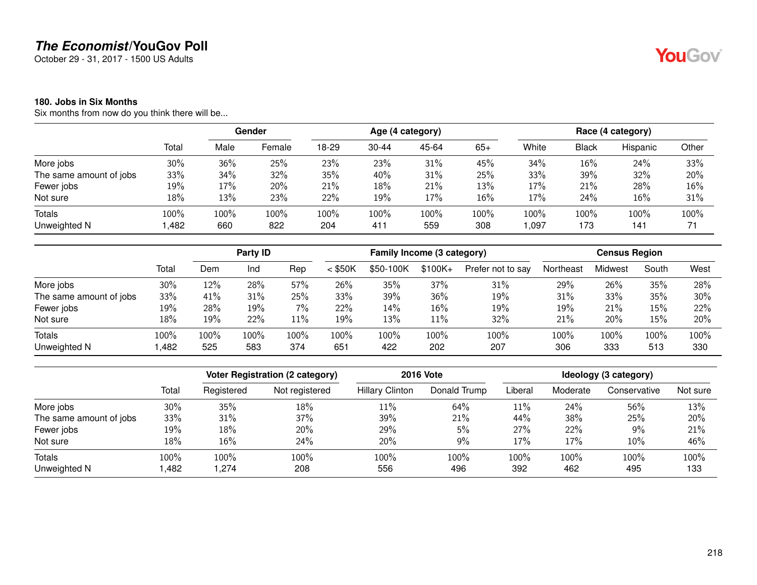October 29 - 31, 2017 - 1500 US Adults

#### **180. Jobs in Six Months**

Six months from now do you think there will be...

|                               |              | <b>Gender</b> |             | Age (4 category) |             |             |             |              |             | Race (4 category) |            |
|-------------------------------|--------------|---------------|-------------|------------------|-------------|-------------|-------------|--------------|-------------|-------------------|------------|
|                               | Total        | Male          | Female      | 18-29            | $30 - 44$   | 45-64       | $65+$       | White        | Black       | Hispanic          | Other      |
| More jobs                     | 30%          | 36%           | 25%         | 23%              | 23%         | 31%         | 45%         | 34%          | 16%         | 24%               | 33%        |
| The same amount of jobs       | 33%          | 34%           | 32%         | 35%              | 40%         | 31%         | 25%         | 33%          | 39%         | 32%               | 20%        |
| Fewer jobs                    | 19%          | 17%           | 20%         | 21%              | 18%         | 21%         | 13%         | 17%          | 21%         | 28%               | 16%        |
| Not sure                      | 18%          | 13%           | 23%         | 22%              | 19%         | 17%         | 16%         | 17%          | 24%         | $16\%$            | 31%        |
| <b>Totals</b><br>Unweighted N | 100%<br>,482 | 100%<br>660   | 100%<br>822 | 100%<br>204      | 100%<br>411 | 100%<br>559 | 100%<br>308 | 100%<br>,097 | 100%<br>173 | 100%<br>141       | 100%<br>71 |

|                         |       |      | Party <b>ID</b> |        |           | Family Income (3 category) |           |                   |           | <b>Census Region</b> |       |      |
|-------------------------|-------|------|-----------------|--------|-----------|----------------------------|-----------|-------------------|-----------|----------------------|-------|------|
|                         | Total | Dem  | Ind             | Rep    | $<$ \$50K | \$50-100K                  | $$100K +$ | Prefer not to say | Northeast | Midwest              | South | West |
| More jobs               | 30%   | 12%  | 28%             | 57%    | 26%       | 35%                        | 37%       | 31%               | 29%       | 26%                  | 35%   | 28%  |
| The same amount of jobs | 33%   | 41%  | 31%             | 25%    | 33%       | 39%                        | 36%       | 19%               | 31%       | 33%                  | 35%   | 30%  |
| Fewer jobs              | 19%   | 28%  | 19%             | $7\%$  | 22%       | 14%                        | 16%       | 19%               | 19%       | 21%                  | 15%   | 22%  |
| Not sure                | 18%   | 19%  | 22%             | $11\%$ | 19%       | 13%                        | 11%       | 32%               | 21%       | 20%                  | 15%   | 20%  |
| <b>Totals</b>           | 100%  | 100% | 100%            | 100%   | 100%      | 100%                       | 100%      | 100%              | 100%      | 100%                 | 100%  | 100% |
| Unweighted N            | ,482  | 525  | 583             | 374    | 651       | 422                        | 202       | 207               | 306       | 333                  | 513   | 330  |

|                         |       |            | Voter Registration (2 category) |                        | <b>2016 Vote</b> |         |          | Ideology (3 category) |          |
|-------------------------|-------|------------|---------------------------------|------------------------|------------------|---------|----------|-----------------------|----------|
|                         | Total | Registered | Not registered                  | <b>Hillary Clinton</b> | Donald Trump     | Liberal | Moderate | Conservative          | Not sure |
| More jobs               | 30%   | 35%        | 18%                             | 11%                    | 64%              | 11%     | 24%      | 56%                   | 13%      |
| The same amount of jobs | 33%   | 31%        | 37%                             | 39%                    | 21%              | 44%     | 38%      | 25%                   | 20%      |
| Fewer jobs              | 19%   | 18%        | 20%                             | 29%                    | 5%               | 27%     | 22%      | 9%                    | 21%      |
| Not sure                | 18%   | $16\%$     | 24%                             | 20%                    | 9%               | 17%     | 17%      | 10%                   | 46%      |
| Totals                  | 100%  | 100%       | 100%                            | 100%                   | 100%             | 100%    | 100%     | 100%                  | 100%     |
| Unweighted N            | .482  | 1.274      | 208                             | 556                    | 496              | 392     | 462      | 495                   | 133      |

YouGov®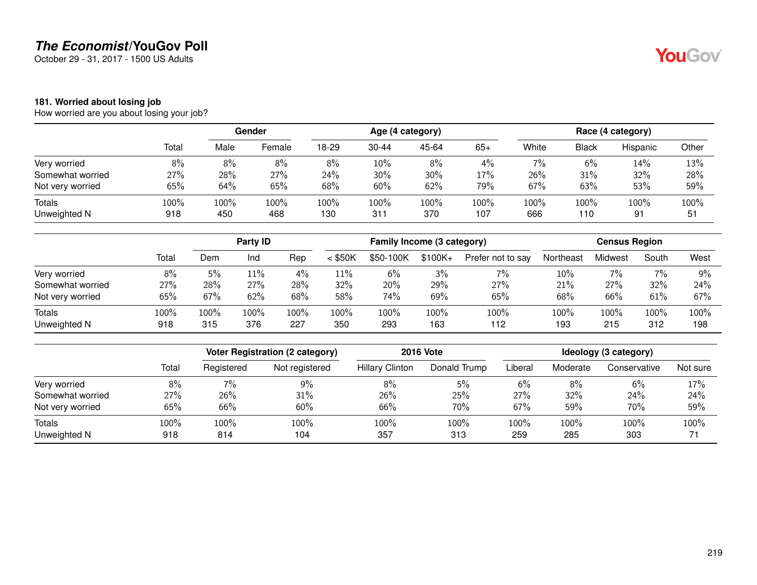October 29 - 31, 2017 - 1500 US Adults

#### **181. Worried about losing job**

How worried are you about losing your job?

|                  |         | Gender |        | Age (4 category) |           |        |       |       |              | Race (4 category) |       |
|------------------|---------|--------|--------|------------------|-----------|--------|-------|-------|--------------|-------------------|-------|
|                  | Total   | Male   | Female | 18-29            | $30 - 44$ | 45-64  | $65+$ | White | <b>Black</b> | Hispanic          | Other |
| Very worried     | 8%      | 8%     | 8%     | 8%               | 10%       | 8%     | 4%    | 7%    | 6%           | 14%               | 13%   |
| Somewhat worried | 27%     | 28%    | 27%    | 24%              | $30\%$    | $30\%$ | 17%   | 26%   | 31%          | 32%               | 28%   |
| Not very worried | 65%     | 64%    | 65%    | 68%              | 60%       | 62%    | 79%   | 67%   | 63%          | 53%               | 59%   |
| Totals           | $100\%$ | 100%   | 100%   | 100%             | 100%      | 100%   | 100%  | 100%  | 100%         | 100%              | 100%  |
| Unweighted N     | 918     | 450    | 468    | 130              | 311       | 370    | 107   | 666   | 110          | 91                | 51    |

|                  |       |      | Party ID |      |           | Family Income (3 category) |           |                   |           | <b>Census Region</b> |       |      |  |
|------------------|-------|------|----------|------|-----------|----------------------------|-----------|-------------------|-----------|----------------------|-------|------|--|
|                  | Total | Dem  | Ind      | Rep  | $<$ \$50K | \$50-100K                  | $$100K +$ | Prefer not to say | Northeast | Midwest              | South | West |  |
| Very worried     | 8%    | 5%   | 11%      | 4%   | 11%       | 6%                         | 3%        | $7\%$             | 10%       | 7%                   | 7%    | 9%   |  |
| Somewhat worried | 27%   | 28%  | 27%      | 28%  | 32%       | 20%                        | 29%       | 27%               | 21%       | 27%                  | 32%   | 24%  |  |
| Not very worried | 65%   | 67%  | 62%      | 68%  | 58%       | 74%                        | 69%       | 65%               | 68%       | 66%                  | 61%   | 67%  |  |
| <b>Totals</b>    | 100%  | 100% | 100%     | 100% | 100%      | 100%                       | 100%      | 100%              | 100%      | 100%                 | 100%  | 100% |  |
| Unweighted N     | 918   | 315  | 376      | 227  | 350       | 293                        | 163       | 112               | 193       | 215                  | 312   | 198  |  |

|                  |       | <b>Voter Registration (2 category)</b> |                |                        | <b>2016 Vote</b> | Ideology (3 category) |          |              |          |  |
|------------------|-------|----------------------------------------|----------------|------------------------|------------------|-----------------------|----------|--------------|----------|--|
|                  | Total | Registered                             | Not registered | <b>Hillary Clinton</b> | Donald Trump     | Liberal               | Moderate | Conservative | Not sure |  |
| Very worried     | 8%    | $7\%$                                  | 9%             | 8%                     | 5%               | 6%                    | 8%       | 6%           | 17%      |  |
| Somewhat worried | 27%   | 26%                                    | 31%            | 26%                    | 25%              | 27%                   | 32%      | 24%          | 24%      |  |
| Not very worried | 65%   | 66%                                    | 60%            | 66%                    | 70%              | 67%                   | 59%      | 70%          | 59%      |  |
| <b>Totals</b>    | 100%  | 100%                                   | 100%           | 100%                   | 100%             | 100%                  | 100%     | 100%         | 100%     |  |
| Unweighted N     | 918   | 814                                    | 104            | 357                    | 313              | 259                   | 285      | 303          |          |  |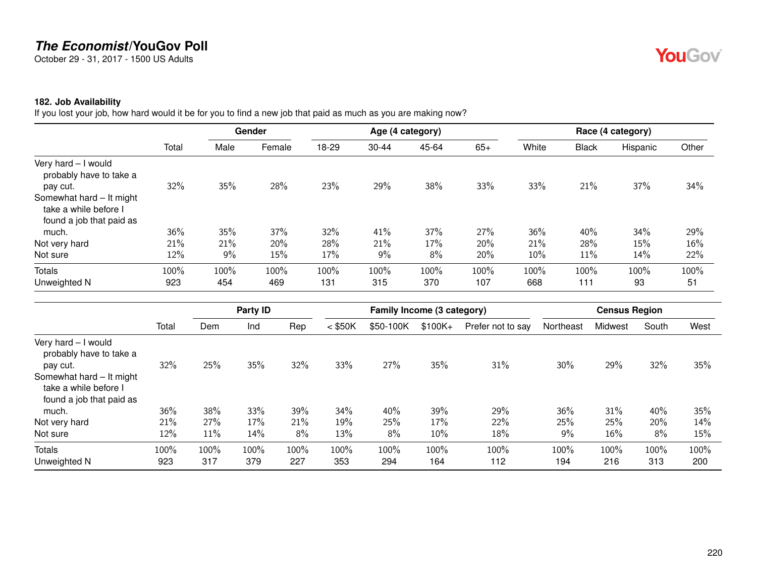October 29 - 31, 2017 - 1500 US Adults

#### **182. Job Availability**

If you lost your job, how hard would it be for you to find a new job that paid as much as you are making now?

|                                                                               |       |      | Gender |       |           | Age (4 category) |       |       |              | Race (4 category) |       |
|-------------------------------------------------------------------------------|-------|------|--------|-------|-----------|------------------|-------|-------|--------------|-------------------|-------|
|                                                                               | Total | Male | Female | 18-29 | $30 - 44$ | 45-64            | $65+$ | White | <b>Black</b> | Hispanic          | Other |
| Very hard - I would<br>probably have to take a<br>pay cut.                    | 32%   | 35%  | 28%    | 23%   | 29%       | 38%              | 33%   | 33%   | 21%          | 37%               | 34%   |
| Somewhat hard - It might<br>take a while before I<br>found a job that paid as |       |      |        |       |           |                  |       |       |              |                   |       |
| much.                                                                         | 36%   | 35%  | 37%    | 32%   | 41%       | 37%              | 27%   | 36%   | 40%          | 34%               | 29%   |
| Not very hard                                                                 | 21%   | 21%  | 20%    | 28%   | 21%       | 17%              | 20%   | 21%   | 28%          | 15%               | 16%   |
| Not sure                                                                      | 12%   | 9%   | 15%    | 17%   | 9%        | 8%               | 20%   | 10%   | 11%          | 14%               | 22%   |
| Totals                                                                        | 100%  | 100% | 100%   | 100%  | 100%      | 100%             | 100%  | 100%  | 100%         | 100%              | 100%  |
| Unweighted N                                                                  | 923   | 454  | 469    | 131   | 315       | 370              | 107   | 668   | 111          | 93                | 51    |

|                                                                               |       |      | Party ID |      |           | Family Income (3 category) |          |                   |           | <b>Census Region</b> |       |      |
|-------------------------------------------------------------------------------|-------|------|----------|------|-----------|----------------------------|----------|-------------------|-----------|----------------------|-------|------|
|                                                                               | Total | Dem  | Ind      | Rep  | $<$ \$50K | \$50-100K                  | $$100K+$ | Prefer not to say | Northeast | Midwest              | South | West |
| Very hard - I would<br>probably have to take a<br>pay cut.                    | 32%   | 25%  | 35%      | 32%  | 33%       | 27%                        | 35%      | 31%               | 30%       | 29%                  | 32%   | 35%  |
| Somewhat hard - It might<br>take a while before I<br>found a job that paid as |       |      |          |      |           |                            |          |                   |           |                      |       |      |
| much.                                                                         | 36%   | 38%  | 33%      | 39%  | 34%       | 40%                        | 39%      | 29%               | 36%       | 31%                  | 40%   | 35%  |
| Not very hard                                                                 | 21%   | 27%  | 17%      | 21%  | 19%       | 25%                        | 17%      | 22%               | 25%       | 25%                  | 20%   | 14%  |
| Not sure                                                                      | 12%   | 11%  | 14%      | 8%   | 13%       | 8%                         | 10%      | 18%               | 9%        | 16%                  | 8%    | 15%  |
| <b>Totals</b>                                                                 | 100%  | 100% | 100%     | 100% | 100%      | 100%                       | 100%     | 100%              | 100%      | 100%                 | 100%  | 100% |
| Unweighted N                                                                  | 923   | 317  | 379      | 227  | 353       | 294                        | 164      | 112               | 194       | 216                  | 313   | 200  |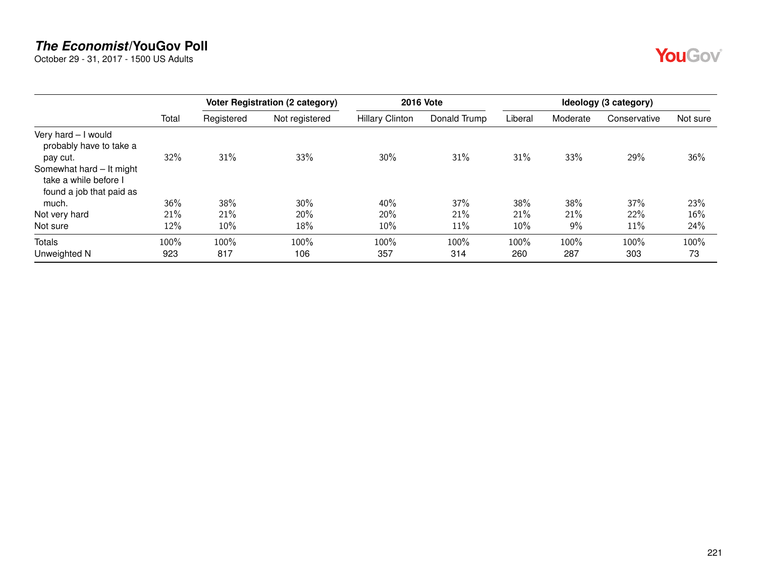October 29 - 31, 2017 - 1500 US Adults

|--|--|

|                                                                               |       | <b>Voter Registration (2 category)</b> |                | <b>2016 Vote</b>       | Ideology (3 category) |         |          |              |          |
|-------------------------------------------------------------------------------|-------|----------------------------------------|----------------|------------------------|-----------------------|---------|----------|--------------|----------|
|                                                                               | Total | Registered                             | Not registered | <b>Hillary Clinton</b> | Donald Trump          | Liberal | Moderate | Conservative | Not sure |
| Very hard - I would<br>probably have to take a<br>pay cut.                    | 32%   | 31%                                    | 33%            | 30%                    | 31%                   | 31%     | 33%      | 29%          | 36%      |
| Somewhat hard - It might<br>take a while before I<br>found a job that paid as |       |                                        |                |                        |                       |         |          |              |          |
| much.                                                                         | 36%   | 38%                                    | 30%            | 40%                    | 37%                   | 38%     | 38%      | 37%          | 23%      |
| Not very hard                                                                 | 21%   | 21%                                    | 20%            | 20%                    | 21%                   | 21%     | 21%      | 22%          | 16%      |
| Not sure                                                                      | 12%   | 10%                                    | 18%            | 10%                    | 11%                   | 10%     | $9\%$    | 11%          | 24%      |
| <b>Totals</b>                                                                 | 100%  | 100%                                   | 100%           | 100%                   | 100%                  | 100%    | 100%     | 100%         | 100%     |
| Unweighted N                                                                  | 923   | 817                                    | 106            | 357                    | 314                   | 260     | 287      | 303          | 73       |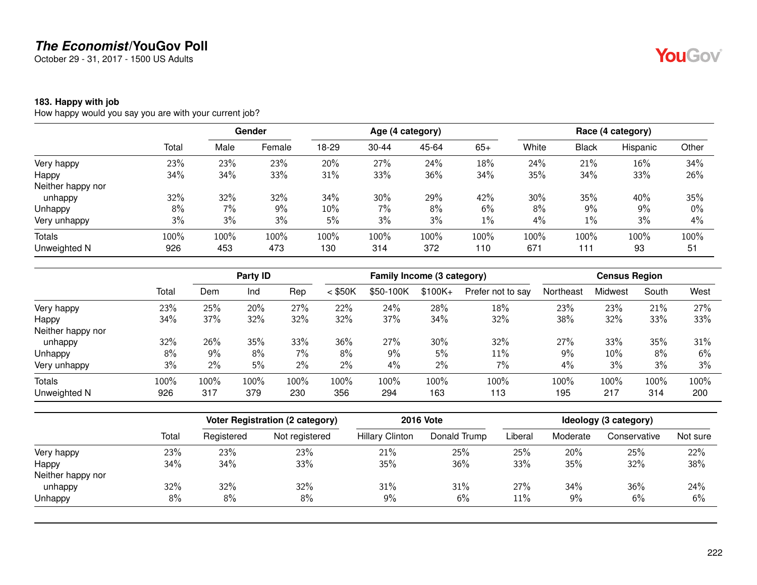October 29 - 31, 2017 - 1500 US Adults

#### **183. Happy with job**

How happy would you say you are with your current job?

|                   |       |      | <b>Gender</b> |       |       | Age (4 category) |       |       |              | Race (4 category) |       |
|-------------------|-------|------|---------------|-------|-------|------------------|-------|-------|--------------|-------------------|-------|
|                   | Total | Male | Female        | 18-29 | 30-44 | 45-64            | $65+$ | White | <b>Black</b> | Hispanic          | Other |
| Very happy        | 23%   | 23%  | 23%           | 20%   | 27%   | 24%              | 18%   | 24%   | 21%          | 16%               | 34%   |
| Happy             | 34%   | 34%  | 33%           | 31%   | 33%   | 36%              | 34%   | 35%   | 34%          | 33%               | 26%   |
| Neither happy nor |       |      |               |       |       |                  |       |       |              |                   |       |
| unhappy           | 32%   | 32%  | 32%           | 34%   | 30%   | 29%              | 42%   | 30%   | 35%          | 40%               | 35%   |
| Unhappy           | 8%    | 7%   | 9%            | 10%   | 7%    | 8%               | 6%    | 8%    | 9%           | 9%                | 0%    |
| Very unhappy      | 3%    | 3%   | 3%            | 5%    | 3%    | 3%               | $1\%$ | 4%    | 1%           | 3%                | 4%    |
| Totals            | 100%  | 100% | 100%          | 100%  | 100%  | 100%             | 100%  | 100%  | 100%         | 100%              | 100%  |
| Unweighted N      | 926   | 453  | 473           | 130   | 314   | 372              | 110   | 671   | 111          | 93                | 51    |

|                   |       | Party ID |      |      |           | Family Income (3 category) |          |                   |           | <b>Census Region</b> |       |      |  |
|-------------------|-------|----------|------|------|-----------|----------------------------|----------|-------------------|-----------|----------------------|-------|------|--|
|                   | Total | Dem      | Ind  | Rep  | $<$ \$50K | \$50-100K                  | $$100K+$ | Prefer not to say | Northeast | Midwest              | South | West |  |
| Very happy        | 23%   | 25%      | 20%  | 27%  | 22%       | 24%                        | 28%      | 18%               | 23%       | 23%                  | 21%   | 27%  |  |
| Happy             | 34%   | 37%      | 32%  | 32%  | 32%       | 37%                        | 34%      | 32%               | 38%       | 32%                  | 33%   | 33%  |  |
| Neither happy nor |       |          |      |      |           |                            |          |                   |           |                      |       |      |  |
| unhappy           | 32%   | 26%      | 35%  | 33%  | 36%       | 27%                        | 30%      | 32%               | 27%       | 33%                  | 35%   | 31%  |  |
| Unhappy           | 8%    | 9%       | 8%   | 7%   | 8%        | $9\%$                      | 5%       | 11%               | 9%        | $10\%$               | 8%    | 6%   |  |
| Very unhappy      | 3%    | 2%       | 5%   | 2%   | 2%        | 4%                         | 2%       | 7%                | 4%        | 3%                   | 3%    | 3%   |  |
| Totals            | 100%  | 100%     | 100% | 100% | 100%      | 100%                       | 100%     | 100%              | 100%      | 100%                 | 100%  | 100% |  |
| Unweighted N      | 926   | 317      | 379  | 230  | 356       | 294                        | 163      | 113               | 195       | 217                  | 314   | 200  |  |

|                   |       | Voter Registration (2 category) |                | <b>2016 Vote</b>       |              |         | Ideology (3 category) |              |          |  |  |
|-------------------|-------|---------------------------------|----------------|------------------------|--------------|---------|-----------------------|--------------|----------|--|--|
|                   | Total | Registered                      | Not registered | <b>Hillary Clinton</b> | Donald Trump | Liberal | Moderate              | Conservative | Not sure |  |  |
| Very happy        | 23%   | 23%                             | 23%            | 21%                    | 25%          | 25%     | 20%                   | 25%          | 22%      |  |  |
| Happy             | 34%   | 34%                             | 33%            | 35%                    | 36%          | 33%     | 35%                   | 32%          | 38%      |  |  |
| Neither happy nor |       |                                 |                |                        |              |         |                       |              |          |  |  |
| unhappy           | 32%   | 32%                             | 32%            | 31%                    | 31%          | 27%     | 34%                   | 36%          | 24%      |  |  |
| Unhappy           | 8%    | 8%                              | 8%             | 9%                     | 6%           | 11%     | 9%                    | 6%           | 6%       |  |  |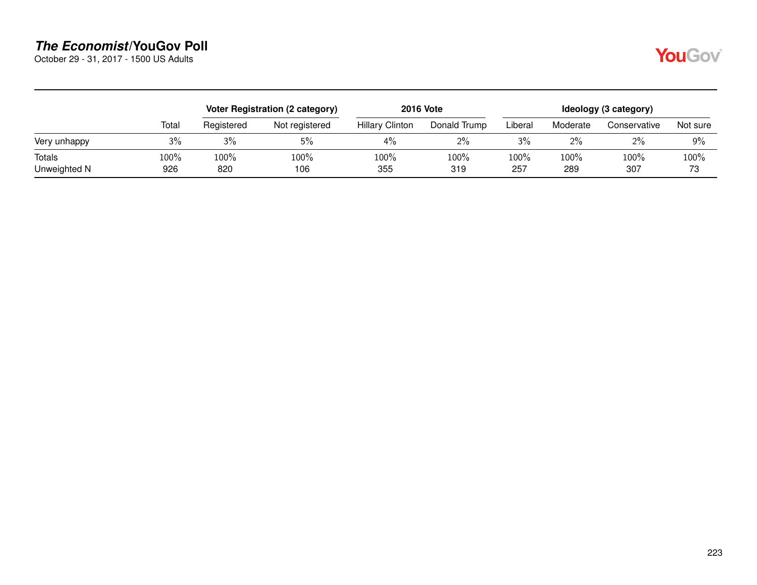October 29 - 31, 2017 - 1500 US Adults

|--|

|                        |             |             | Voter Registration (2 category) |                        | <b>2016 Vote</b> | Ideology (3 category) |             |              |            |  |
|------------------------|-------------|-------------|---------------------------------|------------------------|------------------|-----------------------|-------------|--------------|------------|--|
|                        | Total       | Registered  | Not registered                  | <b>Hillary Clinton</b> | Donald Trump     | Liberal               | Moderate    | Conservative | Not sure   |  |
| Very unhappy           | 3%          | 3%          | 5%                              | 4%                     | $2\%$            | 3%                    | 2%          | $2\%$        | 9%         |  |
| Totals<br>Unweighted N | 100%<br>926 | 100%<br>820 | 100%<br>106                     | 100%<br>355            | 100%<br>319      | 100%<br>257           | 100%<br>289 | 100%<br>307  | 100%<br>73 |  |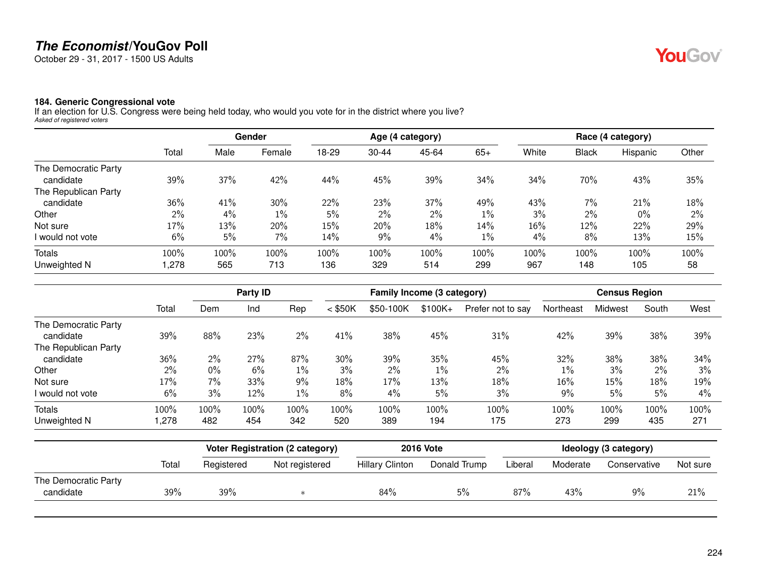October 29 - 31, 2017 - 1500 US Adults

#### **184. Generic Congressional vote**

If an election for U.S. Congress were being held today, who would you vote for in the district where you live? *Asked of registered voters*

|                      |       |      | Gender |       |           | Age (4 category) |       |       |              | Race (4 category) |       |
|----------------------|-------|------|--------|-------|-----------|------------------|-------|-------|--------------|-------------------|-------|
|                      | Total | Male | Female | 18-29 | $30 - 44$ | 45-64            | $65+$ | White | <b>Black</b> | Hispanic          | Other |
| The Democratic Party |       |      |        |       |           |                  |       |       |              |                   |       |
| candidate            | 39%   | 37%  | 42%    | 44%   | 45%       | 39%              | 34%   | 34%   | 70%          | 43%               | 35%   |
| The Republican Party |       |      |        |       |           |                  |       |       |              |                   |       |
| candidate            | 36%   | 41%  | 30%    | 22%   | 23%       | 37%              | 49%   | 43%   | 7%           | 21%               | 18%   |
| Other                | 2%    | 4%   | 1%     | 5%    | $2\%$     | 2%               | $1\%$ | 3%    | 2%           | $0\%$             | $2\%$ |
| Not sure             | 17%   | 13%  | 20%    | 15%   | 20%       | 18%              | 14%   | 16%   | 12%          | 22%               | 29%   |
| I would not vote     | 6%    | 5%   | 7%     | 14%   | $9\%$     | 4%               | $1\%$ | 4%    | 8%           | 13%               | 15%   |
| Totals               | 100%  | 100% | 100%   | 100%  | 100%      | 100%             | 100%  | 100%  | 100%         | 100%              | 100%  |
| Unweighted N         | ,278  | 565  | 713    | 136   | 329       | 514              | 299   | 967   | 148          | 105               | 58    |

|                      |       | Party ID |      |       |           | Family Income (3 category) |          | <b>Census Region</b> |           |         |       |       |
|----------------------|-------|----------|------|-------|-----------|----------------------------|----------|----------------------|-----------|---------|-------|-------|
|                      | Total | Dem      | Ind  | Rep   | $<$ \$50K | \$50-100K                  | $$100K+$ | Prefer not to say    | Northeast | Midwest | South | West  |
| The Democratic Party |       |          |      |       |           |                            |          |                      |           |         |       |       |
| candidate            | 39%   | 88%      | 23%  | $2\%$ | 41%       | 38%                        | 45%      | 31%                  | 42%       | 39%     | 38%   | 39%   |
| The Republican Party |       |          |      |       |           |                            |          |                      |           |         |       |       |
| candidate            | 36%   | $2\%$    | 27%  | 87%   | 30%       | 39%                        | 35%      | 45%                  | 32%       | 38%     | 38%   | 34%   |
| Other                | 2%    | 0%       | 6%   | $1\%$ | 3%        | $2\%$                      | $1\%$    | $2\%$                | $1\%$     | 3%      | 2%    | 3%    |
| Not sure             | 17%   | 7%       | 33%  | 9%    | 18%       | 17%                        | 13%      | 18%                  | 16%       | 15%     | 18%   | 19%   |
| I would not vote     | 6%    | 3%       | 12%  | $1\%$ | 8%        | $4\%$                      | 5%       | 3%                   | 9%        | 5%      | 5%    | $4\%$ |
| <b>Totals</b>        | 100%  | 100%     | 100% | 100%  | 100%      | 100%                       | 100%     | 100%                 | 100%      | 100%    | 100%  | 100%  |
| Unweighted N         | 1.278 | 482      | 454  | 342   | 520       | 389                        | 194      | 175                  | 273       | 299     | 435   | 271   |

| <b>Hillary Clinton</b> | Donald Trump | Liberal | Moderate | Conservative | Not sure |
|------------------------|--------------|---------|----------|--------------|----------|
|                        |              |         |          |              |          |
| 84%                    | 5%           | 87%     | 43%      | 9%           | 21%      |
|                        |              |         |          |              |          |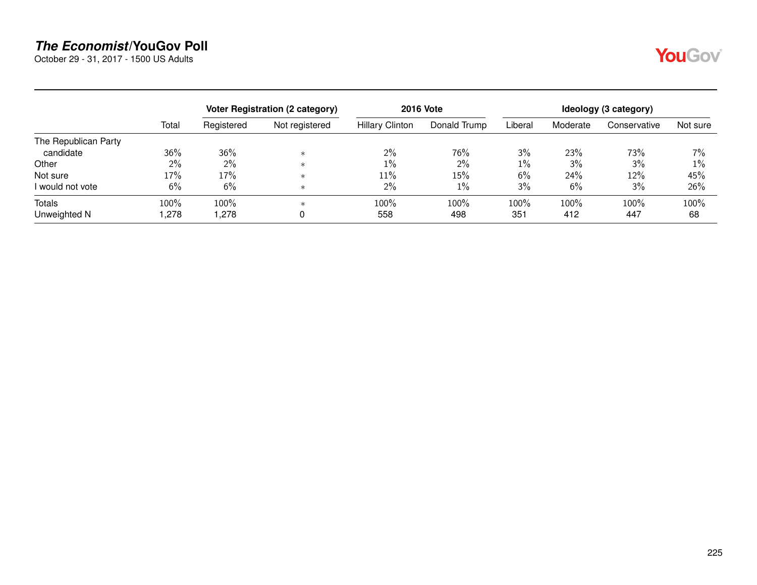October 29 - 31, 2017 - 1500 US Adults

|--|

|                      |       | <b>Voter Registration (2 category)</b> |                | <b>2016 Vote</b>       | Ideology (3 category) |         |          |              |          |
|----------------------|-------|----------------------------------------|----------------|------------------------|-----------------------|---------|----------|--------------|----------|
|                      | Total | Registered                             | Not registered | <b>Hillary Clinton</b> | Donald Trump          | Liberal | Moderate | Conservative | Not sure |
| The Republican Party |       |                                        |                |                        |                       |         |          |              |          |
| candidate            | 36%   | 36%                                    | $\ast$         | $2\%$                  | 76%                   | 3%      | 23%      | 73%          | 7%       |
| Other                | $2\%$ | $2\%$                                  | $\ast$         | 1%                     | $2\%$                 | $1\%$   | 3%       | 3%           | $1\%$    |
| Not sure             | 17%   | 17%                                    | $\ast$         | 11%                    | 15%                   | 6%      | 24%      | 12%          | 45%      |
| I would not vote     | 6%    | 6%                                     | $\ast$         | 2%                     | 1%                    | 3%      | 6%       | 3%           | 26%      |
| Totals               | 100%  | 100%                                   | $\ast$         | 100%                   | 100%                  | 100%    | 100%     | 100%         | 100%     |
| Unweighted N         | ,278  | 278,                                   |                | 558                    | 498                   | 351     | 412      | 447          | 68       |